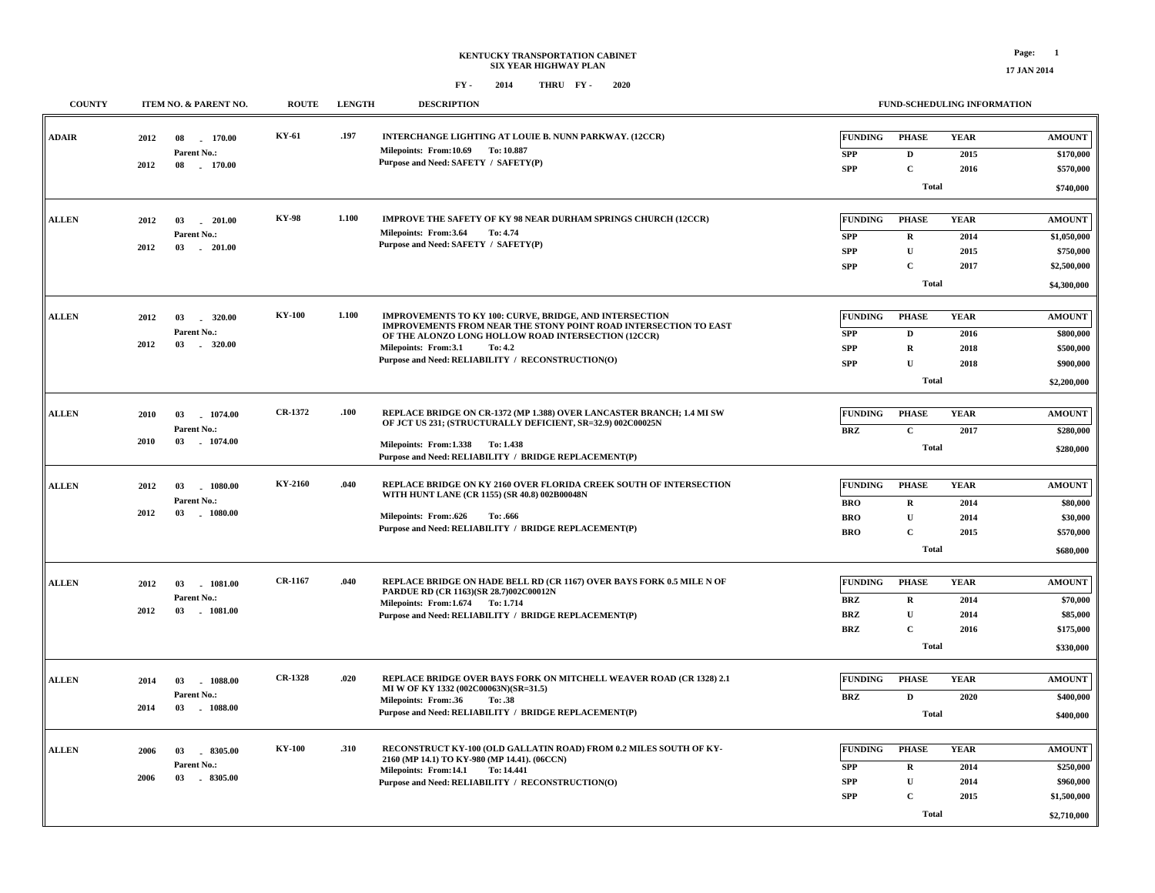| <b>COUNTY</b> | <b>ITEM NO. &amp; PARENT NO.</b>                                   | <b>ROUTE</b>   | <b>LENGTH</b> | <b>DESCRIPTION</b>                                                                                                                                                                                                                                                         |                                                          |                                                                  | <b>FUND-SCHEDULING INFORMATION</b>  |                                                                         |
|---------------|--------------------------------------------------------------------|----------------|---------------|----------------------------------------------------------------------------------------------------------------------------------------------------------------------------------------------------------------------------------------------------------------------------|----------------------------------------------------------|------------------------------------------------------------------|-------------------------------------|-------------------------------------------------------------------------|
| <b>ADAIR</b>  | 170.00<br>2012<br>08<br>Parent No.:<br>2012<br>170.00<br>08        | KY-61          | .197          | INTERCHANGE LIGHTING AT LOUIE B. NUNN PARKWAY. (12CCR)<br>Milepoints: From:10.69 To:10.887<br>Purpose and Need: SAFETY / SAFETY(P)                                                                                                                                         | <b>FUNDING</b><br><b>SPP</b><br><b>SPP</b>               | <b>PHASE</b><br>D<br>$\mathbf C$<br>Total                        | <b>YEAR</b><br>2015<br>2016         | <b>AMOUNT</b><br>\$170,000<br>\$570,000<br>\$740,000                    |
| <b>ALLEN</b>  | 03<br>201.00<br>2012<br>Parent No.:<br>2012<br>03 201.00           | <b>KY-98</b>   | 1.100         | <b>IMPROVE THE SAFETY OF KY 98 NEAR DURHAM SPRINGS CHURCH (12CCR)</b><br>Milepoints: From:3.64<br>To: 4.74<br>Purpose and Need: SAFETY / SAFETY(P)                                                                                                                         | <b>FUNDING</b><br><b>SPP</b><br><b>SPP</b><br><b>SPP</b> | <b>PHASE</b><br>R<br>$\mathbf{U}$<br>$\mathbf C$<br><b>Total</b> | <b>YEAR</b><br>2014<br>2015<br>2017 | <b>AMOUNT</b><br>\$1,050,000<br>\$750,000<br>\$2,500,000<br>\$4,300,000 |
| <b>ALLEN</b>  | 320.00<br>2012<br>03<br>Parent No.:<br>$-320.00$<br>2012<br>03     | <b>KY-100</b>  | 1.100         | IMPROVEMENTS TO KY 100: CURVE, BRIDGE, AND INTERSECTION<br>IMPROVEMENTS FROM NEAR THE STONY POINT ROAD INTERSECTION TO EAST<br>OF THE ALONZO LONG HOLLOW ROAD INTERSECTION (12CCR)<br>Milepoints: From:3.1<br>To: 4.2<br>Purpose and Need: RELIABILITY / RECONSTRUCTION(O) | <b>FUNDING</b><br><b>SPP</b><br><b>SPP</b><br><b>SPP</b> | <b>PHASE</b><br>D<br>$\mathbf R$<br>U<br>Total                   | <b>YEAR</b><br>2016<br>2018<br>2018 | <b>AMOUNT</b><br>\$800,000<br>\$500,000<br>\$900,000<br>\$2,200,000     |
| <b>ALLEN</b>  | 1074.00<br>2010<br>03<br>Parent No.:<br>2010<br>1074.00<br>03      | CR-1372        | .100          | REPLACE BRIDGE ON CR-1372 (MP 1.388) OVER LANCASTER BRANCH; 1.4 MI SW<br>OF JCT US 231; (STRUCTURALLY DEFICIENT, SR=32.9) 002C00025N<br>Milepoints: From:1.338 To:1.438<br>Purpose and Need: RELIABILITY / BRIDGE REPLACEMENT(P)                                           | <b>FUNDING</b><br><b>BRZ</b>                             | <b>PHASE</b><br>$\mathbf{C}$<br><b>Total</b>                     | <b>YEAR</b><br>2017                 | <b>AMOUNT</b><br>\$280,000<br>\$280,000                                 |
| <b>ALLEN</b>  | 1080.00<br>2012<br>03<br>Parent No.:<br>2012<br>$-1080.00$<br>03   | KY-2160        | .040          | REPLACE BRIDGE ON KY 2160 OVER FLORIDA CREEK SOUTH OF INTERSECTION<br>WITH HUNT LANE (CR 1155) (SR 40.8) 002B00048N<br><b>Milepoints: From:.626</b><br>To: .666<br>Purpose and Need: RELIABILITY / BRIDGE REPLACEMENT(P)                                                   | <b>FUNDING</b><br><b>BRO</b><br><b>BRO</b><br><b>BRO</b> | <b>PHASE</b><br>$\mathbf R$<br>${\bf U}$<br>$\mathbf C$<br>Total | <b>YEAR</b><br>2014<br>2014<br>2015 | <b>AMOUNT</b><br>\$80,000<br>\$30,000<br>\$570,000<br>\$680,000         |
| <b>ALLEN</b>  | . 1081.00<br>2012<br>03<br>Parent No.:<br>2012<br>$-1081.00$<br>03 | CR-1167        | .040          | REPLACE BRIDGE ON HADE BELL RD (CR 1167) OVER BAYS FORK 0.5 MILE N OF<br>PARDUE RD (CR 1163)(SR 28.7)002C00012N<br>Milepoints: From: 1.674 To: 1.714<br>Purpose and Need: RELIABILITY / BRIDGE REPLACEMENT(P)                                                              | <b>FUNDING</b><br><b>BRZ</b><br><b>BRZ</b><br><b>BRZ</b> | <b>PHASE</b><br>$\mathbf R$<br>U<br>$\mathbf C$<br><b>Total</b>  | <b>YEAR</b><br>2014<br>2014<br>2016 | <b>AMOUNT</b><br>\$70,000<br>\$85,000<br>\$175,000<br>\$330,000         |
| <b>ALLEN</b>  | 1088.00<br>03<br>2014<br>Parent No.:<br>$-1088.00$<br>2014<br>03   | <b>CR-1328</b> | .020          | <b>REPLACE BRIDGE OVER BAYS FORK ON MITCHELL WEAVER ROAD (CR 1328) 2.1</b><br>MI W OF KY 1332 (002C00063N)(SR=31.5)<br>Milepoints: From: .36<br>To: .38<br>Purpose and Need: RELIABILITY / BRIDGE REPLACEMENT(P)                                                           | <b>FUNDING</b><br><b>BRZ</b>                             | <b>PHASE</b><br>$\mathbf D$<br><b>Total</b>                      | <b>YEAR</b><br>2020                 | <b>AMOUNT</b><br>\$400,000<br>\$400,000                                 |
| <b>ALLEN</b>  | 03<br>8305.00<br>2006<br>Parent No.:<br>03<br>$-8305.00$<br>2006   | <b>KY-100</b>  | .310          | RECONSTRUCT KY-100 (OLD GALLATIN ROAD) FROM 0.2 MILES SOUTH OF KY-<br>2160 (MP 14.1) TO KY-980 (MP 14.41). (06CCN)<br>Milepoints: From:14.1 To: 14.441<br>Purpose and Need: RELIABILITY / RECONSTRUCTION(O)                                                                | <b>FUNDING</b><br><b>SPP</b><br><b>SPP</b><br><b>SPP</b> | <b>PHASE</b><br>$\mathbf R$<br>${\bf U}$<br>$\mathbf C$<br>Total | <b>YEAR</b><br>2014<br>2014<br>2015 | <b>AMOUNT</b><br>\$250,000<br>\$960,000<br>\$1,500,000<br>\$2,710,000   |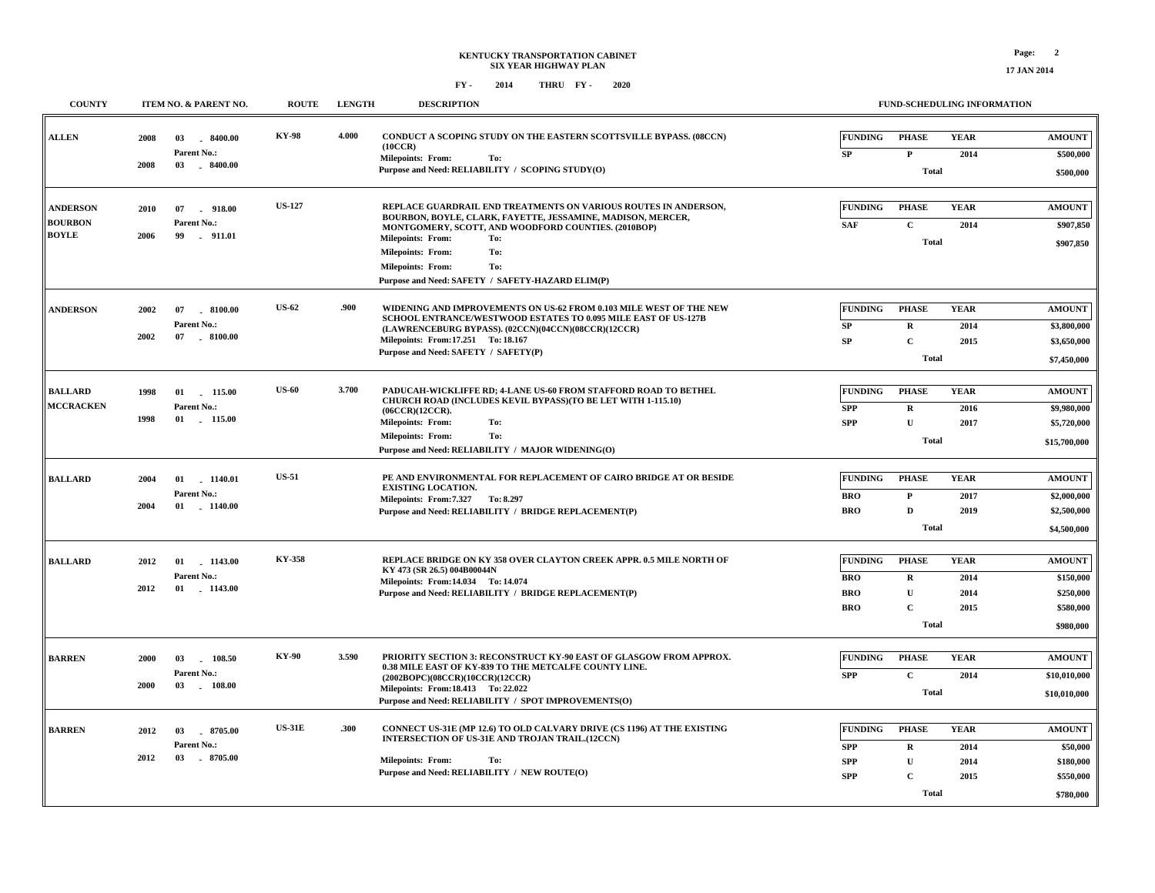| <b>COUNTY</b>                                     | ITEM NO. & PARENT NO.                                               | <b>ROUTE</b>  | <b>LENGTH</b> | <b>DESCRIPTION</b>                                                                                                                                                                                                                                                                                                                          | <b>FUND-SCHEDULING INFORMATION</b>                                                                                                                                             |                                                                   |
|---------------------------------------------------|---------------------------------------------------------------------|---------------|---------------|---------------------------------------------------------------------------------------------------------------------------------------------------------------------------------------------------------------------------------------------------------------------------------------------------------------------------------------------|--------------------------------------------------------------------------------------------------------------------------------------------------------------------------------|-------------------------------------------------------------------|
| <b>ALLEN</b>                                      | 2008<br>03<br>.8400.00<br>Parent No.:<br>2008<br>03<br>$-8400.00$   | <b>KY-98</b>  | 4.000         | CONDUCT A SCOPING STUDY ON THE EASTERN SCOTTSVILLE BYPASS. (08CCN)<br>(10CCR)<br>Milepoints: From:<br>To:<br>Purpose and Need: RELIABILITY / SCOPING STUDY(O)                                                                                                                                                                               | <b>FUNDING</b><br><b>YEAR</b><br><b>PHASE</b><br>SP<br>$\mathbf{P}$<br>2014<br><b>Total</b>                                                                                    | <b>AMOUNT</b><br>\$500,000<br>\$500,000                           |
| <b>ANDERSON</b><br><b>BOURBON</b><br><b>BOYLE</b> | 2010<br>07<br>918.00<br>Parent No.:<br>2006<br>.911.01<br>99        | <b>US-127</b> |               | REPLACE GUARDRAIL END TREATMENTS ON VARIOUS ROUTES IN ANDERSON,<br>BOURBON, BOYLE, CLARK, FAYETTE, JESSAMINE, MADISON, MERCER,<br>MONTGOMERY, SCOTT, AND WOODFORD COUNTIES. (2010BOP)<br><b>Milepoints: From:</b><br>To:<br>To:<br>Milepoints: From:<br><b>Milepoints: From:</b><br>To:<br>Purpose and Need: SAFETY / SAFETY-HAZARD ELIM(P) | <b>FUNDING</b><br><b>PHASE</b><br><b>YEAR</b><br><b>SAF</b><br>$\mathbf{C}$<br>2014<br><b>Total</b>                                                                            | <b>AMOUNT</b><br>\$907,850<br>\$907,850                           |
| <b>ANDERSON</b>                                   | 2002<br>07<br>$-8100.00$<br>Parent No.:<br>07<br>2002<br>$-8100.00$ | <b>US-62</b>  | .900          | WIDENING AND IMPROVEMENTS ON US-62 FROM 0.103 MILE WEST OF THE NEW<br>SCHOOL ENTRANCE/WESTWOOD ESTATES TO 0.095 MILE EAST OF US-127B<br>(LAWRENCEBURG BYPASS). (02CCN)(04CCN)(08CCR)(12CCR)<br>Milepoints: From: 17.251 To: 18.167<br>Purpose and Need: SAFETY / SAFETY(P)                                                                  | <b>YEAR</b><br><b>FUNDING</b><br><b>PHASE</b><br>SP<br>$\mathbf R$<br>2014<br>SP<br>$\mathbf{C}$<br>2015<br><b>Total</b>                                                       | <b>AMOUNT</b><br>\$3,800,000<br>\$3,650,000<br>\$7,450,000        |
| <b>BALLARD</b><br><b>MCCRACKEN</b>                | 1998<br>115.00<br>01<br>Parent No.:<br>1998<br>01<br>115.00         | <b>US-60</b>  | 3.700         | PADUCAH-WICKLIFFE RD; 4-LANE US-60 FROM STAFFORD ROAD TO BETHEL<br>CHURCH ROAD (INCLUDES KEVIL BYPASS) (TO BE LET WITH 1-115.10)<br>(06CCR)(12CCR).<br><b>Milepoints: From:</b><br>To:<br>To:<br><b>Milepoints: From:</b><br>Purpose and Need: RELIABILITY / MAJOR WIDENING(O)                                                              | <b>FUNDING</b><br><b>PHASE</b><br><b>YEAR</b><br>$\mathbf{R}$<br><b>SPP</b><br>2016<br><b>SPP</b><br>$\mathbf{U}$<br>2017<br><b>Total</b>                                      | <b>AMOUNT</b><br>\$9,980,000<br>\$5,720,000<br>\$15,700,000       |
| <b>BALLARD</b>                                    | 1140.01<br>2004<br>01<br>Parent No.:<br>2004<br>01<br>$-1140.00$    | <b>US-51</b>  |               | PE AND ENVIRONMENTAL FOR REPLACEMENT OF CAIRO BRIDGE AT OR BESIDE<br><b>EXISTING LOCATION.</b><br>Milepoints: From: 7.327 To: 8.297<br>Purpose and Need: RELIABILITY / BRIDGE REPLACEMENT(P)                                                                                                                                                | <b>FUNDING</b><br><b>PHASE</b><br><b>YEAR</b><br>$\mathbf{P}$<br><b>BRO</b><br>2017<br><b>BRO</b><br>$\mathbf{D}$<br>2019<br><b>Total</b>                                      | <b>AMOUNT</b><br>\$2,000,000<br>\$2,500,000<br>\$4,500,000        |
| <b>BALLARD</b>                                    | 2012<br>01<br>1143.00<br>Parent No.:<br>2012<br>01 1143.00          | KY-358        |               | REPLACE BRIDGE ON KY 358 OVER CLAYTON CREEK APPR. 0.5 MILE NORTH OF<br>KY 473 (SR 26.5) 004B00044N<br>Milepoints: From: 14.034 To: 14.074<br>Purpose and Need: RELIABILITY / BRIDGE REPLACEMENT(P)                                                                                                                                          | <b>FUNDING</b><br><b>PHASE</b><br><b>YEAR</b><br>$\mathbf R$<br>2014<br><b>BRO</b><br><b>BRO</b><br>$\mathbf{U}$<br>2014<br><b>BRO</b><br>$\mathbf{C}$<br>2015<br><b>Total</b> | <b>AMOUNT</b><br>\$150,000<br>\$250,000<br>\$580,000<br>\$980,000 |
| <b>BARREN</b>                                     | 03<br>108.50<br>2000<br>Parent No.:<br>2000<br>$-108.00$<br>03      | <b>KY-90</b>  | 3.590         | PRIORITY SECTION 3: RECONSTRUCT KY-90 EAST OF GLASGOW FROM APPROX.<br>0.38 MILE EAST OF KY-839 TO THE METCALFE COUNTY LINE.<br>(2002BOPC)(08CCR)(10CCR)(12CCR)<br>Milepoints: From:18.413 To: 22.022<br>Purpose and Need: RELIABILITY / SPOT IMPROVEMENTS(O)                                                                                | <b>FUNDING</b><br><b>PHASE</b><br><b>YEAR</b><br><b>SPP</b><br>$\mathbf{C}$<br>2014<br><b>Total</b>                                                                            | <b>AMOUNT</b><br>\$10,010,000<br>\$10,010,000                     |
| <b>BARREN</b>                                     | 8705.00<br>2012<br>03<br>Parent No.:<br>2012<br>03<br>8705.00       | <b>US-31E</b> | .300          | CONNECT US-31E (MP 12.6) TO OLD CALVARY DRIVE (CS 1196) AT THE EXISTING<br>INTERSECTION OF US-31E AND TROJAN TRAIL.(12CCN)<br><b>Milepoints: From:</b><br>To:<br>Purpose and Need: RELIABILITY / NEW ROUTE(O)                                                                                                                               | <b>FUNDING</b><br><b>PHASE</b><br><b>YEAR</b><br><b>SPP</b><br>$\mathbf R$<br>2014<br>$\mathbf U$<br><b>SPP</b><br>2014<br>$\mathbf{C}$<br><b>SPP</b><br>2015<br><b>Total</b>  | <b>AMOUNT</b><br>\$50,000<br>\$180,000<br>\$550,000<br>\$780,000  |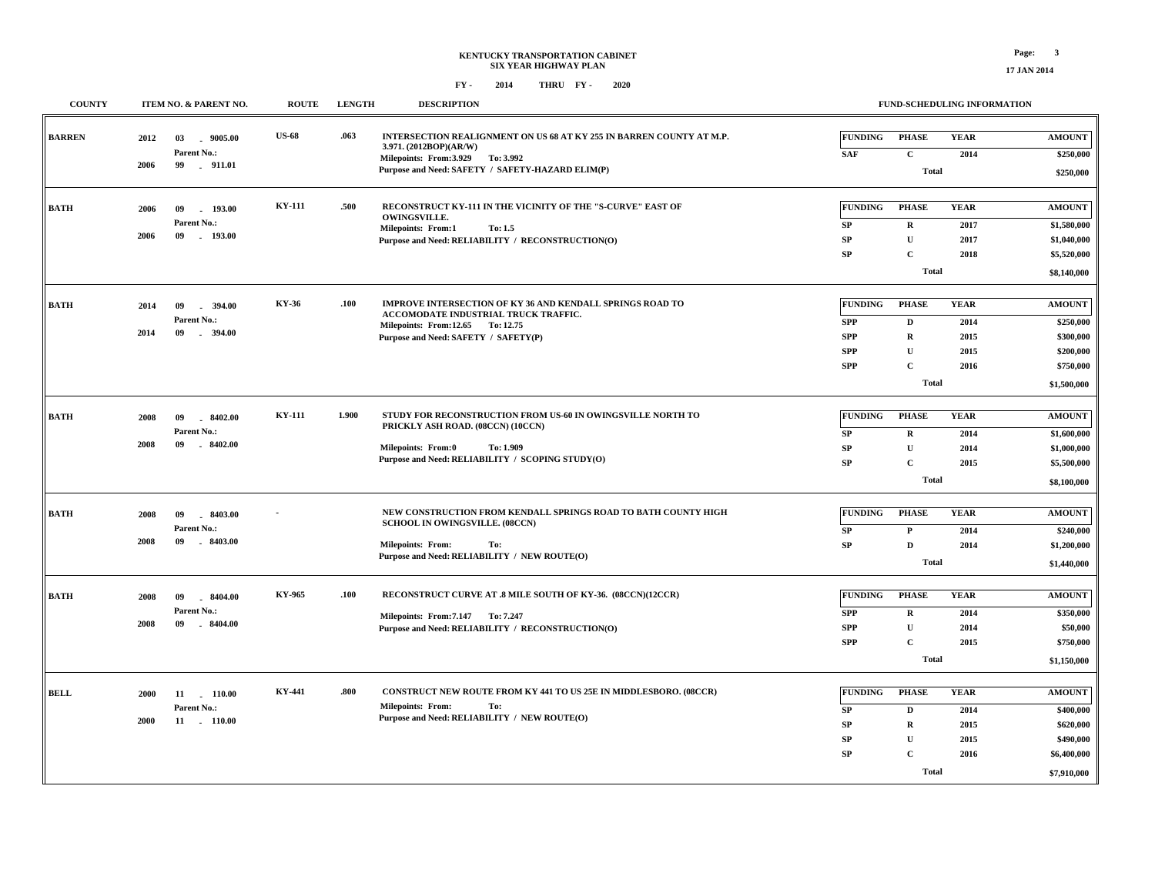**\$7,910,000**

**Total**

**17 JAN 2014**

## **FY - FY - 2014 2020 THRU**

 $\sqrt{2}$ 

| <b>COUNTY</b> | ITEM NO. & PARENT NO.                                               | <b>ROUTE</b>  | <b>LENGTH</b> | <b>DESCRIPTION</b>                                                                                                              |                                                                             |                                                                        | <b>FUND-SCHEDULING INFORMATION</b>                                            |                                             |                                                                                  |
|---------------|---------------------------------------------------------------------|---------------|---------------|---------------------------------------------------------------------------------------------------------------------------------|-----------------------------------------------------------------------------|------------------------------------------------------------------------|-------------------------------------------------------------------------------|---------------------------------------------|----------------------------------------------------------------------------------|
| <b>BARREN</b> | 2012<br>03<br>$-9005.00$<br>Parent No.:<br>99<br>2006<br>$-911.01$  | <b>US-68</b>  | .063          | 3.971. (2012BOP)(AR/W)<br>Milepoints: From: 3.929 To: 3.992<br>Purpose and Need: SAFETY / SAFETY-HAZARD ELIM(P)                 | <b>INTERSECTION REALIGNMENT ON US 68 AT KY 255 IN BARREN COUNTY AT M.P.</b> | <b>FUNDING</b><br><b>SAF</b>                                           | <b>PHASE</b><br>$\mathbf{C}$<br><b>Total</b>                                  | <b>YEAR</b><br>2014                         | <b>AMOUNT</b><br>\$250,000<br>\$250,000                                          |
| <b>BATH</b>   | 193.00<br>2006<br>09<br>Parent No.:<br>09<br>$-193.00$<br>2006      | <b>KY-111</b> | .500          | <b>OWINGSVILLE.</b><br><b>Milepoints: From:1</b><br>To: 1.5<br>Purpose and Need: RELIABILITY / RECONSTRUCTION(O)                | RECONSTRUCT KY-111 IN THE VICINITY OF THE "S-CURVE" EAST OF                 | <b>FUNDING</b><br>SP<br>SP<br>SP                                       | <b>PHASE</b><br>$\bf R$<br>$\mathbf U$<br>$\mathbf C$<br><b>Total</b>         | <b>YEAR</b><br>2017<br>2017<br>2018         | <b>AMOUNT</b><br>\$1,580,000<br>\$1,040,000<br>\$5,520,000<br>\$8,140,000        |
| <b>BATH</b>   | 2014<br>09<br>394.00<br>Parent No.:<br>2014<br>09<br>$-394.00$      | KY-36         | .100          | ACCOMODATE INDUSTRIAL TRUCK TRAFFIC.<br>Milepoints: From:12.65 To:12.75<br>Purpose and Need: SAFETY / SAFETY(P)                 | <b>IMPROVE INTERSECTION OF KY 36 AND KENDALL SPRINGS ROAD TO</b>            | <b>FUNDING</b><br><b>SPP</b><br><b>SPP</b><br><b>SPP</b><br><b>SPP</b> | <b>PHASE</b><br>D<br>$\mathbf R$<br>${\bf U}$<br>$\mathbf{C}$<br><b>Total</b> | <b>YEAR</b><br>2014<br>2015<br>2015<br>2016 | <b>AMOUNT</b><br>\$250,000<br>\$300,000<br>\$200,000<br>\$750,000<br>\$1,500,000 |
| <b>BATH</b>   | 2008<br>09<br>$-8402.00$<br>Parent No.:<br>09<br>$-8402.00$<br>2008 | <b>KY-111</b> | 1.900         | PRICKLY ASH ROAD. (08CCN) (10CCN)<br><b>Milepoints: From:0</b><br>To: 1.909<br>Purpose and Need: RELIABILITY / SCOPING STUDY(O) | STUDY FOR RECONSTRUCTION FROM US-60 IN OWINGSVILLE NORTH TO                 | <b>FUNDING</b><br>SP<br>SP<br>SP                                       | <b>PHASE</b><br>$\mathbf R$<br>$\mathbf{U}$<br>$\mathbf C$<br><b>Total</b>    | <b>YEAR</b><br>2014<br>2014<br>2015         | <b>AMOUNT</b><br>\$1,600,000<br>\$1,000,000<br>\$5,500,000<br>\$8,100,000        |
| <b>BATH</b>   | 2008<br>09<br>8403.00<br>Parent No.:<br>2008<br>09<br>$-8403.00$    |               |               | <b>SCHOOL IN OWINGSVILLE. (08CCN)</b><br><b>Milepoints: From:</b><br>To:<br>Purpose and Need: RELIABILITY / NEW ROUTE(O)        | NEW CONSTRUCTION FROM KENDALL SPRINGS ROAD TO BATH COUNTY HIGH              | <b>FUNDING</b><br>SP<br>SP                                             | <b>PHASE</b><br>$\mathbf{P}$<br>$\mathbf D$<br><b>Total</b>                   | <b>YEAR</b><br>2014<br>2014                 | <b>AMOUNT</b><br>\$240,000<br>\$1,200,000<br>\$1,440,000                         |
| <b>BATH</b>   | 2008<br>09<br>8404.00<br>Parent No.:<br>2008<br>09<br>$-8404.00$    | KY-965        | .100          | Milepoints: From: 7.147 To: 7.247<br>Purpose and Need: RELIABILITY / RECONSTRUCTION(O)                                          | RECONSTRUCT CURVE AT .8 MILE SOUTH OF KY-36. (08CCN)(12CCR)                 | <b>FUNDING</b><br><b>SPP</b><br><b>SPP</b><br><b>SPP</b>               | <b>PHASE</b><br>$\mathbf R$<br>$\mathbf U$<br>$\mathbf{C}$<br><b>Total</b>    | <b>YEAR</b><br>2014<br>2014<br>2015         | <b>AMOUNT</b><br>\$350,000<br>\$50,000<br>\$750,000<br>\$1,150,000               |
| <b>BELL</b>   | <b>2000</b><br>11 110.00<br>Parent No.:<br>2000<br>11 110.00        | <b>KY-441</b> | .800          | To:<br><b>Milepoints: From:</b><br>Purpose and Need: RELIABILITY / NEW ROUTE(O)                                                 | <b>CONSTRUCT NEW ROUTE FROM KY 441 TO US 25E IN MIDDLESBORO. (08CCR)</b>    | <b>FUNDING</b><br>SP<br>SP<br><b>SP</b><br>SP                          | <b>PHASE</b><br>$\mathbf D$<br>$\mathbf R$<br>$\mathbf{U}$<br>$\mathbf C$     | <b>YEAR</b><br>2014<br>2015<br>2015<br>2016 | <b>AMOUNT</b><br>\$400,000<br>\$620,000<br>\$490,000<br>\$6,400,000              |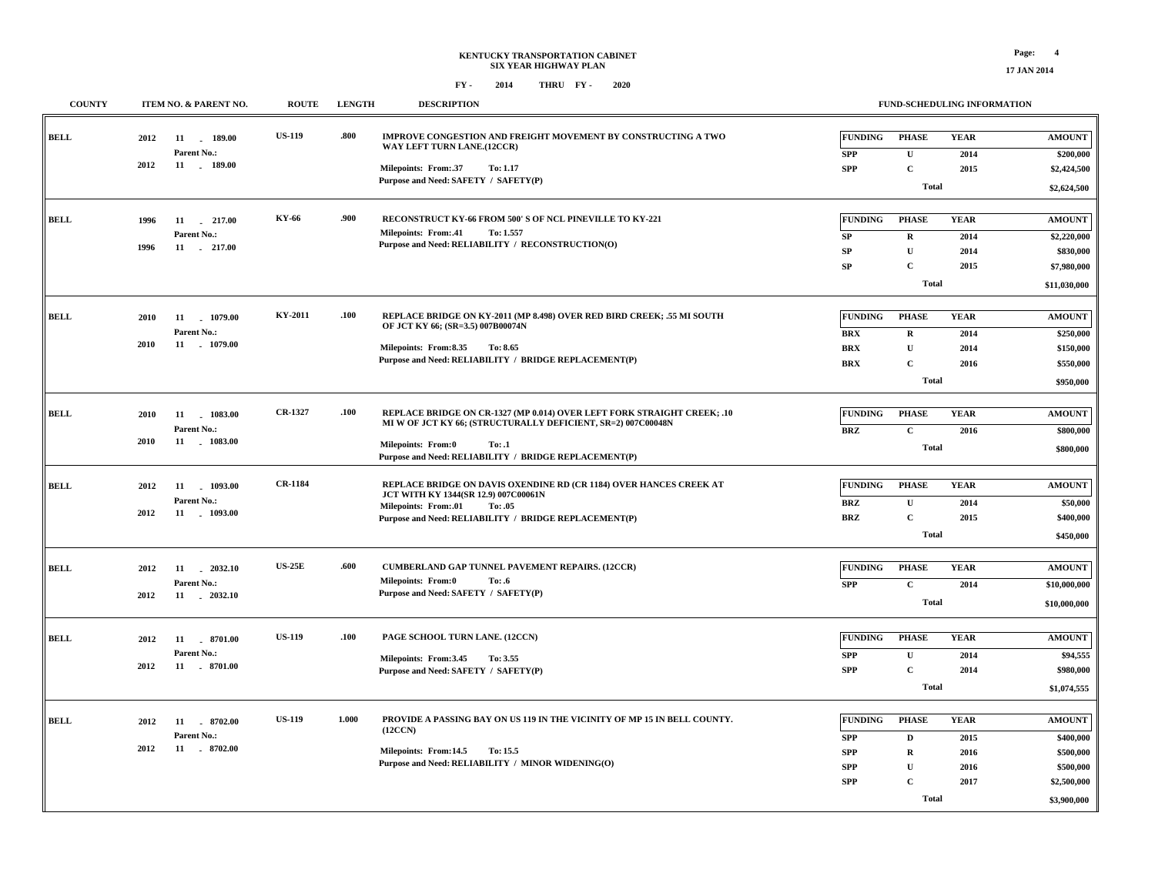| <b>COUNTY</b> | ITEM NO. & PARENT NO.                                                  | <b>ROUTE</b>   | <b>LENGTH</b> | <b>DESCRIPTION</b>                                                                                                                                                                                                                      |                                                                             |                                                                                          | FUND-SCHEDULING INFORMATION                 |                                                                                    |
|---------------|------------------------------------------------------------------------|----------------|---------------|-----------------------------------------------------------------------------------------------------------------------------------------------------------------------------------------------------------------------------------------|-----------------------------------------------------------------------------|------------------------------------------------------------------------------------------|---------------------------------------------|------------------------------------------------------------------------------------|
| <b>BELL</b>   | 2012<br>11<br>189.00<br>Parent No.:                                    | <b>US-119</b>  | .800          | IMPROVE CONGESTION AND FREIGHT MOVEMENT BY CONSTRUCTING A TWO<br>WAY LEFT TURN LANE.(12CCR)                                                                                                                                             | <b>FUNDING</b><br><b>SPP</b>                                                | <b>PHASE</b><br>$\mathbf U$                                                              | <b>YEAR</b><br>2014                         | <b>AMOUNT</b><br>\$200,000                                                         |
|               | 2012<br>11 . 189.00                                                    |                |               | Milepoints: From:.37<br>To: 1.17<br>Purpose and Need: SAFETY / SAFETY(P)                                                                                                                                                                | <b>SPP</b>                                                                  | $\mathbf C$<br><b>Total</b>                                                              | 2015                                        | \$2,424,500<br>\$2,624,500                                                         |
| <b>BELL</b>   | 1996<br>11<br>$-217.00$<br>Parent No.:<br>11<br>217.00<br>1996         | KY-66          | .900          | RECONSTRUCT KY-66 FROM 500' S OF NCL PINEVILLE TO KY-221<br>Milepoints: From:.41<br>To: 1.557<br>Purpose and Need: RELIABILITY / RECONSTRUCTION(O)                                                                                      | <b>FUNDING</b><br>SP<br>SP<br>SP                                            | <b>PHASE</b><br>$\bf R$<br>$\mathbf U$<br>$\mathbf C$<br><b>Total</b>                    | <b>YEAR</b><br>2014<br>2014<br>2015         | <b>AMOUNT</b><br>\$2,220,000<br>\$830,000<br>\$7,980,000<br>\$11,030,000           |
| <b>BELL</b>   | 2010<br>11<br>1079.00<br>Parent No.:<br>11<br>$-1079.00$<br>2010       | KY-2011        | .100          | REPLACE BRIDGE ON KY-2011 (MP 8.498) OVER RED BIRD CREEK; .55 MI SOUTH<br>OF JCT KY 66; (SR=3.5) 007B00074N<br>Milepoints: From:8.35<br>To: 8.65<br>Purpose and Need: RELIABILITY / BRIDGE REPLACEMENT(P)                               | FUNDING<br><b>BRX</b><br>$\mathbf{B}\mathbf{R}\mathbf{X}$<br>$\mathbf{BRX}$ | <b>PHASE</b><br>$\, {\bf R}$<br>$\mathbf U$<br>$\mathbf C$<br><b>Total</b>               | <b>YEAR</b><br>2014<br>2014<br>2016         | <b>AMOUNT</b><br>\$250,000<br>\$150,000<br>\$550,000<br>\$950,000                  |
| <b>BELL</b>   | 2010<br>11<br>1083.00<br>Parent No.:<br>11<br>$-1083.00$<br>2010       | CR-1327        | .100          | REPLACE BRIDGE ON CR-1327 (MP 0.014) OVER LEFT FORK STRAIGHT CREEK; .10<br>MI W OF JCT KY 66; (STRUCTURALLY DEFICIENT, SR=2) 007C00048N<br><b>Milepoints: From:0</b><br>To: .1<br>Purpose and Need: RELIABILITY / BRIDGE REPLACEMENT(P) | <b>FUNDING</b><br><b>BRZ</b>                                                | <b>PHASE</b><br>$\mathbf C$<br><b>Total</b>                                              | <b>YEAR</b><br>2016                         | <b>AMOUNT</b><br>\$800,000<br>\$800,000                                            |
| <b>BELL</b>   | 2012<br>11<br>1093.00<br>Parent No.:<br>2012<br>11 . 1093.00           | <b>CR-1184</b> |               | REPLACE BRIDGE ON DAVIS OXENDINE RD (CR 1184) OVER HANCES CREEK AT<br>JCT WITH KY 1344(SR 12.9) 007C00061N<br>Milepoints: From:.01<br>To: .05<br>Purpose and Need: RELIABILITY / BRIDGE REPLACEMENT(P)                                  | <b>FUNDING</b><br><b>BRZ</b><br>$\mathbf{BRZ}$                              | <b>PHASE</b><br>$\mathbf U$<br>$\mathbf C$<br><b>Total</b>                               | <b>YEAR</b><br>2014<br>2015                 | <b>AMOUNT</b><br>\$50,000<br>\$400,000<br>\$450,000                                |
| <b>BELL</b>   | 2012<br>11 2032.10<br>Parent No.:<br>11 2032.10<br>2012                | <b>US-25E</b>  | .600          | <b>CUMBERLAND GAP TUNNEL PAVEMENT REPAIRS. (12CCR)</b><br>Milepoints: From:0<br>To: .6<br>Purpose and Need: SAFETY / SAFETY(P)                                                                                                          | <b>FUNDING</b><br><b>SPP</b>                                                | <b>PHASE</b><br>$\mathbf{C}$<br><b>Total</b>                                             | <b>YEAR</b><br>2014                         | <b>AMOUNT</b><br>\$10,000,000<br>\$10,000,000                                      |
| <b>BELL</b>   | 2012<br>11 . 8701.00<br><b>Parent No.:</b><br>2012<br>11<br>$-8701.00$ | <b>US-119</b>  | .100          | PAGE SCHOOL TURN LANE. (12CCN)<br>Milepoints: From:3.45<br>To: 3.55<br>Purpose and Need: SAFETY / SAFETY(P)                                                                                                                             | <b>FUNDING</b><br><b>SPP</b><br><b>SPP</b>                                  | <b>PHASE</b><br>$\mathbf U$<br>$\mathbf C$<br><b>Total</b>                               | <b>YEAR</b><br>2014<br>2014                 | <b>AMOUNT</b><br>\$94,555<br>\$980,000<br>\$1,074,555                              |
| <b>BELL</b>   | 2012<br>11<br>8702.00<br>Parent No.:<br>2012<br>11 . 8702.00           | <b>US-119</b>  | 1.000         | PROVIDE A PASSING BAY ON US 119 IN THE VICINITY OF MP 15 IN BELL COUNTY.<br>(12CCN)<br>Milepoints: From:14.5<br>To: 15.5<br>Purpose and Need: RELIABILITY / MINOR WIDENING(O)                                                           | <b>FUNDING</b><br><b>SPP</b><br><b>SPP</b><br><b>SPP</b><br><b>SPP</b>      | <b>PHASE</b><br>$\mathbf D$<br>$\mathbf R$<br>$\mathbf U$<br>$\mathbf C$<br><b>Total</b> | <b>YEAR</b><br>2015<br>2016<br>2016<br>2017 | <b>AMOUNT</b><br>\$400,000<br>\$500,000<br>\$500,000<br>\$2,500,000<br>\$3,900,000 |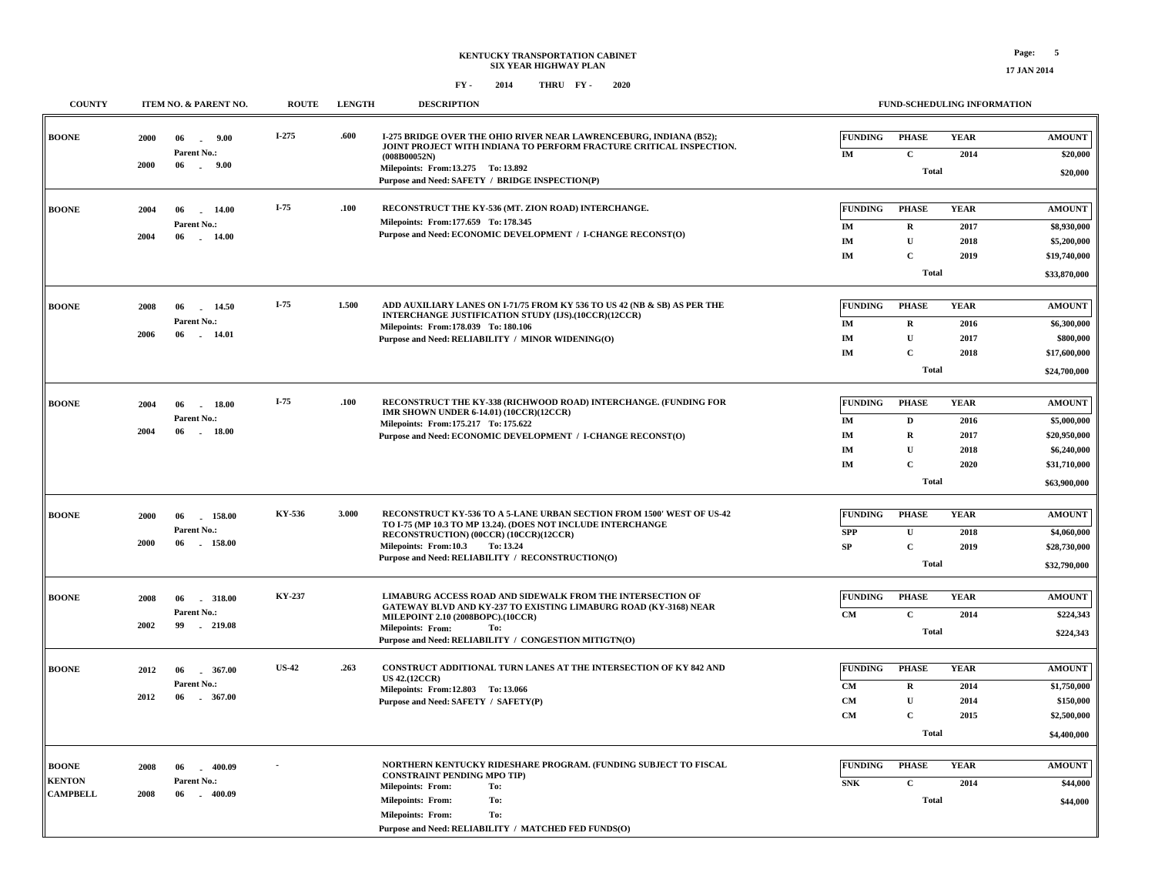| <b>COUNTY</b>                                    |              | ITEM NO. & PARENT NO.                                           | <b>ROUTE</b> | <b>LENGTH</b> | <b>DESCRIPTION</b>                                                                                                                                                                                                                                                         |                                                                   | FUND-SCHEDULING INFORMATION                                              |                                             |                                                                                             |
|--------------------------------------------------|--------------|-----------------------------------------------------------------|--------------|---------------|----------------------------------------------------------------------------------------------------------------------------------------------------------------------------------------------------------------------------------------------------------------------------|-------------------------------------------------------------------|--------------------------------------------------------------------------|---------------------------------------------|---------------------------------------------------------------------------------------------|
| <b>BOONE</b>                                     | 2000<br>2000 | 06<br>9.00<br>$\sim$<br>Parent No.:<br>06<br>$-9.00$            | $I-275$      | .600          | I-275 BRIDGE OVER THE OHIO RIVER NEAR LAWRENCEBURG, INDIANA (B52);<br>JOINT PROJECT WITH INDIANA TO PERFORM FRACTURE CRITICAL INSPECTION.<br>(008B00052N)<br>Milepoints: From:13.275 To: 13.892<br>Purpose and Need: SAFETY / BRIDGE INSPECTION(P)                         | <b>FUNDING</b><br>IM                                              | <b>PHASE</b><br>$\mathbf{C}$<br><b>Total</b>                             | <b>YEAR</b><br>2014                         | <b>AMOUNT</b><br>\$20,000<br>\$20,000                                                       |
| <b>BOONE</b>                                     | 2004<br>2004 | 06<br>$-14.00$<br>Parent No.:<br>06<br>14.00                    | $I-75$       | .100          | RECONSTRUCT THE KY-536 (MT. ZION ROAD) INTERCHANGE.<br>Milepoints: From: 177.659 To: 178.345<br>Purpose and Need: ECONOMIC DEVELOPMENT / I-CHANGE RECONST(O)                                                                                                               | <b>FUNDING</b><br>IM<br>IM<br>IM                                  | <b>PHASE</b><br>$\mathbf R$<br>${\bf U}$<br>$\mathbf C$<br><b>Total</b>  | <b>YEAR</b><br>2017<br>2018<br>2019         | <b>AMOUNT</b><br>\$8,930,000<br>\$5,200,000<br>\$19,740,000<br>\$33,870,000                 |
| <b>BOONE</b>                                     | 2008<br>2006 | 14.50<br>06<br>Parent No.:<br>06<br>14.01                       | I-75         | 1.500         | ADD AUXILIARY LANES ON I-71/75 FROM KY 536 TO US 42 (NB & SB) AS PER THE<br>INTERCHANGE JUSTIFICATION STUDY (IJS).(10CCR)(12CCR)<br>Milepoints: From: 178.039 To: 180.106<br>Purpose and Need: RELIABILITY / MINOR WIDENING(O)                                             | <b>FUNDING</b><br>$\mathbf{IM}$<br>$\mathbf{IM}$<br>$\mathbf{IM}$ | <b>PHASE</b><br>$\mathbf R$<br>${\bf U}$<br>$\mathbf C$<br><b>Total</b>  | <b>YEAR</b><br>2016<br>2017<br>2018         | <b>AMOUNT</b><br>\$6,300,000<br>\$800,000<br>\$17,600,000<br>\$24,700,000                   |
| <b>BOONE</b>                                     | 2004<br>2004 | 18.00<br>06<br>Parent No.:<br>06<br>18.00                       | I-75         | .100          | RECONSTRUCT THE KY-338 (RICHWOOD ROAD) INTERCHANGE. (FUNDING FOR<br><b>IMR SHOWN UNDER 6-14.01) (10CCR)(12CCR)</b><br>Milepoints: From: 175.217 To: 175.622<br>Purpose and Need: ECONOMIC DEVELOPMENT / I-CHANGE RECONST(O)                                                | <b>FUNDING</b><br>IM<br>IM<br>IM<br>IM                            | <b>PHASE</b><br>D<br>$\mathbf R$<br>$\mathbf{U}$<br>$\mathbf C$<br>Total | <b>YEAR</b><br>2016<br>2017<br>2018<br>2020 | <b>AMOUNT</b><br>\$5,000,000<br>\$20,950,000<br>\$6,240,000<br>\$31,710,000<br>\$63,900,000 |
| <b>BOONE</b>                                     | 2000<br>2000 | 06<br>158.00<br>Parent No.:<br>06<br>158.00                     | KY-536       | 3.000         | RECONSTRUCT KY-536 TO A 5-LANE URBAN SECTION FROM 1500' WEST OF US-42<br>TO I-75 (MP 10.3 TO MP 13.24). (DOES NOT INCLUDE INTERCHANGE<br>RECONSTRUCTION) (00CCR) (10CCR)(12CCR)<br>Milepoints: From:10.3<br>To: 13.24<br>Purpose and Need: RELIABILITY / RECONSTRUCTION(O) | <b>FUNDING</b><br>${\bf SPP}$<br>SP                               | <b>PHASE</b><br>$\mathbf U$<br>$\mathbf C$<br><b>Total</b>               | <b>YEAR</b><br>2018<br>2019                 | <b>AMOUNT</b><br>\$4,060,000<br>\$28,730,000<br>\$32,790,000                                |
| <b>BOONE</b>                                     | 2008<br>2002 | 318.00<br>06<br>Parent No.:<br>99<br>$-219.08$                  | KY-237       |               | LIMABURG ACCESS ROAD AND SIDEWALK FROM THE INTERSECTION OF<br>GATEWAY BLVD AND KY-237 TO EXISTING LIMABURG ROAD (KY-3168) NEAR<br>MILEPOINT 2.10 (2008BOPC).(10CCR)<br><b>Milepoints: From:</b><br>To:<br>Purpose and Need: RELIABILITY / CONGESTION MITIGTN(O)            | <b>FUNDING</b><br><b>CM</b>                                       | <b>PHASE</b><br>$\mathbf{C}$<br><b>Total</b>                             | <b>YEAR</b><br>2014                         | <b>AMOUNT</b><br>\$224,343<br>\$224,343                                                     |
| <b>BOONE</b>                                     | 2012<br>2012 | 367.00<br>06<br>n.<br>Parent No.:<br>06<br>367.00               | <b>US-42</b> | .263          | CONSTRUCT ADDITIONAL TURN LANES AT THE INTERSECTION OF KY 842 AND<br><b>US 42.(12CCR)</b><br>Milepoints: From:12.803 To: 13.066<br>Purpose and Need: SAFETY / SAFETY(P)                                                                                                    | <b>FUNDING</b><br><b>CM</b><br><b>CM</b><br><b>CM</b>             | <b>PHASE</b><br>$\bf R$<br>$\mathbf{U}$<br>$\mathbf C$<br><b>Total</b>   | <b>YEAR</b><br>2014<br>2014<br>2015         | <b>AMOUNT</b><br>\$1,750,000<br>\$150,000<br>\$2,500,000<br>\$4,400,000                     |
| <b>BOONE</b><br><b>KENTON</b><br><b>CAMPBELL</b> | 2008<br>2008 | 400.09<br>06<br>$\sim$<br>Parent No.:<br>06<br>400.09<br>$\sim$ |              |               | NORTHERN KENTUCKY RIDESHARE PROGRAM. (FUNDING SUBJECT TO FISCAL<br><b>CONSTRAINT PENDING MPO TIP)</b><br><b>Milepoints: From:</b><br>To:<br><b>Milepoints: From:</b><br>To:<br><b>Milepoints: From:</b><br>To:<br>Purpose and Need: RELIABILITY / MATCHED FED FUNDS(O)     | <b>FUNDING</b><br><b>SNK</b>                                      | <b>PHASE</b><br>$\mathbf{C}$<br><b>Total</b>                             | <b>YEAR</b><br>2014                         | <b>AMOUNT</b><br>\$44,000<br>\$44,000                                                       |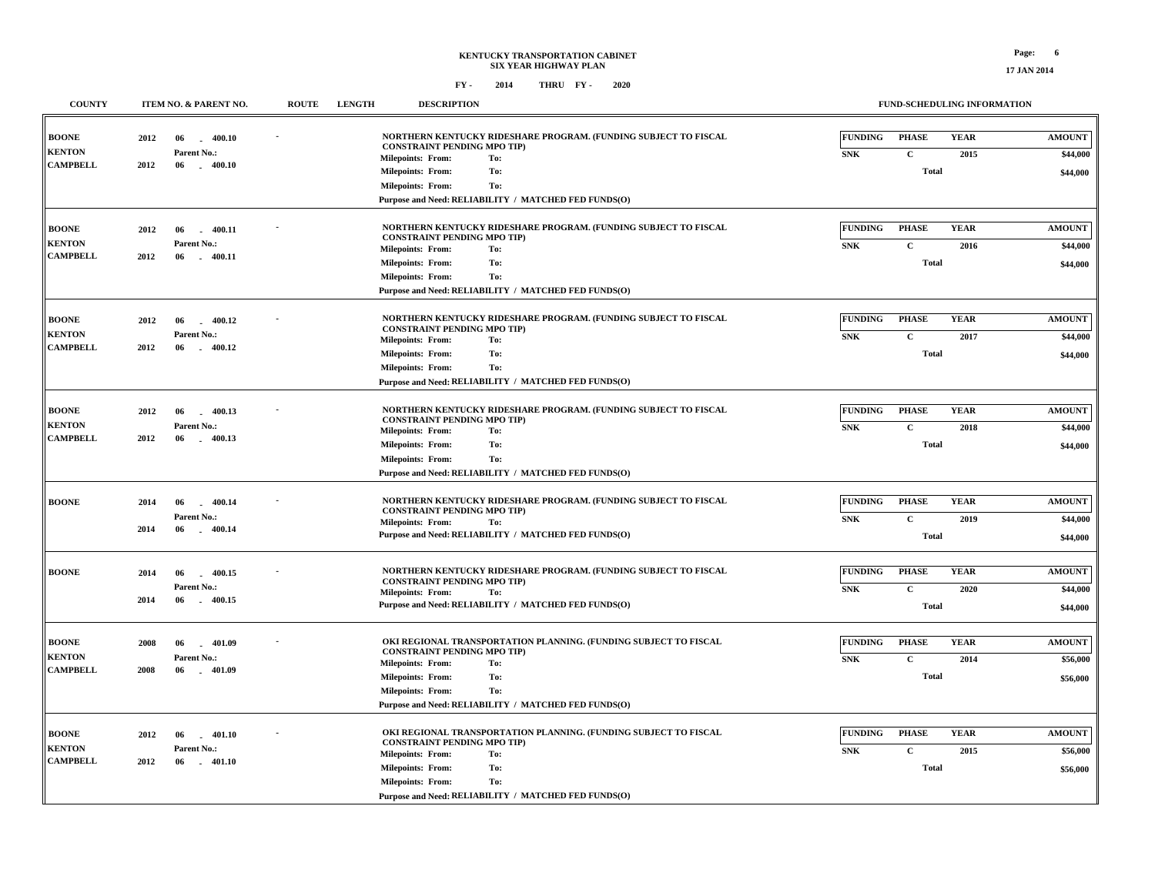**17 JAN 2014**

|  | FY - | 2014 | THRU FY- |  | 2020 |
|--|------|------|----------|--|------|
|--|------|------|----------|--|------|

| <b>COUNTY</b>   |      | ITEM NO. & PARENT NO. | <b>ROUTE</b> | <b>LENGTH</b> | <b>DESCRIPTION</b>                                   |                                                                  |                | <b>FUND-SCHEDULING INFORMATION</b> |             |               |
|-----------------|------|-----------------------|--------------|---------------|------------------------------------------------------|------------------------------------------------------------------|----------------|------------------------------------|-------------|---------------|
| <b>BOONE</b>    | 2012 | 06<br>400.10          |              |               |                                                      | NORTHERN KENTUCKY RIDESHARE PROGRAM. (FUNDING SUBJECT TO FISCAL  | <b>FUNDING</b> | <b>PHASE</b>                       | <b>YEAR</b> | <b>AMOUNT</b> |
| <b>KENTON</b>   |      | Parent No.:           |              |               | <b>CONSTRAINT PENDING MPO TIP)</b>                   |                                                                  |                |                                    |             |               |
| <b>CAMPBELL</b> | 2012 | $-400.10$<br>06       |              |               | <b>Milepoints: From:</b>                             | To:                                                              | <b>SNK</b>     | $\mathbf C$                        | 2015        | \$44,000      |
|                 |      |                       |              |               | <b>Milepoints: From:</b>                             | To:                                                              |                | <b>Total</b>                       |             | \$44,000      |
|                 |      |                       |              |               | <b>Milepoints: From:</b>                             | To:                                                              |                |                                    |             |               |
|                 |      |                       |              |               |                                                      | Purpose and Need: RELIABILITY / MATCHED FED FUNDS(O)             |                |                                    |             |               |
| BOONE           | 2012 | $-400.11$<br>06       |              |               |                                                      | NORTHERN KENTUCKY RIDESHARE PROGRAM. (FUNDING SUBJECT TO FISCAL  | FUNDING        | <b>PHASE</b>                       | <b>YEAR</b> | <b>AMOUNT</b> |
| <b>KENTON</b>   |      | Parent No.:           |              |               | <b>CONSTRAINT PENDING MPO TIP)</b>                   |                                                                  | <b>SNK</b>     | $\mathbf{C}$                       | 2016        | \$44,000      |
| <b>CAMPBELL</b> | 2012 | 06<br>$-400.11$       |              |               | <b>Milepoints: From:</b>                             | To:                                                              |                |                                    |             |               |
|                 |      |                       |              |               | <b>Milepoints: From:</b>                             | To:                                                              |                | <b>Total</b>                       |             | \$44,000      |
|                 |      |                       |              |               | <b>Milepoints: From:</b>                             | To:                                                              |                |                                    |             |               |
|                 |      |                       |              |               |                                                      | Purpose and Need: RELIABILITY / MATCHED FED FUNDS(O)             |                |                                    |             |               |
| <b>BOONE</b>    | 2012 | $-400.12$<br>06       |              |               |                                                      | NORTHERN KENTUCKY RIDESHARE PROGRAM. (FUNDING SUBJECT TO FISCAL  | <b>FUNDING</b> | <b>PHASE</b>                       | <b>YEAR</b> | <b>AMOUNT</b> |
| <b>KENTON</b>   |      | Parent No.:           |              |               | <b>CONSTRAINT PENDING MPO TIP)</b>                   |                                                                  | ${\bf SNK}$    | $\mathbf C$                        | 2017        | \$44,000      |
| <b>CAMPBELL</b> | 2012 | 06<br>$-400.12$       |              |               | <b>Milepoints: From:</b>                             | To:                                                              |                |                                    |             |               |
|                 |      |                       |              |               | <b>Milepoints: From:</b>                             | To:                                                              |                | <b>Total</b>                       |             | \$44,000      |
|                 |      |                       |              |               | <b>Milepoints: From:</b>                             | To:                                                              |                |                                    |             |               |
|                 |      |                       |              |               |                                                      | Purpose and Need: RELIABILITY / MATCHED FED FUNDS(O)             |                |                                    |             |               |
| BOONE           | 2012 | 400.13<br>06<br>n.    |              |               |                                                      | NORTHERN KENTUCKY RIDESHARE PROGRAM. (FUNDING SUBJECT TO FISCAL  | FUNDING        | <b>PHASE</b>                       | <b>YEAR</b> | <b>AMOUNT</b> |
| <b>KENTON</b>   |      | Parent No.:           |              |               | <b>CONSTRAINT PENDING MPO TIP)</b>                   |                                                                  | ${\bf SNK}$    | $\mathbf{C}$                       | 2018        | \$44,000      |
| <b>CAMPBELL</b> | 2012 | $-400.13$<br>-06      |              |               | <b>Milepoints: From:</b>                             | To:                                                              |                |                                    |             |               |
|                 |      |                       |              |               | <b>Milepoints: From:</b>                             | To:                                                              |                | <b>Total</b>                       |             | \$44,000      |
|                 |      |                       |              |               | <b>Milepoints: From:</b>                             | To:                                                              |                |                                    |             |               |
|                 |      |                       |              |               |                                                      | Purpose and Need: RELIABILITY / MATCHED FED FUNDS(O)             |                |                                    |             |               |
| <b>BOONE</b>    | 2014 | 06<br>400.14<br>a.    |              |               |                                                      | NORTHERN KENTUCKY RIDESHARE PROGRAM. (FUNDING SUBJECT TO FISCAL  | FUNDING        | <b>PHASE</b>                       | <b>YEAR</b> | <b>AMOUNT</b> |
|                 |      | Parent No.:           |              |               | <b>CONSTRAINT PENDING MPO TIP)</b>                   |                                                                  | ${\bf SNK}$    | $\mathbf{C}$                       | 2019        | \$44,000      |
|                 | 2014 | 06<br>$-400.14$       |              |               | <b>Milepoints: From:</b>                             | To:                                                              |                |                                    |             |               |
|                 |      |                       |              |               |                                                      | Purpose and Need: RELIABILITY / MATCHED FED FUNDS(O)             |                | <b>Total</b>                       |             | \$44,000      |
|                 |      |                       |              |               |                                                      |                                                                  |                |                                    |             |               |
| BOONE           | 2014 | 06<br>400.15<br>n.    |              |               | <b>CONSTRAINT PENDING MPO TIP)</b>                   | NORTHERN KENTUCKY RIDESHARE PROGRAM. (FUNDING SUBJECT TO FISCAL  | <b>FUNDING</b> | <b>PHASE</b>                       | <b>YEAR</b> | <b>AMOUNT</b> |
|                 |      | Parent No.:           |              |               | <b>Milepoints: From:</b>                             | To:                                                              | ${\bf SNK}$    | $\mathbf{C}$                       | 2020        | \$44,000      |
|                 | 2014 | 06<br>$-400.15$       |              |               |                                                      | Purpose and Need: RELIABILITY / MATCHED FED FUNDS(O)             |                | <b>Total</b>                       |             | \$44,000      |
|                 |      |                       |              |               |                                                      |                                                                  |                |                                    |             |               |
| <b>BOONE</b>    | 2008 | 06<br>401.09          |              |               |                                                      | OKI REGIONAL TRANSPORTATION PLANNING. (FUNDING SUBJECT TO FISCAL | <b>FUNDING</b> | <b>PHASE</b>                       | <b>YEAR</b> | <b>AMOUNT</b> |
| <b>KENTON</b>   |      | Parent No.:           |              |               | <b>CONSTRAINT PENDING MPO TIP)</b>                   | To:                                                              | <b>SNK</b>     | $\mathbf C$                        | 2014        | \$56,000      |
| <b>CAMPBELL</b> | 2008 | 06<br>$-401.09$       |              |               | <b>Milepoints: From:</b><br><b>Milepoints: From:</b> | To:                                                              |                | <b>Total</b>                       |             |               |
|                 |      |                       |              |               |                                                      |                                                                  |                |                                    |             | \$56,000      |
|                 |      |                       |              |               | <b>Milepoints: From:</b>                             | To:<br>Purpose and Need: RELIABILITY / MATCHED FED FUNDS(O)      |                |                                    |             |               |
|                 |      |                       |              |               |                                                      |                                                                  |                |                                    |             |               |
| BOONE           | 2012 | 06<br>$-401.10$       |              |               |                                                      | OKI REGIONAL TRANSPORTATION PLANNING. (FUNDING SUBJECT TO FISCAL | FUNDING        | <b>PHASE</b>                       | <b>YEAR</b> | <b>AMOUNT</b> |
| <b>KENTON</b>   |      | Parent No.:           |              |               | <b>CONSTRAINT PENDING MPO TIP)</b>                   |                                                                  | <b>SNK</b>     | $\mathbf C$                        | 2015        | \$56,000      |
| <b>CAMPBELL</b> | 2012 | 06<br>$-401.10$       |              |               | <b>Milepoints: From:</b>                             | To:                                                              |                |                                    |             |               |
|                 |      |                       |              |               | <b>Milepoints: From:</b>                             | To:<br>To:                                                       |                | <b>Total</b>                       |             | \$56,000      |
|                 |      |                       |              |               | <b>Milepoints: From:</b>                             | Purpose and Need: RELIABILITY / MATCHED FED FUNDS(O)             |                |                                    |             |               |
|                 |      |                       |              |               |                                                      |                                                                  |                |                                    |             |               |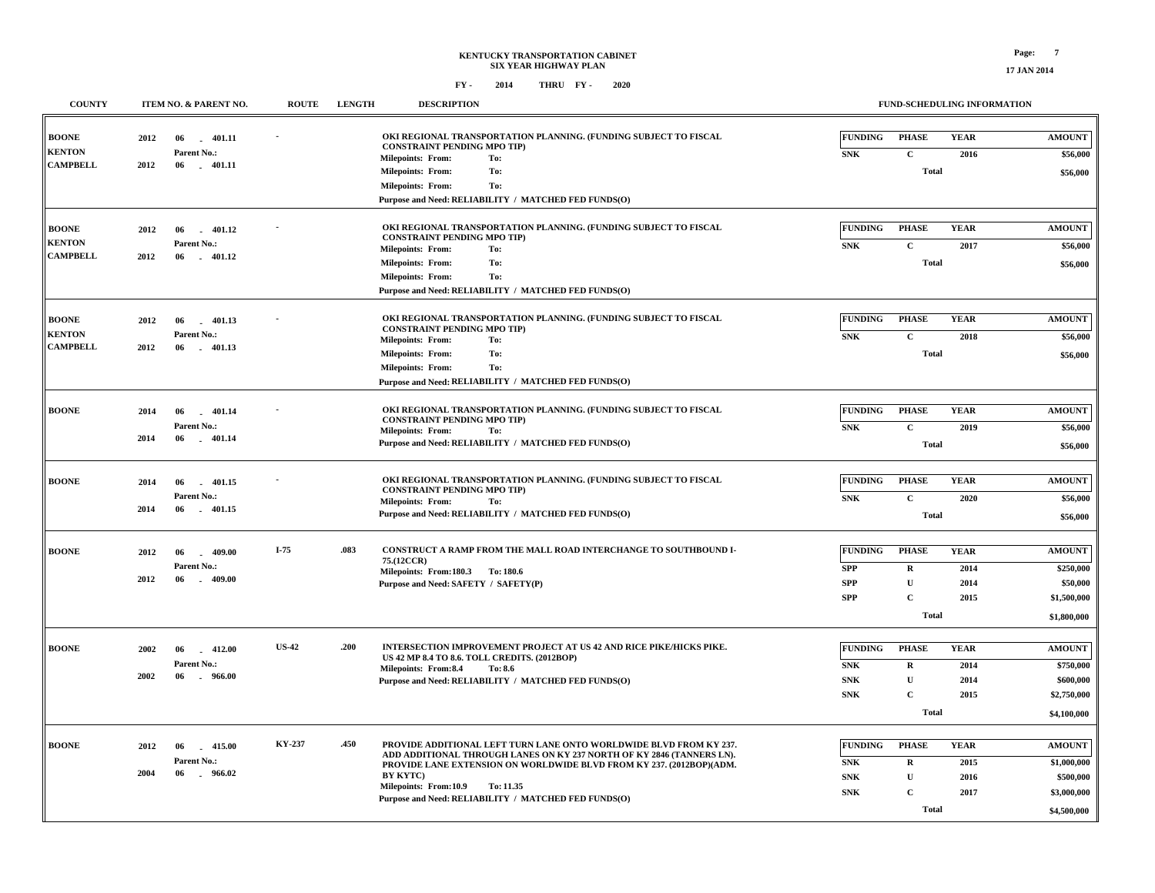## **KENTUCKY TRANSPORTATION CABINET SIX YEAR HIGHWAY PLAN FY - FY - 2014 2020 THRU**

**FUND-SCHEDULING INFORMATION**

| <b>COUNTY</b>                                    | ITEM NO. & PARENT NO.                                                    | <b>ROUTE</b>  | <b>LENGTH</b> | <b>DESCRIPTION</b>                                                                                                                                                                                                                                                                                                                   |                                                           |                                                                            | FUND-SCHEDULING INFORMATION         |                                                                         |
|--------------------------------------------------|--------------------------------------------------------------------------|---------------|---------------|--------------------------------------------------------------------------------------------------------------------------------------------------------------------------------------------------------------------------------------------------------------------------------------------------------------------------------------|-----------------------------------------------------------|----------------------------------------------------------------------------|-------------------------------------|-------------------------------------------------------------------------|
| <b>BOONE</b><br><b>KENTON</b>                    | 2012<br>06<br>$-401.11$<br>Parent No.:                                   |               |               | OKI REGIONAL TRANSPORTATION PLANNING. (FUNDING SUBJECT TO FISCAL<br><b>CONSTRAINT PENDING MPO TIP)</b>                                                                                                                                                                                                                               | <b>FUNDING</b><br>${\bf SNK}$                             | <b>PHASE</b><br>$\mathbf C$                                                | <b>YEAR</b><br>2016                 | <b>AMOUNT</b><br>\$56,000                                               |
| <b>CAMPBELL</b>                                  | 2012<br>06<br>$-401.11$                                                  |               |               | <b>Milepoints: From:</b><br>To:<br><b>Milepoints: From:</b><br>To:<br>To:<br><b>Milepoints: From:</b><br>Purpose and Need: RELIABILITY / MATCHED FED FUNDS(O)                                                                                                                                                                        |                                                           | Total                                                                      |                                     | \$56,000                                                                |
| <b>BOONE</b><br><b>KENTON</b><br><b>CAMPBELL</b> | 2012<br>$-401.12$<br>06<br>Parent No.:<br>2012<br>06<br>$-401.12$        |               |               | OKI REGIONAL TRANSPORTATION PLANNING. (FUNDING SUBJECT TO FISCAL<br><b>CONSTRAINT PENDING MPO TIP)</b><br><b>Milepoints: From:</b><br>To:<br>To:<br><b>Milepoints: From:</b><br><b>Milepoints: From:</b><br>To:<br>Purpose and Need: RELIABILITY / MATCHED FED FUNDS(O)                                                              | <b>FUNDING</b><br>${\bf SNK}$                             | <b>PHASE</b><br>$\mathbf C$<br><b>Total</b>                                | <b>YEAR</b><br>2017                 | <b>AMOUNT</b><br>\$56,000<br>\$56,000                                   |
| <b>BOONE</b><br><b>KENTON</b><br><b>CAMPBELL</b> | $-401.13$<br>2012<br>06<br>Parent No.:<br>2012<br>06<br>$-401.13$        |               |               | OKI REGIONAL TRANSPORTATION PLANNING. (FUNDING SUBJECT TO FISCAL<br><b>CONSTRAINT PENDING MPO TIP)</b><br>Milepoints: From:<br>To:<br>To:<br><b>Milepoints: From:</b><br><b>Milepoints: From:</b><br>To:<br>Purpose and Need: RELIABILITY / MATCHED FED FUNDS(O)                                                                     | FUNDING<br><b>SNK</b>                                     | <b>PHASE</b><br>$\mathbf C$<br>Total                                       | <b>YEAR</b><br>2018                 | <b>AMOUNT</b><br>\$56,000<br>\$56,000                                   |
| <b>BOONE</b>                                     | 2014<br>06<br>401.14<br>Parent No.:<br>2014<br>06<br>$-401.14$           |               |               | OKI REGIONAL TRANSPORTATION PLANNING. (FUNDING SUBJECT TO FISCAL<br><b>CONSTRAINT PENDING MPO TIP)</b><br><b>Milepoints: From:</b><br>To:<br>Purpose and Need: RELIABILITY / MATCHED FED FUNDS(O)                                                                                                                                    | <b>FUNDING</b><br>${\bf SNK}$                             | <b>PHASE</b><br>$\mathbf C$<br>Total                                       | <b>YEAR</b><br>2019                 | <b>AMOUNT</b><br>\$56,000<br>\$56,000                                   |
| <b>BOONE</b>                                     | 2014<br>401.15<br>06<br>Parent No.:<br>2014<br>06<br>401.15              |               |               | OKI REGIONAL TRANSPORTATION PLANNING. (FUNDING SUBJECT TO FISCAL<br><b>CONSTRAINT PENDING MPO TIP)</b><br><b>Milepoints: From:</b><br>To:<br>Purpose and Need: RELIABILITY / MATCHED FED FUNDS(O)                                                                                                                                    | <b>FUNDING</b><br><b>SNK</b>                              | <b>PHASE</b><br>$\mathbf C$<br>Total                                       | <b>YEAR</b><br>2020                 | <b>AMOUNT</b><br>\$56,000<br>\$56,000                                   |
| <b>BOONE</b>                                     | 2012<br>06<br>$-409.00$<br>Parent No.:<br>2012<br>06<br>409.00<br>a.     | $I-75$        | .083          | CONSTRUCT A RAMP FROM THE MALL ROAD INTERCHANGE TO SOUTHBOUND I-<br>75.(12CCR)<br>Milepoints: From:180.3 To:180.6<br>Purpose and Need: SAFETY / SAFETY(P)                                                                                                                                                                            | <b>FUNDING</b><br><b>SPP</b><br><b>SPP</b><br><b>SPP</b>  | <b>PHASE</b><br>${\bf R}$<br>$\mathbf U$<br>$\mathbf C$<br>Total           | <b>YEAR</b><br>2014<br>2014<br>2015 | <b>AMOUNT</b><br>\$250,000<br>\$50,000<br>\$1,500,000<br>\$1,800,000    |
| <b>BOONE</b>                                     | 2002<br>06<br>$-412.00$<br>Parent No.:<br>2002<br>06<br>966.00<br>$\sim$ | <b>US-42</b>  | .200          | INTERSECTION IMPROVEMENT PROJECT AT US 42 AND RICE PIKE/HICKS PIKE.<br>US 42 MP 8.4 TO 8.6. TOLL CREDITS. (2012BOP)<br>Milepoints: From:8.4<br>To: 8.6<br>Purpose and Need: RELIABILITY / MATCHED FED FUNDS(O)                                                                                                                       | <b>FUNDING</b><br><b>SNK</b><br><b>SNK</b><br>${\bf SNK}$ | <b>PHASE</b><br>$\mathbf R$<br>$\mathbf U$<br>$\mathbf C$<br>Total         | <b>YEAR</b><br>2014<br>2014<br>2015 | <b>AMOUNT</b><br>\$750,000<br>\$600,000<br>\$2,750,000<br>\$4,100,000   |
| <b>BOONE</b>                                     | 2012<br>06<br>$-415.00$<br>Parent No.:<br>2004<br>06<br>$-966.02$        | <b>KY-237</b> | .450          | PROVIDE ADDITIONAL LEFT TURN LANE ONTO WORLDWIDE BLVD FROM KY 237.<br>ADD ADDITIONAL THROUGH LANES ON KY 237 NORTH OF KY 2846 (TANNERS LN).<br>PROVIDE LANE EXTENSION ON WORLDWIDE BLVD FROM KY 237. (2012BOP)(ADM.<br><b>BY KYTC)</b><br>Milepoints: From:10.9<br>To: 11.35<br>Purpose and Need: RELIABILITY / MATCHED FED FUNDS(O) | <b>FUNDING</b><br><b>SNK</b><br><b>SNK</b><br><b>SNK</b>  | <b>PHASE</b><br>$\mathbf R$<br>$\mathbf{U}$<br>$\mathbf C$<br><b>Total</b> | <b>YEAR</b><br>2015<br>2016<br>2017 | <b>AMOUNT</b><br>\$1,000,000<br>\$500,000<br>\$3,000,000<br>\$4,500,000 |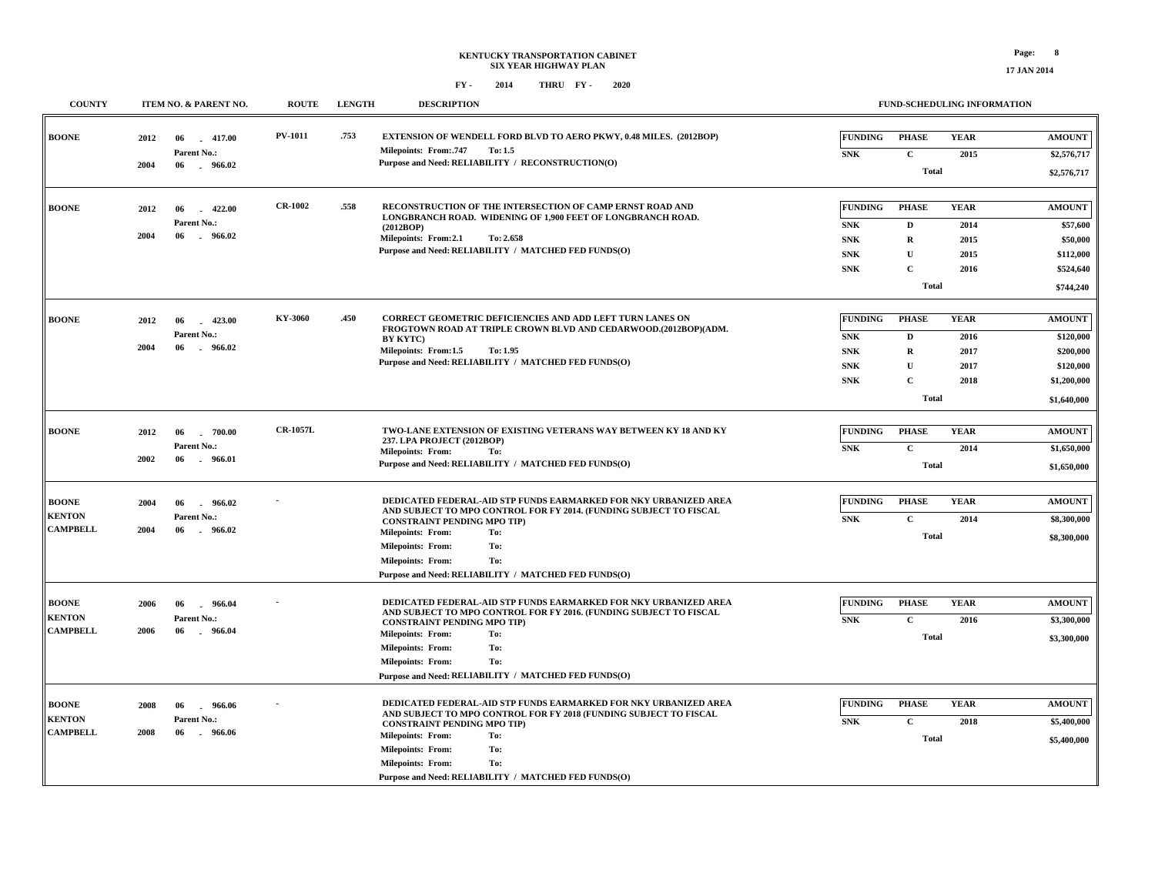**COUNTY ITEM NO. & PARENT NO. ROUTE LENGTH DESCRIPTION**

**FUND-SCHEDULING INFORMATION**

| <b>BOONE</b>    | 2012 | 06<br>$-417.00$        | <b>PV-1011</b>  | .753 | EXTENSION OF WENDELL FORD BLVD TO AERO PKWY, 0.48 MILES. (2012BOP)                                                           | <b>FUNDING</b> | <b>PHASE</b> | <b>YEAR</b> | <b>AMOUNT</b> |
|-----------------|------|------------------------|-----------------|------|------------------------------------------------------------------------------------------------------------------------------|----------------|--------------|-------------|---------------|
|                 |      | Parent No.:            |                 |      | <b>Milepoints: From: 747</b><br>To: 1.5                                                                                      | <b>SNK</b>     | $\mathbf{C}$ | 2015        | \$2,576,717   |
|                 | 2004 | 06<br>$-966.02$        |                 |      | Purpose and Need: RELIABILITY / RECONSTRUCTION(O)                                                                            |                |              |             |               |
|                 |      |                        |                 |      |                                                                                                                              |                | <b>Total</b> |             | \$2,576,717   |
| <b>BOONE</b>    | 2012 | 06<br>422.00           | <b>CR-1002</b>  | .558 | RECONSTRUCTION OF THE INTERSECTION OF CAMP ERNST ROAD AND                                                                    | <b>FUNDING</b> | <b>PHASE</b> | <b>YEAR</b> | <b>AMOUNT</b> |
|                 |      | Parent No.:            |                 |      | LONGBRANCH ROAD. WIDENING OF 1,900 FEET OF LONGBRANCH ROAD.<br>(2012BOP)                                                     | <b>SNK</b>     | $\mathbf{D}$ | 2014        | \$57,600      |
|                 | 2004 | 06<br>$-966.02$        |                 |      | Milepoints: From:2.1<br>To: 2.658                                                                                            | <b>SNK</b>     | $\mathbf R$  | 2015        | \$50,000      |
|                 |      |                        |                 |      | Purpose and Need: RELIABILITY / MATCHED FED FUNDS(O)                                                                         | <b>SNK</b>     | $\mathbf U$  | 2015        | \$112,000     |
|                 |      |                        |                 |      |                                                                                                                              | <b>SNK</b>     | $\mathbf{C}$ | 2016        | \$524,640     |
|                 |      |                        |                 |      |                                                                                                                              |                | <b>Total</b> |             | \$744,240     |
|                 |      |                        |                 |      |                                                                                                                              |                |              |             |               |
| <b>BOONE</b>    | 2012 | 06<br>$-423.00$        | KY-3060         | .450 | CORRECT GEOMETRIC DEFICIENCIES AND ADD LEFT TURN LANES ON<br>FROGTOWN ROAD AT TRIPLE CROWN BLVD AND CEDARWOOD.(2012BOP)(ADM. | <b>FUNDING</b> | <b>PHASE</b> | <b>YEAR</b> | <b>AMOUNT</b> |
|                 |      | Parent No.:            |                 |      | <b>BY KYTC)</b>                                                                                                              | <b>SNK</b>     | D            | 2016        | \$120,000     |
|                 | 2004 | 06<br>$-966.02$        |                 |      | Milepoints: From:1.5<br>To: 1.95                                                                                             | <b>SNK</b>     | $\mathbf R$  | 2017        | \$200,000     |
|                 |      |                        |                 |      | Purpose and Need: RELIABILITY / MATCHED FED FUNDS(O)                                                                         | ${\bf SNK}$    | $\mathbf{U}$ | 2017        | \$120,000     |
|                 |      |                        |                 |      |                                                                                                                              | <b>SNK</b>     | $\mathbf{C}$ | 2018        | \$1,200,000   |
|                 |      |                        |                 |      |                                                                                                                              |                | <b>Total</b> |             | \$1,640,000   |
| <b>BOONE</b>    | 2012 | $-700.00$<br>06        | <b>CR-1057L</b> |      | TWO-LANE EXTENSION OF EXISTING VETERANS WAY BETWEEN KY 18 AND KY                                                             | <b>FUNDING</b> | <b>PHASE</b> | <b>YEAR</b> | <b>AMOUNT</b> |
|                 |      | Parent No.:            |                 |      | 237. LPA PROJECT (2012BOP)                                                                                                   | <b>SNK</b>     | $\mathbf C$  | 2014        | \$1,650,000   |
|                 | 2002 | 06<br>.966.01          |                 |      | <b>Milepoints: From:</b><br>To:<br>Purpose and Need: RELIABILITY / MATCHED FED FUNDS(O)                                      |                |              |             |               |
|                 |      |                        |                 |      |                                                                                                                              |                | <b>Total</b> |             | \$1,650,000   |
| <b>BOONE</b>    | 2004 | 06<br>966.02           |                 |      | DEDICATED FEDERAL-AID STP FUNDS EARMARKED FOR NKY URBANIZED AREA                                                             | <b>FUNDING</b> | <b>PHASE</b> | <b>YEAR</b> | <b>AMOUNT</b> |
| <b>KENTON</b>   |      | Parent No.:            |                 |      | AND SUBJECT TO MPO CONTROL FOR FY 2014. (FUNDING SUBJECT TO FISCAL<br><b>CONSTRAINT PENDING MPO TIP)</b>                     | <b>SNK</b>     | $\mathbf C$  | 2014        | \$8,300,000   |
| <b>CAMPBELL</b> | 2004 | 966.02<br>06           |                 |      | <b>Milepoints: From:</b><br>To:                                                                                              |                | Total        |             | \$8,300,000   |
|                 |      |                        |                 |      | <b>Milepoints: From:</b><br>To:                                                                                              |                |              |             |               |
|                 |      |                        |                 |      | <b>Milepoints: From:</b><br>To:                                                                                              |                |              |             |               |
|                 |      |                        |                 |      | Purpose and Need: RELIABILITY / MATCHED FED FUNDS(O)                                                                         |                |              |             |               |
| <b>BOONE</b>    | 2006 | 06<br>966.04           |                 |      | <b>DEDICATED FEDERAL-AID STP FUNDS EARMARKED FOR NKY URBANIZED AREA</b>                                                      | <b>FUNDING</b> | <b>PHASE</b> | <b>YEAR</b> | <b>AMOUNT</b> |
| <b>KENTON</b>   |      | Parent No.:            |                 |      | AND SUBJECT TO MPO CONTROL FOR FY 2016. (FUNDING SUBJECT TO FISCAL<br><b>CONSTRAINT PENDING MPO TIP)</b>                     | <b>SNK</b>     | $\mathbf{C}$ | 2016        | \$3,300,000   |
| <b>CAMPBELL</b> | 2006 | 06<br>966.04<br>$\sim$ |                 |      | <b>Milepoints: From:</b><br>To:                                                                                              |                | <b>Total</b> |             | \$3,300,000   |
|                 |      |                        |                 |      | To:<br><b>Milepoints: From:</b>                                                                                              |                |              |             |               |
|                 |      |                        |                 |      | To:<br><b>Milepoints: From:</b>                                                                                              |                |              |             |               |
|                 |      |                        |                 |      | Purpose and Need: RELIABILITY / MATCHED FED FUNDS(O)                                                                         |                |              |             |               |
| <b>BOONE</b>    | 2008 | 06<br>966.06<br>$\sim$ |                 |      | DEDICATED FEDERAL-AID STP FUNDS EARMARKED FOR NKY URBANIZED AREA                                                             | <b>FUNDING</b> | <b>PHASE</b> | <b>YEAR</b> | <b>AMOUNT</b> |
| <b>KENTON</b>   |      | Parent No.:            |                 |      | AND SUBJECT TO MPO CONTROL FOR FY 2018 (FUNDING SUBJECT TO FISCAL<br><b>CONSTRAINT PENDING MPO TIP)</b>                      | <b>SNK</b>     | $\mathbf C$  | 2018        | \$5,400,000   |
| <b>CAMPBELL</b> | 2008 | 06<br>$-966.06$        |                 |      | <b>Milepoints: From:</b><br>To:                                                                                              |                | <b>Total</b> |             | \$5,400,000   |
|                 |      |                        |                 |      | <b>Milepoints: From:</b><br>To:                                                                                              |                |              |             |               |
|                 |      |                        |                 |      | <b>Milepoints: From:</b><br>To:                                                                                              |                |              |             |               |
|                 |      |                        |                 |      | Purpose and Need: RELIABILITY / MATCHED FED FUNDS(O)                                                                         |                |              |             |               |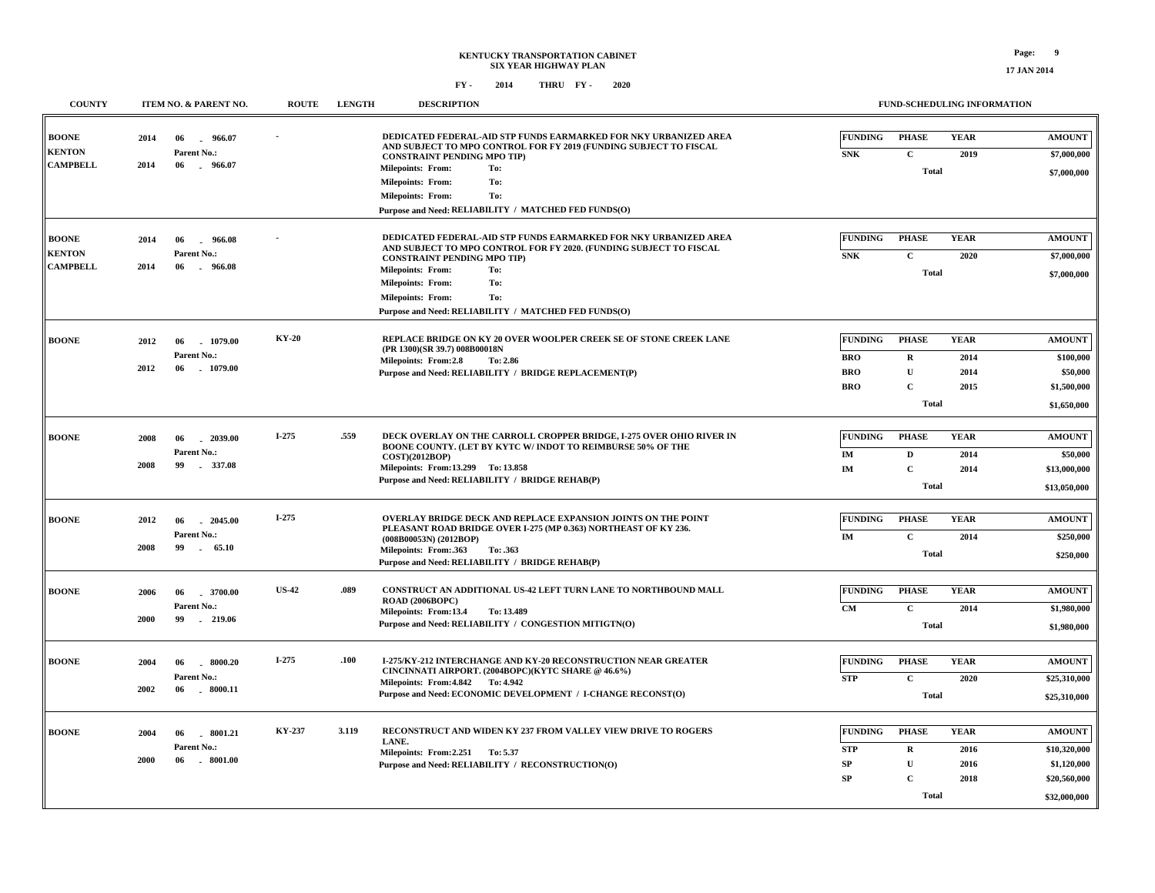| <b>COUNTY</b>                                    | ITEM NO. & PARENT NO.                                          | <b>ROUTE</b> | <b>LENGTH</b> | <b>DESCRIPTION</b>                                                                                                                                                                                             |                              | FUND-SCHEDULING INFORMATION          |                     |                                             |
|--------------------------------------------------|----------------------------------------------------------------|--------------|---------------|----------------------------------------------------------------------------------------------------------------------------------------------------------------------------------------------------------------|------------------------------|--------------------------------------|---------------------|---------------------------------------------|
| <b>BOONE</b><br><b>KENTON</b><br><b>CAMPBELL</b> | 2014<br>06<br>$\sim$<br>Parent No.:<br>2014<br>06<br>$-966.07$ | 966.07       |               | DEDICATED FEDERAL-AID STP FUNDS EARMARKED FOR NKY URBANIZED AREA<br>AND SUBJECT TO MPO CONTROL FOR FY 2019 (FUNDING SUBJECT TO FISCAL<br><b>CONSTRAINT PENDING MPO TIP)</b><br><b>Milepoints: From:</b><br>To: | <b>FUNDING</b><br><b>SNK</b> | PHASE<br>$\mathbf C$<br><b>Total</b> | <b>YEAR</b><br>2019 | <b>AMOUNT</b><br>\$7,000,000<br>\$7,000,000 |
|                                                  |                                                                |              |               | <b>Milepoints: From:</b><br>To:<br><b>Milepoints: From:</b><br>To:<br>Purpose and Need: RELIABILITY / MATCHED FED FUNDS(O)                                                                                     |                              |                                      |                     |                                             |
| <b>BOONE</b><br><b>KENTON</b><br><b>CAMPBELL</b> | 2014<br>06<br>Parent No.:<br>2014<br>06<br>$-966.08$           | 966.08       |               | DEDICATED FEDERAL-AID STP FUNDS EARMARKED FOR NKY URBANIZED AREA<br>AND SUBJECT TO MPO CONTROL FOR FY 2020. (FUNDING SUBJECT TO FISCAL<br><b>CONSTRAINT PENDING MPO TIP)</b>                                   | <b>FUNDING</b><br><b>SNK</b> | <b>PHASE</b><br>$\mathbf C$          | <b>YEAR</b><br>2020 | <b>AMOUNT</b><br>\$7,000,000                |
|                                                  |                                                                |              |               | To:<br><b>Milepoints: From:</b><br>Milepoints: From:<br>To:<br><b>Milepoints: From:</b><br>To:<br>Purpose and Need: RELIABILITY / MATCHED FED FUNDS(O)                                                         |                              | <b>Total</b>                         |                     | \$7,000,000                                 |
| <b>BOONE</b>                                     | 2012<br>1079.00<br>06<br>Parent No.:                           | <b>KY-20</b> |               | REPLACE BRIDGE ON KY 20 OVER WOOLPER CREEK SE OF STONE CREEK LANE<br>(PR 1300)(SR 39.7) 008B00018N<br>Milepoints: From:2.8<br>To: 2.86                                                                         | <b>FUNDING</b><br><b>BRO</b> | <b>PHASE</b><br>$\mathbf R$          | <b>YEAR</b><br>2014 | <b>AMOUNT</b><br>\$100,000                  |
|                                                  | 2012<br>06<br>1079.00                                          |              |               | Purpose and Need: RELIABILITY / BRIDGE REPLACEMENT(P)                                                                                                                                                          | <b>BRO</b><br><b>BRO</b>     | $\mathbf{U}$<br>$\mathbf C$          | 2014<br>2015        | \$50,000<br>\$1,500,000                     |
|                                                  |                                                                |              |               |                                                                                                                                                                                                                |                              | Total                                |                     | \$1,650,000                                 |
| <b>BOONE</b>                                     | 2008<br>$-2039.00$<br>06<br>Parent No.:                        | $I-275$      | .559          | DECK OVERLAY ON THE CARROLL CROPPER BRIDGE, I-275 OVER OHIO RIVER IN<br>BOONE COUNTY. (LET BY KYTC W/ INDOT TO REIMBURSE 50% OF THE                                                                            | <b>FUNDING</b><br>IM         | <b>PHASE</b><br>$\mathbf{D}$         | <b>YEAR</b><br>2014 | <b>AMOUNT</b><br>\$50,000                   |
|                                                  | 2008<br>99<br>337.08                                           |              |               | <b>COST)(2012BOP)</b><br>Milepoints: From:13.299 To:13.858<br>Purpose and Need: RELIABILITY / BRIDGE REHAB(P)                                                                                                  | $\mathbf{IM}$                | $\mathbf C$<br>Total                 | 2014                | \$13,000,000<br>\$13,050,000                |
|                                                  |                                                                |              |               |                                                                                                                                                                                                                |                              |                                      |                     |                                             |
| <b>BOONE</b>                                     | 2012<br>06<br>2045.00<br>Parent No.:                           | I-275        |               | OVERLAY BRIDGE DECK AND REPLACE EXPANSION JOINTS ON THE POINT<br>PLEASANT ROAD BRIDGE OVER I-275 (MP 0.363) NORTHEAST OF KY 236.<br>(008B00053N) (2012BOP)                                                     | <b>FUNDING</b><br>IM         | <b>PHASE</b><br>$\mathbf C$          | <b>YEAR</b><br>2014 | <b>AMOUNT</b><br>\$250,000                  |
|                                                  | 2008<br>99<br>$\sim$                                           | 65.10        |               | Milepoints: From: 363<br>To: .363<br>Purpose and Need: RELIABILITY / BRIDGE REHAB(P)                                                                                                                           |                              | <b>Total</b>                         |                     | \$250,000                                   |
| <b>BOONE</b>                                     | 2006<br>06<br>.3700.00                                         | <b>US-42</b> | .089          | CONSTRUCT AN ADDITIONAL US-42 LEFT TURN LANE TO NORTHBOUND MALL<br>ROAD (2006BOPC)                                                                                                                             | <b>FUNDING</b>               | <b>PHASE</b>                         | <b>YEAR</b>         | <b>AMOUNT</b>                               |
|                                                  | Parent No.:<br>2000<br>99<br>$-219.06$                         |              |               | Milepoints: From:13.4<br>To: 13.489<br>Purpose and Need: RELIABILITY / CONGESTION MITIGTN(O)                                                                                                                   | CM                           | $\mathbf C$<br><b>Total</b>          | 2014                | \$1,980,000<br>\$1,980,000                  |
| <b>BOONE</b>                                     | 2004<br>8000.20<br>06                                          | $I-275$      | .100          | <b>I-275/KY-212 INTERCHANGE AND KY-20 RECONSTRUCTION NEAR GREATER</b>                                                                                                                                          | <b>FUNDING</b>               | <b>PHASE</b>                         | <b>YEAR</b>         | <b>AMOUNT</b>                               |
|                                                  | Parent No.:<br>2002<br>06<br>$-8000.11$                        |              |               | CINCINNATI AIRPORT. (2004BOPC)(KYTC SHARE @ 46.6%)<br>Milepoints: From: 4.842 To: 4.942                                                                                                                        | <b>STP</b>                   | $\mathbf{C}$                         | 2020                | \$25,310,000                                |
|                                                  |                                                                |              |               | Purpose and Need: ECONOMIC DEVELOPMENT / I-CHANGE RECONST(O)                                                                                                                                                   |                              | <b>Total</b>                         |                     | \$25,310,000                                |
| <b>BOONE</b>                                     | 2004<br>06<br>.8001.21                                         | KY-237       | 3.119         | RECONSTRUCT AND WIDEN KY 237 FROM VALLEY VIEW DRIVE TO ROGERS<br>LANE.                                                                                                                                         | <b>FUNDING</b>               | <b>PHASE</b>                         | <b>YEAR</b>         | <b>AMOUNT</b>                               |
|                                                  | Parent No.:<br>2000<br>$-8001.00$<br>06                        |              |               | Milepoints: From: 2.251 To: 5.37                                                                                                                                                                               | <b>STP</b><br>SP             | $\mathbf R$                          | 2016                | \$10,320,000                                |
|                                                  |                                                                |              |               | Purpose and Need: RELIABILITY / RECONSTRUCTION(O)                                                                                                                                                              | ${\bf SP}$                   | $\mathbf U$<br>$\mathbf C$           | 2016<br>2018        | \$1,120,000<br>\$20,560,000                 |
|                                                  |                                                                |              |               |                                                                                                                                                                                                                |                              | Total                                |                     | \$32,000,000                                |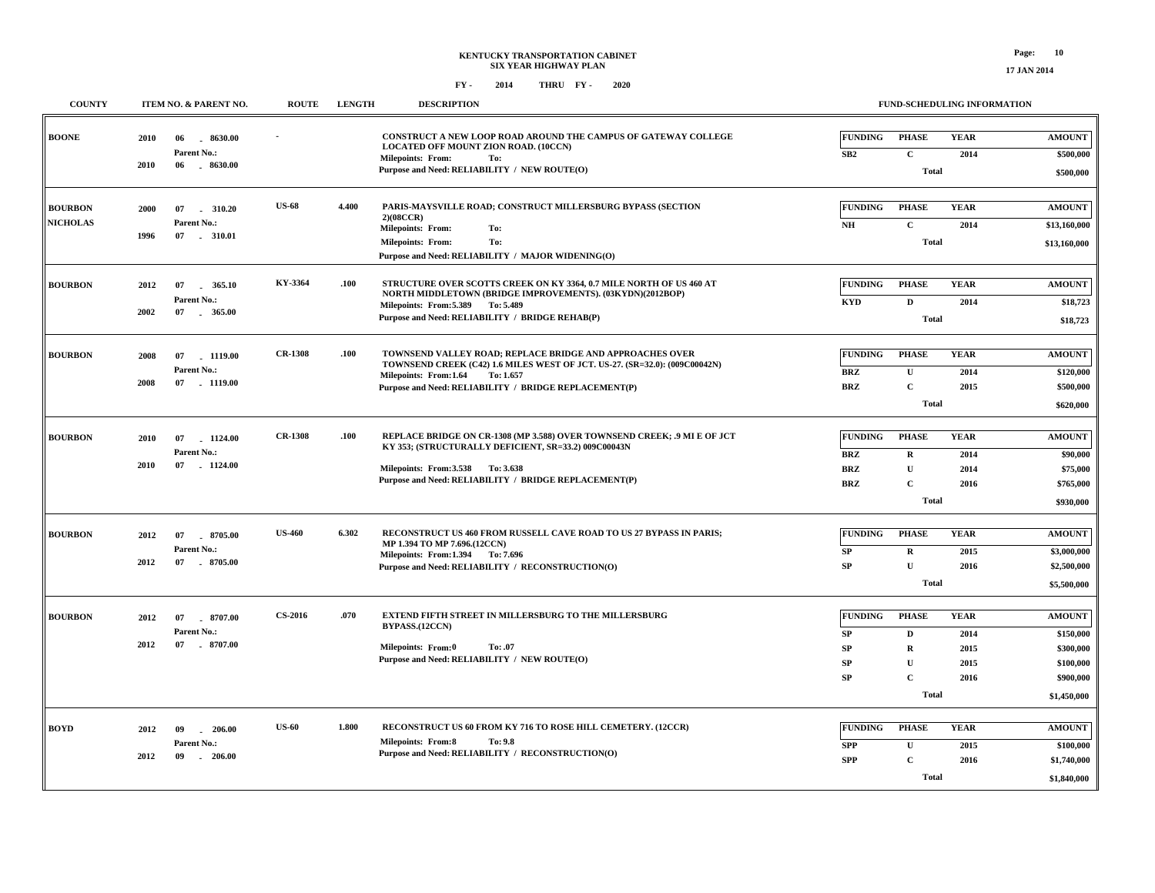| <b>COUNTY</b>                     |                          | ITEM NO. & PARENT NO.                | <b>ROUTE</b>   | <b>LENGTH</b> | <b>DESCRIPTION</b>                                                                                                                                                                        |                               | FUND-SCHEDULING INFORMATION  |                     |                              |
|-----------------------------------|--------------------------|--------------------------------------|----------------|---------------|-------------------------------------------------------------------------------------------------------------------------------------------------------------------------------------------|-------------------------------|------------------------------|---------------------|------------------------------|
| <b>BOONE</b>                      | 2010<br>06<br>2010<br>06 | 8630.00<br>Parent No.:<br>$-8630.00$ |                |               | CONSTRUCT A NEW LOOP ROAD AROUND THE CAMPUS OF GATEWAY COLLEGE<br>LOCATED OFF MOUNT ZION ROAD. (10CCN)<br><b>Milepoints: From:</b><br>To:<br>Purpose and Need: RELIABILITY / NEW ROUTE(O) | <b>FUNDING</b><br>${\bf SB2}$ | <b>PHASE</b><br>$\mathbf C$  | <b>YEAR</b><br>2014 | <b>AMOUNT</b><br>\$500,000   |
|                                   |                          |                                      |                |               |                                                                                                                                                                                           |                               | <b>Total</b>                 |                     | \$500,000                    |
| <b>BOURBON</b><br><b>NICHOLAS</b> | 2000<br>07               | 310.20<br>Parent No.:                | <b>US-68</b>   | 4.400         | PARIS-MAYSVILLE ROAD; CONSTRUCT MILLERSBURG BYPASS (SECTION<br>2)(08CCR)                                                                                                                  | <b>FUNDING</b>                | <b>PHASE</b>                 | <b>YEAR</b>         | <b>AMOUNT</b>                |
|                                   | 1996<br>07               | $-310.01$                            |                |               | To:<br><b>Milepoints: From:</b><br>To:<br><b>Milepoints: From:</b><br>Purpose and Need: RELIABILITY / MAJOR WIDENING(O)                                                                   | NH                            | $\mathbf{C}$<br><b>Total</b> | 2014                | \$13,160,000<br>\$13,160,000 |
| <b>BOURBON</b>                    | 2012<br>07               | 365.10                               | KY-3364        | .100          | STRUCTURE OVER SCOTTS CREEK ON KY 3364, 0.7 MILE NORTH OF US 460 AT                                                                                                                       | <b>FUNDING</b>                | <b>PHASE</b>                 | <b>YEAR</b>         | <b>AMOUNT</b>                |
|                                   | 2002                     | Parent No.:<br>07 365.00             |                |               | NORTH MIDDLETOWN (BRIDGE IMPROVEMENTS). (03KYDN)(2012BOP)<br>Milepoints: From: 5.389 To: 5.489<br>Purpose and Need: RELIABILITY / BRIDGE REHAB(P)                                         | <b>KYD</b>                    | $\mathbf D$                  | 2014                | \$18,723                     |
|                                   |                          |                                      |                |               |                                                                                                                                                                                           |                               | <b>Total</b>                 |                     | \$18,723                     |
| <b>BOURBON</b>                    | 2008<br>07               | 1119.00                              | <b>CR-1308</b> | .100          | TOWNSEND VALLEY ROAD; REPLACE BRIDGE AND APPROACHES OVER<br>TOWNSEND CREEK (C42) 1.6 MILES WEST OF JCT. US-27. (SR=32.0): (009C00042N)                                                    | <b>FUNDING</b>                | <b>PHASE</b>                 | <b>YEAR</b>         | <b>AMOUNT</b>                |
|                                   | 2008                     | Parent No.:<br>07 1119.00            |                |               | Milepoints: From:1.64<br>To: 1.657<br>Purpose and Need: RELIABILITY / BRIDGE REPLACEMENT(P)                                                                                               | <b>BRZ</b><br><b>BRZ</b>      | $\mathbf U$<br>$\mathbf C$   | 2014<br>2015        | \$120,000<br>\$500,000       |
|                                   |                          |                                      |                |               |                                                                                                                                                                                           |                               | <b>Total</b>                 |                     | \$620,000                    |
| <b>BOURBON</b>                    | 2010<br>07               | 1124.00                              | <b>CR-1308</b> | .100          | REPLACE BRIDGE ON CR-1308 (MP 3.588) OVER TOWNSEND CREEK; .9 MI E OF JCT                                                                                                                  | <b>FUNDING</b>                | <b>PHASE</b>                 | <b>YEAR</b>         | <b>AMOUNT</b>                |
|                                   |                          | Parent No.:                          |                |               | KY 353; (STRUCTURALLY DEFICIENT, SR=33.2) 009C00043N                                                                                                                                      | <b>BRZ</b>                    | $\bf R$                      | 2014                | \$90,000                     |
|                                   | 07<br>2010               | 1124.00                              |                |               | Milepoints: From: 3.538 To: 3.638<br>Purpose and Need: RELIABILITY / BRIDGE REPLACEMENT(P)                                                                                                | <b>BRZ</b>                    | ${\bf U}$                    | 2014                | \$75,000                     |
|                                   |                          |                                      |                |               |                                                                                                                                                                                           | <b>BRZ</b>                    | $\mathbf{C}$<br><b>Total</b> | 2016                | \$765,000<br>\$930,000       |
|                                   |                          |                                      |                |               |                                                                                                                                                                                           |                               |                              |                     |                              |
| <b>BOURBON</b>                    | 2012<br>07               | 8705.00<br>Parent No.:               | <b>US-460</b>  | 6.302         | RECONSTRUCT US 460 FROM RUSSELL CAVE ROAD TO US 27 BYPASS IN PARIS;<br>MP 1.394 TO MP 7.696.(12CCN)                                                                                       | <b>FUNDING</b>                | <b>PHASE</b>                 | <b>YEAR</b>         | <b>AMOUNT</b>                |
|                                   | 2012                     | 07 8705.00                           |                |               | Milepoints: From:1.394 To: 7.696<br>Purpose and Need: RELIABILITY / RECONSTRUCTION(O)                                                                                                     | SP<br>SP                      | $\mathbf R$<br>$\mathbf{U}$  | 2015<br>2016        | \$3,000,000<br>\$2,500,000   |
|                                   |                          |                                      |                |               |                                                                                                                                                                                           |                               | <b>Total</b>                 |                     | \$5,500,000                  |
|                                   |                          |                                      | <b>CS-2016</b> | .070          | EXTEND FIFTH STREET IN MILLERSBURG TO THE MILLERSBURG                                                                                                                                     |                               |                              |                     |                              |
| <b>BOURBON</b>                    | 2012<br>07               | $-8707.00$<br>Parent No.:            |                |               | BYPASS.(12CCN)                                                                                                                                                                            | <b>FUNDING</b><br>SP          | <b>PHASE</b><br>D            | <b>YEAR</b><br>2014 | <b>AMOUNT</b><br>\$150,000   |
|                                   | 2012<br>07               | 8707.00                              |                |               | <b>Milepoints: From:0</b><br>To: .07                                                                                                                                                      | <b>SP</b>                     | $\mathbf R$                  | 2015                | \$300,000                    |
|                                   |                          |                                      |                |               | Purpose and Need: RELIABILITY / NEW ROUTE(O)                                                                                                                                              | <b>SP</b>                     | ${\bf U}$                    | 2015                | \$100,000                    |
|                                   |                          |                                      |                |               |                                                                                                                                                                                           | <b>SP</b>                     | $\mathbf C$                  | 2016                | \$900,000                    |
|                                   |                          |                                      |                |               |                                                                                                                                                                                           |                               | <b>Total</b>                 |                     | \$1,450,000                  |
| <b>BOYD</b>                       | 2012<br>09               | $-206.00$                            | <b>US-60</b>   | 1.800         | RECONSTRUCT US 60 FROM KY 716 TO ROSE HILL CEMETERY. (12CCR)                                                                                                                              | <b>FUNDING</b>                | <b>PHASE</b>                 | <b>YEAR</b>         | <b>AMOUNT</b>                |
|                                   |                          | Parent No.:                          |                |               | <b>Milepoints: From:8</b><br>To: 9.8                                                                                                                                                      | <b>SPP</b>                    | ${\bf U}$                    | 2015                | \$100,000                    |
|                                   | 2012<br>09               | $-206.00$                            |                |               | Purpose and Need: RELIABILITY / RECONSTRUCTION(O)                                                                                                                                         | <b>SPP</b>                    | $\mathbf{C}$                 | 2016                | \$1,740,000                  |
|                                   |                          |                                      |                |               |                                                                                                                                                                                           |                               | <b>Total</b>                 |                     | \$1,840,000                  |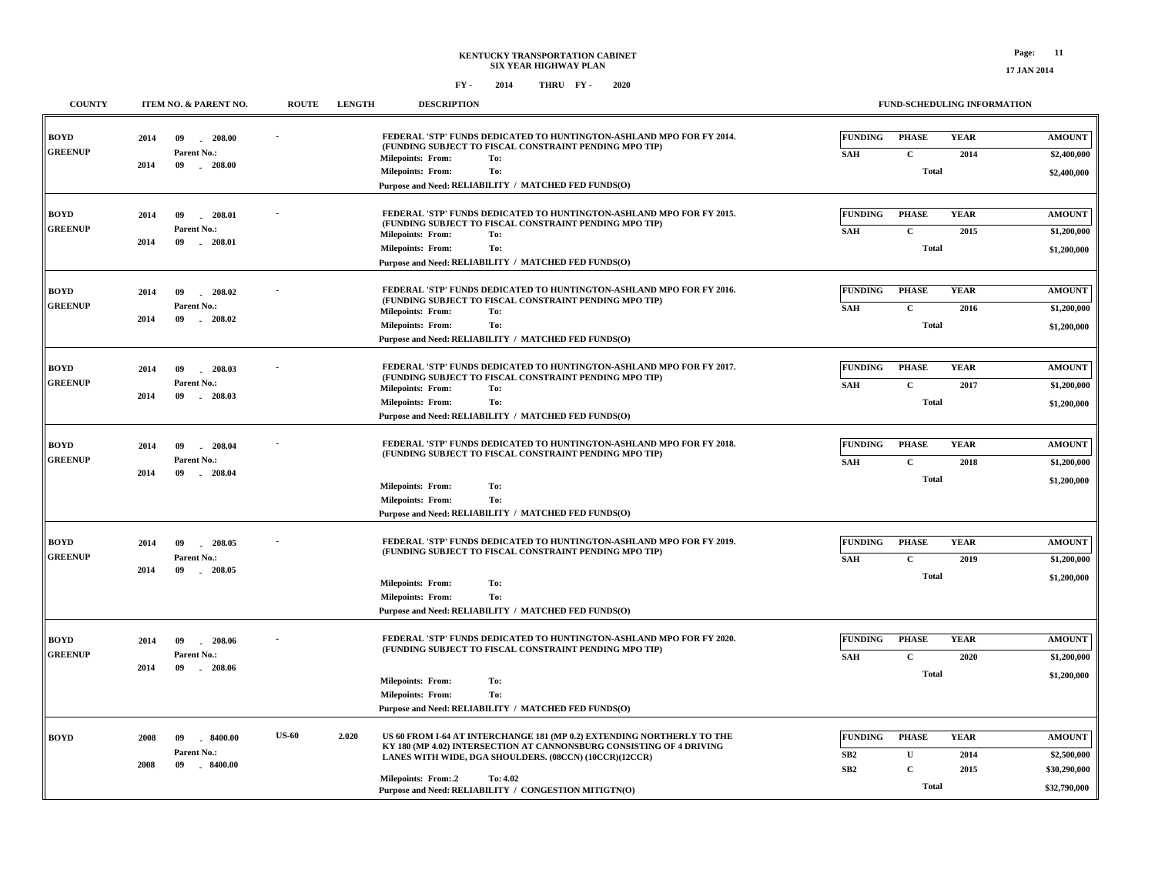#### **FY - FY - 2014 2020 THRU**

**BOYD**

**GREENUP**

**BOYDGREENUP**

**BOYD**

**GREENUP**

**BOYD**

**GREENUP**

**BOYD**

**GREENUP**

| <b>COUNTY</b> | ITEM NO. & PARENT NO.                  | <b>ROUTE</b> | <b>LENGTH</b> | <b>DESCRIPTION</b>                                                                                                             |                |              | <b>FUND-SCHEDULING INFORMATION</b> |               |
|---------------|----------------------------------------|--------------|---------------|--------------------------------------------------------------------------------------------------------------------------------|----------------|--------------|------------------------------------|---------------|
| ZD.           | 09<br>$-208.00$<br>2014                |              |               | FEDERAL 'STP' FUNDS DEDICATED TO HUNTINGTON-ASHLAND MPO FOR FY 2014.<br>(FUNDING SUBJECT TO FISCAL CONSTRAINT PENDING MPO TIP) | <b>FUNDING</b> | <b>PHASE</b> | <b>YEAR</b>                        | <b>AMOUNT</b> |
| ENUP          | Parent No.:<br>2014<br>09<br>$-208.00$ |              |               | <b>Milepoints: From:</b><br>To:                                                                                                | <b>SAH</b>     | C            | 2014                               | \$2,400,000   |
|               |                                        |              |               | To:<br><b>Milepoints: From:</b>                                                                                                |                | Total        |                                    | \$2,400,000   |
|               |                                        |              |               | Purpose and Need: RELIABILITY / MATCHED FED FUNDS(O)                                                                           |                |              |                                    |               |
|               |                                        |              |               |                                                                                                                                |                |              |                                    |               |
| ZD.           | $-208.01$<br>2014<br>09                |              |               | FEDERAL 'STP' FUNDS DEDICATED TO HUNTINGTON-ASHLAND MPO FOR FY 2015.<br>(FUNDING SUBJECT TO FISCAL CONSTRAINT PENDING MPO TIP) | <b>FUNDING</b> | <b>PHASE</b> | <b>YEAR</b>                        | <b>AMOUNT</b> |
| ENUP          | Parent No.:                            |              |               | Milepoints: From:<br>To:                                                                                                       | <b>SAH</b>     | $\mathbf{C}$ | 2015                               | \$1,200,000   |
|               | 09<br>208.01<br>2014                   |              |               | To:<br><b>Milepoints: From:</b>                                                                                                |                | Total        |                                    | \$1,200,000   |
|               |                                        |              |               | Purpose and Need: RELIABILITY / MATCHED FED FUNDS(O)                                                                           |                |              |                                    |               |
|               |                                        |              |               |                                                                                                                                |                |              |                                    |               |
| ZD.           | 2014<br>09<br>208.02                   |              |               | FEDERAL 'STP' FUNDS DEDICATED TO HUNTINGTON-ASHLAND MPO FOR FY 2016.                                                           | <b>FUNDING</b> | <b>PHASE</b> | <b>YEAR</b>                        | <b>AMOUNT</b> |
| ENUP          | Parent No.:                            |              |               | (FUNDING SUBJECT TO FISCAL CONSTRAINT PENDING MPO TIP)<br><b>Milepoints: From:</b><br>To:                                      | <b>SAH</b>     | C            | 2016                               | \$1,200,000   |
|               | 2014<br>09<br>$-208.02$                |              |               | To:<br><b>Milepoints: From:</b>                                                                                                |                | Total        |                                    | \$1,200,000   |
|               |                                        |              |               | Purpose and Need: RELIABILITY / MATCHED FED FUNDS(O)                                                                           |                |              |                                    |               |
|               |                                        |              |               |                                                                                                                                |                |              |                                    |               |
| ZD.           | 09<br>208.03<br>2014                   |              |               | <b>FEDERAL 'STP' FUNDS DEDICATED TO HUNTINGTON-ASHLAND MPO FOR FY 2017.</b>                                                    | <b>FUNDING</b> | <b>PHASE</b> | <b>YEAR</b>                        | <b>AMOUNT</b> |
| ENUP          | Parent No.:                            |              |               | (FUNDING SUBJECT TO FISCAL CONSTRAINT PENDING MPO TIP)                                                                         | <b>SAH</b>     | $\mathbf{C}$ | 2017                               | \$1,200,000   |
|               | 2014<br>09<br>$-208.03$                |              |               | Milepoints: From:<br>To:<br>To:<br><b>Milepoints: From:</b>                                                                    |                | <b>Total</b> |                                    |               |
|               |                                        |              |               | Purpose and Need: RELIABILITY / MATCHED FED FUNDS(O)                                                                           |                |              |                                    | \$1,200,000   |
|               |                                        |              |               |                                                                                                                                |                |              |                                    |               |
| ZD.           | 09<br>$-208.04$<br>2014                |              |               | FEDERAL 'STP' FUNDS DEDICATED TO HUNTINGTON-ASHLAND MPO FOR FY 2018.                                                           | <b>FUNDING</b> | <b>PHASE</b> | <b>YEAR</b>                        | <b>AMOUNT</b> |
| ENUP          | Parent No.:                            |              |               | (FUNDING SUBJECT TO FISCAL CONSTRAINT PENDING MPO TIP)                                                                         | <b>SAH</b>     | $\mathbf C$  | 2018                               | \$1,200,000   |
|               | 2014<br>09<br>208.04                   |              |               |                                                                                                                                |                |              |                                    |               |
|               |                                        |              |               | To:<br><b>Milepoints: From:</b>                                                                                                |                | Total        |                                    | \$1,200,000   |
|               |                                        |              |               | <b>Milepoints: From:</b><br>To:                                                                                                |                |              |                                    |               |
|               |                                        |              |               | Purpose and Need: RELIABILITY / MATCHED FED FUNDS(O)                                                                           |                |              |                                    |               |
|               |                                        |              |               |                                                                                                                                |                |              |                                    |               |
| D             | 2014<br>09<br>$-208.05$                |              |               | FEDERAL 'STP' FUNDS DEDICATED TO HUNTINGTON-ASHLAND MPO FOR FY 2019.                                                           | <b>FUNDING</b> | <b>PHASE</b> | <b>YEAR</b>                        | <b>AMOUNT</b> |
| ENUP          | Parent No.:                            |              |               | (FUNDING SUBJECT TO FISCAL CONSTRAINT PENDING MPO TIP)                                                                         | <b>SAH</b>     | C            | 2019                               | \$1,200,000   |

|                                               |                                                  |                                                  |                          |       | Purpose and Need: RELIABILITY / MATCHED FED FUNDS(O)                                                                                                                                                                                               |                                          |                                   |                             |                                                                                                                                |                              |            |                     |                              |
|-----------------------------------------------|--------------------------------------------------|--------------------------------------------------|--------------------------|-------|----------------------------------------------------------------------------------------------------------------------------------------------------------------------------------------------------------------------------------------------------|------------------------------------------|-----------------------------------|-----------------------------|--------------------------------------------------------------------------------------------------------------------------------|------------------------------|------------|---------------------|------------------------------|
| <b>BOYD</b><br><b>GREENUP</b>                 | 2014                                             | 09<br>208.05<br>Parent No.:<br>09<br>208.05      | $\overline{\phantom{a}}$ |       | <b>FEDERAL 'STP' FUNDS DEDICATED TO HUNTINGTON-ASHLAND MPO FOR FY 2019.</b><br>(FUNDING SUBJECT TO FISCAL CONSTRAINT PENDING MPO TIP)                                                                                                              | <b>FUNDING</b><br><b>SAH</b>             | PHASE<br>$\mathbf{C}$             | <b>YEAR</b><br>2019         | <b>AMOUNT</b><br>\$1,200,000                                                                                                   |                              |            |                     |                              |
|                                               | 2014                                             |                                                  |                          |       | To:<br><b>Milepoints: From:</b><br>To:<br><b>Milepoints: From:</b>                                                                                                                                                                                 |                                          | Total                             |                             | \$1,200,000                                                                                                                    |                              |            |                     |                              |
|                                               |                                                  |                                                  |                          |       | Purpose and Need: RELIABILITY / MATCHED FED FUNDS(O)                                                                                                                                                                                               |                                          |                                   |                             |                                                                                                                                |                              |            |                     |                              |
| <b>BOYD</b><br>2014<br><b>GREENUP</b><br>2014 | - 09<br>208.06<br>Parent No.:<br>09<br>$-208.06$ |                                                  |                          |       |                                                                                                                                                                                                                                                    |                                          | $\overline{\phantom{a}}$          |                             | FEDERAL 'STP' FUNDS DEDICATED TO HUNTINGTON-ASHLAND MPO FOR FY 2020.<br>(FUNDING SUBJECT TO FISCAL CONSTRAINT PENDING MPO TIP) | <b>FUNDING</b><br><b>SAH</b> | PHASE<br>С | <b>YEAR</b><br>2020 | <b>AMOUNT</b><br>\$1,200,000 |
|                                               |                                                  |                                                  |                          |       | To:<br><b>Milepoints: From:</b><br><b>Milepoints: From:</b><br>To:<br>Purpose and Need: RELIABILITY / MATCHED FED FUNDS(O)                                                                                                                         |                                          | <b>Total</b>                      |                             | \$1,200,000                                                                                                                    |                              |            |                     |                              |
| <b>BOYD</b>                                   | 2008<br>2008                                     | 09<br>8400.00<br>Parent No.:<br>09<br>$-8400.00$ | <b>US-60</b>             | 2.020 | US 60 FROM I-64 AT INTERCHANGE 181 (MP 0.2) EXTENDING NORTHERLY TO THE<br>KY 180 (MP 4.02) INTERSECTION AT CANNONSBURG CONSISTING OF 4 DRIVING<br>LANES WITH WIDE, DGA SHOULDERS. (08CCN) (10CCR)(12CCR)<br>To: 4.02<br><b>Milepoints: From:.2</b> | <b>FUNDING</b><br>SB2<br>SB <sub>2</sub> | <b>PHASE</b><br>U<br>$\mathbf{C}$ | <b>YEAR</b><br>2014<br>2015 | <b>AMOUNT</b><br>\$2,500,000<br>\$30,290,000                                                                                   |                              |            |                     |                              |
|                                               |                                                  |                                                  |                          |       | Purpose and Need: RELIABILITY / CONGESTION MITIGTN(O)                                                                                                                                                                                              |                                          | Total                             |                             | \$32,790,000                                                                                                                   |                              |            |                     |                              |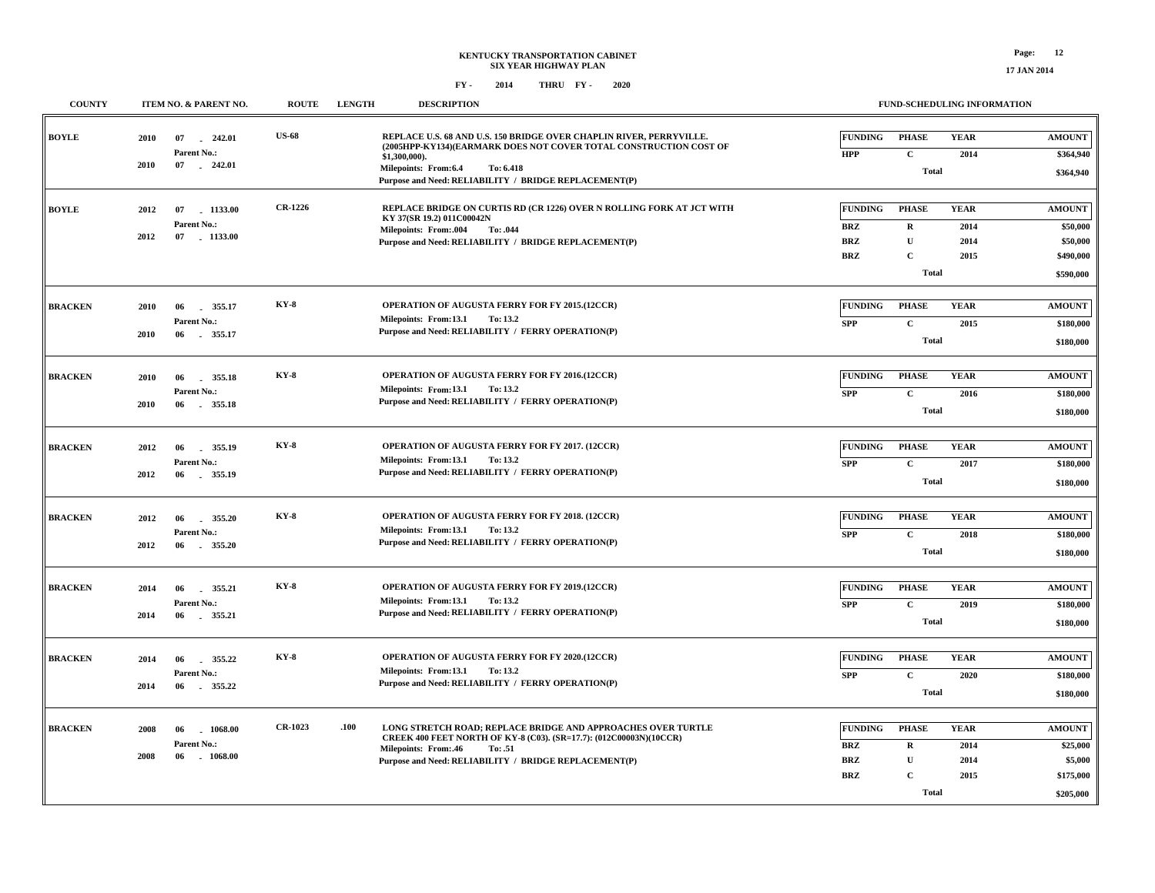| <b>COUNTY</b>  |      | ITEM NO. & PARENT NO.           | <b>ROUTE</b>   | <b>LENGTH</b> | <b>DESCRIPTION</b>                                                                                                                       |                          |                              | FUND-SCHEDULING INFORMATION |                        |
|----------------|------|---------------------------------|----------------|---------------|------------------------------------------------------------------------------------------------------------------------------------------|--------------------------|------------------------------|-----------------------------|------------------------|
| <b>BOYLE</b>   | 2010 | 242.01<br>07<br>Parent No.:     | <b>US-68</b>   |               | REPLACE U.S. 68 AND U.S. 150 BRIDGE OVER CHAPLIN RIVER, PERRYVILLE.<br>(2005HPP-KY134)(EARMARK DOES NOT COVER TOTAL CONSTRUCTION COST OF | <b>FUNDING</b>           | <b>PHASE</b>                 | <b>YEAR</b>                 | <b>AMOUNT</b>          |
|                | 2010 | 07 242.01                       |                |               | \$1,300,000).<br>To: 6.418<br>Milepoints: From:6.4<br>Purpose and Need: RELIABILITY / BRIDGE REPLACEMENT(P)                              | <b>HPP</b>               | $\mathbf{C}$<br><b>Total</b> | 2014                        | \$364,940<br>\$364,940 |
| <b>BOYLE</b>   | 2012 | 1133.00<br>07                   | <b>CR-1226</b> |               | REPLACE BRIDGE ON CURTIS RD (CR 1226) OVER N ROLLING FORK AT JCT WITH<br>KY 37(SR 19.2) 011C00042N                                       | <b>FUNDING</b>           | <b>PHASE</b>                 | <b>YEAR</b>                 | <b>AMOUNT</b>          |
|                | 2012 | Parent No.:<br>07 1133.00       |                |               | <b>Milepoints: From:.004</b><br>To: .044                                                                                                 | <b>BRZ</b>               | $\mathbf R$                  | 2014                        | \$50,000               |
|                |      |                                 |                |               | Purpose and Need: RELIABILITY / BRIDGE REPLACEMENT(P)                                                                                    | <b>BRZ</b>               | $\mathbf U$                  | 2014                        | \$50,000               |
|                |      |                                 |                |               |                                                                                                                                          | <b>BRZ</b>               | $\mathbf C$<br><b>Total</b>  | 2015                        | \$490,000<br>\$590,000 |
|                |      |                                 |                |               |                                                                                                                                          |                          |                              |                             |                        |
| <b>BRACKEN</b> | 2010 | 355.17<br>06                    | <b>KY-8</b>    |               | OPERATION OF AUGUSTA FERRY FOR FY 2015.(12CCR)                                                                                           | <b>FUNDING</b>           | <b>PHASE</b>                 | <b>YEAR</b>                 | <b>AMOUNT</b>          |
|                |      | Parent No.:                     |                |               | Milepoints: From:13.1<br>To: 13.2<br>Purpose and Need: RELIABILITY / FERRY OPERATION(P)                                                  | <b>SPP</b>               | $\mathbf{C}$                 | 2015                        | \$180,000              |
|                | 2010 | 06 355.17                       |                |               |                                                                                                                                          |                          | <b>Total</b>                 |                             | \$180,000              |
| <b>BRACKEN</b> | 2010 | 06<br>355.18                    | <b>KY-8</b>    |               | OPERATION OF AUGUSTA FERRY FOR FY 2016.(12CCR)                                                                                           | <b>FUNDING</b>           | <b>PHASE</b>                 | <b>YEAR</b>                 | <b>AMOUNT</b>          |
|                |      | Parent No.:                     |                |               | Milepoints: From:13.1<br>To: 13.2                                                                                                        | <b>SPP</b>               | $\mathbf{C}$                 | 2016                        | \$180,000              |
|                | 2010 | 06 355.18                       |                |               | Purpose and Need: RELIABILITY / FERRY OPERATION(P)                                                                                       |                          | <b>Total</b>                 |                             | \$180,000              |
|                |      |                                 |                |               |                                                                                                                                          |                          |                              |                             |                        |
| <b>BRACKEN</b> | 2012 | 355.19<br>06                    | $KY-8$         |               | OPERATION OF AUGUSTA FERRY FOR FY 2017. (12CCR)                                                                                          | <b>FUNDING</b>           | <b>PHASE</b>                 | <b>YEAR</b>                 | <b>AMOUNT</b>          |
|                |      | Parent No.:                     |                |               | Milepoints: From:13.1<br>To: 13.2<br>Purpose and Need: RELIABILITY / FERRY OPERATION(P)                                                  | <b>SPP</b>               | $\mathbf{C}$                 | 2017                        | \$180,000              |
|                | 2012 | 06<br>355.19                    |                |               |                                                                                                                                          |                          | <b>Total</b>                 |                             | \$180,000              |
| <b>BRACKEN</b> | 2012 | 06<br>355.20                    | <b>KY-8</b>    |               | OPERATION OF AUGUSTA FERRY FOR FY 2018. (12CCR)                                                                                          | <b>FUNDING</b>           | <b>PHASE</b>                 | <b>YEAR</b>                 | <b>AMOUNT</b>          |
|                |      | Parent No.:                     |                |               | Milepoints: From:13.1<br>To: 13.2                                                                                                        | <b>SPP</b>               | $\mathbf C$                  | 2018                        | \$180,000              |
|                | 2012 | $-355.20$<br>06                 |                |               | Purpose and Need: RELIABILITY / FERRY OPERATION(P)                                                                                       |                          | <b>Total</b>                 |                             | \$180,000              |
|                |      |                                 | $KY-8$         |               |                                                                                                                                          |                          |                              |                             |                        |
| <b>BRACKEN</b> | 2014 | 355.21<br>06<br>Parent No.:     |                |               | OPERATION OF AUGUSTA FERRY FOR FY 2019.(12CCR)<br>Milepoints: From:13.1<br>To: 13.2                                                      | <b>FUNDING</b>           | <b>PHASE</b>                 | <b>YEAR</b>                 | <b>AMOUNT</b>          |
|                | 2014 | 355.21<br>06                    |                |               | Purpose and Need: RELIABILITY / FERRY OPERATION(P)                                                                                       | <b>SPP</b>               | $\mathbf C$<br><b>Total</b>  | 2019                        | \$180,000<br>\$180,000 |
|                |      |                                 |                |               |                                                                                                                                          |                          |                              |                             |                        |
| <b>BRACKEN</b> | 2014 | 355.22<br>06                    | $KY-8$         |               | OPERATION OF AUGUSTA FERRY FOR FY 2020.(12CCR)                                                                                           | <b>FUNDING</b>           | <b>PHASE</b>                 | <b>YEAR</b>                 | <b>AMOUNT</b>          |
|                |      | Parent No.:                     |                |               | Milepoints: From:13.1<br>To: 13.2                                                                                                        | <b>SPP</b>               | $\mathbf{C}$                 | 2020                        | \$180,000              |
|                | 2014 | 06<br>355.22                    |                |               | Purpose and Need: RELIABILITY / FERRY OPERATION(P)                                                                                       |                          | <b>Total</b>                 |                             | \$180,000              |
|                |      |                                 |                |               |                                                                                                                                          |                          |                              |                             |                        |
| <b>BRACKEN</b> | 2008 | 1068.00<br>06                   | <b>CR-1023</b> | .100          | LONG STRETCH ROAD; REPLACE BRIDGE AND APPROACHES OVER TURTLE<br>CREEK 400 FEET NORTH OF KY-8 (C03). (SR=17.7): (012C00003N)(10CCR)       | <b>FUNDING</b>           | <b>PHASE</b>                 | <b>YEAR</b>                 | <b>AMOUNT</b>          |
|                | 2008 | Parent No.:<br>06<br>$-1068.00$ |                |               | Milepoints: From:.46<br>To: .51                                                                                                          | <b>BRZ</b><br><b>BRZ</b> | $\mathbf R$<br>$\mathbf U$   | 2014<br>2014                | \$25,000<br>\$5,000    |
|                |      |                                 |                |               | Purpose and Need: RELIABILITY / BRIDGE REPLACEMENT(P)                                                                                    | <b>BRZ</b>               | $\mathbf{C}$                 | 2015                        | \$175,000              |
|                |      |                                 |                |               |                                                                                                                                          |                          | <b>Total</b>                 |                             | \$205,000              |
|                |      |                                 |                |               |                                                                                                                                          |                          |                              |                             |                        |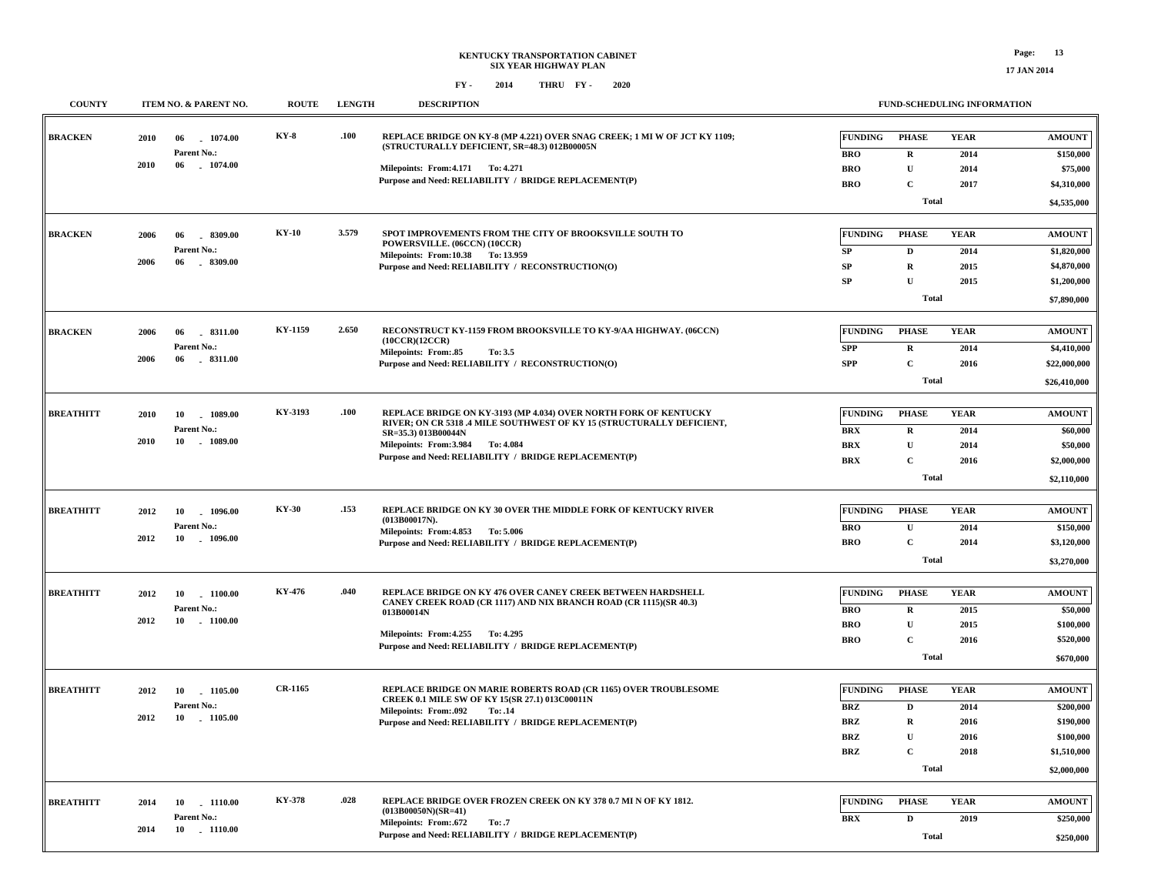**\$250,000**

**Total**

**FUND-SCHEDULING INFORMATION**

## **FY - FY - 2014 2020 THRU**

**COUNTY ITEM NO. & PARENT NO. ROUTE LENGTH DESCRIPTION**

| <b>BRACKEN</b>   | 2010 | 1074.00<br>06             | KY-8         | .100  | REPLACE BRIDGE ON KY-8 (MP 4.221) OVER SNAG CREEK; 1 MI W OF JCT KY 1109;                | <b>FUNDING</b>           | <b>PHASE</b>     | <b>YEAR</b>  | <b>AMOUNT</b>          |
|------------------|------|---------------------------|--------------|-------|------------------------------------------------------------------------------------------|--------------------------|------------------|--------------|------------------------|
|                  |      | Parent No.:               |              |       | (STRUCTURALLY DEFICIENT, SR=48.3) 012B00005N                                             | <b>BRO</b>               | $\mathbf R$      | 2014         | \$150,000              |
|                  | 2010 | 06<br>1074.00             |              |       | Milepoints: From: 4.171 To: 4.271                                                        | <b>BRO</b>               | $\mathbf{U}$     | 2014         | \$75,000               |
|                  |      |                           |              |       | Purpose and Need: RELIABILITY / BRIDGE REPLACEMENT(P)                                    | <b>BRO</b>               | $\mathbf{C}$     | 2017         | \$4,310,000            |
|                  |      |                           |              |       |                                                                                          |                          | <b>Total</b>     |              | \$4,535,000            |
|                  |      |                           |              |       |                                                                                          |                          |                  |              |                        |
| <b>BRACKEN</b>   | 2006 | 8309.00<br>06             | $KY-10$      | 3.579 | SPOT IMPROVEMENTS FROM THE CITY OF BROOKSVILLE SOUTH TO<br>POWERSVILLE. (06CCN) (10CCR)  | <b>FUNDING</b>           | <b>PHASE</b>     | <b>YEAR</b>  | <b>AMOUNT</b>          |
|                  |      | Parent No.:               |              |       | Milepoints: From:10.38 To:13.959                                                         | SP                       | $\mathbf D$      | 2014         | \$1,820,000            |
|                  | 2006 | 06<br>8309.00             |              |       | Purpose and Need: RELIABILITY / RECONSTRUCTION(O)                                        | SP                       | $\mathbf R$      | 2015         | \$4,870,000            |
|                  |      |                           |              |       |                                                                                          | SP                       | $\mathbf{U}$     | 2015         | \$1,200,000            |
|                  |      |                           |              |       |                                                                                          |                          | <b>Total</b>     |              | \$7,890,000            |
| <b>BRACKEN</b>   | 2006 | 06<br>8311.00             | KY-1159      | 2.650 | RECONSTRUCT KY-1159 FROM BROOKSVILLE TO KY-9/AA HIGHWAY. (06CCN)                         | <b>FUNDING</b>           | PHASE            | <b>YEAR</b>  | <b>AMOUNT</b>          |
|                  |      | Parent No.:               |              |       | (10CCR)(12CCR)<br>Milepoints: From: 85<br>To: 3.5                                        | <b>SPP</b>               | $\mathbf{R}$     | 2014         | \$4,410,000            |
|                  | 2006 | 06 . 8311.00              |              |       | Purpose and Need: RELIABILITY / RECONSTRUCTION(O)                                        | <b>SPP</b>               | $\mathbf{C}$     | 2016         | \$22,000,000           |
|                  |      |                           |              |       |                                                                                          |                          | <b>Total</b>     |              | \$26,410,000           |
| <b>BREATHITT</b> | 2010 | 1089.00<br>10             | KY-3193      | .100  | REPLACE BRIDGE ON KY-3193 (MP 4.034) OVER NORTH FORK OF KENTUCKY                         | <b>FUNDING</b>           | <b>PHASE</b>     | <b>YEAR</b>  | <b>AMOUNT</b>          |
|                  |      | Parent No.:               |              |       | RIVER; ON CR 5318 .4 MILE SOUTHWEST OF KY 15 (STRUCTURALLY DEFICIENT,                    | <b>BRX</b>               | $\mathbf R$      | 2014         | \$60,000               |
|                  | 2010 | 10 1089.00                |              |       | SR=35.3) 013B00044N<br>Milepoints: From: 3.984 To: 4.084                                 | <b>BRX</b>               | $\mathbf{U}$     | 2014         | \$50,000               |
|                  |      |                           |              |       | Purpose and Need: RELIABILITY / BRIDGE REPLACEMENT(P)                                    | <b>BRX</b>               | $\mathbf{C}$     | 2016         | \$2,000,000            |
|                  |      |                           |              |       |                                                                                          |                          | <b>Total</b>     |              | \$2,110,000            |
|                  |      |                           |              |       |                                                                                          |                          |                  |              |                        |
| <b>BREATHITT</b> | 2012 | 10 1096.00                | <b>KY-30</b> | .153  | REPLACE BRIDGE ON KY 30 OVER THE MIDDLE FORK OF KENTUCKY RIVER                           | <b>FUNDING</b>           | <b>PHASE</b>     | <b>YEAR</b>  | <b>AMOUNT</b>          |
|                  |      | Parent No.:               |              |       | (013B00017N).<br>Milepoints: From: 4.853 To: 5.006                                       | <b>BRO</b>               | $\mathbf U$      | 2014         | \$150,000              |
|                  | 2012 | 10 - 1096.00              |              |       | Purpose and Need: RELIABILITY / BRIDGE REPLACEMENT(P)                                    | <b>BRO</b>               | $\mathbf{C}$     | 2014         | \$3,120,000            |
|                  |      |                           |              |       |                                                                                          |                          | <b>Total</b>     |              | \$3,270,000            |
| <b>BREATHITT</b> | 2012 | 10<br>$-1100.00$          | KY-476       | .040  | REPLACE BRIDGE ON KY 476 OVER CANEY CREEK BETWEEN HARDSHELL                              | <b>FUNDING</b>           | <b>PHASE</b>     | <b>YEAR</b>  | <b>AMOUNT</b>          |
|                  |      | Parent No.:               |              |       | CANEY CREEK ROAD (CR 1117) AND NIX BRANCH ROAD (CR 1115)(SR 40.3)<br>013B00014N          | <b>BRO</b>               | $\mathbf R$      | 2015         | \$50,000               |
|                  | 2012 | 10 1100.00                |              |       |                                                                                          | <b>BRO</b>               | $\mathbf{U}$     | 2015         | \$100,000              |
|                  |      |                           |              |       | Milepoints: From: 4.255 To: 4.295                                                        | <b>BRO</b>               | $\mathbf{C}$     | 2016         | \$520,000              |
|                  |      |                           |              |       | Purpose and Need: RELIABILITY / BRIDGE REPLACEMENT(P)                                    |                          | Total            |              | \$670,000              |
| <b>BREATHITT</b> |      |                           | CR-1165      |       | REPLACE BRIDGE ON MARIE ROBERTS ROAD (CR 1165) OVER TROUBLESOME                          | <b>FUNDING</b>           | <b>PHASE</b>     | <b>YEAR</b>  | <b>AMOUNT</b>          |
|                  | 2012 | 10 1105.00<br>Parent No.: |              |       | CREEK 0.1 MILE SW OF KY 15(SR 27.1) 013C00011N                                           |                          |                  |              |                        |
|                  | 2012 | 10 1105.00                |              |       | <b>Milepoints: From:.092</b><br>To: .14                                                  | <b>BRZ</b><br><b>BRZ</b> | D<br>$\mathbf R$ | 2014<br>2016 | \$200,000<br>\$190,000 |
|                  |      |                           |              |       | Purpose and Need: RELIABILITY / BRIDGE REPLACEMENT(P)                                    | <b>BRZ</b>               | $\mathbf{U}$     | 2016         | \$100,000              |
|                  |      |                           |              |       |                                                                                          | <b>BRZ</b>               | $\mathbf{C}$     | 2018         | \$1,510,000            |
|                  |      |                           |              |       |                                                                                          |                          | <b>Total</b>     |              |                        |
|                  |      |                           |              |       |                                                                                          |                          |                  |              | \$2,000,000            |
| <b>BREATHITT</b> | 2014 | 10 1110.00                | KY-378       | .028  | REPLACE BRIDGE OVER FROZEN CREEK ON KY 378 0.7 MI N OF KY 1812.<br>$(013B00050N)(SR=41)$ | <b>FUNDING</b>           | <b>PHASE</b>     | <b>YEAR</b>  | <b>AMOUNT</b>          |
|                  |      | Parent No.:               |              |       | <b>Milepoints: From:.672</b><br>To: .7                                                   | <b>BRX</b>               | $\mathbf D$      | 2019         | \$250,000              |
|                  | 2014 | 10 1110.00                |              |       | Purpose and Need: RELIABILITY / BRIDGE REPLACEMENT(P)                                    |                          | Total            |              | <b>\$250,000</b>       |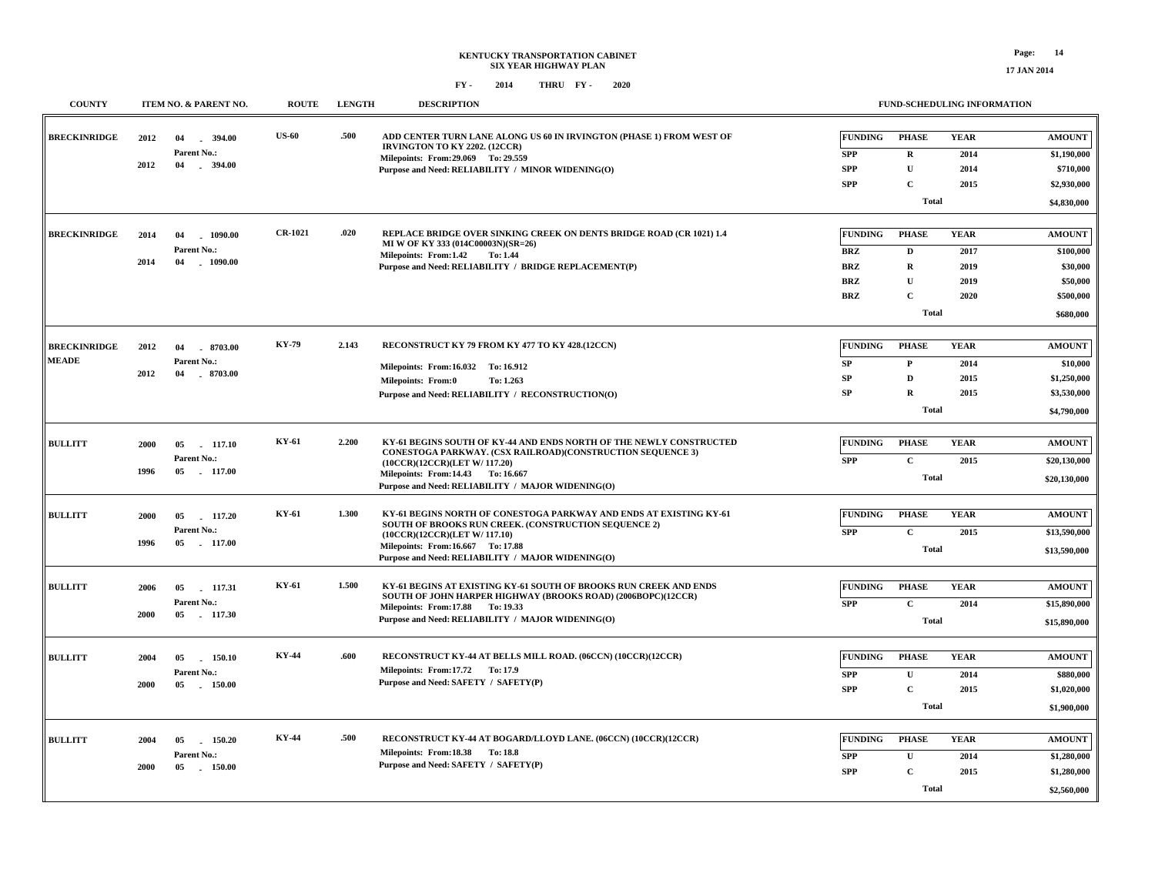| <b>COUNTY</b>                       | ITEM NO. & PARENT NO.                                               | <b>ROUTE</b>   | <b>LENGTH</b> | <b>DESCRIPTION</b>                                                                                                                                                                                                                                           |                                                                 | <b>FUND-SCHEDULING INFORMATION</b>                                                        |                                             |                                                                              |
|-------------------------------------|---------------------------------------------------------------------|----------------|---------------|--------------------------------------------------------------------------------------------------------------------------------------------------------------------------------------------------------------------------------------------------------------|-----------------------------------------------------------------|-------------------------------------------------------------------------------------------|---------------------------------------------|------------------------------------------------------------------------------|
| <b>BRECKINRIDGE</b>                 | 2012<br>04<br>394.00<br>Parent No.:<br>2012<br>04<br>$-394.00$      | <b>US-60</b>   | .500          | ADD CENTER TURN LANE ALONG US 60 IN IRVINGTON (PHASE 1) FROM WEST OF<br>IRVINGTON TO KY 2202. (12CCR)<br>Milepoints: From: 29.069 To: 29.559<br>Purpose and Need: RELIABILITY / MINOR WIDENING(O)                                                            | <b>FUNDING</b><br><b>SPP</b><br>SPP<br><b>SPP</b>               | <b>PHASE</b><br>$\mathbf R$<br>${\bf U}$<br>$\mathbf c$<br><b>Total</b>                   | <b>YEAR</b><br>2014<br>2014<br>2015         | <b>AMOUNT</b><br>\$1,190,000<br>\$710,000<br>\$2,930,000<br>\$4,830,000      |
| <b>BRECKINRIDGE</b>                 | 2014<br>04<br>$-1090.00$<br>Parent No.:<br>2014<br>04<br>$-1090.00$ | <b>CR-1021</b> | .020          | REPLACE BRIDGE OVER SINKING CREEK ON DENTS BRIDGE ROAD (CR 1021) 1.4<br>MI W OF KY 333 (014C00003N)(SR=26)<br>Milepoints: From:1.42<br><b>To: 1.44</b><br>Purpose and Need: RELIABILITY / BRIDGE REPLACEMENT(P)                                              | <b>FUNDING</b><br><b>BRZ</b><br><b>BRZ</b><br>BRZ<br><b>BRZ</b> | <b>PHASE</b><br>$\mathbf D$<br>$\mathbf R$<br>$\mathbf{U}$<br>$\mathbf C$<br><b>Total</b> | <b>YEAR</b><br>2017<br>2019<br>2019<br>2020 | <b>AMOUNT</b><br>\$100,000<br>\$30,000<br>\$50,000<br>\$500,000<br>\$680,000 |
| <b>BRECKINRIDGE</b><br><b>MEADE</b> | 2012<br>8703.00<br>04<br>Parent No.:<br>$-8703.00$<br>2012<br>04    | <b>KY-79</b>   | 2.143         | RECONSTRUCT KY 79 FROM KY 477 TO KY 428.(12CCN)<br>Milepoints: From:16.032 To: 16.912<br><b>Milepoints: From:0</b><br>To: 1.263<br>Purpose and Need: RELIABILITY / RECONSTRUCTION(O)                                                                         | <b>FUNDING</b><br>SP<br>SP<br>SP                                | <b>PHASE</b><br>$\mathbf{P}$<br>$\mathbf D$<br>$\mathbf R$<br><b>Total</b>                | <b>YEAR</b><br>2014<br>2015<br>2015         | <b>AMOUNT</b><br>\$10,000<br>\$1,250,000<br>\$3,530,000<br>\$4,790,000       |
| <b>BULLITT</b>                      | 2000<br>05<br>117.10<br>Parent No.:<br>1996<br>05 117.00            | KY-61          | 2.200         | KY-61 BEGINS SOUTH OF KY-44 AND ENDS NORTH OF THE NEWLY CONSTRUCTED<br>CONESTOGA PARKWAY. (CSX RAILROAD)(CONSTRUCTION SEQUENCE 3)<br>(10CCR)(12CCR)(LET W/ 117.20)<br>Milepoints: From:14.43 To: 16.667<br>Purpose and Need: RELIABILITY / MAJOR WIDENING(O) | <b>FUNDING</b><br><b>SPP</b>                                    | <b>PHASE</b><br>$\mathbf{C}$<br><b>Total</b>                                              | <b>YEAR</b><br>2015                         | <b>AMOUNT</b><br>\$20,130,000<br>\$20,130,000                                |
| <b>BULLITT</b>                      | 2000<br>05<br>117.20<br>Parent No.:<br>05 117.00<br>1996            | KY-61          | 1.300         | KY-61 BEGINS NORTH OF CONESTOGA PARKWAY AND ENDS AT EXISTING KY-61<br>SOUTH OF BROOKS RUN CREEK. (CONSTRUCTION SEQUENCE 2)<br>(10CCR)(12CCR)(LET W/ 117.10)<br>Milepoints: From:16.667 To: 17.88<br>Purpose and Need: RELIABILITY / MAJOR WIDENING(O)        | <b>FUNDING</b><br><b>SPP</b>                                    | <b>PHASE</b><br>$\mathbf C$<br><b>Total</b>                                               | <b>YEAR</b><br>2015                         | <b>AMOUNT</b><br>\$13,590,000<br>\$13,590,000                                |
| <b>BULLITT</b>                      | 2006<br>117.31<br>05<br>Parent No.:<br>2000<br>05 117.30            | KY-61          | 1.500         | KY-61 BEGINS AT EXISTING KY-61 SOUTH OF BROOKS RUN CREEK AND ENDS<br>SOUTH OF JOHN HARPER HIGHWAY (BROOKS ROAD) (2006BOPC)(12CCR)<br>Milepoints: From:17.88 To: 19.33<br>Purpose and Need: RELIABILITY / MAJOR WIDENING(O)                                   | <b>FUNDING</b><br><b>SPP</b>                                    | <b>PHASE</b><br>$\mathbf C$<br><b>Total</b>                                               | <b>YEAR</b><br>2014                         | <b>AMOUNT</b><br>\$15,890,000<br>\$15,890,000                                |
| <b>BULLITT</b>                      | 2004<br>05<br>150.10<br>Parent No.:<br>2000<br>05<br>150.00         | KY-44          | .600          | RECONSTRUCT KY-44 AT BELLS MILL ROAD. (06CCN) (10CCR)(12CCR)<br>Milepoints: From:17.72 To: 17.9<br>Purpose and Need: SAFETY / SAFETY(P)                                                                                                                      | <b>FUNDING</b><br><b>SPP</b><br><b>SPP</b>                      | <b>PHASE</b><br>$\mathbf U$<br>$\mathbf{C}$<br>Total                                      | <b>YEAR</b><br>2014<br>2015                 | <b>AMOUNT</b><br>\$880,000<br>\$1,020,000<br>\$1,900,000                     |
| <b>BULLITT</b>                      | 2004<br>150.20<br>05<br>Parent No.:<br>2000<br>05 150.00            | KY-44          | .500          | RECONSTRUCT KY-44 AT BOGARD/LLOYD LANE. (06CCN) (10CCR)(12CCR)<br>Milepoints: From:18.38 To:18.8<br>Purpose and Need: SAFETY / SAFETY(P)                                                                                                                     | <b>FUNDING</b><br><b>SPP</b><br><b>SPP</b>                      | <b>PHASE</b><br>$\mathbf{U}$<br>$\mathbf{C}$<br><b>Total</b>                              | <b>YEAR</b><br>2014<br>2015                 | <b>AMOUNT</b><br>\$1,280,000<br>\$1,280,000<br>\$2,560,000                   |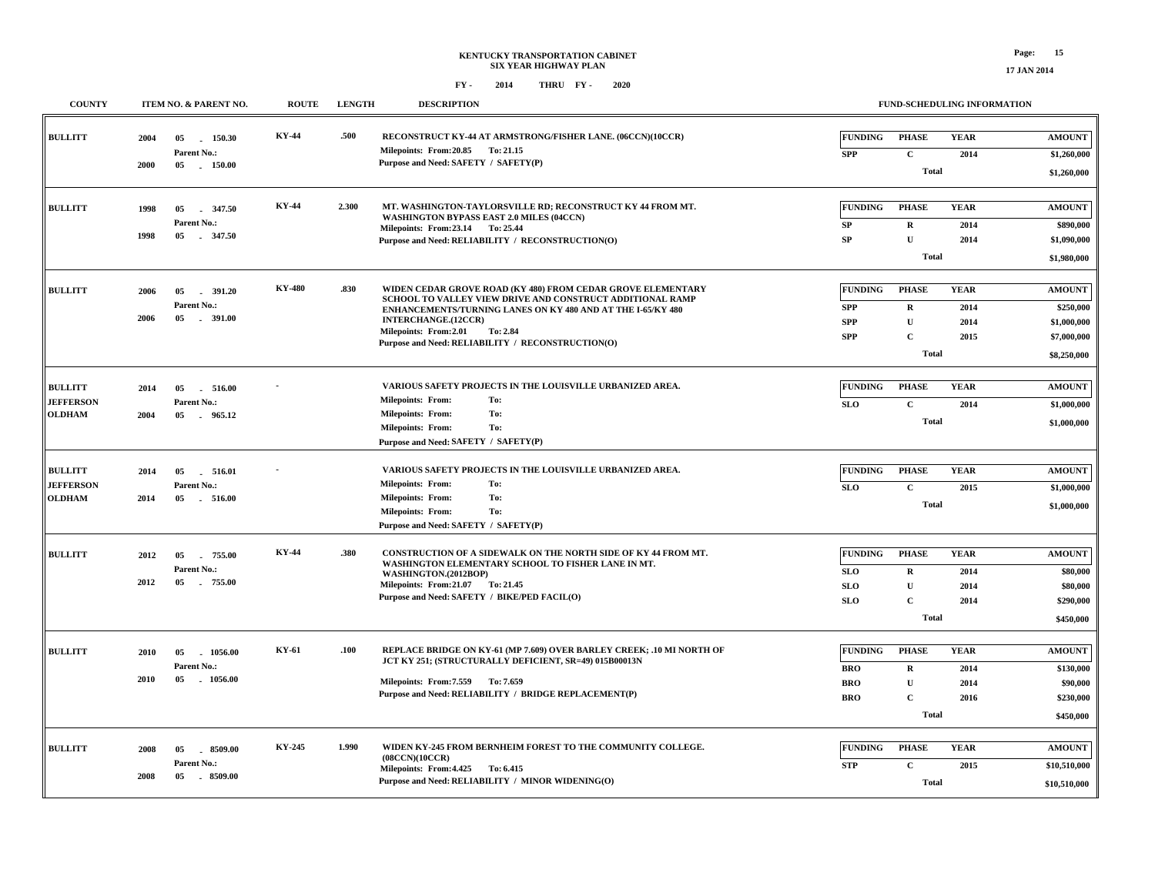| <b>COUNTY</b>                                       | ITEM NO. & PARENT NO.                                                 | <b>ROUTE</b>  | <b>LENGTH</b> | <b>DESCRIPTION</b>                                                                                                                                                                                                                                                                                              |                                                          |                                                                                            | FUND-SCHEDULING INFORMATION         |                                                                                        |
|-----------------------------------------------------|-----------------------------------------------------------------------|---------------|---------------|-----------------------------------------------------------------------------------------------------------------------------------------------------------------------------------------------------------------------------------------------------------------------------------------------------------------|----------------------------------------------------------|--------------------------------------------------------------------------------------------|-------------------------------------|----------------------------------------------------------------------------------------|
| <b>BULLITT</b>                                      | 2004<br>05<br>150.30<br><b>Parent No.:</b><br>2000<br>05<br>$-150.00$ | KY-44         | .500          | RECONSTRUCT KY-44 AT ARMSTRONG/FISHER LANE. (06CCN)(10CCR)<br>Milepoints: From: 20.85 To: 21.15<br>Purpose and Need: SAFETY / SAFETY(P)                                                                                                                                                                         | <b>FUNDING</b><br><b>SPP</b>                             | <b>PHASE</b><br>$\mathbf C$<br><b>Total</b>                                                | <b>YEAR</b><br>2014                 | <b>AMOUNT</b><br>\$1,260,000<br>\$1,260,000                                            |
| <b>BULLITT</b>                                      | 1998<br>05<br>347.50<br><b>Parent No.:</b><br>1998<br>05<br>$-347.50$ | <b>KY-44</b>  | 2.300         | MT. WASHINGTON-TAYLORSVILLE RD: RECONSTRUCT KY 44 FROM MT.<br>WASHINGTON BYPASS EAST 2.0 MILES (04CCN)<br>Milepoints: From: 23.14 To: 25.44<br>Purpose and Need: RELIABILITY / RECONSTRUCTION(O)                                                                                                                | <b>FUNDING</b><br>SP<br><b>SP</b>                        | <b>PHASE</b><br>$\mathbf R$<br>$\mathbf{U}$                                                | <b>YEAR</b><br>2014<br>2014         | <b>AMOUNT</b><br>\$890,000<br>\$1,090,000                                              |
| <b>BULLITT</b>                                      | 2006<br>05<br>391.20<br>Parent No.:<br>05<br>. 391.00<br>2006         | <b>KY-480</b> | .830          | WIDEN CEDAR GROVE ROAD (KY 480) FROM CEDAR GROVE ELEMENTARY<br>SCHOOL TO VALLEY VIEW DRIVE AND CONSTRUCT ADDITIONAL RAMP<br>ENHANCEMENTS/TURNING LANES ON KY 480 AND AT THE I-65/KY 480<br><b>INTERCHANGE.(12CCR)</b><br>Milepoints: From:2.01<br>To: 2.84<br>Purpose and Need: RELIABILITY / RECONSTRUCTION(O) | <b>FUNDING</b><br><b>SPP</b><br><b>SPP</b><br><b>SPP</b> | <b>Total</b><br><b>PHASE</b><br>$\mathbf R$<br>$\mathbf U$<br>$\mathbf{C}$<br><b>Total</b> | <b>YEAR</b><br>2014<br>2014<br>2015 | \$1,980,000<br><b>AMOUNT</b><br>\$250,000<br>\$1,000,000<br>\$7,000,000<br>\$8,250,000 |
| <b>BULLITT</b><br><b>JEFFERSON</b><br><b>OLDHAM</b> | 05<br>516.00<br>2014<br>Parent No.:<br>2004<br>05<br>965.12           |               |               | VARIOUS SAFETY PROJECTS IN THE LOUISVILLE URBANIZED AREA.<br><b>Milepoints: From:</b><br>To:<br><b>Milepoints: From:</b><br>To:<br><b>Milepoints: From:</b><br>To:<br>Purpose and Need: SAFETY / SAFETY(P)                                                                                                      | FUNDING<br><b>SLO</b>                                    | <b>PHASE</b><br>$\mathbf{C}$<br>Total                                                      | <b>YEAR</b><br>2014                 | <b>AMOUNT</b><br>\$1,000,000<br>\$1,000,000                                            |
| <b>BULLITT</b><br><b>JEFFERSON</b><br><b>OLDHAM</b> | 05<br>516.01<br>2014<br>Parent No.:<br>2014<br>05<br>516.00           |               |               | VARIOUS SAFETY PROJECTS IN THE LOUISVILLE URBANIZED AREA.<br><b>Milepoints: From:</b><br>To:<br><b>Milepoints: From:</b><br>To:<br><b>Milepoints: From:</b><br>To:<br>Purpose and Need: SAFETY / SAFETY(P)                                                                                                      | <b>FUNDING</b><br><b>SLO</b>                             | <b>PHASE</b><br>$\mathbf C$<br>Total                                                       | <b>YEAR</b><br>2015                 | <b>AMOUNT</b><br>\$1,000,000<br>\$1,000,000                                            |
| <b>BULLITT</b>                                      | 755.00<br>2012<br>05<br>Parent No.:<br>2012<br>05<br>755.00           | <b>KY-44</b>  | .380          | CONSTRUCTION OF A SIDEWALK ON THE NORTH SIDE OF KY 44 FROM MT.<br>WASHINGTON ELEMENTARY SCHOOL TO FISHER LANE IN MT.<br>WASHINGTON.(2012BOP)<br>Milepoints: From: 21.07 To: 21.45<br>Purpose and Need: SAFETY / BIKE/PED FACIL(O)                                                                               | <b>FUNDING</b><br><b>SLO</b><br><b>SLO</b><br><b>SLO</b> | <b>PHASE</b><br>$\mathbf R$<br>${\bf U}$<br>$\mathbf C$<br>Total                           | <b>YEAR</b><br>2014<br>2014<br>2014 | <b>AMOUNT</b><br>\$80,000<br>\$80,000<br>\$290,000<br>\$450,000                        |
| <b>BULLITT</b>                                      | 2010<br>05<br>1056.00<br>Parent No.:<br>2010<br>05<br>$-1056.00$      | KY-61         | .100          | REPLACE BRIDGE ON KY-61 (MP 7.609) OVER BARLEY CREEK; .10 MI NORTH OF<br>JCT KY 251; (STRUCTURALLY DEFICIENT, SR=49) 015B00013N<br>Milepoints: From: 7.559 To: 7.659<br>Purpose and Need: RELIABILITY / BRIDGE REPLACEMENT(P)                                                                                   | <b>FUNDING</b><br><b>BRO</b><br><b>BRO</b><br><b>BRO</b> | <b>PHASE</b><br>$\mathbf R$<br>$\mathbf U$<br>$\mathbf C$<br>Total                         | <b>YEAR</b><br>2014<br>2014<br>2016 | <b>AMOUNT</b><br>\$130,000<br>\$90,000<br>\$230,000<br>\$450,000                       |
| <b>BULLITT</b>                                      | 2008<br>05<br>$-8509.00$<br>Parent No.:<br>2008<br>05<br>8509.00      | KY-245        | 1.990         | WIDEN KY-245 FROM BERNHEIM FOREST TO THE COMMUNITY COLLEGE.<br>(08CCN)(10CCR)<br>Milepoints: From: 4.425 To: 6.415<br>Purpose and Need: RELIABILITY / MINOR WIDENING(O)                                                                                                                                         | <b>FUNDING</b><br><b>STP</b>                             | <b>PHASE</b><br>$\mathbf C$<br>Total                                                       | <b>YEAR</b><br>2015                 | <b>AMOUNT</b><br>\$10,510,000<br>\$10,510,000                                          |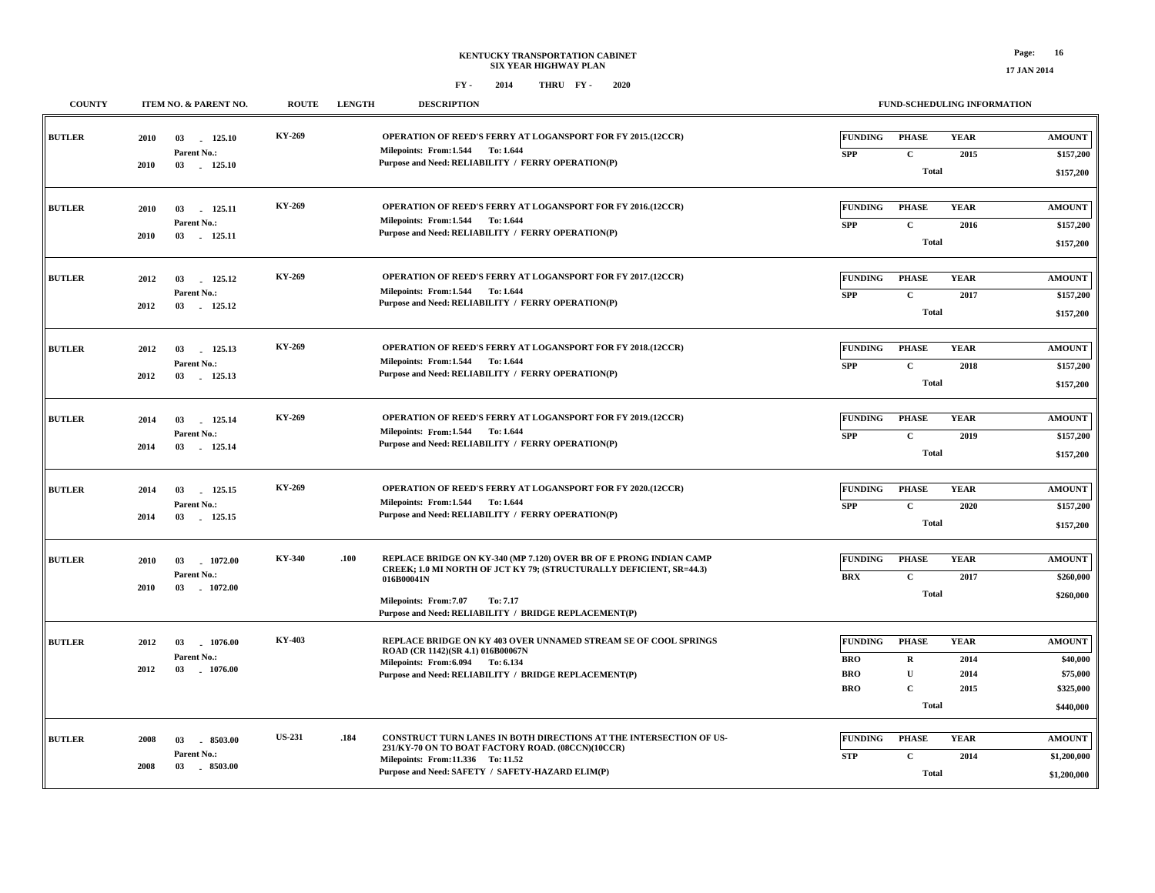| <b>COUNTY</b> |              | ITEM NO. & PARENT NO.                            | <b>ROUTE</b>  | <b>LENGTH</b> | <b>DESCRIPTION</b>                                                                                                                                                                                                                                     |                                                          |                                                                            | FUND-SCHEDULING INFORMATION         |                                                                 |
|---------------|--------------|--------------------------------------------------|---------------|---------------|--------------------------------------------------------------------------------------------------------------------------------------------------------------------------------------------------------------------------------------------------------|----------------------------------------------------------|----------------------------------------------------------------------------|-------------------------------------|-----------------------------------------------------------------|
| <b>BUTLER</b> | 2010<br>2010 | 03 125.10<br>Parent No.:<br>03 - 125.10          | KY-269        |               | <b>OPERATION OF REED'S FERRY AT LOGANSPORT FOR FY 2015.(12CCR)</b><br>Milepoints: From:1.544 To:1.644<br>Purpose and Need: RELIABILITY / FERRY OPERATION(P)                                                                                            | <b>FUNDING</b><br><b>SPP</b>                             | <b>PHASE</b><br>$\mathbf C$<br><b>Total</b>                                | <b>YEAR</b><br>2015                 | <b>AMOUNT</b><br>\$157,200                                      |
| <b>BUTLER</b> | 2010         | 03<br>125.11<br>Parent No.:                      | KY-269        |               | <b>OPERATION OF REED'S FERRY AT LOGANSPORT FOR FY 2016.(12CCR)</b><br>Milepoints: From:1.544 To:1.644                                                                                                                                                  | <b>FUNDING</b><br><b>SPP</b>                             | <b>PHASE</b><br>$\mathbf C$                                                | <b>YEAR</b><br>2016                 | \$157,200<br><b>AMOUNT</b><br>\$157,200                         |
|               | 2010         | 03 125.11                                        |               |               | Purpose and Need: RELIABILITY / FERRY OPERATION(P)                                                                                                                                                                                                     |                                                          | Total                                                                      |                                     | \$157,200                                                       |
| <b>BUTLER</b> | 2012<br>2012 | 03<br>125.12<br>Parent No.:<br>03 125.12         | KY-269        |               | OPERATION OF REED'S FERRY AT LOGANSPORT FOR FY 2017.(12CCR)<br>Milepoints: From:1.544 To:1.644<br>Purpose and Need: RELIABILITY / FERRY OPERATION(P)                                                                                                   | <b>FUNDING</b><br><b>SPP</b>                             | <b>PHASE</b><br>$\mathbf C$<br><b>Total</b>                                | <b>YEAR</b><br>2017                 | <b>AMOUNT</b><br>\$157,200<br>\$157,200                         |
| <b>BUTLER</b> | 2012<br>2012 | 03 125.13<br>Parent No.:<br>03<br>125.13         | KY-269        |               | OPERATION OF REED'S FERRY AT LOGANSPORT FOR FY 2018.(12CCR)<br>Milepoints: From:1.544 To:1.644<br>Purpose and Need: RELIABILITY / FERRY OPERATION(P)                                                                                                   | <b>FUNDING</b><br><b>SPP</b>                             | <b>PHASE</b><br>$\mathbf C$<br><b>Total</b>                                | <b>YEAR</b><br>2018                 | <b>AMOUNT</b><br>\$157,200<br>\$157,200                         |
| <b>BUTLER</b> | 2014<br>2014 | 03<br>125.14<br>Parent No.:<br>03<br>125.14      | KY-269        |               | OPERATION OF REED'S FERRY AT LOGANSPORT FOR FY 2019.(12CCR)<br>Milepoints: From:1.544 To:1.644<br>Purpose and Need: RELIABILITY / FERRY OPERATION(P)                                                                                                   | <b>FUNDING</b><br><b>SPP</b>                             | <b>PHASE</b><br>$\mathbf{C}$<br><b>Total</b>                               | <b>YEAR</b><br>2019                 | <b>AMOUNT</b><br>\$157,200<br>\$157,200                         |
| <b>BUTLER</b> | 2014<br>2014 | 03<br>125.15<br>Parent No.:<br>03<br>125.15      | KY-269        |               | OPERATION OF REED'S FERRY AT LOGANSPORT FOR FY 2020.(12CCR)<br>Milepoints: From:1.544 To: 1.644<br>Purpose and Need: RELIABILITY / FERRY OPERATION(P)                                                                                                  | <b>FUNDING</b><br><b>SPP</b>                             | <b>PHASE</b><br>$\mathbf C$<br><b>Total</b>                                | <b>YEAR</b><br>2020                 | <b>AMOUNT</b><br>\$157,200<br>\$157,200                         |
| <b>BUTLER</b> | 2010<br>2010 | 03<br>1072.00<br>Parent No.:<br>03<br>1072.00    | <b>KY-340</b> | .100          | REPLACE BRIDGE ON KY-340 (MP 7.120) OVER BR OF E PRONG INDIAN CAMP<br>CREEK; 1.0 MI NORTH OF JCT KY 79; (STRUCTURALLY DEFICIENT, SR=44.3)<br>016B00041N<br>Milepoints: From: 7.07<br>To: 7.17<br>Purpose and Need: RELIABILITY / BRIDGE REPLACEMENT(P) | <b>FUNDING</b><br><b>BRX</b>                             | <b>PHASE</b><br>$\mathbf C$<br><b>Total</b>                                | <b>YEAR</b><br>2017                 | <b>AMOUNT</b><br>\$260,000<br>\$260,000                         |
| <b>BUTLER</b> | 2012<br>2012 | 03<br>1076.00<br>Parent No.:<br>03<br>$-1076.00$ | <b>KY-403</b> |               | REPLACE BRIDGE ON KY 403 OVER UNNAMED STREAM SE OF COOL SPRINGS<br>ROAD (CR 1142)(SR 4.1) 016B00067N<br>Milepoints: From: 6.094 To: 6.134<br>Purpose and Need: RELIABILITY / BRIDGE REPLACEMENT(P)                                                     | <b>FUNDING</b><br><b>BRO</b><br><b>BRO</b><br><b>BRO</b> | <b>PHASE</b><br>$\mathbf R$<br>$\mathbf{U}$<br>$\mathbf C$<br><b>Total</b> | <b>YEAR</b><br>2014<br>2014<br>2015 | <b>AMOUNT</b><br>\$40,000<br>\$75,000<br>\$325,000<br>\$440,000 |
| <b>BUTLER</b> | 2008<br>2008 | 03<br>8503.00<br>Parent No.:<br>$-8503.00$<br>03 | <b>US-231</b> | .184          | CONSTRUCT TURN LANES IN BOTH DIRECTIONS AT THE INTERSECTION OF US-<br>231/KY-70 ON TO BOAT FACTORY ROAD. (08CCN)(10CCR)<br>Milepoints: From:11.336 To: 11.52<br>Purpose and Need: SAFETY / SAFETY-HAZARD ELIM(P)                                       | <b>FUNDING</b><br><b>STP</b>                             | <b>PHASE</b><br>$\mathbf C$<br><b>Total</b>                                | <b>YEAR</b><br>2014                 | <b>AMOUNT</b><br>\$1,200,000<br>\$1,200,000                     |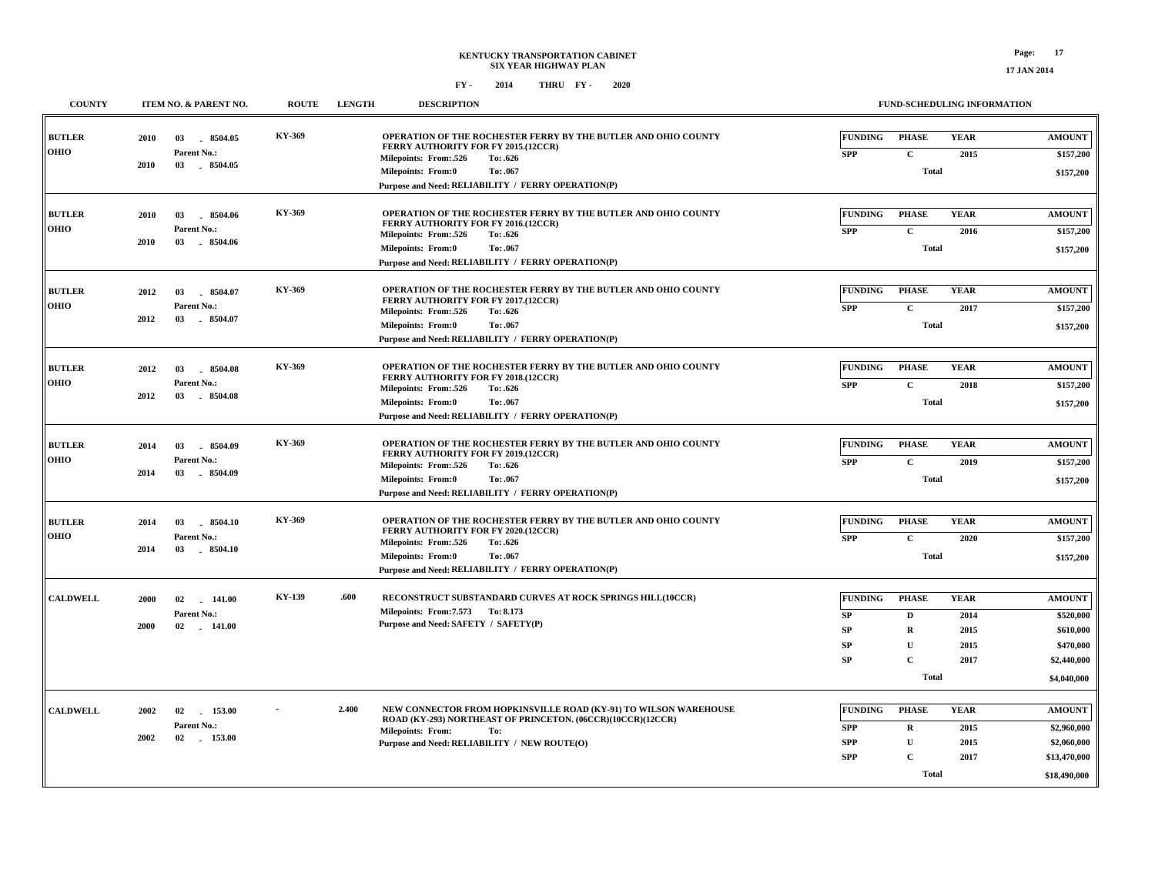|  | <b>17 JAN 201</b> |  |
|--|-------------------|--|
|  |                   |  |

| <b>COUNTY</b>                |      | ITEM NO. & PARENT NO.           | <b>ROUTE</b> | <b>LENGTH</b> | <b>DESCRIPTION</b>                                                                                                              |                          | FUND-SCHEDULING INFORMATION |              |                             |
|------------------------------|------|---------------------------------|--------------|---------------|---------------------------------------------------------------------------------------------------------------------------------|--------------------------|-----------------------------|--------------|-----------------------------|
| <b>BUTLER</b>                | 2010 | 03<br>8504.05                   | KY-369       |               | OPERATION OF THE ROCHESTER FERRY BY THE BUTLER AND OHIO COUNTY<br>FERRY AUTHORITY FOR FY 2015.(12CCR)                           | <b>FUNDING</b>           | <b>PHASE</b>                | <b>YEAR</b>  | <b>AMOUNT</b>               |
| <b>OHIO</b>                  |      | Parent No.:                     |              |               | Milepoints: From:.526<br>To: .626                                                                                               | <b>SPP</b>               | $\mathbf{C}$                | 2015         | \$157,200                   |
|                              | 2010 | 03<br>8504.05                   |              |               | Milepoints: From:0<br>To: .067                                                                                                  |                          | <b>Total</b>                |              | \$157,200                   |
|                              |      |                                 |              |               | Purpose and Need: RELIABILITY / FERRY OPERATION(P)                                                                              |                          |                             |              |                             |
|                              |      |                                 | KY-369       |               | OPERATION OF THE ROCHESTER FERRY BY THE BUTLER AND OHIO COUNTY                                                                  | <b>FUNDING</b>           | <b>PHASE</b>                | <b>YEAR</b>  | <b>AMOUNT</b>               |
| <b>BUTLER</b><br><b>OHIO</b> | 2010 | 03<br>8504.06<br>Parent No.:    |              |               | FERRY AUTHORITY FOR FY 2016.(12CCR)                                                                                             |                          |                             |              |                             |
|                              | 2010 | 03<br>8504.06                   |              |               | Milepoints: From:.526<br>To: .626                                                                                               | <b>SPP</b>               | $\mathbf{C}$                | 2016         | \$157,200                   |
|                              |      |                                 |              |               | <b>Milepoints: From:0</b><br>To: .067<br>Purpose and Need: RELIABILITY / FERRY OPERATION(P)                                     |                          | <b>Total</b>                |              | \$157,200                   |
|                              |      |                                 |              |               |                                                                                                                                 |                          |                             |              |                             |
| <b>BUTLER</b>                | 2012 | 03<br>8504.07                   | KY-369       |               | OPERATION OF THE ROCHESTER FERRY BY THE BUTLER AND OHIO COUNTY                                                                  | FUNDING                  | <b>PHASE</b>                | <b>YEAR</b>  | <b>AMOUNT</b>               |
| OHIO                         |      | Parent No.:                     |              |               | FERRY AUTHORITY FOR FY 2017.(12CCR)<br>Milepoints: From:.526<br>To: .626                                                        | <b>SPP</b>               | $\mathbf{C}$                | 2017         | \$157,200                   |
|                              | 2012 | 03<br>$-8504.07$                |              |               | <b>Milepoints: From:0</b><br>To: .067                                                                                           |                          | <b>Total</b>                |              | \$157,200                   |
|                              |      |                                 |              |               | Purpose and Need: RELIABILITY / FERRY OPERATION(P)                                                                              |                          |                             |              |                             |
|                              |      |                                 |              |               |                                                                                                                                 |                          |                             |              |                             |
| <b>BUTLER</b>                | 2012 | 8504.08<br>03                   | KY-369       |               | OPERATION OF THE ROCHESTER FERRY BY THE BUTLER AND OHIO COUNTY<br>FERRY AUTHORITY FOR FY 2018.(12CCR)                           | <b>FUNDING</b>           | <b>PHASE</b>                | <b>YEAR</b>  | <b>AMOUNT</b>               |
| <b>OHIO</b>                  | 2012 | Parent No.:<br>03<br>$-8504.08$ |              |               | Milepoints: From:.526<br>To: .626                                                                                               | <b>SPP</b>               | $\mathbf{C}$                | 2018         | \$157,200                   |
|                              |      |                                 |              |               | Milepoints: From:0<br>To: .067<br>Purpose and Need: RELIABILITY / FERRY OPERATION(P)                                            |                          | <b>Total</b>                |              | \$157,200                   |
|                              |      |                                 |              |               |                                                                                                                                 |                          |                             |              |                             |
| <b>BUTLER</b>                | 2014 | 8504.09<br>03                   | KY-369       |               | OPERATION OF THE ROCHESTER FERRY BY THE BUTLER AND OHIO COUNTY                                                                  | <b>FUNDING</b>           | <b>PHASE</b>                | <b>YEAR</b>  | <b>AMOUNT</b>               |
| <b>OHIO</b>                  |      | Parent No.:                     |              |               | FERRY AUTHORITY FOR FY 2019.(12CCR)<br>Milepoints: From:.526<br>To: .626                                                        | <b>SPP</b>               | $\mathbf C$                 | 2019         | \$157,200                   |
|                              | 2014 | 03<br>8504.09                   |              |               | Milepoints: From:0<br>To: .067                                                                                                  |                          | <b>Total</b>                |              | \$157,200                   |
|                              |      |                                 |              |               | Purpose and Need: RELIABILITY / FERRY OPERATION(P)                                                                              |                          |                             |              |                             |
|                              |      |                                 |              |               |                                                                                                                                 |                          |                             |              |                             |
| <b>BUTLER</b>                | 2014 | 03<br>8504.10                   | KY-369       |               | OPERATION OF THE ROCHESTER FERRY BY THE BUTLER AND OHIO COUNTY<br>FERRY AUTHORITY FOR FY 2020.(12CCR)                           | FUNDING                  | <b>PHASE</b>                | <b>YEAR</b>  | <b>AMOUNT</b>               |
| <b>OHIO</b>                  | 2014 | Parent No.:<br>8504.10<br>03    |              |               | Milepoints: From:.526<br>To: .626                                                                                               | <b>SPP</b>               | $\mathbf{C}$                | 2020         | \$157,200                   |
|                              |      |                                 |              |               | <b>Milepoints: From:0</b><br>To: .067<br>Purpose and Need: RELIABILITY / FERRY OPERATION(P)                                     |                          | <b>Total</b>                |              | \$157,200                   |
|                              |      |                                 |              |               |                                                                                                                                 |                          |                             |              |                             |
| <b>CALDWELL</b>              | 2000 | 02<br>141.00                    | KY-139       | .600          | RECONSTRUCT SUBSTANDARD CURVES AT ROCK SPRINGS HILL(10CCR)                                                                      | <b>FUNDING</b>           | <b>PHASE</b>                | <b>YEAR</b>  | <b>AMOUNT</b>               |
|                              |      | Parent No.:                     |              |               | Milepoints: From: 7.573 To: 8.173                                                                                               | SP                       | D                           | 2014         | \$520,000                   |
|                              | 2000 | 02<br>$-141.00$                 |              |               | Purpose and Need: SAFETY / SAFETY(P)                                                                                            | <b>SP</b>                | $\mathbf R$                 | 2015         | \$610,000                   |
|                              |      |                                 |              |               |                                                                                                                                 | <b>SP</b>                | $\mathbf{U}$                | 2015         | \$470,000                   |
|                              |      |                                 |              |               |                                                                                                                                 | SP                       | $\mathbf{C}$                | 2017         | \$2,440,000                 |
|                              |      |                                 |              |               |                                                                                                                                 |                          | <b>Total</b>                |              | \$4,040,000                 |
|                              |      |                                 |              |               |                                                                                                                                 |                          |                             |              |                             |
| <b>CALDWELL</b>              | 2002 | 02<br>153.00                    |              | 2.400         | NEW CONNECTOR FROM HOPKINSVILLE ROAD (KY-91) TO WILSON WAREHOUSE<br>ROAD (KY-293) NORTHEAST OF PRINCETON. (06CCR)(10CCR)(12CCR) | <b>FUNDING</b>           | <b>PHASE</b>                | <b>YEAR</b>  | <b>AMOUNT</b>               |
|                              | 2002 | Parent No.:<br>02<br>153.00     |              |               | <b>Milepoints: From:</b><br>To:                                                                                                 | <b>SPP</b>               | $\mathbf R$                 | 2015         | \$2,960,000                 |
|                              |      |                                 |              |               | Purpose and Need: RELIABILITY / NEW ROUTE(O)                                                                                    | <b>SPP</b><br><b>SPP</b> | U<br>$\mathbf C$            | 2015<br>2017 | \$2,060,000<br>\$13,470,000 |
|                              |      |                                 |              |               |                                                                                                                                 |                          |                             |              |                             |
|                              |      |                                 |              |               |                                                                                                                                 |                          | <b>Total</b>                |              | \$18,490,000                |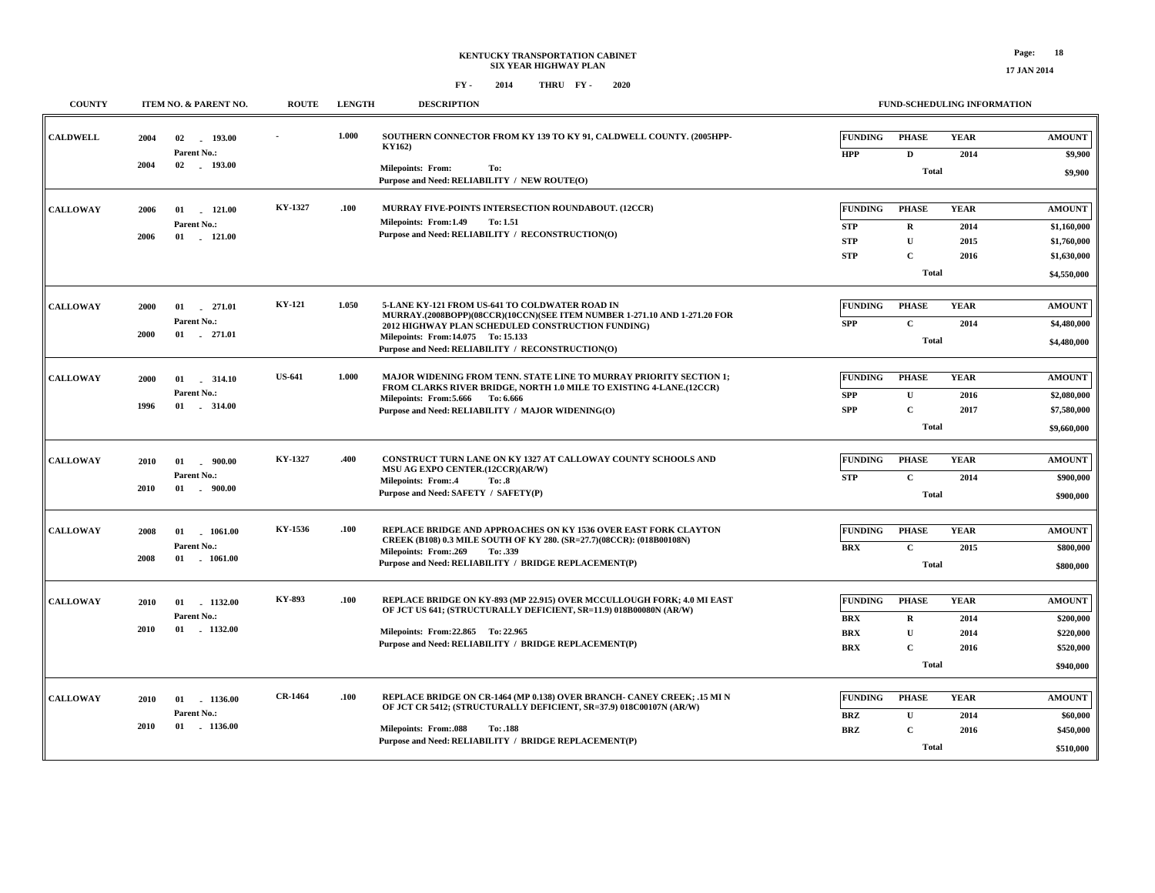## **FY - FY - 2014 2020 THRU**

**FUND-SCHEDULING INFORMATION**

| <b>COUNTY</b>   | ITEM NO. & PARENT NO.                                                    | <b>ROUTE</b>   | <b>LENGTH</b> | <b>DESCRIPTION</b>                                                                                                                                                                                                                                                          |                                                          |                                                                             | <b>FUND-SCHEDULING INFORMATION</b>  |                                                                           |
|-----------------|--------------------------------------------------------------------------|----------------|---------------|-----------------------------------------------------------------------------------------------------------------------------------------------------------------------------------------------------------------------------------------------------------------------------|----------------------------------------------------------|-----------------------------------------------------------------------------|-------------------------------------|---------------------------------------------------------------------------|
| <b>CALDWELL</b> | 193.00<br>2004<br>02<br>Parent No.:<br>02<br>$-193.00$<br>2004           |                | 1.000         | SOUTHERN CONNECTOR FROM KY 139 TO KY 91, CALDWELL COUNTY. (2005HPP-<br><b>KY162</b> )<br><b>Milepoints: From:</b><br>To:<br>Purpose and Need: RELIABILITY / NEW ROUTE(O)                                                                                                    | <b>FUNDING</b><br><b>HPP</b>                             | <b>PHASE</b><br>$\mathbf D$<br><b>Total</b>                                 | <b>YEAR</b><br>2014                 | <b>AMOUNT</b><br>\$9,900<br>\$9,900                                       |
| <b>CALLOWAY</b> | 01<br>121.00<br>2006<br>Parent No.:<br>2006<br>01<br>121.00              | KY-1327        | .100          | MURRAY FIVE-POINTS INTERSECTION ROUNDABOUT. (12CCR)<br>Milepoints: From:1.49<br>To: 1.51<br>Purpose and Need: RELIABILITY / RECONSTRUCTION(O)                                                                                                                               | <b>FUNDING</b><br><b>STP</b><br><b>STP</b><br><b>STP</b> | <b>PHASE</b><br>$\mathbf R$<br>$\mathbf{U}$<br>$\mathbf{C}$<br><b>Total</b> | <b>YEAR</b><br>2014<br>2015<br>2016 | <b>AMOUNT</b><br>\$1,160,000<br>\$1,760,000<br>\$1,630,000<br>\$4,550,000 |
| <b>CALLOWAY</b> | 2000<br>01 271.01<br>Parent No.:<br>2000<br>$01 \t 271.01$               | <b>KY-121</b>  | 1.050         | 5-LANE KY-121 FROM US-641 TO COLDWATER ROAD IN<br>MURRAY.(2008BOPP)(08CCR)(10CCN)(SEE ITEM NUMBER 1-271.10 AND 1-271.20 FOR<br>2012 HIGHWAY PLAN SCHEDULED CONSTRUCTION FUNDING)<br>Milepoints: From:14.075 To: 15.133<br>Purpose and Need: RELIABILITY / RECONSTRUCTION(O) | <b>FUNDING</b><br><b>SPP</b>                             | <b>PHASE</b><br>$\mathbf C$<br>Total                                        | <b>YEAR</b><br>2014                 | <b>AMOUNT</b><br>\$4,480,000<br>\$4,480,000                               |
| <b>CALLOWAY</b> | 2000<br>01<br>314.10<br>Parent No.:<br>1996<br>$01 \quad . \quad 314.00$ | <b>US-641</b>  | 1.000         | MAJOR WIDENING FROM TENN. STATE LINE TO MURRAY PRIORITY SECTION 1;<br>FROM CLARKS RIVER BRIDGE, NORTH 1.0 MILE TO EXISTING 4-LANE.(12CCR)<br>Milepoints: From: 5.666 To: 6.666<br>Purpose and Need: RELIABILITY / MAJOR WIDENING(O)                                         | <b>FUNDING</b><br><b>SPP</b><br><b>SPP</b>               | <b>PHASE</b><br>$\mathbf{U}$<br>$\mathbf C$<br><b>Total</b>                 | <b>YEAR</b><br>2016<br>2017         | <b>AMOUNT</b><br>\$2,080,000<br>\$7,580,000<br>\$9,660,000                |
| <b>CALLOWAY</b> | 2010<br>01<br>. 900.00<br>Parent No.:<br>2010<br>$01$ . $900.00$         | KY-1327        | .400          | CONSTRUCT TURN LANE ON KY 1327 AT CALLOWAY COUNTY SCHOOLS AND<br>MSU AG EXPO CENTER.(12CCR)(AR/W)<br><b>Milepoints: From:.4</b><br>To: .8<br>Purpose and Need: SAFETY / SAFETY(P)                                                                                           | <b>FUNDING</b><br><b>STP</b>                             | <b>PHASE</b><br>$\mathbf{C}$<br><b>Total</b>                                | <b>YEAR</b><br>2014                 | <b>AMOUNT</b><br>\$900,000<br>\$900,000                                   |
| <b>CALLOWAY</b> | $01$ 1061.00<br>2008<br>Parent No.:<br>2008<br>$01$ 1061.00              | KY-1536        | .100          | REPLACE BRIDGE AND APPROACHES ON KY 1536 OVER EAST FORK CLAYTON<br>CREEK (B108) 0.3 MILE SOUTH OF KY 280. (SR=27.7)(08CCR): (018B00108N)<br>Milepoints: From:.269<br>To: .339<br>Purpose and Need: RELIABILITY / BRIDGE REPLACEMENT(P)                                      | <b>FUNDING</b><br><b>BRX</b>                             | <b>PHASE</b><br>$\mathbf C$<br><b>Total</b>                                 | <b>YEAR</b><br>2015                 | <b>AMOUNT</b><br>\$800,000<br>\$800,000                                   |
| <b>CALLOWAY</b> | 01 1132.00<br>2010<br>Parent No.:<br>2010<br>01 1132.00                  | KY-893         | .100          | REPLACE BRIDGE ON KY-893 (MP 22.915) OVER MCCULLOUGH FORK; 4.0 MI EAST<br>OF JCT US 641; (STRUCTURALLY DEFICIENT, SR=11.9) 018B00080N (AR/W)<br>Milepoints: From: 22.865 To: 22.965<br>Purpose and Need: RELIABILITY / BRIDGE REPLACEMENT(P)                                | <b>FUNDING</b><br><b>BRX</b><br><b>BRX</b><br><b>BRX</b> | <b>PHASE</b><br>$\mathbf R$<br>$\mathbf{U}$<br>$\overline{c}$<br>Total      | <b>YEAR</b><br>2014<br>2014<br>2016 | <b>AMOUNT</b><br>\$200,000<br>\$220,000<br>\$520,000<br>\$940,000         |
| <b>CALLOWAY</b> | 01<br>$-1136.00$<br>2010<br>Parent No.:<br>2010<br>$01$ 1136.00          | <b>CR-1464</b> | .100          | REPLACE BRIDGE ON CR-1464 (MP 0.138) OVER BRANCH- CANEY CREEK; .15 MI N<br>OF JCT CR 5412; (STRUCTURALLY DEFICIENT, SR=37.9) 018C00107N (AR/W)<br><b>Milepoints: From:.088</b><br><b>To: .188</b><br>Purpose and Need: RELIABILITY / BRIDGE REPLACEMENT(P)                  | <b>FUNDING</b><br>BRZ<br><b>BRZ</b>                      | <b>PHASE</b><br>$\mathbf U$<br>$\mathbf C$<br><b>Total</b>                  | <b>YEAR</b><br>2014<br>2016         | <b>AMOUNT</b><br>\$60,000<br>\$450,000<br>\$510,000                       |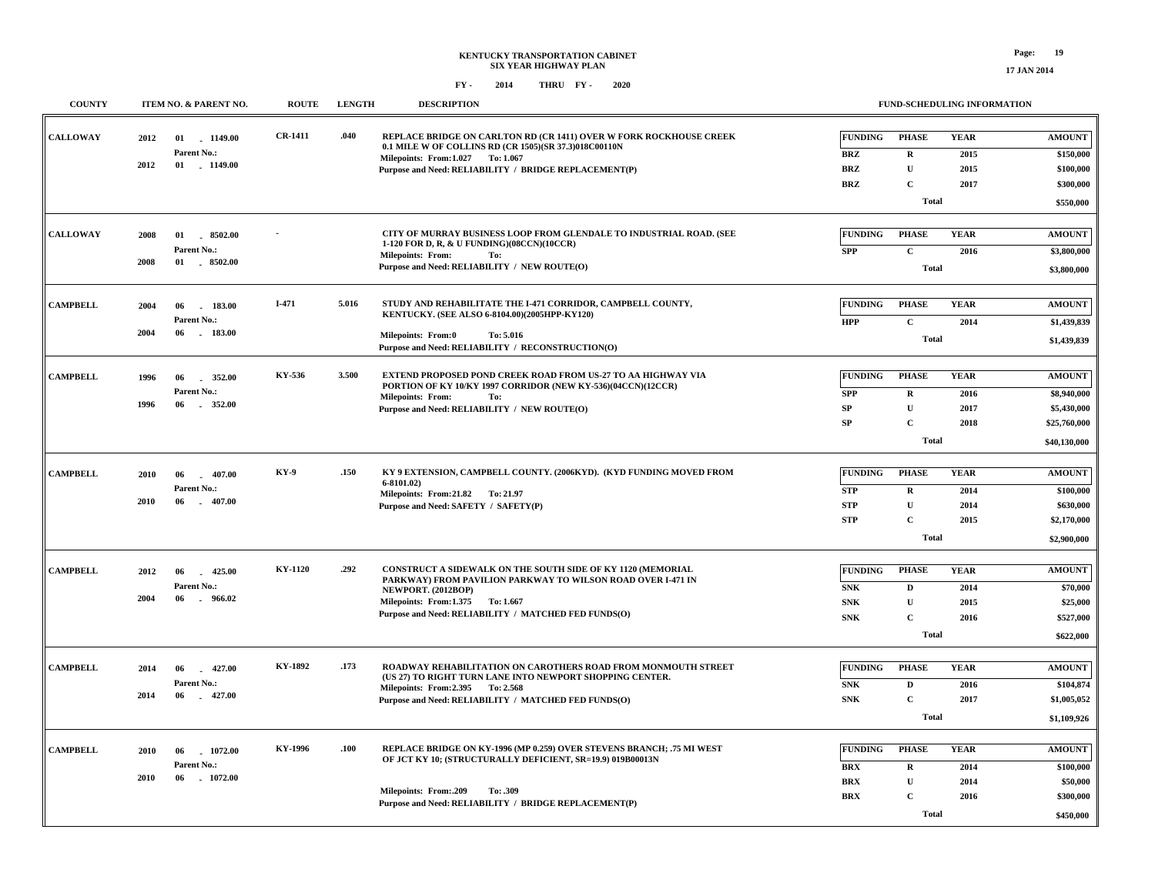## **KENTUCKY TRANSPORTATION CABINET SIX YEAR HIGHWAY PLAN FY - FY - 2014 2020 THRU**

| <b>COUNTY</b>   | ITEM NO. & PARENT NO.                                                    | <b>ROUTE</b>   | <b>LENGTH</b> | <b>DESCRIPTION</b>                                                                                                                                                                                                                              |                                                          |                                                                           | FUND-SCHEDULING INFORMATION         |                                                                             |
|-----------------|--------------------------------------------------------------------------|----------------|---------------|-------------------------------------------------------------------------------------------------------------------------------------------------------------------------------------------------------------------------------------------------|----------------------------------------------------------|---------------------------------------------------------------------------|-------------------------------------|-----------------------------------------------------------------------------|
| <b>CALLOWAY</b> | 2012<br>1149.00<br>01<br>Parent No.:<br>2012<br>01 1149.00               | <b>CR-1411</b> | .040          | REPLACE BRIDGE ON CARLTON RD (CR 1411) OVER W FORK ROCKHOUSE CREEK<br>0.1 MILE W OF COLLINS RD (CR 1505)(SR 37.3)018C00110N<br>Milepoints: From: 1.027 To: 1.067<br>Purpose and Need: RELIABILITY / BRIDGE REPLACEMENT(P)                       | <b>FUNDING</b><br><b>BRZ</b><br><b>BRZ</b><br><b>BRZ</b> | <b>PHASE</b><br>${\bf R}$<br>$\mathbf{U}$<br>$\mathbf C$                  | <b>YEAR</b><br>2015<br>2015<br>2017 | <b>AMOUNT</b><br>\$150,000<br>\$100,000<br>\$300,000                        |
|                 |                                                                          |                |               |                                                                                                                                                                                                                                                 |                                                          | <b>Total</b>                                                              |                                     | \$550,000                                                                   |
| <b>CALLOWAY</b> | 8502.00<br>2008<br>01<br>Parent No.:<br>01 8502.00<br>2008               |                |               | CITY OF MURRAY BUSINESS LOOP FROM GLENDALE TO INDUSTRIAL ROAD. (SEE<br>1-120 FOR D, R, & U FUNDING)(08CCN)(10CCR)<br><b>Milepoints: From:</b><br>To:<br>Purpose and Need: RELIABILITY / NEW ROUTE(O)                                            | <b>FUNDING</b><br><b>SPP</b>                             | <b>PHASE</b><br>$\mathbf C$<br><b>Total</b>                               | <b>YEAR</b><br>2016                 | <b>AMOUNT</b><br>\$3,800,000<br>\$3,800,000                                 |
| <b>CAMPBELL</b> | 2004<br>06<br>$-183.00$<br>Parent No.:<br>2004<br>$-183.00$<br>06        | $I-471$        | 5.016         | STUDY AND REHABILITATE THE I-471 CORRIDOR. CAMPBELL COUNTY.<br>KENTUCKY. (SEE ALSO 6-8104.00)(2005HPP-KY120)<br>To: 5.016<br><b>Milepoints: From:0</b><br>Purpose and Need: RELIABILITY / RECONSTRUCTION(O)                                     | <b>FUNDING</b><br><b>HPP</b>                             | <b>PHASE</b><br>$\mathbf{C}$<br><b>Total</b>                              | <b>YEAR</b><br>2014                 | <b>AMOUNT</b><br>\$1,439,839<br>\$1,439,839                                 |
| <b>CAMPBELL</b> | 1996<br>06<br>352.00<br>Parent No.:<br>1996<br>352.00<br>06              | KY-536         | 3.500         | EXTEND PROPOSED POND CREEK ROAD FROM US-27 TO AA HIGHWAY VIA<br>PORTION OF KY 10/KY 1997 CORRIDOR (NEW KY-536)(04CCN)(12CCR)<br><b>Milepoints: From:</b><br>To:<br>Purpose and Need: RELIABILITY / NEW ROUTE(O)                                 | <b>FUNDING</b><br><b>SPP</b><br>${\bf SP}$<br>${\bf SP}$ | <b>PHASE</b><br>${\bf R}$<br>$\mathbf{U}$<br>$\mathbf C$<br><b>Total</b>  | <b>YEAR</b><br>2016<br>2017<br>2018 | <b>AMOUNT</b><br>\$8,940,000<br>\$5,430,000<br>\$25,760,000<br>\$40,130,000 |
| <b>CAMPBELL</b> | 2010<br>06<br>$-407.00$<br>Parent No.:<br>2010<br>$-407.00$<br>06        | KY-9           | .150          | KY 9 EXTENSION, CAMPBELL COUNTY. (2006KYD). (KYD FUNDING MOVED FROM<br>$6-8101.02$<br>Milepoints: From:21.82 To: 21.97<br>Purpose and Need: SAFETY / SAFETY(P)                                                                                  | <b>FUNDING</b><br><b>STP</b><br><b>STP</b><br><b>STP</b> | <b>PHASE</b><br>$\mathbf R$<br>$\mathbf U$<br>$\mathbf C$<br><b>Total</b> | <b>YEAR</b><br>2014<br>2014<br>2015 | <b>AMOUNT</b><br>\$100,000<br>\$630,000<br>\$2,170,000<br>\$2,900,000       |
| <b>CAMPBELL</b> | 425.00<br>2012<br>06<br>Parent No.:<br>2004<br>06<br>$-966.02$           | KY-1120        | .292          | CONSTRUCT A SIDEWALK ON THE SOUTH SIDE OF KY 1120 (MEMORIAL<br>PARKWAY) FROM PAVILION PARKWAY TO WILSON ROAD OVER I-471 IN<br>NEWPORT. (2012BOP)<br>Milepoints: From:1.375<br>To: 1.667<br>Purpose and Need: RELIABILITY / MATCHED FED FUNDS(O) | <b>FUNDING</b><br><b>SNK</b><br><b>SNK</b><br><b>SNK</b> | <b>PHASE</b><br>$\mathbf D$<br>${\bf U}$<br>$\mathbf C$<br><b>Total</b>   | <b>YEAR</b><br>2014<br>2015<br>2016 | <b>AMOUNT</b><br>\$70,000<br>\$25,000<br>\$527,000<br>\$622,000             |
| <b>CAMPBELL</b> | $-427.00$<br>2014<br>06<br>Parent No.:<br>2014<br>06<br>427.00<br>$\sim$ | KY-1892        | .173          | ROADWAY REHABILITATION ON CAROTHERS ROAD FROM MONMOUTH STREET<br>(US 27) TO RIGHT TURN LANE INTO NEWPORT SHOPPING CENTER.<br>Milepoints: From: 2.395 To: 2.568<br>Purpose and Need: RELIABILITY / MATCHED FED FUNDS(O)                          | <b>FUNDING</b><br><b>SNK</b><br><b>SNK</b>               | <b>PHASE</b><br>$\mathbf D$<br>$\mathbf C$<br>Total                       | <b>YEAR</b><br>2016<br>2017         | <b>AMOUNT</b><br>\$104,874<br>\$1,005,052<br>\$1,109,926                    |
| <b>CAMPBELL</b> | 1072.00<br>2010<br>06<br>Parent No.:<br>2010<br>06<br>1072.00            | KY-1996        | .100          | REPLACE BRIDGE ON KY-1996 (MP 0.259) OVER STEVENS BRANCH; .75 MI WEST<br>OF JCT KY 10; (STRUCTURALLY DEFICIENT, SR=19.9) 019B00013N<br><b>Milepoints: From:.209</b><br>To: .309<br>Purpose and Need: RELIABILITY / BRIDGE REPLACEMENT(P)        | <b>FUNDING</b><br><b>BRX</b><br><b>BRX</b><br><b>BRX</b> | <b>PHASE</b><br>${\bf R}$<br>$\mathbf{U}$<br>$\mathbf C$<br><b>Total</b>  | <b>YEAR</b><br>2014<br>2014<br>2016 | <b>AMOUNT</b><br>\$100,000<br>\$50,000<br>\$300,000<br>\$450,000            |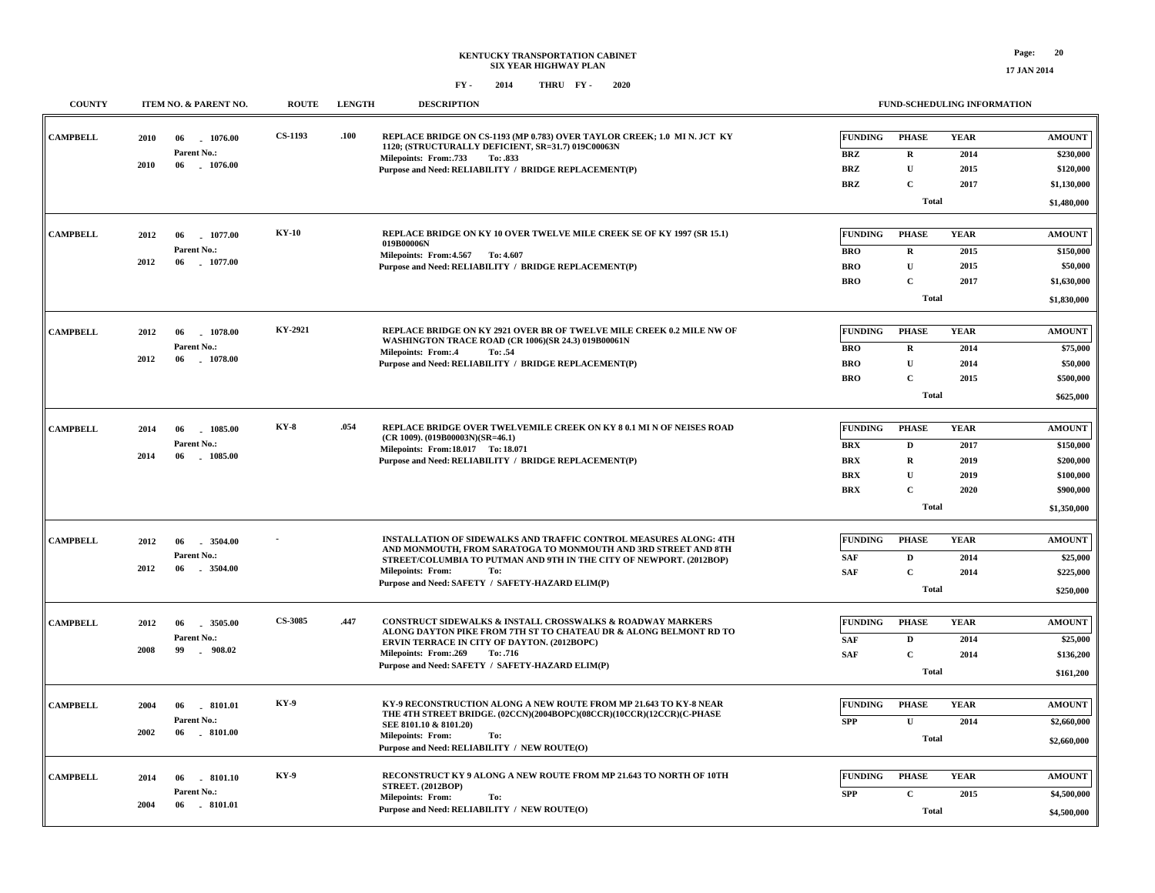**17 JAN 2014**

| <b>COUNTY</b>   |      | ITEM NO. & PARENT NO.           | <b>ROUTE</b>   | <b>LENGTH</b> | <b>DESCRIPTION</b>                                                                                                                  |                       | FUND-SCHEDULING INFORMATION |                     |                            |
|-----------------|------|---------------------------------|----------------|---------------|-------------------------------------------------------------------------------------------------------------------------------------|-----------------------|-----------------------------|---------------------|----------------------------|
| <b>CAMPBELL</b> | 2010 | 1076.00<br>06<br>Parent No.:    | <b>CS-1193</b> | .100          | REPLACE BRIDGE ON CS-1193 (MP 0.783) OVER TAYLOR CREEK; 1.0 MI N. JCT KY<br>1120; (STRUCTURALLY DEFICIENT, SR=31.7) 019C00063N      | FUNDING<br><b>BRZ</b> | <b>PHASE</b><br>$\mathbf R$ | <b>YEAR</b><br>2014 | <b>AMOUNT</b><br>\$230,000 |
|                 | 2010 | 06<br>1076.00                   |                |               | Milepoints: From: 733<br>To: .833                                                                                                   | <b>BRZ</b>            | $\mathbf{U}$                | 2015                | \$120,000                  |
|                 |      |                                 |                |               | Purpose and Need: RELIABILITY / BRIDGE REPLACEMENT(P)                                                                               | <b>BRZ</b>            | $\overline{c}$              | 2017                | \$1,130,000                |
|                 |      |                                 |                |               |                                                                                                                                     |                       |                             |                     |                            |
|                 |      |                                 |                |               |                                                                                                                                     |                       | <b>Total</b>                |                     | \$1,480,000                |
| <b>CAMPBELL</b> | 2012 | 06<br>$-1077.00$                | <b>KY-10</b>   |               | REPLACE BRIDGE ON KY 10 OVER TWELVE MILE CREEK SE OF KY 1997 (SR 15.1)                                                              | FUNDING               | <b>PHASE</b>                | <b>YEAR</b>         | <b>AMOUNT</b>              |
|                 |      | Parent No.:                     |                |               | 019B00006N                                                                                                                          | <b>BRO</b>            | $\mathbf R$                 | 2015                | \$150,000                  |
|                 | 2012 | 06<br>1077.00                   |                |               | Milepoints: From: 4.567 To: 4.607<br>Purpose and Need: RELIABILITY / BRIDGE REPLACEMENT(P)                                          | <b>BRO</b>            | $\mathbf{U}$                | 2015                | \$50,000                   |
|                 |      |                                 |                |               |                                                                                                                                     | <b>BRO</b>            | $\overline{C}$              | 2017                | \$1,630,000                |
|                 |      |                                 |                |               |                                                                                                                                     |                       | Total                       |                     |                            |
|                 |      |                                 |                |               |                                                                                                                                     |                       |                             |                     | \$1,830,000                |
| <b>CAMPBELL</b> | 2012 | 1078.00<br>06                   | KY-2921        |               | REPLACE BRIDGE ON KY 2921 OVER BR OF TWELVE MILE CREEK 0.2 MILE NW OF                                                               | <b>FUNDING</b>        | <b>PHASE</b>                | <b>YEAR</b>         | <b>AMOUNT</b>              |
|                 |      | Parent No.:                     |                |               | WASHINGTON TRACE ROAD (CR 1006)(SR 24.3) 019B00061N<br><b>Milepoints: From:.4</b><br>To: .54                                        | <b>BRO</b>            | $\mathbf R$                 | 2014                | \$75,000                   |
|                 | 2012 | 06<br>$-1078.00$                |                |               | Purpose and Need: RELIABILITY / BRIDGE REPLACEMENT(P)                                                                               | <b>BRO</b>            | $\mathbf{U}$                | 2014                | \$50,000                   |
|                 |      |                                 |                |               |                                                                                                                                     | <b>BRO</b>            | C                           | 2015                | \$500,000                  |
|                 |      |                                 |                |               |                                                                                                                                     |                       | Total                       |                     | \$625,000                  |
|                 |      |                                 |                |               |                                                                                                                                     |                       |                             |                     |                            |
| <b>CAMPBELL</b> | 2014 | 06<br>1085.00                   | $KY-8$         | .054          | REPLACE BRIDGE OVER TWELVEMILE CREEK ON KY 8 0.1 MI N OF NEISES ROAD<br>(CR 1009). (019B00003N)(SR=46.1)                            | <b>FUNDING</b>        | <b>PHASE</b>                | <b>YEAR</b>         | <b>AMOUNT</b>              |
|                 |      | Parent No.:                     |                |               | Milepoints: From:18.017 To:18.071                                                                                                   | <b>BRX</b>            | $\mathbf D$                 | 2017                | \$150,000                  |
|                 | 2014 | 06<br>1085.00                   |                |               | Purpose and Need: RELIABILITY / BRIDGE REPLACEMENT(P)                                                                               | <b>BRX</b>            | $\mathbf R$                 | 2019                | \$200,000                  |
|                 |      |                                 |                |               |                                                                                                                                     | <b>BRX</b>            | $\mathbf{U}$                | 2019                | \$100,000                  |
|                 |      |                                 |                |               |                                                                                                                                     | <b>BRX</b>            | $\mathbf C$                 | 2020                | \$900,000                  |
|                 |      |                                 |                |               |                                                                                                                                     |                       | Total                       |                     | \$1,350,000                |
|                 |      |                                 |                |               |                                                                                                                                     |                       |                             |                     |                            |
| <b>CAMPBELL</b> | 2012 | 06<br>3504.00                   |                |               | INSTALLATION OF SIDEWALKS AND TRAFFIC CONTROL MEASURES ALONG: 4TH<br>AND MONMOUTH, FROM SARATOGA TO MONMOUTH AND 3RD STREET AND 8TH | <b>FUNDING</b>        | <b>PHASE</b>                | <b>YEAR</b>         | <b>AMOUNT</b>              |
|                 |      | Parent No.:                     |                |               | STREET/COLUMBIA TO PUTMAN AND 9TH IN THE CITY OF NEWPORT. (2012BOP)                                                                 | <b>SAF</b>            | $\mathbf D$                 | 2014                | \$25,000                   |
|                 | 2012 | 06<br>$-3504.00$                |                |               | <b>Milepoints: From:</b><br>To:                                                                                                     | <b>SAF</b>            | $\mathbf C$                 | 2014                | \$225,000                  |
|                 |      |                                 |                |               | Purpose and Need: SAFETY / SAFETY-HAZARD ELIM(P)                                                                                    |                       | Total                       |                     | \$250,000                  |
|                 |      |                                 |                |               |                                                                                                                                     |                       |                             |                     |                            |
| <b>CAMPBELL</b> | 2012 | 3505.00<br>06                   | <b>CS-3085</b> | .447          | CONSTRUCT SIDEWALKS & INSTALL CROSSWALKS & ROADWAY MARKERS<br>ALONG DAYTON PIKE FROM 7TH ST TO CHATEAU DR & ALONG BELMONT RD TO     | <b>FUNDING</b>        | <b>PHASE</b>                | <b>YEAR</b>         | <b>AMOUNT</b>              |
|                 | 2008 | Parent No.:<br>99<br>908.02     |                |               | ERVIN TERRACE IN CITY OF DAYTON. (2012BOPC)                                                                                         | <b>SAF</b>            | D                           | 2014                | \$25,000                   |
|                 |      |                                 |                |               | Milepoints: From:.269<br>To: .716<br>Purpose and Need: SAFETY / SAFETY-HAZARD ELIM(P)                                               | <b>SAF</b>            | $\mathbf C$                 | 2014                | \$136,200                  |
|                 |      |                                 |                |               |                                                                                                                                     |                       | Total                       |                     | \$161,200                  |
| <b>CAMPBELL</b> | 2004 | 06<br>$-8101.01$                | <b>KY-9</b>    |               | KY-9 RECONSTRUCTION ALONG A NEW ROUTE FROM MP 21.643 TO KY-8 NEAR                                                                   | <b>FUNDING</b>        | <b>PHASE</b>                | <b>YEAR</b>         | <b>AMOUNT</b>              |
|                 |      | Parent No.:                     |                |               | THE 4TH STREET BRIDGE. (02CCN)(2004BOPC)(08CCR)(10CCR)(12CCR)(C-PHASE                                                               |                       | $\mathbf U$                 |                     |                            |
|                 | 2002 | 06<br>$-8101.00$                |                |               | SEE 8101.10 & 8101.20)<br>Milepoints: From:<br>To:                                                                                  | <b>SPP</b>            |                             | 2014                | \$2,660,000                |
|                 |      |                                 |                |               | Purpose and Need: RELIABILITY / NEW ROUTE(O)                                                                                        |                       | Total                       |                     | \$2,660,000                |
|                 |      |                                 |                |               | RECONSTRUCT KY 9 ALONG A NEW ROUTE FROM MP 21.643 TO NORTH OF 10TH                                                                  |                       |                             |                     |                            |
| <b>CAMPBELL</b> | 2014 | 06<br>.8101.10                  | KY-9           |               | <b>STREET. (2012BOP)</b>                                                                                                            | <b>FUNDING</b>        | <b>PHASE</b>                | <b>YEAR</b>         | <b>AMOUNT</b>              |
|                 | 2004 | Parent No.:<br>06<br>$-8101.01$ |                |               | <b>Milepoints: From:</b><br>To:                                                                                                     | <b>SPP</b>            | $\mathbf C$                 | 2015                | \$4,500,000                |
|                 |      |                                 |                |               | Purpose and Need: RELIABILITY / NEW ROUTE(O)                                                                                        |                       | <b>Total</b>                |                     | \$4,500,000                |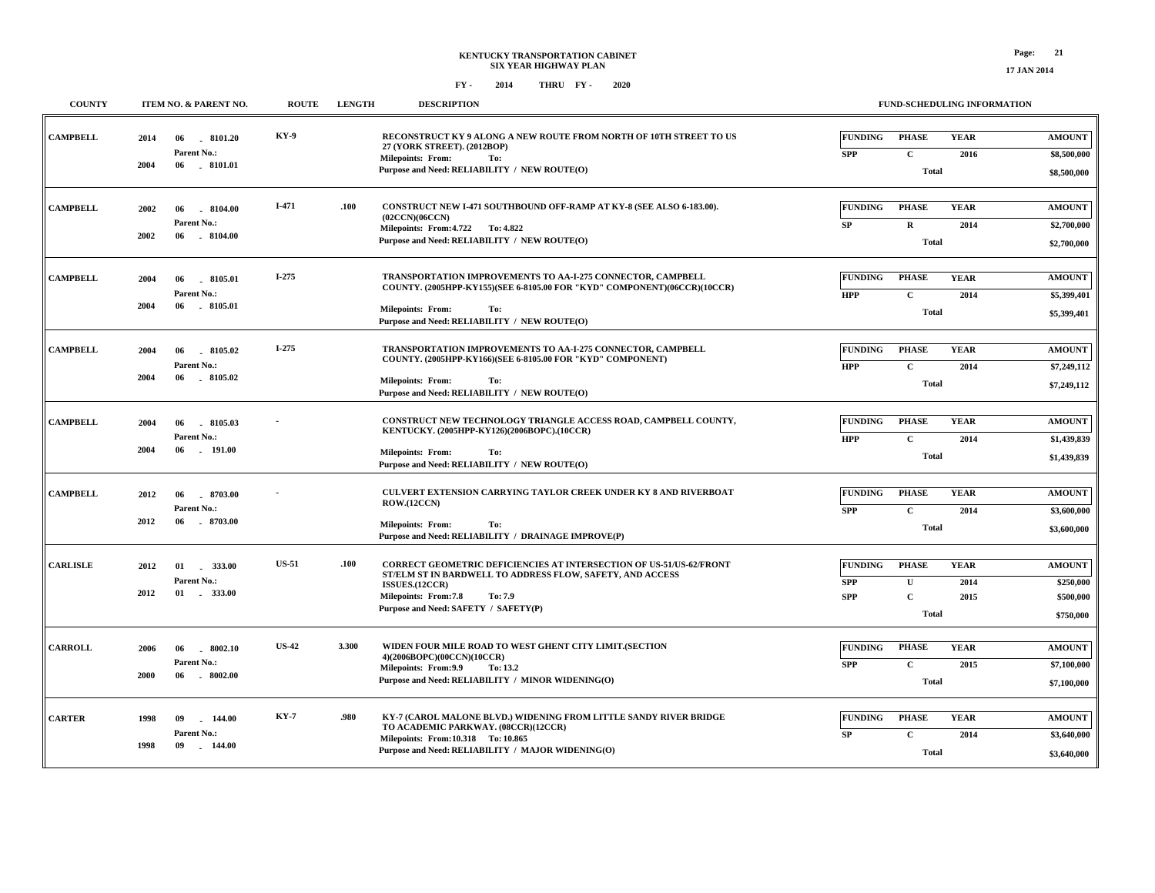| <b>COUNTY</b>   | ITEM NO. & PARENT NO.                                               | <b>ROUTE</b> | <b>LENGTH</b> | <b>DESCRIPTION</b>                                                                                                                                                                                                                   | <b>FUND-SCHEDULING INFORMATION</b>                                                                                                                             |                        |
|-----------------|---------------------------------------------------------------------|--------------|---------------|--------------------------------------------------------------------------------------------------------------------------------------------------------------------------------------------------------------------------------------|----------------------------------------------------------------------------------------------------------------------------------------------------------------|------------------------|
| <b>CAMPBELL</b> | 2014<br>06<br>8101.20<br>Parent No.:<br>2004<br>06 . 8101.01        | <b>KY-9</b>  |               | RECONSTRUCT KY 9 ALONG A NEW ROUTE FROM NORTH OF 10TH STREET TO US<br>27 (YORK STREET). (2012BOP)<br><b>Milepoints: From:</b><br>To:<br>Purpose and Need: RELIABILITY / NEW ROUTE(O)                                                 | <b>YEAR</b><br><b>FUNDING</b><br><b>PHASE</b><br><b>AMOUNT</b><br>$\mathbf C$<br><b>SPP</b><br>2016<br>\$8,500,000<br>Total<br>\$8,500,000                     |                        |
| <b>CAMPBELL</b> | 2002<br>06<br>$-8104.00$<br>Parent No.:<br>2002<br>06<br>$-8104.00$ | $I-471$      | .100          | CONSTRUCT NEW I-471 SOUTHBOUND OFF-RAMP AT KY-8 (SEE ALSO 6-183.00).<br>(02CCN)(06CCN)<br>Milepoints: From: 4.722 To: 4.822<br>Purpose and Need: RELIABILITY / NEW ROUTE(O)                                                          | <b>FUNDING</b><br><b>PHASE</b><br><b>YEAR</b><br><b>AMOUNT</b><br>SP<br>$\mathbf R$<br>2014<br>\$2,700,000<br>Total<br>\$2,700,000                             |                        |
| <b>CAMPBELL</b> | 2004<br>8105.01<br>06<br>Parent No.:<br>2004<br>8105.01<br>06       | $I-275$      |               | TRANSPORTATION IMPROVEMENTS TO AA-I-275 CONNECTOR, CAMPBELL<br>COUNTY. (2005HPP-KY155)(SEE 6-8105.00 FOR "KYD" COMPONENT)(06CCR)(10CCR)<br><b>Milepoints: From:</b><br>To:<br>Purpose and Need: RELIABILITY / NEW ROUTE(O)           | <b>FUNDING</b><br><b>PHASE</b><br><b>YEAR</b><br><b>AMOUNT</b><br>$\mathbf C$<br><b>HPP</b><br>2014<br>\$5,399,401<br>Total<br>\$5,399,401                     |                        |
| <b>CAMPBELL</b> | 2004<br>06<br>8105.02<br>Parent No.:<br>2004<br>06<br>8105.02       | $I-275$      |               | TRANSPORTATION IMPROVEMENTS TO AA-I-275 CONNECTOR, CAMPBELL<br>COUNTY. (2005HPP-KY166)(SEE 6-8105.00 FOR "KYD" COMPONENT)<br><b>Milepoints: From:</b><br>To:<br>Purpose and Need: RELIABILITY / NEW ROUTE(O)                         | <b>FUNDING</b><br><b>PHASE</b><br><b>YEAR</b><br><b>AMOUNT</b><br>$\mathbf{C}$<br><b>HPP</b><br>2014<br>\$7,249,112<br>Total<br>\$7,249,112                    |                        |
| <b>CAMPBELL</b> | 2004<br>06<br>$-8105.03$<br>Parent No.:<br>2004<br>06<br>. 191.00   |              |               | CONSTRUCT NEW TECHNOLOGY TRIANGLE ACCESS ROAD, CAMPBELL COUNTY,<br>KENTUCKY. (2005HPP-KY126)(2006BOPC).(10CCR)<br><b>Milepoints: From:</b><br>To:<br>Purpose and Need: RELIABILITY / NEW ROUTE(O)                                    | <b>FUNDING</b><br><b>PHASE</b><br><b>YEAR</b><br><b>AMOUNT</b><br><b>HPP</b><br>$\mathbf C$<br>2014<br>\$1,439,839<br><b>Total</b><br>\$1,439,839              |                        |
| <b>CAMPBELL</b> | 2012<br>06<br>8703.00<br>Parent No.:<br>2012<br>06<br>$-8703.00$    |              |               | <b>CULVERT EXTENSION CARRYING TAYLOR CREEK UNDER KY 8 AND RIVERBOAT</b><br><b>ROW.(12CCN)</b><br><b>Milepoints: From:</b><br>To:<br>Purpose and Need: RELIABILITY / DRAINAGE IMPROVE(P)                                              | <b>FUNDING</b><br><b>PHASE</b><br><b>YEAR</b><br><b>AMOUNT</b><br><b>SPP</b><br>$\mathbf C$<br>2014<br>\$3,600,000<br>Total<br>\$3,600,000                     |                        |
| <b>CARLISLE</b> | 2012<br>01 333.00<br>Parent No.:<br>2012<br>01 . 333.00             | <b>US-51</b> | .100          | <b>CORRECT GEOMETRIC DEFICIENCIES AT INTERSECTION OF US-51/US-62/FRONT</b><br>ST/ELM ST IN BARDWELL TO ADDRESS FLOW, SAFETY, AND ACCESS<br>ISSUES.(12CCR)<br>Milepoints: From:7.8<br>To: 7.9<br>Purpose and Need: SAFETY / SAFETY(P) | <b>FUNDING</b><br><b>PHASE</b><br><b>YEAR</b><br><b>AMOUNT</b><br><b>SPP</b><br>$\mathbf U$<br>2014<br>$\mathbf C$<br><b>SPP</b><br>2015<br>Total<br>\$750,000 | \$250,000<br>\$500,000 |
| <b>CARROLL</b>  | 2006<br>$-8002.10$<br>06<br>Parent No.:<br>2000<br>$-8002.00$<br>06 | <b>US-42</b> | 3.300         | WIDEN FOUR MILE ROAD TO WEST GHENT CITY LIMIT. (SECTION<br>4)(2006BOPC)(00CCN)(10CCR)<br>Milepoints: From: 9.9<br>To: 13.2<br>Purpose and Need: RELIABILITY / MINOR WIDENING(O)                                                      | <b>FUNDING</b><br><b>PHASE</b><br><b>YEAR</b><br><b>AMOUNT</b><br>$\mathbf C$<br>2015<br><b>SPP</b><br>\$7,100,000<br><b>Total</b><br>\$7,100,000              |                        |
| <b>CARTER</b>   | 09<br>144.00<br>1998<br>Parent No.:<br>1998<br>09<br>$-144.00$      | <b>KY-7</b>  | .980          | KY-7 (CAROL MALONE BLVD.) WIDENING FROM LITTLE SANDY RIVER BRIDGE<br>TO ACADEMIC PARKWAY. (08CCR)(12CCR)<br>Milepoints: From:10.318 To: 10.865<br>Purpose and Need: RELIABILITY / MAJOR WIDENING(O)                                  | <b>FUNDING</b><br><b>YEAR</b><br><b>PHASE</b><br><b>AMOUNT</b><br>$\mathbf C$<br>${\bf SP}$<br>2014<br>\$3,640,000<br>Total<br>\$3,640,000                     |                        |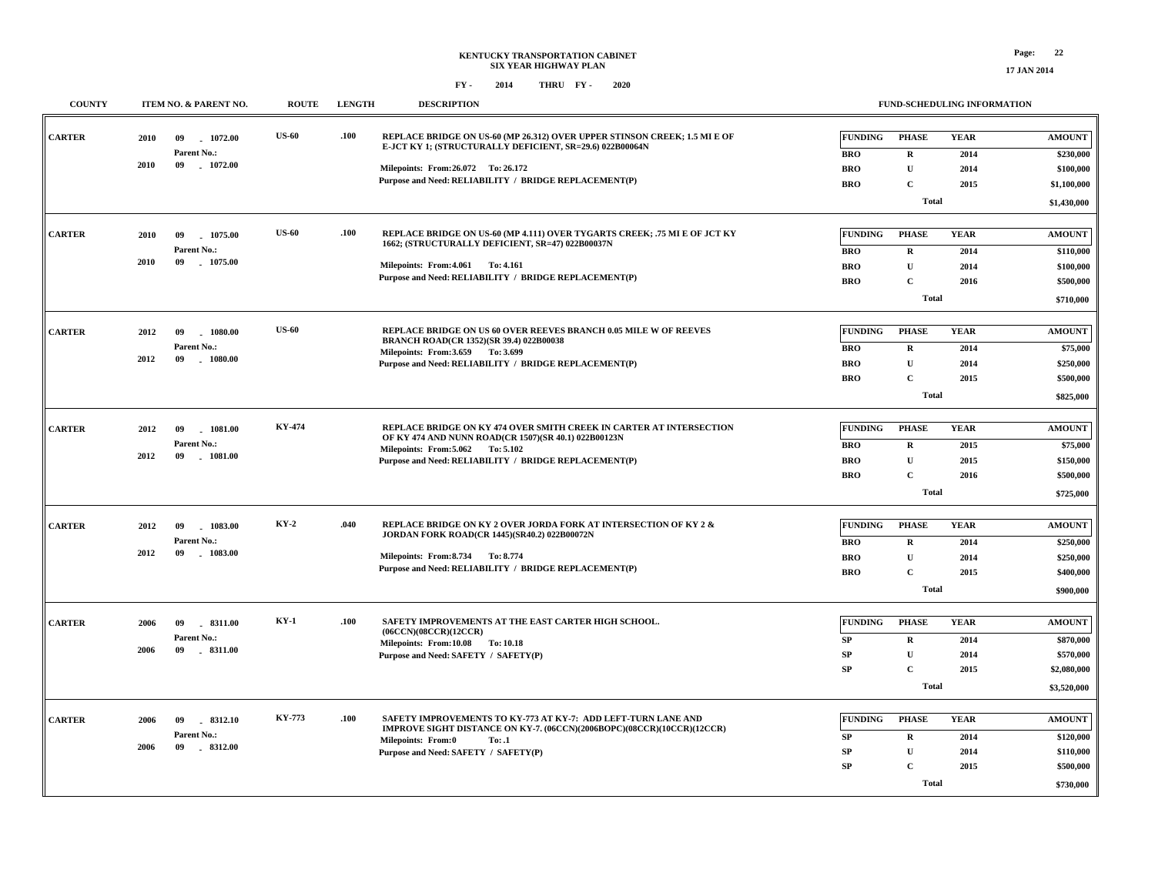## **KENTUCKY TRANSPORTATION CABINET SIX YEAR HIGHWAY PLAN FY - FY - 2014 2020 THRU**

**COUNTY ITEM NO. & PARENT NO. ROUTE LENGTH DESCRIPTION**

**FUND-SCHEDULING INFORMATION**

| <b>CARTER</b> | 2010 | 09<br>1072.00                | <b>US-60</b>  | .100 | REPLACE BRIDGE ON US-60 (MP 26.312) OVER UPPER STINSON CREEK; 1.5 MI E OF<br>E-JCT KY 1; (STRUCTURALLY DEFICIENT, SR=29.6) 022B00064N | <b>FUNDING</b> | <b>PHASE</b> | <b>YEAR</b> | <b>AMOUNT</b> |
|---------------|------|------------------------------|---------------|------|---------------------------------------------------------------------------------------------------------------------------------------|----------------|--------------|-------------|---------------|
|               |      | Parent No.:                  |               |      |                                                                                                                                       | <b>BRO</b>     | $\mathbf R$  | 2014        | \$230,000     |
|               | 2010 | 09<br>1072.00                |               |      | Milepoints: From:26.072 To: 26.172                                                                                                    | <b>BRO</b>     | $\mathbf U$  | 2014        | \$100,000     |
|               |      |                              |               |      | Purpose and Need: RELIABILITY / BRIDGE REPLACEMENT(P)                                                                                 | <b>BRO</b>     | $\mathbf C$  | 2015        | \$1,100,000   |
|               |      |                              |               |      |                                                                                                                                       |                | Total        |             | \$1,430,000   |
|               |      |                              |               |      |                                                                                                                                       |                |              |             |               |
| <b>CARTER</b> | 2010 | 09<br>1075.00                | <b>US-60</b>  | .100 | REPLACE BRIDGE ON US-60 (MP 4.111) OVER TYGARTS CREEK; .75 MI E OF JCT KY<br>1662; (STRUCTURALLY DEFICIENT, SR=47) 022B00037N         | FUNDING        | <b>PHASE</b> | <b>YEAR</b> | <b>AMOUNT</b> |
|               |      | Parent No.:                  |               |      |                                                                                                                                       | <b>BRO</b>     | $\mathbf R$  | 2014        | \$110,000     |
|               | 2010 | 09<br>1075.00                |               |      | Milepoints: From: 4.061 To: 4.161                                                                                                     | <b>BRO</b>     | $\mathbf{U}$ | 2014        | \$100,000     |
|               |      |                              |               |      | Purpose and Need: RELIABILITY / BRIDGE REPLACEMENT(P)                                                                                 | <b>BRO</b>     | $\mathbf C$  | 2016        | \$500,000     |
|               |      |                              |               |      |                                                                                                                                       |                | <b>Total</b> |             | \$710,000     |
| <b>CARTER</b> | 2012 | 09<br>1080.00                | <b>US-60</b>  |      | REPLACE BRIDGE ON US 60 OVER REEVES BRANCH 0.05 MILE W OF REEVES                                                                      | <b>FUNDING</b> | <b>PHASE</b> | <b>YEAR</b> | <b>AMOUNT</b> |
|               |      | Parent No.:                  |               |      | <b>BRANCH ROAD(CR 1352)(SR 39.4) 022B00038</b>                                                                                        | <b>BRO</b>     | $\mathbf R$  | 2014        | \$75,000      |
|               | 2012 | 09<br>$-1080.00$             |               |      | Milepoints: From: 3.659 To: 3.699                                                                                                     | <b>BRO</b>     | $\mathbf{U}$ | 2014        | \$250,000     |
|               |      |                              |               |      | Purpose and Need: RELIABILITY / BRIDGE REPLACEMENT(P)                                                                                 | <b>BRO</b>     | $\mathbf{C}$ | 2015        | \$500,000     |
|               |      |                              |               |      |                                                                                                                                       |                | Total        |             | \$825,000     |
|               |      |                              |               |      |                                                                                                                                       |                |              |             |               |
| <b>CARTER</b> | 2012 | 09<br>$-1081.00$             | <b>KY-474</b> |      | REPLACE BRIDGE ON KY 474 OVER SMITH CREEK IN CARTER AT INTERSECTION<br>OF KY 474 AND NUNN ROAD(CR 1507)(SR 40.1) 022B00123N           | <b>FUNDING</b> | <b>PHASE</b> | <b>YEAR</b> | <b>AMOUNT</b> |
|               |      | Parent No.:                  |               |      | Milepoints: From: 5.062 To: 5.102                                                                                                     | <b>BRO</b>     | $\mathbf R$  | 2015        | \$75,000      |
|               | 2012 | 09<br>1081.00                |               |      | Purpose and Need: RELIABILITY / BRIDGE REPLACEMENT(P)                                                                                 | <b>BRO</b>     | $\mathbf U$  | 2015        | \$150,000     |
|               |      |                              |               |      |                                                                                                                                       | <b>BRO</b>     | $\mathbf{C}$ | 2016        | \$500,000     |
|               |      |                              |               |      |                                                                                                                                       |                | Total        |             | \$725,000     |
|               |      |                              |               |      |                                                                                                                                       |                |              |             |               |
| <b>CARTER</b> | 2012 | 09<br>1083.00                | $KY-2$        | .040 | REPLACE BRIDGE ON KY 2 OVER JORDA FORK AT INTERSECTION OF KY 2 &<br>JORDAN FORK ROAD(CR 1445)(SR40.2) 022B00072N                      | <b>FUNDING</b> | <b>PHASE</b> | <b>YEAR</b> | <b>AMOUNT</b> |
|               |      | Parent No.:                  |               |      |                                                                                                                                       | <b>BRO</b>     | $\mathbf R$  | 2014        | \$250,000     |
|               | 2012 | $-1083.00$<br>09             |               |      | Milepoints: From: 8.734 To: 8.774                                                                                                     | <b>BRO</b>     | ${\bf U}$    | 2014        | \$250,000     |
|               |      |                              |               |      | Purpose and Need: RELIABILITY / BRIDGE REPLACEMENT(P)                                                                                 | <b>BRO</b>     | $\mathbf C$  | 2015        | \$400,000     |
|               |      |                              |               |      |                                                                                                                                       |                | <b>Total</b> |             | \$900,000     |
|               |      |                              |               |      |                                                                                                                                       |                |              |             |               |
| <b>CARTER</b> | 2006 | 09<br>.8311.00               | $KY-1$        | .100 | SAFETY IMPROVEMENTS AT THE EAST CARTER HIGH SCHOOL.<br>(06CCN)(08CCR)(12CCR)                                                          | <b>FUNDING</b> | <b>PHASE</b> | <b>YEAR</b> | <b>AMOUNT</b> |
|               |      | Parent No.:                  |               |      | Milepoints: From:10.08 To: 10.18                                                                                                      | SP             | $\mathbf R$  | 2014        | \$870,000     |
|               | 2006 | 09<br>8311.00                |               |      | Purpose and Need: SAFETY / SAFETY(P)                                                                                                  | SP             | $\mathbf U$  | 2014        | \$570,000     |
|               |      |                              |               |      |                                                                                                                                       | SP             | $\mathbf C$  | 2015        | \$2,080,000   |
|               |      |                              |               |      |                                                                                                                                       |                | <b>Total</b> |             | \$3,520,000   |
| <b>CARTER</b> |      |                              | <b>KY-773</b> | .100 | SAFETY IMPROVEMENTS TO KY-773 AT KY-7: ADD LEFT-TURN LANE AND                                                                         | <b>FUNDING</b> | <b>PHASE</b> | <b>YEAR</b> | <b>AMOUNT</b> |
|               | 2006 | 09<br>8312.10<br>Parent No.: |               |      | IMPROVE SIGHT DISTANCE ON KY-7. (06CCN)(2006BOPC)(08CCR)(10CCR)(12CCR)                                                                |                |              |             |               |
|               | 2006 | 09<br>$-8312.00$             |               |      | <b>Milepoints: From:0</b><br>To: .1                                                                                                   | SP             | $\mathbf R$  | 2014        | \$120,000     |
|               |      |                              |               |      | Purpose and Need: SAFETY / SAFETY(P)                                                                                                  | SP             | $\mathbf U$  | 2014        | \$110,000     |
|               |      |                              |               |      |                                                                                                                                       | <b>SP</b>      | $\mathbf{C}$ | 2015        | \$500,000     |
|               |      |                              |               |      |                                                                                                                                       |                | <b>Total</b> |             | \$730,000     |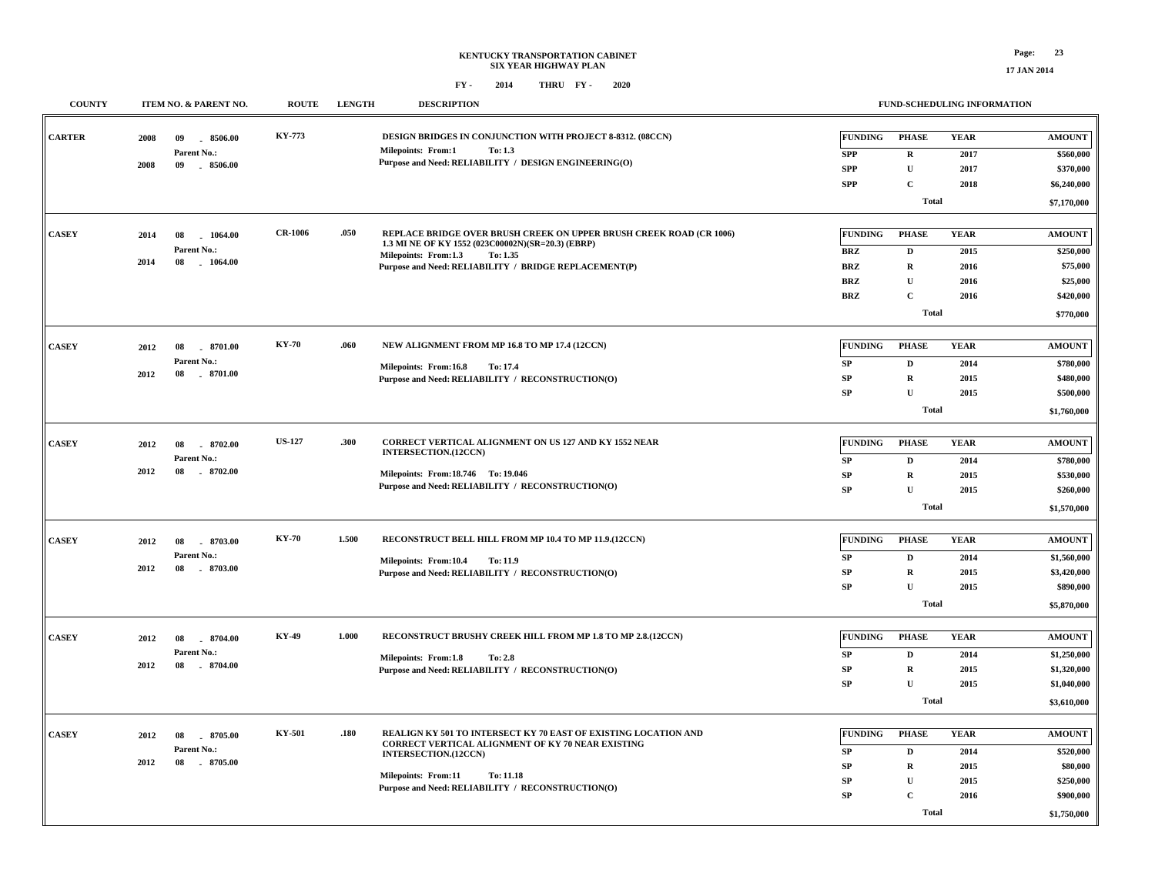## **KENTUCKY TRANSPORTATION CABINET SIX YEAR HIGHWAY PLAN FY - FY - 2014 2020 THRU**

| <b>COUNTY</b> | ITEM NO. & PARENT NO.                | <b>ROUTE</b>   | <b>LENGTH</b> | <b>DESCRIPTION</b>                                                                                                       |                | FUND-SCHEDULING INFORMATION |             |                        |
|---------------|--------------------------------------|----------------|---------------|--------------------------------------------------------------------------------------------------------------------------|----------------|-----------------------------|-------------|------------------------|
| <b>CARTER</b> | 2008<br>09<br>8506.00                | KY-773         |               | DESIGN BRIDGES IN CONJUNCTION WITH PROJECT 8-8312. (08CCN)                                                               | <b>FUNDING</b> | <b>PHASE</b>                | <b>YEAR</b> | <b>AMOUNT</b>          |
|               | Parent No.:                          |                |               | <b>Milepoints: From:1</b><br>To: 1.3                                                                                     | <b>SPP</b>     | $\mathbf R$                 | 2017        | \$560,000              |
|               | 2008<br>09<br>$-8506.00$             |                |               | Purpose and Need: RELIABILITY / DESIGN ENGINEERING(O)                                                                    | <b>SPP</b>     | $\mathbf U$                 | 2017        | \$370,000              |
|               |                                      |                |               |                                                                                                                          | <b>SPP</b>     | $\mathbf{C}$                | 2018        | \$6,240,000            |
|               |                                      |                |               |                                                                                                                          |                | <b>Total</b>                |             | \$7,170,000            |
|               |                                      |                |               |                                                                                                                          |                |                             |             |                        |
| <b>CASEY</b>  | 2014<br>08<br>1064.00                | <b>CR-1006</b> | .050          | REPLACE BRIDGE OVER BRUSH CREEK ON UPPER BRUSH CREEK ROAD (CR 1006)<br>1.3 MI NE OF KY 1552 (023C00002N)(SR=20.3) (EBRP) | <b>FUNDING</b> | <b>PHASE</b>                | <b>YEAR</b> | <b>AMOUNT</b>          |
|               | Parent No.:                          |                |               | Milepoints: From:1.3<br>To: 1.35                                                                                         | <b>BRZ</b>     | $\mathbf D$                 | 2015        | \$250,000              |
|               | 2014<br>08<br>1064.00                |                |               | Purpose and Need: RELIABILITY / BRIDGE REPLACEMENT(P)                                                                    | <b>BRZ</b>     | $\mathbf R$                 | 2016        | \$75,000               |
|               |                                      |                |               |                                                                                                                          | <b>BRZ</b>     | $\mathbf U$                 | 2016        | \$25,000               |
|               |                                      |                |               |                                                                                                                          | <b>BRZ</b>     | $\mathbf C$                 | 2016        | \$420,000              |
|               |                                      |                |               |                                                                                                                          |                | <b>Total</b>                |             | \$770,000              |
| <b>CASEY</b>  | 2012<br>08<br>.8701.00               | <b>KY-70</b>   | .060          | NEW ALIGNMENT FROM MP 16.8 TO MP 17.4 (12CCN)                                                                            | <b>FUNDING</b> | <b>PHASE</b>                | <b>YEAR</b> | <b>AMOUNT</b>          |
|               | Parent No.:                          |                |               |                                                                                                                          | ${\bf SP}$     | $\mathbf{D}$                | 2014        | \$780,000              |
|               | 2012<br>08<br>$-8701.00$             |                |               | Milepoints: From:16.8<br>To: 17.4<br>Purpose and Need: RELIABILITY / RECONSTRUCTION(O)                                   | ${\bf SP}$     | $\bf R$                     | 2015        | \$480,000              |
|               |                                      |                |               |                                                                                                                          | ${\bf SP}$     | $\mathbf{U}$                | 2015        | \$500,000              |
|               |                                      |                |               |                                                                                                                          |                | Total                       |             | \$1,760,000            |
|               |                                      |                |               |                                                                                                                          |                |                             |             |                        |
| <b>CASEY</b>  | 2012<br>08<br>8702.00                | <b>US-127</b>  | .300          | CORRECT VERTICAL ALIGNMENT ON US 127 AND KY 1552 NEAR                                                                    | <b>FUNDING</b> | <b>PHASE</b>                | <b>YEAR</b> | <b>AMOUNT</b>          |
|               | Parent No.:                          |                |               | INTERSECTION.(12CCN)                                                                                                     | ${\bf SP}$     | $\mathbf{D}$                | 2014        |                        |
|               | 2012<br>8702.00<br>08                |                |               | Milepoints: From:18.746 To: 19.046                                                                                       | SP             | $\mathbf R$                 | 2015        | \$780,000<br>\$530,000 |
|               |                                      |                |               | Purpose and Need: RELIABILITY / RECONSTRUCTION(O)                                                                        | SP             | $\mathbf{U}$                | 2015        | \$260,000              |
|               |                                      |                |               |                                                                                                                          |                |                             |             |                        |
|               |                                      |                |               |                                                                                                                          |                | <b>Total</b>                |             | \$1,570,000            |
| <b>CASEY</b>  | 2012<br>08<br>8703.00                | <b>KY-70</b>   | 1.500         | RECONSTRUCT BELL HILL FROM MP 10.4 TO MP 11.9.(12CCN)                                                                    | <b>FUNDING</b> | <b>PHASE</b>                | <b>YEAR</b> | <b>AMOUNT</b>          |
|               | Parent No.:                          |                |               |                                                                                                                          | SP             | D                           | 2014        | \$1,560,000            |
|               | 2012<br>$-8703.00$<br>08             |                |               | Milepoints: From:10.4<br>To: 11.9<br>Purpose and Need: RELIABILITY / RECONSTRUCTION(O)                                   | SP             | $\mathbf R$                 | 2015        | \$3,420,000            |
|               |                                      |                |               |                                                                                                                          | SP             | $\mathbf{U}$                | 2015        | \$890,000              |
|               |                                      |                |               |                                                                                                                          |                |                             |             |                        |
|               |                                      |                |               |                                                                                                                          |                | <b>Total</b>                |             | \$5,870,000            |
| <b>CASEY</b>  |                                      | KY-49          | 1.000         | RECONSTRUCT BRUSHY CREEK HILL FROM MP 1.8 TO MP 2.8.(12CCN)                                                              | <b>FUNDING</b> | <b>PHASE</b>                | <b>YEAR</b> | <b>AMOUNT</b>          |
|               | 2012<br>08<br>8704.00                |                |               |                                                                                                                          |                |                             |             |                        |
|               | Parent No.:<br>2012<br>08<br>8704.00 |                |               | Milepoints: From:1.8<br>To: 2.8                                                                                          | ${\bf SP}$     | $\mathbf{D}$                | 2014        | \$1,250,000            |
|               |                                      |                |               | Purpose and Need: RELIABILITY / RECONSTRUCTION(O)                                                                        | ${\bf SP}$     | $\mathbf R$                 | 2015        | \$1,320,000            |
|               |                                      |                |               |                                                                                                                          | SP             | $\mathbf{U}$                | 2015        | \$1,040,000            |
|               |                                      |                |               |                                                                                                                          |                | <b>Total</b>                |             | \$3,610,000            |
| <b>CASEY</b>  | 2012<br>8705.00<br>08                | KY-501         | .180          | REALIGN KY 501 TO INTERSECT KY 70 EAST OF EXISTING LOCATION AND                                                          | <b>FUNDING</b> | <b>PHASE</b>                | <b>YEAR</b> | <b>AMOUNT</b>          |
|               | Parent No.:                          |                |               | <b>CORRECT VERTICAL ALIGNMENT OF KY 70 NEAR EXISTING</b>                                                                 | ${\bf SP}$     | $\mathbf D$                 | 2014        | \$520,000              |
|               | 2012<br>08<br>$-8705.00$             |                |               | INTERSECTION.(12CCN)                                                                                                     | SP             | $\mathbf R$                 | 2015        | \$80,000               |
|               |                                      |                |               | <b>Milepoints: From:11</b><br><b>To: 11.18</b>                                                                           | ${\bf SP}$     | $\mathbf U$                 | 2015        | \$250,000              |
|               |                                      |                |               | Purpose and Need: RELIABILITY / RECONSTRUCTION(O)                                                                        | ${\bf SP}$     | $\mathbf C$                 | 2016        | \$900,000              |
|               |                                      |                |               |                                                                                                                          |                |                             |             |                        |
|               |                                      |                |               |                                                                                                                          |                | <b>Total</b>                |             | \$1,750,000            |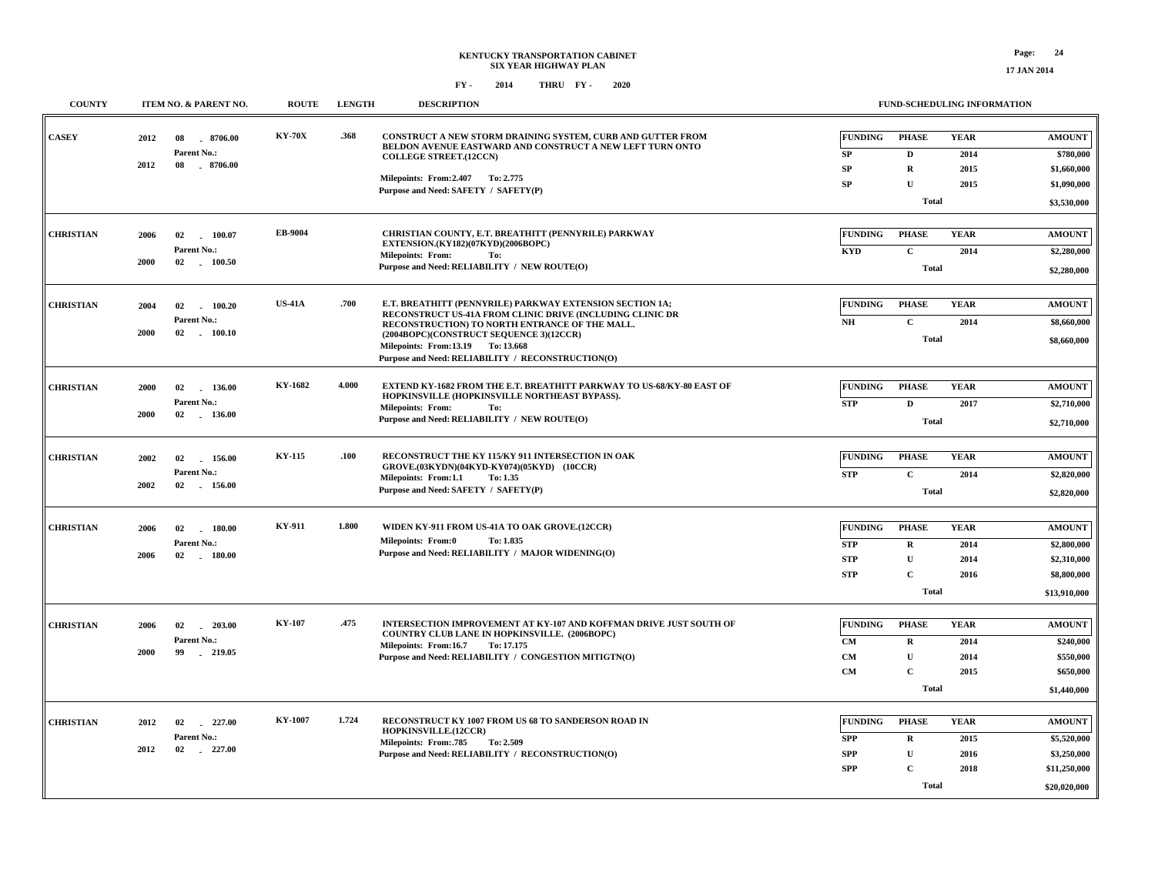| <b>COUNTY</b>    | <b>ITEM NO. &amp; PARENT NO.</b>       | <b>ROUTE</b>  | <b>LENGTH</b> | <b>DESCRIPTION</b>                                                                                                       |                      |                   | <b>FUND-SCHEDULING INFORMATION</b> |                            |
|------------------|----------------------------------------|---------------|---------------|--------------------------------------------------------------------------------------------------------------------------|----------------------|-------------------|------------------------------------|----------------------------|
| <b>CASEY</b>     | 8706.00<br>2012<br>08<br>Parent No.:   | <b>KY-70X</b> | .368          | CONSTRUCT A NEW STORM DRAINING SYSTEM, CURB AND GUTTER FROM<br>BELDON AVENUE EASTWARD AND CONSTRUCT A NEW LEFT TURN ONTO | <b>FUNDING</b><br>SP | <b>PHASE</b><br>D | <b>YEAR</b><br>2014                | <b>AMOUNT</b><br>\$780,000 |
|                  | 2012<br>$-8706.00$<br>08               |               |               | <b>COLLEGE STREET.(12CCN)</b>                                                                                            |                      |                   | 2015                               |                            |
|                  |                                        |               |               | Milepoints: From: 2.407 To: 2.775                                                                                        | <b>SP</b>            | $\mathbf R$       |                                    | \$1,660,000                |
|                  |                                        |               |               | Purpose and Need: SAFETY / SAFETY(P)                                                                                     | SP                   | U                 | 2015                               | \$1,090,000                |
|                  |                                        |               |               |                                                                                                                          |                      | Total             |                                    | \$3,530,000                |
| <b>CHRISTIAN</b> | 2006<br>02<br>100.07                   | EB-9004       |               | CHRISTIAN COUNTY, E.T. BREATHITT (PENNYRILE) PARKWAY                                                                     | <b>FUNDING</b>       | <b>PHASE</b>      | <b>YEAR</b>                        | <b>AMOUNT</b>              |
|                  | Parent No.:                            |               |               | EXTENSION.(KY182)(07KYD)(2006BOPC)<br>Milepoints: From:<br>To:                                                           | <b>KYD</b>           | $\mathbf C$       | 2014                               | \$2,280,000                |
|                  | 2000<br>02<br>100.50                   |               |               | Purpose and Need: RELIABILITY / NEW ROUTE(O)                                                                             |                      | Total             |                                    | \$2,280,000                |
|                  |                                        | <b>US-41A</b> | .700          | E.T. BREATHITT (PENNYRILE) PARKWAY EXTENSION SECTION 1A;                                                                 | <b>FUNDING</b>       | <b>PHASE</b>      | <b>YEAR</b>                        |                            |
| <b>CHRISTIAN</b> | 2004<br>02<br>100.20                   |               |               | RECONSTRUCT US-41A FROM CLINIC DRIVE (INCLUDING CLINIC DR                                                                |                      |                   |                                    | <b>AMOUNT</b>              |
|                  | Parent No.:<br>2000<br>02<br>100.10    |               |               | RECONSTRUCTION) TO NORTH ENTRANCE OF THE MALL.                                                                           | <b>NH</b>            | $\mathbf C$       | 2014                               | \$8,660,000                |
|                  |                                        |               |               | (2004BOPC)(CONSTRUCT SEQUENCE 3)(12CCR)<br>Milepoints: From:13.19 To: 13.668                                             |                      | <b>Total</b>      |                                    | \$8,660,000                |
|                  |                                        |               |               | Purpose and Need: RELIABILITY / RECONSTRUCTION(O)                                                                        |                      |                   |                                    |                            |
| <b>CHRISTIAN</b> | 2000<br>02<br>136.00<br>$\sim$         | KY-1682       | 4.000         | EXTEND KY-1682 FROM THE E.T. BREATHITT PARKWAY TO US-68/KY-80 EAST OF                                                    | <b>FUNDING</b>       | <b>PHASE</b>      | <b>YEAR</b>                        | <b>AMOUNT</b>              |
|                  | Parent No.:                            |               |               | HOPKINSVILLE (HOPKINSVILLE NORTHEAST BYPASS).                                                                            | <b>STP</b>           | $\mathbf D$       | 2017                               | \$2,710,000                |
|                  | 2000<br>136.00<br>02                   |               |               | <b>Milepoints: From:</b><br>To:<br>Purpose and Need: RELIABILITY / NEW ROUTE(O)                                          |                      |                   |                                    |                            |
|                  |                                        |               |               |                                                                                                                          |                      | Total             |                                    | \$2,710,000                |
| <b>CHRISTIAN</b> | 2002<br>02<br>156.00                   | <b>KY-115</b> | .100          | RECONSTRUCT THE KY 115/KY 911 INTERSECTION IN OAK                                                                        | <b>FUNDING</b>       | <b>PHASE</b>      | <b>YEAR</b>                        | <b>AMOUNT</b>              |
|                  | Parent No.:                            |               |               | GROVE.(03KYDN)(04KYD-KY074)(05KYD) (10CCR)<br>Milepoints: From:1.1<br>To: 1.35                                           | <b>STP</b>           | $\mathbf C$       | 2014                               | \$2,820,000                |
|                  | 2002<br>02<br>156.00                   |               |               | Purpose and Need: SAFETY / SAFETY(P)                                                                                     |                      | Total             |                                    | \$2,820,000                |
|                  |                                        |               |               |                                                                                                                          |                      |                   |                                    |                            |
| <b>CHRISTIAN</b> | 180.00<br>2006<br>02                   | KY-911        | 1.800         | WIDEN KY-911 FROM US-41A TO OAK GROVE.(12CCR)                                                                            | <b>FUNDING</b>       | <b>PHASE</b>      | <b>YEAR</b>                        | <b>AMOUNT</b>              |
|                  | Parent No.:                            |               |               | Milepoints: From:0<br>To: 1.835                                                                                          | <b>STP</b>           | $\mathbf R$       | 2014                               | \$2,800,000                |
|                  | 2006<br>02<br>180.00                   |               |               | Purpose and Need: RELIABILITY / MAJOR WIDENING(O)                                                                        | <b>STP</b>           | $\mathbf{U}$      | 2014                               | \$2,310,000                |
|                  |                                        |               |               |                                                                                                                          | <b>STP</b>           | C                 | 2016                               | \$8,800,000                |
|                  |                                        |               |               |                                                                                                                          |                      | Total             |                                    | \$13,910,000               |
|                  |                                        |               |               |                                                                                                                          |                      |                   |                                    |                            |
| <b>CHRISTIAN</b> | 2006<br>02<br>$-203.00$<br>Parent No.: | <b>KY-107</b> | .475          | INTERSECTION IMPROVEMENT AT KY-107 AND KOFFMAN DRIVE JUST SOUTH OF<br>COUNTRY CLUB LANE IN HOPKINSVILLE. (2006BOPC)      | <b>FUNDING</b>       | <b>PHASE</b>      | <b>YEAR</b>                        | <b>AMOUNT</b>              |
|                  | 2000<br>99<br>219.05                   |               |               | Milepoints: From:16.7<br>To: 17.175                                                                                      | <b>CM</b>            | $\mathbf R$       | 2014                               | \$240,000                  |
|                  |                                        |               |               | Purpose and Need: RELIABILITY / CONGESTION MITIGTN(O)                                                                    | CM                   | $\mathbf{U}$      | 2014                               | \$550,000                  |
|                  |                                        |               |               |                                                                                                                          | CM                   | $\mathbf C$       | 2015                               | \$650,000                  |
|                  |                                        |               |               |                                                                                                                          |                      | <b>Total</b>      |                                    | \$1,440,000                |
| <b>CHRISTIAN</b> | 227.00<br>2012<br>02                   | KY-1007       | 1.724         | RECONSTRUCT KY 1007 FROM US 68 TO SANDERSON ROAD IN                                                                      | <b>FUNDING</b>       | <b>PHASE</b>      | <b>YEAR</b>                        | <b>AMOUNT</b>              |
|                  | Parent No.:                            |               |               | HOPKINSVILLE.(12CCR)                                                                                                     | <b>SPP</b>           | $\mathbf R$       | 2015                               | \$5,520,000                |
|                  | 2012<br>02<br>227.00<br>$\sim$         |               |               | <b>Milepoints: From: 785</b><br>To: 2.509                                                                                | <b>SPP</b>           | U                 | 2016                               | \$3,250,000                |
|                  |                                        |               |               | Purpose and Need: RELIABILITY / RECONSTRUCTION(O)                                                                        | <b>SPP</b>           | $\mathbf C$       | 2018                               |                            |
|                  |                                        |               |               |                                                                                                                          |                      |                   |                                    | \$11,250,000               |
|                  |                                        |               |               |                                                                                                                          |                      | Total             |                                    | \$20,020,000               |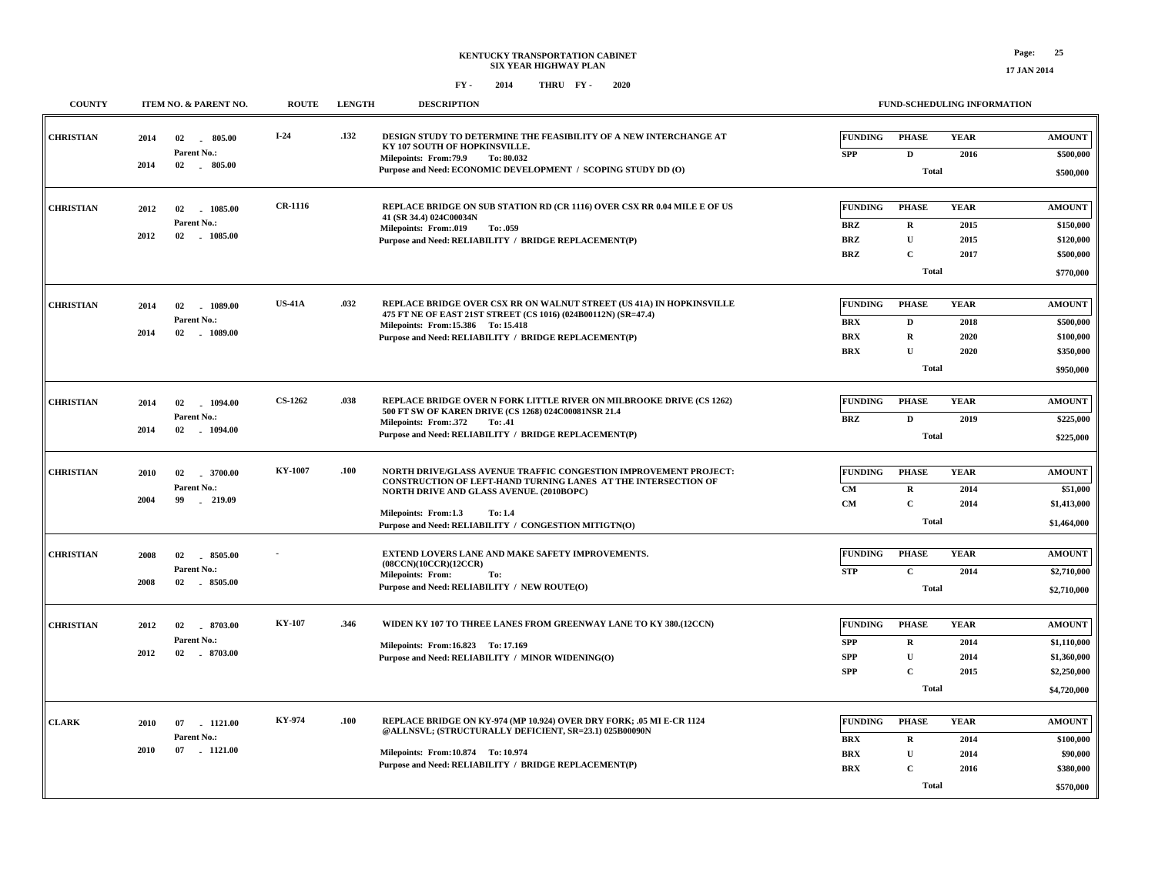| <b>COUNTY</b>    | ITEM NO. & PARENT NO.                                                | <b>ROUTE</b>   | <b>LENGTH</b> | <b>DESCRIPTION</b>                                                                                                                                                                                                                                                                |                                                          |                                                                            | FUND-SCHEDULING INFORMATION         |                                                                           |
|------------------|----------------------------------------------------------------------|----------------|---------------|-----------------------------------------------------------------------------------------------------------------------------------------------------------------------------------------------------------------------------------------------------------------------------------|----------------------------------------------------------|----------------------------------------------------------------------------|-------------------------------------|---------------------------------------------------------------------------|
| <b>CHRISTIAN</b> | 2014<br>02<br>805.00<br>$\sim$<br>Parent No.:<br>2014<br>02 . 805.00 | $I-24$         | .132          | DESIGN STUDY TO DETERMINE THE FEASIBILITY OF A NEW INTERCHANGE AT<br>KY 107 SOUTH OF HOPKINSVILLE.<br>Milepoints: From: 79.9<br>To: 80.032<br>Purpose and Need: ECONOMIC DEVELOPMENT / SCOPING STUDY DD (O)                                                                       | <b>FUNDING</b><br><b>SPP</b>                             | <b>PHASE</b><br>$\mathbf D$<br><b>Total</b>                                | <b>YEAR</b><br>2016                 | <b>AMOUNT</b><br>\$500,000<br>\$500,000                                   |
| <b>CHRISTIAN</b> | 2012<br>02<br>1085.00<br>Parent No.:<br>2012<br>02 1085.00           | <b>CR-1116</b> |               | REPLACE BRIDGE ON SUB STATION RD (CR 1116) OVER CSX RR 0.04 MILE E OF US<br>41 (SR 34.4) 024C00034N<br><b>Milepoints: From:.019</b><br>To: .059<br>Purpose and Need: RELIABILITY / BRIDGE REPLACEMENT(P)                                                                          | <b>FUNDING</b><br><b>BRZ</b><br><b>BRZ</b><br><b>BRZ</b> | <b>PHASE</b><br>$\mathbf R$<br>$\mathbf{U}$<br>$\mathbf C$<br><b>Total</b> | <b>YEAR</b><br>2015<br>2015<br>2017 | <b>AMOUNT</b><br>\$150,000<br>\$120,000<br>\$500,000<br>\$770,000         |
| <b>CHRISTIAN</b> | 2014<br>02<br>1089.00<br>Parent No.:<br>2014<br>02<br>$-1089.00$     | <b>US-41A</b>  | .032          | REPLACE BRIDGE OVER CSX RR ON WALNUT STREET (US 41A) IN HOPKINSVILLE<br>475 FT NE OF EAST 21ST STREET (CS 1016) (024B00112N) (SR=47.4)<br>Milepoints: From: 15.386 To: 15.418<br>Purpose and Need: RELIABILITY / BRIDGE REPLACEMENT(P)                                            | <b>FUNDING</b><br><b>BRX</b><br><b>BRX</b><br><b>BRX</b> | <b>PHASE</b><br>$\mathbf D$<br>$\mathbf R$<br>$\mathbf{U}$<br><b>Total</b> | <b>YEAR</b><br>2018<br>2020<br>2020 | <b>AMOUNT</b><br>\$500,000<br>\$100,000<br>\$350,000<br>\$950,000         |
| <b>CHRISTIAN</b> | 02<br>1094.00<br>2014<br>Parent No.:<br>2014<br>02<br>$-1094.00$     | <b>CS-1262</b> | .038          | <b>REPLACE BRIDGE OVER N FORK LITTLE RIVER ON MILBROOKE DRIVE (CS 1262)</b><br>500 FT SW OF KAREN DRIVE (CS 1268) 024C00081NSR 21.4<br>Milepoints: From: 372<br>To: .41<br>Purpose and Need: RELIABILITY / BRIDGE REPLACEMENT(P)                                                  | <b>FUNDING</b><br><b>BRZ</b>                             | <b>PHASE</b><br>$\mathbf{D}$<br><b>Total</b>                               | <b>YEAR</b><br>2019                 | <b>AMOUNT</b><br>\$225,000<br>\$225,000                                   |
| <b>CHRISTIAN</b> | 2010<br>02<br>3700.00<br>Parent No.:<br>2004<br>$-219.09$<br>99      | <b>KY-1007</b> | .100          | NORTH DRIVE/GLASS AVENUE TRAFFIC CONGESTION IMPROVEMENT PROJECT:<br>CONSTRUCTION OF LEFT-HAND TURNING LANES AT THE INTERSECTION OF<br>NORTH DRIVE AND GLASS AVENUE. (2010BOPC)<br>Milepoints: From:1.3<br><b>To: 1.4</b><br>Purpose and Need: RELIABILITY / CONGESTION MITIGTN(O) | <b>FUNDING</b><br>CM<br><b>CM</b>                        | <b>PHASE</b><br>$\mathbf R$<br>$\mathbf{C}$<br><b>Total</b>                | <b>YEAR</b><br>2014<br>2014         | <b>AMOUNT</b><br>\$51,000<br>\$1,413,000<br>\$1,464,000                   |
| <b>CHRISTIAN</b> | 2008<br>02<br>8505.00<br>Parent No.:<br>$-8505.00$<br>2008<br>02     |                |               | EXTEND LOVERS LANE AND MAKE SAFETY IMPROVEMENTS.<br>(08CCN)(10CCR)(12CCR)<br><b>Milepoints: From:</b><br>To:<br>Purpose and Need: RELIABILITY / NEW ROUTE(O)                                                                                                                      | <b>FUNDING</b><br><b>STP</b>                             | <b>PHASE</b><br>$\mathbf{C}$<br><b>Total</b>                               | <b>YEAR</b><br>2014                 | <b>AMOUNT</b><br>\$2,710,000<br>\$2,710,000                               |
| <b>CHRISTIAN</b> | 2012<br>02<br>8703.00<br>Parent No.:<br>2012<br>02<br>$-8703.00$     | KY-107         | .346          | WIDEN KY 107 TO THREE LANES FROM GREENWAY LANE TO KY 380.(12CCN)<br>Milepoints: From:16.823 To: 17.169<br>Purpose and Need: RELIABILITY / MINOR WIDENING(O)                                                                                                                       | <b>FUNDING</b><br><b>SPP</b><br><b>SPP</b><br><b>SPP</b> | <b>PHASE</b><br>$\mathbf R$<br>U<br>$\mathbf C$<br>Total                   | <b>YEAR</b><br>2014<br>2014<br>2015 | <b>AMOUNT</b><br>\$1,110,000<br>\$1,360,000<br>\$2,250,000<br>\$4,720,000 |
| <b>CLARK</b>     | 07 1121.00<br>2010<br>Parent No.:<br>2010<br>07<br>.1121.00          | KY-974         | .100          | REPLACE BRIDGE ON KY-974 (MP 10.924) OVER DRY FORK; .05 MI E-CR 1124<br>@ALLNSVL; (STRUCTURALLY DEFICIENT, SR=23.1) 025B00090N<br>Milepoints: From:10.874 To:10.974<br>Purpose and Need: RELIABILITY / BRIDGE REPLACEMENT(P)                                                      | <b>FUNDING</b><br><b>BRX</b><br><b>BRX</b><br><b>BRX</b> | <b>PHASE</b><br>${\bf R}$<br>$\mathbf U$<br>$\mathbf C$<br><b>Total</b>    | <b>YEAR</b><br>2014<br>2014<br>2016 | <b>AMOUNT</b><br>\$100,000<br>\$90,000<br>\$380,000<br>\$570,000          |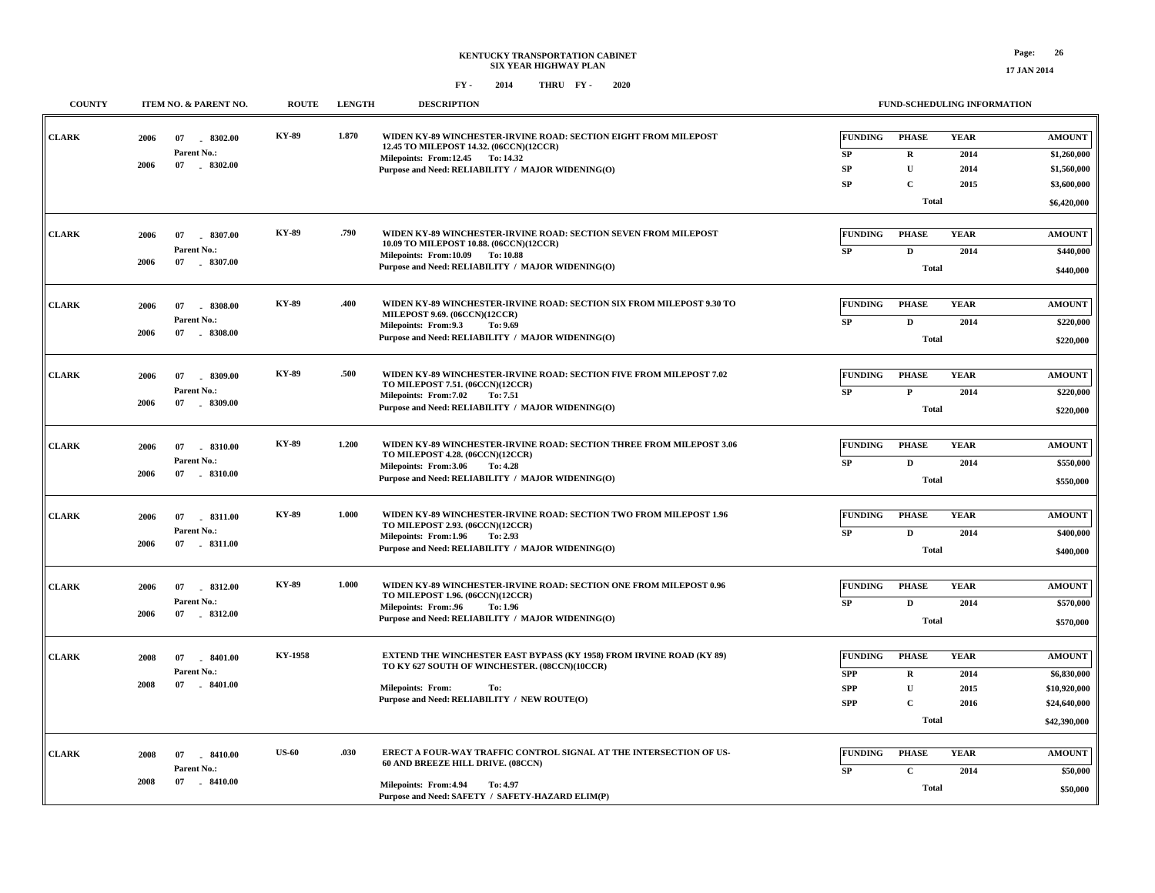| <b>COUNTY</b> |      | ITEM NO. & PARENT NO.        | <b>ROUTE</b> | <b>LENGTH</b> | <b>DESCRIPTION</b>                                                                                         |                          | FUND-SCHEDULING INFORMATION |                     |                              |
|---------------|------|------------------------------|--------------|---------------|------------------------------------------------------------------------------------------------------------|--------------------------|-----------------------------|---------------------|------------------------------|
| <b>CLARK</b>  | 2006 | 07<br>8302.00<br>Parent No.: | KY-89        | 1.870         | WIDEN KY-89 WINCHESTER-IRVINE ROAD: SECTION EIGHT FROM MILEPOST<br>12.45 TO MILEPOST 14.32. (06CCN)(12CCR) | <b>FUNDING</b><br>SP     | <b>PHASE</b><br>$\mathbf R$ | <b>YEAR</b><br>2014 | <b>AMOUNT</b><br>\$1,260,000 |
|               | 2006 | 07 . 8302.00                 |              |               | Milepoints: From:12.45 To:14.32<br>Purpose and Need: RELIABILITY / MAJOR WIDENING(O)                       | SP                       | $\mathbf{U}$                | 2014                | \$1,560,000                  |
|               |      |                              |              |               |                                                                                                            | SP                       | $\mathbf C$                 | 2015                | \$3,600,000                  |
|               |      |                              |              |               |                                                                                                            |                          | Total                       |                     | \$6,420,000                  |
| <b>CLARK</b>  | 2006 | 07<br>8307.00                | <b>KY-89</b> | .790          | WIDEN KY-89 WINCHESTER-IRVINE ROAD: SECTION SEVEN FROM MILEPOST<br>10.09 TO MILEPOST 10.88. (06CCN)(12CCR) | <b>FUNDING</b>           | <b>PHASE</b>                | <b>YEAR</b>         | <b>AMOUNT</b>                |
|               |      | Parent No.:                  |              |               | Milepoints: From:10.09 To:10.88                                                                            | SP                       | $\mathbf{D}$                | 2014                | \$440,000                    |
|               | 2006 | 07 . 8307.00                 |              |               | Purpose and Need: RELIABILITY / MAJOR WIDENING(O)                                                          |                          | <b>Total</b>                |                     | \$440,000                    |
| <b>CLARK</b>  | 2006 | $-8308.00$<br>07             | KY-89        | .400          | WIDEN KY-89 WINCHESTER-IRVINE ROAD: SECTION SIX FROM MILEPOST 9.30 TO<br>MILEPOST 9.69. (06CCN)(12CCR)     | <b>FUNDING</b>           | <b>PHASE</b>                | <b>YEAR</b>         | <b>AMOUNT</b>                |
|               |      | Parent No.:                  |              |               | Milepoints: From: 9.3<br>To: 9.69                                                                          | SP                       | $\mathbf{D}$                | 2014                | \$220,000                    |
|               | 2006 | 07<br>$-8308.00$             |              |               | Purpose and Need: RELIABILITY / MAJOR WIDENING(O)                                                          |                          | Total                       |                     | \$220,000                    |
| <b>CLARK</b>  | 2006 | $-8309.00$<br>07             | <b>KY-89</b> | .500          | WIDEN KY-89 WINCHESTER-IRVINE ROAD: SECTION FIVE FROM MILEPOST 7.02                                        | <b>FUNDING</b>           | <b>PHASE</b>                | <b>YEAR</b>         | <b>AMOUNT</b>                |
|               |      | Parent No.:                  |              |               | TO MILEPOST 7.51. (06CCN)(12CCR)<br>Milepoints: From: 7.02<br>To: 7.51                                     | <b>SP</b>                | ${\bf P}$                   | 2014                | \$220,000                    |
|               | 2006 | 07<br>$-8309.00$             |              |               | Purpose and Need: RELIABILITY / MAJOR WIDENING(O)                                                          |                          | <b>Total</b>                |                     | \$220,000                    |
| <b>CLARK</b>  | 2006 | 07<br>$-8310.00$             | <b>KY-89</b> | 1.200         | WIDEN KY-89 WINCHESTER-IRVINE ROAD: SECTION THREE FROM MILEPOST 3.06                                       | <b>FUNDING</b>           | <b>PHASE</b>                | <b>YEAR</b>         | <b>AMOUNT</b>                |
|               |      | Parent No.:                  |              |               | TO MILEPOST 4.28. (06CCN)(12CCR)<br>Milepoints: From:3.06<br>To: 4.28                                      | SP                       | D                           | 2014                | \$550,000                    |
|               | 2006 | 07<br>$-8310.00$             |              |               | Purpose and Need: RELIABILITY / MAJOR WIDENING(O)                                                          |                          | <b>Total</b>                |                     | \$550,000                    |
| <b>CLARK</b>  | 2006 | 07<br>8311.00                | <b>KY-89</b> | 1.000         | WIDEN KY-89 WINCHESTER-IRVINE ROAD: SECTION TWO FROM MILEPOST 1.96                                         | <b>FUNDING</b>           | <b>PHASE</b>                | <b>YEAR</b>         | <b>AMOUNT</b>                |
|               |      | Parent No.:                  |              |               | TO MILEPOST 2.93. (06CCN)(12CCR)<br>Milepoints: From:1.96<br>To: 2.93                                      | ${\bf SP}$               | $\mathbf{D}$                | 2014                | \$400,000                    |
|               | 2006 | 07 . 8311.00                 |              |               | Purpose and Need: RELIABILITY / MAJOR WIDENING(O)                                                          |                          | <b>Total</b>                |                     | \$400,000                    |
| <b>CLARK</b>  | 2006 | 8312.00<br>07                | <b>KY-89</b> | 1.000         | WIDEN KY-89 WINCHESTER-IRVINE ROAD: SECTION ONE FROM MILEPOST 0.96                                         | <b>FUNDING</b>           | <b>PHASE</b>                | <b>YEAR</b>         | <b>AMOUNT</b>                |
|               |      | Parent No.:                  |              |               | TO MILEPOST 1.96. (06CCN)(12CCR)                                                                           | SP                       | $\mathbf{D}$                | 2014                | \$570,000                    |
|               | 2006 | 07 . 8312.00                 |              |               | Milepoints: From:.96<br>To: 1.96<br>Purpose and Need: RELIABILITY / MAJOR WIDENING(O)                      |                          | <b>Total</b>                |                     | \$570,000                    |
|               |      |                              | KY-1958      |               | <b>EXTEND THE WINCHESTER EAST BYPASS (KY 1958) FROM IRVINE ROAD (KY 89)</b>                                | <b>FUNDING</b>           | <b>PHASE</b>                | <b>YEAR</b>         | <b>AMOUNT</b>                |
| <b>CLARK</b>  | 2008 | 07<br>8401.00<br>Parent No.: |              |               | TO KY 627 SOUTH OF WINCHESTER. (08CCN)(10CCR)                                                              |                          |                             |                     |                              |
|               | 2008 | 07<br>$-8401.00$             |              |               | <b>Milepoints: From:</b><br>To:                                                                            | <b>SPP</b><br><b>SPP</b> | $\mathbf R$<br>$\mathbf{U}$ | 2014<br>2015        | \$6,830,000<br>\$10,920,000  |
|               |      |                              |              |               | Purpose and Need: RELIABILITY / NEW ROUTE(O)                                                               | <b>SPP</b>               | $\mathbf C$                 | 2016                | \$24,640,000                 |
|               |      |                              |              |               |                                                                                                            |                          | Total                       |                     | \$42,390,000                 |
| <b>CLARK</b>  | 2008 | $-8410.00$<br>07             | <b>US-60</b> | .030          | ERECT A FOUR-WAY TRAFFIC CONTROL SIGNAL AT THE INTERSECTION OF US-                                         | <b>FUNDING</b>           | <b>PHASE</b>                | <b>YEAR</b>         | <b>AMOUNT</b>                |
|               |      | Parent No.:                  |              |               | 60 AND BREEZE HILL DRIVE. (08CCN)                                                                          | SP                       | $\mathbf C$                 | 2014                | \$50,000                     |
|               | 2008 | 07<br>$-8410.00$             |              |               | Milepoints: From: 4.94<br>To: 4.97                                                                         |                          | Total                       |                     |                              |
|               |      |                              |              |               | Purpose and Need: SAFETY / SAFETY-HAZARD ELIM(P)                                                           |                          |                             |                     | \$50,000                     |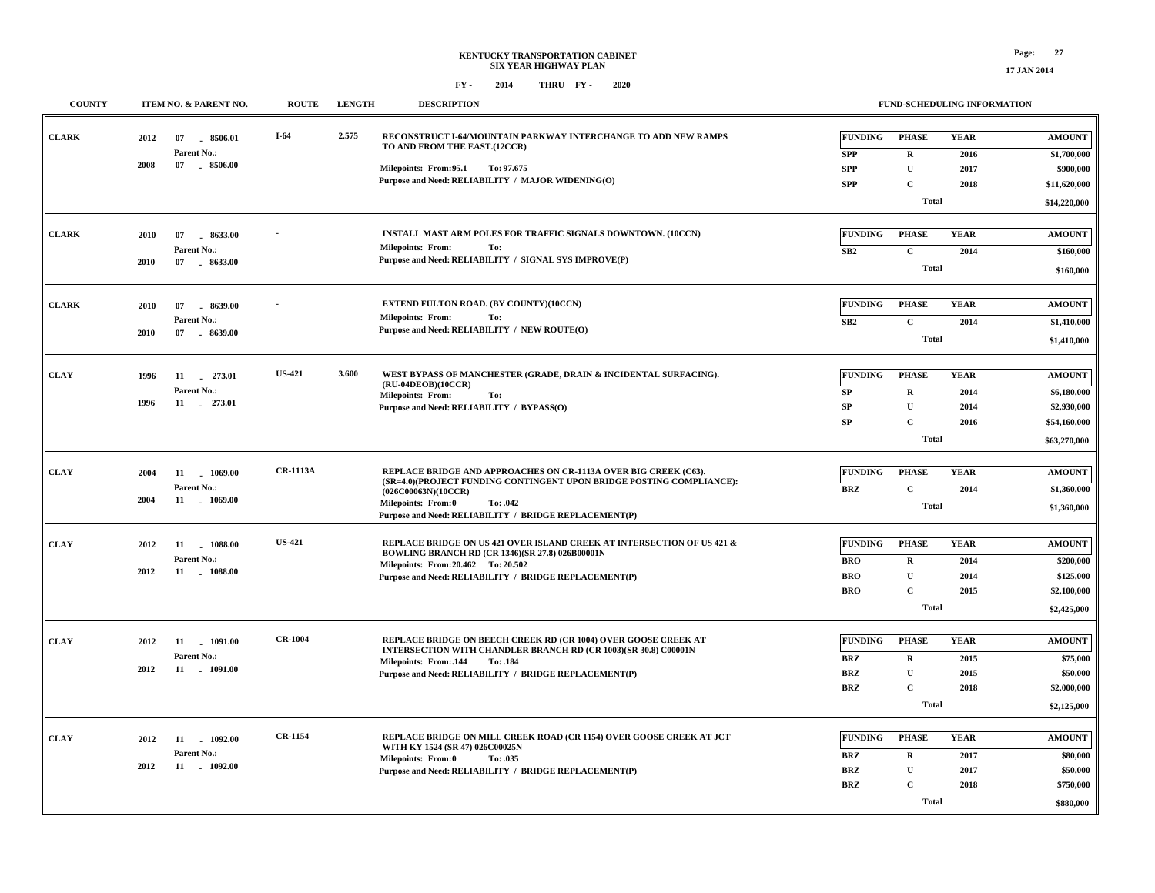## **KENTUCKY TRANSPORTATION CABINET SIX YEAR HIGHWAY PLAN FY - FY - 2014 2020 THRU**

| <b>COUNTY</b> |      | ITEM NO. & PARENT NO.        | <b>ROUTE</b>    | <b>LENGTH</b> | <b>DESCRIPTION</b>                                                                                                                       |                              | FUND-SCHEDULING INFORMATION |              |                              |
|---------------|------|------------------------------|-----------------|---------------|------------------------------------------------------------------------------------------------------------------------------------------|------------------------------|-----------------------------|--------------|------------------------------|
| <b>CLARK</b>  | 2012 | 8506.01<br>07<br>Parent No.: | $I-64$          | 2.575         | RECONSTRUCT I-64/MOUNTAIN PARKWAY INTERCHANGE TO ADD NEW RAMPS<br>TO AND FROM THE EAST.(12CCR)                                           | <b>FUNDING</b><br><b>SPP</b> | <b>PHASE</b><br>$\mathbf R$ | <b>YEAR</b>  | <b>AMOUNT</b><br>\$1,700,000 |
|               | 2008 | 07 8506.00                   |                 |               | Milepoints: From:95.1<br>To: 97.675                                                                                                      | <b>SPP</b>                   | ${\bf U}$                   | 2016<br>2017 | \$900,000                    |
|               |      |                              |                 |               | Purpose and Need: RELIABILITY / MAJOR WIDENING(O)                                                                                        | <b>SPP</b>                   | $\mathbf{C}$                | 2018         | \$11,620,000                 |
|               |      |                              |                 |               |                                                                                                                                          |                              |                             |              |                              |
|               |      |                              |                 |               |                                                                                                                                          |                              | <b>Total</b>                |              | \$14,220,000                 |
| <b>CLARK</b>  | 2010 | 8633.00<br>07                |                 |               | INSTALL MAST ARM POLES FOR TRAFFIC SIGNALS DOWNTOWN. (10CCN)                                                                             | <b>FUNDING</b>               | <b>PHASE</b>                | <b>YEAR</b>  | <b>AMOUNT</b>                |
|               |      | Parent No.:                  |                 |               | <b>Milepoints: From:</b><br>To:                                                                                                          | SB2                          | $\mathbf{C}$                | 2014         | \$160,000                    |
|               | 2010 | 07<br>8633.00                |                 |               | Purpose and Need: RELIABILITY / SIGNAL SYS IMPROVE(P)                                                                                    |                              | <b>Total</b>                |              | \$160,000                    |
|               |      |                              |                 |               |                                                                                                                                          |                              |                             |              |                              |
| <b>CLARK</b>  | 2010 | 8639.00<br>07                |                 |               | <b>EXTEND FULTON ROAD. (BY COUNTY)(10CCN)</b>                                                                                            | <b>FUNDING</b>               | <b>PHASE</b>                | <b>YEAR</b>  | <b>AMOUNT</b>                |
|               |      | Parent No.:                  |                 |               | <b>Milepoints: From:</b><br>To:                                                                                                          | SB2                          | $\mathbf C$                 | 2014         | \$1,410,000                  |
|               | 2010 | 07 . 8639.00                 |                 |               | Purpose and Need: RELIABILITY / NEW ROUTE(O)                                                                                             |                              | <b>Total</b>                |              | \$1,410,000                  |
|               |      |                              |                 |               |                                                                                                                                          |                              |                             |              |                              |
| <b>CLAY</b>   | 1996 | 11 273.01                    | <b>US-421</b>   | 3.600         | WEST BYPASS OF MANCHESTER (GRADE, DRAIN & INCIDENTAL SURFACING).                                                                         | <b>FUNDING</b>               | <b>PHASE</b>                | <b>YEAR</b>  | <b>AMOUNT</b>                |
|               |      | Parent No.:                  |                 |               | (RU-04DEOB)(10CCR)<br><b>Milepoints: From:</b><br>To:                                                                                    | <b>SP</b>                    | $\mathbf R$                 | 2014         | \$6,180,000                  |
|               | 1996 | 11 273.01                    |                 |               | Purpose and Need: RELIABILITY / BYPASS(O)                                                                                                | <b>SP</b>                    | U                           | 2014         | \$2,930,000                  |
|               |      |                              |                 |               |                                                                                                                                          | <b>SP</b>                    | $\mathbf C$                 | 2016         | \$54,160,000                 |
|               |      |                              |                 |               |                                                                                                                                          | <b>Total</b>                 |                             | \$63,270,000 |                              |
|               |      |                              |                 |               |                                                                                                                                          |                              |                             |              |                              |
| <b>CLAY</b>   | 2004 | 11<br>1069.00                | <b>CR-1113A</b> |               | REPLACE BRIDGE AND APPROACHES ON CR-1113A OVER BIG CREEK (C63).<br>(SR=4.0)(PROJECT FUNDING CONTINGENT UPON BRIDGE POSTING COMPLIANCE):  | <b>FUNDING</b>               | <b>PHASE</b>                | <b>YEAR</b>  | <b>AMOUNT</b>                |
|               |      | Parent No.:                  |                 |               | (026C00063N)(10CCR)                                                                                                                      | BRZ                          | $\mathbf C$                 | 2014         | \$1,360,000                  |
|               | 2004 | 11 1069.00                   |                 |               | <b>Milepoints: From:0</b><br>To: .042                                                                                                    |                              | <b>Total</b>                |              | \$1,360,000                  |
|               |      |                              |                 |               | Purpose and Need: RELIABILITY / BRIDGE REPLACEMENT(P)                                                                                    |                              |                             |              |                              |
| <b>CLAY</b>   | 2012 | 11<br>1088.00                | <b>US-421</b>   |               | REPLACE BRIDGE ON US 421 OVER ISLAND CREEK AT INTERSECTION OF US 421 &                                                                   | <b>FUNDING</b>               | <b>PHASE</b>                | <b>YEAR</b>  | <b>AMOUNT</b>                |
|               |      | Parent No.:                  |                 |               | BOWLING BRANCH RD (CR 1346)(SR 27.8) 026B00001N<br>Milepoints: From: 20.462 To: 20.502                                                   | <b>BRO</b>                   | $\bf R$                     | 2014         | \$200,000                    |
|               | 2012 | 11 1088.00                   |                 |               | Purpose and Need: RELIABILITY / BRIDGE REPLACEMENT(P)                                                                                    | <b>BRO</b>                   | $\mathbf U$                 | 2014         | \$125,000                    |
|               |      |                              |                 |               |                                                                                                                                          | <b>BRO</b>                   | $\mathbf C$                 | 2015         | \$2,100,000                  |
|               |      |                              |                 |               |                                                                                                                                          |                              | <b>Total</b>                |              | \$2,425,000                  |
|               |      |                              |                 |               |                                                                                                                                          |                              |                             |              |                              |
| <b>CLAY</b>   | 2012 | 11<br>1091.00                | <b>CR-1004</b>  |               | <b>REPLACE BRIDGE ON BEECH CREEK RD (CR 1004) OVER GOOSE CREEK AT</b><br>INTERSECTION WITH CHANDLER BRANCH RD (CR 1003)(SR 30.8) C00001N | <b>FUNDING</b>               | <b>PHASE</b>                | <b>YEAR</b>  | <b>AMOUNT</b>                |
|               | 2012 | Parent No.:<br>11 . 1091.00  |                 |               | Milepoints: From: 144<br>To: .184                                                                                                        | <b>BRZ</b>                   | $\mathbf R$                 | 2015         | \$75,000                     |
|               |      |                              |                 |               | Purpose and Need: RELIABILITY / BRIDGE REPLACEMENT(P)                                                                                    | <b>BRZ</b>                   | $\mathbf{U}$                | 2015         | \$50,000                     |
|               |      |                              |                 |               |                                                                                                                                          | <b>BRZ</b>                   | $\mathbf C$                 | 2018         | \$2,000,000                  |
|               |      |                              |                 |               |                                                                                                                                          |                              | <b>Total</b>                |              | \$2,125,000                  |
| <b>CLAY</b>   | 2012 | $-1092.00$<br>11             | <b>CR-1154</b>  |               | REPLACE BRIDGE ON MILL CREEK ROAD (CR 1154) OVER GOOSE CREEK AT JCT                                                                      | <b>FUNDING</b>               | <b>PHASE</b>                | <b>YEAR</b>  | <b>AMOUNT</b>                |
|               |      | Parent No.:                  |                 |               | WITH KY 1524 (SR 47) 026C00025N                                                                                                          | <b>BRZ</b>                   | $\mathbf R$                 | 2017         | \$80,000                     |
|               | 2012 | 11 . 1092.00                 |                 |               | Milepoints: From:0<br>To: .035<br>Purpose and Need: RELIABILITY / BRIDGE REPLACEMENT(P)                                                  | <b>BRZ</b>                   | ${\bf U}$                   | 2017         | \$50,000                     |
|               |      |                              |                 |               |                                                                                                                                          | <b>BRZ</b>                   | $\mathbf C$                 | 2018         | \$750,000                    |
|               |      |                              |                 |               |                                                                                                                                          |                              | <b>Total</b>                |              | \$880,000                    |
|               |      |                              |                 |               |                                                                                                                                          |                              |                             |              |                              |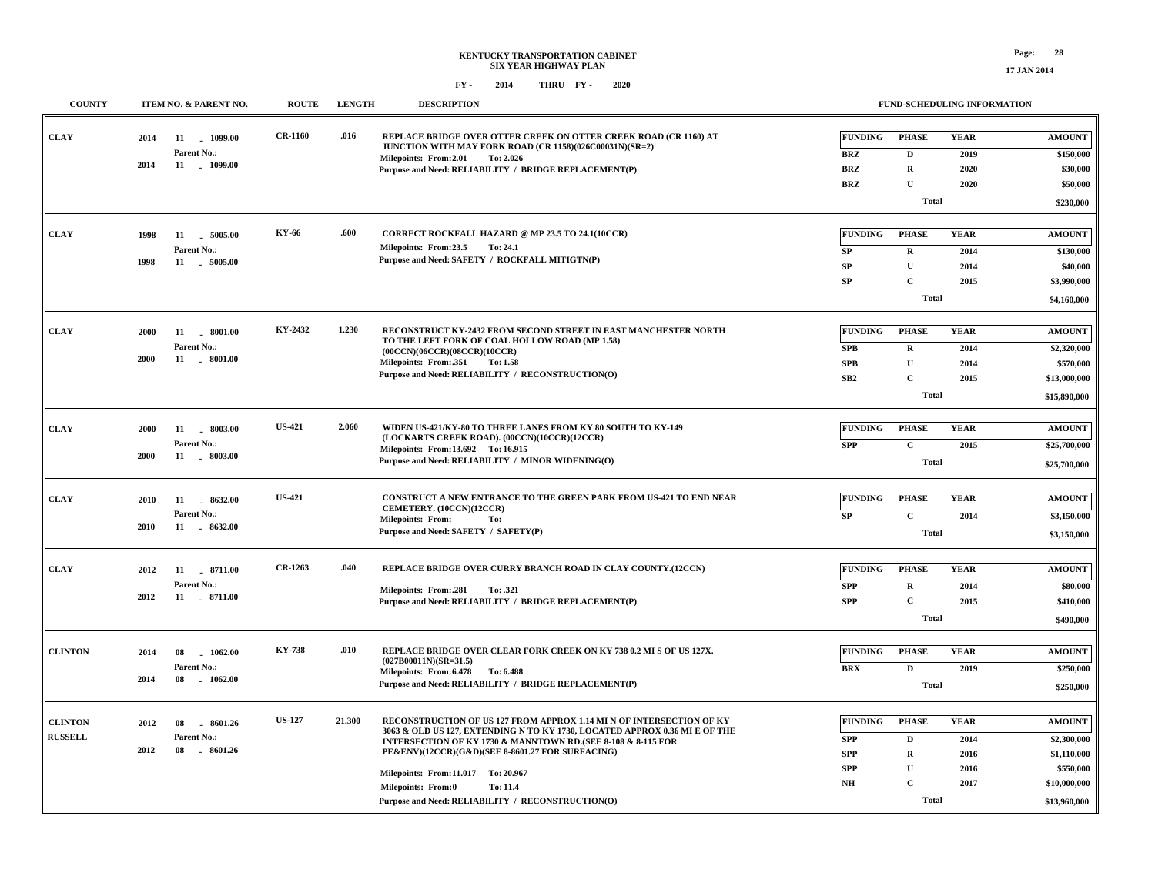**17 JAN 2014**

| <b>COUNTY</b>  | ITEM NO. & PARENT NO.                   | <b>ROUTE</b>   | <b>LENGTH</b> | <b>DESCRIPTION</b>                                                                                                                         |                          | <b>FUND-SCHEDULING INFORMATION</b> |              |               |
|----------------|-----------------------------------------|----------------|---------------|--------------------------------------------------------------------------------------------------------------------------------------------|--------------------------|------------------------------------|--------------|---------------|
| <b>CLAY</b>    | 11 1099.00<br>2014<br>Parent No.:       | <b>CR-1160</b> | .016          | REPLACE BRIDGE OVER OTTER CREEK ON OTTER CREEK ROAD (CR 1160) AT<br>JUNCTION WITH MAY FORK ROAD (CR 1158)(026C00031N)(SR=2)                | <b>FUNDING</b>           | <b>PHASE</b>                       | <b>YEAR</b>  | <b>AMOUNT</b> |
|                | 2014<br>11 . 1099.00                    |                |               | Milepoints: From: 2.01<br>To: 2.026                                                                                                        | <b>BRZ</b>               | D                                  | 2019         | \$150,000     |
|                |                                         |                |               | Purpose and Need: RELIABILITY / BRIDGE REPLACEMENT(P)                                                                                      | <b>BRZ</b><br><b>BRZ</b> | ${\bf R}$<br>$\mathbf U$           | 2020<br>2020 | \$30,000      |
|                |                                         |                |               |                                                                                                                                            |                          |                                    |              | \$50,000      |
|                |                                         |                |               |                                                                                                                                            |                          | <b>Total</b>                       |              | \$230,000     |
|                |                                         | KY-66          | .600          | CORRECT ROCKFALL HAZARD @ MP 23.5 TO 24.1(10CCR)                                                                                           |                          |                                    |              |               |
| CLAY           | 1998<br>11 5005.00<br>Parent No.:       |                |               | Milepoints: From:23.5<br>To: 24.1                                                                                                          | <b>FUNDING</b>           | <b>PHASE</b>                       | <b>YEAR</b>  | <b>AMOUNT</b> |
|                | 1998<br>11 5005.00                      |                |               | Purpose and Need: SAFETY / ROCKFALL MITIGTN(P)                                                                                             | SP                       | $\mathbf R$                        | 2014         | \$130,000     |
|                |                                         |                |               |                                                                                                                                            | SP                       | ${\bf U}$                          | 2014         | \$40,000      |
|                |                                         |                |               |                                                                                                                                            | <b>SP</b>                | $\mathbf{C}$                       | 2015         | \$3,990,000   |
|                |                                         |                |               |                                                                                                                                            |                          | <b>Total</b>                       |              | \$4,160,000   |
|                |                                         | KY-2432        | 1.230         | RECONSTRUCT KY-2432 FROM SECOND STREET IN EAST MANCHESTER NORTH                                                                            |                          |                                    |              |               |
| <b>CLAY</b>    | 2000<br>11<br>. 8001.00                 |                |               | TO THE LEFT FORK OF COAL HOLLOW ROAD (MP 1.58)                                                                                             | <b>FUNDING</b>           | <b>PHASE</b>                       | <b>YEAR</b>  | <b>AMOUNT</b> |
|                | Parent No.:<br>2000<br>11<br>$-8001.00$ |                |               | (00CCN)(06CCR)(08CCR)(10CCR)                                                                                                               | <b>SPB</b>               | $\mathbf R$                        | 2014         | \$2,320,000   |
|                |                                         |                |               | Milepoints: From: 351<br>To: 1.58<br>Purpose and Need: RELIABILITY / RECONSTRUCTION(O)                                                     | ${\bf SPB}$              | $\mathbf U$                        | 2014         | \$570,000     |
|                |                                         |                |               |                                                                                                                                            | SB2                      | $\mathbf C$                        | 2015         | \$13,000,000  |
|                |                                         |                |               |                                                                                                                                            |                          | <b>Total</b>                       |              | \$15,890,000  |
|                |                                         |                |               |                                                                                                                                            |                          |                                    |              |               |
| <b>CLAY</b>    | 2000<br>11<br>$-8003.00$                | <b>US-421</b>  | 2.060         | WIDEN US-421/KY-80 TO THREE LANES FROM KY 80 SOUTH TO KY-149<br>(LOCKARTS CREEK ROAD). (00CCN)(10CCR)(12CCR)                               | <b>FUNDING</b>           | <b>PHASE</b>                       | <b>YEAR</b>  | <b>AMOUNT</b> |
|                | Parent No.:<br>2000<br>11 . 8003.00     |                |               | Milepoints: From:13.692 To: 16.915                                                                                                         | <b>SPP</b>               | $\mathbf C$                        | 2015         | \$25,700,000  |
|                |                                         |                |               | Purpose and Need: RELIABILITY / MINOR WIDENING(O)                                                                                          |                          | <b>Total</b>                       |              | \$25,700,000  |
|                |                                         |                |               |                                                                                                                                            |                          |                                    |              |               |
| <b>CLAY</b>    | 11<br>8632.00<br>2010                   | <b>US-421</b>  |               | CONSTRUCT A NEW ENTRANCE TO THE GREEN PARK FROM US-421 TO END NEAR<br>CEMETERY. (10CCN)(12CCR)                                             | <b>FUNDING</b>           | <b>PHASE</b>                       | <b>YEAR</b>  | <b>AMOUNT</b> |
|                | Parent No.:                             |                |               | <b>Milepoints: From:</b><br>To:                                                                                                            | <b>SP</b>                | $\mathbf{C}$                       | 2014         | \$3,150,000   |
|                | 11 . 8632.00<br>2010                    |                |               | Purpose and Need: SAFETY / SAFETY(P)                                                                                                       |                          | <b>Total</b>                       |              | \$3,150,000   |
|                |                                         |                |               |                                                                                                                                            |                          |                                    |              |               |
| <b>CLAY</b>    | 11 8711.00<br>2012                      | CR-1263        | .040          | REPLACE BRIDGE OVER CURRY BRANCH ROAD IN CLAY COUNTY.(12CCN)                                                                               | <b>FUNDING</b>           | <b>PHASE</b>                       | <b>YEAR</b>  | <b>AMOUNT</b> |
|                | Parent No.:                             |                |               | Milepoints: From:.281<br>To: .321                                                                                                          | <b>SPP</b>               | $\mathbf R$                        | 2014         | \$80,000      |
|                | 2012<br>11 . 8711.00                    |                |               | Purpose and Need: RELIABILITY / BRIDGE REPLACEMENT(P)                                                                                      | <b>SPP</b>               | $\mathbf{C}$                       | 2015         | \$410,000     |
|                |                                         |                |               |                                                                                                                                            |                          | <b>Total</b>                       |              | \$490,000     |
|                |                                         |                |               |                                                                                                                                            |                          |                                    |              |               |
| <b>CLINTON</b> | 08<br>1062.00<br>2014                   | KY-738         | .010          | REPLACE BRIDGE OVER CLEAR FORK CREEK ON KY 738 0.2 MI S OF US 127X.                                                                        | <b>FUNDING</b>           | <b>PHASE</b>                       | <b>YEAR</b>  | <b>AMOUNT</b> |
|                | Parent No.:                             |                |               | $(027B00011N)(SR=31.5)$<br>Milepoints: From: 6.478 To: 6.488                                                                               | <b>BRX</b>               | D                                  | 2019         | \$250,000     |
|                | 2014<br>08<br>1062.00                   |                |               | Purpose and Need: RELIABILITY / BRIDGE REPLACEMENT(P)                                                                                      |                          | <b>Total</b>                       |              | \$250,000     |
|                |                                         |                |               |                                                                                                                                            |                          |                                    |              |               |
| <b>CLINTON</b> | 2012<br>08<br>8601.26                   | <b>US-127</b>  | 21.300        | RECONSTRUCTION OF US 127 FROM APPROX 1.14 MI N OF INTERSECTION OF KY                                                                       | <b>FUNDING</b>           | <b>PHASE</b>                       | <b>YEAR</b>  | <b>AMOUNT</b> |
| <b>RUSSELL</b> | Parent No.:                             |                |               | 3063 & OLD US 127, EXTENDING N TO KY 1730, LOCATED APPROX 0.36 MI E OF THE<br>INTERSECTION OF KY 1730 & MANNTOWN RD.(SEE 8-108 & 8-115 FOR | <b>SPP</b>               | $\mathbf{D}$                       | 2014         | \$2,300,000   |
|                | 08<br>2012<br>8601.26                   |                |               | PE&ENV)(12CCR)(G&D)(SEE 8-8601.27 FOR SURFACING)                                                                                           | <b>SPP</b>               | $\mathbf R$                        | 2016         | \$1,110,000   |
|                |                                         |                |               |                                                                                                                                            | <b>SPP</b>               | U                                  | 2016         | \$550,000     |
|                |                                         |                |               | Milepoints: From:11.017 To: 20.967                                                                                                         | NH                       | $\mathbf{C}$                       | 2017         | \$10,000,000  |
|                |                                         |                |               | <b>Milepoints: From:0</b><br>To: 11.4                                                                                                      |                          |                                    |              |               |
|                |                                         |                |               | Purpose and Need: RELIABILITY / RECONSTRUCTION(O)                                                                                          |                          | <b>Total</b>                       |              | \$13,960,000  |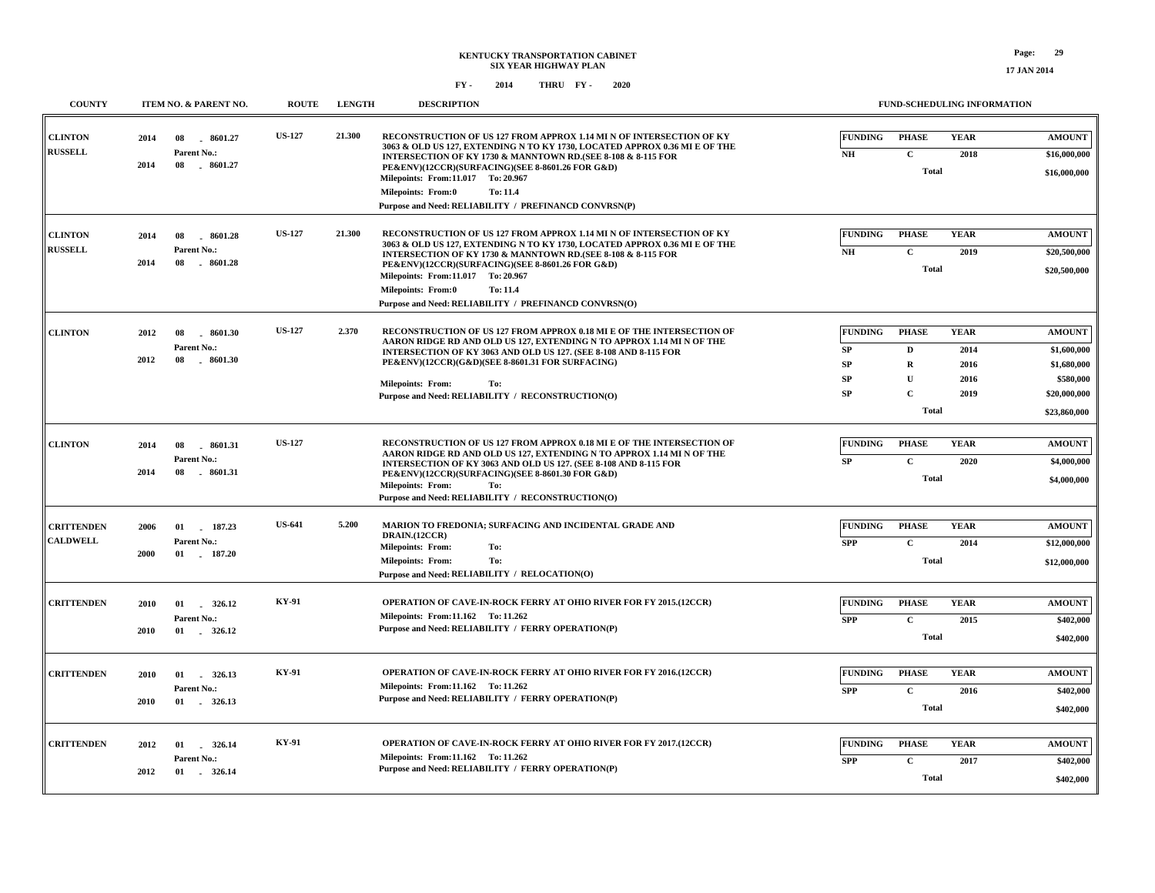| <b>COUNTY</b>                        | ITEM NO. & PARENT NO.                                            | <b>ROUTE</b>  | <b>LENGTH</b> | <b>DESCRIPTION</b>                                                                                                                                                                                                                                                                                                                                                                                              | <b>FUND-SCHEDULING INFORMATION</b>                                                                                                                                           |                                                                                          |
|--------------------------------------|------------------------------------------------------------------|---------------|---------------|-----------------------------------------------------------------------------------------------------------------------------------------------------------------------------------------------------------------------------------------------------------------------------------------------------------------------------------------------------------------------------------------------------------------|------------------------------------------------------------------------------------------------------------------------------------------------------------------------------|------------------------------------------------------------------------------------------|
| <b>CLINTON</b><br><b>RUSSELL</b>     | 2014<br>08<br>8601.27<br>Parent No.:<br>2014<br>08<br>$-8601.27$ | <b>US-127</b> | 21.300        | RECONSTRUCTION OF US 127 FROM APPROX 1.14 MI N OF INTERSECTION OF KY<br>3063 & OLD US 127, EXTENDING N TO KY 1730, LOCATED APPROX 0.36 MI E OF THE<br>INTERSECTION OF KY 1730 & MANNTOWN RD. (SEE 8-108 & 8-115 FOR<br>PE&ENV)(12CCR)(SURFACING)(SEE 8-8601.26 FOR G&D)<br>Milepoints: From:11.017 To: 20.967<br><b>Milepoints: From:0</b><br>To: 11.4<br>Purpose and Need: RELIABILITY / PREFINANCD CONVRSN(P) | <b>FUNDING</b><br><b>PHASE</b><br><b>YEAR</b><br>$\mathbf C$<br>$N\!H$<br>2018<br><b>Total</b>                                                                               | <b>AMOUNT</b><br>\$16,000,000<br>\$16,000,000                                            |
| <b>CLINTON</b><br><b>RUSSELL</b>     | 2014<br>08<br>8601.28<br>Parent No.:<br>2014<br>08<br>$-8601.28$ | <b>US-127</b> | 21.300        | RECONSTRUCTION OF US 127 FROM APPROX 1.14 MI N OF INTERSECTION OF KY<br>3063 & OLD US 127, EXTENDING N TO KY 1730, LOCATED APPROX 0.36 MI E OF THE<br>INTERSECTION OF KY 1730 & MANNTOWN RD. (SEE 8-108 & 8-115 FOR<br>PE&ENV)(12CCR)(SURFACING)(SEE 8-8601.26 FOR G&D)<br>Milepoints: From:11.017 To: 20.967<br><b>Milepoints: From:0</b><br>To: 11.4<br>Purpose and Need: RELIABILITY / PREFINANCD CONVRSN(O) | <b>FUNDING</b><br><b>PHASE</b><br><b>YEAR</b><br>NH<br>$\mathbf C$<br>2019<br><b>Total</b>                                                                                   | <b>AMOUNT</b><br>\$20,500,000<br>\$20,500,000                                            |
| <b>CLINTON</b>                       | 2012<br>08<br>8601.30<br>Parent No.:<br>2012<br>08<br>8601.30    | <b>US-127</b> | 2.370         | RECONSTRUCTION OF US 127 FROM APPROX 0.18 MI E OF THE INTERSECTION OF<br>AARON RIDGE RD AND OLD US 127, EXTENDING N TO APPROX 1.14 MI N OF THE<br>INTERSECTION OF KY 3063 AND OLD US 127. (SEE 8-108 AND 8-115 FOR<br>PE&ENV)(12CCR)(G&D)(SEE 8-8601.31 FOR SURFACING)<br><b>Milepoints: From:</b><br>To:<br>Purpose and Need: RELIABILITY / RECONSTRUCTION(O)                                                  | <b>FUNDING</b><br><b>PHASE</b><br><b>YEAR</b><br>SP<br>$\mathbf{D}$<br>2014<br>$\mathbf R$<br>SP<br>2016<br>SP<br>$\mathbf{U}$<br>2016<br>$\mathbf C$<br>SP<br>2019<br>Total | <b>AMOUNT</b><br>\$1,600,000<br>\$1,680,000<br>\$580,000<br>\$20,000,000<br>\$23,860,000 |
| <b>CLINTON</b>                       | 2014<br>08<br>8601.31<br>Parent No.:<br>08<br>2014<br>$-8601.31$ | <b>US-127</b> |               | RECONSTRUCTION OF US 127 FROM APPROX 0.18 MI E OF THE INTERSECTION OF<br>AARON RIDGE RD AND OLD US 127, EXTENDING N TO APPROX 1.14 MI N OF THE<br>INTERSECTION OF KY 3063 AND OLD US 127. (SEE 8-108 AND 8-115 FOR<br>PE&ENV)(12CCR)(SURFACING)(SEE 8-8601.30 FOR G&D)<br><b>Milepoints: From:</b><br>To:<br>Purpose and Need: RELIABILITY / RECONSTRUCTION(O)                                                  | <b>FUNDING</b><br><b>PHASE</b><br><b>YEAR</b><br>$\mathbf{C}$<br>SP<br>2020<br><b>Total</b>                                                                                  | <b>AMOUNT</b><br>\$4,000,000<br>\$4,000,000                                              |
| <b>CRITTENDEN</b><br><b>CALDWELL</b> | 2006<br>01<br>187.23<br>Parent No.:<br>2000<br>01<br>187.20      | <b>US-641</b> | 5.200         | MARION TO FREDONIA; SURFACING AND INCIDENTAL GRADE AND<br>DRAIN.(12CCR)<br><b>Milepoints: From:</b><br>To:<br>To:<br><b>Milepoints: From:</b><br>Purpose and Need: RELIABILITY / RELOCATION(O)                                                                                                                                                                                                                  | <b>FUNDING</b><br><b>YEAR</b><br><b>PHASE</b><br>$\mathbf C$<br><b>SPP</b><br>2014<br><b>Total</b>                                                                           | <b>AMOUNT</b><br>\$12,000,000<br>\$12,000,000                                            |
| <b>CRITTENDEN</b>                    | 2010<br>01<br>326.12<br>Parent No.:<br>01 . 326.12<br>2010       | <b>KY-91</b>  |               | OPERATION OF CAVE-IN-ROCK FERRY AT OHIO RIVER FOR FY 2015.(12CCR)<br>Milepoints: From:11.162 To: 11.262<br>Purpose and Need: RELIABILITY / FERRY OPERATION(P)                                                                                                                                                                                                                                                   | <b>FUNDING</b><br><b>PHASE</b><br><b>YEAR</b><br>$\mathbf{C}$<br><b>SPP</b><br>2015<br>Total                                                                                 | <b>AMOUNT</b><br>\$402,000<br>\$402,000                                                  |
| <b>CRITTENDEN</b>                    | 01<br>326.13<br>2010<br>Parent No.:<br>2010<br>01 . 326.13       | <b>KY-91</b>  |               | <b>OPERATION OF CAVE-IN-ROCK FERRY AT OHIO RIVER FOR FY 2016.(12CCR)</b><br>Milepoints: From:11.162 To: 11.262<br>Purpose and Need: RELIABILITY / FERRY OPERATION(P)                                                                                                                                                                                                                                            | <b>FUNDING</b><br><b>PHASE</b><br><b>YEAR</b><br>$\mathbf{C}$<br><b>SPP</b><br>2016<br><b>Total</b>                                                                          | <b>AMOUNT</b><br>\$402,000<br>\$402,000                                                  |
| <b>CRITTENDEN</b>                    | 2012<br>326.14<br>01<br>Parent No.:<br>2012<br>01<br>326.14      | <b>KY-91</b>  |               | OPERATION OF CAVE-IN-ROCK FERRY AT OHIO RIVER FOR FY 2017.(12CCR)<br>Milepoints: From:11.162 To: 11.262<br>Purpose and Need: RELIABILITY / FERRY OPERATION(P)                                                                                                                                                                                                                                                   | <b>FUNDING</b><br><b>PHASE</b><br><b>YEAR</b><br><b>SPP</b><br>$\mathbf C$<br>2017<br>Total                                                                                  | <b>AMOUNT</b><br>\$402,000<br>\$402,000                                                  |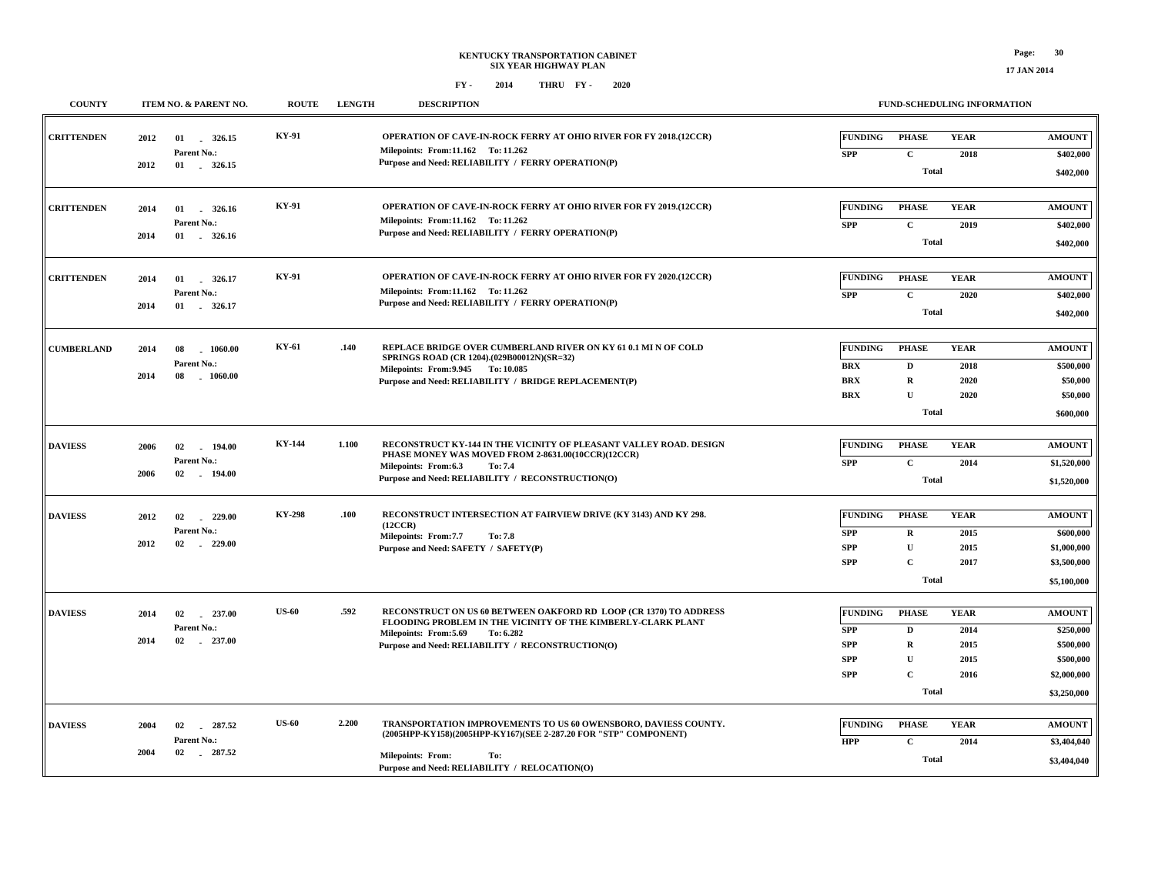**17 JAN 2014**

| <b>COUNTY</b>     |              | ITEM NO. & PARENT NO.                            | <b>ROUTE</b>  | <b>LENGTH</b> | <b>DESCRIPTION</b>                                                                                                                                                                                                            |                                                                        | <b>FUND-SCHEDULING INFORMATION</b>                                           |                                             |                                                                                    |
|-------------------|--------------|--------------------------------------------------|---------------|---------------|-------------------------------------------------------------------------------------------------------------------------------------------------------------------------------------------------------------------------------|------------------------------------------------------------------------|------------------------------------------------------------------------------|---------------------------------------------|------------------------------------------------------------------------------------|
| <b>CRITTENDEN</b> | 2012         | 01 326.15<br>Parent No.:                         | KY-91         |               | <b>OPERATION OF CAVE-IN-ROCK FERRY AT OHIO RIVER FOR FY 2018.(12CCR)</b><br>Milepoints: From:11.162 To: 11.262<br>Purpose and Need: RELIABILITY / FERRY OPERATION(P)                                                          | <b>FUNDING</b><br><b>SPP</b>                                           | <b>PHASE</b><br>$\mathbf{C}$                                                 | <b>YEAR</b><br>2018                         | <b>AMOUNT</b><br>\$402,000                                                         |
|                   | 2012         |                                                  |               |               |                                                                                                                                                                                                                               |                                                                        | <b>Total</b>                                                                 |                                             | \$402,000                                                                          |
| <b>CRITTENDEN</b> | 2014<br>2014 | 01<br>326.16<br>Parent No.:                      | <b>KY-91</b>  |               | <b>OPERATION OF CAVE-IN-ROCK FERRY AT OHIO RIVER FOR FY 2019.(12CCR)</b><br>Milepoints: From:11.162 To: 11.262<br>Purpose and Need: RELIABILITY / FERRY OPERATION(P)                                                          | <b>FUNDING</b><br><b>SPP</b>                                           | <b>PHASE</b><br>$\mathbf{C}$                                                 | <b>YEAR</b><br>2019                         | <b>AMOUNT</b><br>\$402,000                                                         |
|                   |              |                                                  |               |               |                                                                                                                                                                                                                               |                                                                        | <b>Total</b>                                                                 |                                             | \$402,000                                                                          |
| <b>CRITTENDEN</b> | 2014         | 01 326.17<br>Parent No.:                         | KY-91         |               | <b>OPERATION OF CAVE-IN-ROCK FERRY AT OHIO RIVER FOR FY 2020.(12CCR)</b><br>Milepoints: From:11.162 To: 11.262<br>Purpose and Need: RELIABILITY / FERRY OPERATION(P)                                                          | <b>FUNDING</b><br><b>SPP</b>                                           | <b>PHASE</b><br>$\mathbf c$                                                  | <b>YEAR</b><br>2020                         | <b>AMOUNT</b><br>\$402,000                                                         |
|                   | 2014         | 01 326.17                                        |               |               |                                                                                                                                                                                                                               |                                                                        | <b>Total</b>                                                                 |                                             | \$402,000                                                                          |
| <b>CUMBERLAND</b> | 2014<br>2014 | 08<br>1060.00<br>Parent No.:<br>$-1060.00$<br>08 | KY-61         | .140          | REPLACE BRIDGE OVER CUMBERLAND RIVER ON KY 61 0.1 MI N OF COLD<br>SPRINGS ROAD (CR 1204).(029B00012N)(SR=32)<br>Milepoints: From: 9.945 To: 10.085<br>Purpose and Need: RELIABILITY / BRIDGE REPLACEMENT(P)                   | <b>FUNDING</b><br><b>BRX</b><br><b>BRX</b><br><b>BRX</b>               | <b>PHASE</b><br>$\mathbf D$<br>$\mathbf R$<br>$\mathbf{U}$                   | <b>YEAR</b><br>2018<br>2020<br>2020         | <b>AMOUNT</b><br>\$500,000<br>\$50,000<br>\$50,000                                 |
|                   |              |                                                  |               |               |                                                                                                                                                                                                                               |                                                                        | <b>Total</b>                                                                 |                                             | \$600,000                                                                          |
| <b>DAVIESS</b>    | 2006<br>2006 | 02<br>194.00<br>Parent No.:<br>02 194.00         | <b>KY-144</b> | 1.100         | RECONSTRUCT KY-144 IN THE VICINITY OF PLEASANT VALLEY ROAD. DESIGN<br>PHASE MONEY WAS MOVED FROM 2-8631.00(10CCR)(12CCR)<br>Milepoints: From:6.3<br>To: 7.4<br>Purpose and Need: RELIABILITY / RECONSTRUCTION(O)              | <b>FUNDING</b><br><b>SPP</b>                                           | <b>PHASE</b><br>$\mathbf C$<br><b>Total</b>                                  | <b>YEAR</b><br>2014                         | <b>AMOUNT</b><br>\$1,520,000<br>\$1,520,000                                        |
| <b>DAVIESS</b>    | 2012<br>2012 | 02<br>229.00<br>Parent No.:<br>02<br>229.00      | KY-298        | .100          | RECONSTRUCT INTERSECTION AT FAIRVIEW DRIVE (KY 3143) AND KY 298.<br>(12CCR)<br>Milepoints: From:7.7<br>To: 7.8<br>Purpose and Need: SAFETY / SAFETY(P)                                                                        | <b>FUNDING</b><br><b>SPP</b><br><b>SPP</b><br><b>SPP</b>               | <b>PHASE</b><br>$\mathbf R$<br>$\mathbf{U}$<br>$\mathbf{C}$<br><b>Total</b>  | <b>YEAR</b><br>2015<br>2015<br>2017         | <b>AMOUNT</b><br>\$600,000<br>\$1,000,000<br>\$3,500,000<br>\$5,100,000            |
| <b>DAVIESS</b>    | 2014<br>2014 | 02<br>237.00<br>Parent No.:<br>02<br>$-237.00$   | <b>US-60</b>  | .592          | RECONSTRUCT ON US 60 BETWEEN OAKFORD RD LOOP (CR 1370) TO ADDRESS<br>FLOODING PROBLEM IN THE VICINITY OF THE KIMBERLY-CLARK PLANT<br>Milepoints: From: 5.69<br>To: 6.282<br>Purpose and Need: RELIABILITY / RECONSTRUCTION(O) | <b>FUNDING</b><br><b>SPP</b><br><b>SPP</b><br><b>SPP</b><br><b>SPP</b> | <b>PHASE</b><br>D<br>$\mathbf R$<br>${\bf U}$<br>$\mathbf C$<br><b>Total</b> | <b>YEAR</b><br>2014<br>2015<br>2015<br>2016 | <b>AMOUNT</b><br>\$250,000<br>\$500,000<br>\$500,000<br>\$2,000,000<br>\$3,250,000 |
| <b>DAVIESS</b>    | 2004<br>2004 | 287.52<br>02<br>Parent No.:<br>02<br>287.52      | <b>US-60</b>  | 2.200         | TRANSPORTATION IMPROVEMENTS TO US 60 OWENSBORO, DAVIESS COUNTY.<br>(2005HPP-KY158)(2005HPP-KY167)(SEE 2-287.20 FOR "STP" COMPONENT)<br><b>Milepoints: From:</b><br>To:<br>Purpose and Need: RELIABILITY / RELOCATION(O)       | <b>FUNDING</b><br><b>HPP</b>                                           | <b>PHASE</b><br>$\mathbf C$<br><b>Total</b>                                  | <b>YEAR</b><br>2014                         | <b>AMOUNT</b><br>\$3,404,040<br>\$3,404,040                                        |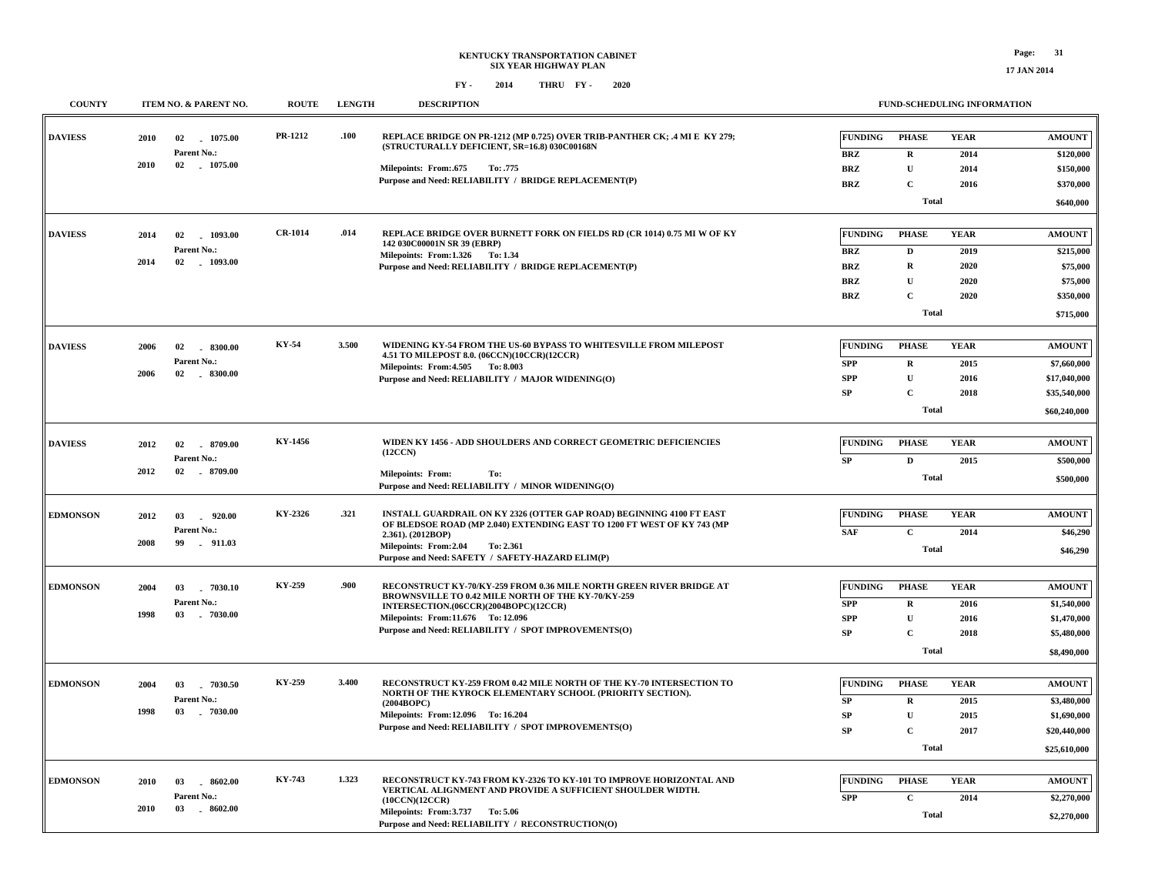**17 JAN 2014**

| <b>COUNTY</b>   | ITEM NO. & PARENT NO.                                                   | <b>ROUTE</b>   | <b>LENGTH</b> | <b>DESCRIPTION</b>                                                                                                                                                                                                                                               | <b>FUND-SCHEDULING INFORMATION</b>                                                                                                                                                                    |                                                                              |
|-----------------|-------------------------------------------------------------------------|----------------|---------------|------------------------------------------------------------------------------------------------------------------------------------------------------------------------------------------------------------------------------------------------------------------|-------------------------------------------------------------------------------------------------------------------------------------------------------------------------------------------------------|------------------------------------------------------------------------------|
| <b>DAVIESS</b>  | 1075.00<br>2010<br>02<br>Parent No.:<br>2010<br>02 1075.00              | PR-1212        | .100          | REPLACE BRIDGE ON PR-1212 (MP 0.725) OVER TRIB-PANTHER CK; .4 MI E KY 279;<br>(STRUCTURALLY DEFICIENT, SR=16.8) 030C00168N<br><b>Milepoints: From:.675</b><br>To: .775                                                                                           | <b>FUNDING</b><br><b>PHASE</b><br><b>YEAR</b><br><b>BRZ</b><br>$\mathbf R$<br>2014<br><b>BRZ</b><br>$\mathbf U$<br>2014                                                                               | <b>AMOUNT</b><br>\$120,000<br>\$150,000                                      |
|                 |                                                                         |                |               | Purpose and Need: RELIABILITY / BRIDGE REPLACEMENT(P)                                                                                                                                                                                                            | <b>BRZ</b><br>$\mathbf{C}$<br>2016<br><b>Total</b>                                                                                                                                                    | \$370,000<br>\$640,000                                                       |
| <b>DAVIESS</b>  | 2014<br>02<br>1093.00<br>Parent No.:<br>2014<br>02<br>$-1093.00$        | <b>CR-1014</b> | .014          | REPLACE BRIDGE OVER BURNETT FORK ON FIELDS RD (CR 1014) 0.75 MI W OF KY<br>142 030C00001N SR 39 (EBRP)<br>Milepoints: From:1.326 To:1.34<br>Purpose and Need: RELIABILITY / BRIDGE REPLACEMENT(P)                                                                | <b>FUNDING</b><br><b>PHASE</b><br><b>YEAR</b><br><b>BRZ</b><br>D<br>2019<br><b>BRZ</b><br>$\mathbf R$<br>2020<br>${\bf U}$<br><b>BRZ</b><br>2020<br>$\mathbf C$<br><b>BRZ</b><br>2020<br><b>Total</b> | <b>AMOUNT</b><br>\$215,000<br>\$75,000<br>\$75,000<br>\$350,000<br>\$715,000 |
| <b>DAVIESS</b>  | $-8300.00$<br>2006<br>02<br>Parent No.:<br>2006<br>02<br>$-8300.00$     | KY-54          | 3.500         | WIDENING KY-54 FROM THE US-60 BYPASS TO WHITESVILLE FROM MILEPOST<br>4.51 TO MILEPOST 8.0. (06CCN)(10CCR)(12CCR)<br>Milepoints: From: 4.505 To: 8.003<br>Purpose and Need: RELIABILITY / MAJOR WIDENING(O)                                                       | <b>FUNDING</b><br><b>PHASE</b><br><b>YEAR</b><br><b>SPP</b><br>$\mathbf{R}$<br>2015<br>$\mathbf U$<br><b>SPP</b><br>2016<br>$\mathbf C$<br>SP<br>2018<br><b>Total</b>                                 | <b>AMOUNT</b><br>\$7,660,000<br>\$17,040,000<br>\$35,540,000<br>\$60,240,000 |
| <b>DAVIESS</b>  | 2012<br>02<br>8709.00<br>Parent No.:<br>02<br>2012<br>8709.00           | KY-1456        |               | WIDEN KY 1456 - ADD SHOULDERS AND CORRECT GEOMETRIC DEFICIENCIES<br>(12CCN)<br>Milepoints: From:<br>To:<br>Purpose and Need: RELIABILITY / MINOR WIDENING(O)                                                                                                     | <b>FUNDING</b><br><b>PHASE</b><br><b>YEAR</b><br>$\mathbf D$<br>2015<br>SP<br><b>Total</b>                                                                                                            | <b>AMOUNT</b><br>\$500,000<br>\$500,000                                      |
| <b>EDMONSON</b> | 2012<br>03<br>$-920.00$<br>Parent No.:<br>2008<br>99<br>.911.03         | KY-2326        | .321          | INSTALL GUARDRAIL ON KY 2326 (OTTER GAP ROAD) BEGINNING 4100 FT EAST<br>OF BLEDSOE ROAD (MP 2.040) EXTENDING EAST TO 1200 FT WEST OF KY 743 (MP<br>2.361). (2012BOP)<br>Milepoints: From:2.04<br>To: 2.361<br>Purpose and Need: SAFETY / SAFETY-HAZARD ELIM(P)   | <b>FUNDING</b><br><b>PHASE</b><br><b>YEAR</b><br>$\mathbf C$<br><b>SAF</b><br>2014<br><b>Total</b>                                                                                                    | <b>AMOUNT</b><br>\$46,290<br>\$46,290                                        |
| <b>EDMONSON</b> | 2004<br>03<br>$-7030.10$<br>Parent No.:<br>1998<br>03 7030.00           | KY-259         | .900          | RECONSTRUCT KY-70/KY-259 FROM 0.36 MILE NORTH GREEN RIVER BRIDGE AT<br>BROWNSVILLE TO 0.42 MILE NORTH OF THE KY-70/KY-259<br>INTERSECTION.(06CCR)(2004BOPC)(12CCR)<br>Milepoints: From:11.676 To: 12.096<br>Purpose and Need: RELIABILITY / SPOT IMPROVEMENTS(O) | <b>FUNDING</b><br><b>YEAR</b><br><b>PHASE</b><br>$\mathbf R$<br><b>SPP</b><br>2016<br>$\mathbf U$<br><b>SPP</b><br>2016<br>SP<br>$\mathbf C$<br>2018<br><b>Total</b>                                  | <b>AMOUNT</b><br>\$1,540,000<br>\$1,470,000<br>\$5,480,000<br>\$8,490,000    |
| <b>EDMONSON</b> | 2004<br>03<br>$-7030.50$<br>Parent No.:<br>1998<br>$-7030.00$<br>03     | KY-259         | 3.400         | RECONSTRUCT KY-259 FROM 0.42 MILE NORTH OF THE KY-70 INTERSECTION TO<br>NORTH OF THE KYROCK ELEMENTARY SCHOOL (PRIORITY SECTION).<br>(2004BOPC)<br>Milepoints: From:12.096 To:16.204<br>Purpose and Need: RELIABILITY / SPOT IMPROVEMENTS(O)                     | <b>FUNDING</b><br><b>PHASE</b><br><b>YEAR</b><br>SP<br>$\mathbf{R}$<br>2015<br>$\mathbf{U}$<br><b>SP</b><br>2015<br>$\mathbf{C}$<br><b>SP</b><br>2017<br><b>Total</b>                                 | <b>AMOUNT</b><br>\$3,480,000<br>\$1,690,000<br>\$20,440,000<br>\$25,610,000  |
| <b>EDMONSON</b> | 2010<br>03<br>8602.00<br><b>Parent No.:</b><br>2010<br>03<br>$-8602.00$ | <b>KY-743</b>  | 1.323         | RECONSTRUCT KY-743 FROM KY-2326 TO KY-101 TO IMPROVE HORIZONTAL AND<br>VERTICAL ALIGNMENT AND PROVIDE A SUFFICIENT SHOULDER WIDTH.<br>(10CCN)(12CCR)<br>Milepoints: From: 3.737 To: 5.06<br>Purpose and Need: RELIABILITY / RECONSTRUCTION(O)                    | <b>FUNDING</b><br><b>PHASE</b><br><b>YEAR</b><br><b>SPP</b><br>$\mathbf C$<br>2014<br><b>Total</b>                                                                                                    | <b>AMOUNT</b><br>\$2,270,000<br>\$2,270,000                                  |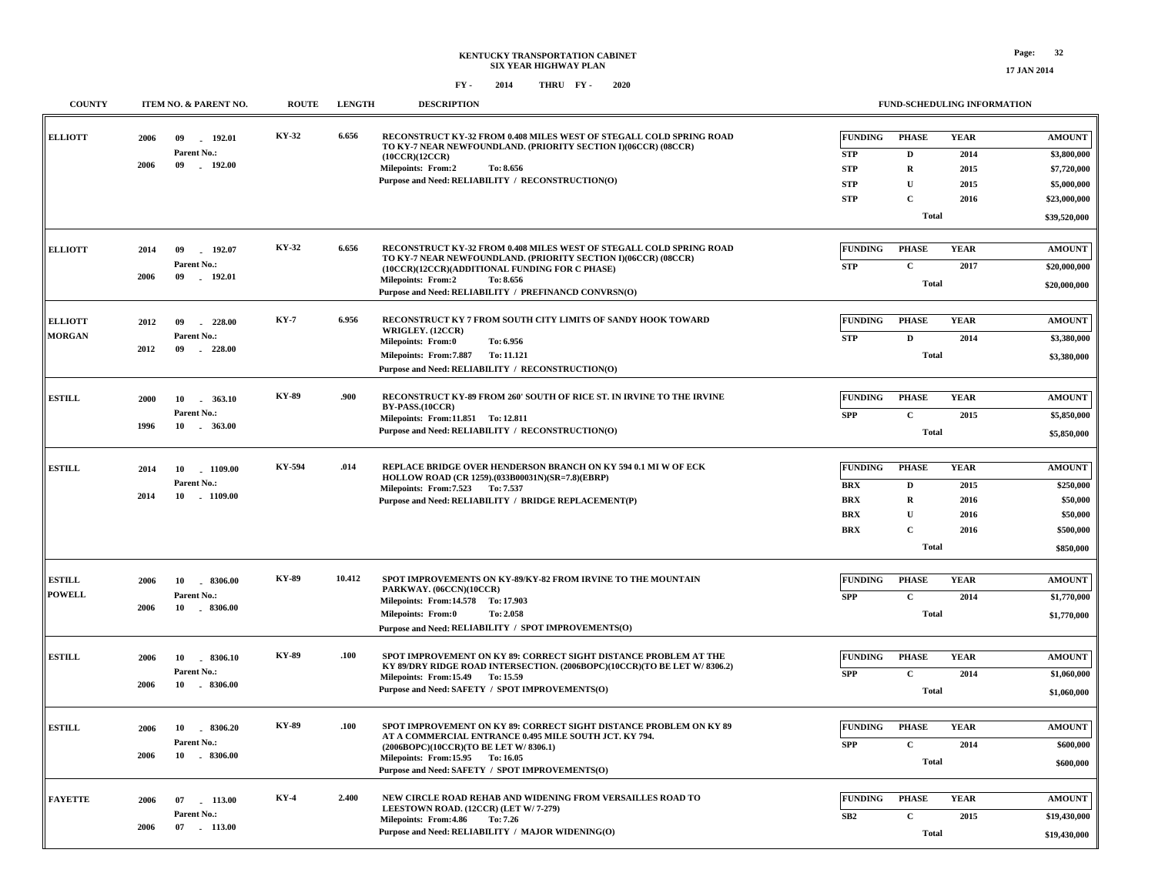## **KENTUCKY TRANSPORTATION CABINET SIX YEAR HIGHWAY PLAN FY - FY - 2014 2020 THRU**

**17 JAN 2014**

| <b>COUNTY</b>                   | ITEM NO. & PARENT NO.                                             | <b>ROUTE</b> | <b>LENGTH</b> | <b>DESCRIPTION</b>                                                                                                                                                                                                                                                                         | <b>FUND-SCHEDULING INFORMATION</b>                                                                                                                                                           |                                                                              |
|---------------------------------|-------------------------------------------------------------------|--------------|---------------|--------------------------------------------------------------------------------------------------------------------------------------------------------------------------------------------------------------------------------------------------------------------------------------------|----------------------------------------------------------------------------------------------------------------------------------------------------------------------------------------------|------------------------------------------------------------------------------|
| <b>ELLIOTT</b>                  | 192.01<br>2006<br>09<br>Parent No.:<br>2006<br>09<br>$-192.00$    | KY-32        | 6.656         | RECONSTRUCT KY-32 FROM 0.408 MILES WEST OF STEGALL COLD SPRING ROAD<br>TO KY-7 NEAR NEWFOUNDLAND. (PRIORITY SECTION I)(06CCR) (08CCR)<br>(10CCR)(12CCR)<br><b>Milepoints: From:2</b><br>To: 8.656<br>Purpose and Need: RELIABILITY / RECONSTRUCTION(O)                                     | <b>FUNDING</b><br><b>PHASE</b><br><b>YEAR</b><br><b>STP</b><br>D<br>2014<br>${\bf STP}$<br>R<br>2015<br>$\mathbf U$<br><b>STP</b><br>2015                                                    | <b>AMOUNT</b><br>\$3,800,000<br>\$7,720,000<br>\$5,000,000                   |
|                                 |                                                                   |              |               |                                                                                                                                                                                                                                                                                            | $\mathbf{C}$<br><b>STP</b><br>2016<br><b>Total</b>                                                                                                                                           | \$23,000,000<br>\$39,520,000                                                 |
| <b>ELLIOTT</b>                  | 09<br>192.07<br>2014<br>Parent No.:<br>09<br>2006<br>192.01       | KY-32        | 6.656         | RECONSTRUCT KY-32 FROM 0.408 MILES WEST OF STEGALL COLD SPRING ROAD<br>TO KY-7 NEAR NEWFOUNDLAND. (PRIORITY SECTION I)(06CCR) (08CCR)<br>(10CCR)(12CCR)(ADDITIONAL FUNDING FOR C PHASE)<br><b>Milepoints: From:2</b><br>To: 8.656<br>Purpose and Need: RELIABILITY / PREFINANCD CONVRSN(O) | <b>FUNDING</b><br><b>YEAR</b><br><b>PHASE</b><br>$\mathbf{C}$<br><b>STP</b><br>2017<br><b>Total</b>                                                                                          | <b>AMOUNT</b><br>\$20,000,000<br>\$20,000,000                                |
| <b>ELLIOTT</b><br><b>MORGAN</b> | 2012<br>09<br>228.00<br>Parent No.:<br>2012<br>09<br>$-228.00$    | <b>KY-7</b>  | 6.956         | RECONSTRUCT KY 7 FROM SOUTH CITY LIMITS OF SANDY HOOK TOWARD<br>WRIGLEY. (12CCR)<br><b>Milepoints: From:0</b><br>To: 6.956<br>Milepoints: From: 7.887<br>To: 11.121<br>Purpose and Need: RELIABILITY / RECONSTRUCTION(O)                                                                   | FUNDING<br><b>PHASE</b><br><b>YEAR</b><br><b>STP</b><br>2014<br>D<br><b>Total</b>                                                                                                            | <b>AMOUNT</b><br>\$3,380,000<br>\$3,380,000                                  |
| <b>ESTILL</b>                   | 2000<br>10 . 363.10<br>Parent No.:<br>1996                        | <b>KY-89</b> | .900          | RECONSTRUCT KY-89 FROM 260' SOUTH OF RICE ST. IN IRVINE TO THE IRVINE<br>BY-PASS.(10CCR)<br>Milepoints: From:11.851 To: 12.811<br>Purpose and Need: RELIABILITY / RECONSTRUCTION(O)                                                                                                        | <b>FUNDING</b><br><b>PHASE</b><br><b>YEAR</b><br><b>SPP</b><br>$\mathbf C$<br>2015<br><b>Total</b>                                                                                           | <b>AMOUNT</b><br>\$5,850,000<br>\$5,850,000                                  |
| <b>ESTILL</b>                   | 10<br>1109.00<br>2014<br>Parent No.:<br>10<br>2014<br>$-1109.00$  | KY-594       | .014          | REPLACE BRIDGE OVER HENDERSON BRANCH ON KY 594 0.1 MI W OF ECK<br>HOLLOW ROAD (CR 1259).(033B00031N)(SR=7.8)(EBRP)<br>Milepoints: From: 7.523 To: 7.537<br>Purpose and Need: RELIABILITY / BRIDGE REPLACEMENT(P)                                                                           | <b>FUNDING</b><br><b>PHASE</b><br><b>YEAR</b><br><b>BRX</b><br>D<br>2015<br><b>BRX</b><br>R<br>2016<br>${\bf U}$<br><b>BRX</b><br>2016<br>$\mathbf{C}$<br><b>BRX</b><br>2016<br><b>Total</b> | <b>AMOUNT</b><br>\$250,000<br>\$50,000<br>\$50,000<br>\$500,000<br>\$850,000 |
| <b>ESTILL</b><br><b>POWELL</b>  | $-8306.00$<br>2006<br>10<br>Parent No.:<br>2006<br>10 - 8306.00   | <b>KY-89</b> | 10.412        | SPOT IMPROVEMENTS ON KY-89/KY-82 FROM IRVINE TO THE MOUNTAIN<br>PARKWAY. (06CCN)(10CCR)<br>Milepoints: From:14.578 To: 17.903<br><b>Milepoints: From:0</b><br>To: 2.058<br>Purpose and Need: RELIABILITY / SPOT IMPROVEMENTS(O)                                                            | <b>FUNDING</b><br><b>PHASE</b><br><b>YEAR</b><br>$\mathbf C$<br><b>SPP</b><br>2014<br><b>Total</b>                                                                                           | <b>AMOUNT</b><br>\$1,770,000<br>\$1,770,000                                  |
| <b>ESTILL</b>                   | 8306.10<br>2006<br>10<br>Parent No.:<br>2006<br>10 - 8306.00      | <b>KY-89</b> | .100          | SPOT IMPROVEMENT ON KY 89: CORRECT SIGHT DISTANCE PROBLEM AT THE<br>KY 89/DRY RIDGE ROAD INTERSECTION. (2006BOPC)(10CCR)(TO BE LET W/8306.2)<br>Milepoints: From: 15.49 To: 15.59<br>Purpose and Need: SAFETY / SPOT IMPROVEMENTS(O)                                                       | <b>FUNDING</b><br><b>PHASE</b><br><b>YEAR</b><br><b>SPP</b><br>$\mathbf{C}$<br>2014<br><b>Total</b>                                                                                          | <b>AMOUNT</b><br>\$1,060,000<br>\$1,060,000                                  |
| <b>ESTILL</b>                   | 2006<br>8306.20<br>10<br>Parent No.:<br>10<br>$-8306.00$<br>2006  | KY-89        | .100          | SPOT IMPROVEMENT ON KY 89: CORRECT SIGHT DISTANCE PROBLEM ON KY 89<br>AT A COMMERCIAL ENTRANCE 0.495 MILE SOUTH JCT. KY 794.<br>(2006BOPC)(10CCR)(TO BE LET W/8306.1)<br>Milepoints: From:15.95 To:16.05<br>Purpose and Need: SAFETY / SPOT IMPROVEMENTS(O)                                | <b>FUNDING</b><br><b>PHASE</b><br><b>YEAR</b><br>$\mathbf C$<br><b>SPP</b><br>2014<br><b>Total</b>                                                                                           | <b>AMOUNT</b><br>\$600,000<br>\$600,000                                      |
| <b>FAYETTE</b>                  | 2006<br>07<br>$-113.00$<br>Parent No.:<br>2006<br>07<br>$-113.00$ | KY-4         | 2.400         | NEW CIRCLE ROAD REHAB AND WIDENING FROM VERSAILLES ROAD TO<br>LEESTOWN ROAD. (12CCR) (LET W/7-279)<br>Milepoints: From: 4.86<br>To: 7.26<br>Purpose and Need: RELIABILITY / MAJOR WIDENING(O)                                                                                              | FUNDING<br><b>PHASE</b><br><b>YEAR</b><br>SB2<br>$\mathbf C$<br>2015<br><b>Total</b>                                                                                                         | <b>AMOUNT</b><br>\$19,430,000<br>\$19,430,000                                |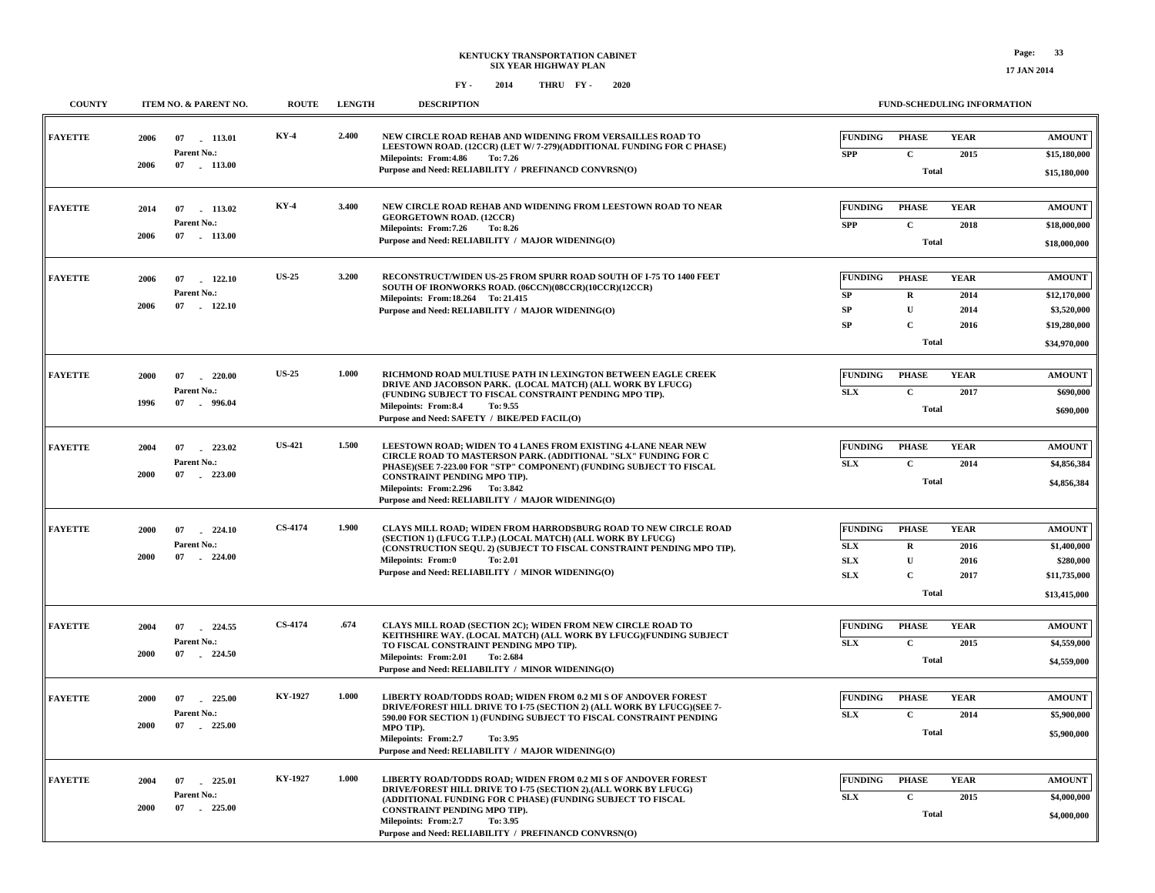| FY - | 2014 | THRU FY- | 2020 |
|------|------|----------|------|
|      |      |          |      |

| <b>COUNTY</b>  |              | ITEM NO. & PARENT NO.                                       | <b>ROUTE</b>                            | <b>LENGTH</b>                                                                                                                                                              | <b>DESCRIPTION</b>                                                                                                                                                                                                                                                                                                               |                              |                              | FUND-SCHEDULING INFORMATION  |                              |
|----------------|--------------|-------------------------------------------------------------|-----------------------------------------|----------------------------------------------------------------------------------------------------------------------------------------------------------------------------|----------------------------------------------------------------------------------------------------------------------------------------------------------------------------------------------------------------------------------------------------------------------------------------------------------------------------------|------------------------------|------------------------------|------------------------------|------------------------------|
| <b>FAYETTE</b> | 2006         | 113.01<br>07<br>Parent No.:                                 | <b>KY-4</b>                             | 2.400                                                                                                                                                                      | NEW CIRCLE ROAD REHAB AND WIDENING FROM VERSAILLES ROAD TO<br>LEESTOWN ROAD. (12CCR) (LET W/ 7-279)(ADDITIONAL FUNDING FOR C PHASE)                                                                                                                                                                                              | <b>FUNDING</b><br><b>SPP</b> | <b>PHASE</b><br>$\mathbf{C}$ | <b>YEAR</b>                  | <b>AMOUNT</b>                |
|                | 2006         | 07 113.00                                                   |                                         |                                                                                                                                                                            | Milepoints: From: 4.86<br>To: 7.26<br>Purpose and Need: RELIABILITY / PREFINANCD CONVRSN(O)                                                                                                                                                                                                                                      |                              | <b>Total</b>                 | 2015                         | \$15,180,000<br>\$15,180,000 |
| <b>FAYETTE</b> | 2014         | 07<br>113.02                                                | $KY-4$                                  | 3.400                                                                                                                                                                      | NEW CIRCLE ROAD REHAB AND WIDENING FROM LEESTOWN ROAD TO NEAR<br><b>GEORGETOWN ROAD. (12CCR)</b>                                                                                                                                                                                                                                 | <b>FUNDING</b>               | <b>PHASE</b>                 | <b>YEAR</b>                  | <b>AMOUNT</b>                |
|                | 2006         | Parent No.:<br>07<br>$-113.00$                              |                                         |                                                                                                                                                                            | Milepoints: From: 7.26<br>To: 8.26<br>Purpose and Need: RELIABILITY / MAJOR WIDENING(O)                                                                                                                                                                                                                                          | <b>SPP</b>                   | $\mathbf C$<br><b>Total</b>  | 2018                         | \$18,000,000<br>\$18,000,000 |
| <b>FAYETTE</b> | 2006         | <b>US-25</b><br>07<br>122.10<br>Parent No.:<br>07<br>122.10 |                                         | 3.200                                                                                                                                                                      | RECONSTRUCT/WIDEN US-25 FROM SPURR ROAD SOUTH OF I-75 TO 1400 FEET<br>SOUTH OF IRONWORKS ROAD. (06CCN)(08CCR)(10CCR)(12CCR)<br>Milepoints: From: 18.264 To: 21.415<br>Purpose and Need: RELIABILITY / MAJOR WIDENING(O)                                                                                                          | <b>FUNDING</b>               | <b>PHASE</b>                 | <b>YEAR</b>                  | <b>AMOUNT</b>                |
|                | 2006         |                                                             |                                         |                                                                                                                                                                            |                                                                                                                                                                                                                                                                                                                                  | SP<br>${\bf SP}$             | ${\bf R}$<br>$\mathbf U$     | 2014<br>2014                 | \$12,170,000<br>\$3,520,000  |
|                |              |                                                             |                                         |                                                                                                                                                                            |                                                                                                                                                                                                                                                                                                                                  | SP                           | $\mathbf C$<br><b>Total</b>  | 2016                         | \$19,280,000<br>\$34,970,000 |
| <b>FAYETTE</b> | 2000         | 07<br>220.00                                                | <b>US-25</b><br>Parent No.:<br>- 996.04 | 1.000                                                                                                                                                                      | RICHMOND ROAD MULTIUSE PATH IN LEXINGTON BETWEEN EAGLE CREEK<br>DRIVE AND JACOBSON PARK. (LOCAL MATCH) (ALL WORK BY LFUCG)<br>(FUNDING SUBJECT TO FISCAL CONSTRAINT PENDING MPO TIP).<br>Milepoints: From:8.4<br>To: 9.55<br>Purpose and Need: SAFETY / BIKE/PED FACIL(O)                                                        | <b>FUNDING</b>               | <b>PHASE</b>                 | <b>YEAR</b>                  | <b>AMOUNT</b>                |
|                | 1996         | 07                                                          |                                         |                                                                                                                                                                            |                                                                                                                                                                                                                                                                                                                                  | SLX                          | $\mathbf C$<br><b>Total</b>  | 2017                         | \$690,000<br>\$690,000       |
| <b>FAYETTE</b> | 2004         | <b>US-421</b><br>07 223.02                                  |                                         | 1.500                                                                                                                                                                      | LEESTOWN ROAD: WIDEN TO 4 LANES FROM EXISTING 4-LANE NEAR NEW<br>CIRCLE ROAD TO MASTERSON PARK. (ADDITIONAL "SLX" FUNDING FOR C<br>PHASE)(SEE 7-223.00 FOR "STP" COMPONENT) (FUNDING SUBJECT TO FISCAL<br>CONSTRAINT PENDING MPO TIP).<br>Milepoints: From: 2.296 To: 3.842<br>Purpose and Need: RELIABILITY / MAJOR WIDENING(O) | <b>FUNDING</b>               | <b>PHASE</b>                 | <b>YEAR</b>                  | <b>AMOUNT</b>                |
|                | 2000         | Parent No.:<br>07<br>223.00                                 |                                         |                                                                                                                                                                            |                                                                                                                                                                                                                                                                                                                                  | SLX                          | $\mathbf C$<br>Total         | 2014                         | \$4,856,384<br>\$4,856,384   |
| <b>FAYETTE</b> | 2000         | 07<br>224.10<br>Parent No.:                                 | <b>CS-4174</b><br>$-224.00$             | 1.900                                                                                                                                                                      | CLAYS MILL ROAD; WIDEN FROM HARRODSBURG ROAD TO NEW CIRCLE ROAD<br>(SECTION 1) (LFUCG T.I.P.) (LOCAL MATCH) (ALL WORK BY LFUCG)<br>(CONSTRUCTION SEQU. 2) (SUBJECT TO FISCAL CONSTRAINT PENDING MPO TIP).<br>Milepoints: From:0<br>To: 2.01<br>Purpose and Need: RELIABILITY / MINOR WIDENING(O)                                 | <b>FUNDING</b><br>SLX        | <b>PHASE</b><br>$\mathbf R$  | <b>YEAR</b><br>2016          | <b>AMOUNT</b><br>\$1,400,000 |
|                | 2000         | 07                                                          |                                         |                                                                                                                                                                            |                                                                                                                                                                                                                                                                                                                                  | SLX<br>SLX                   | $\mathbf U$<br>$\mathbf C$   | 2016<br>2017                 | \$280,000<br>\$11,735,000    |
|                |              |                                                             |                                         |                                                                                                                                                                            |                                                                                                                                                                                                                                                                                                                                  |                              | Total                        |                              | \$13,415,000                 |
| <b>FAYETTE</b> | 2004         | <b>CS-4174</b><br>224.55<br>07<br>Parent No.:               | .674                                    | CLAYS MILL ROAD (SECTION 2C); WIDEN FROM NEW CIRCLE ROAD TO<br>KEITHSHIRE WAY. (LOCAL MATCH) (ALL WORK BY LFUCG)(FUNDING SUBJECT<br>TO FISCAL CONSTRAINT PENDING MPO TIP). | <b>FUNDING</b><br><b>SLX</b>                                                                                                                                                                                                                                                                                                     | <b>PHASE</b><br>$\mathbf{C}$ | <b>YEAR</b><br>2015          | <b>AMOUNT</b><br>\$4,559,000 |                              |
|                | 2000         | 07<br>$-224.50$                                             |                                         |                                                                                                                                                                            | Milepoints: From: 2.01<br>To: 2.684<br>Purpose and Need: RELIABILITY / MINOR WIDENING(O)                                                                                                                                                                                                                                         |                              | <b>Total</b>                 |                              | \$4,559,000                  |
| <b>FAYETTE</b> | 2000         | 07<br>225.00                                                | KY-1927<br>Parent No.:<br>$-225.00$     | 1.000                                                                                                                                                                      | LIBERTY ROAD/TODDS ROAD; WIDEN FROM 0.2 MI S OF ANDOVER FOREST<br>DRIVE/FOREST HILL DRIVE TO I-75 (SECTION 2) (ALL WORK BY LFUCG)(SEE 7-<br>590.00 FOR SECTION 1) (FUNDING SUBJECT TO FISCAL CONSTRAINT PENDING<br>MPO TIP).<br>Milepoints: From:2.7<br>To: 3.95<br>Purpose and Need: RELIABILITY / MAJOR WIDENING(O)            | <b>FUNDING</b>               | <b>PHASE</b>                 | <b>YEAR</b>                  | <b>AMOUNT</b>                |
|                | 2000         | 07                                                          |                                         |                                                                                                                                                                            |                                                                                                                                                                                                                                                                                                                                  | SLX                          | $\mathbf C$<br>Total         | 2014                         | \$5,900,000<br>\$5,900,000   |
| <b>FAYETTE</b> | 2004<br>2000 | 07<br>225.01<br>Parent No.:<br>07<br>225.00<br>$\sim$       | KY-1927                                 | 1.000                                                                                                                                                                      | LIBERTY ROAD/TODDS ROAD; WIDEN FROM 0.2 MI S OF ANDOVER FOREST<br>DRIVE/FOREST HILL DRIVE TO I-75 (SECTION 2).(ALL WORK BY LFUCG)<br>(ADDITIONAL FUNDING FOR C PHASE) (FUNDING SUBJECT TO FISCAL<br>CONSTRAINT PENDING MPO TIP).                                                                                                 | <b>FUNDING</b><br>SLX        | <b>PHASE</b><br>$\mathbf C$  | <b>YEAR</b><br>2015          | <b>AMOUNT</b><br>\$4,000,000 |
|                |              |                                                             |                                         |                                                                                                                                                                            | Milepoints: From:2.7<br>To: 3.95<br>Purpose and Need: RELIABILITY / PREFINANCD CONVRSN(O)                                                                                                                                                                                                                                        |                              | <b>Total</b>                 |                              | \$4,000,000                  |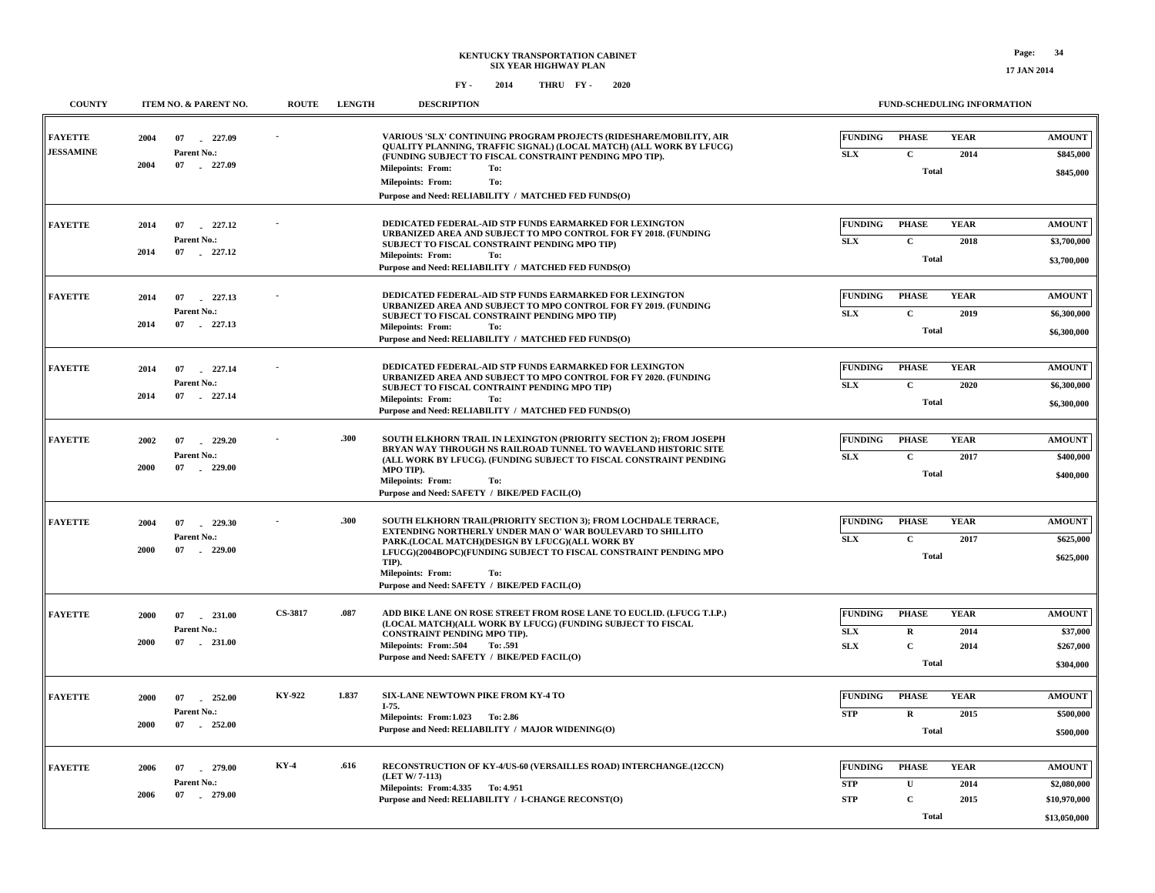| <b>COUNTY</b>                      | ITEM NO. & PARENT NO.                                       | <b>ROUTE</b>                      | <b>LENGTH</b>                                                                                                                                                                                                                                                                                                                                              | <b>DESCRIPTION</b>                                                                                                                                                                                                                                                                                         | <b>FUND-SCHEDULING INFORMATION</b> |                                             |                            |                                         |
|------------------------------------|-------------------------------------------------------------|-----------------------------------|------------------------------------------------------------------------------------------------------------------------------------------------------------------------------------------------------------------------------------------------------------------------------------------------------------------------------------------------------------|------------------------------------------------------------------------------------------------------------------------------------------------------------------------------------------------------------------------------------------------------------------------------------------------------------|------------------------------------|---------------------------------------------|----------------------------|-----------------------------------------|
| <b>FAYETTE</b><br><b>JESSAMINE</b> | 2004<br>07<br>227.09<br>Parent No.:<br>2004<br>07<br>227.09 |                                   |                                                                                                                                                                                                                                                                                                                                                            | VARIOUS 'SLX' CONTINUING PROGRAM PROJECTS (RIDESHARE/MOBILITY, AIR<br>QUALITY PLANNING, TRAFFIC SIGNAL) (LOCAL MATCH) (ALL WORK BY LFUCG)<br>(FUNDING SUBJECT TO FISCAL CONSTRAINT PENDING MPO TIP).<br><b>Milepoints: From:</b><br>To:                                                                    | <b>FUNDING</b><br>SLX              | <b>PHASE</b><br>$\mathbf C$<br><b>Total</b> | <b>YEAR</b><br>2014        | <b>AMOUNT</b><br>\$845,000<br>\$845,000 |
|                                    |                                                             |                                   |                                                                                                                                                                                                                                                                                                                                                            | <b>Milepoints: From:</b><br>To:<br>Purpose and Need: RELIABILITY / MATCHED FED FUNDS(O)                                                                                                                                                                                                                    |                                    |                                             |                            |                                         |
| <b>FAYETTE</b>                     | 227.12<br>2014<br>07<br>Parent No.:                         |                                   |                                                                                                                                                                                                                                                                                                                                                            | DEDICATED FEDERAL-AID STP FUNDS EARMARKED FOR LEXINGTON<br>URBANIZED AREA AND SUBJECT TO MPO CONTROL FOR FY 2018. (FUNDING                                                                                                                                                                                 | <b>FUNDING</b>                     | <b>PHASE</b>                                | <b>YEAR</b>                | <b>AMOUNT</b>                           |
|                                    | 2014<br>07 227.12                                           |                                   |                                                                                                                                                                                                                                                                                                                                                            | SUBJECT TO FISCAL CONSTRAINT PENDING MPO TIP)<br><b>Milepoints: From:</b><br>To:<br>Purpose and Need: RELIABILITY / MATCHED FED FUNDS(O)                                                                                                                                                                   | <b>SLX</b>                         | $\mathbf C$<br><b>Total</b>                 | 2018                       | \$3,700,000<br>\$3,700,000              |
| <b>FAYETTE</b>                     | 227.13<br>2014<br>07                                        |                                   |                                                                                                                                                                                                                                                                                                                                                            | DEDICATED FEDERAL-AID STP FUNDS EARMARKED FOR LEXINGTON<br>URBANIZED AREA AND SUBJECT TO MPO CONTROL FOR FY 2019. (FUNDING                                                                                                                                                                                 | <b>FUNDING</b>                     | <b>PHASE</b>                                | <b>YEAR</b>                | <b>AMOUNT</b>                           |
|                                    | Parent No.:<br>2014<br>07 227.13                            |                                   |                                                                                                                                                                                                                                                                                                                                                            | SUBJECT TO FISCAL CONSTRAINT PENDING MPO TIP)<br><b>Milepoints: From:</b><br>To:<br>Purpose and Need: RELIABILITY / MATCHED FED FUNDS(O)                                                                                                                                                                   | <b>SLX</b>                         | $\mathbf{C}$<br><b>Total</b>                | 2019                       | \$6,300,000<br>\$6,300,000              |
| <b>FAYETTE</b>                     | 227.14<br>2014<br>07                                        |                                   |                                                                                                                                                                                                                                                                                                                                                            | DEDICATED FEDERAL-AID STP FUNDS EARMARKED FOR LEXINGTON<br>URBANIZED AREA AND SUBJECT TO MPO CONTROL FOR FY 2020. (FUNDING                                                                                                                                                                                 | <b>FUNDING</b>                     | <b>PHASE</b>                                | <b>YEAR</b>                | <b>AMOUNT</b>                           |
|                                    | Parent No.:<br>2014<br>07<br>227.14                         |                                   |                                                                                                                                                                                                                                                                                                                                                            | SUBJECT TO FISCAL CONTRAINT PENDING MPO TIP)<br><b>Milepoints: From:</b><br>To:<br>Purpose and Need: RELIABILITY / MATCHED FED FUNDS(O)                                                                                                                                                                    | <b>SLX</b>                         | $\mathbf c$<br><b>Total</b>                 | 2020                       | \$6,300,000<br>\$6,300,000              |
| <b>FAYETTE</b>                     | 2002<br>07<br>229.20<br>Parent No.:                         |                                   | .300                                                                                                                                                                                                                                                                                                                                                       | SOUTH ELKHORN TRAIL IN LEXINGTON (PRIORITY SECTION 2); FROM JOSEPH<br>BRYAN WAY THROUGH NS RAILROAD TUNNEL TO WAVELAND HISTORIC SITE<br>(ALL WORK BY LFUCG). (FUNDING SUBJECT TO FISCAL CONSTRAINT PENDING<br>MPO TIP).<br><b>Milepoints: From:</b><br>To:<br>Purpose and Need: SAFETY / BIKE/PED FACIL(O) | <b>FUNDING</b><br><b>SLX</b>       | <b>PHASE</b><br>$\mathbf{C}$                | <b>YEAR</b><br>2017        | <b>AMOUNT</b><br>\$400,000              |
|                                    | 2000<br>07<br>229.00                                        |                                   |                                                                                                                                                                                                                                                                                                                                                            |                                                                                                                                                                                                                                                                                                            |                                    | <b>Total</b>                                |                            | \$400,000                               |
| <b>FAYETTE</b>                     | 2004<br>07<br>229.30                                        | Parent No.:<br>$-229.00$          | .300<br>SOUTH ELKHORN TRAIL (PRIORITY SECTION 3); FROM LOCHDALE TERRACE,<br><b>EXTENDING NORTHERLY UNDER MAN O' WAR BOULEVARD TO SHILLITO</b><br>PARK.(LOCAL MATCH)(DESIGN BY LFUCG)(ALL WORK BY<br>LFUCG)(2004BOPC)(FUNDING SUBJECT TO FISCAL CONSTRAINT PENDING MPO<br>TIP).<br>Milepoints: From:<br>To:<br>Purpose and Need: SAFETY / BIKE/PED FACIL(O) | <b>FUNDING</b><br>SLX                                                                                                                                                                                                                                                                                      | <b>PHASE</b><br>$\mathbf C$        | <b>YEAR</b><br>2017                         | <b>AMOUNT</b><br>\$625,000 |                                         |
|                                    | 2000<br>07                                                  |                                   |                                                                                                                                                                                                                                                                                                                                                            |                                                                                                                                                                                                                                                                                                            |                                    | <b>Total</b>                                |                            | \$625,000                               |
| <b>FAYETTE</b>                     | 2000<br>07<br>$-231.00$<br>Parent No.:                      | <b>CS-3817</b>                    | .087                                                                                                                                                                                                                                                                                                                                                       | ADD BIKE LANE ON ROSE STREET FROM ROSE LANE TO EUCLID. (LFUCG T.I.P.)<br>(LOCAL MATCH)(ALL WORK BY LFUCG) (FUNDING SUBJECT TO FISCAL                                                                                                                                                                       | <b>FUNDING</b>                     | <b>PHASE</b>                                | <b>YEAR</b>                | <b>AMOUNT</b>                           |
|                                    | 2000<br>$07 \qquad 231.00$                                  | Milepoints: From:.504<br>To: .591 | CONSTRAINT PENDING MPO TIP).<br>Purpose and Need: SAFETY / BIKE/PED FACIL(O)                                                                                                                                                                                                                                                                               | ${\bf SLX}$<br><b>SLX</b>                                                                                                                                                                                                                                                                                  | $\mathbf{R}$<br>$\mathbf{C}$       | 2014<br>2014                                | \$37,000<br>\$267,000      |                                         |
|                                    |                                                             |                                   |                                                                                                                                                                                                                                                                                                                                                            |                                                                                                                                                                                                                                                                                                            |                                    | <b>Total</b>                                |                            | \$304,000                               |
| <b>FAYETTE</b>                     | 252.00<br>2000<br>07<br>Parent No.:                         | KY-922                            | 1.837                                                                                                                                                                                                                                                                                                                                                      | SIX-LANE NEWTOWN PIKE FROM KY-4 TO<br>I-75.<br>Milepoints: From: 1.023 To: 2.86                                                                                                                                                                                                                            | <b>FUNDING</b><br><b>STP</b>       | <b>PHASE</b><br>$\mathbf R$                 | <b>YEAR</b><br>2015        | <b>AMOUNT</b><br>\$500,000              |
|                                    | 2000<br>07<br>252.00                                        |                                   |                                                                                                                                                                                                                                                                                                                                                            | Purpose and Need: RELIABILITY / MAJOR WIDENING(O)                                                                                                                                                                                                                                                          |                                    | <b>Total</b>                                |                            | \$500,000                               |
| <b>FAYETTE</b>                     | 2006<br>07<br>279.00<br>Parent No.:                         | <b>KY-4</b>                       | .616                                                                                                                                                                                                                                                                                                                                                       | RECONSTRUCTION OF KY-4/US-60 (VERSAILLES ROAD) INTERCHANGE.(12CCN)<br>(LET W/7-113)                                                                                                                                                                                                                        | <b>FUNDING</b><br><b>STP</b>       | <b>PHASE</b><br>$\mathbf{U}$                | <b>YEAR</b><br>2014        | <b>AMOUNT</b><br>\$2,080,000            |
|                                    | 2006<br>07<br>279.00                                        |                                   |                                                                                                                                                                                                                                                                                                                                                            | Milepoints: From: 4.335 To: 4.951<br>Purpose and Need: RELIABILITY / I-CHANGE RECONST(O)                                                                                                                                                                                                                   | <b>STP</b>                         | $\mathbf C$<br><b>Total</b>                 | 2015                       | \$10,970,000<br>\$13,050,000            |
|                                    |                                                             |                                   |                                                                                                                                                                                                                                                                                                                                                            |                                                                                                                                                                                                                                                                                                            |                                    |                                             |                            |                                         |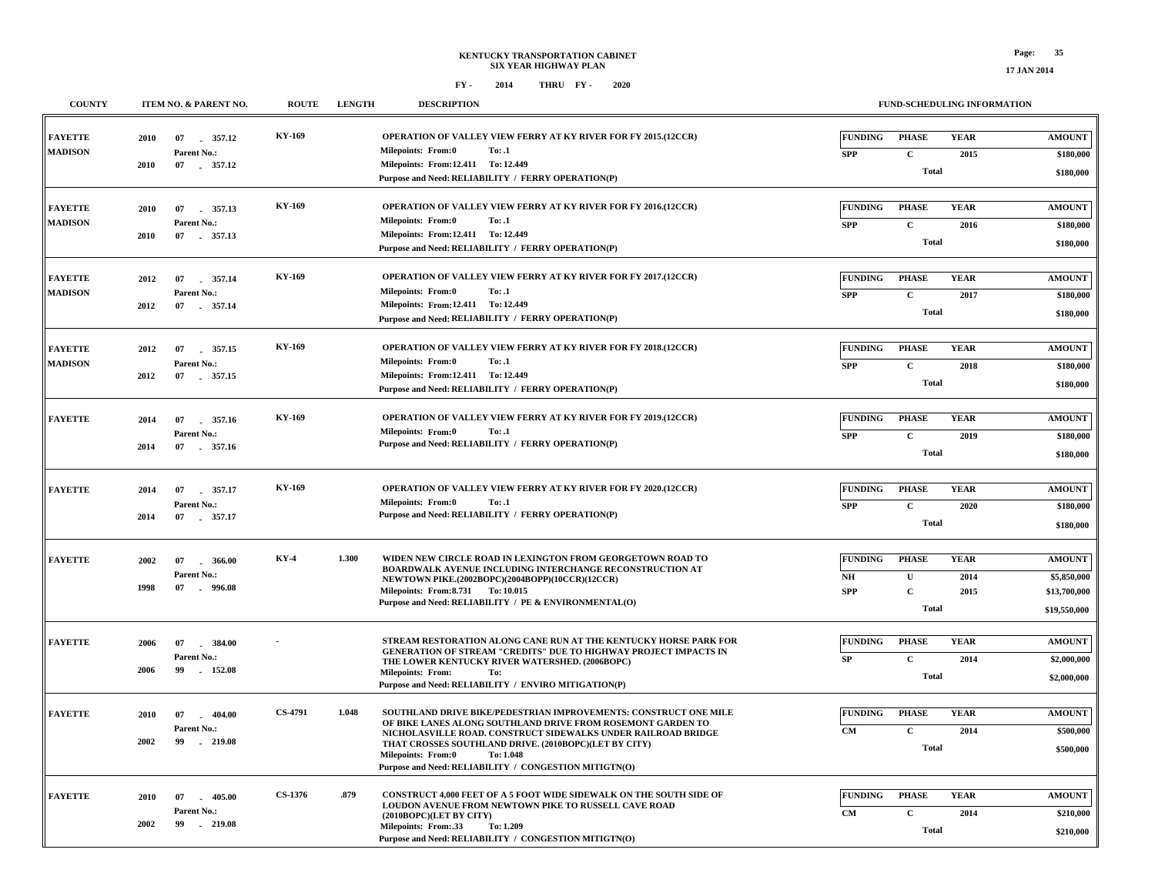**\$210,000**

**Total**

**FY - FY - 2014 2020 THRU**

| <b>COUNTY</b>                    | ITEM NO. & PARENT NO.                                             | <b>ROUTE</b>   | <b>LENGTH</b> | <b>DESCRIPTION</b>                                                                                                                                                                                                                                                                                                                                           |                                                        |                                                             | FUND-SCHEDULING INFORMATION |                                                              |
|----------------------------------|-------------------------------------------------------------------|----------------|---------------|--------------------------------------------------------------------------------------------------------------------------------------------------------------------------------------------------------------------------------------------------------------------------------------------------------------------------------------------------------------|--------------------------------------------------------|-------------------------------------------------------------|-----------------------------|--------------------------------------------------------------|
| <b>FAYETTE</b><br><b>MADISON</b> | 357.12<br>2010<br>07<br>Parent No.:                               | KY-169         |               | <b>OPERATION OF VALLEY VIEW FERRY AT KY RIVER FOR FY 2015.(12CCR)</b><br>Milepoints: From:0<br>To: .1                                                                                                                                                                                                                                                        | <b>FUNDING</b><br><b>SPP</b>                           | <b>PHASE</b><br>$\mathbf{C}$                                | <b>YEAR</b><br>2015         | $\boldsymbol{\mathrm{AMOUNT}}$<br>\$180,000                  |
|                                  | 2010<br>07 . 357.12                                               |                |               | Milepoints: From:12.411 To: 12.449<br>Purpose and Need: RELIABILITY / FERRY OPERATION(P)                                                                                                                                                                                                                                                                     |                                                        | <b>Total</b>                                                |                             | \$180,000                                                    |
| <b>FAYETTE</b>                   | 2010<br>07 . 357.13                                               | KY-169         |               | OPERATION OF VALLEY VIEW FERRY AT KY RIVER FOR FY 2016.(12CCR)<br><b>Milepoints: From:0</b><br>To: .1                                                                                                                                                                                                                                                        | <b>FUNDING</b>                                         | <b>PHASE</b>                                                | <b>YEAR</b>                 | <b>AMOUNT</b>                                                |
| <b>MADISON</b>                   | Parent No.:<br>2010<br>07 357.13                                  |                |               | Milepoints: From:12.411 To: 12.449<br>Purpose and Need: RELIABILITY / FERRY OPERATION(P)                                                                                                                                                                                                                                                                     | <b>SPP</b>                                             | $\mathbf{C}$<br><b>Total</b>                                | 2016                        | \$180,000<br>\$180,000                                       |
| <b>FAYETTE</b><br><b>MADISON</b> | 2012<br>07<br>357.14<br>Parent No.:<br>2012<br>07<br>357.14       | KY-169         |               | OPERATION OF VALLEY VIEW FERRY AT KY RIVER FOR FY 2017.(12CCR)<br><b>Milepoints: From:0</b><br>To: .1<br>Milepoints: From:12.411 To: 12.449<br>Purpose and Need: RELIABILITY / FERRY OPERATION(P)                                                                                                                                                            | <b>FUNDING</b><br><b>SPP</b>                           | <b>PHASE</b><br>$\mathbf{C}$<br><b>Total</b>                | <b>YEAR</b><br>2017         | <b>AMOUNT</b><br>\$180,000<br>\$180,000                      |
| <b>FAYETTE</b><br><b>MADISON</b> | 357.15<br>2012<br>07<br>Parent No.:<br>2012<br>07 . 357.15        | KY-169         |               | OPERATION OF VALLEY VIEW FERRY AT KY RIVER FOR FY 2018.(12CCR)<br><b>Milepoints: From:0</b><br>To: .1<br>Milepoints: From:12.411 To: 12.449<br>Purpose and Need: RELIABILITY / FERRY OPERATION(P)                                                                                                                                                            | <b>FUNDING</b><br><b>SPP</b>                           | <b>PHASE</b><br>$\mathbf C$<br><b>Total</b>                 | <b>YEAR</b><br>2018         | <b>AMOUNT</b><br>\$180,000<br>\$180,000                      |
| <b>FAYETTE</b>                   | 2014<br>07<br>357.16<br>Parent No.:<br>2014<br>07 357.16          | KY-169         |               | <b>OPERATION OF VALLEY VIEW FERRY AT KY RIVER FOR FY 2019.(12CCR)</b><br>Milepoints: From:0<br>To: .1<br>Purpose and Need: RELIABILITY / FERRY OPERATION(P)                                                                                                                                                                                                  | <b>FUNDING</b><br><b>SPP</b>                           | <b>PHASE</b><br>$\mathbf C$<br><b>Total</b>                 | <b>YEAR</b><br>2019         | <b>AMOUNT</b><br>\$180,000<br>\$180,000                      |
| <b>FAYETTE</b>                   | 357.17<br>2014<br>07<br>Parent No.:<br>2014<br>07<br>357.17       | <b>KY-169</b>  |               | <b>OPERATION OF VALLEY VIEW FERRY AT KY RIVER FOR FY 2020.(12CCR)</b><br>Milepoints: From:0<br>To: .1<br>Purpose and Need: RELIABILITY / FERRY OPERATION(P)                                                                                                                                                                                                  | <b>FUNDING</b><br><b>SPP</b>                           | <b>PHASE</b><br>$\mathbf C$<br><b>Total</b>                 | <b>YEAR</b><br>2020         | <b>AMOUNT</b><br>\$180,000<br>\$180,000                      |
| <b>FAYETTE</b>                   | 2002<br>07<br>366.00<br>Parent No.:<br>1998<br>07<br>.996.08      | KY-4           | 1.300         | WIDEN NEW CIRCLE ROAD IN LEXINGTON FROM GEORGETOWN ROAD TO<br>BOARDWALK AVENUE INCLUDING INTERCHANGE RECONSTRUCTION AT<br>NEWTOWN PIKE.(2002BOPC)(2004BOPP)(10CCR)(12CCR)<br>Milepoints: From: 8.731 To: 10.015<br>Purpose and Need: RELIABILITY / PE & ENVIRONMENTAL(O)                                                                                     | <b>FUNDING</b><br>$\mathbf{N}\mathbf{H}$<br><b>SPP</b> | <b>PHASE</b><br>$\mathbf{U}$<br>$\mathbf C$<br><b>Total</b> | <b>YEAR</b><br>2014<br>2015 | <b>AMOUNT</b><br>\$5,850,000<br>\$13,700,000<br>\$19,550,000 |
| <b>FAYETTE</b>                   | $-384.00$<br>2006<br>07<br>Parent No.:<br>2006<br>152.08<br>99    |                |               | STREAM RESTORATION ALONG CANE RUN AT THE KENTUCKY HORSE PARK FOR<br>GENERATION OF STREAM "CREDITS" DUE TO HIGHWAY PROJECT IMPACTS IN<br>THE LOWER KENTUCKY RIVER WATERSHED. (2006BOPC)<br><b>Milepoints: From:</b><br>To:<br>Purpose and Need: RELIABILITY / ENVIRO MITIGATION(P)                                                                            | <b>FUNDING</b><br>SP                                   | <b>PHASE</b><br>$\mathbf{C}$<br><b>Total</b>                | <b>YEAR</b><br>2014         | <b>AMOUNT</b><br>\$2,000,000<br>\$2,000,000                  |
| <b>FAYETTE</b>                   | 2010<br>07<br>$-404.00$<br>Parent No.:<br>2002<br>99<br>$-219.08$ | <b>CS-4791</b> | 1.048         | SOUTHLAND DRIVE BIKE/PEDESTRIAN IMPROVEMENTS: CONSTRUCT ONE MILE<br>OF BIKE LANES ALONG SOUTHLAND DRIVE FROM ROSEMONT GARDEN TO<br>NICHOLASVILLE ROAD. CONSTRUCT SIDEWALKS UNDER RAILROAD BRIDGE<br>THAT CROSSES SOUTHLAND DRIVE. (2010BOPC)(LET BY CITY)<br><b>Milepoints: From:0</b><br>To: 1.048<br>Purpose and Need: RELIABILITY / CONGESTION MITIGTN(O) | <b>FUNDING</b><br><b>CM</b>                            | <b>PHASE</b><br>$\mathbf C$<br><b>Total</b>                 | <b>YEAR</b><br>2014         | <b>AMOUNT</b><br>\$500,000<br>\$500,000                      |
| <b>FAYETTE</b>                   | 405.00<br>2010<br>07<br>Parent No.:<br>2002<br>99<br>$-219.08$    | CS-1376        | .879          | CONSTRUCT 4,000 FEET OF A 5 FOOT WIDE SIDEWALK ON THE SOUTH SIDE OF<br>LOUDON AVENUE FROM NEWTOWN PIKE TO RUSSELL CAVE ROAD<br>(2010BOPC)(LET BY CITY)<br>Milepoints: From: 33<br>To: 1.209                                                                                                                                                                  | <b>FUNDING</b><br><b>CM</b>                            | <b>PHASE</b><br>$\mathbf{C}$<br>Total                       | <b>YEAR</b><br>2014         | <b>AMOUNT</b><br>\$210,000<br>0210.000                       |

**Purpose and Need: RELIABILITY / CONGESTION MITIGTN(O)**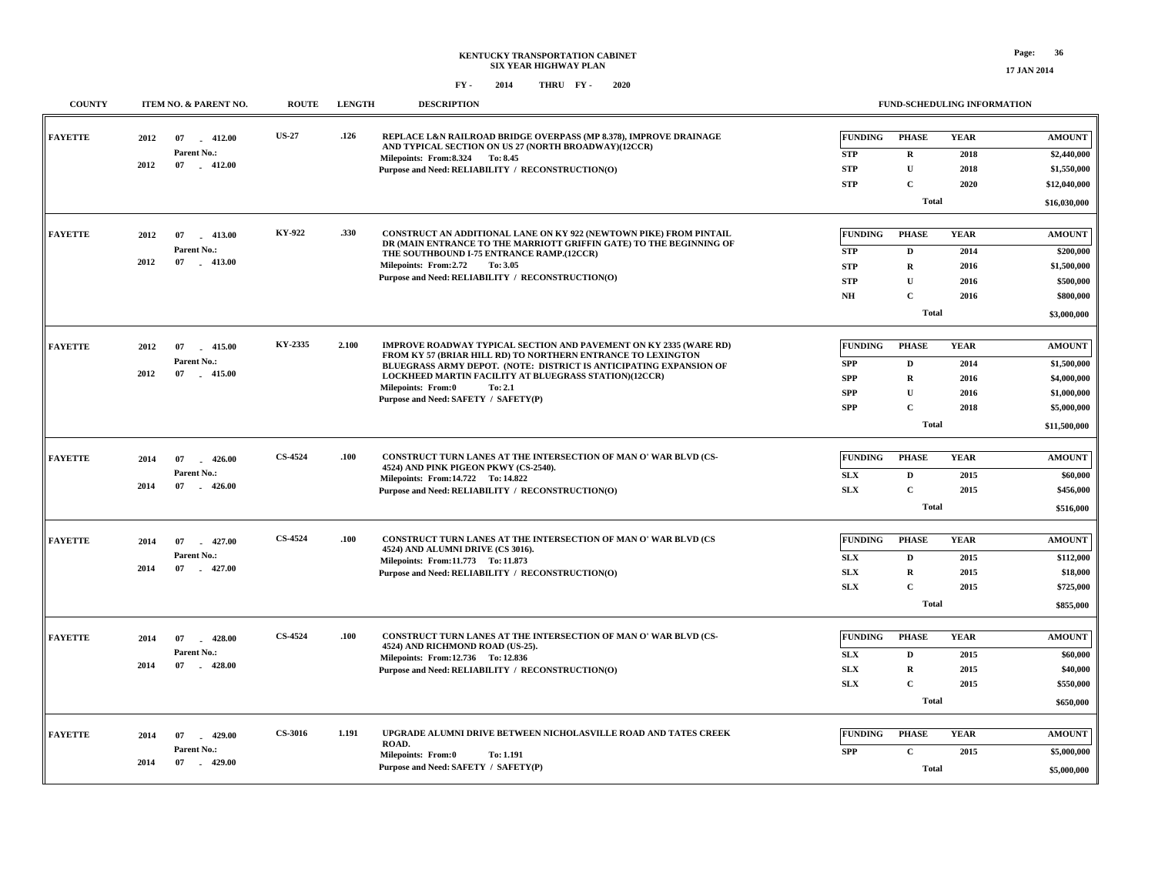**17 JAN 2014**

| <b>COUNTY</b>  |            | ITEM NO. & PARENT NO.       | <b>ROUTE</b>   | <b>LENGTH</b> | <b>DESCRIPTION</b>                                                                                                                                                                                                                                               |                |              | FUND-SCHEDULING INFORMATION |                                |
|----------------|------------|-----------------------------|----------------|---------------|------------------------------------------------------------------------------------------------------------------------------------------------------------------------------------------------------------------------------------------------------------------|----------------|--------------|-----------------------------|--------------------------------|
| <b>FAYETTE</b> | 2012<br>07 | $-412.00$                   | <b>US-27</b>   | .126          | REPLACE L&N RAILROAD BRIDGE OVERPASS (MP 8.378), IMPROVE DRAINAGE<br>AND TYPICAL SECTION ON US 27 (NORTH BROADWAY)(12CCR)                                                                                                                                        | <b>FUNDING</b> | <b>PHASE</b> | <b>YEAR</b>                 | <b>AMOUNT</b>                  |
|                | 2012       | Parent No.:<br>07 412.00    |                |               | Milepoints: From: 8.324 To: 8.45                                                                                                                                                                                                                                 | <b>STP</b>     | $\bf{R}$     | 2018                        | \$2,440,000                    |
|                |            |                             |                |               | Purpose and Need: RELIABILITY / RECONSTRUCTION(O)                                                                                                                                                                                                                | <b>STP</b>     | $\mathbf U$  | 2018                        | \$1,550,000                    |
|                |            |                             |                |               |                                                                                                                                                                                                                                                                  | <b>STP</b>     | $\mathbf{C}$ | 2020                        | \$12,040,000                   |
|                |            |                             |                |               |                                                                                                                                                                                                                                                                  |                | Total        |                             | \$16,030,000                   |
| <b>FAYETTE</b> | 2012       | 07<br>$-413.00$             | KY-922         | .330          | CONSTRUCT AN ADDITIONAL LANE ON KY 922 (NEWTOWN PIKE) FROM PINTAIL                                                                                                                                                                                               | <b>FUNDING</b> | <b>PHASE</b> | <b>YEAR</b>                 | $\boldsymbol{\mathrm{AMOUNT}}$ |
|                |            | Parent No.:                 |                |               | DR (MAIN ENTRANCE TO THE MARRIOTT GRIFFIN GATE) TO THE BEGINNING OF                                                                                                                                                                                              | <b>STP</b>     | D            | 2014                        |                                |
|                | 2012       | 07 413.00                   |                |               | THE SOUTHBOUND I-75 ENTRANCE RAMP.(12CCR)<br>Milepoints: From: 2.72 To: 3.05                                                                                                                                                                                     | <b>STP</b>     | $\mathbf R$  | 2016                        | \$200,000<br>\$1,500,000       |
|                |            |                             |                |               | Purpose and Need: RELIABILITY / RECONSTRUCTION(O)                                                                                                                                                                                                                | <b>STP</b>     | $\mathbf{U}$ | 2016                        | \$500,000                      |
|                |            |                             |                |               |                                                                                                                                                                                                                                                                  | N <sub>H</sub> | $\mathbf C$  | 2016                        | \$800,000                      |
|                |            |                             |                |               |                                                                                                                                                                                                                                                                  |                | <b>Total</b> |                             |                                |
|                |            |                             |                |               |                                                                                                                                                                                                                                                                  |                |              |                             | \$3,000,000                    |
| <b>FAYETTE</b> | 2012       | 07<br>415.00                | KY-2335        | 2.100         | IMPROVE ROADWAY TYPICAL SECTION AND PAVEMENT ON KY 2335 (WARE RD)<br>FROM KY 57 (BRIAR HILL RD) TO NORTHERN ENTRANCE TO LEXINGTON<br>BLUEGRASS ARMY DEPOT. (NOTE: DISTRICT IS ANTICIPATING EXPANSION OF<br>LOCKHEED MARTIN FACILITY AT BLUEGRASS STATION)(12CCR) | FUNDING        | <b>PHASE</b> | <b>YEAR</b>                 | <b>AMOUNT</b>                  |
|                |            | Parent No.:                 |                |               |                                                                                                                                                                                                                                                                  | <b>SPP</b>     | D            | 2014                        | \$1,500,000                    |
|                | 2012       | 07 415.00                   |                |               |                                                                                                                                                                                                                                                                  | <b>SPP</b>     | $\mathbf R$  | 2016                        | \$4,000,000                    |
|                |            |                             |                |               | Milepoints: From:0<br>To: 2.1<br>Purpose and Need: SAFETY / SAFETY(P)                                                                                                                                                                                            | <b>SPP</b>     | $\mathbf U$  | 2016                        | \$1,000,000                    |
|                |            |                             |                |               |                                                                                                                                                                                                                                                                  | SPP            | $\mathbf{C}$ | 2018                        | \$5,000,000                    |
|                |            |                             |                |               |                                                                                                                                                                                                                                                                  | <b>Total</b>   |              |                             |                                |
|                |            |                             |                |               |                                                                                                                                                                                                                                                                  |                |              |                             |                                |
| <b>FAYETTE</b> | 2014       | 07<br>$-426.00$             | CS-4524        | .100          | CONSTRUCT TURN LANES AT THE INTERSECTION OF MAN O' WAR BLVD (CS-<br>4524) AND PINK PIGEON PKWY (CS-2540).<br>Milepoints: From:14.722 To: 14.822                                                                                                                  | <b>FUNDING</b> | <b>PHASE</b> | <b>YEAR</b>                 | <b>AMOUNT</b>                  |
|                |            | Parent No.:                 |                |               |                                                                                                                                                                                                                                                                  | SLX            | D            | 2015                        | \$60,000                       |
|                | 2014       | 07<br>$-426.00$             |                |               | Purpose and Need: RELIABILITY / RECONSTRUCTION(O)                                                                                                                                                                                                                | <b>SLX</b>     | $\mathbf{C}$ | 2015                        | \$456,000                      |
|                |            |                             |                |               |                                                                                                                                                                                                                                                                  |                | Total        |                             |                                |
|                |            |                             | CS-4524        |               |                                                                                                                                                                                                                                                                  |                |              |                             |                                |
| <b>FAYETTE</b> | 2014       | 07<br>$-427.00$             |                | .100          | CONSTRUCT TURN LANES AT THE INTERSECTION OF MAN O' WAR BLVD (CS<br>4524) AND ALUMNI DRIVE (CS 3016).                                                                                                                                                             | <b>FUNDING</b> | <b>PHASE</b> | <b>YEAR</b>                 | <b>AMOUNT</b>                  |
|                | 2014       | Parent No.:<br>07<br>427.00 |                |               | Milepoints: From:11.773 To: 11.873                                                                                                                                                                                                                               | <b>SLX</b>     | D            | 2015                        | \$112,000                      |
|                |            |                             |                |               | Purpose and Need: RELIABILITY / RECONSTRUCTION(O)                                                                                                                                                                                                                | <b>SLX</b>     | $\mathbf R$  | 2015                        | \$18,000                       |
|                |            |                             |                |               |                                                                                                                                                                                                                                                                  | <b>SLX</b>     | $\mathbf{C}$ | 2015                        | \$725,000                      |
|                |            |                             |                |               |                                                                                                                                                                                                                                                                  |                | Total        |                             | \$855,000                      |
| <b>FAYETTE</b> | 2014       | 07<br>$-428.00$             | <b>CS-4524</b> | .100          | CONSTRUCT TURN LANES AT THE INTERSECTION OF MAN O' WAR BLVD (CS-                                                                                                                                                                                                 | <b>FUNDING</b> | <b>PHASE</b> | <b>YEAR</b>                 | <b>AMOUNT</b>                  |
|                |            | Parent No.:                 |                |               | 4524) AND RICHMOND ROAD (US-25).                                                                                                                                                                                                                                 | ${\bf SLX}$    | D            | 2015                        | \$60,000                       |
|                | 2014       | 07 428.00                   |                |               | Milepoints: From:12.736 To: 12.836                                                                                                                                                                                                                               | <b>SLX</b>     | $\mathbf R$  | 2015                        | \$40,000                       |
|                |            |                             |                |               | Purpose and Need: RELIABILITY / RECONSTRUCTION(O)                                                                                                                                                                                                                | <b>SLX</b>     | $\mathbf C$  | 2015                        | \$550,000                      |
|                |            |                             |                |               |                                                                                                                                                                                                                                                                  |                | Total        |                             | \$650,000                      |
|                |            |                             |                |               |                                                                                                                                                                                                                                                                  |                |              |                             |                                |
| <b>FAYETTE</b> | 2014       | $-429.00$<br>07             | <b>CS-3016</b> | 1.191         | UPGRADE ALUMNI DRIVE BETWEEN NICHOLASVILLE ROAD AND TATES CREEK                                                                                                                                                                                                  | <b>FUNDING</b> | <b>PHASE</b> | <b>YEAR</b>                 | <b>AMOUNT</b>                  |
|                |            | Parent No.:                 |                |               | ROAD.<br>Milepoints: From:0<br>To: 1.191                                                                                                                                                                                                                         | <b>SPP</b>     | $\mathbf{C}$ | 2015                        | \$5,000,000                    |
|                | 2014       | 07<br>$-429.00$             |                |               | Purpose and Need: SAFETY / SAFETY(P)                                                                                                                                                                                                                             |                | <b>Total</b> |                             | \$5,000,000                    |
|                |            |                             |                |               |                                                                                                                                                                                                                                                                  |                |              |                             |                                |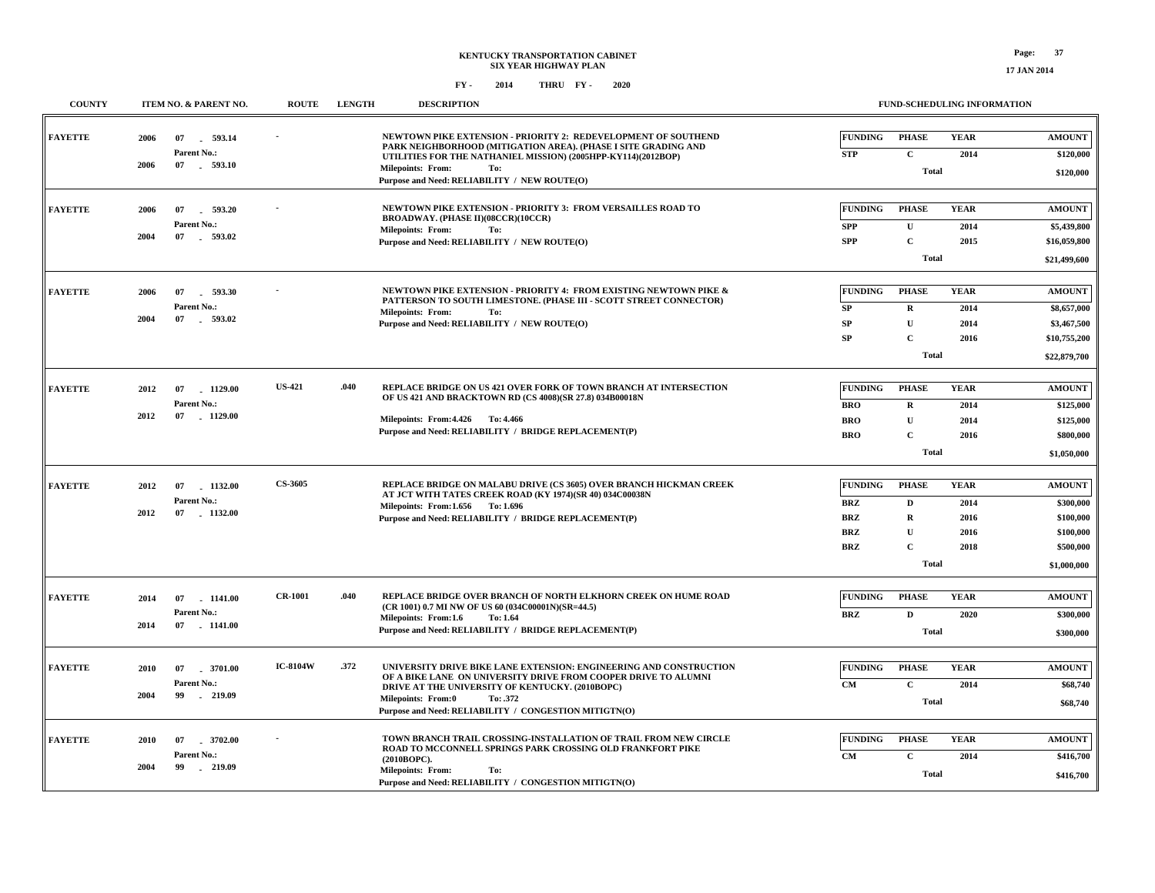#### **COUNTY ITEM NO. & PARENT NO. ROUTE LENGTH DESCRIPTIONNEWTOWN PIKE EXTENSION - PRIORITY 2: REDEVELOPMENT OF SOUTHEND PARK NEIGHBORHOOD (MITIGATION AREA). (PHASE I SITE GRADING AND UTILITIES FOR THE NATHANIEL MISSION) (2005HPP-KY114)(2012BOP) NEWTOWN PIKE EXTENSION - PRIORITY 3: FROM VERSAILLES ROAD TOBROADWAY. (PHASE II)(08CCR)(10CCR) NEWTOWN PIKE EXTENSION - PRIORITY 4: FROM EXISTING NEWTOWN PIKE & PATTERSON TO SOUTH LIMESTONE. (PHASE III - SCOTT STREET CONNECTOR) REPLACE BRIDGE ON US 421 OVER FORK OF TOWN BRANCH AT INTERSECTIONOF US 421 AND BRACKTOWN RD (CS 4008)(SR 27.8) 034B00018N REPLACE BRIDGE ON MALABU DRIVE (CS 3605) OVER BRANCH HICKMAN CREEK AT JCT WITH TATES CREEK ROAD (KY 1974)(SR 40) 034C00038N REPLACE BRIDGE OVER BRANCH OF NORTH ELKHORN CREEK ON HUME ROAD(CR 1001) 0.7 MI NW OF US 60 (034C00001N)(SR=44.5) .040 .040FAYETTEFAYETTEFAYETTEFAYETTEFAYETTEFAYETTE--US-421CS-3605CR-1001 \$120,000 \$21,499,600 \$22,879,700 \$1,050,000 \$1,000,000 \$300,000 Total Total TotalTotalTotal TotalCUCRUCRUCDRUCDPHASEPHASEPHASEPHASE PHASE PHASE 2014201420152014 20142016 20142014201620142016 201620182020YEARYEARYEARYEARYEARYEAR STPSPPSPPSP SPSPBROBROBROBRZBRZBRZBRZBRZFUNDINGFUNDINGFUNDINGFUNDINGFUNDINGFUNDING \$120,000 \$5,439,800 \$16,059,800 \$8,657,000 \$3,467,500 \$10,755,200 \$125,000 \$125,000 \$800,000 \$300,000 \$100,000 \$100,000 \$500,000 \$300,000 AMOUNTAMOUNT AMOUNTAMOUNT AMOUNT AMOUNT 07 593.14- 07 593.20 - 07 593.30 - 07 1129.00 - 07 07 1141.00- 1132.00 -Purpose and Need: RELIABILITY / NEW ROUTE(O) Purpose and Need: RELIABILITY / NEW ROUTE(O) Purpose and Need: RELIABILITY / NEW ROUTE(O) Purpose and Need: RELIABILITY / BRIDGE REPLACEMENT(P) Purpose and Need: RELIABILITY / BRIDGE REPLACEMENT(P) Purpose and Need: RELIABILITY / BRIDGE REPLACEMENT(P) 07 593.10 - 07 593.02 - 07 593.02 - 07 1129.00- 07 1132.00 - 07 1141.00-Parent No.:Parent No.:Parent No.: Parent No.: Parent No.:Parent No.:20062006200620122012201420062004 20042012201220144.4264.466Milepoints: To: From: 1.6561.696Milepoints: To:From:1.6 Milepoints: From: 1.64 To: Milepoints: From: Milepoints: From: Milepoints: From: To:To:To:**

|                |                                                              |                                                                                                                                                                                                                                                                                                                      |                                                                      | <b>PODINIO</b>                          |
|----------------|--------------------------------------------------------------|----------------------------------------------------------------------------------------------------------------------------------------------------------------------------------------------------------------------------------------------------------------------------------------------------------------------|----------------------------------------------------------------------|-----------------------------------------|
| <b>FAYETTE</b> | 2010<br>07 . 3701.00<br>Parent No.:<br>2004<br>219.09<br>99. | <b>IC-8104W</b><br>.372<br>UNIVERSITY DRIVE BIKE LANE EXTENSION: ENGINEERING AND CONSTRUCTION<br>OF A BIKE LANE ON UNIVERSITY DRIVE FROM COOPER DRIVE TO ALUMNI<br>DRIVE AT THE UNIVERSITY OF KENTUCKY. (2010BOPC)<br><b>Milepoints: From:0</b><br>To: .372<br>Purpose and Need: RELIABILITY / CONGESTION MITIGTN(O) | <b>FUNDING</b><br>PHASE<br>YEAR<br>2014<br><b>CM</b><br>◡<br>Total   | <b>AMOUNT</b><br>\$68,740<br>\$68,740   |
| <b>FAYETTE</b> | 07 3702.00<br>2010<br>Parent No.:<br>2004<br>99 -<br>219.09  | TOWN BRANCH TRAIL CROSSING-INSTALLATION OF TRAIL FROM NEW CIRCLE<br><b>ROAD TO MCCONNELL SPRINGS PARK CROSSING OLD FRANKFORT PIKE</b><br>(2010BOPC).<br>To:<br><b>Milepoints: From:</b><br>Purpose and Need: RELIABILITY / CONGESTION MITIGTN(O)                                                                     | PHASE<br>YEAR<br><b>FUNDING</b><br>2014<br><b>CM</b><br><b>Total</b> | <b>AMOUNT</b><br>\$416,700<br>\$416,700 |

**FUND-SCHEDULING INFORMATION**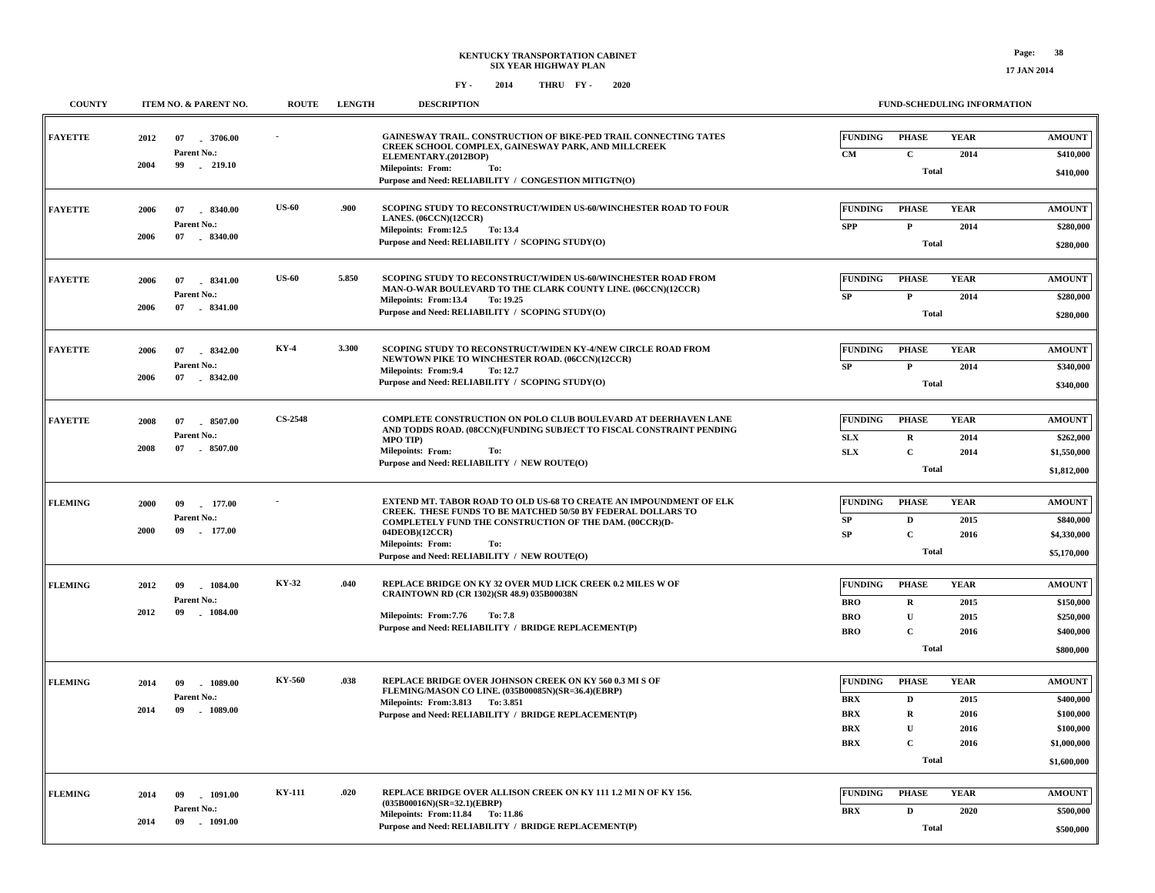| <b>COUNTY</b>  | ITEM NO. & PARENT NO.                   | <b>ROUTE</b>   | <b>LENGTH</b> | <b>DESCRIPTION</b>                                                                                                                               | FUND-SCHEDULING INFORMATION                                                |                                          |
|----------------|-----------------------------------------|----------------|---------------|--------------------------------------------------------------------------------------------------------------------------------------------------|----------------------------------------------------------------------------|------------------------------------------|
| <b>FAYETTE</b> | 2012<br>07<br>3706.00<br>Parent No.:    |                |               | GAINESWAY TRAIL. CONSTRUCTION OF BIKE-PED TRAIL CONNECTING TATES<br>CREEK SCHOOL COMPLEX, GAINESWAY PARK, AND MILLCREEK<br>ELEMENTARY.(2012BOP)  | FUNDING<br><b>PHASE</b><br><b>YEAR</b><br>$\mathbf{C}$<br>CM               | <b>AMOUNT</b><br>2014<br>\$410,000       |
|                | 2004<br>99 . 219.10                     |                |               | Milepoints: From:<br>To:<br>Purpose and Need: RELIABILITY / CONGESTION MITIGTN(O)                                                                | <b>Total</b>                                                               | \$410,000                                |
| <b>FAYETTE</b> | 2006<br>07 8340.00<br>Parent No.:       | <b>US-60</b>   | .900          | SCOPING STUDY TO RECONSTRUCT/WIDEN US-60/WINCHESTER ROAD TO FOUR<br>LANES. (06CCN)(12CCR)                                                        | <b>FUNDING</b><br><b>PHASE</b><br><b>YEAR</b>                              | <b>AMOUNT</b>                            |
|                | 2006<br>07<br>8340.00                   |                |               | Milepoints: From:12.5<br>To: 13.4<br>Purpose and Need: RELIABILITY / SCOPING STUDY(O)                                                            | <b>SPP</b><br>$\mathbf{P}$<br>Total                                        | 2014<br>\$280,000<br>\$280,000           |
| <b>FAYETTE</b> | 2006<br>07<br>$-8341.00$                | <b>US-60</b>   | 5.850         | SCOPING STUDY TO RECONSTRUCT/WIDEN US-60/WINCHESTER ROAD FROM<br>MAN-O-WAR BOULEVARD TO THE CLARK COUNTY LINE. (06CCN)(12CCR)                    | <b>FUNDING</b><br><b>PHASE</b><br><b>YEAR</b>                              | <b>AMOUNT</b>                            |
|                | Parent No.:<br>07<br>$-8341.00$<br>2006 |                |               | Milepoints: From:13.4<br>To: 19.25<br>Purpose and Need: RELIABILITY / SCOPING STUDY(O)                                                           | ${\bf SP}$<br>$\mathbf{P}$<br>Total                                        | 2014<br>\$280,000<br>\$280,000           |
| <b>FAYETTE</b> | 8342.00<br>2006<br>07                   | <b>KY-4</b>    | 3.300         | SCOPING STUDY TO RECONSTRUCT/WIDEN KY-4/NEW CIRCLE ROAD FROM<br>NEWTOWN PIKE TO WINCHESTER ROAD. (06CCN)(12CCR)                                  | <b>FUNDING</b><br><b>PHASE</b><br><b>YEAR</b>                              | <b>AMOUNT</b>                            |
|                | Parent No.:<br>2006<br>07 8342.00       |                |               | <b>Milepoints: From: 9.4</b><br>To: 12.7<br>Purpose and Need: RELIABILITY / SCOPING STUDY(O)                                                     | $\mathbf P$<br>${\bf SP}$<br><b>Total</b>                                  | 2014<br>\$340,000<br>\$340,000           |
| <b>FAYETTE</b> | 2008<br>07<br>8507.00                   | <b>CS-2548</b> |               | COMPLETE CONSTRUCTION ON POLO CLUB BOULEVARD AT DEERHAVEN LANE                                                                                   | <b>FUNDING</b><br><b>PHASE</b><br><b>YEAR</b>                              | <b>AMOUNT</b>                            |
|                | Parent No.:<br>2008<br>07<br>8507.00    |                |               | AND TODDS ROAD. (08CCN)(FUNDING SUBJECT TO FISCAL CONSTRAINT PENDING<br><b>MPO TIP)</b><br><b>Milepoints: From:</b><br>To:                       | <b>SLX</b><br>$\mathbf R$<br>$\mathbf C$<br>SLX                            | 2014<br>\$262,000<br>2014<br>\$1,550,000 |
|                |                                         |                |               | Purpose and Need: RELIABILITY / NEW ROUTE(O)                                                                                                     | Total                                                                      | \$1,812,000                              |
| <b>FLEMING</b> | 2000<br>177.00<br>09<br>Parent No.:     |                |               | <b>EXTEND MT. TABOR ROAD TO OLD US-68 TO CREATE AN IMPOUNDMENT OF ELK</b><br><b>CREEK. THESE FUNDS TO BE MATCHED 50/50 BY FEDERAL DOLLARS TO</b> | <b>FUNDING</b><br><b>PHASE</b><br><b>YEAR</b><br>SP<br>$\mathbf D$         | <b>AMOUNT</b><br>\$840,000<br>2015       |
|                | 2000<br>09<br>177.00                    |                |               | COMPLETELY FUND THE CONSTRUCTION OF THE DAM. (00CCR)(D-<br>04DEOB)(12CCR)<br>Milepoints: From:<br>To:                                            | SP<br>$\mathbf C$<br><b>Total</b>                                          | 2016<br>\$4,330,000                      |
|                |                                         |                |               | Purpose and Need: RELIABILITY / NEW ROUTE(O)                                                                                                     |                                                                            | \$5,170,000                              |
| <b>FLEMING</b> | 1084.00<br>2012<br>09<br>Parent No.:    | KY-32          | .040          | REPLACE BRIDGE ON KY 32 OVER MUD LICK CREEK 0.2 MILES W OF<br>CRAINTOWN RD (CR 1302)(SR 48.9) 035B00038N                                         | <b>FUNDING</b><br><b>PHASE</b><br><b>YEAR</b><br><b>BRO</b><br>$\mathbf R$ | <b>AMOUNT</b><br>\$150,000<br>2015       |
|                | 2012<br>09<br>1084.00                   |                |               | Milepoints: From: 7.76<br><b>To: 7.8</b><br>Purpose and Need: RELIABILITY / BRIDGE REPLACEMENT(P)                                                | <b>BRO</b><br>$\mathbf U$<br>$\mathbf C$<br><b>BRO</b>                     | \$250,000<br>2015<br>\$400,000<br>2016   |
|                |                                         |                |               |                                                                                                                                                  | <b>Total</b>                                                               | \$800,000                                |
| <b>FLEMING</b> | 1089.00<br>2014<br>09                   | KY-560         | .038          | REPLACE BRIDGE OVER JOHNSON CREEK ON KY 560 0.3 MI S OF<br>FLEMING/MASON CO LINE. (035B00085N)(SR=36.4)(EBRP)                                    | <b>FUNDING</b><br><b>YEAR</b><br><b>PHASE</b>                              | <b>AMOUNT</b>                            |
|                | Parent No.:<br>2014<br>09<br>$-1089.00$ |                |               | Milepoints: From: 3.813 To: 3.851<br>Purpose and Need: RELIABILITY / BRIDGE REPLACEMENT(P)                                                       | <b>BRX</b><br>$\mathbf D$<br><b>BRX</b><br>$\mathbf R$                     | 2015<br>\$400,000<br>\$100,000<br>2016   |
|                |                                         |                |               |                                                                                                                                                  | $\mathbf{U}$<br><b>BRX</b><br>$\overline{c}$<br><b>BRX</b>                 | \$100,000<br>2016<br>2016<br>\$1,000,000 |
|                |                                         |                |               |                                                                                                                                                  | <b>Total</b>                                                               | \$1,600,000                              |
| <b>FLEMING</b> | 09<br>1091.00<br>2014                   | <b>KY-111</b>  | .020          | REPLACE BRIDGE OVER ALLISON CREEK ON KY 111 1.2 MI N OF KY 156.<br>$(035B00016N)(SR=32.1)(EBRP)$                                                 | <b>FUNDING</b><br><b>PHASE</b><br><b>YEAR</b>                              | <b>AMOUNT</b>                            |
|                | Parent No.:<br>2014<br>09<br>1091.00    |                |               | Milepoints: From:11.84 To:11.86<br>Purpose and Need: RELIABILITY / BRIDGE REPLACEMENT(P)                                                         | <b>BRX</b><br>$\mathbf D$<br>Total                                         | 2020<br>\$500,000<br>\$500,000           |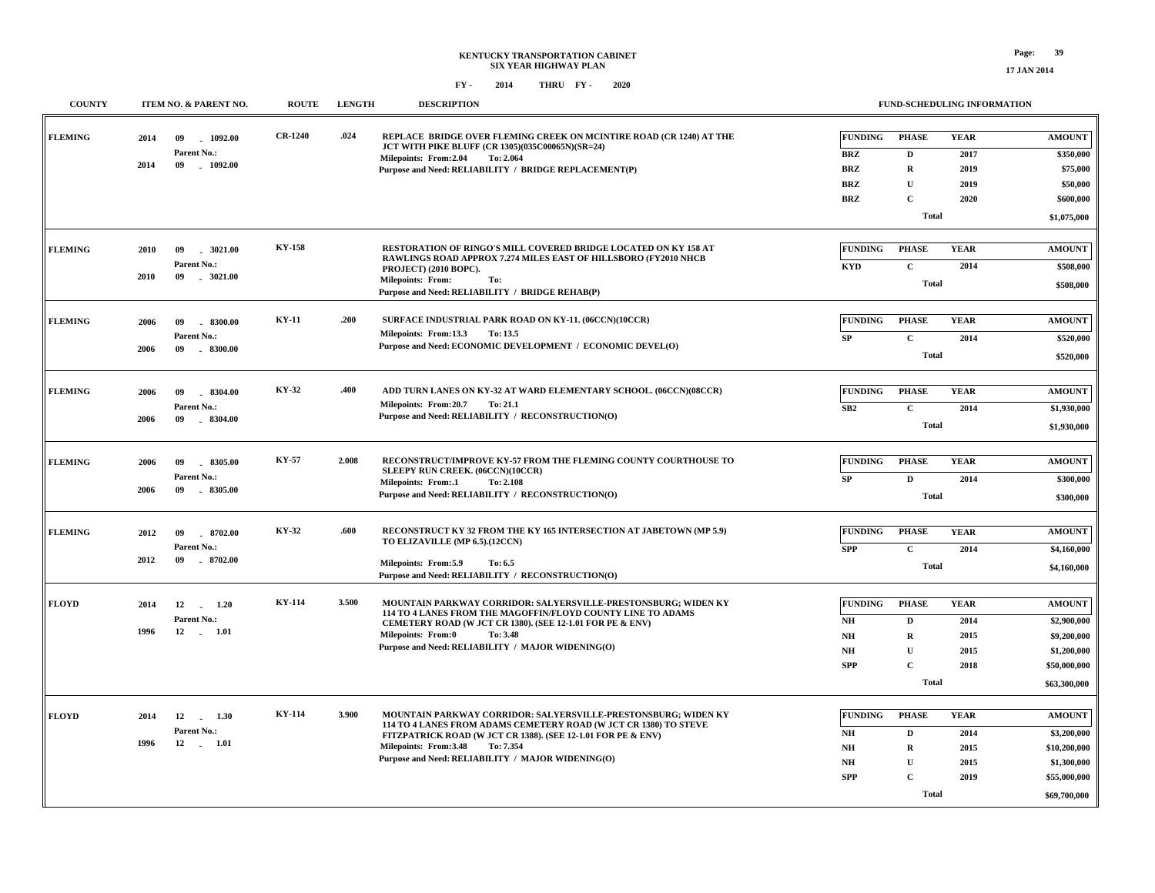**17 JAN 2014**

| <b>COUNTY</b>  | ITEM NO. & PARENT NO.                                               | <b>ROUTE</b>   | <b>LENGTH</b> | <b>DESCRIPTION</b>                                                                                                                                                                                                                                                                             |                                                                                            | <b>FUND-SCHEDULING INFORMATION</b>                                             |                                             |                                                                                             |
|----------------|---------------------------------------------------------------------|----------------|---------------|------------------------------------------------------------------------------------------------------------------------------------------------------------------------------------------------------------------------------------------------------------------------------------------------|--------------------------------------------------------------------------------------------|--------------------------------------------------------------------------------|---------------------------------------------|---------------------------------------------------------------------------------------------|
| <b>FLEMING</b> | 2014<br>09<br>1092.00<br>Parent No.:<br>2014<br>09<br>$-1092.00$    | <b>CR-1240</b> | .024          | REPLACE BRIDGE OVER FLEMING CREEK ON MCINTIRE ROAD (CR 1240) AT THE<br>JCT WITH PIKE BLUFF (CR 1305)(035C00065N)(SR=24)<br>Milepoints: From:2.04<br>To: 2.064<br>Purpose and Need: RELIABILITY / BRIDGE REPLACEMENT(P)                                                                         | <b>FUNDING</b><br><b>BRZ</b><br><b>BRZ</b><br><b>BRZ</b><br><b>BRZ</b>                     | <b>PHASE</b><br>D<br>$\mathbf R$<br>$\mathbf U$<br>$\mathbf C$                 | <b>YEAR</b><br>2017<br>2019<br>2019<br>2020 | <b>AMOUNT</b><br>\$350,000<br>\$75,000<br>\$50,000<br>\$600,000                             |
|                |                                                                     |                |               |                                                                                                                                                                                                                                                                                                |                                                                                            | <b>Total</b>                                                                   |                                             | \$1,075,000                                                                                 |
| <b>FLEMING</b> | 2010<br>09<br>$-3021.00$<br>Parent No.:<br>2010<br>09<br>$-3021.00$ | <b>KY-158</b>  |               | RESTORATION OF RINGO'S MILL COVERED BRIDGE LOCATED ON KY 158 AT<br>RAWLINGS ROAD APPROX 7.274 MILES EAST OF HILLSBORO (FY2010 NHCB<br>PROJECT) (2010 BOPC).<br><b>Milepoints: From:</b><br>To:<br>Purpose and Need: RELIABILITY / BRIDGE REHAB(P)                                              | <b>FUNDING</b><br><b>KYD</b>                                                               | <b>PHASE</b><br>$\mathbf C$<br><b>Total</b>                                    | <b>YEAR</b><br>2014                         | <b>AMOUNT</b><br>\$508,000<br>\$508,000                                                     |
| <b>FLEMING</b> | 09<br>.8300.00<br>2006<br>Parent No.:<br>2006<br>09<br>$-8300.00$   | <b>KY-11</b>   | .200          | SURFACE INDUSTRIAL PARK ROAD ON KY-11. (06CCN)(10CCR)<br>Milepoints: From:13.3<br>To: 13.5<br>Purpose and Need: ECONOMIC DEVELOPMENT / ECONOMIC DEVEL(O)                                                                                                                                       | <b>FUNDING</b><br>${\bf SP}$                                                               | <b>PHASE</b><br>$\mathbf C$<br><b>Total</b>                                    | <b>YEAR</b><br>2014                         | <b>AMOUNT</b><br>\$520,000<br>\$520,000                                                     |
| <b>FLEMING</b> | 2006<br>09<br>8304.00<br>Parent No.:<br>09<br>2006<br>$-8304.00$    | KY-32          | .400          | ADD TURN LANES ON KY-32 AT WARD ELEMENTARY SCHOOL. (06CCN)(08CCR)<br>Milepoints: From:20.7<br>To: 21.1<br>Purpose and Need: RELIABILITY / RECONSTRUCTION(O)                                                                                                                                    | <b>FUNDING</b><br>SB2                                                                      | <b>PHASE</b><br>$\mathbf C$<br><b>Total</b>                                    | <b>YEAR</b><br>2014                         | <b>AMOUNT</b><br>\$1,930,000<br>\$1,930,000                                                 |
| <b>FLEMING</b> | 2006<br>09<br>8305.00<br>Parent No.:<br>2006<br>$-8305.00$<br>09    | <b>KY-57</b>   | 2.008         | RECONSTRUCT/IMPROVE KY-57 FROM THE FLEMING COUNTY COURTHOUSE TO<br>SLEEPY RUN CREEK. (06CCN)(10CCR)<br><b>Milepoints: From:.1</b><br>To: 2.108<br>Purpose and Need: RELIABILITY / RECONSTRUCTION(O)                                                                                            | <b>FUNDING</b><br>SP                                                                       | <b>PHASE</b><br>$\mathbf{D}$<br><b>Total</b>                                   | <b>YEAR</b><br>2014                         | <b>AMOUNT</b><br>\$300,000<br>\$300,000                                                     |
| <b>FLEMING</b> | 2012<br>09<br>8702.00<br>Parent No.:<br>$-8702.00$<br>2012<br>09    | KY-32          | .600          | RECONSTRUCT KY 32 FROM THE KY 165 INTERSECTION AT JABETOWN (MP 5.9)<br>TO ELIZAVILLE (MP 6.5).(12CCN)<br>Milepoints: From:5.9<br>To: 6.5<br>Purpose and Need: RELIABILITY / RECONSTRUCTION(O)                                                                                                  | <b>FUNDING</b><br><b>SPP</b>                                                               | <b>PHASE</b><br>$\mathbf C$<br><b>Total</b>                                    | <b>YEAR</b><br>2014                         | <b>AMOUNT</b><br>\$4,160,000<br>\$4,160,000                                                 |
| <b>FLOYD</b>   | 2014<br>12<br>$\sim$<br>1.20<br>Parent No.:<br>1996<br>12 1.01      | KY-114         | 3.500         | MOUNTAIN PARKWAY CORRIDOR: SALYERSVILLE-PRESTONSBURG; WIDEN KY<br>114 TO 4 LANES FROM THE MAGOFFIN/FLOYD COUNTY LINE TO ADAMS<br>CEMETERY ROAD (W JCT CR 1380). (SEE 12-1.01 FOR PE & ENV)<br><b>Milepoints: From:0</b><br>To: 3.48<br>Purpose and Need: RELIABILITY / MAJOR WIDENING(O)       | <b>FUNDING</b><br>N <sub>H</sub><br>NH<br>N <sub>H</sub><br><b>SPP</b>                     | <b>PHASE</b><br>D<br>$\mathbf R$<br>$\mathbf U$<br>$\mathbf C$<br><b>Total</b> | <b>YEAR</b><br>2014<br>2015<br>2015<br>2018 | <b>AMOUNT</b><br>\$2,900,000<br>\$9,200,000<br>\$1,200,000<br>\$50,000,000<br>\$63,300,000  |
| <b>FLOYD</b>   | 2014<br>12 1.30<br>Parent No.:<br>1996<br>12 1.01                   | <b>KY-114</b>  | 3.900         | MOUNTAIN PARKWAY CORRIDOR: SALYERSVILLE-PRESTONSBURG; WIDEN KY<br>114 TO 4 LANES FROM ADAMS CEMETERY ROAD (W JCT CR 1380) TO STEVE<br>FITZPATRICK ROAD (W JCT CR 1388). (SEE 12-1.01 FOR PE & ENV)<br>Milepoints: From: 3.48<br>To: 7.354<br>Purpose and Need: RELIABILITY / MAJOR WIDENING(O) | <b>FUNDING</b><br>N <sub>H</sub><br>$\mathbf{N}\mathbf{H}$<br>N <sub>H</sub><br><b>SPP</b> | <b>PHASE</b><br>D<br>$\mathbf R$<br>$\mathbf U$<br>$\mathbf C$<br><b>Total</b> | <b>YEAR</b><br>2014<br>2015<br>2015<br>2019 | <b>AMOUNT</b><br>\$3,200,000<br>\$10,200,000<br>\$1,300,000<br>\$55,000,000<br>\$69,700,000 |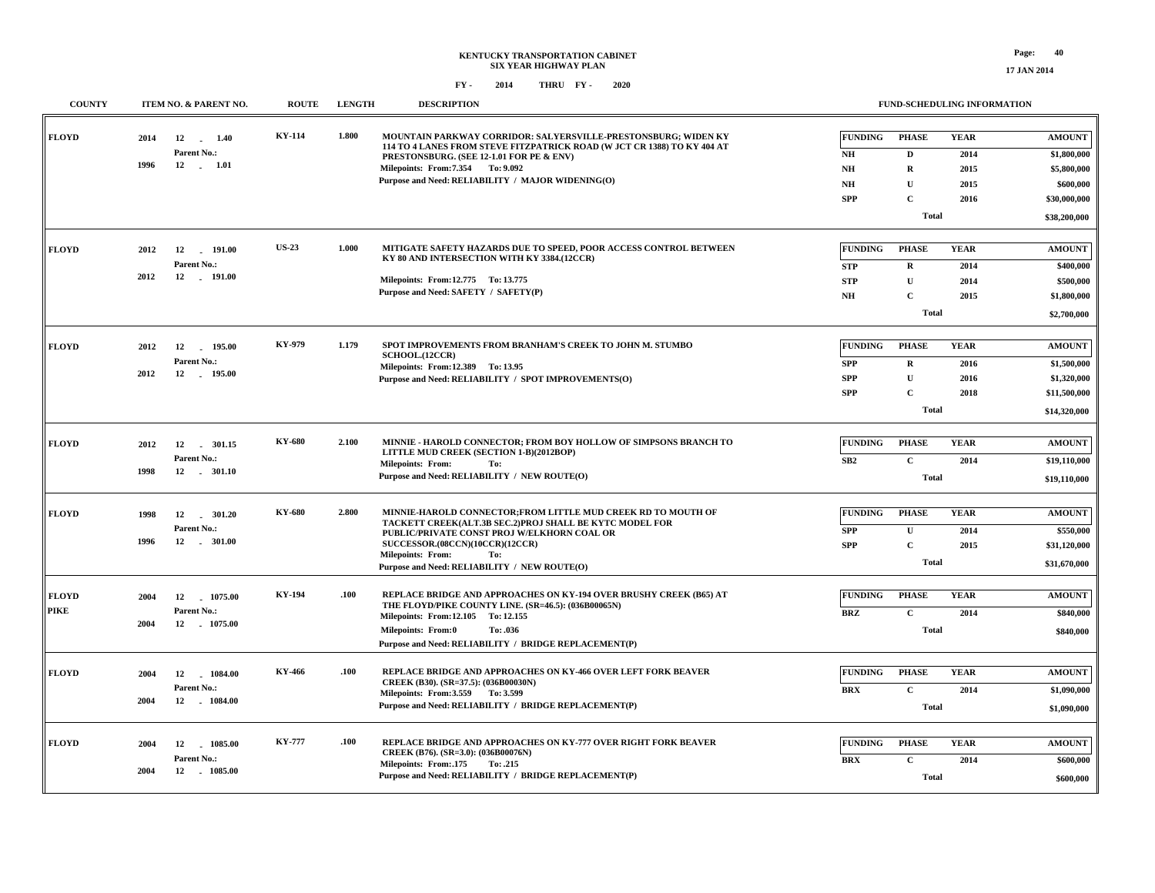**17 JAN 2014**

| <b>COUNTY</b> | ITEM NO. & PARENT NO.           | <b>ROUTE</b>  | <b>LENGTH</b> | <b>DESCRIPTION</b>                                                                                                                        |                | <b>FUND-SCHEDULING INFORMATION</b> |             |               |
|---------------|---------------------------------|---------------|---------------|-------------------------------------------------------------------------------------------------------------------------------------------|----------------|------------------------------------|-------------|---------------|
| <b>FLOYD</b>  | 2014<br>12<br>1.40              | <b>KY-114</b> | 1.800         | MOUNTAIN PARKWAY CORRIDOR: SALYERSVILLE-PRESTONSBURG; WIDEN KY<br>114 TO 4 LANES FROM STEVE FITZPATRICK ROAD (W JCT CR 1388) TO KY 404 AT | <b>FUNDING</b> | <b>PHASE</b>                       | <b>YEAR</b> | <b>AMOUNT</b> |
|               | Parent No.:                     |               |               | PRESTONSBURG. (SEE 12-1.01 FOR PE & ENV)                                                                                                  | NH             | D                                  | 2014        | \$1,800,000   |
|               | 1996<br>$12 \quad . \quad 1.01$ |               |               | Milepoints: From: 7.354 To: 9.092                                                                                                         | N <sub>H</sub> | ${\bf R}$                          | 2015        | \$5,800,000   |
|               |                                 |               |               | Purpose and Need: RELIABILITY / MAJOR WIDENING(O)                                                                                         | NH             | U                                  | 2015        | \$600,000     |
|               |                                 |               |               |                                                                                                                                           | <b>SPP</b>     | $\mathbf C$                        | 2016        | \$30,000,000  |
|               |                                 |               |               |                                                                                                                                           |                | <b>Total</b>                       |             | \$38,200,000  |
| <b>FLOYD</b>  | 2012<br>12<br>191.00            | <b>US-23</b>  | 1.000         | MITIGATE SAFETY HAZARDS DUE TO SPEED, POOR ACCESS CONTROL BETWEEN                                                                         | <b>FUNDING</b> | <b>PHASE</b>                       | <b>YEAR</b> | <b>AMOUNT</b> |
|               | Parent No.:                     |               |               | KY 80 AND INTERSECTION WITH KY 3384.(12CCR)                                                                                               | <b>STP</b>     | $\bf R$                            | 2014        | \$400,000     |
|               | 2012<br>12 191.00               |               |               | Milepoints: From:12.775 To: 13.775                                                                                                        | <b>STP</b>     | U                                  | 2014        | \$500,000     |
|               |                                 |               |               | Purpose and Need: SAFETY / SAFETY(P)                                                                                                      | N <sub>H</sub> | $\mathbf C$                        | 2015        | \$1,800,000   |
|               |                                 |               |               |                                                                                                                                           |                | <b>Total</b>                       |             | \$2,700,000   |
| <b>FLOYD</b>  | 2012<br>12<br>195.00<br>$\sim$  | KY-979        | 1.179         | SPOT IMPROVEMENTS FROM BRANHAM'S CREEK TO JOHN M. STUMBO                                                                                  | <b>FUNDING</b> | <b>PHASE</b>                       | <b>YEAR</b> | <b>AMOUNT</b> |
|               | Parent No.:                     |               |               | SCHOOL.(12CCR)                                                                                                                            | <b>SPP</b>     | $\mathbf R$                        | 2016        | \$1,500,000   |
|               | 2012<br>12 195.00               |               |               | Milepoints: From:12.389 To:13.95                                                                                                          | <b>SPP</b>     | $\mathbf U$                        | 2016        | \$1,320,000   |
|               |                                 |               |               | Purpose and Need: RELIABILITY / SPOT IMPROVEMENTS(O)                                                                                      | <b>SPP</b>     | $\mathbf C$                        | 2018        | \$11,500,000  |
|               |                                 |               |               |                                                                                                                                           |                |                                    |             |               |
|               |                                 |               |               |                                                                                                                                           |                | <b>Total</b>                       |             | \$14,320,000  |
|               |                                 |               |               |                                                                                                                                           |                |                                    |             |               |
| <b>FLOYD</b>  | 2012<br>12<br>301.15            | KY-680        | 2.100         | MINNIE - HAROLD CONNECTOR; FROM BOY HOLLOW OF SIMPSONS BRANCH TO<br>LITTLE MUD CREEK (SECTION 1-B)(2012BOP)                               | <b>FUNDING</b> | <b>PHASE</b>                       | <b>YEAR</b> | <b>AMOUNT</b> |
|               | Parent No.:<br>1998             |               |               | <b>Milepoints: From:</b><br>To:                                                                                                           | SB2            | $\mathbf C$                        | 2014        | \$19,110,000  |
|               |                                 |               |               | Purpose and Need: RELIABILITY / NEW ROUTE(O)                                                                                              |                | <b>Total</b>                       |             | \$19,110,000  |
|               |                                 |               |               |                                                                                                                                           |                |                                    |             |               |
| <b>FLOYD</b>  | 1998<br>12<br>301.20            | <b>KY-680</b> | 2.800         | MINNIE-HAROLD CONNECTOR; FROM LITTLE MUD CREEK RD TO MOUTH OF<br>TACKETT CREEK(ALT.3B SEC.2)PROJ SHALL BE KYTC MODEL FOR                  | <b>FUNDING</b> | <b>PHASE</b>                       | <b>YEAR</b> | <b>AMOUNT</b> |
|               | Parent No.:                     |               |               | PUBLIC/PRIVATE CONST PROJ W/ELKHORN COAL OR                                                                                               | <b>SPP</b>     | $\mathbf U$                        | 2014        | \$550,000     |
|               | 12<br>301.00<br>1996<br>$\sim$  |               |               | SUCCESSOR.(08CCN)(10CCR)(12CCR)<br>To:                                                                                                    | <b>SPP</b>     | $\mathbf C$                        | 2015        | \$31,120,000  |
|               |                                 |               |               | <b>Milepoints: From:</b><br>Purpose and Need: RELIABILITY / NEW ROUTE(O)                                                                  |                | <b>Total</b>                       |             | \$31,670,000  |
| <b>FLOYD</b>  | 2004<br>12<br>1075.00           | KY-194        | .100          | REPLACE BRIDGE AND APPROACHES ON KY-194 OVER BRUSHY CREEK (B65) AT                                                                        | <b>FUNDING</b> | <b>PHASE</b>                       | <b>YEAR</b> | <b>AMOUNT</b> |
| <b>PIKE</b>   | Parent No.:                     |               |               | THE FLOYD/PIKE COUNTY LINE. (SR=46.5): (036B00065N)                                                                                       | <b>BRZ</b>     | $\mathbf C$                        | 2014        | \$840,000     |
|               | 2004<br>12 1075.00              |               |               | Milepoints: From:12.105 To: 12.155<br><b>Milepoints: From:0</b><br>To: .036                                                               |                | <b>Total</b>                       |             |               |
|               |                                 |               |               | Purpose and Need: RELIABILITY / BRIDGE REPLACEMENT(P)                                                                                     |                |                                    |             | \$840,000     |
|               |                                 |               |               |                                                                                                                                           |                |                                    |             |               |
| <b>FLOYD</b>  | 12<br>1084.00<br>2004           | KY-466        | .100          | REPLACE BRIDGE AND APPROACHES ON KY-466 OVER LEFT FORK BEAVER<br>CREEK (B30). (SR=37.5): (036B00030N)                                     | <b>FUNDING</b> | <b>PHASE</b>                       | <b>YEAR</b> | <b>AMOUNT</b> |
|               | Parent No.:                     |               |               | Milepoints: From: 3.559 To: 3.599                                                                                                         | <b>BRX</b>     | $\mathbf C$                        | 2014        | \$1,090,000   |
|               | 2004<br>12 1084.00              |               |               | Purpose and Need: RELIABILITY / BRIDGE REPLACEMENT(P)                                                                                     |                | <b>Total</b>                       |             | \$1,090,000   |
|               |                                 |               |               |                                                                                                                                           |                |                                    |             |               |
| <b>FLOYD</b>  | 2004<br>12<br>1085.00           | <b>KY-777</b> | .100          | REPLACE BRIDGE AND APPROACHES ON KY-777 OVER RIGHT FORK BEAVER<br>CREEK (B76). (SR=3.0): (036B00076N)                                     | <b>FUNDING</b> | <b>PHASE</b>                       | <b>YEAR</b> | <b>AMOUNT</b> |
|               | Parent No.:                     |               |               | Milepoints: From: 175<br>To: .215                                                                                                         | <b>BRX</b>     | $\mathbf C$                        | 2014        | \$600,000     |
|               | 2004<br>12 1085.00              |               |               | Purpose and Need: RELIABILITY / BRIDGE REPLACEMENT(P)                                                                                     |                | <b>Total</b>                       |             | \$600,000     |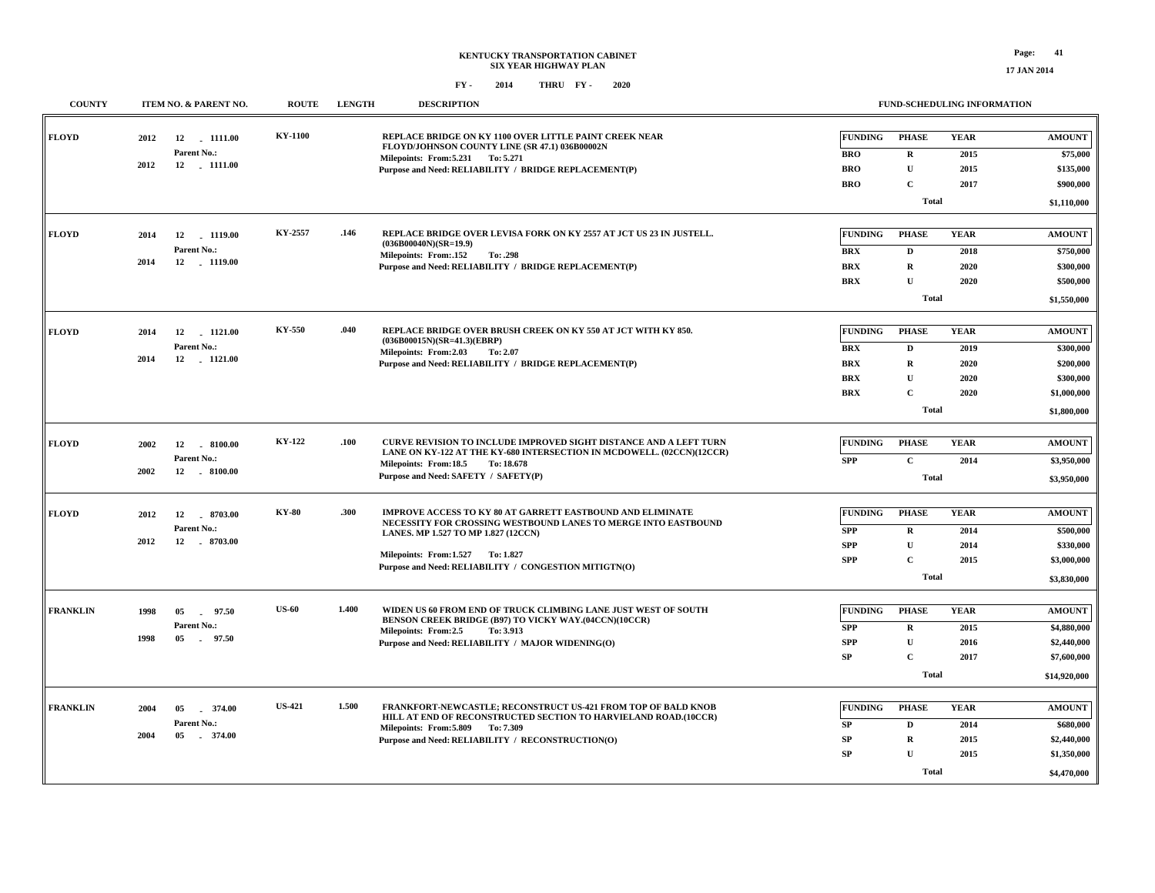| <b>COUNTY</b>   |      | <b>ITEM NO. &amp; PARENT NO.</b> | <b>ROUTE</b>   | <b>LENGTH</b> | <b>DESCRIPTION</b>                                                                                                                         |                | <b>FUND-SCHEDULING INFORMATION</b> |             |               |
|-----------------|------|----------------------------------|----------------|---------------|--------------------------------------------------------------------------------------------------------------------------------------------|----------------|------------------------------------|-------------|---------------|
| <b>FLOYD</b>    | 2012 | 12<br>1111.00<br>Parent No.:     | <b>KY-1100</b> |               | REPLACE BRIDGE ON KY 1100 OVER LITTLE PAINT CREEK NEAR<br>FLOYD/JOHNSON COUNTY LINE (SR 47.1) 036B00002N                                   | <b>FUNDING</b> | <b>PHASE</b>                       | <b>YEAR</b> | <b>AMOUNT</b> |
|                 | 2012 | 12 - 1111.00                     |                |               | Milepoints: From: 5.231 To: 5.271                                                                                                          | <b>BRO</b>     | $\mathbf R$                        | 2015        | \$75,000      |
|                 |      |                                  |                |               | Purpose and Need: RELIABILITY / BRIDGE REPLACEMENT(P)                                                                                      | <b>BRO</b>     | ${\bf U}$                          | 2015        | \$135,000     |
|                 |      |                                  |                |               |                                                                                                                                            | <b>BRO</b>     | $\mathbf C$                        | 2017        | \$900,000     |
|                 |      |                                  |                |               |                                                                                                                                            |                | <b>Total</b>                       |             | \$1,110,000   |
| <b>FLOYD</b>    | 2014 | 12<br>1119.00                    | KY-2557        | .146          | REPLACE BRIDGE OVER LEVISA FORK ON KY 2557 AT JCT US 23 IN JUSTELL.<br>$(036B00040N)(SR=19.9)$                                             | <b>FUNDING</b> | <b>PHASE</b>                       | <b>YEAR</b> | <b>AMOUNT</b> |
|                 |      | Parent No.:                      |                |               | Milepoints: From:.152<br>To: .298                                                                                                          | <b>BRX</b>     | D                                  | 2018        | \$750,000     |
|                 | 2014 | 12 1119.00                       |                |               | Purpose and Need: RELIABILITY / BRIDGE REPLACEMENT(P)                                                                                      | <b>BRX</b>     | $\mathbf R$                        | 2020        | \$300,000     |
|                 |      |                                  |                |               |                                                                                                                                            | <b>BRX</b>     | $\mathbf{U}$                       | 2020        | \$500,000     |
|                 |      |                                  |                |               |                                                                                                                                            |                | <b>Total</b>                       |             | \$1,550,000   |
| <b>FLOYD</b>    | 2014 | 12<br>1121.00                    | KY-550         | .040          | REPLACE BRIDGE OVER BRUSH CREEK ON KY 550 AT JCT WITH KY 850.                                                                              | <b>FUNDING</b> | <b>PHASE</b>                       | <b>YEAR</b> | <b>AMOUNT</b> |
|                 |      | Parent No.:                      |                |               | $(036B00015N)(SR=41.3)(EBRP)$<br>Milepoints: From: 2.03<br>To: 2.07                                                                        | <b>BRX</b>     | D                                  | 2019        | \$300,000     |
|                 | 2014 | 12 - 1121.00                     |                |               | Purpose and Need: RELIABILITY / BRIDGE REPLACEMENT(P)                                                                                      | <b>BRX</b>     | ${\bf R}$                          | 2020        | \$200,000     |
|                 |      |                                  |                |               |                                                                                                                                            | <b>BRX</b>     | $\mathbf U$                        | 2020        | \$300,000     |
|                 |      |                                  |                |               |                                                                                                                                            | <b>BRX</b>     | $\mathbf{C}$                       | 2020        | \$1,000,000   |
|                 |      |                                  |                |               |                                                                                                                                            |                | <b>Total</b>                       |             | \$1,800,000   |
|                 |      |                                  |                |               |                                                                                                                                            |                |                                    |             |               |
| <b>FLOYD</b>    | 2002 | 12 8100.00<br>Parent No.:        | KY-122         | .100          | CURVE REVISION TO INCLUDE IMPROVED SIGHT DISTANCE AND A LEFT TURN<br>LANE ON KY-122 AT THE KY-680 INTERSECTION IN MCDOWELL. (02CCN)(12CCR) | <b>FUNDING</b> | <b>PHASE</b>                       | <b>YEAR</b> | <b>AMOUNT</b> |
|                 | 2002 |                                  |                |               | Milepoints: From:18.5<br>To: 18.678                                                                                                        | <b>SPP</b>     | $\mathbf C$                        | 2014        | \$3,950,000   |
|                 |      |                                  |                |               | Purpose and Need: SAFETY / SAFETY(P)                                                                                                       |                | <b>Total</b>                       |             | \$3,950,000   |
| <b>FLOYD</b>    | 2012 | 8703.00<br>12                    | <b>KY-80</b>   | .300          | IMPROVE ACCESS TO KY 80 AT GARRETT EASTBOUND AND ELIMINATE                                                                                 | <b>FUNDING</b> | <b>PHASE</b>                       | <b>YEAR</b> | <b>AMOUNT</b> |
|                 |      | Parent No.:                      |                |               | NECESSITY FOR CROSSING WESTBOUND LANES TO MERGE INTO EASTBOUND<br>LANES. MP 1.527 TO MP 1.827 (12CCN)                                      | <b>SPP</b>     | $\mathbf R$                        | 2014        | \$500,000     |
|                 | 2012 | 12<br>$-8703.00$                 |                |               |                                                                                                                                            | <b>SPP</b>     | $\mathbf U$                        | 2014        | \$330,000     |
|                 |      |                                  |                |               | Milepoints: From:1.527 To: 1.827                                                                                                           | <b>SPP</b>     | $\mathbf{C}$                       | 2015        | \$3,000,000   |
|                 |      |                                  |                |               | Purpose and Need: RELIABILITY / CONGESTION MITIGTN(O)                                                                                      |                | <b>Total</b>                       |             | \$3,830,000   |
|                 |      |                                  |                |               |                                                                                                                                            |                |                                    |             |               |
| <b>FRANKLIN</b> | 1998 | 05<br>97.50                      | <b>US-60</b>   | 1.400         | WIDEN US 60 FROM END OF TRUCK CLIMBING LANE JUST WEST OF SOUTH<br>BENSON CREEK BRIDGE (B97) TO VICKY WAY.(04CCN)(10CCR)                    | <b>FUNDING</b> | <b>PHASE</b>                       | <b>YEAR</b> | <b>AMOUNT</b> |
|                 |      | Parent No.:                      |                |               | Milepoints: From:2.5<br>To: 3.913                                                                                                          | <b>SPP</b>     | $\mathbf R$                        | 2015        | \$4,880,000   |
|                 | 1998 | 05<br>.97.50                     |                |               | Purpose and Need: RELIABILITY / MAJOR WIDENING(O)                                                                                          | <b>SPP</b>     | $\mathbf U$                        | 2016        | \$2,440,000   |
|                 |      |                                  |                |               |                                                                                                                                            | <b>SP</b>      | $\mathbf{C}$                       | 2017        | \$7,600,000   |
|                 |      |                                  |                |               |                                                                                                                                            |                | <b>Total</b>                       |             | \$14,920,000  |
|                 |      |                                  | <b>US-421</b>  | 1.500         | FRANKFORT-NEWCASTLE; RECONSTRUCT US-421 FROM TOP OF BALD KNOB                                                                              | <b>FUNDING</b> | <b>PHASE</b>                       | <b>YEAR</b> | <b>AMOUNT</b> |
| <b>FRANKLIN</b> | 2004 | 05<br>374.00                     |                |               | HILL AT END OF RECONSTRUCTED SECTION TO HARVIELAND ROAD.(10CCR)                                                                            |                |                                    |             |               |
|                 | 2004 | Parent No.:<br>05<br>374.00      |                |               | Milepoints: From: 5.809 To: 7.309                                                                                                          | SP             | D                                  | 2014        | \$680,000     |
|                 |      |                                  |                |               | Purpose and Need: RELIABILITY / RECONSTRUCTION(O)                                                                                          | SP             | $\mathbf R$                        | 2015        | \$2,440,000   |
|                 |      |                                  |                |               |                                                                                                                                            | SP             | $\mathbf U$                        | 2015        | \$1,350,000   |
|                 |      |                                  |                |               |                                                                                                                                            |                | <b>Total</b>                       |             | \$4,470,000   |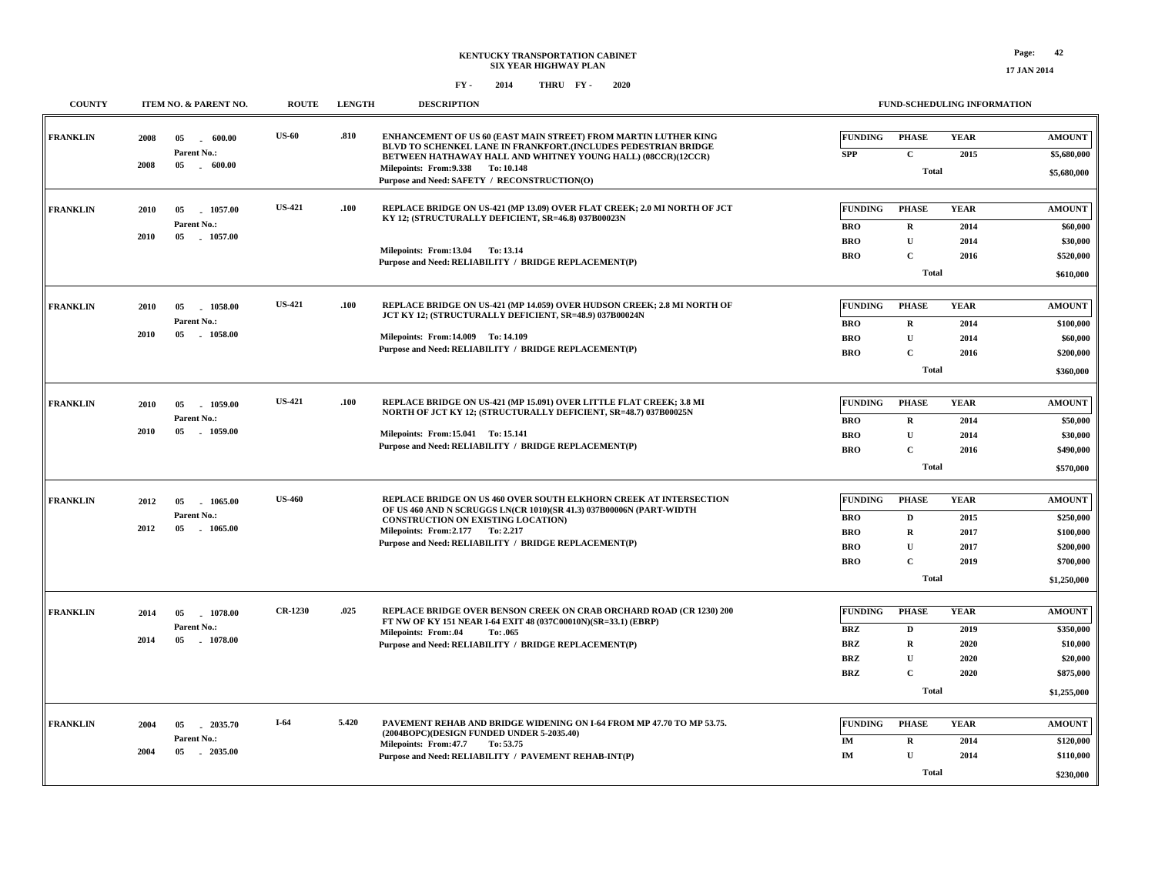| <b>COUNTY</b>   |             | ITEM NO. & PARENT NO.                 | <b>ROUTE</b>                                                                     | <b>LENGTH</b> | <b>DESCRIPTION</b>                                                                                                                                 |                              |                                                    | <b>FUND-SCHEDULING INFORMATION</b> |                              |
|-----------------|-------------|---------------------------------------|----------------------------------------------------------------------------------|---------------|----------------------------------------------------------------------------------------------------------------------------------------------------|------------------------------|----------------------------------------------------|------------------------------------|------------------------------|
| <b>FRANKLIN</b> | 2008        | 05<br>600.00<br>$\sim$<br>Parent No.: | <b>US-60</b>                                                                     | .810          | <b>ENHANCEMENT OF US 60 (EAST MAIN STREET) FROM MARTIN LUTHER KING</b><br>BLVD TO SCHENKEL LANE IN FRANKFORT.(INCLUDES PEDESTRIAN BRIDGE           | <b>FUNDING</b><br><b>SPP</b> | <b>PHASE</b><br>$\mathbf{C}$                       | <b>YEAR</b><br>2015                | <b>AMOUNT</b><br>\$5,680,000 |
|                 | 2008        | $05\,$<br>$-600.00$                   |                                                                                  |               | BETWEEN HATHAWAY HALL AND WHITNEY YOUNG HALL) (08CCR)(12CCR)<br>Milepoints: From: 9.338 To: 10.148<br>Purpose and Need: SAFETY / RECONSTRUCTION(O) |                              | <b>Total</b>                                       |                                    | \$5,680,000                  |
| <b>FRANKLIN</b> | 2010        | 1057.00<br>05                         | <b>US-421</b>                                                                    | .100          | REPLACE BRIDGE ON US-421 (MP 13.09) OVER FLAT CREEK; 2.0 MI NORTH OF JCT<br>KY 12; (STRUCTURALLY DEFICIENT, SR=46.8) 037B00023N                    | <b>FUNDING</b>               | <b>PHASE</b>                                       | <b>YEAR</b>                        | <b>AMOUNT</b>                |
|                 |             | Parent No.:                           |                                                                                  |               |                                                                                                                                                    | <b>BRO</b>                   | ${\bf R}$                                          | 2014                               | \$60,000                     |
|                 | <b>2010</b> | 05<br>1057.00                         |                                                                                  |               | Milepoints: From:13.04 To:13.14                                                                                                                    | <b>BRO</b>                   | $\mathbf{U}$                                       | 2014                               | \$30,000                     |
|                 |             |                                       |                                                                                  |               | Purpose and Need: RELIABILITY / BRIDGE REPLACEMENT(P)                                                                                              | <b>BRO</b>                   | $\mathbf C$                                        | 2016                               | \$520,000                    |
|                 |             |                                       |                                                                                  |               |                                                                                                                                                    |                              | <b>Total</b>                                       |                                    | \$610,000                    |
| <b>FRANKLIN</b> | 2010        | 05<br>1058.00                         | <b>US-421</b>                                                                    | .100          | REPLACE BRIDGE ON US-421 (MP 14.059) OVER HUDSON CREEK; 2.8 MI NORTH OF                                                                            | <b>FUNDING</b>               | <b>PHASE</b>                                       | <b>YEAR</b>                        | <b>AMOUNT</b>                |
|                 |             | Parent No.:                           |                                                                                  |               | JCT KY 12; (STRUCTURALLY DEFICIENT, SR=48.9) 037B00024N                                                                                            | <b>BRO</b>                   | R                                                  | 2014                               | \$100,000                    |
|                 | 2010        | 05<br>1058.00                         |                                                                                  |               | Milepoints: From: 14.009 To: 14.109                                                                                                                | <b>BRO</b>                   | $\mathbf U$                                        | 2014                               | \$60,000                     |
|                 |             |                                       |                                                                                  |               | Purpose and Need: RELIABILITY / BRIDGE REPLACEMENT(P)                                                                                              | <b>BRO</b>                   | $\mathbf C$                                        | 2016                               | \$200,000                    |
|                 |             |                                       |                                                                                  |               |                                                                                                                                                    |                              | <b>Total</b>                                       |                                    | \$360,000                    |
| <b>FRANKLIN</b> | 2010        | 05<br>1059.00                         | <b>US-421</b>                                                                    | .100          | REPLACE BRIDGE ON US-421 (MP 15.091) OVER LITTLE FLAT CREEK; 3.8 MI                                                                                | <b>FUNDING</b>               | <b>PHASE</b>                                       | <b>YEAR</b>                        | <b>AMOUNT</b>                |
|                 |             | Parent No.:                           |                                                                                  |               | NORTH OF JCT KY 12; (STRUCTURALLY DEFICIENT, SR=48.7) 037B00025N                                                                                   | <b>BRO</b>                   | ${\bf R}$                                          | 2014                               | \$50,000                     |
|                 | 2010        | $05\,$<br>1059.00                     |                                                                                  |               | Milepoints: From:15.041 To: 15.141                                                                                                                 | <b>BRO</b>                   | U                                                  | 2014                               | \$30,000                     |
|                 |             |                                       |                                                                                  |               | Purpose and Need: RELIABILITY / BRIDGE REPLACEMENT(P)                                                                                              | <b>BRO</b>                   | $\mathbf{C}$                                       | 2016                               | \$490,000                    |
|                 |             |                                       |                                                                                  |               |                                                                                                                                                    |                              | <b>Total</b>                                       |                                    | \$570,000                    |
|                 |             |                                       |                                                                                  |               |                                                                                                                                                    |                              |                                                    |                                    |                              |
| <b>FRANKLIN</b> | 2012        | 05<br>1065.00                         | <b>US-460</b>                                                                    |               | REPLACE BRIDGE ON US 460 OVER SOUTH ELKHORN CREEK AT INTERSECTION<br>OF US 460 AND N SCRUGGS LN(CR 1010)(SR 41.3) 037B00006N (PART-WIDTH           | <b>FUNDING</b>               | <b>PHASE</b>                                       | <b>YEAR</b>                        | <b>AMOUNT</b>                |
|                 | 2012        | Parent No.:<br>05<br>1065.00          |                                                                                  |               | <b>CONSTRUCTION ON EXISTING LOCATION)</b>                                                                                                          | <b>BRO</b>                   | D                                                  | 2015                               | \$250,000                    |
|                 |             |                                       |                                                                                  |               | Milepoints: From: 2.177 To: 2.217<br>Purpose and Need: RELIABILITY / BRIDGE REPLACEMENT(P)                                                         | <b>BRO</b>                   | $\mathbf R$<br>$\mathbf{U}$                        | 2017                               | \$100,000                    |
|                 |             |                                       |                                                                                  |               |                                                                                                                                                    | <b>BRO</b>                   |                                                    | 2017                               | \$200,000<br>\$700,000       |
|                 |             |                                       |                                                                                  |               |                                                                                                                                                    |                              | $\mathbf{C}$<br><b>BRO</b><br>2019<br><b>Total</b> |                                    |                              |
|                 |             |                                       |                                                                                  |               |                                                                                                                                                    |                              |                                                    |                                    |                              |
| <b>FRANKLIN</b> | 2014        | 05<br>1078.00                         | <b>CR-1230</b>                                                                   | .025          | <b>REPLACE BRIDGE OVER BENSON CREEK ON CRAB ORCHARD ROAD (CR 1230) 200</b><br>FT NW OF KY 151 NEAR I-64 EXIT 48 (037C00010N)(SR=33.1) (EBRP)       | <b>FUNDING</b>               | <b>PHASE</b>                                       | <b>YEAR</b>                        | <b>AMOUNT</b>                |
|                 |             | Parent No.:                           |                                                                                  |               | <b>Milepoints: From:.04</b><br>To: .065                                                                                                            | <b>BRZ</b>                   | $\mathbf D$                                        | 2019                               | \$350,000                    |
|                 | 2014        | 05<br>1078.00                         |                                                                                  |               | Purpose and Need: RELIABILITY / BRIDGE REPLACEMENT(P)                                                                                              | <b>BRZ</b>                   | $\mathbf R$                                        | 2020                               | \$10,000                     |
|                 |             |                                       |                                                                                  |               |                                                                                                                                                    | <b>BRZ</b>                   | $\mathbf{U}$                                       | 2020                               | \$20,000                     |
|                 |             |                                       |                                                                                  |               |                                                                                                                                                    | <b>BRZ</b>                   | $\mathbf C$                                        | 2020                               | \$875,000                    |
|                 |             |                                       |                                                                                  |               |                                                                                                                                                    |                              | <b>Total</b>                                       |                                    | \$1,255,000                  |
| <b>FRANKLIN</b> | 2004        | $-2035.70$<br>05                      | $I-64$                                                                           | 5.420         | PAVEMENT REHAB AND BRIDGE WIDENING ON I-64 FROM MP 47.70 TO MP 53.75.                                                                              | <b>FUNDING</b>               | <b>PHASE</b>                                       | <b>YEAR</b>                        | <b>AMOUNT</b>                |
|                 |             | Parent No.:                           | (2004BOPC)(DESIGN FUNDED UNDER 5-2035.40)<br>Milepoints: From: 47.7<br>To: 53.75 | IM            | $\mathbf R$                                                                                                                                        | 2014                         | \$120,000                                          |                                    |                              |
|                 | 2004        | $-2035.00$<br>05                      |                                                                                  |               | Purpose and Need: RELIABILITY / PAVEMENT REHAB-INT(P)                                                                                              | $\mathbf{IM}$                | $\mathbf U$                                        | 2014                               | \$110,000                    |
|                 |             |                                       |                                                                                  |               |                                                                                                                                                    |                              | Total                                              |                                    | \$230,000                    |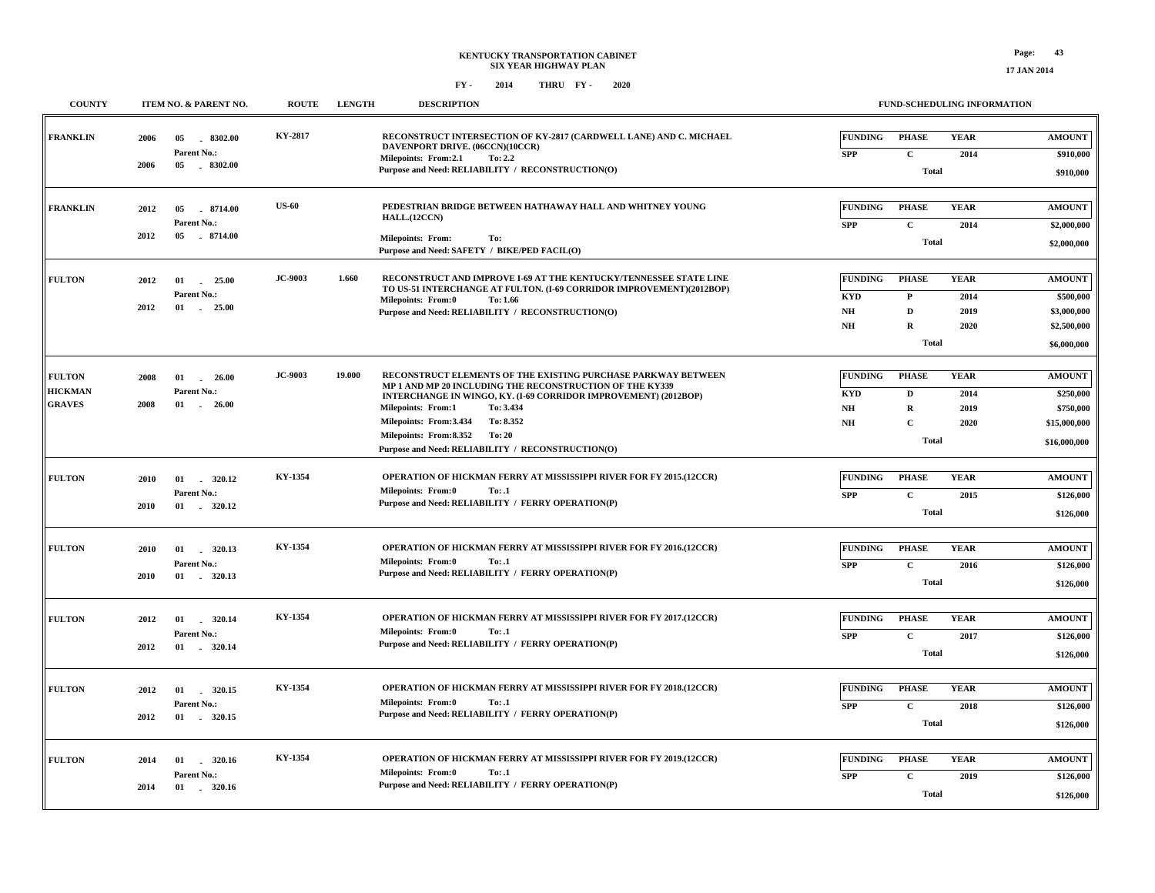| <b>COUNTY</b>                                    | ITEM NO. & PARENT NO.                                                 | <b>ROUTE</b>   | <b>LENGTH</b> | <b>DESCRIPTION</b>                                                                                                                                                                                                                                                                                                                                                     |                                                 |                                                                             | FUND-SCHEDULING INFORMATION         |                                                                         |
|--------------------------------------------------|-----------------------------------------------------------------------|----------------|---------------|------------------------------------------------------------------------------------------------------------------------------------------------------------------------------------------------------------------------------------------------------------------------------------------------------------------------------------------------------------------------|-------------------------------------------------|-----------------------------------------------------------------------------|-------------------------------------|-------------------------------------------------------------------------|
| <b>FRANKLIN</b>                                  | $-8302.00$<br>2006<br>05<br>Parent No.:<br>05 8302.00<br>2006         | KY-2817        |               | RECONSTRUCT INTERSECTION OF KY-2817 (CARDWELL LANE) AND C. MICHAEL<br>DAVENPORT DRIVE. (06CCN)(10CCR)<br>Milepoints: From:2.1<br>To: 2.2<br>Purpose and Need: RELIABILITY / RECONSTRUCTION(O)                                                                                                                                                                          | <b>FUNDING</b><br><b>SPP</b>                    | <b>PHASE</b><br>$\mathbf{C}$<br><b>Total</b>                                | <b>YEAR</b><br>2014                 | <b>AMOUNT</b><br>\$910,000<br>\$910,000                                 |
| FRANKLIN                                         | 2012<br>05<br>8714.00<br>Parent No.:<br>2012<br>$-8714.00$<br>05      | <b>US-60</b>   |               | PEDESTRIAN BRIDGE BETWEEN HATHAWAY HALL AND WHITNEY YOUNG<br>HALL.(12CCN)<br><b>Milepoints: From:</b><br>To:<br>Purpose and Need: SAFETY / BIKE/PED FACIL(O)                                                                                                                                                                                                           | <b>FUNDING</b><br><b>SPP</b>                    | <b>PHASE</b><br>$\mathbf C$<br>Total                                        | <b>YEAR</b><br>2014                 | <b>AMOUNT</b><br>\$2,000,000<br>\$2,000,000                             |
| <b>FULTON</b>                                    | 2012<br>01<br>25.00<br>Parent No.:<br>2012<br>01<br>25.00             | <b>JC-9003</b> | 1.660         | RECONSTRUCT AND IMPROVE I-69 AT THE KENTUCKY/TENNESSEE STATE LINE<br>TO US-51 INTERCHANGE AT FULTON. (I-69 CORRIDOR IMPROVEMENT)(2012BOP)<br>Milepoints: From:0<br>To: 1.66<br>Purpose and Need: RELIABILITY / RECONSTRUCTION(O)                                                                                                                                       | <b>FUNDING</b><br><b>KYD</b><br>NH<br><b>NH</b> | <b>PHASE</b><br>$\mathbf{P}$<br>$\mathbf{D}$<br>$\mathbf R$<br><b>Total</b> | <b>YEAR</b><br>2014<br>2019<br>2020 | <b>AMOUNT</b><br>\$500,000<br>\$3,000,000<br>\$2,500,000<br>\$6,000,000 |
| <b>FULTON</b><br><b>HICKMAN</b><br><b>GRAVES</b> | 2008<br>26.00<br>01<br>Parent No.:<br>2008<br>01<br>26.00             | <b>JC-9003</b> | 19.000        | RECONSTRUCT ELEMENTS OF THE EXISTING PURCHASE PARKWAY BETWEEN<br>MP 1 AND MP 20 INCLUDING THE RECONSTRUCTION OF THE KY339<br>INTERCHANGE IN WINGO, KY. (I-69 CORRIDOR IMPROVEMENT) (2012BOP)<br>To: 3.434<br><b>Milepoints: From:1</b><br>To: 8.352<br>Milepoints: From:3.434<br>Milepoints: From:8.352<br>To: 20<br>Purpose and Need: RELIABILITY / RECONSTRUCTION(O) | <b>FUNDING</b><br><b>KYD</b><br><b>NH</b><br>NH | <b>PHASE</b><br>$\mathbf D$<br>$\mathbf R$<br>$\mathbf C$<br>Total          | <b>YEAR</b><br>2014<br>2019<br>2020 | <b>AMOUNT</b><br>\$250,000<br>\$750,000<br>\$15,000,000<br>\$16,000,000 |
| <b>FULTON</b>                                    | 2010<br>01<br>320.12<br>Parent No.:<br>2010<br>01 . 320.12            | KY-1354        |               | OPERATION OF HICKMAN FERRY AT MISSISSIPPI RIVER FOR FY 2015.(12CCR)<br><b>Milepoints: From:0</b><br>To: .1<br>Purpose and Need: RELIABILITY / FERRY OPERATION(P)                                                                                                                                                                                                       | <b>FUNDING</b><br><b>SPP</b>                    | <b>PHASE</b><br>$\mathbf C$<br><b>Total</b>                                 | <b>YEAR</b><br>2015                 | <b>AMOUNT</b><br>\$126,000<br>\$126,000                                 |
| <b>FULTON</b>                                    | 320.13<br>2010<br>01<br>Parent No.:<br>2010<br>01 . 320.13            | KY-1354        |               | OPERATION OF HICKMAN FERRY AT MISSISSIPPI RIVER FOR FY 2016.(12CCR)<br>Milepoints: From:0<br>To: .1<br>Purpose and Need: RELIABILITY / FERRY OPERATION(P)                                                                                                                                                                                                              | <b>FUNDING</b><br><b>SPP</b>                    | <b>PHASE</b><br>$\mathbf C$<br>Total                                        | <b>YEAR</b><br>2016                 | <b>AMOUNT</b><br>\$126,000<br>\$126,000                                 |
| <b>FULTON</b>                                    | 320.14<br>2012<br>01<br>Parent No.:<br>2012<br>320.14<br>01           | KY-1354        |               | OPERATION OF HICKMAN FERRY AT MISSISSIPPI RIVER FOR FY 2017.(12CCR)<br><b>Milepoints: From:0</b><br>To: .1<br>Purpose and Need: RELIABILITY / FERRY OPERATION(P)                                                                                                                                                                                                       | <b>FUNDING</b><br><b>SPP</b>                    | <b>PHASE</b><br>$\mathbf C$<br><b>Total</b>                                 | <b>YEAR</b><br>2017                 | <b>AMOUNT</b><br>\$126,000<br>\$126,000                                 |
| <b>FULTON</b>                                    | 2012<br>01<br>320.15<br>Parent No.:<br>2012                           | KY-1354        |               | <b>OPERATION OF HICKMAN FERRY AT MISSISSIPPI RIVER FOR FY 2018.(12CCR)</b><br><b>Milepoints: From:0</b><br>To: .1<br>Purpose and Need: RELIABILITY / FERRY OPERATION(P)                                                                                                                                                                                                | <b>FUNDING</b><br><b>SPP</b>                    | <b>PHASE</b><br>$\mathbf C$<br><b>Total</b>                                 | <b>YEAR</b><br>2018                 | <b>AMOUNT</b><br>\$126,000<br>\$126,000                                 |
| <b>FULTON</b>                                    | 320.16<br>01<br>2014<br>$\sim$<br>Parent No.:<br>2014<br>320.16<br>01 | KY-1354        |               | <b>OPERATION OF HICKMAN FERRY AT MISSISSIPPI RIVER FOR FY 2019.(12CCR)</b><br><b>Milepoints: From:0</b><br>To: .1<br>Purpose and Need: RELIABILITY / FERRY OPERATION(P)                                                                                                                                                                                                | <b>FUNDING</b><br><b>SPP</b>                    | <b>PHASE</b><br>$\mathbf C$<br><b>Total</b>                                 | <b>YEAR</b><br>2019                 | <b>AMOUNT</b><br>\$126,000<br>\$126,000                                 |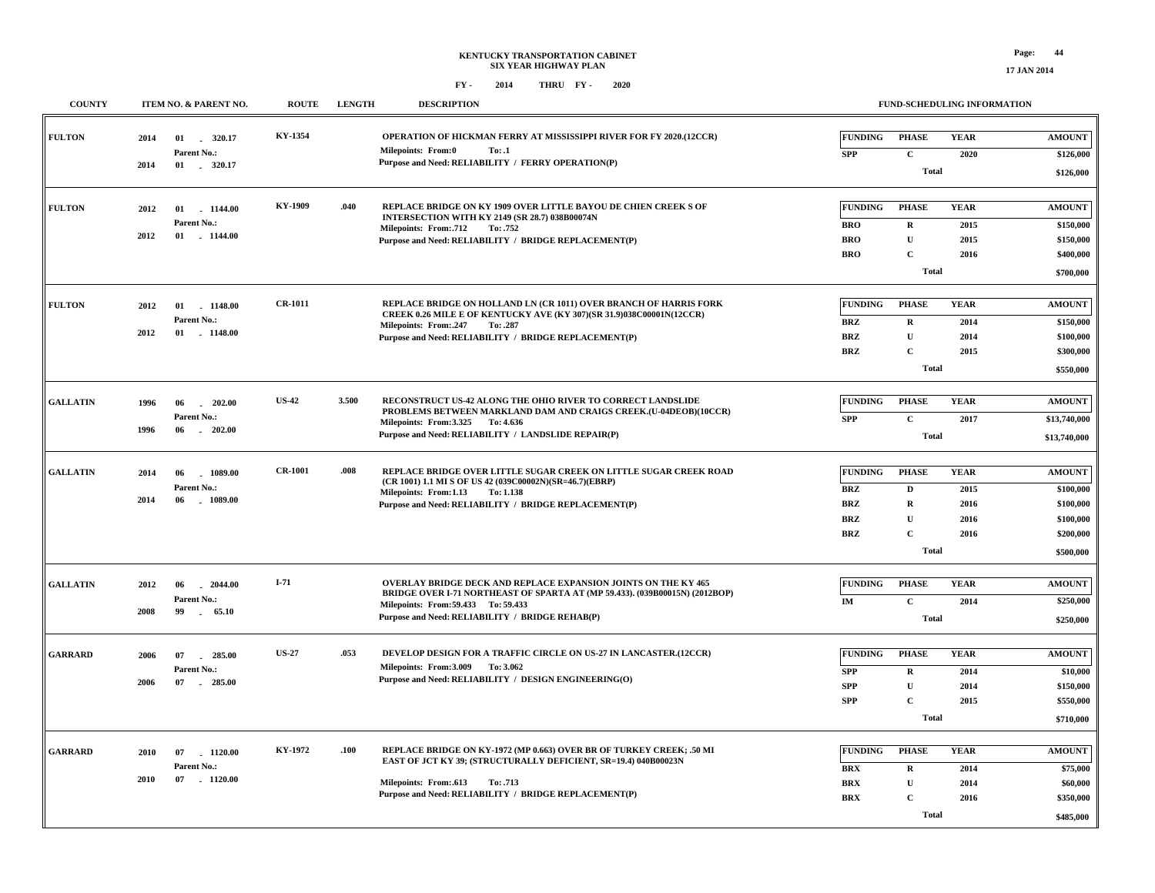**17 JAN 2014**

| KY-1354<br>OPERATION OF HICKMAN FERRY AT MISSISSIPPI RIVER FOR FY 2020.(12CCR)<br><b>FULTON</b><br><b>FUNDING</b><br><b>PHASE</b><br><b>YEAR</b><br><b>AMOUNT</b><br>01 . 320.17<br>2014<br>Milepoints: From:0<br>To: .1<br>Parent No.:<br><b>SPP</b><br>$\mathbf{C}$<br>2020<br>\$126,000<br>Purpose and Need: RELIABILITY / FERRY OPERATION(P)<br>2014<br>01 . 320.17<br><b>Total</b><br>\$126,000<br>KY-1909<br>.040<br>REPLACE BRIDGE ON KY 1909 OVER LITTLE BAYOU DE CHIEN CREEK S OF<br><b>FUNDING</b><br><b>PHASE</b><br><b>YEAR</b><br><b>FULTON</b><br><b>AMOUNT</b><br>01 1144.00<br>2012<br>INTERSECTION WITH KY 2149 (SR 28.7) 038B00074N<br>Parent No.:<br><b>BRO</b><br>$\mathbf R$<br>2015<br>\$150,000<br>Milepoints: From: 712<br>To: .752<br>2012<br>$01$ . 1144.00<br>$\mathbf U$<br><b>BRO</b><br>2015<br>\$150,000<br>Purpose and Need: RELIABILITY / BRIDGE REPLACEMENT(P)<br><b>BRO</b><br>$\mathbf C$<br>\$400,000<br>2016<br><b>Total</b><br>\$700,000<br>$CR-1011$<br>REPLACE BRIDGE ON HOLLAND LN (CR 1011) OVER BRANCH OF HARRIS FORK<br><b>FULTON</b><br><b>FUNDING</b><br><b>PHASE</b><br><b>YEAR</b><br><b>AMOUNT</b><br>1148.00<br>2012<br>01<br>CREEK 0.26 MILE E OF KENTUCKY AVE (KY 307)(SR 31.9)038C00001N(12CCR)<br>Parent No.:<br><b>BRZ</b><br>\$150,000<br>$\mathbf R$<br>2014<br>Milepoints: From:.247<br>To: .287<br>2012<br>$-1148.00$<br>01<br>$\mathbf U$<br><b>BRZ</b><br>2014<br>\$100,000<br>Purpose and Need: RELIABILITY / BRIDGE REPLACEMENT(P)<br>$\mathbf C$<br><b>BRZ</b><br>2015<br>\$300,000<br><b>Total</b><br>\$550,000<br><b>US-42</b><br>3.500<br>RECONSTRUCT US-42 ALONG THE OHIO RIVER TO CORRECT LANDSLIDE<br><b>FUNDING</b><br><b>PHASE</b><br><b>YEAR</b><br><b>GALLATIN</b><br><b>AMOUNT</b><br>1996<br>202.00<br>06<br>PROBLEMS BETWEEN MARKLAND DAM AND CRAIGS CREEK.(U-04DEOB)(10CCR)<br>Parent No.:<br>$\mathbf C$<br><b>SPP</b><br>2017<br>\$13,740,000<br>Milepoints: From: 3.325 To: 4.636<br>1996<br>06<br>$-202.00$<br>Purpose and Need: RELIABILITY / LANDSLIDE REPAIR(P)<br><b>Total</b><br>\$13,740,000<br><b>CR-1001</b><br>.008<br>REPLACE BRIDGE OVER LITTLE SUGAR CREEK ON LITTLE SUGAR CREEK ROAD<br><b>FUNDING</b><br><b>PHASE</b><br><b>YEAR</b><br><b>AMOUNT</b><br><b>GALLATIN</b><br>2014<br>06<br>1089.00<br>(CR 1001) 1.1 MI S OF US 42 (039C00002N)(SR=46.7)(EBRP)<br>Parent No.:<br><b>BRZ</b><br>D<br>2015<br>\$100,000<br>Milepoints: From:1.13 To:1.138<br>2014<br>06<br>1089.00<br><b>BRZ</b><br>$\mathbf R$<br>\$100,000<br>Purpose and Need: RELIABILITY / BRIDGE REPLACEMENT(P)<br>2016<br>$\mathbf U$<br>\$100,000<br>BRZ<br>2016<br>$\mathbf C$<br>\$200,000<br><b>BRZ</b><br>2016<br><b>Total</b><br>\$500,000<br>$I-71$<br><b>OVERLAY BRIDGE DECK AND REPLACE EXPANSION JOINTS ON THE KY 465</b><br><b>FUNDING</b><br><b>PHASE</b><br><b>YEAR</b><br><b>AMOUNT</b><br><b>GALLATIN</b><br>2012<br>06<br>$-2044.00$<br>BRIDGE OVER I-71 NORTHEAST OF SPARTA AT (MP 59.433). (039B00015N) (2012BOP)<br>Parent No.:<br>IM<br>$\mathbf C$<br>2014<br>\$250,000<br>Milepoints: From: 59.433 To: 59.433<br>2008<br>99 65.10<br>Purpose and Need: RELIABILITY / BRIDGE REHAB(P)<br><b>Total</b><br>\$250,000<br><b>US-27</b><br>.053<br>DEVELOP DESIGN FOR A TRAFFIC CIRCLE ON US-27 IN LANCASTER.(12CCR)<br><b>FUNDING</b><br><b>PHASE</b><br><b>YEAR</b><br><b>AMOUNT</b><br><b>GARRARD</b><br>285.00<br>2006<br>07<br>Milepoints: From: 3.009 To: 3.062<br>Parent No.:<br><b>SPP</b><br>$\mathbf R$<br>2014<br>\$10,000<br>Purpose and Need: RELIABILITY / DESIGN ENGINEERING(O)<br>2006<br>07<br>$-285.00$<br><b>SPP</b><br>$\mathbf U$<br>2014<br>\$150,000<br>$\mathbf C$<br>${\bf SPP}$<br>2015<br>\$550,000<br><b>Total</b><br>\$710,000<br>KY-1972<br>REPLACE BRIDGE ON KY-1972 (MP 0.663) OVER BR OF TURKEY CREEK; .50 MI<br>.100<br><b>FUNDING</b><br><b>PHASE</b><br><b>YEAR</b><br><b>GARRARD</b><br><b>AMOUNT</b><br>07<br>$-1120.00$<br>2010<br>EAST OF JCT KY 39; (STRUCTURALLY DEFICIENT, SR=19.4) 040B00023N<br>Parent No.:<br><b>BRX</b><br>$\mathbf R$<br>2014<br>\$75,000<br>2010<br>07<br>$-1120.00$<br>Milepoints: From:.613<br>To: .713<br>$\mathbf{U}$<br><b>BRX</b><br>2014<br>\$60,000<br>Purpose and Need: RELIABILITY / BRIDGE REPLACEMENT(P)<br>$\mathbf C$<br><b>BRX</b><br>2016<br>\$350,000<br><b>Total</b><br>\$485,000 | <b>COUNTY</b> | ITEM NO. & PARENT NO. | <b>ROUTE</b> | <b>LENGTH</b> | <b>DESCRIPTION</b> | <b>FUND-SCHEDULING INFORMATION</b> |  |  |  |
|----------------------------------------------------------------------------------------------------------------------------------------------------------------------------------------------------------------------------------------------------------------------------------------------------------------------------------------------------------------------------------------------------------------------------------------------------------------------------------------------------------------------------------------------------------------------------------------------------------------------------------------------------------------------------------------------------------------------------------------------------------------------------------------------------------------------------------------------------------------------------------------------------------------------------------------------------------------------------------------------------------------------------------------------------------------------------------------------------------------------------------------------------------------------------------------------------------------------------------------------------------------------------------------------------------------------------------------------------------------------------------------------------------------------------------------------------------------------------------------------------------------------------------------------------------------------------------------------------------------------------------------------------------------------------------------------------------------------------------------------------------------------------------------------------------------------------------------------------------------------------------------------------------------------------------------------------------------------------------------------------------------------------------------------------------------------------------------------------------------------------------------------------------------------------------------------------------------------------------------------------------------------------------------------------------------------------------------------------------------------------------------------------------------------------------------------------------------------------------------------------------------------------------------------------------------------------------------------------------------------------------------------------------------------------------------------------------------------------------------------------------------------------------------------------------------------------------------------------------------------------------------------------------------------------------------------------------------------------------------------------------------------------------------------------------------------------------------------------------------------------------------------------------------------------------------------------------------------------------------------------------------------------------------------------------------------------------------------------------------------------------------------------------------------------------------------------------------------------------------------------------------------------------------------------------------------------------------------------------------------------------------------------------------------------------------------------------------------------------------------------------------------------------------------------------------------------------------------------------------------------------------------------------------------------------------------------------------------------------------------------------------------------------------------------------------------------------------------------------------------------------------------------------------------------------------------------------------------------------------------------------------------------------------------------------------------------------------------------------|---------------|-----------------------|--------------|---------------|--------------------|------------------------------------|--|--|--|
|                                                                                                                                                                                                                                                                                                                                                                                                                                                                                                                                                                                                                                                                                                                                                                                                                                                                                                                                                                                                                                                                                                                                                                                                                                                                                                                                                                                                                                                                                                                                                                                                                                                                                                                                                                                                                                                                                                                                                                                                                                                                                                                                                                                                                                                                                                                                                                                                                                                                                                                                                                                                                                                                                                                                                                                                                                                                                                                                                                                                                                                                                                                                                                                                                                                                                                                                                                                                                                                                                                                                                                                                                                                                                                                                                                                                                                                                                                                                                                                                                                                                                                                                                                                                                                                                                                                                                          |               |                       |              |               |                    |                                    |  |  |  |
|                                                                                                                                                                                                                                                                                                                                                                                                                                                                                                                                                                                                                                                                                                                                                                                                                                                                                                                                                                                                                                                                                                                                                                                                                                                                                                                                                                                                                                                                                                                                                                                                                                                                                                                                                                                                                                                                                                                                                                                                                                                                                                                                                                                                                                                                                                                                                                                                                                                                                                                                                                                                                                                                                                                                                                                                                                                                                                                                                                                                                                                                                                                                                                                                                                                                                                                                                                                                                                                                                                                                                                                                                                                                                                                                                                                                                                                                                                                                                                                                                                                                                                                                                                                                                                                                                                                                                          |               |                       |              |               |                    |                                    |  |  |  |
|                                                                                                                                                                                                                                                                                                                                                                                                                                                                                                                                                                                                                                                                                                                                                                                                                                                                                                                                                                                                                                                                                                                                                                                                                                                                                                                                                                                                                                                                                                                                                                                                                                                                                                                                                                                                                                                                                                                                                                                                                                                                                                                                                                                                                                                                                                                                                                                                                                                                                                                                                                                                                                                                                                                                                                                                                                                                                                                                                                                                                                                                                                                                                                                                                                                                                                                                                                                                                                                                                                                                                                                                                                                                                                                                                                                                                                                                                                                                                                                                                                                                                                                                                                                                                                                                                                                                                          |               |                       |              |               |                    |                                    |  |  |  |
|                                                                                                                                                                                                                                                                                                                                                                                                                                                                                                                                                                                                                                                                                                                                                                                                                                                                                                                                                                                                                                                                                                                                                                                                                                                                                                                                                                                                                                                                                                                                                                                                                                                                                                                                                                                                                                                                                                                                                                                                                                                                                                                                                                                                                                                                                                                                                                                                                                                                                                                                                                                                                                                                                                                                                                                                                                                                                                                                                                                                                                                                                                                                                                                                                                                                                                                                                                                                                                                                                                                                                                                                                                                                                                                                                                                                                                                                                                                                                                                                                                                                                                                                                                                                                                                                                                                                                          |               |                       |              |               |                    |                                    |  |  |  |
|                                                                                                                                                                                                                                                                                                                                                                                                                                                                                                                                                                                                                                                                                                                                                                                                                                                                                                                                                                                                                                                                                                                                                                                                                                                                                                                                                                                                                                                                                                                                                                                                                                                                                                                                                                                                                                                                                                                                                                                                                                                                                                                                                                                                                                                                                                                                                                                                                                                                                                                                                                                                                                                                                                                                                                                                                                                                                                                                                                                                                                                                                                                                                                                                                                                                                                                                                                                                                                                                                                                                                                                                                                                                                                                                                                                                                                                                                                                                                                                                                                                                                                                                                                                                                                                                                                                                                          |               |                       |              |               |                    |                                    |  |  |  |
|                                                                                                                                                                                                                                                                                                                                                                                                                                                                                                                                                                                                                                                                                                                                                                                                                                                                                                                                                                                                                                                                                                                                                                                                                                                                                                                                                                                                                                                                                                                                                                                                                                                                                                                                                                                                                                                                                                                                                                                                                                                                                                                                                                                                                                                                                                                                                                                                                                                                                                                                                                                                                                                                                                                                                                                                                                                                                                                                                                                                                                                                                                                                                                                                                                                                                                                                                                                                                                                                                                                                                                                                                                                                                                                                                                                                                                                                                                                                                                                                                                                                                                                                                                                                                                                                                                                                                          |               |                       |              |               |                    |                                    |  |  |  |
|                                                                                                                                                                                                                                                                                                                                                                                                                                                                                                                                                                                                                                                                                                                                                                                                                                                                                                                                                                                                                                                                                                                                                                                                                                                                                                                                                                                                                                                                                                                                                                                                                                                                                                                                                                                                                                                                                                                                                                                                                                                                                                                                                                                                                                                                                                                                                                                                                                                                                                                                                                                                                                                                                                                                                                                                                                                                                                                                                                                                                                                                                                                                                                                                                                                                                                                                                                                                                                                                                                                                                                                                                                                                                                                                                                                                                                                                                                                                                                                                                                                                                                                                                                                                                                                                                                                                                          |               |                       |              |               |                    |                                    |  |  |  |
|                                                                                                                                                                                                                                                                                                                                                                                                                                                                                                                                                                                                                                                                                                                                                                                                                                                                                                                                                                                                                                                                                                                                                                                                                                                                                                                                                                                                                                                                                                                                                                                                                                                                                                                                                                                                                                                                                                                                                                                                                                                                                                                                                                                                                                                                                                                                                                                                                                                                                                                                                                                                                                                                                                                                                                                                                                                                                                                                                                                                                                                                                                                                                                                                                                                                                                                                                                                                                                                                                                                                                                                                                                                                                                                                                                                                                                                                                                                                                                                                                                                                                                                                                                                                                                                                                                                                                          |               |                       |              |               |                    |                                    |  |  |  |
|                                                                                                                                                                                                                                                                                                                                                                                                                                                                                                                                                                                                                                                                                                                                                                                                                                                                                                                                                                                                                                                                                                                                                                                                                                                                                                                                                                                                                                                                                                                                                                                                                                                                                                                                                                                                                                                                                                                                                                                                                                                                                                                                                                                                                                                                                                                                                                                                                                                                                                                                                                                                                                                                                                                                                                                                                                                                                                                                                                                                                                                                                                                                                                                                                                                                                                                                                                                                                                                                                                                                                                                                                                                                                                                                                                                                                                                                                                                                                                                                                                                                                                                                                                                                                                                                                                                                                          |               |                       |              |               |                    |                                    |  |  |  |
|                                                                                                                                                                                                                                                                                                                                                                                                                                                                                                                                                                                                                                                                                                                                                                                                                                                                                                                                                                                                                                                                                                                                                                                                                                                                                                                                                                                                                                                                                                                                                                                                                                                                                                                                                                                                                                                                                                                                                                                                                                                                                                                                                                                                                                                                                                                                                                                                                                                                                                                                                                                                                                                                                                                                                                                                                                                                                                                                                                                                                                                                                                                                                                                                                                                                                                                                                                                                                                                                                                                                                                                                                                                                                                                                                                                                                                                                                                                                                                                                                                                                                                                                                                                                                                                                                                                                                          |               |                       |              |               |                    |                                    |  |  |  |
|                                                                                                                                                                                                                                                                                                                                                                                                                                                                                                                                                                                                                                                                                                                                                                                                                                                                                                                                                                                                                                                                                                                                                                                                                                                                                                                                                                                                                                                                                                                                                                                                                                                                                                                                                                                                                                                                                                                                                                                                                                                                                                                                                                                                                                                                                                                                                                                                                                                                                                                                                                                                                                                                                                                                                                                                                                                                                                                                                                                                                                                                                                                                                                                                                                                                                                                                                                                                                                                                                                                                                                                                                                                                                                                                                                                                                                                                                                                                                                                                                                                                                                                                                                                                                                                                                                                                                          |               |                       |              |               |                    |                                    |  |  |  |
|                                                                                                                                                                                                                                                                                                                                                                                                                                                                                                                                                                                                                                                                                                                                                                                                                                                                                                                                                                                                                                                                                                                                                                                                                                                                                                                                                                                                                                                                                                                                                                                                                                                                                                                                                                                                                                                                                                                                                                                                                                                                                                                                                                                                                                                                                                                                                                                                                                                                                                                                                                                                                                                                                                                                                                                                                                                                                                                                                                                                                                                                                                                                                                                                                                                                                                                                                                                                                                                                                                                                                                                                                                                                                                                                                                                                                                                                                                                                                                                                                                                                                                                                                                                                                                                                                                                                                          |               |                       |              |               |                    |                                    |  |  |  |
|                                                                                                                                                                                                                                                                                                                                                                                                                                                                                                                                                                                                                                                                                                                                                                                                                                                                                                                                                                                                                                                                                                                                                                                                                                                                                                                                                                                                                                                                                                                                                                                                                                                                                                                                                                                                                                                                                                                                                                                                                                                                                                                                                                                                                                                                                                                                                                                                                                                                                                                                                                                                                                                                                                                                                                                                                                                                                                                                                                                                                                                                                                                                                                                                                                                                                                                                                                                                                                                                                                                                                                                                                                                                                                                                                                                                                                                                                                                                                                                                                                                                                                                                                                                                                                                                                                                                                          |               |                       |              |               |                    |                                    |  |  |  |
|                                                                                                                                                                                                                                                                                                                                                                                                                                                                                                                                                                                                                                                                                                                                                                                                                                                                                                                                                                                                                                                                                                                                                                                                                                                                                                                                                                                                                                                                                                                                                                                                                                                                                                                                                                                                                                                                                                                                                                                                                                                                                                                                                                                                                                                                                                                                                                                                                                                                                                                                                                                                                                                                                                                                                                                                                                                                                                                                                                                                                                                                                                                                                                                                                                                                                                                                                                                                                                                                                                                                                                                                                                                                                                                                                                                                                                                                                                                                                                                                                                                                                                                                                                                                                                                                                                                                                          |               |                       |              |               |                    |                                    |  |  |  |
|                                                                                                                                                                                                                                                                                                                                                                                                                                                                                                                                                                                                                                                                                                                                                                                                                                                                                                                                                                                                                                                                                                                                                                                                                                                                                                                                                                                                                                                                                                                                                                                                                                                                                                                                                                                                                                                                                                                                                                                                                                                                                                                                                                                                                                                                                                                                                                                                                                                                                                                                                                                                                                                                                                                                                                                                                                                                                                                                                                                                                                                                                                                                                                                                                                                                                                                                                                                                                                                                                                                                                                                                                                                                                                                                                                                                                                                                                                                                                                                                                                                                                                                                                                                                                                                                                                                                                          |               |                       |              |               |                    |                                    |  |  |  |
|                                                                                                                                                                                                                                                                                                                                                                                                                                                                                                                                                                                                                                                                                                                                                                                                                                                                                                                                                                                                                                                                                                                                                                                                                                                                                                                                                                                                                                                                                                                                                                                                                                                                                                                                                                                                                                                                                                                                                                                                                                                                                                                                                                                                                                                                                                                                                                                                                                                                                                                                                                                                                                                                                                                                                                                                                                                                                                                                                                                                                                                                                                                                                                                                                                                                                                                                                                                                                                                                                                                                                                                                                                                                                                                                                                                                                                                                                                                                                                                                                                                                                                                                                                                                                                                                                                                                                          |               |                       |              |               |                    |                                    |  |  |  |
|                                                                                                                                                                                                                                                                                                                                                                                                                                                                                                                                                                                                                                                                                                                                                                                                                                                                                                                                                                                                                                                                                                                                                                                                                                                                                                                                                                                                                                                                                                                                                                                                                                                                                                                                                                                                                                                                                                                                                                                                                                                                                                                                                                                                                                                                                                                                                                                                                                                                                                                                                                                                                                                                                                                                                                                                                                                                                                                                                                                                                                                                                                                                                                                                                                                                                                                                                                                                                                                                                                                                                                                                                                                                                                                                                                                                                                                                                                                                                                                                                                                                                                                                                                                                                                                                                                                                                          |               |                       |              |               |                    |                                    |  |  |  |
|                                                                                                                                                                                                                                                                                                                                                                                                                                                                                                                                                                                                                                                                                                                                                                                                                                                                                                                                                                                                                                                                                                                                                                                                                                                                                                                                                                                                                                                                                                                                                                                                                                                                                                                                                                                                                                                                                                                                                                                                                                                                                                                                                                                                                                                                                                                                                                                                                                                                                                                                                                                                                                                                                                                                                                                                                                                                                                                                                                                                                                                                                                                                                                                                                                                                                                                                                                                                                                                                                                                                                                                                                                                                                                                                                                                                                                                                                                                                                                                                                                                                                                                                                                                                                                                                                                                                                          |               |                       |              |               |                    |                                    |  |  |  |
|                                                                                                                                                                                                                                                                                                                                                                                                                                                                                                                                                                                                                                                                                                                                                                                                                                                                                                                                                                                                                                                                                                                                                                                                                                                                                                                                                                                                                                                                                                                                                                                                                                                                                                                                                                                                                                                                                                                                                                                                                                                                                                                                                                                                                                                                                                                                                                                                                                                                                                                                                                                                                                                                                                                                                                                                                                                                                                                                                                                                                                                                                                                                                                                                                                                                                                                                                                                                                                                                                                                                                                                                                                                                                                                                                                                                                                                                                                                                                                                                                                                                                                                                                                                                                                                                                                                                                          |               |                       |              |               |                    |                                    |  |  |  |
|                                                                                                                                                                                                                                                                                                                                                                                                                                                                                                                                                                                                                                                                                                                                                                                                                                                                                                                                                                                                                                                                                                                                                                                                                                                                                                                                                                                                                                                                                                                                                                                                                                                                                                                                                                                                                                                                                                                                                                                                                                                                                                                                                                                                                                                                                                                                                                                                                                                                                                                                                                                                                                                                                                                                                                                                                                                                                                                                                                                                                                                                                                                                                                                                                                                                                                                                                                                                                                                                                                                                                                                                                                                                                                                                                                                                                                                                                                                                                                                                                                                                                                                                                                                                                                                                                                                                                          |               |                       |              |               |                    |                                    |  |  |  |
|                                                                                                                                                                                                                                                                                                                                                                                                                                                                                                                                                                                                                                                                                                                                                                                                                                                                                                                                                                                                                                                                                                                                                                                                                                                                                                                                                                                                                                                                                                                                                                                                                                                                                                                                                                                                                                                                                                                                                                                                                                                                                                                                                                                                                                                                                                                                                                                                                                                                                                                                                                                                                                                                                                                                                                                                                                                                                                                                                                                                                                                                                                                                                                                                                                                                                                                                                                                                                                                                                                                                                                                                                                                                                                                                                                                                                                                                                                                                                                                                                                                                                                                                                                                                                                                                                                                                                          |               |                       |              |               |                    |                                    |  |  |  |
|                                                                                                                                                                                                                                                                                                                                                                                                                                                                                                                                                                                                                                                                                                                                                                                                                                                                                                                                                                                                                                                                                                                                                                                                                                                                                                                                                                                                                                                                                                                                                                                                                                                                                                                                                                                                                                                                                                                                                                                                                                                                                                                                                                                                                                                                                                                                                                                                                                                                                                                                                                                                                                                                                                                                                                                                                                                                                                                                                                                                                                                                                                                                                                                                                                                                                                                                                                                                                                                                                                                                                                                                                                                                                                                                                                                                                                                                                                                                                                                                                                                                                                                                                                                                                                                                                                                                                          |               |                       |              |               |                    |                                    |  |  |  |
|                                                                                                                                                                                                                                                                                                                                                                                                                                                                                                                                                                                                                                                                                                                                                                                                                                                                                                                                                                                                                                                                                                                                                                                                                                                                                                                                                                                                                                                                                                                                                                                                                                                                                                                                                                                                                                                                                                                                                                                                                                                                                                                                                                                                                                                                                                                                                                                                                                                                                                                                                                                                                                                                                                                                                                                                                                                                                                                                                                                                                                                                                                                                                                                                                                                                                                                                                                                                                                                                                                                                                                                                                                                                                                                                                                                                                                                                                                                                                                                                                                                                                                                                                                                                                                                                                                                                                          |               |                       |              |               |                    |                                    |  |  |  |
|                                                                                                                                                                                                                                                                                                                                                                                                                                                                                                                                                                                                                                                                                                                                                                                                                                                                                                                                                                                                                                                                                                                                                                                                                                                                                                                                                                                                                                                                                                                                                                                                                                                                                                                                                                                                                                                                                                                                                                                                                                                                                                                                                                                                                                                                                                                                                                                                                                                                                                                                                                                                                                                                                                                                                                                                                                                                                                                                                                                                                                                                                                                                                                                                                                                                                                                                                                                                                                                                                                                                                                                                                                                                                                                                                                                                                                                                                                                                                                                                                                                                                                                                                                                                                                                                                                                                                          |               |                       |              |               |                    |                                    |  |  |  |
|                                                                                                                                                                                                                                                                                                                                                                                                                                                                                                                                                                                                                                                                                                                                                                                                                                                                                                                                                                                                                                                                                                                                                                                                                                                                                                                                                                                                                                                                                                                                                                                                                                                                                                                                                                                                                                                                                                                                                                                                                                                                                                                                                                                                                                                                                                                                                                                                                                                                                                                                                                                                                                                                                                                                                                                                                                                                                                                                                                                                                                                                                                                                                                                                                                                                                                                                                                                                                                                                                                                                                                                                                                                                                                                                                                                                                                                                                                                                                                                                                                                                                                                                                                                                                                                                                                                                                          |               |                       |              |               |                    |                                    |  |  |  |
|                                                                                                                                                                                                                                                                                                                                                                                                                                                                                                                                                                                                                                                                                                                                                                                                                                                                                                                                                                                                                                                                                                                                                                                                                                                                                                                                                                                                                                                                                                                                                                                                                                                                                                                                                                                                                                                                                                                                                                                                                                                                                                                                                                                                                                                                                                                                                                                                                                                                                                                                                                                                                                                                                                                                                                                                                                                                                                                                                                                                                                                                                                                                                                                                                                                                                                                                                                                                                                                                                                                                                                                                                                                                                                                                                                                                                                                                                                                                                                                                                                                                                                                                                                                                                                                                                                                                                          |               |                       |              |               |                    |                                    |  |  |  |
|                                                                                                                                                                                                                                                                                                                                                                                                                                                                                                                                                                                                                                                                                                                                                                                                                                                                                                                                                                                                                                                                                                                                                                                                                                                                                                                                                                                                                                                                                                                                                                                                                                                                                                                                                                                                                                                                                                                                                                                                                                                                                                                                                                                                                                                                                                                                                                                                                                                                                                                                                                                                                                                                                                                                                                                                                                                                                                                                                                                                                                                                                                                                                                                                                                                                                                                                                                                                                                                                                                                                                                                                                                                                                                                                                                                                                                                                                                                                                                                                                                                                                                                                                                                                                                                                                                                                                          |               |                       |              |               |                    |                                    |  |  |  |
|                                                                                                                                                                                                                                                                                                                                                                                                                                                                                                                                                                                                                                                                                                                                                                                                                                                                                                                                                                                                                                                                                                                                                                                                                                                                                                                                                                                                                                                                                                                                                                                                                                                                                                                                                                                                                                                                                                                                                                                                                                                                                                                                                                                                                                                                                                                                                                                                                                                                                                                                                                                                                                                                                                                                                                                                                                                                                                                                                                                                                                                                                                                                                                                                                                                                                                                                                                                                                                                                                                                                                                                                                                                                                                                                                                                                                                                                                                                                                                                                                                                                                                                                                                                                                                                                                                                                                          |               |                       |              |               |                    |                                    |  |  |  |
|                                                                                                                                                                                                                                                                                                                                                                                                                                                                                                                                                                                                                                                                                                                                                                                                                                                                                                                                                                                                                                                                                                                                                                                                                                                                                                                                                                                                                                                                                                                                                                                                                                                                                                                                                                                                                                                                                                                                                                                                                                                                                                                                                                                                                                                                                                                                                                                                                                                                                                                                                                                                                                                                                                                                                                                                                                                                                                                                                                                                                                                                                                                                                                                                                                                                                                                                                                                                                                                                                                                                                                                                                                                                                                                                                                                                                                                                                                                                                                                                                                                                                                                                                                                                                                                                                                                                                          |               |                       |              |               |                    |                                    |  |  |  |
|                                                                                                                                                                                                                                                                                                                                                                                                                                                                                                                                                                                                                                                                                                                                                                                                                                                                                                                                                                                                                                                                                                                                                                                                                                                                                                                                                                                                                                                                                                                                                                                                                                                                                                                                                                                                                                                                                                                                                                                                                                                                                                                                                                                                                                                                                                                                                                                                                                                                                                                                                                                                                                                                                                                                                                                                                                                                                                                                                                                                                                                                                                                                                                                                                                                                                                                                                                                                                                                                                                                                                                                                                                                                                                                                                                                                                                                                                                                                                                                                                                                                                                                                                                                                                                                                                                                                                          |               |                       |              |               |                    |                                    |  |  |  |
|                                                                                                                                                                                                                                                                                                                                                                                                                                                                                                                                                                                                                                                                                                                                                                                                                                                                                                                                                                                                                                                                                                                                                                                                                                                                                                                                                                                                                                                                                                                                                                                                                                                                                                                                                                                                                                                                                                                                                                                                                                                                                                                                                                                                                                                                                                                                                                                                                                                                                                                                                                                                                                                                                                                                                                                                                                                                                                                                                                                                                                                                                                                                                                                                                                                                                                                                                                                                                                                                                                                                                                                                                                                                                                                                                                                                                                                                                                                                                                                                                                                                                                                                                                                                                                                                                                                                                          |               |                       |              |               |                    |                                    |  |  |  |
|                                                                                                                                                                                                                                                                                                                                                                                                                                                                                                                                                                                                                                                                                                                                                                                                                                                                                                                                                                                                                                                                                                                                                                                                                                                                                                                                                                                                                                                                                                                                                                                                                                                                                                                                                                                                                                                                                                                                                                                                                                                                                                                                                                                                                                                                                                                                                                                                                                                                                                                                                                                                                                                                                                                                                                                                                                                                                                                                                                                                                                                                                                                                                                                                                                                                                                                                                                                                                                                                                                                                                                                                                                                                                                                                                                                                                                                                                                                                                                                                                                                                                                                                                                                                                                                                                                                                                          |               |                       |              |               |                    |                                    |  |  |  |
|                                                                                                                                                                                                                                                                                                                                                                                                                                                                                                                                                                                                                                                                                                                                                                                                                                                                                                                                                                                                                                                                                                                                                                                                                                                                                                                                                                                                                                                                                                                                                                                                                                                                                                                                                                                                                                                                                                                                                                                                                                                                                                                                                                                                                                                                                                                                                                                                                                                                                                                                                                                                                                                                                                                                                                                                                                                                                                                                                                                                                                                                                                                                                                                                                                                                                                                                                                                                                                                                                                                                                                                                                                                                                                                                                                                                                                                                                                                                                                                                                                                                                                                                                                                                                                                                                                                                                          |               |                       |              |               |                    |                                    |  |  |  |
|                                                                                                                                                                                                                                                                                                                                                                                                                                                                                                                                                                                                                                                                                                                                                                                                                                                                                                                                                                                                                                                                                                                                                                                                                                                                                                                                                                                                                                                                                                                                                                                                                                                                                                                                                                                                                                                                                                                                                                                                                                                                                                                                                                                                                                                                                                                                                                                                                                                                                                                                                                                                                                                                                                                                                                                                                                                                                                                                                                                                                                                                                                                                                                                                                                                                                                                                                                                                                                                                                                                                                                                                                                                                                                                                                                                                                                                                                                                                                                                                                                                                                                                                                                                                                                                                                                                                                          |               |                       |              |               |                    |                                    |  |  |  |
|                                                                                                                                                                                                                                                                                                                                                                                                                                                                                                                                                                                                                                                                                                                                                                                                                                                                                                                                                                                                                                                                                                                                                                                                                                                                                                                                                                                                                                                                                                                                                                                                                                                                                                                                                                                                                                                                                                                                                                                                                                                                                                                                                                                                                                                                                                                                                                                                                                                                                                                                                                                                                                                                                                                                                                                                                                                                                                                                                                                                                                                                                                                                                                                                                                                                                                                                                                                                                                                                                                                                                                                                                                                                                                                                                                                                                                                                                                                                                                                                                                                                                                                                                                                                                                                                                                                                                          |               |                       |              |               |                    |                                    |  |  |  |
|                                                                                                                                                                                                                                                                                                                                                                                                                                                                                                                                                                                                                                                                                                                                                                                                                                                                                                                                                                                                                                                                                                                                                                                                                                                                                                                                                                                                                                                                                                                                                                                                                                                                                                                                                                                                                                                                                                                                                                                                                                                                                                                                                                                                                                                                                                                                                                                                                                                                                                                                                                                                                                                                                                                                                                                                                                                                                                                                                                                                                                                                                                                                                                                                                                                                                                                                                                                                                                                                                                                                                                                                                                                                                                                                                                                                                                                                                                                                                                                                                                                                                                                                                                                                                                                                                                                                                          |               |                       |              |               |                    |                                    |  |  |  |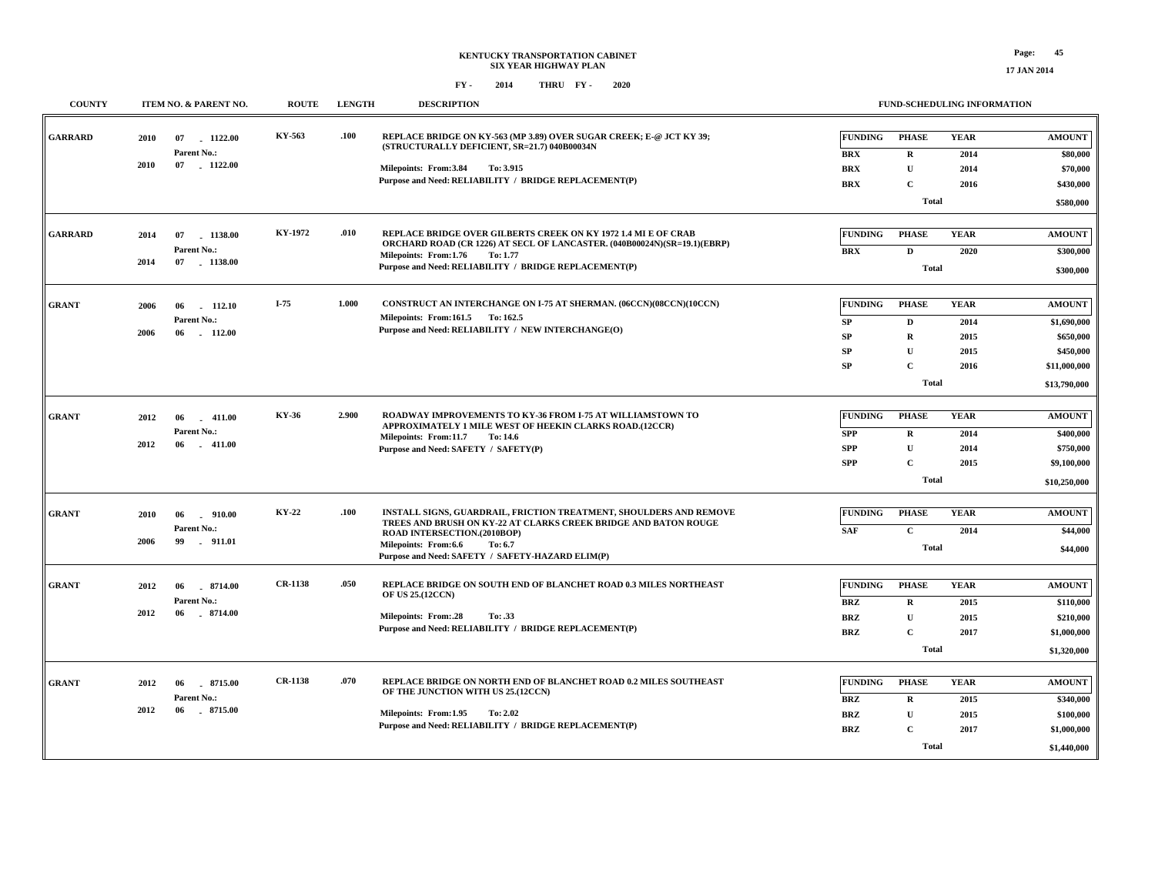#### **FUND-SCHEDULING INFORMATION**

| <b>COUNTY</b>  | ITEM NO. & PARENT NO.                                             | <b>ROUTE</b>   | <b>LENGTH</b> | <b>DESCRIPTION</b>                                                                                                                                                                                                                                          |                                                             | FUND-SCHEDULING INFORMATION                                                     |                                             |                                                                                        |
|----------------|-------------------------------------------------------------------|----------------|---------------|-------------------------------------------------------------------------------------------------------------------------------------------------------------------------------------------------------------------------------------------------------------|-------------------------------------------------------------|---------------------------------------------------------------------------------|---------------------------------------------|----------------------------------------------------------------------------------------|
| <b>GARRARD</b> | 2010<br>07<br>$-1122.00$<br>Parent No.:<br>2010<br>07 1122.00     | KY-563         | .100          | REPLACE BRIDGE ON KY-563 (MP 3.89) OVER SUGAR CREEK; E-@ JCT KY 39;<br>(STRUCTURALLY DEFICIENT, SR=21.7) 040B00034N<br>Milepoints: From:3.84<br>To: 3.915<br>Purpose and Need: RELIABILITY / BRIDGE REPLACEMENT(P)                                          | <b>FUNDING</b><br><b>BRX</b><br><b>BRX</b><br><b>BRX</b>    | <b>PHASE</b><br>$\mathbf R$<br>$\mathbf{U}$<br>$\mathbf C$<br><b>Total</b>      | <b>YEAR</b><br>2014<br>2014<br>2016         | <b>AMOUNT</b><br>\$80,000<br>\$70,000<br>\$430,000<br>\$580,000                        |
| <b>GARRARD</b> | 2014<br>07<br>1138.00<br>Parent No.:<br>2014<br>07 1138.00        | KY-1972        | .010          | REPLACE BRIDGE OVER GILBERTS CREEK ON KY 1972 1.4 MI E OF CRAB<br>ORCHARD ROAD (CR 1226) AT SECL OF LANCASTER. (040B00024N)(SR=19.1)(EBRP)<br>Milepoints: From:1.76<br>To: 1.77<br>Purpose and Need: RELIABILITY / BRIDGE REPLACEMENT(P)                    | <b>FUNDING</b><br>BRX                                       | <b>PHASE</b><br>$\mathbf D$<br><b>Total</b>                                     | <b>YEAR</b><br>2020                         | <b>AMOUNT</b><br>\$300,000<br>\$300,000                                                |
| <b>GRANT</b>   | 2006<br>112.10<br>06<br>Parent No.:<br>2006<br>$-112.00$<br>06    | I-75           | 1.000         | CONSTRUCT AN INTERCHANGE ON I-75 AT SHERMAN. (06CCN)(08CCN)(10CCN)<br>Milepoints: From:161.5 To:162.5<br>Purpose and Need: RELIABILITY / NEW INTERCHANGE(O)                                                                                                 | <b>FUNDING</b><br>SP<br><b>SP</b><br><b>SP</b><br><b>SP</b> | <b>PHASE</b><br>$\mathbf D$<br>$\mathbf R$<br>$\mathbf{U}$<br>C<br><b>Total</b> | <b>YEAR</b><br>2014<br>2015<br>2015<br>2016 | <b>AMOUNT</b><br>\$1,690,000<br>\$650,000<br>\$450,000<br>\$11,000,000<br>\$13,790,000 |
| <b>GRANT</b>   | 2012<br>06<br>$-411.00$<br>Parent No.:<br>2012<br>06<br>$-411.00$ | KY-36          | 2.900         | ROADWAY IMPROVEMENTS TO KY-36 FROM I-75 AT WILLIAMSTOWN TO<br>APPROXIMATELY 1 MILE WEST OF HEEKIN CLARKS ROAD.(12CCR)<br>Milepoints: From:11.7<br>To: 14.6<br>Purpose and Need: SAFETY / SAFETY(P)                                                          | <b>FUNDING</b><br><b>SPP</b><br><b>SPP</b><br><b>SPP</b>    | <b>PHASE</b><br>$\bf R$<br>$\mathbf U$<br>C<br><b>Total</b>                     | <b>YEAR</b><br>2014<br>2014<br>2015         | <b>AMOUNT</b><br>\$400,000<br>\$750,000<br>\$9,100,000<br>\$10,250,000                 |
| <b>GRANT</b>   | 2010<br>06<br>$-910.00$<br>Parent No.:<br>2006<br>99<br>.911.01   | KY-22          | .100          | INSTALL SIGNS, GUARDRAIL, FRICTION TREATMENT, SHOULDERS AND REMOVE<br>TREES AND BRUSH ON KY-22 AT CLARKS CREEK BRIDGE AND BATON ROUGE<br>ROAD INTERSECTION.(2010BOP)<br>Milepoints: From:6.6<br>To: 6.7<br>Purpose and Need: SAFETY / SAFETY-HAZARD ELIM(P) | <b>FUNDING</b><br><b>SAF</b>                                | <b>PHASE</b><br>$\mathbf{C}$<br><b>Total</b>                                    | <b>YEAR</b><br>2014                         | <b>AMOUNT</b><br>\$44,000<br>\$44,000                                                  |
| <b>GRANT</b>   | 2012<br>06<br>8714.00<br>Parent No.:<br>2012<br>$-8714.00$<br>06  | <b>CR-1138</b> | .050          | REPLACE BRIDGE ON SOUTH END OF BLANCHET ROAD 0.3 MILES NORTHEAST<br>OF US 25.(12CCN)<br><b>Milepoints: From:.28</b><br>To: .33<br>Purpose and Need: RELIABILITY / BRIDGE REPLACEMENT(P)                                                                     | <b>FUNDING</b><br><b>BRZ</b><br><b>BRZ</b><br><b>BRZ</b>    | <b>PHASE</b><br>$\mathbf R$<br>$\mathbf U$<br>C<br><b>Total</b>                 | <b>YEAR</b><br>2015<br>2015<br>2017         | <b>AMOUNT</b><br>\$110,000<br>\$210,000<br>\$1,000,000<br>\$1,320,000                  |
| <b>GRANT</b>   | 8715.00<br>2012<br>06<br>Parent No.:<br>2012<br>06<br>8715.00     | <b>CR-1138</b> | .070          | REPLACE BRIDGE ON NORTH END OF BLANCHET ROAD 0.2 MILES SOUTHEAST<br>OF THE JUNCTION WITH US 25.(12CCN)<br>Milepoints: From:1.95<br>To: 2.02<br>Purpose and Need: RELIABILITY / BRIDGE REPLACEMENT(P)                                                        | <b>FUNDING</b><br><b>BRZ</b><br><b>BRZ</b><br><b>BRZ</b>    | <b>PHASE</b><br>$\mathbf R$<br>$\mathbf U$<br>C<br><b>Total</b>                 | <b>YEAR</b><br>2015<br>2015<br>2017         | <b>AMOUNT</b><br>\$340,000<br>\$100,000<br>\$1,000,000<br>\$1,440,000                  |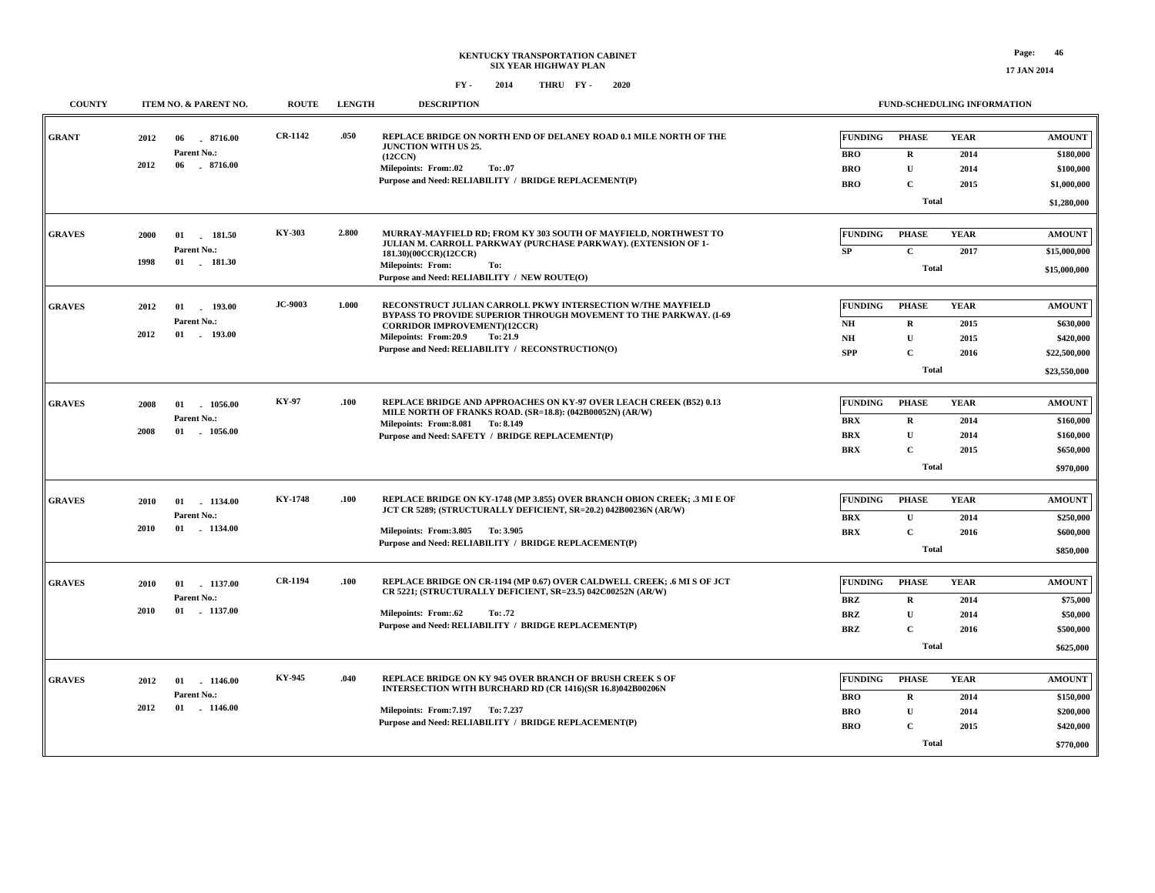| <b>COUNTY</b> | ITEM NO. & PARENT NO.                                                   | <b>ROUTE</b>   | <b>LENGTH</b> | <b>DESCRIPTION</b>                                                                                                                                                                                                                                                |                                                                  | FUND-SCHEDULING INFORMATION                                                |                                     |                                                                         |
|---------------|-------------------------------------------------------------------------|----------------|---------------|-------------------------------------------------------------------------------------------------------------------------------------------------------------------------------------------------------------------------------------------------------------------|------------------------------------------------------------------|----------------------------------------------------------------------------|-------------------------------------|-------------------------------------------------------------------------|
| <b>GRANT</b>  | 2012<br>06<br>8716.00<br>Parent No.:<br>2012<br>06<br>$-8716.00$        | <b>CR-1142</b> | .050          | REPLACE BRIDGE ON NORTH END OF DELANEY ROAD 0.1 MILE NORTH OF THE<br><b>JUNCTION WITH US 25.</b><br>(12CCN)<br><b>Milepoints: From:.02</b><br>To: .07<br>Purpose and Need: RELIABILITY / BRIDGE REPLACEMENT(P)                                                    | <b>FUNDING</b><br><b>BRO</b><br><b>BRO</b><br><b>BRO</b>         | <b>PHASE</b><br>$\mathbf R$<br>$\mathbf U$<br>$\mathbf C$<br><b>Total</b>  | <b>YEAR</b><br>2014<br>2014<br>2015 | <b>AMOUNT</b><br>\$180,000<br>\$100,000<br>\$1,000,000<br>\$1,280,000   |
| <b>GRAVES</b> | 2000<br>01<br>181.50<br>Parent No.:<br>1998<br>$01$ 181.30              | KY-303         | 2.800         | MURRAY-MAYFIELD RD; FROM KY 303 SOUTH OF MAYFIELD, NORTHWEST TO<br>JULIAN M. CARROLL PARKWAY (PURCHASE PARKWAY). (EXTENSION OF 1-<br>181.30)(00CCR)(12CCR)<br><b>Milepoints: From:</b><br>To:<br>Purpose and Need: RELIABILITY / NEW ROUTE(O)                     | <b>FUNDING</b><br>SP                                             | <b>PHASE</b><br>$\mathbf{C}$<br><b>Total</b>                               | <b>YEAR</b><br>2017                 | <b>AMOUNT</b><br>\$15,000,000<br>\$15,000,000                           |
| <b>GRAVES</b> | 2012<br>01<br>193.00<br>Parent No.:<br>2012<br>$01$ . $193.00$          | <b>JC-9003</b> | 1.000         | RECONSTRUCT JULIAN CARROLL PKWY INTERSECTION W/THE MAYFIELD<br>BYPASS TO PROVIDE SUPERIOR THROUGH MOVEMENT TO THE PARKWAY. (I-69<br><b>CORRIDOR IMPROVEMENT)(12CCR)</b><br>Milepoints: From:20.9<br>To: 21.9<br>Purpose and Need: RELIABILITY / RECONSTRUCTION(O) | <b>FUNDING</b><br>N <sub>H</sub><br>N <sub>H</sub><br><b>SPP</b> | <b>PHASE</b><br>$\mathbf R$<br>$\mathbf U$<br>$\mathbf{C}$<br><b>Total</b> | <b>YEAR</b><br>2015<br>2015<br>2016 | <b>AMOUNT</b><br>\$630,000<br>\$420,000<br>\$22,500,000<br>\$23,550,000 |
| <b>GRAVES</b> | 2008<br>01<br>1056.00<br>Parent No.:<br>2008<br>01<br>1056.00           | KY-97          | .100          | REPLACE BRIDGE AND APPROACHES ON KY-97 OVER LEACH CREEK (B52) 0.13<br>MILE NORTH OF FRANKS ROAD. (SR=18.8): (042B00052N) (AR/W)<br>Milepoints: From: 8.081 To: 8.149<br>Purpose and Need: SAFETY / BRIDGE REPLACEMENT(P)                                          | <b>FUNDING</b><br><b>BRX</b><br><b>BRX</b><br><b>BRX</b>         | <b>PHASE</b><br>$\mathbf{R}$<br>$\mathbf U$<br>$\mathbf C$<br><b>Total</b> | <b>YEAR</b><br>2014<br>2014<br>2015 | <b>AMOUNT</b><br>\$160,000<br>\$160,000<br>\$650,000<br>\$970,000       |
| <b>GRAVES</b> | 1134.00<br>2010<br>01<br>Parent No.:<br>2010<br>$01$ . 1134.00          | <b>KY-1748</b> | .100          | REPLACE BRIDGE ON KY-1748 (MP 3.855) OVER BRANCH OBION CREEK; .3 MI E OF<br>JCT CR 5289; (STRUCTURALLY DEFICIENT, SR=20.2) 042B00236N (AR/W)<br>Milepoints: From: 3.805 To: 3.905<br>Purpose and Need: RELIABILITY / BRIDGE REPLACEMENT(P)                        | <b>FUNDING</b><br><b>BRX</b><br>BRX                              | <b>PHASE</b><br>$\mathbf{U}$<br>$\mathbf C$<br><b>Total</b>                | <b>YEAR</b><br>2014<br>2016         | <b>AMOUNT</b><br>\$250,000<br>\$600,000<br>\$850,000                    |
| <b>GRAVES</b> | 01 1137.00<br>2010<br>Parent No.:<br>2010<br>$01$ . 1137.00             | <b>CR-1194</b> | .100          | REPLACE BRIDGE ON CR-1194 (MP 0.67) OVER CALDWELL CREEK; .6 MI S OF JCT<br>CR 5221; (STRUCTURALLY DEFICIENT, SR=23.5) 042C00252N (AR/W)<br>Milepoints: From:.62<br>To: .72<br>Purpose and Need: RELIABILITY / BRIDGE REPLACEMENT(P)                               | <b>FUNDING</b><br><b>BRZ</b><br><b>BRZ</b><br><b>BRZ</b>         | <b>PHASE</b><br>$\mathbf R$<br>$\mathbf U$<br>$\mathbf C$<br><b>Total</b>  | <b>YEAR</b><br>2014<br>2014<br>2016 | <b>AMOUNT</b><br>\$75,000<br>\$50,000<br>\$500,000<br>\$625,000         |
| <b>GRAVES</b> | 2012<br>01 1146.00<br>Parent No.:<br>2012<br>$01 \quad . \quad 1146.00$ | KY-945         | .040          | REPLACE BRIDGE ON KY 945 OVER BRANCH OF BRUSH CREEK S OF<br>INTERSECTION WITH BURCHARD RD (CR 1416)(SR 16.8)042B00206N<br>Milepoints: From: 7.197 To: 7.237<br>Purpose and Need: RELIABILITY / BRIDGE REPLACEMENT(P)                                              | <b>FUNDING</b><br><b>BRO</b><br><b>BRO</b><br><b>BRO</b>         | <b>PHASE</b><br>$\mathbf R$<br>$\mathbf U$<br>$\mathbf{C}$<br><b>Total</b> | <b>YEAR</b><br>2014<br>2014<br>2015 | <b>AMOUNT</b><br>\$150,000<br>\$200,000<br>\$420,000<br>\$770,000       |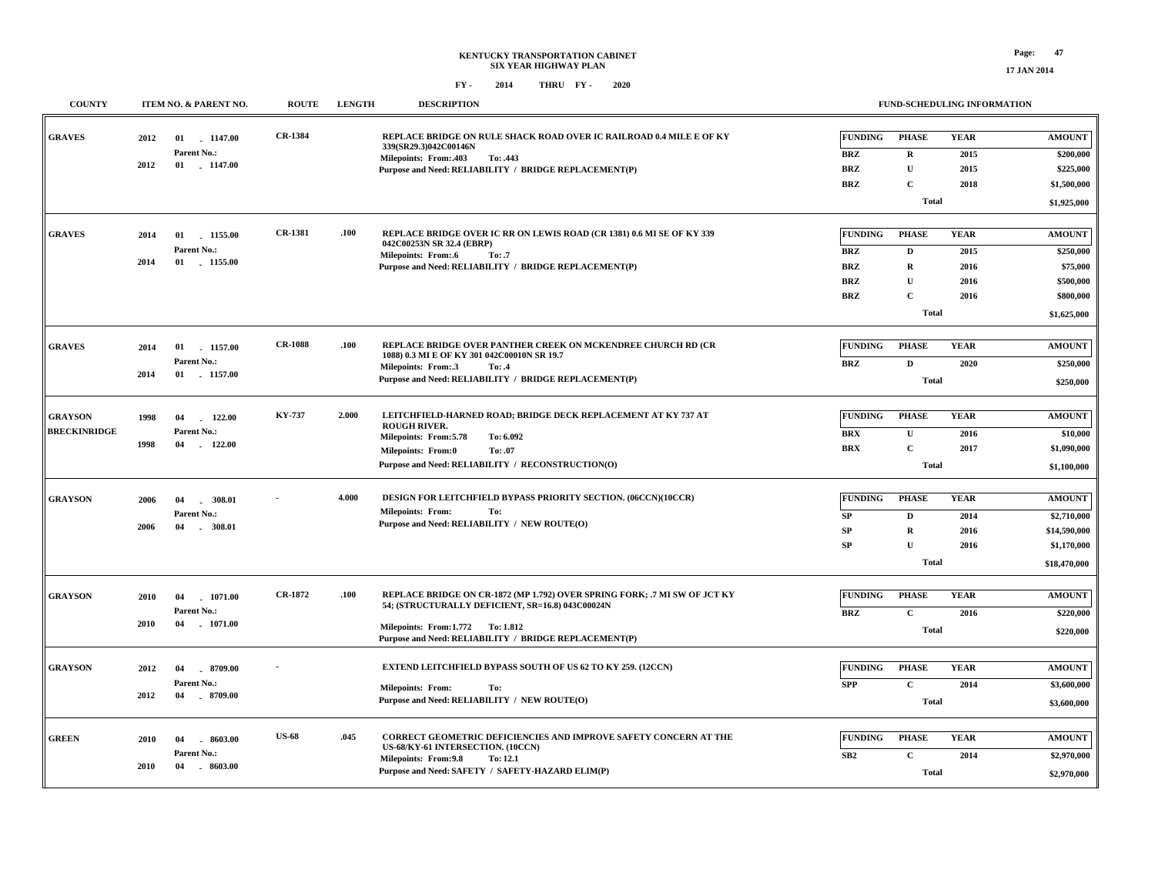**FUND-SCHEDULING INFORMATION**

| <b>COUNTY</b>                         |              | ITEM NO. & PARENT NO.                               | <b>ROUTE</b>   | <b>LENGTH</b> | <b>DESCRIPTION</b>                                                                                                                                                                                                         |                                                                        | FUND-SCHEDULING INFORMATION                                                           |                                             |                                                                                 |
|---------------------------------------|--------------|-----------------------------------------------------|----------------|---------------|----------------------------------------------------------------------------------------------------------------------------------------------------------------------------------------------------------------------------|------------------------------------------------------------------------|---------------------------------------------------------------------------------------|---------------------------------------------|---------------------------------------------------------------------------------|
| <b>GRAVES</b>                         | 2012<br>2012 | 01 1147.00<br>Parent No.:<br>$01$ 1147.00           | <b>CR-1384</b> |               | REPLACE BRIDGE ON RULE SHACK ROAD OVER IC RAILROAD 0.4 MILE E OF KY<br>339(SR29.3)042C00146N<br>Milepoints: From:.403<br>To: .443<br>Purpose and Need: RELIABILITY / BRIDGE REPLACEMENT(P)                                 | <b>FUNDING</b><br><b>BRZ</b><br><b>BRZ</b><br><b>BRZ</b>               | <b>PHASE</b><br>$\mathbf R$<br>$\mathbf U$<br>$\mathbf C$<br><b>Total</b>             | <b>YEAR</b><br>2015<br>2015<br>2018         | <b>AMOUNT</b><br>\$200,000<br>\$225,000<br>\$1,500,000<br>\$1,925,000           |
| <b>GRAVES</b>                         | 2014<br>2014 | 1155.00<br>01<br>Parent No.:<br>01<br>1155.00       | <b>CR-1381</b> | .100          | REPLACE BRIDGE OVER IC RR ON LEWIS ROAD (CR 1381) 0.6 MI SE OF KY 339<br>042C00253N SR 32.4 (EBRP)<br><b>Milepoints: From:.6</b><br>To: .7<br>Purpose and Need: RELIABILITY / BRIDGE REPLACEMENT(P)                        | <b>FUNDING</b><br><b>BRZ</b><br><b>BRZ</b><br><b>BRZ</b><br><b>BRZ</b> | <b>PHASE</b><br>$\mathbf D$<br>$\bf R$<br>$\mathbf{U}$<br>$\mathbf C$<br><b>Total</b> | <b>YEAR</b><br>2015<br>2016<br>2016<br>2016 | <b>AMOUNT</b><br>\$250,000<br>\$75,000<br>\$500,000<br>\$800,000<br>\$1,625,000 |
| <b>GRAVES</b>                         | 2014<br>2014 | 1157.00<br>01<br>Parent No.:<br>01<br>$-1157.00$    | <b>CR-1088</b> | .100          | REPLACE BRIDGE OVER PANTHER CREEK ON MCKENDREE CHURCH RD (CR<br>1088) 0.3 MI E OF KY 301 042C00010N SR 19.7<br>Milepoints: From:.3<br>To: .4<br>Purpose and Need: RELIABILITY / BRIDGE REPLACEMENT(P)                      | <b>FUNDING</b><br><b>BRZ</b>                                           | <b>PHASE</b><br>$\mathbf{D}$<br><b>Total</b>                                          | <b>YEAR</b><br>2020                         | <b>AMOUNT</b><br>\$250,000<br>\$250,000                                         |
| <b>GRAYSON</b><br><b>BRECKINRIDGE</b> | 1998<br>1998 | 04<br>122.00<br>Parent No.:<br>04<br>$-122.00$      | <b>KY-737</b>  | 2.000         | LEITCHFIELD-HARNED ROAD; BRIDGE DECK REPLACEMENT AT KY 737 AT<br><b>ROUGH RIVER.</b><br>Milepoints: From: 5.78<br>To: 6.092<br><b>Milepoints: From:0</b><br>To: .07<br>Purpose and Need: RELIABILITY / RECONSTRUCTION(O)   | <b>FUNDING</b><br><b>BRX</b><br><b>BRX</b>                             | <b>PHASE</b><br>$\mathbf U$<br>$\mathbf C$<br>Total                                   | <b>YEAR</b><br>2016<br>2017                 | <b>AMOUNT</b><br>\$10,000<br>\$1,090,000<br>\$1,100,000                         |
| <b>GRAYSON</b>                        | 2006<br>2006 | 04<br>$-308.01$<br>Parent No.:<br>$-308.01$<br>04   |                | 4.000         | DESIGN FOR LEITCHFIELD BYPASS PRIORITY SECTION. (06CCN)(10CCR)<br><b>Milepoints: From:</b><br>To:<br>Purpose and Need: RELIABILITY / NEW ROUTE(O)                                                                          | <b>FUNDING</b><br>${\bf SP}$<br>SP<br>SP                               | <b>PHASE</b><br>$\mathbf D$<br>$\mathbf R$<br>$\mathbf U$<br><b>Total</b>             | <b>YEAR</b><br>2014<br>2016<br>2016         | <b>AMOUNT</b><br>\$2,710,000<br>\$14,590,000<br>\$1,170,000<br>\$18,470,000     |
| <b>GRAYSON</b>                        | 2010<br>2010 | 1071.00<br>04<br>Parent No.:<br>04<br>$-1071.00$    | <b>CR-1872</b> | .100          | REPLACE BRIDGE ON CR-1872 (MP 1.792) OVER SPRING FORK; .7 MI SW OF JCT KY<br>54; (STRUCTURALLY DEFICIENT, SR=16.8) 043C00024N<br>Milepoints: From:1.772 To: 1.812<br>Purpose and Need: RELIABILITY / BRIDGE REPLACEMENT(P) | <b>FUNDING</b><br><b>BRZ</b>                                           | <b>PHASE</b><br>$\mathbf C$<br><b>Total</b>                                           | <b>YEAR</b><br>2016                         | <b>AMOUNT</b><br>\$220,000<br>\$220,000                                         |
| <b>GRAYSON</b>                        | 2012<br>2012 | $-8709.00$<br>04<br>Parent No.:<br>04<br>$-8709.00$ |                |               | EXTEND LEITCHFIELD BYPASS SOUTH OF US 62 TO KY 259. (12CCN)<br><b>Milepoints: From:</b><br>To:<br>Purpose and Need: RELIABILITY / NEW ROUTE(O)                                                                             | <b>FUNDING</b><br><b>SPP</b>                                           | <b>PHASE</b><br>$\mathbf C$<br><b>Total</b>                                           | <b>YEAR</b><br>2014                         | <b>AMOUNT</b><br>\$3,600,000<br>\$3,600,000                                     |
| <b>GREEN</b>                          | 2010<br>2010 | $-8603.00$<br>04<br>Parent No.:<br>04<br>$-8603.00$ | <b>US-68</b>   | .045          | <b>CORRECT GEOMETRIC DEFICIENCIES AND IMPROVE SAFETY CONCERN AT THE</b><br>US-68/KY-61 INTERSECTION. (10CCN)<br>Milepoints: From: 9.8<br>To: 12.1<br>Purpose and Need: SAFETY / SAFETY-HAZARD ELIM(P)                      | <b>FUNDING</b><br>SB2                                                  | <b>PHASE</b><br>$\mathbf C$<br>Total                                                  | <b>YEAR</b><br>2014                         | <b>AMOUNT</b><br>\$2,970,000<br>\$2,970,000                                     |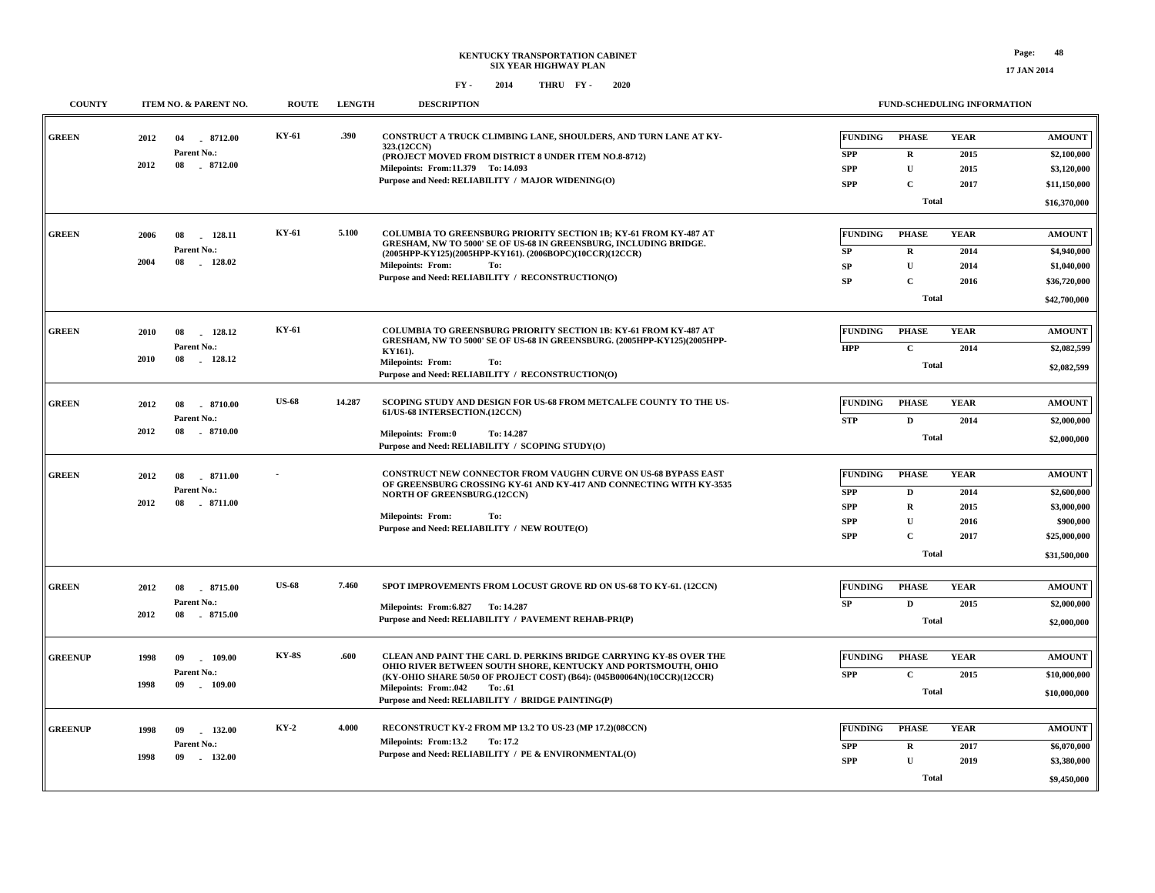| <b>COUNTY</b>  |      | ITEM NO. & PARENT NO. | <b>ROUTE</b> | <b>LENGTH</b> | <b>DESCRIPTION</b>                                                                                                                    |                |              | <b>FUND-SCHEDULING INFORMATION</b> |               |
|----------------|------|-----------------------|--------------|---------------|---------------------------------------------------------------------------------------------------------------------------------------|----------------|--------------|------------------------------------|---------------|
| <b>GREEN</b>   | 2012 | $-8712.00$<br>04      | KY-61        | .390          | CONSTRUCT A TRUCK CLIMBING LANE, SHOULDERS, AND TURN LANE AT KY-<br>323.(12CCN)                                                       | <b>FUNDING</b> | <b>PHASE</b> | <b>YEAR</b>                        | <b>AMOUNT</b> |
|                |      | Parent No.:           |              |               | (PROJECT MOVED FROM DISTRICT 8 UNDER ITEM NO.8-8712)                                                                                  | <b>SPP</b>     | $\mathbf R$  | 2015                               | \$2,100,000   |
|                | 2012 | 08<br>8712.00         |              |               | Milepoints: From:11.379 To: 14.093                                                                                                    | <b>SPP</b>     | $\mathbf{U}$ | 2015                               | \$3,120,000   |
|                |      |                       |              |               | Purpose and Need: RELIABILITY / MAJOR WIDENING(O)                                                                                     | <b>SPP</b>     | $\mathbf{C}$ | 2017                               | \$11,150,000  |
|                |      |                       |              |               |                                                                                                                                       |                | <b>Total</b> |                                    | \$16,370,000  |
| <b>GREEN</b>   | 2006 | 128.11<br>08          | KY-61        | 5.100         | COLUMBIA TO GREENSBURG PRIORITY SECTION 1B; KY-61 FROM KY-487 AT<br>GRESHAM, NW TO 5000' SE OF US-68 IN GREENSBURG, INCLUDING BRIDGE. | <b>FUNDING</b> | <b>PHASE</b> | <b>YEAR</b>                        | <b>AMOUNT</b> |
|                |      | Parent No.:           |              |               | (2005HPP-KY125)(2005HPP-KY161). (2006BOPC)(10CCR)(12CCR)                                                                              | ${\bf SP}$     | $\mathbf R$  | 2014                               | \$4,940,000   |
|                | 2004 | 08<br>128.02          |              |               | <b>Milepoints: From:</b><br>To:                                                                                                       | SP             | $\mathbf{U}$ | 2014                               | \$1,040,000   |
|                |      |                       |              |               | Purpose and Need: RELIABILITY / RECONSTRUCTION(O)                                                                                     | SP             | $\mathbf C$  | 2016                               | \$36,720,000  |
|                |      |                       |              |               |                                                                                                                                       |                | <b>Total</b> |                                    | \$42,700,000  |
| <b>GREEN</b>   | 2010 | 128.12<br>08          | KY-61        |               | <b>COLUMBIA TO GREENSBURG PRIORITY SECTION 1B: KY-61 FROM KY-487 AT</b>                                                               | <b>FUNDING</b> | <b>PHASE</b> | <b>YEAR</b>                        | <b>AMOUNT</b> |
|                |      | Parent No.:           |              |               | GRESHAM, NW TO 5000' SE OF US-68 IN GREENSBURG. (2005HPP-KY125)(2005HPP-                                                              | <b>HPP</b>     | $\mathbf{C}$ | 2014                               | \$2,082,599   |
|                | 2010 | 08<br>128.12          |              |               | KY161).<br>Milepoints: From:<br>To:                                                                                                   |                | <b>Total</b> |                                    |               |
|                |      |                       |              |               | Purpose and Need: RELIABILITY / RECONSTRUCTION(O)                                                                                     |                |              |                                    | \$2,082,599   |
| <b>GREEN</b>   | 2012 | 08<br>$-8710.00$      | <b>US-68</b> | 14.287        | SCOPING STUDY AND DESIGN FOR US-68 FROM METCALFE COUNTY TO THE US-                                                                    | <b>FUNDING</b> | <b>PHASE</b> | <b>YEAR</b>                        | <b>AMOUNT</b> |
|                |      | Parent No.:           |              |               | 61/US-68 INTERSECTION.(12CCN)                                                                                                         | <b>STP</b>     | $\mathbf{D}$ | 2014                               | \$2,000,000   |
|                | 2012 | 8710.00<br>08         |              |               | <b>Milepoints: From:0</b><br>To: 14.287<br>Purpose and Need: RELIABILITY / SCOPING STUDY(O)                                           |                | <b>Total</b> |                                    | \$2,000,000   |
|                |      |                       |              |               |                                                                                                                                       |                |              |                                    |               |
| <b>GREEN</b>   | 2012 | 08<br>$-8711.00$      |              |               | CONSTRUCT NEW CONNECTOR FROM VAUGHN CURVE ON US-68 BYPASS EAST<br>OF GREENSBURG CROSSING KY-61 AND KY-417 AND CONNECTING WITH KY-3535 | <b>FUNDING</b> | <b>PHASE</b> | <b>YEAR</b>                        | <b>AMOUNT</b> |
|                |      | Parent No.:<br>08     |              |               | NORTH OF GREENSBURG.(12CCN)                                                                                                           | <b>SPP</b>     | D            | 2014                               | \$2,600,000   |
|                | 2012 | .8711.00              |              |               | <b>Milepoints: From:</b><br>To:                                                                                                       | <b>SPP</b>     | $\mathbf R$  | 2015                               | \$3,000,000   |
|                |      |                       |              |               | Purpose and Need: RELIABILITY / NEW ROUTE(O)                                                                                          | <b>SPP</b>     | $\mathbf U$  | 2016                               | \$900,000     |
|                |      |                       |              |               |                                                                                                                                       | <b>SPP</b>     | $\mathbf{C}$ | 2017                               | \$25,000,000  |
|                |      |                       |              |               |                                                                                                                                       |                | <b>Total</b> |                                    | \$31,500,000  |
| <b>GREEN</b>   | 2012 | 08<br>8715.00         | <b>US-68</b> | 7.460         | SPOT IMPROVEMENTS FROM LOCUST GROVE RD ON US-68 TO KY-61. (12CCN)                                                                     | <b>FUNDING</b> | <b>PHASE</b> | <b>YEAR</b>                        | <b>AMOUNT</b> |
|                |      | Parent No.:           |              |               | Milepoints: From: 6.827 To: 14.287                                                                                                    | SP             | $\mathbf{D}$ | 2015                               | \$2,000,000   |
|                | 2012 | $-8715.00$<br>08      |              |               | Purpose and Need: RELIABILITY / PAVEMENT REHAB-PRI(P)                                                                                 |                | <b>Total</b> |                                    | \$2,000,000   |
|                |      |                       |              |               |                                                                                                                                       |                |              |                                    |               |
| <b>GREENUP</b> | 1998 | 09<br>109.00          | $KY-8S$      | .600          | CLEAN AND PAINT THE CARL D. PERKINS BRIDGE CARRYING KY-8S OVER THE<br>OHIO RIVER BETWEEN SOUTH SHORE, KENTUCKY AND PORTSMOUTH, OHIO   | <b>FUNDING</b> | <b>PHASE</b> | <b>YEAR</b>                        | <b>AMOUNT</b> |
|                |      | Parent No.:           |              |               | (KY-OHIO SHARE 50/50 OF PROJECT COST) (B64): (045B00064N)(10CCR)(12CCR)                                                               | <b>SPP</b>     | $\mathbf{C}$ | 2015                               | \$10,000,000  |
|                | 1998 | 09<br>$-109.00$       |              |               | Milepoints: From:.042<br>To: .61<br>Purpose and Need: RELIABILITY / BRIDGE PAINTING(P)                                                |                | <b>Total</b> |                                    | \$10,000,000  |
|                |      |                       |              |               |                                                                                                                                       |                |              |                                    |               |
| <b>GREENUP</b> | 1998 | 09<br>132.00          | $KY-2$       | 4.000         | RECONSTRUCT KY-2 FROM MP 13.2 TO US-23 (MP 17.2)(08CCN)                                                                               | <b>FUNDING</b> | PHASE        | <b>YEAR</b>                        | <b>AMOUNT</b> |
|                |      | Parent No.:           |              |               | Milepoints: From:13.2<br>To: 17.2<br>Purpose and Need: RELIABILITY / PE & ENVIRONMENTAL(O)                                            | <b>SPP</b>     | $\mathbf R$  | 2017                               | \$6,070,000   |
|                | 1998 | 09<br>$-132.00$       |              |               |                                                                                                                                       | <b>SPP</b>     | $\mathbf{U}$ | 2019                               | \$3,380,000   |
|                |      |                       |              |               |                                                                                                                                       |                | <b>Total</b> |                                    | \$9,450,000   |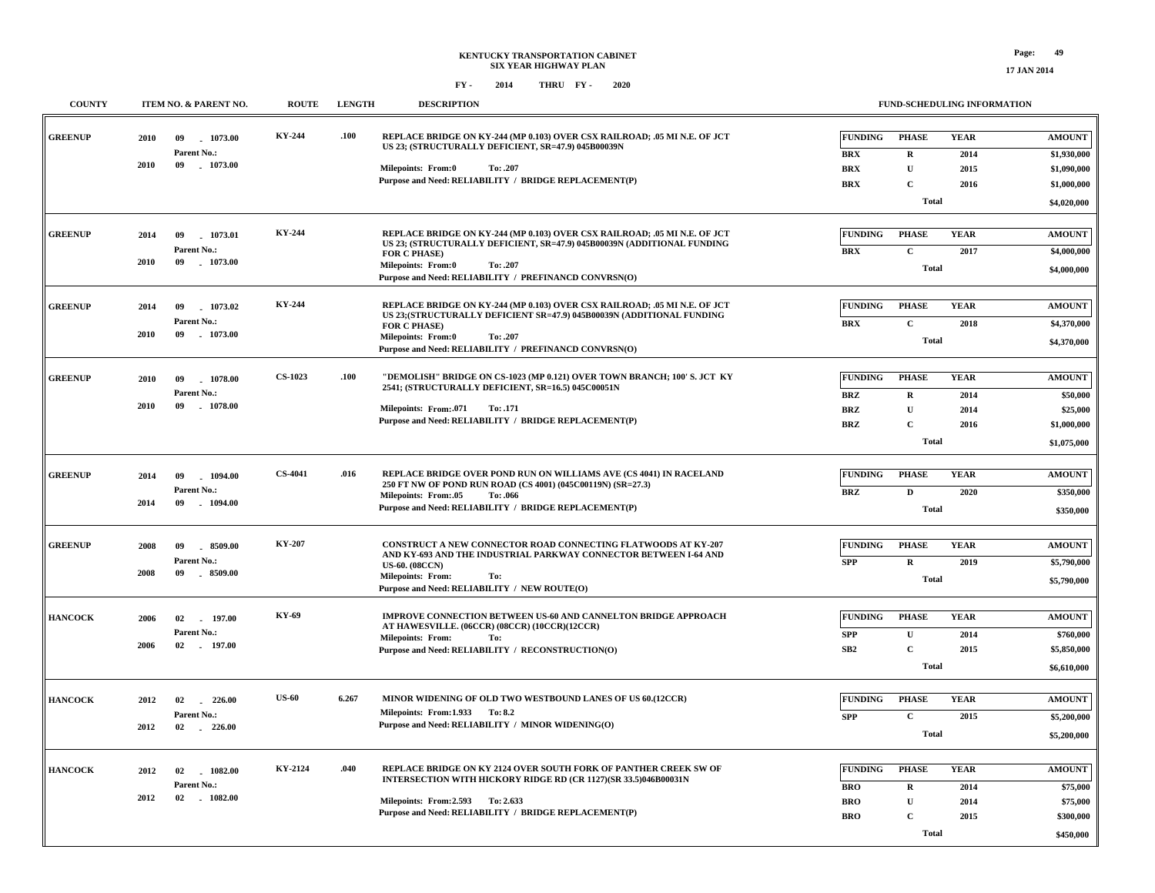| <b>COUNTY</b>  | ITEM NO. & PARENT NO.                                          | <b>ROUTE</b>                            | <b>LENGTH</b> | <b>DESCRIPTION</b>                                                                                                                                                                                                                                                     | <b>FUND-SCHEDULING INFORMATION</b>                                                                                                                                                                                                                  |  |
|----------------|----------------------------------------------------------------|-----------------------------------------|---------------|------------------------------------------------------------------------------------------------------------------------------------------------------------------------------------------------------------------------------------------------------------------------|-----------------------------------------------------------------------------------------------------------------------------------------------------------------------------------------------------------------------------------------------------|--|
| <b>GREENUP</b> | 2010<br>09<br>Parent No.:                                      | KY-244<br>1073.00                       | .100          | REPLACE BRIDGE ON KY-244 (MP 0.103) OVER CSX RAILROAD; .05 MI N.E. OF JCT<br>US 23; (STRUCTURALLY DEFICIENT, SR=47.9) 045B00039N                                                                                                                                       | <b>FUNDING</b><br><b>YEAR</b><br><b>PHASE</b><br><b>AMOUNT</b><br><b>BRX</b><br>$\mathbf R$<br>2014<br>\$1,930,000                                                                                                                                  |  |
|                | 2010<br>09                                                     | $-1073.00$                              |               | Milepoints: From:0<br>To: .207<br>Purpose and Need: RELIABILITY / BRIDGE REPLACEMENT(P)                                                                                                                                                                                | <b>BRX</b><br>$\mathbf U$<br>2015<br>\$1,090,000<br><b>BRX</b><br>$\mathbf C$<br>\$1,000,000<br>2016<br><b>Total</b><br>\$4,020,000                                                                                                                 |  |
| <b>GREENUP</b> | 09<br>2014<br>Parent No.:<br>2010<br>09                        | <b>KY-244</b><br>1073.01<br>1073.00     |               | REPLACE BRIDGE ON KY-244 (MP 0.103) OVER CSX RAILROAD: .05 MI N.E. OF JCT<br>US 23; (STRUCTURALLY DEFICIENT, SR=47.9) 045B00039N (ADDITIONAL FUNDING<br>FOR C PHASE)<br><b>Milepoints: From:0</b><br>To: .207<br>Purpose and Need: RELIABILITY / PREFINANCD CONVRSN(O) | <b>FUNDING</b><br><b>PHASE</b><br><b>YEAR</b><br><b>AMOUNT</b><br><b>BRX</b><br>$\mathbf C$<br>2017<br>\$4,000,000<br><b>Total</b><br>\$4,000,000                                                                                                   |  |
| <b>GREENUP</b> | 2014<br>09<br>Parent No.:<br>09<br>2010                        | KY-244<br>1073.02<br>$-1073.00$         |               | REPLACE BRIDGE ON KY-244 (MP 0.103) OVER CSX RAILROAD; .05 MI N.E. OF JCT<br>US 23; (STRUCTURALLY DEFICIENT SR=47.9) 045B00039N (ADDITIONAL FUNDING<br>FOR C PHASE)<br>Milepoints: From:0<br>To: .207<br>Purpose and Need: RELIABILITY / PREFINANCD CONVRSN(O)         | <b>FUNDING</b><br><b>YEAR</b><br><b>PHASE</b><br><b>AMOUNT</b><br>$\mathbf C$<br><b>BRX</b><br>2018<br>\$4,370,000<br><b>Total</b><br>\$4,370,000                                                                                                   |  |
| <b>GREENUP</b> | 2010<br>09<br>Parent No.:<br>2010<br>09                        | <b>CS-1023</b><br>1078.00<br>$-1078.00$ | .100          | "DEMOLISH" BRIDGE ON CS-1023 (MP 0.121) OVER TOWN BRANCH; 100' S. JCT KY<br>2541; (STRUCTURALLY DEFICIENT, SR=16.5) 045C00051N<br>Milepoints: From:.071<br>To: .171<br>Purpose and Need: RELIABILITY / BRIDGE REPLACEMENT(P)                                           | <b>FUNDING</b><br><b>PHASE</b><br><b>YEAR</b><br><b>AMOUNT</b><br><b>BRZ</b><br>2014<br>\$50,000<br>$\mathbf R$<br><b>BRZ</b><br>$\mathbf U$<br>2014<br>\$25,000<br><b>BRZ</b><br>$\mathbf C$<br>2016<br>\$1,000,000<br><b>Total</b><br>\$1,075,000 |  |
| <b>GREENUP</b> | 2014<br>09<br>Parent No.:<br>2014<br>09                        | <b>CS-4041</b><br>1094.00<br>$-1094.00$ | .016          | REPLACE BRIDGE OVER POND RUN ON WILLIAMS AVE (CS 4041) IN RACELAND<br>250 FT NW OF POND RUN ROAD (CS 4001) (045C00119N) (SR=27.3)<br>Milepoints: From:.05<br>To: .066<br>Purpose and Need: RELIABILITY / BRIDGE REPLACEMENT(P)                                         | FUNDING<br><b>PHASE</b><br><b>YEAR</b><br><b>AMOUNT</b><br><b>BRZ</b><br>$\mathbf D$<br>2020<br>\$350,000<br><b>Total</b><br>\$350,000                                                                                                              |  |
| <b>GREENUP</b> | 2008<br>09<br>Parent No.:<br>2008<br>09                        | <b>KY-207</b><br>8509.00<br>8509.00     |               | <b>CONSTRUCT A NEW CONNECTOR ROAD CONNECTING FLATWOODS AT KY-207</b><br>AND KY-693 AND THE INDUSTRIAL PARKWAY CONNECTOR BETWEEN I-64 AND<br><b>US-60. (08CCN)</b><br><b>Milepoints: From:</b><br>To:<br>Purpose and Need: RELIABILITY / NEW ROUTE(O)                   | <b>FUNDING</b><br><b>PHASE</b><br><b>YEAR</b><br><b>AMOUNT</b><br><b>SPP</b><br>$\mathbf R$<br>2019<br>\$5,790,000<br><b>Total</b><br>\$5,790,000                                                                                                   |  |
| <b>HANCOCK</b> | 2006<br>02 197.00<br>Parent No.:<br>2006<br>$02 \qquad 197.00$ | KY-69                                   |               | IMPROVE CONNECTION BETWEEN US-60 AND CANNELTON BRIDGE APPROACH<br>AT HAWESVILLE. (06CCR) (08CCR) (10CCR)(12CCR)<br><b>Milepoints: From:</b><br>To:<br>Purpose and Need: RELIABILITY / RECONSTRUCTION(O)                                                                | <b>YEAR</b><br><b>FUNDING</b><br><b>PHASE</b><br><b>AMOUNT</b><br>$\mathbf U$<br><b>SPP</b><br>2014<br>\$760,000<br>SB2<br>$\mathbf C$<br>2015<br>\$5,850,000<br><b>Total</b><br>\$6,610,000                                                        |  |
| <b>HANCOCK</b> | 2012<br>02<br>Parent No.:<br>2012<br>02                        | <b>US-60</b><br>$-226.00$<br>$-226.00$  | 6.267         | MINOR WIDENING OF OLD TWO WESTBOUND LANES OF US 60.(12CCR)<br>Milepoints: From:1.933 To: 8.2<br>Purpose and Need: RELIABILITY / MINOR WIDENING(O)                                                                                                                      | <b>PHASE</b><br><b>YEAR</b><br><b>FUNDING</b><br><b>AMOUNT</b><br>$\mathbf C$<br><b>SPP</b><br>2015<br>\$5,200,000<br><b>Total</b><br>\$5,200,000                                                                                                   |  |
| <b>HANCOCK</b> | 2012<br>02<br>Parent No.:<br>2012<br>02 1082.00                | KY-2124<br>1082.00                      | .040          | REPLACE BRIDGE ON KY 2124 OVER SOUTH FORK OF PANTHER CREEK SW OF<br>INTERSECTION WITH HICKORY RIDGE RD (CR 1127)(SR 33.5)046B00031N<br>Milepoints: From: 2.593 To: 2.633<br>Purpose and Need: RELIABILITY / BRIDGE REPLACEMENT(P)                                      | <b>PHASE</b><br><b>YEAR</b><br><b>FUNDING</b><br><b>AMOUNT</b><br><b>BRO</b><br>$\mathbf R$<br>2014<br>\$75,000<br>$\mathbf U$<br><b>BRO</b><br>\$75,000<br>2014<br>$\overline{c}$<br><b>BRO</b><br>\$300,000<br>2015<br><b>Total</b><br>\$450,000  |  |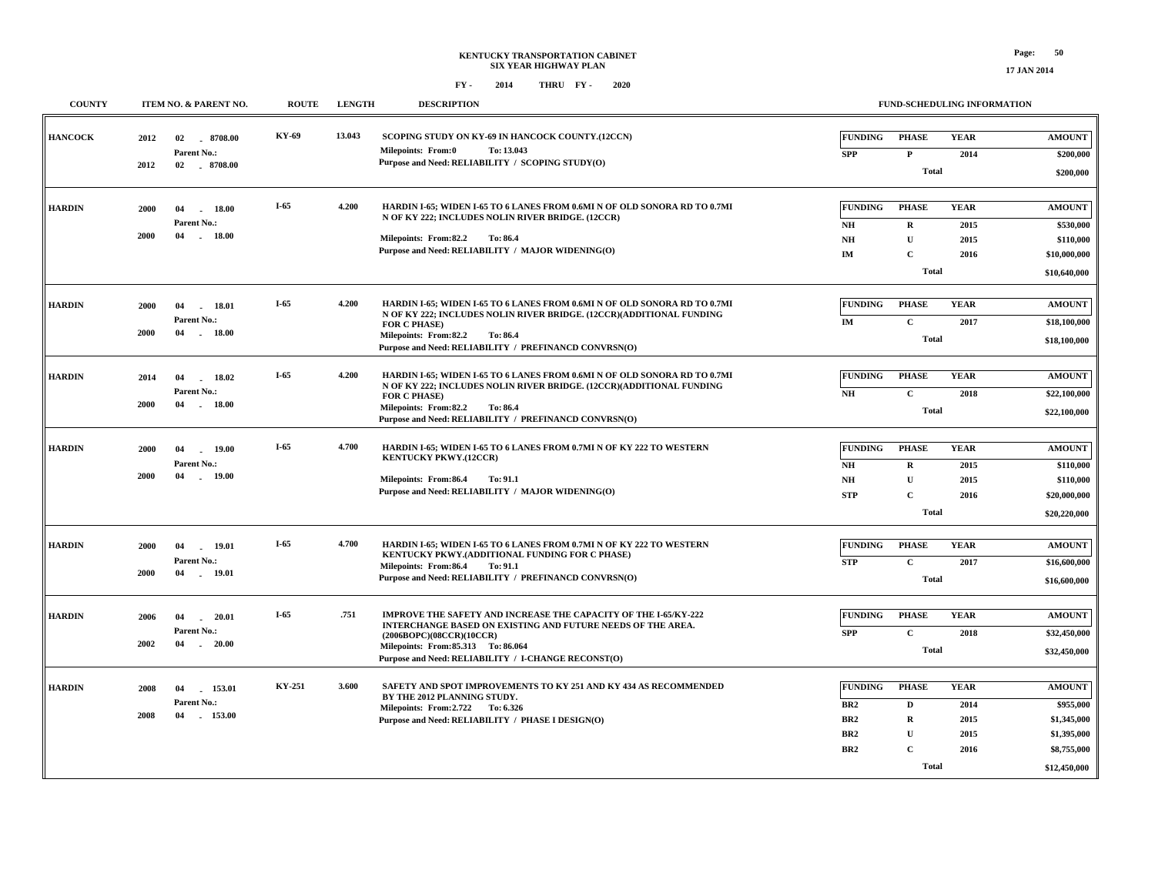| <b>COUNTY</b>  |              | ITEM NO. & PARENT NO.                               | <b>ROUTE</b> | <b>LENGTH</b> | <b>DESCRIPTION</b>                                                                                                                                                                                                                                                            |                                                                                | FUND-SCHEDULING INFORMATION                                          |                                             |                                                                                         |
|----------------|--------------|-----------------------------------------------------|--------------|---------------|-------------------------------------------------------------------------------------------------------------------------------------------------------------------------------------------------------------------------------------------------------------------------------|--------------------------------------------------------------------------------|----------------------------------------------------------------------|---------------------------------------------|-----------------------------------------------------------------------------------------|
| <b>HANCOCK</b> | 2012         | 02<br>8708.00<br>Parent No.:                        | KY-69        | 13.043        | SCOPING STUDY ON KY-69 IN HANCOCK COUNTY.(12CCN)<br>Milepoints: From:0<br>To: 13.043                                                                                                                                                                                          | <b>FUNDING</b><br><b>SPP</b>                                                   | PHASE<br>$\mathbf{P}$                                                | <b>YEAR</b><br>2014                         | <b>AMOUNT</b><br>\$200,000                                                              |
|                | 2012         | 02 8708.00                                          |              |               | Purpose and Need: RELIABILITY / SCOPING STUDY(O)                                                                                                                                                                                                                              |                                                                                | <b>Total</b>                                                         |                                             | \$200,000                                                                               |
| <b>HARDIN</b>  | 2000<br>2000 | 04<br>18.00<br>Parent No.:<br>04<br>$-18.00$        | $I-65$       | 4.200         | HARDIN I-65; WIDEN I-65 TO 6 LANES FROM 0.6MI N OF OLD SONORA RD TO 0.7MI<br>N OF KY 222; INCLUDES NOLIN RIVER BRIDGE. (12CCR)<br>Milepoints: From:82.2<br>To: 86.4<br>Purpose and Need: RELIABILITY / MAJOR WIDENING(O)                                                      | <b>FUNDING</b><br>NH<br>NH<br>IM                                               | <b>PHASE</b><br>$\mathbf R$<br>$\mathbf{U}$<br>C<br>Total            | <b>YEAR</b><br>2015<br>2015<br>2016         | <b>AMOUNT</b><br>\$530,000<br>\$110,000<br>\$10,000,000<br>\$10,640,000                 |
| <b>HARDIN</b>  | 2000<br>2000 | 04<br>18.01<br>Parent No.:<br>04<br>18.00           | $I-65$       | 4.200         | HARDIN I-65; WIDEN I-65 TO 6 LANES FROM 0.6MI N OF OLD SONORA RD TO 0.7MI<br>N OF KY 222; INCLUDES NOLIN RIVER BRIDGE. (12CCR)(ADDITIONAL FUNDING<br><b>FOR C PHASE)</b><br>Milepoints: From:82.2<br><b>To: 86.4</b><br>Purpose and Need: RELIABILITY / PREFINANCD CONVRSN(O) | <b>FUNDING</b><br>IM                                                           | <b>PHASE</b><br>$\mathbf C$<br><b>Total</b>                          | <b>YEAR</b><br>2017                         | <b>AMOUNT</b><br>\$18,100,000<br>\$18,100,000                                           |
| <b>HARDIN</b>  | 2014<br>2000 | 04<br>18.02<br>Parent No.:<br>04<br>18.00           | $I-65$       | 4.200         | HARDIN I-65; WIDEN I-65 TO 6 LANES FROM 0.6MI N OF OLD SONORA RD TO 0.7MI<br>N OF KY 222; INCLUDES NOLIN RIVER BRIDGE. (12CCR)(ADDITIONAL FUNDING<br><b>FOR C PHASE)</b><br>Milepoints: From:82.2<br>To: 86.4<br>Purpose and Need: RELIABILITY / PREFINANCD CONVRSN(O)        | <b>FUNDING</b><br>NH                                                           | <b>PHASE</b><br>$\mathbf{C}$<br><b>Total</b>                         | <b>YEAR</b><br>2018                         | <b>AMOUNT</b><br>\$22,100,000<br>\$22,100,000                                           |
| <b>HARDIN</b>  | 2000<br>2000 | 04<br>19.00<br>Parent No.:<br>04<br>$-19.00$        | I-65         | 4.700         | HARDIN I-65; WIDEN I-65 TO 6 LANES FROM 0.7MI N OF KY 222 TO WESTERN<br><b>KENTUCKY PKWY.(12CCR)</b><br>Milepoints: From:86.4<br>To: 91.1<br>Purpose and Need: RELIABILITY / MAJOR WIDENING(O)                                                                                | <b>FUNDING</b><br><b>NH</b><br>NH<br><b>STP</b>                                | <b>PHASE</b><br>$\mathbf R$<br>U<br>$\mathbf C$<br>Total             | <b>YEAR</b><br>2015<br>2015<br>2016         | <b>AMOUNT</b><br>\$110,000<br>\$110,000<br>\$20,000,000<br>\$20,220,000                 |
| <b>HARDIN</b>  | 2000<br>2000 | 19.01<br>04<br>Parent No.:<br>04<br>19.01           | $I-65$       | 4.700         | HARDIN I-65; WIDEN I-65 TO 6 LANES FROM 0.7MI N OF KY 222 TO WESTERN<br>KENTUCKY PKWY.(ADDITIONAL FUNDING FOR C PHASE)<br>Milepoints: From:86.4<br>To: 91.1<br>Purpose and Need: RELIABILITY / PREFINANCD CONVRSN(O)                                                          | <b>FUNDING</b><br><b>STP</b>                                                   | <b>PHASE</b><br>$\mathbf{C}$<br><b>Total</b>                         | <b>YEAR</b><br>2017                         | <b>AMOUNT</b><br>\$16,600,000<br>\$16,600,000                                           |
| <b>HARDIN</b>  | 2006<br>2002 | 04<br>20.01<br>Parent No.:<br>04<br>20.00<br>$\sim$ | $I-65$       | .751          | IMPROVE THE SAFETY AND INCREASE THE CAPACITY OF THE I-65/KY-222<br>INTERCHANGE BASED ON EXISTING AND FUTURE NEEDS OF THE AREA.<br>(2006BOPC)(08CCR)(10CCR)<br>Milepoints: From: 85.313 To: 86.064<br>Purpose and Need: RELIABILITY / I-CHANGE RECONST(O)                      | <b>FUNDING</b><br><b>SPP</b>                                                   | <b>PHASE</b><br>$\mathbf C$<br><b>Total</b>                          | <b>YEAR</b><br>2018                         | <b>AMOUNT</b><br>\$32,450,000<br>\$32,450,000                                           |
| <b>HARDIN</b>  | 2008<br>2008 | 04<br>153.01<br>Parent No.:<br>04<br>153.00         | KY-251       | 3.600         | SAFETY AND SPOT IMPROVEMENTS TO KY 251 AND KY 434 AS RECOMMENDED<br>BY THE 2012 PLANNING STUDY.<br>Milepoints: From: 2.722 To: 6.326<br>Purpose and Need: RELIABILITY / PHASE I DESIGN(O)                                                                                     | <b>FUNDING</b><br>BR <sub>2</sub><br>BR <sub>2</sub><br>BR2<br>BR <sub>2</sub> | <b>PHASE</b><br>D<br>$\mathbf R$<br>U<br>$\mathbf C$<br><b>Total</b> | <b>YEAR</b><br>2014<br>2015<br>2015<br>2016 | <b>AMOUNT</b><br>\$955,000<br>\$1,345,000<br>\$1,395,000<br>\$8,755,000<br>\$12,450,000 |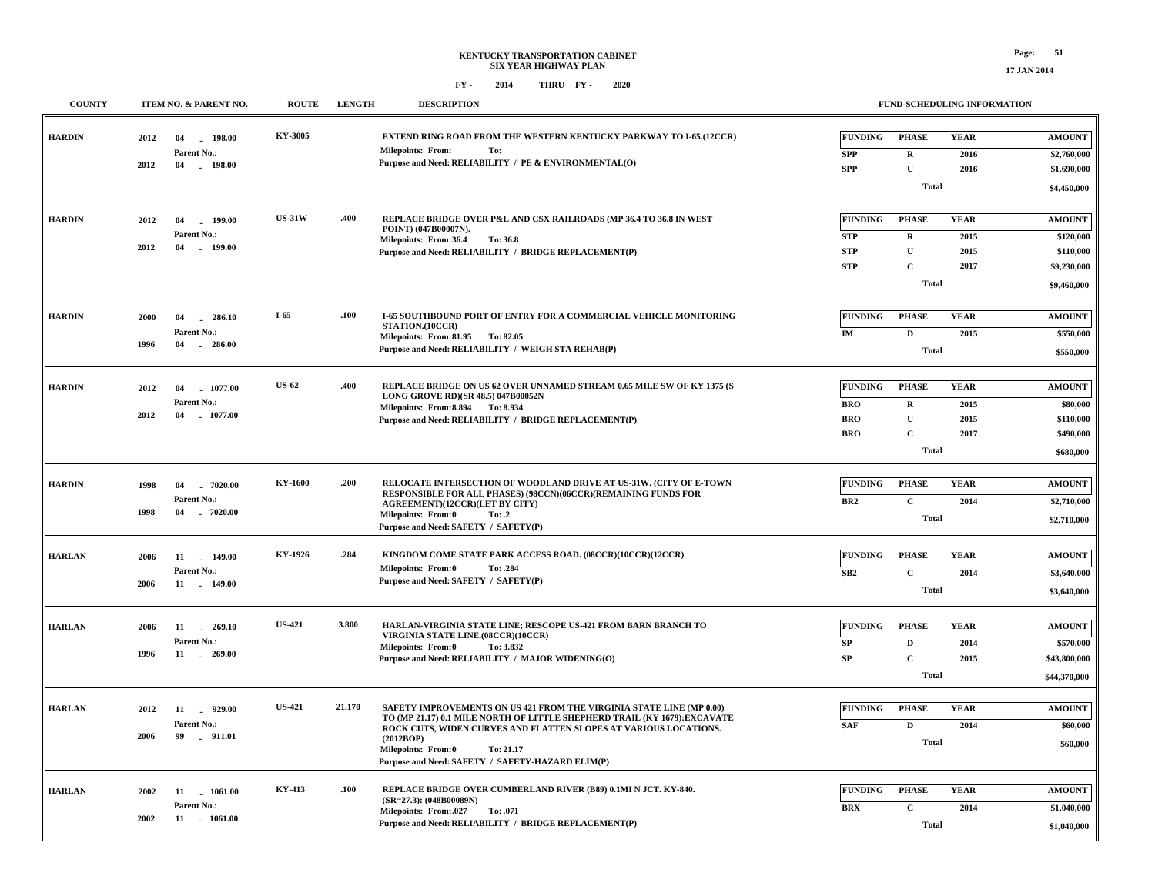| <b>COUNTY</b> | <b>ITEM NO. &amp; PARENT NO.</b>                                  | <b>ROUTE</b>  | <b>LENGTH</b> | <b>DESCRIPTION</b>                                                                                                                                                                                                                                                                                                               |                                                          |                                                                       | <b>FUND-SCHEDULING INFORMATION</b>  |                                                                       |
|---------------|-------------------------------------------------------------------|---------------|---------------|----------------------------------------------------------------------------------------------------------------------------------------------------------------------------------------------------------------------------------------------------------------------------------------------------------------------------------|----------------------------------------------------------|-----------------------------------------------------------------------|-------------------------------------|-----------------------------------------------------------------------|
| <b>HARDIN</b> | 2012<br>04<br>$-198.00$<br>Parent No.:<br>2012<br>04 - 198.00     | KY-3005       |               | <b>EXTEND RING ROAD FROM THE WESTERN KENTUCKY PARKWAY TO I-65.(12CCR)</b><br><b>Milepoints: From:</b><br>To:<br>Purpose and Need: RELIABILITY / PE & ENVIRONMENTAL(O)                                                                                                                                                            | FUNDING<br><b>SPP</b><br><b>SPP</b>                      | <b>PHASE</b><br>$\mathbf R$<br>U<br><b>Total</b>                      | <b>YEAR</b><br>2016<br>2016         | <b>AMOUNT</b><br>\$2,760,000<br>\$1,690,000<br>\$4,450,000            |
| <b>HARDIN</b> | $-199.00$<br>2012<br>04<br>Parent No.:<br>2012<br>04<br>$-199.00$ | <b>US-31W</b> | .400          | REPLACE BRIDGE OVER P&L AND CSX RAILROADS (MP 36.4 TO 36.8 IN WEST<br>POINT) (047B00007N).<br>Milepoints: From:36.4<br>To: 36.8<br>Purpose and Need: RELIABILITY / BRIDGE REPLACEMENT(P)                                                                                                                                         | <b>FUNDING</b><br><b>STP</b><br><b>STP</b><br><b>STP</b> | <b>PHASE</b><br>$\mathbf R$<br>$\mathbf U$<br>$\mathbf C$<br>Total    | <b>YEAR</b><br>2015<br>2015<br>2017 | <b>AMOUNT</b><br>\$120,000<br>\$110,000<br>\$9,230,000<br>\$9,460,000 |
| <b>HARDIN</b> | 2000<br>04<br>$-286.10$<br>Parent No.:<br>1996<br>04<br>$-286.00$ | $I-65$        | .100          | <b>I-65 SOUTHBOUND PORT OF ENTRY FOR A COMMERCIAL VEHICLE MONITORING</b><br>STATION.(10CCR)<br>Milepoints: From:81.95 To:82.05<br>Purpose and Need: RELIABILITY / WEIGH STA REHAB(P)                                                                                                                                             | <b>FUNDING</b><br>IM                                     | <b>PHASE</b><br>$\mathbf{D}$<br><b>Total</b>                          | <b>YEAR</b><br>2015                 | <b>AMOUNT</b><br>\$550,000<br>\$550,000                               |
| <b>HARDIN</b> | 1077.00<br>2012<br>04<br>Parent No.:<br>2012<br>04<br>$-1077.00$  | <b>US-62</b>  | .400          | REPLACE BRIDGE ON US 62 OVER UNNAMED STREAM 0.65 MILE SW OF KY 1375 (S<br>LONG GROVE RD)(SR 48.5) 047B00052N<br>Milepoints: From: 8.894 To: 8.934<br>Purpose and Need: RELIABILITY / BRIDGE REPLACEMENT(P)                                                                                                                       | FUNDING<br><b>BRO</b><br><b>BRO</b><br><b>BRO</b>        | <b>PHASE</b><br>$\mathbf R$<br>$\mathbf U$<br>$\overline{c}$<br>Total | <b>YEAR</b><br>2015<br>2015<br>2017 | <b>AMOUNT</b><br>\$80,000<br>\$110,000<br>\$490,000<br>\$680,000      |
| <b>HARDIN</b> | 1998<br>04<br>7020.00<br>Parent No.:<br>04<br>$-7020.00$<br>1998  | KY-1600       | .200          | RELOCATE INTERSECTION OF WOODLAND DRIVE AT US-31W. (CITY OF E-TOWN<br>RESPONSIBLE FOR ALL PHASES) (98CCN)(06CCR)(REMAINING FUNDS FOR<br><b>AGREEMENT)(12CCR)(LET BY CITY)</b><br><b>Milepoints: From:0</b><br>To: .2<br>Purpose and Need: SAFETY / SAFETY(P)                                                                     | FUNDING<br>BR <sub>2</sub>                               | <b>PHASE</b><br>$\mathbf C$<br><b>Total</b>                           | <b>YEAR</b><br>2014                 | <b>AMOUNT</b><br>\$2,710,000<br>\$2,710,000                           |
| <b>HARLAN</b> | 2006<br>11 149.00<br>Parent No.:<br>2006<br>11 149.00             | KY-1926       | .284          | KINGDOM COME STATE PARK ACCESS ROAD. (08CCR)(10CCR)(12CCR)<br><b>Milepoints: From:0</b><br>To: .284<br>Purpose and Need: SAFETY / SAFETY(P)                                                                                                                                                                                      | <b>FUNDING</b><br>SB2                                    | <b>PHASE</b><br>$\mathbf C$<br><b>Total</b>                           | <b>YEAR</b><br>2014                 | <b>AMOUNT</b><br>\$3,640,000<br>\$3,640,000                           |
| <b>HARLAN</b> | 2006<br>11<br>269.10<br>Parent No.:<br>1996<br>11 . 269.00        | <b>US-421</b> | 3.800         | HARLAN-VIRGINIA STATE LINE; RESCOPE US-421 FROM BARN BRANCH TO<br>VIRGINIA STATE LINE.(08CCR)(10CCR)<br>Milepoints: From:0<br>To: 3.832<br>Purpose and Need: RELIABILITY / MAJOR WIDENING(O)                                                                                                                                     | <b>FUNDING</b><br>${\bf SP}$<br>${\bf SP}$               | <b>PHASE</b><br>$\mathbf D$<br>$\mathbf C$<br><b>Total</b>            | <b>YEAR</b><br>2014<br>2015         | <b>AMOUNT</b><br>\$570,000<br>\$43,800,000<br>\$44,370,000            |
| <b>HARLAN</b> | $-929.00$<br>2012<br>11<br>Parent No.:<br>2006<br>99<br>.911.01   | <b>US-421</b> | 21.170        | SAFETY IMPROVEMENTS ON US 421 FROM THE VIRGINIA STATE LINE (MP 0.00)<br>TO (MP 21.17) 0.1 MILE NORTH OF LITTLE SHEPHERD TRAIL (KY 1679): EXCAVATE<br>ROCK CUTS, WIDEN CURVES AND FLATTEN SLOPES AT VARIOUS LOCATIONS.<br>(2012BOP)<br><b>Milepoints: From:0</b><br>To: 21.17<br>Purpose and Need: SAFETY / SAFETY-HAZARD ELIM(P) | <b>FUNDING</b><br><b>SAF</b>                             | <b>PHASE</b><br>$\mathbf D$<br>Total                                  | <b>YEAR</b><br>2014                 | <b>AMOUNT</b><br>\$60,000<br>\$60,000                                 |
| <b>HARLAN</b> | 2002<br>11 1061.00<br>Parent No.:<br>2002<br>11 - 1061.00         | KY-413        | .100          | REPLACE BRIDGE OVER CUMBERLAND RIVER (B89) 0.1MI N JCT. KY-840.<br>$(SR=27.3)$ : (048B00089N)<br>Milepoints: From:.027<br>To: .071<br>Purpose and Need: RELIABILITY / BRIDGE REPLACEMENT(P)                                                                                                                                      | <b>FUNDING</b><br><b>BRX</b>                             | <b>PHASE</b><br>$\mathbf C$<br><b>Total</b>                           | <b>YEAR</b><br>2014                 | <b>AMOUNT</b><br>\$1,040,000<br>\$1,040,000                           |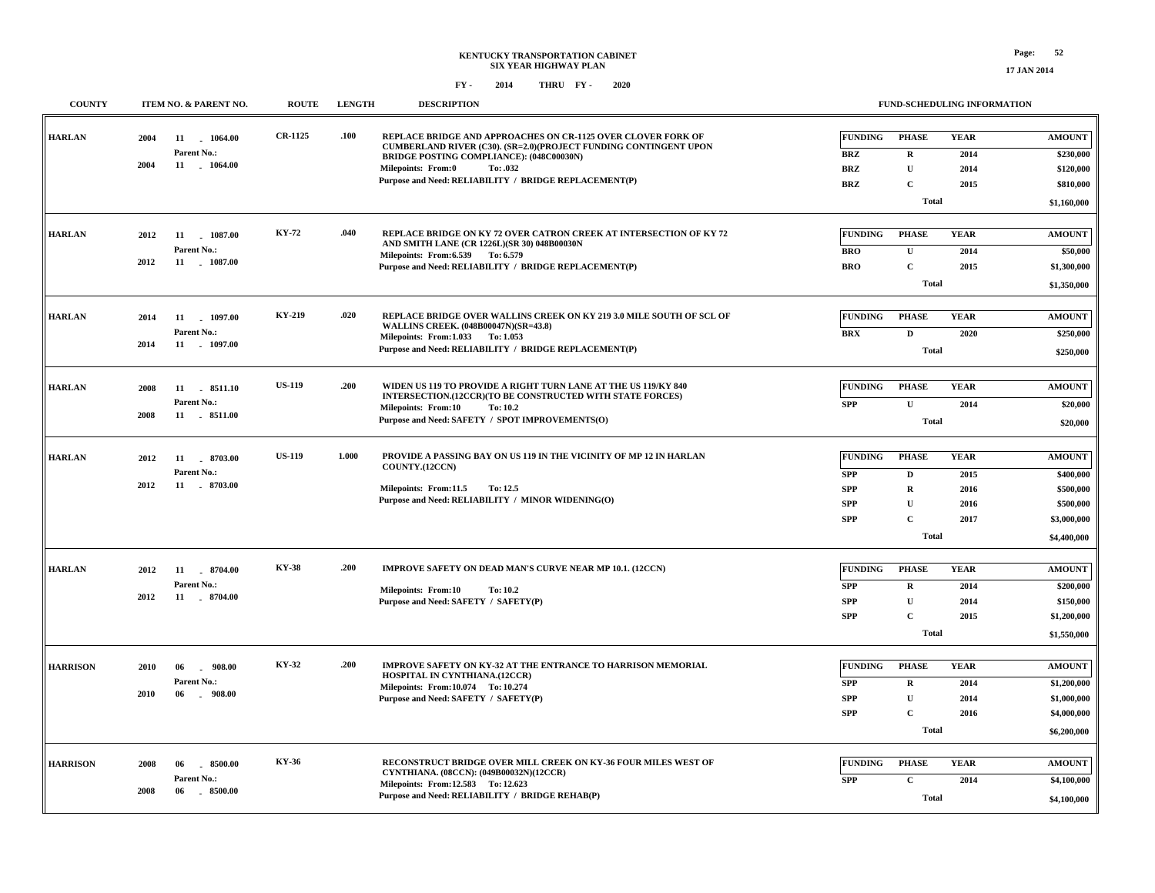| <b>COUNTY</b>   | ITEM NO. & PARENT NO.    | <b>ROUTE</b>   | <b>LENGTH</b> | <b>DESCRIPTION</b>                                                                                                               |                |              | FUND-SCHEDULING INFORMATION |               |
|-----------------|--------------------------|----------------|---------------|----------------------------------------------------------------------------------------------------------------------------------|----------------|--------------|-----------------------------|---------------|
| <b>HARLAN</b>   | 2004<br>11 1064.00       | <b>CR-1125</b> | .100          | REPLACE BRIDGE AND APPROACHES ON CR-1125 OVER CLOVER FORK OF<br>CUMBERLAND RIVER (C30). (SR=2.0)(PROJECT FUNDING CONTINGENT UPON | <b>FUNDING</b> | <b>PHASE</b> | <b>YEAR</b>                 | <b>AMOUNT</b> |
|                 | Parent No.:              |                |               | <b>BRIDGE POSTING COMPLIANCE: (048C00030N)</b>                                                                                   | <b>BRZ</b>     | R            | 2014                        | \$230,000     |
|                 | 2004<br>11 . 1064.00     |                |               | <b>Milepoints: From:0</b><br>To: .032                                                                                            | <b>BRZ</b>     | $\mathbf U$  | 2014                        | \$120,000     |
|                 |                          |                |               | Purpose and Need: RELIABILITY / BRIDGE REPLACEMENT(P)                                                                            | <b>BRZ</b>     | $\mathbf C$  | 2015                        | \$810,000     |
|                 |                          |                |               |                                                                                                                                  |                | Total        |                             | \$1,160,000   |
| <b>HARLAN</b>   | 11 1087.00<br>2012       | KY-72          | .040          | REPLACE BRIDGE ON KY 72 OVER CATRON CREEK AT INTERSECTION OF KY 72<br>AND SMITH LANE (CR 1226L)(SR 30) 048B00030N                | <b>FUNDING</b> | <b>PHASE</b> | <b>YEAR</b>                 | <b>AMOUNT</b> |
|                 | Parent No.:              |                |               | Milepoints: From: 6.539 To: 6.579                                                                                                | <b>BRO</b>     | $\mathbf{U}$ | 2014                        | \$50,000      |
|                 | 2012<br>11 1087.00       |                |               | Purpose and Need: RELIABILITY / BRIDGE REPLACEMENT(P)                                                                            | <b>BRO</b>     | $\mathbf C$  | 2015                        | \$1,300,000   |
|                 |                          |                |               |                                                                                                                                  |                | <b>Total</b> |                             | \$1,350,000   |
| <b>HARLAN</b>   | 2014<br>11<br>1097.00    | KY-219         | .020          | REPLACE BRIDGE OVER WALLINS CREEK ON KY 219 3.0 MILE SOUTH OF SCL OF                                                             | <b>FUNDING</b> | <b>PHASE</b> | <b>YEAR</b>                 | <b>AMOUNT</b> |
|                 | Parent No.:              |                |               | WALLINS CREEK. (048B00047N)(SR=43.8)<br>Milepoints: From:1.033 To:1.053                                                          | <b>BRX</b>     | $\mathbf D$  | 2020                        | \$250,000     |
|                 | 11 . 1097.00<br>2014     |                |               | Purpose and Need: RELIABILITY / BRIDGE REPLACEMENT(P)                                                                            |                | <b>Total</b> |                             | \$250,000     |
| <b>HARLAN</b>   | 11 . 8511.10<br>2008     | <b>US-119</b>  | .200          | WIDEN US 119 TO PROVIDE A RIGHT TURN LANE AT THE US 119/KY 840                                                                   | <b>FUNDING</b> | <b>PHASE</b> | <b>YEAR</b>                 | <b>AMOUNT</b> |
|                 | Parent No.:              |                |               | <b>INTERSECTION.(12CCR)(TO BE CONSTRUCTED WITH STATE FORCES)</b>                                                                 | <b>SPP</b>     | $\mathbf{U}$ | 2014                        | \$20,000      |
|                 | 2008<br>11 8511.00       |                |               | <b>Milepoints: From:10</b><br>To: 10.2<br>Purpose and Need: SAFETY / SPOT IMPROVEMENTS(O)                                        |                |              |                             |               |
|                 |                          |                |               |                                                                                                                                  |                | <b>Total</b> |                             | \$20,000      |
| <b>HARLAN</b>   | 11<br>8703.00<br>2012    | <b>US-119</b>  | 1.000         | PROVIDE A PASSING BAY ON US 119 IN THE VICINITY OF MP 12 IN HARLAN<br>COUNTY.(12CCN)                                             | <b>FUNDING</b> | <b>PHASE</b> | <b>YEAR</b>                 | <b>AMOUNT</b> |
|                 | Parent No.:              |                |               |                                                                                                                                  | <b>SPP</b>     | D            | 2015                        | \$400,000     |
|                 | 2012<br>11 . 8703.00     |                |               | Milepoints: From:11.5<br>To: 12.5                                                                                                | <b>SPP</b>     | $\mathbf R$  | 2016                        | \$500,000     |
|                 |                          |                |               | Purpose and Need: RELIABILITY / MINOR WIDENING(O)                                                                                | <b>SPP</b>     | $\mathbf U$  | 2016                        | \$500,000     |
|                 |                          |                |               |                                                                                                                                  | <b>SPP</b>     | $\mathbf C$  | 2017                        | \$3,000,000   |
|                 |                          |                |               |                                                                                                                                  |                | <b>Total</b> |                             | \$4,400,000   |
| <b>HARLAN</b>   | 2012<br>11 . 8704.00     | <b>KY-38</b>   | .200          | IMPROVE SAFETY ON DEAD MAN'S CURVE NEAR MP 10.1. (12CCN)                                                                         | <b>FUNDING</b> | <b>PHASE</b> | <b>YEAR</b>                 | <b>AMOUNT</b> |
|                 | Parent No.:              |                |               | Milepoints: From:10<br>To: 10.2                                                                                                  | <b>SPP</b>     | $\mathbf R$  | 2014                        | \$200,000     |
|                 | 2012<br>11 . 8704.00     |                |               | Purpose and Need: SAFETY / SAFETY(P)                                                                                             | <b>SPP</b>     | $\mathbf U$  | 2014                        | \$150,000     |
|                 |                          |                |               |                                                                                                                                  | <b>SPP</b>     | $\mathbf{C}$ | 2015                        | \$1,200,000   |
|                 |                          |                |               |                                                                                                                                  |                | Total        |                             | \$1,550,000   |
| <b>HARRISON</b> | 2010<br>$-908.00$<br>06  | KY-32          | .200          | IMPROVE SAFETY ON KY-32 AT THE ENTRANCE TO HARRISON MEMORIAL                                                                     | <b>FUNDING</b> | <b>PHASE</b> | <b>YEAR</b>                 | <b>AMOUNT</b> |
|                 | Parent No.:              |                |               | HOSPITAL IN CYNTHIANA.(12CCR)<br>Milepoints: From:10.074 To: 10.274                                                              | <b>SPP</b>     | $\mathbf R$  | 2014                        | \$1,200,000   |
|                 | 2010<br>$-908.00$<br>06  |                |               | Purpose and Need: SAFETY / SAFETY(P)                                                                                             | <b>SPP</b>     | $\mathbf U$  | 2014                        | \$1,000,000   |
|                 |                          |                |               |                                                                                                                                  | <b>SPP</b>     | $\mathbf C$  | 2016                        | \$4,000,000   |
|                 |                          |                |               |                                                                                                                                  |                | <b>Total</b> |                             | \$6,200,000   |
| <b>HARRISON</b> | 2008<br>$-8500.00$<br>06 | <b>KY-36</b>   |               | RECONSTRUCT BRIDGE OVER MILL CREEK ON KY-36 FOUR MILES WEST OF                                                                   | <b>FUNDING</b> | <b>PHASE</b> | <b>YEAR</b>                 | <b>AMOUNT</b> |
|                 | Parent No.:              |                |               | CYNTHIANA. (08CCN): (049B00032N)(12CCR)<br>Milepoints: From:12.583 To: 12.623                                                    | <b>SPP</b>     | $\mathbf C$  | 2014                        | \$4,100,000   |
|                 | 2008<br>06<br>$-8500.00$ |                |               | Purpose and Need: RELIABILITY / BRIDGE REHAB(P)                                                                                  |                | <b>Total</b> |                             | \$4,100,000   |
|                 |                          |                |               |                                                                                                                                  |                |              |                             |               |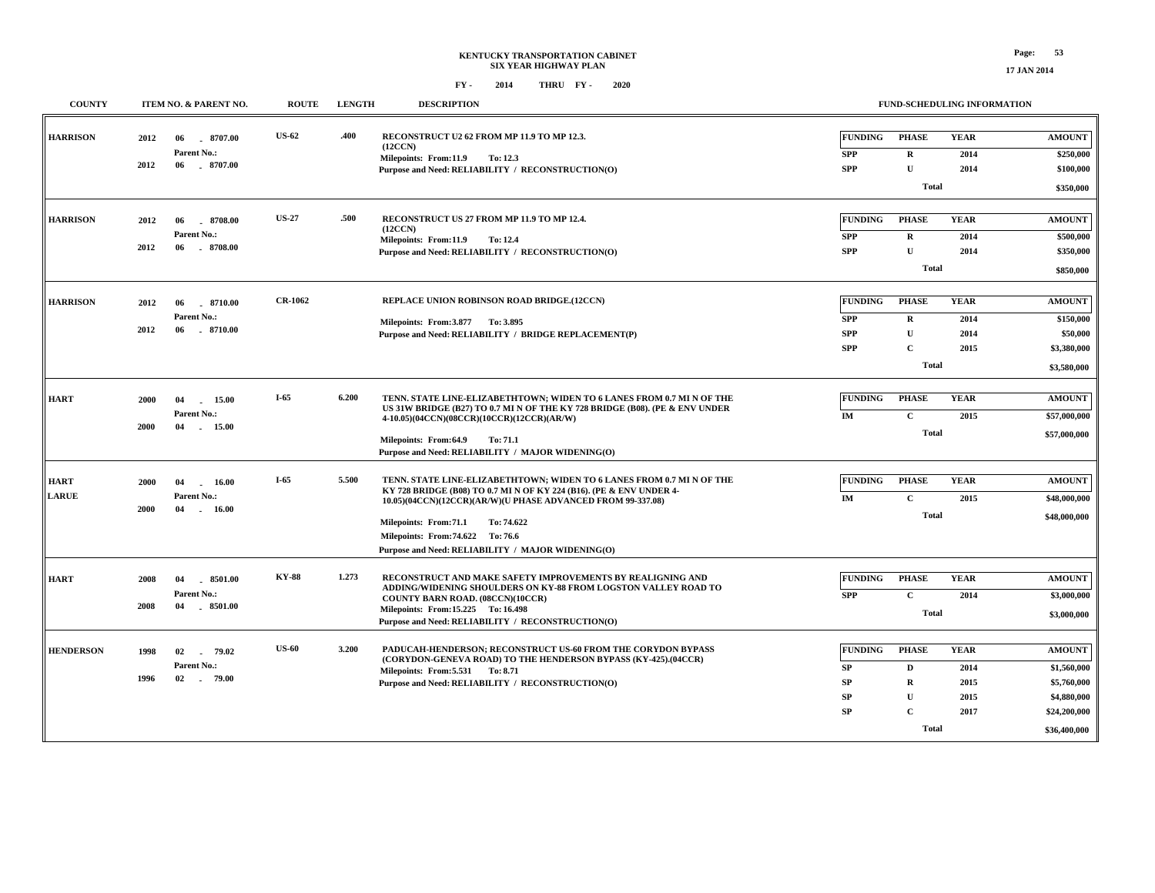| <b>COUNTY</b>        | ITEM NO. & PARENT NO.                                                      | <b>ROUTE</b>   | <b>LENGTH</b> | <b>DESCRIPTION</b>                                                                                                                                                                                                                                                                                                                           |                                                             |                                                                                   | <b>FUND-SCHEDULING INFORMATION</b>          |                                                                                            |
|----------------------|----------------------------------------------------------------------------|----------------|---------------|----------------------------------------------------------------------------------------------------------------------------------------------------------------------------------------------------------------------------------------------------------------------------------------------------------------------------------------------|-------------------------------------------------------------|-----------------------------------------------------------------------------------|---------------------------------------------|--------------------------------------------------------------------------------------------|
| <b>HARRISON</b>      | 2012<br>06<br>8707.00<br>Parent No.:<br>2012<br>$-8707.00$<br>06           | <b>US-62</b>   | .400          | RECONSTRUCT U2 62 FROM MP 11.9 TO MP 12.3.<br>(12CCN)<br>Milepoints: From:11.9<br>To: 12.3<br>Purpose and Need: RELIABILITY / RECONSTRUCTION(O)                                                                                                                                                                                              | <b>FUNDING</b><br><b>SPP</b><br><b>SPP</b>                  | <b>PHASE</b><br>$\mathbf R$<br>$\mathbf{U}$<br>Total                              | <b>YEAR</b><br>2014<br>2014                 | <b>AMOUNT</b><br>\$250,000<br>\$100,000<br>\$350,000                                       |
| <b>HARRISON</b>      | 2012<br>06<br>$-8708.00$<br>Parent No.:<br>2012<br>8708.00<br>06           | <b>US-27</b>   | .500          | RECONSTRUCT US 27 FROM MP 11.9 TO MP 12.4.<br>(12CCN)<br>Milepoints: From:11.9<br><b>To: 12.4</b><br>Purpose and Need: RELIABILITY / RECONSTRUCTION(O)                                                                                                                                                                                       | <b>FUNDING</b><br><b>SPP</b><br><b>SPP</b>                  | <b>PHASE</b><br>$\mathbf R$<br>$\mathbf{U}$<br>Total                              | <b>YEAR</b><br>2014<br>2014                 | <b>AMOUNT</b><br>\$500,000<br>\$350,000<br>\$850,000                                       |
| <b>HARRISON</b>      | .8710.00<br>2012<br>06<br>Parent No.:<br>$-8710.00$<br>2012<br>06          | <b>CR-1062</b> |               | REPLACE UNION ROBINSON ROAD BRIDGE.(12CCN)<br>Milepoints: From: 3.877 To: 3.895<br>Purpose and Need: RELIABILITY / BRIDGE REPLACEMENT(P)                                                                                                                                                                                                     | <b>FUNDING</b><br><b>SPP</b><br><b>SPP</b><br><b>SPP</b>    | <b>PHASE</b><br>$\mathbf R$<br>$\mathbf U$<br>$\mathbf C$<br><b>Total</b>         | <b>YEAR</b><br>2014<br>2014<br>2015         | <b>AMOUNT</b><br>\$150,000<br>\$50,000<br>\$3,380,000<br>\$3,580,000                       |
| <b>HART</b>          | 15.00<br>2000<br>04<br>Parent No.:<br>2000<br>04<br>15.00                  | $I-65$         | 6.200         | TENN. STATE LINE-ELIZABETHTOWN; WIDEN TO 6 LANES FROM 0.7 MI N OF THE<br>US 31W BRIDGE (B27) TO 0.7 MI N OF THE KY 728 BRIDGE (B08). (PE & ENV UNDER<br>4-10.05)(04CCN)(08CCR)(10CCR)(12CCR)(AR/W)<br>Milepoints: From:64.9<br>To: 71.1<br>Purpose and Need: RELIABILITY / MAJOR WIDENING(O)                                                 | <b>FUNDING</b><br>IM                                        | <b>PHASE</b><br>$\mathbf C$<br><b>Total</b>                                       | <b>YEAR</b><br>2015                         | <b>AMOUNT</b><br>\$57,000,000<br>\$57,000,000                                              |
| HART<br><b>LARUE</b> | <b>2000</b><br>04<br>16.00<br>Parent No.:<br>2000<br>04<br>16.00<br>$\sim$ | $I-65$         | 5.500         | TENN. STATE LINE-ELIZABETHTOWN: WIDEN TO 6 LANES FROM 0.7 MI N OF THE<br>KY 728 BRIDGE (B08) TO 0.7 MI N OF KY 224 (B16). (PE & ENV UNDER 4-<br>10.05)(04CCN)(12CCR)(AR/W)(U PHASE ADVANCED FROM 99-337.08)<br>Milepoints: From:71.1<br>To: 74.622<br>Milepoints: From: 74.622 To: 76.6<br>Purpose and Need: RELIABILITY / MAJOR WIDENING(O) | <b>FUNDING</b><br>IM                                        | <b>PHASE</b><br>$\mathbf C$<br>Total                                              | <b>YEAR</b><br>2015                         | <b>AMOUNT</b><br>\$48,000,000<br>\$48,000,000                                              |
| <b>HART</b>          | 2008<br>04<br>8501.00<br>Parent No.:<br>$-8501.00$<br>2008<br>04           | <b>KY-88</b>   | 1.273         | RECONSTRUCT AND MAKE SAFETY IMPROVEMENTS BY REALIGNING AND<br>ADDING/WIDENING SHOULDERS ON KY-88 FROM LOGSTON VALLEY ROAD TO<br>COUNTY BARN ROAD. (08CCN)(10CCR)<br>Milepoints: From:15.225 To: 16.498<br>Purpose and Need: RELIABILITY / RECONSTRUCTION(O)                                                                                  | <b>FUNDING</b><br><b>SPP</b>                                | <b>PHASE</b><br>$\mathbf C$<br>Total                                              | <b>YEAR</b><br>2014                         | <b>AMOUNT</b><br>\$3,000,000<br>\$3,000,000                                                |
| <b>HENDERSON</b>     | 1998<br>02<br>79.02<br>$\sim$<br>Parent No.:<br>02<br>1996<br>79.00        | <b>US-60</b>   | 3.200         | PADUCAH-HENDERSON; RECONSTRUCT US-60 FROM THE CORYDON BYPASS<br>(CORYDON-GENEVA ROAD) TO THE HENDERSON BYPASS (KY-425).(04CCR)<br>Milepoints: From: 5.531 To: 8.71<br>Purpose and Need: RELIABILITY / RECONSTRUCTION(O)                                                                                                                      | <b>FUNDING</b><br>SP<br><b>SP</b><br><b>SP</b><br><b>SP</b> | <b>PHASE</b><br>$\mathbf D$<br>$\mathbf R$<br>$\mathbf U$<br>$\mathbf C$<br>Total | <b>YEAR</b><br>2014<br>2015<br>2015<br>2017 | <b>AMOUNT</b><br>\$1,560,000<br>\$5,760,000<br>\$4,880,000<br>\$24,200,000<br>\$36,400,000 |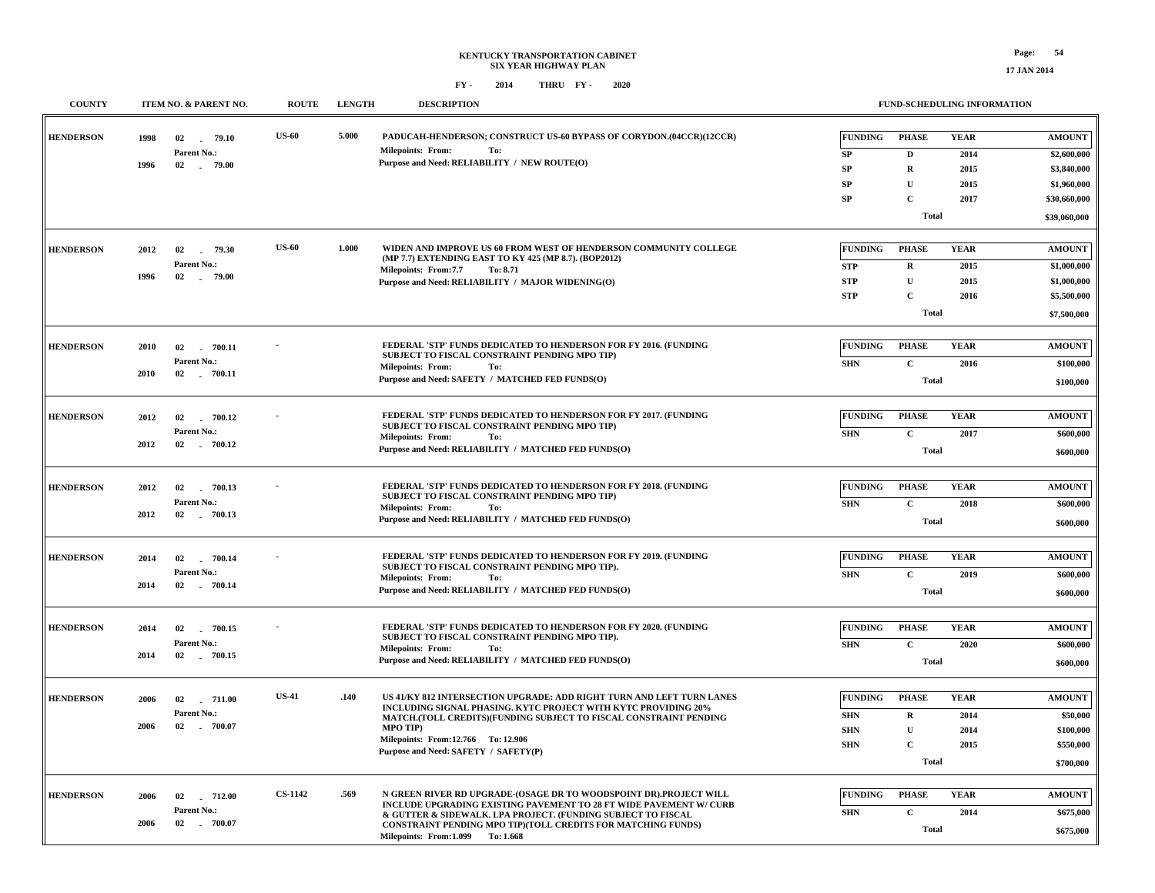| <b>COUNTY</b>    |      | ITEM NO. & PARENT NO.        | <b>ROUTE</b>   | <b>LENGTH</b> | <b>DESCRIPTION</b>                                                                                                                      |                | FUND-SCHEDULING INFORMATION |             |               |
|------------------|------|------------------------------|----------------|---------------|-----------------------------------------------------------------------------------------------------------------------------------------|----------------|-----------------------------|-------------|---------------|
| <b>HENDERSON</b> | 1998 | 79.10<br>02<br>Parent No.:   | <b>US-60</b>   | 5.000         | PADUCAH-HENDERSON; CONSTRUCT US-60 BYPASS OF CORYDON.(04CCR)(12CCR)<br><b>Milepoints: From:</b><br>To:                                  | <b>FUNDING</b> | <b>PHASE</b>                | <b>YEAR</b> | <b>AMOUNT</b> |
|                  | 1996 | 02 79.00                     |                |               | Purpose and Need: RELIABILITY / NEW ROUTE(O)                                                                                            | SP             | $\mathbf D$                 | 2014        | \$2,600,000   |
|                  |      |                              |                |               |                                                                                                                                         | SP             | $\mathbf R$                 | 2015        | \$3,840,000   |
|                  |      |                              |                |               |                                                                                                                                         | SP             | $\mathbf{U}$                | 2015        | \$1,960,000   |
|                  |      |                              |                |               |                                                                                                                                         | SP             | $\mathbf C$                 | 2017        | \$30,660,000  |
|                  |      |                              |                |               |                                                                                                                                         |                | <b>Total</b>                |             | \$39,060,000  |
|                  |      |                              | <b>US-60</b>   | 1.000         | WIDEN AND IMPROVE US 60 FROM WEST OF HENDERSON COMMUNITY COLLEGE                                                                        | <b>FUNDING</b> | <b>PHASE</b>                | <b>YEAR</b> |               |
| <b>HENDERSON</b> | 2012 | 02 79.30                     |                |               | (MP 7.7) EXTENDING EAST TO KY 425 (MP 8.7). (BOP2012)                                                                                   |                |                             |             | <b>AMOUNT</b> |
|                  | 1996 | Parent No.:<br>02<br>. 79.00 |                |               | Milepoints: From:7.7<br>To: 8.71                                                                                                        | <b>STP</b>     | $\bf R$                     | 2015        | \$1,000,000   |
|                  |      |                              |                |               | Purpose and Need: RELIABILITY / MAJOR WIDENING(O)                                                                                       | <b>STP</b>     | $\mathbf U$                 | 2015        | \$1,000,000   |
|                  |      |                              |                |               |                                                                                                                                         | <b>STP</b>     | $\mathbf C$                 | 2016        | \$5,500,000   |
|                  |      |                              |                |               |                                                                                                                                         |                | <b>Total</b>                |             | \$7,500,000   |
|                  |      |                              |                |               | FEDERAL 'STP' FUNDS DEDICATED TO HENDERSON FOR FY 2016. (FUNDING                                                                        | FUNDING        | <b>PHASE</b>                | <b>YEAR</b> | <b>AMOUNT</b> |
| <b>HENDERSON</b> | 2010 | 02<br>700.11<br>Parent No.:  |                |               | SUBJECT TO FISCAL CONSTRAINT PENDING MPO TIP)                                                                                           |                | $\mathbf C$                 |             |               |
|                  | 2010 | 02 700.11                    |                |               | <b>Milepoints: From:</b><br>To:<br>Purpose and Need: SAFETY / MATCHED FED FUNDS(O)                                                      | <b>SHN</b>     |                             | 2016        | \$100,000     |
|                  |      |                              |                |               |                                                                                                                                         |                | Total                       |             | \$100,000     |
| <b>HENDERSON</b> |      |                              |                |               | FEDERAL 'STP' FUNDS DEDICATED TO HENDERSON FOR FY 2017. (FUNDING                                                                        | FUNDING        | <b>PHASE</b>                | <b>YEAR</b> | <b>AMOUNT</b> |
|                  | 2012 | 02<br>700.12<br>Parent No.:  |                |               | SUBJECT TO FISCAL CONSTRAINT PENDING MPO TIP)                                                                                           |                |                             |             |               |
|                  | 2012 | 02 . 700.12                  |                |               | <b>Milepoints: From:</b><br>To:                                                                                                         | <b>SHN</b>     | $\mathbf C$                 | 2017        | \$600,000     |
|                  |      |                              |                |               | Purpose and Need: RELIABILITY / MATCHED FED FUNDS(O)                                                                                    |                | <b>Total</b>                |             | \$600,000     |
|                  |      |                              |                |               |                                                                                                                                         |                |                             |             |               |
| <b>HENDERSON</b> | 2012 | 02<br>700.13                 |                |               | FEDERAL 'STP' FUNDS DEDICATED TO HENDERSON FOR FY 2018. (FUNDING<br>SUBJECT TO FISCAL CONSTRAINT PENDING MPO TIP)                       | FUNDING        | <b>PHASE</b>                | <b>YEAR</b> | <b>AMOUNT</b> |
|                  |      | Parent No.:                  |                |               | Milepoints: From:<br>To:                                                                                                                | <b>SHN</b>     | $\mathbf C$                 | 2018        | \$600,000     |
|                  | 2012 | 02 700.13                    |                |               | Purpose and Need: RELIABILITY / MATCHED FED FUNDS(O)                                                                                    |                | <b>Total</b>                |             | \$600,000     |
|                  |      |                              |                |               |                                                                                                                                         |                |                             |             |               |
| <b>HENDERSON</b> | 2014 | 02<br>700.14                 |                |               | FEDERAL 'STP' FUNDS DEDICATED TO HENDERSON FOR FY 2019. (FUNDING                                                                        | <b>FUNDING</b> | <b>PHASE</b>                | <b>YEAR</b> | <b>AMOUNT</b> |
|                  |      | <b>Parent No.:</b>           |                |               | SUBJECT TO FISCAL CONSTRAINT PENDING MPO TIP).<br><b>Milepoints: From:</b><br>To:                                                       | <b>SHN</b>     | $\mathbf C$                 | 2019        | \$600,000     |
|                  | 2014 | 02 700.14                    |                |               | Purpose and Need: RELIABILITY / MATCHED FED FUNDS(O)                                                                                    |                | <b>Total</b>                |             | \$600,000     |
|                  |      |                              |                |               |                                                                                                                                         |                |                             |             |               |
| <b>HENDERSON</b> | 2014 | 02 700.15                    |                |               | FEDERAL 'STP' FUNDS DEDICATED TO HENDERSON FOR FY 2020. (FUNDING<br>SUBJECT TO FISCAL CONSTRAINT PENDING MPO TIP).                      | <b>FUNDING</b> | <b>PHASE</b>                | <b>YEAR</b> | <b>AMOUNT</b> |
|                  |      | Parent No.:                  |                |               | <b>Milepoints: From:</b><br>To:                                                                                                         | <b>SHN</b>     | $\mathbf C$                 | 2020        | \$600,000     |
|                  | 2014 | 02 700.15                    |                |               | Purpose and Need: RELIABILITY / MATCHED FED FUNDS(O)                                                                                    |                | <b>Total</b>                |             | \$600,000     |
|                  |      |                              |                |               |                                                                                                                                         |                |                             |             |               |
| <b>HENDERSON</b> | 2006 | 02 711.00                    | <b>US-41</b>   | .140          | US 41/KY 812 INTERSECTION UPGRADE: ADD RIGHT TURN AND LEFT TURN LANES<br>INCLUDING SIGNAL PHASING. KYTC PROJECT WITH KYTC PROVIDING 20% | <b>FUNDING</b> | <b>PHASE</b>                | <b>YEAR</b> | <b>AMOUNT</b> |
|                  |      | Parent No.:                  |                |               | MATCH.(TOLL CREDITS)(FUNDING SUBJECT TO FISCAL CONSTRAINT PENDING                                                                       | <b>SHN</b>     | $\mathbf R$                 | 2014        | \$50,000      |
|                  | 2006 | 02<br>$-700.07$              |                |               | MPO TIP)                                                                                                                                | <b>SHN</b>     | $\mathbf U$                 | 2014        | \$100,000     |
|                  |      |                              |                |               | Milepoints: From:12.766 To: 12.906<br>Purpose and Need: SAFETY / SAFETY(P)                                                              | <b>SHN</b>     | $\mathbf C$                 | 2015        | \$550,000     |
|                  |      |                              |                |               |                                                                                                                                         |                | <b>Total</b>                |             | \$700,000     |
|                  |      |                              |                |               |                                                                                                                                         |                |                             |             |               |
| <b>HENDERSON</b> | 2006 | 712.00<br>02                 | <b>CS-1142</b> | .569          | N GREEN RIVER RD UPGRADE-(OSAGE DR TO WOODSPOINT DR).PROJECT WILL<br>INCLUDE UPGRADING EXISTING PAVEMENT TO 28 FT WIDE PAVEMENT W/ CURB | <b>FUNDING</b> | <b>PHASE</b>                | <b>YEAR</b> | <b>AMOUNT</b> |
|                  |      | Parent No.:                  |                |               | & GUTTER & SIDEWALK. LPA PROJECT. (FUNDING SUBJECT TO FISCAL                                                                            | <b>SHN</b>     | $\mathbf C$                 | 2014        | \$675,000     |
|                  | 2006 | 02 700.07                    |                |               | CONSTRAINT PENDING MPO TIP)(TOLL CREDITS FOR MATCHING FUNDS)<br>Milepoints: From: 1.099 To: 1.668                                       |                | Total                       |             | \$675,000     |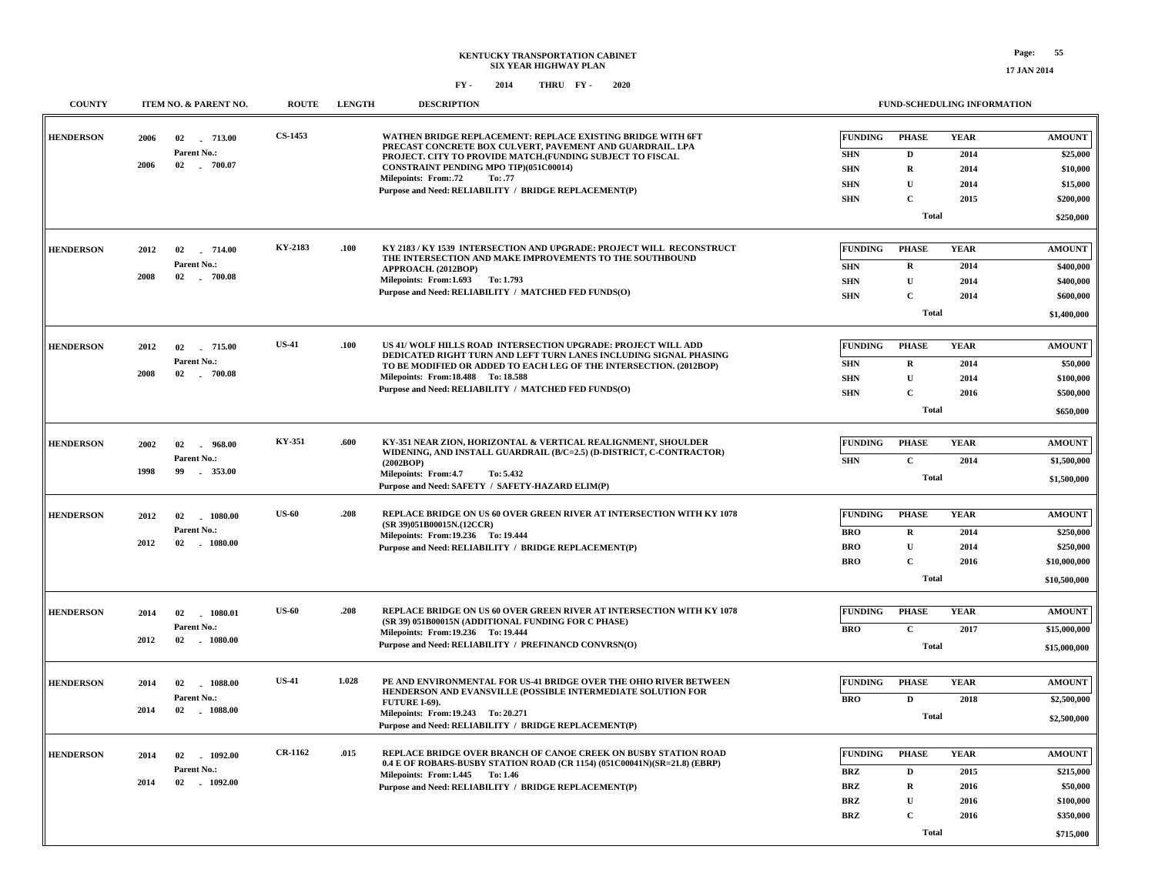| <b>COUNTY</b>    | ITEM NO. & PARENT NO.               | <b>ROUTE</b>   | <b>LENGTH</b> | <b>DESCRIPTION</b>                                                                                                                           |                          |                            | <b>FUND-SCHEDULING INFORMATION</b> |                        |
|------------------|-------------------------------------|----------------|---------------|----------------------------------------------------------------------------------------------------------------------------------------------|--------------------------|----------------------------|------------------------------------|------------------------|
| <b>HENDERSON</b> | 2006<br>02 713.00                   | <b>CS-1453</b> |               | WATHEN BRIDGE REPLACEMENT: REPLACE EXISTING BRIDGE WITH 6FT<br>PRECAST CONCRETE BOX CULVERT, PAVEMENT AND GUARDRAIL, LPA                     | <b>FUNDING</b>           | <b>PHASE</b>               | <b>YEAR</b>                        | <b>AMOUNT</b>          |
|                  | Parent No.:                         |                |               | PROJECT. CITY TO PROVIDE MATCH.(FUNDING SUBJECT TO FISCAL                                                                                    | <b>SHN</b>               | $\mathbf D$                | 2014                               | \$25,000               |
|                  | 2006<br>02 . 700.07                 |                |               | CONSTRAINT PENDING MPO TIP)(051C00014)<br><b>Milepoints: From:.72</b><br>To: .77                                                             | <b>SHN</b>               | $\mathbf R$                | 2014                               | \$10,000               |
|                  |                                     |                |               | Purpose and Need: RELIABILITY / BRIDGE REPLACEMENT(P)                                                                                        | <b>SHN</b>               | $\mathbf{U}$               | 2014                               | \$15,000               |
|                  |                                     |                |               |                                                                                                                                              | <b>SHN</b>               | $\mathbf C$                | 2015                               | \$200,000              |
|                  |                                     |                |               |                                                                                                                                              |                          | <b>Total</b>               |                                    | \$250,000              |
| <b>HENDERSON</b> | 2012<br>02<br>714.00                | KY-2183        | .100          | KY 2183 / KY 1539 INTERSECTION AND UPGRADE: PROJECT WILL RECONSTRUCT                                                                         | <b>FUNDING</b>           | <b>PHASE</b>               | <b>YEAR</b>                        | <b>AMOUNT</b>          |
|                  | Parent No.:                         |                |               | THE INTERSECTION AND MAKE IMPROVEMENTS TO THE SOUTHBOUND<br>APPROACH. (2012BOP)                                                              | <b>SHN</b>               | $\mathbf R$                | 2014                               | \$400,000              |
|                  | 2008<br>02<br>$-700.08$             |                |               | Milepoints: From: 1.693 To: 1.793                                                                                                            | <b>SHN</b>               | $\mathbf{U}$               | 2014                               | \$400,000              |
|                  |                                     |                |               | Purpose and Need: RELIABILITY / MATCHED FED FUNDS(O)                                                                                         | <b>SHN</b>               | $\mathbf C$                | 2014                               | \$600,000              |
|                  |                                     |                |               |                                                                                                                                              |                          | \$1,400,000                |                                    |                        |
|                  |                                     | <b>US-41</b>   | .100          | US 41/ WOLF HILLS ROAD INTERSECTION UPGRADE: PROJECT WILL ADD                                                                                | <b>FUNDING</b>           | <b>PHASE</b>               | <b>YEAR</b>                        | <b>AMOUNT</b>          |
| <b>HENDERSON</b> | 2012<br>02<br>715.00<br>Parent No.: |                |               | DEDICATED RIGHT TURN AND LEFT TURN LANES INCLUDING SIGNAL PHASING                                                                            |                          |                            |                                    |                        |
|                  | 2008<br>02<br>$-700.08$             |                |               | TO BE MODIFIED OR ADDED TO EACH LEG OF THE INTERSECTION. (2012BOP)<br>Milepoints: From: 18.488 To: 18.588                                    | <b>SHN</b>               | $\mathbf R$<br>$\mathbf U$ | 2014                               | \$50,000               |
|                  |                                     |                |               | Purpose and Need: RELIABILITY / MATCHED FED FUNDS(O)                                                                                         | <b>SHN</b><br><b>SHN</b> | $\mathbf C$                | 2014<br>2016                       | \$100,000<br>\$500,000 |
|                  |                                     |                |               |                                                                                                                                              |                          | <b>Total</b>               |                                    | \$650,000              |
|                  |                                     |                |               |                                                                                                                                              |                          |                            |                                    |                        |
| <b>HENDERSON</b> | 2002<br>02<br>$-968.00$             | KY-351         | .600          | KY-351 NEAR ZION, HORIZONTAL & VERTICAL REALIGNMENT, SHOULDER<br>WIDENING, AND INSTALL GUARDRAIL (B/C=2.5) (D-DISTRICT, C-CONTRACTOR)        | <b>FUNDING</b>           | <b>PHASE</b>               | <b>YEAR</b>                        | <b>AMOUNT</b>          |
|                  | Parent No.:                         |                |               | (2002BOP)                                                                                                                                    | <b>SHN</b>               | $\mathbf C$                | 2014                               | \$1,500,000            |
|                  | 1998<br>99<br>353.00                |                |               | Milepoints: From:4.7<br>To: 5.432                                                                                                            |                          | <b>Total</b>               |                                    | \$1,500,000            |
|                  |                                     |                |               | Purpose and Need: SAFETY / SAFETY-HAZARD ELIM(P)                                                                                             |                          |                            |                                    |                        |
| <b>HENDERSON</b> | $-1080.00$<br>2012<br>02            | <b>US-60</b>   | .208          | REPLACE BRIDGE ON US 60 OVER GREEN RIVER AT INTERSECTION WITH KY 1078                                                                        | <b>FUNDING</b>           | <b>PHASE</b>               | <b>YEAR</b>                        | <b>AMOUNT</b>          |
|                  | Parent No.:                         |                |               | (SR 39)051B00015N.(12CCR)<br>Milepoints: From: 19.236 To: 19.444                                                                             | <b>BRO</b>               | $\mathbf R$                | 2014                               | \$250,000              |
|                  | 2012<br>02<br>$-1080.00$            |                |               | Purpose and Need: RELIABILITY / BRIDGE REPLACEMENT(P)                                                                                        | <b>BRO</b>               | $\mathbf U$                | 2014                               | \$250,000              |
|                  |                                     |                |               |                                                                                                                                              | <b>BRO</b>               | $\mathbf C$                | 2016                               | \$10,000,000           |
|                  |                                     |                |               |                                                                                                                                              |                          | <b>Total</b>               |                                    | \$10,500,000           |
| <b>HENDERSON</b> | 02 1080.01<br>2014                  | <b>US-60</b>   | .208          | REPLACE BRIDGE ON US 60 OVER GREEN RIVER AT INTERSECTION WITH KY 1078                                                                        | <b>FUNDING</b>           | <b>PHASE</b>               | <b>YEAR</b>                        | <b>AMOUNT</b>          |
|                  | Parent No.:                         |                |               | (SR 39) 051B00015N (ADDITIONAL FUNDING FOR C PHASE)                                                                                          | <b>BRO</b>               | $\mathbf C$                | 2017                               | \$15,000,000           |
|                  | 2012<br>02 1080.00                  |                |               | Milepoints: From: 19.236 To: 19.444<br>Purpose and Need: RELIABILITY / PREFINANCD CONVRSN(O)                                                 |                          |                            |                                    |                        |
|                  |                                     |                |               |                                                                                                                                              |                          | <b>Total</b>               |                                    | \$15,000,000           |
| <b>HENDERSON</b> | 1088.00<br>2014<br>02               | <b>US-41</b>   | 1.028         | PE AND ENVIRONMENTAL FOR US-41 BRIDGE OVER THE OHIO RIVER BETWEEN                                                                            | <b>FUNDING</b>           | <b>PHASE</b>               | <b>YEAR</b>                        | <b>AMOUNT</b>          |
|                  | Parent No.:                         |                |               | HENDERSON AND EVANSVILLE (POSSIBLE INTERMEDIATE SOLUTION FOR<br>FUTURE I-69).                                                                | <b>BRO</b>               | $\mathbf{D}$               | 2018                               | \$2,500,000            |
|                  | 2014<br>02<br>$-1088.00$            |                |               | Milepoints: From: 19.243 To: 20.271<br>Purpose and Need: RELIABILITY / BRIDGE REPLACEMENT(P)                                                 |                          | <b>Total</b>               |                                    | \$2,500,000            |
|                  |                                     |                |               |                                                                                                                                              |                          |                            |                                    |                        |
| <b>HENDERSON</b> | 2014<br>02<br>1092.00               | <b>CR-1162</b> | .015          | REPLACE BRIDGE OVER BRANCH OF CANOE CREEK ON BUSBY STATION ROAD<br>0.4 E OF ROBARS-BUSBY STATION ROAD (CR 1154) (051C00041N)(SR=21.8) (EBRP) | <b>FUNDING</b>           | <b>PHASE</b>               | <b>YEAR</b>                        | <b>AMOUNT</b>          |
|                  | Parent No.:<br>2014<br>02 1092.00   |                |               | Milepoints: From:1.445 To:1.46                                                                                                               | <b>BRZ</b>               | $\mathbf{D}$               | 2015                               | \$215,000              |
|                  |                                     |                |               | Purpose and Need: RELIABILITY / BRIDGE REPLACEMENT(P)                                                                                        | <b>BRZ</b>               | $\mathbf R$                | 2016                               | \$50,000               |
|                  |                                     |                |               |                                                                                                                                              | <b>BRZ</b>               | $\mathbf U$                | 2016                               | \$100,000              |
|                  |                                     |                |               |                                                                                                                                              | <b>BRZ</b>               | $\mathbf{C}$               | 2016                               | \$350,000              |
|                  |                                     |                |               |                                                                                                                                              |                          | <b>Total</b>               |                                    | \$715,000              |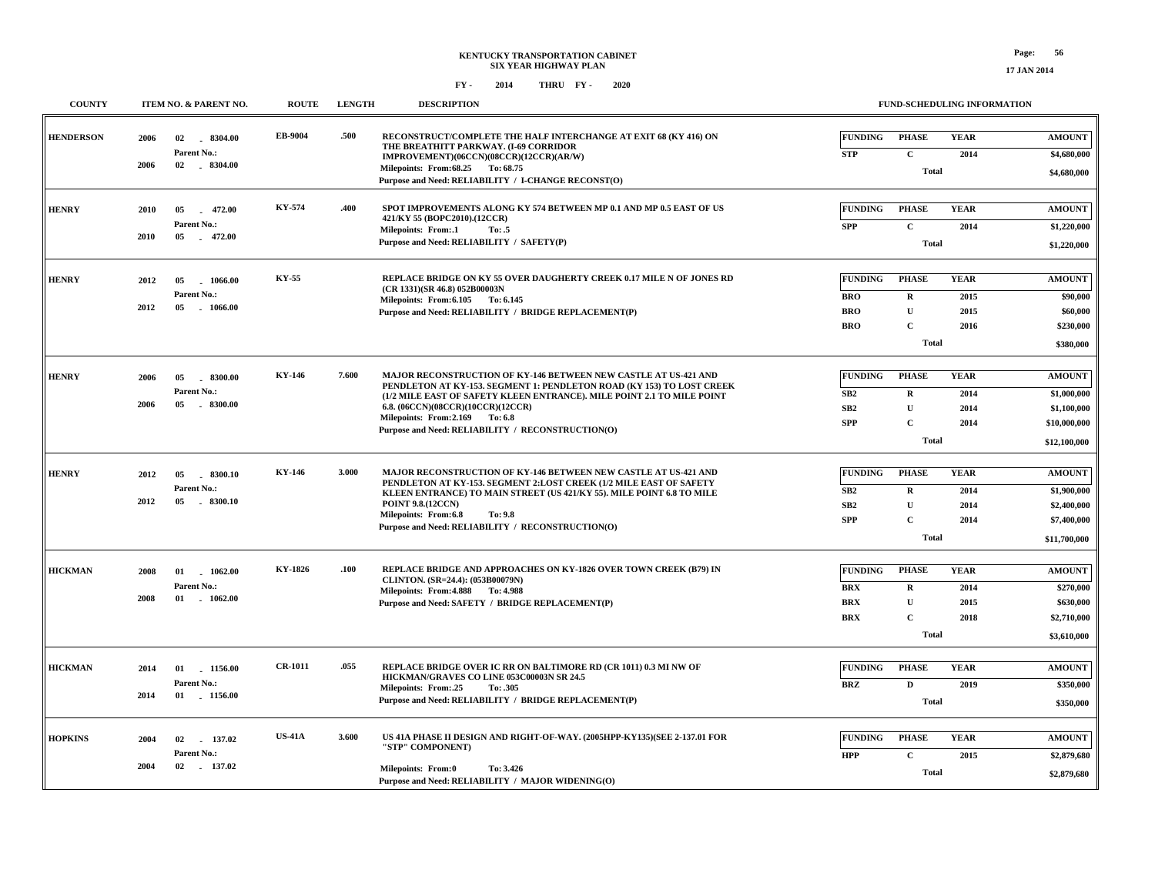| <b>COUNTY</b>    |              | <b>ITEM NO. &amp; PARENT NO.</b>                      | <b>ROUTE</b>   | <b>LENGTH</b> | <b>DESCRIPTION</b>                                                                                                                                                                                                                                                                                                                                |                                                          |                                                                             | <b>FUND-SCHEDULING INFORMATION</b>  |                                                                             |
|------------------|--------------|-------------------------------------------------------|----------------|---------------|---------------------------------------------------------------------------------------------------------------------------------------------------------------------------------------------------------------------------------------------------------------------------------------------------------------------------------------------------|----------------------------------------------------------|-----------------------------------------------------------------------------|-------------------------------------|-----------------------------------------------------------------------------|
| <b>HENDERSON</b> | 2006<br>2006 | 02<br>$-8304.00$<br>Parent No.:<br>02 . 8304.00       | EB-9004        | .500          | RECONSTRUCT/COMPLETE THE HALF INTERCHANGE AT EXIT 68 (KY 416) ON<br>THE BREATHITT PARKWAY. (I-69 CORRIDOR<br>IMPROVEMENT)(06CCN)(08CCR)(12CCR)(AR/W)                                                                                                                                                                                              | <b>FUNDING</b><br><b>STP</b>                             | <b>PHASE</b><br>$\mathbf c$                                                 | <b>YEAR</b><br>2014                 | <b>AMOUNT</b><br>\$4,680,000                                                |
|                  |              |                                                       |                |               | Milepoints: From: 68.25 To: 68.75<br>Purpose and Need: RELIABILITY / I-CHANGE RECONST(O)                                                                                                                                                                                                                                                          |                                                          | <b>Total</b>                                                                |                                     | \$4,680,000                                                                 |
| <b>HENRY</b>     | 2010<br>2010 | 05<br>472.00<br>$\sim$<br>Parent No.:<br>472.00<br>05 | KY-574         | .400          | SPOT IMPROVEMENTS ALONG KY 574 BETWEEN MP 0.1 AND MP 0.5 EAST OF US<br>421/KY 55 (BOPC2010).(12CCR)<br><b>Milepoints: From:.1</b><br>To: .5<br>Purpose and Need: RELIABILITY / SAFETY(P)                                                                                                                                                          | <b>FUNDING</b><br><b>SPP</b>                             | <b>PHASE</b><br>$\mathbf{C}$<br><b>Total</b>                                | <b>YEAR</b><br>2014                 | <b>AMOUNT</b><br>\$1,220,000<br>\$1,220,000                                 |
| <b>HENRY</b>     | 2012<br>2012 | 1066.00<br>05<br>Parent No.:<br>$-1066.00$<br>05      | KY-55          |               | REPLACE BRIDGE ON KY 55 OVER DAUGHERTY CREEK 0.17 MILE N OF JONES RD<br>(CR 1331)(SR 46.8) 052B00003N<br>Milepoints: From: 6.105 To: 6.145<br>Purpose and Need: RELIABILITY / BRIDGE REPLACEMENT(P)                                                                                                                                               | <b>FUNDING</b><br><b>BRO</b><br><b>BRO</b><br><b>BRO</b> | <b>PHASE</b><br>$\mathbf R$<br>$\mathbf U$<br>$\mathbf C$<br><b>Total</b>   | <b>YEAR</b><br>2015<br>2015<br>2016 | <b>AMOUNT</b><br>\$90,000<br>\$60,000<br>\$230,000<br>\$380,000             |
| <b>HENRY</b>     | 2006<br>2006 | 05<br>$-8300.00$<br>Parent No.:<br>$-8300.00$<br>05   | KY-146         | 7.600         | MAJOR RECONSTRUCTION OF KY-146 BETWEEN NEW CASTLE AT US-421 AND<br>PENDLETON AT KY-153. SEGMENT 1: PENDLETON ROAD (KY 153) TO LOST CREEK<br>(1/2 MILE EAST OF SAFETY KLEEN ENTRANCE). MILE POINT 2.1 TO MILE POINT<br>6.8. (06CCN)(08CCR)(10CCR)(12CCR)<br>Milepoints: From:2.169<br>To: 6.8<br>Purpose and Need: RELIABILITY / RECONSTRUCTION(O) | <b>FUNDING</b><br>SB2<br>SB2<br><b>SPP</b>               | <b>PHASE</b><br>$\mathbf R$<br>$\mathbf{U}$<br>$\mathbf{C}$<br><b>Total</b> | <b>YEAR</b><br>2014<br>2014<br>2014 | <b>AMOUNT</b><br>\$1,000,000<br>\$1,100,000<br>\$10,000,000<br>\$12,100,000 |
| <b>HENRY</b>     | 2012<br>2012 | .8300.10<br>05<br>Parent No.:<br>05<br>$-8300.10$     | KY-146         | 3.000         | MAJOR RECONSTRUCTION OF KY-146 BETWEEN NEW CASTLE AT US-421 AND<br>PENDLETON AT KY-153. SEGMENT 2:LOST CREEK (1/2 MILE EAST OF SAFETY<br>KLEEN ENTRANCE) TO MAIN STREET (US 421/KY 55). MILE POINT 6.8 TO MILE<br><b>POINT 9.8.(12CCN)</b><br>Milepoints: From:6.8<br>To: 9.8<br>Purpose and Need: RELIABILITY / RECONSTRUCTION(O)                | <b>FUNDING</b><br>SB2<br>SB2<br><b>SPP</b>               | <b>PHASE</b><br>$\mathbf R$<br>$\mathbf{U}$<br>$\mathbf C$<br><b>Total</b>  | <b>YEAR</b><br>2014<br>2014<br>2014 | <b>AMOUNT</b><br>\$1,900,000<br>\$2,400,000<br>\$7,400,000<br>\$11,700,000  |
| <b>HICKMAN</b>   | 2008<br>2008 | 01 1062.00<br>Parent No.:<br>01<br>1062.00            | KY-1826        | .100          | REPLACE BRIDGE AND APPROACHES ON KY-1826 OVER TOWN CREEK (B79) IN<br>CLINTON. (SR=24.4): (053B00079N)<br>Milepoints: From: 4.888 To: 4.988<br>Purpose and Need: SAFETY / BRIDGE REPLACEMENT(P)                                                                                                                                                    | <b>FUNDING</b><br><b>BRX</b><br><b>BRX</b><br><b>BRX</b> | <b>PHASE</b><br>$\mathbf R$<br>$\mathbf U$<br>$\mathbf C$<br><b>Total</b>   | <b>YEAR</b><br>2014<br>2015<br>2018 | <b>AMOUNT</b><br>\$270,000<br>\$630,000<br>\$2,710,000<br>\$3,610,000       |
| <b>HICKMAN</b>   | 2014<br>2014 | 01<br>1156.00<br>Parent No.:<br>01 1156.00            | <b>CR-1011</b> | .055          | REPLACE BRIDGE OVER IC RR ON BALTIMORE RD (CR 1011) 0.3 MI NW OF<br>HICKMAN/GRAVES CO LINE 053C00003N SR 24.5<br>Milepoints: From:.25<br>To: .305<br>Purpose and Need: RELIABILITY / BRIDGE REPLACEMENT(P)                                                                                                                                        | <b>FUNDING</b><br><b>BRZ</b>                             | <b>PHASE</b><br>$\mathbf D$<br><b>Total</b>                                 | <b>YEAR</b><br>2019                 | <b>AMOUNT</b><br>\$350,000<br>\$350,000                                     |
| <b>HOPKINS</b>   | 2004<br>2004 | 137.02<br>02<br>Parent No.:<br>$-137.02$<br>02        | <b>US-41A</b>  | 3.600         | US 41A PHASE II DESIGN AND RIGHT-OF-WAY. (2005HPP-KY135)(SEE 2-137.01 FOR<br>"STP" COMPONENT)<br>Milepoints: From:0<br>To: 3.426<br>Purpose and Need: RELIABILITY / MAJOR WIDENING(O)                                                                                                                                                             | <b>FUNDING</b><br><b>HPP</b>                             | <b>PHASE</b><br>$\mathbf{C}$<br><b>Total</b>                                | <b>YEAR</b><br>2015                 | <b>AMOUNT</b><br>\$2,879,680<br>\$2,879,680                                 |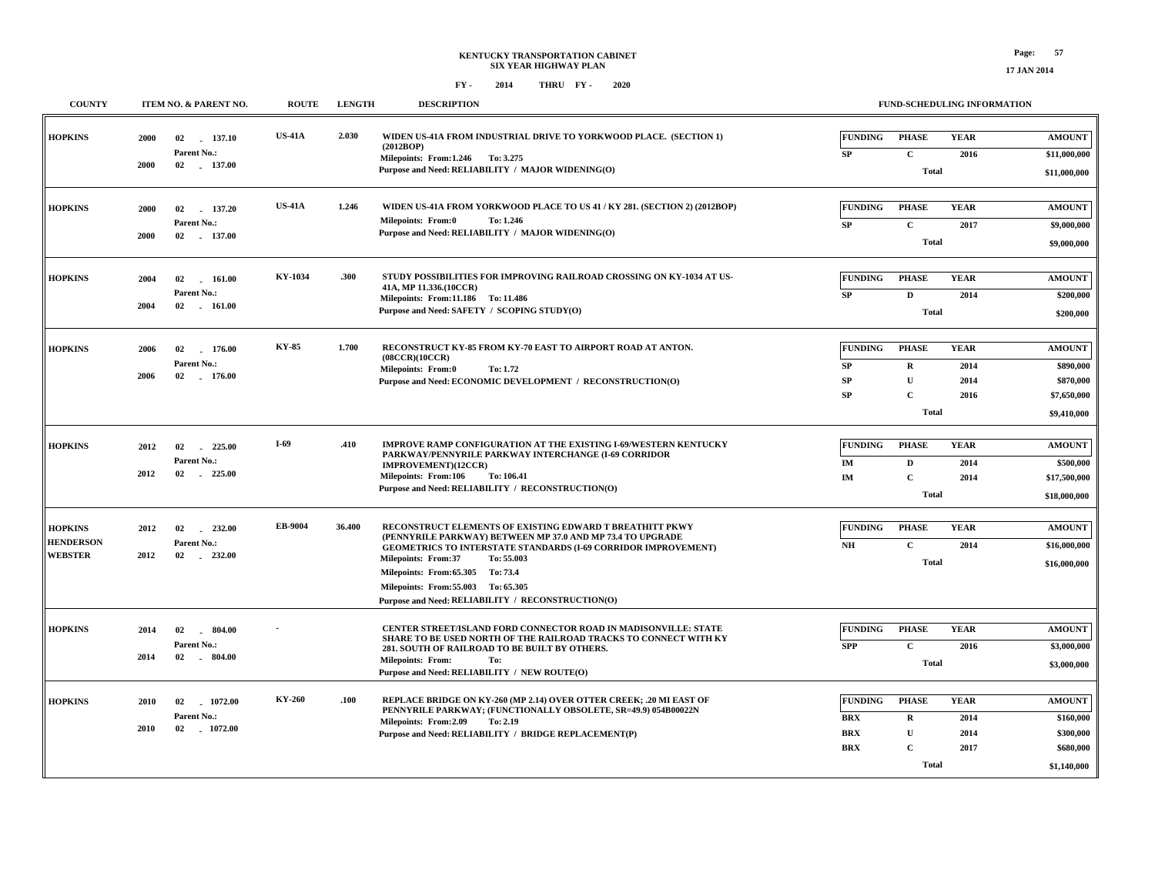| <b>COUNTY</b>                                        |                          | ITEM NO. & PARENT NO.                      | <b>ROUTE</b>  | <b>LENGTH</b> | <b>DESCRIPTION</b>                                                                                                                                                                                                                                                                                                                                                           |                                                          | <b>FUND-SCHEDULING INFORMATION</b>                                           |                                     |                                                                       |
|------------------------------------------------------|--------------------------|--------------------------------------------|---------------|---------------|------------------------------------------------------------------------------------------------------------------------------------------------------------------------------------------------------------------------------------------------------------------------------------------------------------------------------------------------------------------------------|----------------------------------------------------------|------------------------------------------------------------------------------|-------------------------------------|-----------------------------------------------------------------------|
| <b>HOPKINS</b>                                       | 2000<br>02<br>2000       | 137.10<br>Parent No.:<br>02 137.00         | <b>US-41A</b> | 2.030         | WIDEN US-41A FROM INDUSTRIAL DRIVE TO YORKWOOD PLACE. (SECTION 1)<br>(2012BOP)<br>Milepoints: From:1.246 To: 3.275<br>Purpose and Need: RELIABILITY / MAJOR WIDENING(O)                                                                                                                                                                                                      | <b>FUNDING</b><br>SP                                     | <b>PHASE</b><br>$\mathbf C$<br><b>Total</b>                                  | <b>YEAR</b><br>2016                 | <b>AMOUNT</b><br>\$11,000,000<br>\$11,000,000                         |
| <b>HOPKINS</b>                                       | 2000<br>02<br>2000       | 137.20<br>Parent No.:<br>02 137.00         | <b>US-41A</b> | 1.246         | WIDEN US-41A FROM YORKWOOD PLACE TO US 41 / KY 281. (SECTION 2) (2012BOP)<br>Milepoints: From:0<br>To: 1.246<br>Purpose and Need: RELIABILITY / MAJOR WIDENING(O)                                                                                                                                                                                                            | <b>FUNDING</b><br>SP                                     | <b>PHASE</b><br>$\mathbf{C}$<br><b>Total</b>                                 | <b>YEAR</b><br>2017                 | <b>AMOUNT</b><br>\$9,000,000<br>\$9,000,000                           |
| <b>HOPKINS</b>                                       | 2004<br>02<br>2004       | 161.00<br>Parent No.:<br>$02 \quad 161.00$ | KY-1034       | .300          | STUDY POSSIBILITIES FOR IMPROVING RAILROAD CROSSING ON KY-1034 AT US-<br>41A, MP 11.336.(10CCR)<br>Milepoints: From:11.186 To: 11.486<br>Purpose and Need: SAFETY / SCOPING STUDY(O)                                                                                                                                                                                         | <b>FUNDING</b><br>${\bf SP}$                             | <b>PHASE</b><br>$\mathbf D$<br><b>Total</b>                                  | <b>YEAR</b><br>2014                 | <b>AMOUNT</b><br>\$200,000<br>\$200,000                               |
| <b>HOPKINS</b>                                       | 02<br>2006<br>2006       | 176.00<br>Parent No.:<br>02 176.00         | KY-85         | 1.700         | RECONSTRUCT KY-85 FROM KY-70 EAST TO AIRPORT ROAD AT ANTON.<br>(08CCR)(10CCR)<br><b>Milepoints: From:0</b><br>To: 1.72<br>Purpose and Need: ECONOMIC DEVELOPMENT / RECONSTRUCTION(O)                                                                                                                                                                                         | <b>FUNDING</b><br><b>SP</b><br><b>SP</b><br><b>SP</b>    | <b>PHASE</b><br>$\mathbf R$<br>${\bf U}$<br>$\mathbf{C}$<br><b>Total</b>     | <b>YEAR</b><br>2014<br>2014<br>2016 | <b>AMOUNT</b><br>\$890,000<br>\$870,000<br>\$7,650,000<br>\$9,410,000 |
| <b>HOPKINS</b>                                       | 2012<br>02<br>2012<br>02 | 225.00<br>Parent No.:<br>225.00            | $I-69$        | .410          | <b>IMPROVE RAMP CONFIGURATION AT THE EXISTING I-69/WESTERN KENTUCKY</b><br>PARKWAY/PENNYRILE PARKWAY INTERCHANGE (I-69 CORRIDOR<br>IMPROVEMENT)(12CCR)<br><b>Milepoints: From:106</b><br>To: 106.41<br>Purpose and Need: RELIABILITY / RECONSTRUCTION(O)                                                                                                                     | <b>FUNDING</b><br>IM<br>IM                               | <b>PHASE</b><br>D<br>$\mathbf{C}$<br><b>Total</b>                            | <b>YEAR</b><br>2014<br>2014         | <b>AMOUNT</b><br>\$500,000<br>\$17,500,000<br>\$18,000,000            |
| <b>HOPKINS</b><br><b>HENDERSON</b><br><b>WEBSTER</b> | 2012<br>02<br>2012<br>02 | 232.00<br>Parent No.:<br>$-232.00$         | EB-9004       | 36.400        | RECONSTRUCT ELEMENTS OF EXISTING EDWARD T BREATHITT PKWY<br>(PENNYRILE PARKWAY) BETWEEN MP 37.0 AND MP 73.4 TO UPGRADE<br><b>GEOMETRICS TO INTERSTATE STANDARDS (I-69 CORRIDOR IMPROVEMENT)</b><br><b>Milepoints: From:37</b><br>To: 55.003<br>Milepoints: From: 65.305 To: 73.4<br>Milepoints: From: 55.003 To: 65.305<br>Purpose and Need: RELIABILITY / RECONSTRUCTION(O) | <b>FUNDING</b><br>N <sub>H</sub>                         | <b>PHASE</b><br>$\mathbf c$<br><b>Total</b>                                  | <b>YEAR</b><br>2014                 | <b>AMOUNT</b><br>\$16,000,000<br>\$16,000,000                         |
| <b>HOPKINS</b>                                       | 02<br>2014<br>2014<br>02 | 804.00<br>Parent No.:<br>$-804.00$         |               |               | CENTER STREET/ISLAND FORD CONNECTOR ROAD IN MADISONVILLE: STATE<br>SHARE TO BE USED NORTH OF THE RAILROAD TRACKS TO CONNECT WITH KY<br>281. SOUTH OF RAILROAD TO BE BUILT BY OTHERS.<br><b>Milepoints: From:</b><br>To:<br>Purpose and Need: RELIABILITY / NEW ROUTE(O)                                                                                                      | <b>FUNDING</b><br><b>SPP</b>                             | <b>PHASE</b><br>$\mathbf{C}$<br><b>Total</b>                                 | <b>YEAR</b><br>2016                 | <b>AMOUNT</b><br>\$3,000,000<br>\$3,000,000                           |
| <b>HOPKINS</b>                                       | 02<br>2010<br>2010       | 1072.00<br>Parent No.:<br>02 1072.00       | KY-260        | .100          | REPLACE BRIDGE ON KY-260 (MP 2.14) OVER OTTER CREEK; .20 MI EAST OF<br>PENNYRILE PARKWAY; (FUNCTIONALLY OBSOLETE, SR=49.9) 054B00022N<br>Milepoints: From:2.09<br>To: 2.19<br>Purpose and Need: RELIABILITY / BRIDGE REPLACEMENT(P)                                                                                                                                          | <b>FUNDING</b><br><b>BRX</b><br><b>BRX</b><br><b>BRX</b> | <b>PHASE</b><br>$\mathbf{R}$<br>$\mathbf{U}$<br>$\mathbf{C}$<br><b>Total</b> | <b>YEAR</b><br>2014<br>2014<br>2017 | <b>AMOUNT</b><br>\$160,000<br>\$300,000<br>\$680,000<br>\$1,140,000   |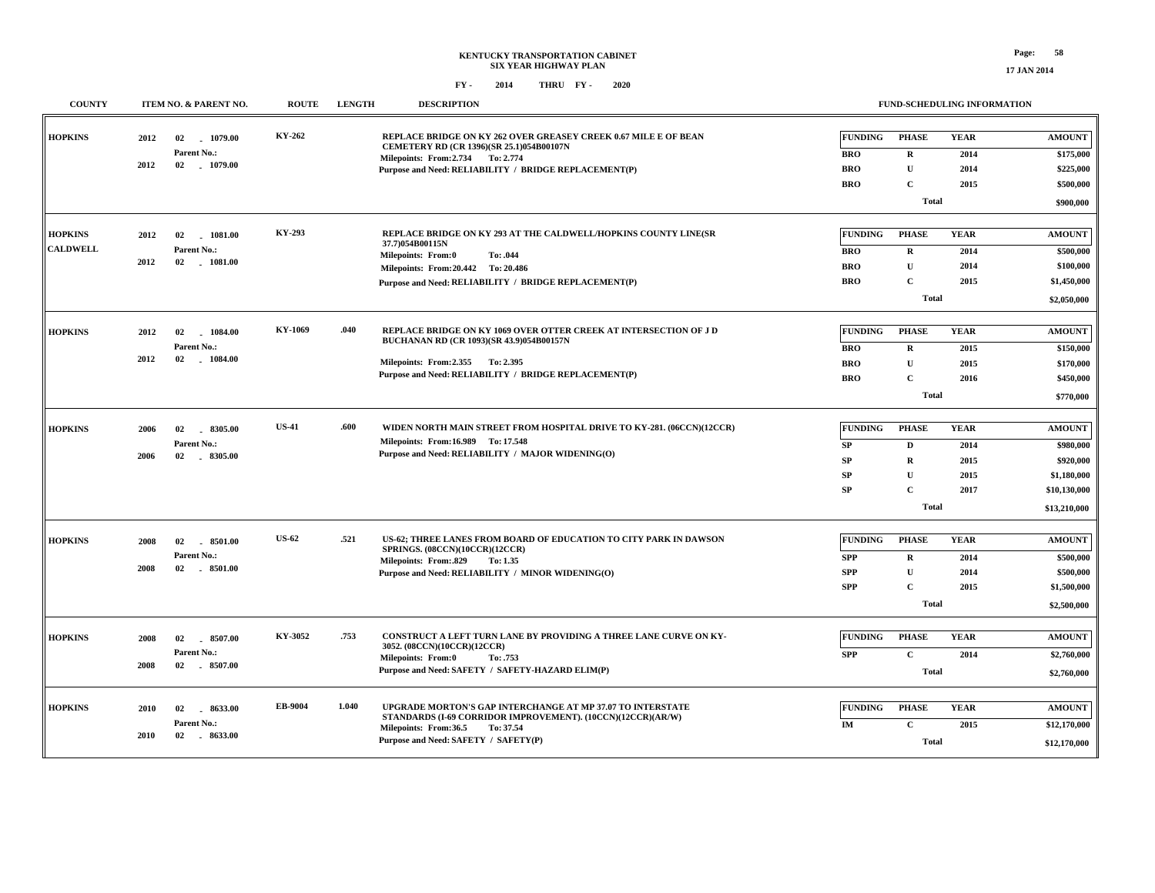#### **FUND-SCHEDULING INFORMATION**

| <b>COUNTY</b>                     | ITEM NO. & PARENT NO.                                               | <b>ROUTE</b> | <b>LENGTH</b> | <b>DESCRIPTION</b>                                                                                                                                                                                                   |                                                          | FUND-SCHEDULING INFORMATION                                                 |                                             |                                                                                        |
|-----------------------------------|---------------------------------------------------------------------|--------------|---------------|----------------------------------------------------------------------------------------------------------------------------------------------------------------------------------------------------------------------|----------------------------------------------------------|-----------------------------------------------------------------------------|---------------------------------------------|----------------------------------------------------------------------------------------|
| <b>HOPKINS</b>                    | 2012<br>02<br>1079.00<br>Parent No.:<br>2012<br>02<br>$-1079.00$    | KY-262       |               | REPLACE BRIDGE ON KY 262 OVER GREASEY CREEK 0.67 MILE E OF BEAN<br>CEMETERY RD (CR 1396)(SR 25.1)054B00107N<br>Milepoints: From: 2.734 To: 2.774<br>Purpose and Need: RELIABILITY / BRIDGE REPLACEMENT(P)            | <b>FUNDING</b><br><b>BRO</b><br><b>BRO</b><br><b>BRO</b> | <b>PHASE</b><br>$\mathbf R$<br>$\mathbf U$<br>$\mathbf C$<br><b>Total</b>   | <b>YEAR</b><br>2014<br>2014<br>2015         | <b>AMOUNT</b><br>\$175,000<br>\$225,000<br>\$500,000<br>\$900,000                      |
| <b>HOPKINS</b><br><b>CALDWELL</b> | 2012<br>02<br>$-1081.00$<br>Parent No.:<br>2012<br>02<br>$-1081.00$ | KY-293       |               | REPLACE BRIDGE ON KY 293 AT THE CALDWELL/HOPKINS COUNTY LINE(SR<br>37.7)054B00115N<br>Milepoints: From:0<br>To: .044<br>Milepoints: From: 20.442 To: 20.486<br>Purpose and Need: RELIABILITY / BRIDGE REPLACEMENT(P) | <b>FUNDING</b><br><b>BRO</b><br><b>BRO</b><br><b>BRO</b> | <b>PHASE</b><br>$\mathbf R$<br>$\mathbf U$<br>$\mathbf{C}$<br><b>Total</b>  | <b>YEAR</b><br>2014<br>2014<br>2015         | <b>AMOUNT</b><br>\$500,000<br>\$100,000<br>\$1,450,000<br>\$2,050,000                  |
| <b>HOPKINS</b>                    | 02<br>1084.00<br>2012<br>Parent No.:<br>2012<br>02<br>$-1084.00$    | KY-1069      | .040          | REPLACE BRIDGE ON KY 1069 OVER OTTER CREEK AT INTERSECTION OF J D<br>BUCHANAN RD (CR 1093)(SR 43.9)054B00157N<br>Milepoints: From: 2.355 To: 2.395<br>Purpose and Need: RELIABILITY / BRIDGE REPLACEMENT(P)          | <b>FUNDING</b><br><b>BRO</b><br><b>BRO</b><br><b>BRO</b> | <b>PHASE</b><br>$\mathbf R$<br>$\mathbf U$<br>$\mathbf{C}$<br><b>Total</b>  | <b>YEAR</b><br>2015<br>2015<br>2016         | <b>AMOUNT</b><br>\$150,000<br>\$170,000<br>\$450,000<br>\$770,000                      |
| <b>HOPKINS</b>                    | 2006<br>02<br>8305.00<br>Parent No.:<br>2006<br>02<br>8305.00       | <b>US-41</b> | .600          | WIDEN NORTH MAIN STREET FROM HOSPITAL DRIVE TO KY-281. (06CCN)(12CCR)<br>Milepoints: From:16.989 To: 17.548<br>Purpose and Need: RELIABILITY / MAJOR WIDENING(O)                                                     | <b>FUNDING</b><br>SP<br>SP<br>SP<br>SP                   | <b>PHASE</b><br>D<br>$\mathbf R$<br>U<br>$\mathbf{C}$<br><b>Total</b>       | <b>YEAR</b><br>2014<br>2015<br>2015<br>2017 | <b>AMOUNT</b><br>\$980,000<br>\$920,000<br>\$1,180,000<br>\$10,130,000<br>\$13,210,000 |
| <b>HOPKINS</b>                    | 2008<br>02<br>8501.00<br>Parent No.:<br>2008<br>02<br>$-8501.00$    | <b>US-62</b> | .521          | US-62; THREE LANES FROM BOARD OF EDUCATION TO CITY PARK IN DAWSON<br><b>SPRINGS. (08CCN)(10CCR)(12CCR)</b><br>Milepoints: From: 829<br>To: 1.35<br>Purpose and Need: RELIABILITY / MINOR WIDENING(O)                 | <b>FUNDING</b><br><b>SPP</b><br><b>SPP</b><br><b>SPP</b> | <b>PHASE</b><br>$\mathbf R$<br>$\mathbf{U}$<br>$\mathbf{C}$<br><b>Total</b> | <b>YEAR</b><br>2014<br>2014<br>2015         | <b>AMOUNT</b><br>\$500,000<br>\$500,000<br>\$1,500,000<br>\$2,500,000                  |
| <b>HOPKINS</b>                    | 2008<br>02<br>8507.00<br>Parent No.:<br>2008<br>02 8507.00          | KY-3052      | .753          | <b>CONSTRUCT A LEFT TURN LANE BY PROVIDING A THREE LANE CURVE ON KY-</b><br>3052. (08CCN)(10CCR)(12CCR)<br>Milepoints: From:0<br>To: .753<br>Purpose and Need: SAFETY / SAFETY-HAZARD ELIM(P)                        | <b>FUNDING</b><br><b>SPP</b>                             | <b>PHASE</b><br>$\mathbf{C}$<br><b>Total</b>                                | <b>YEAR</b><br>2014                         | <b>AMOUNT</b><br>\$2,760,000<br>\$2,760,000                                            |
| <b>HOPKINS</b>                    | 2010<br>02<br>8633.00<br>Parent No.:<br>2010<br>02 8633.00          | EB-9004      | 1.040         | UPGRADE MORTON'S GAP INTERCHANGE AT MP 37.07 TO INTERSTATE<br>STANDARDS (I-69 CORRIDOR IMPROVEMENT). (10CCN)(12CCR)(AR/W)<br>Milepoints: From:36.5<br>To: 37.54<br>Purpose and Need: SAFETY / SAFETY(P)              | <b>FUNDING</b><br>IM                                     | <b>PHASE</b><br>$\mathbf C$<br><b>Total</b>                                 | <b>YEAR</b><br>2015                         | <b>AMOUNT</b><br>\$12,170,000<br>\$12,170,000                                          |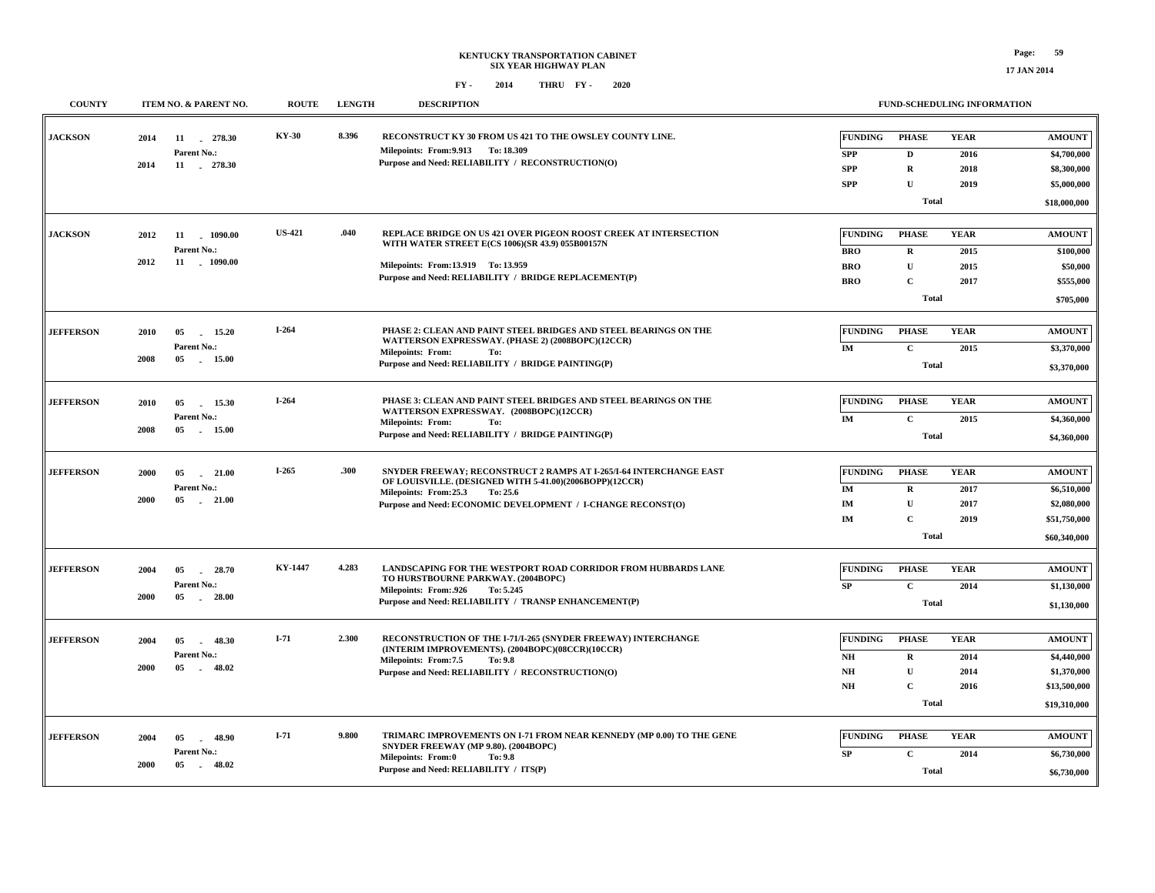| <b>COUNTY</b>    | ITEM NO. & PARENT NO.                                                  | <b>ROUTE</b>  | <b>LENGTH</b> | <b>DESCRIPTION</b>                                                                                                                                                                                                                 |                                                                              | FUND-SCHEDULING INFORMATION                                                |                                     |                                                                             |
|------------------|------------------------------------------------------------------------|---------------|---------------|------------------------------------------------------------------------------------------------------------------------------------------------------------------------------------------------------------------------------------|------------------------------------------------------------------------------|----------------------------------------------------------------------------|-------------------------------------|-----------------------------------------------------------------------------|
| <b>JACKSON</b>   | 11 278.30<br>2014<br>Parent No.:<br>2014<br>11 . 278.30                | <b>KY-30</b>  | 8.396         | RECONSTRUCT KY 30 FROM US 421 TO THE OWSLEY COUNTY LINE.<br>Milepoints: From: 9.913 To: 18.309<br>Purpose and Need: RELIABILITY / RECONSTRUCTION(O)                                                                                | <b>FUNDING</b><br><b>SPP</b><br><b>SPP</b><br><b>SPP</b>                     | <b>PHASE</b><br>D<br>$\mathbf R$<br>$\mathbf{U}$<br><b>Total</b>           | <b>YEAR</b><br>2016<br>2018<br>2019 | <b>AMOUNT</b><br>\$4,700,000<br>\$8,300,000<br>\$5,000,000<br>\$18,000,000  |
| <b>JACKSON</b>   | 2012<br>11<br>$-1090.00$<br>Parent No.:<br>2012<br>11 1090.00          | <b>US-421</b> | .040          | REPLACE BRIDGE ON US 421 OVER PIGEON ROOST CREEK AT INTERSECTION<br>WITH WATER STREET E(CS 1006)(SR 43.9) 055B00157N<br>Milepoints: From:13.919 To: 13.959<br>Purpose and Need: RELIABILITY / BRIDGE REPLACEMENT(P)                | <b>FUNDING</b><br><b>BRO</b><br><b>BRO</b><br><b>BRO</b>                     | <b>PHASE</b><br>$\mathbf R$<br>$\mathbf U$<br>$\mathbf C$<br><b>Total</b>  | <b>YEAR</b><br>2015<br>2015<br>2017 | <b>AMOUNT</b><br>\$100,000<br>\$50,000<br>\$555,000<br>\$705,000            |
| <b>JEFFERSON</b> | 15.20<br>2010<br>05<br>Parent No.:<br>2008<br>05 15.00                 | $I-264$       |               | PHASE 2: CLEAN AND PAINT STEEL BRIDGES AND STEEL BEARINGS ON THE<br>WATTERSON EXPRESSWAY. (PHASE 2) (2008BOPC)(12CCR)<br><b>Milepoints: From:</b><br>To:<br>Purpose and Need: RELIABILITY / BRIDGE PAINTING(P)                     | <b>FUNDING</b><br>IM                                                         | <b>PHASE</b><br>$\mathbf C$<br><b>Total</b>                                | <b>YEAR</b><br>2015                 | <b>AMOUNT</b><br>\$3,370,000<br>\$3,370,000                                 |
| <b>JEFFERSON</b> | 2010<br>05 15.30<br>Parent No.:<br>2008<br>05 15.00                    | $I-264$       |               | PHASE 3: CLEAN AND PAINT STEEL BRIDGES AND STEEL BEARINGS ON THE<br>WATTERSON EXPRESSWAY. (2008BOPC)(12CCR)<br><b>Milepoints: From:</b><br>To:<br>Purpose and Need: RELIABILITY / BRIDGE PAINTING(P)                               | <b>FUNDING</b><br>IM                                                         | <b>PHASE</b><br>$\mathbf{C}$<br><b>Total</b>                               | <b>YEAR</b><br>2015                 | <b>AMOUNT</b><br>\$4,360,000<br>\$4,360,000                                 |
| <b>JEFFERSON</b> | 2000<br>05<br>21.00<br>Parent No.:<br>2000<br>05<br>21.00              | $I-265$       | .300          | SNYDER FREEWAY; RECONSTRUCT 2 RAMPS AT I-265/I-64 INTERCHANGE EAST<br>OF LOUISVILLE. (DESIGNED WITH 5-41.00)(2006BOPP)(12CCR)<br>Milepoints: From:25.3<br>To: 25.6<br>Purpose and Need: ECONOMIC DEVELOPMENT / I-CHANGE RECONST(O) | <b>FUNDING</b><br>IM<br><b>IM</b><br>$\mathbf{IM}$                           | <b>PHASE</b><br>$\mathbf R$<br>$\mathbf U$<br>$\mathbf C$<br><b>Total</b>  | <b>YEAR</b><br>2017<br>2017<br>2019 | <b>AMOUNT</b><br>\$6,510,000<br>\$2,080,000<br>\$51,750,000<br>\$60,340,000 |
| <b>JEFFERSON</b> | 2004<br>05<br>28.70<br>Parent No.:<br>2000<br>05 28.00                 | KY-1447       | 4.283         | LANDSCAPING FOR THE WESTPORT ROAD CORRIDOR FROM HUBBARDS LANE<br>TO HURSTBOURNE PARKWAY. (2004BOPC)<br>Milepoints: From: 926<br>To: 5.245<br>Purpose and Need: RELIABILITY / TRANSP ENHANCEMENT(P)                                 | <b>FUNDING</b><br>SP                                                         | <b>PHASE</b><br>$\mathbf{C}$<br><b>Total</b>                               | <b>YEAR</b><br>2014                 | <b>AMOUNT</b><br>\$1,130,000<br>\$1,130,000                                 |
| <b>JEFFERSON</b> | 2004<br>05<br>$-48.30$<br>Parent No.:<br>2000<br>05<br>48.02<br>$\sim$ | $I-71$        | 2.300         | RECONSTRUCTION OF THE I-71/I-265 (SNYDER FREEWAY) INTERCHANGE<br>(INTERIM IMPROVEMENTS). (2004BOPC)(08CCR)(10CCR)<br>Milepoints: From:7.5<br>To: 9.8<br>Purpose and Need: RELIABILITY / RECONSTRUCTION(O)                          | <b>FUNDING</b><br>N <sub>H</sub><br>N <sub>H</sub><br>$\mathbf{N}\mathbf{H}$ | <b>PHASE</b><br>$\mathbf{R}$<br>$\mathbf U$<br>$\mathbf C$<br><b>Total</b> | <b>YEAR</b><br>2014<br>2014<br>2016 | <b>AMOUNT</b><br>\$4,440,000<br>\$1,370,000<br>\$13,500,000<br>\$19,310,000 |
| <b>JEFFERSON</b> | 2004<br>05<br>$-48.90$<br>Parent No.:<br>2000<br>05<br>$\sim$<br>48.02 | $I-71$        | 9.800         | TRIMARC IMPROVEMENTS ON I-71 FROM NEAR KENNEDY (MP 0.00) TO THE GENE<br>SNYDER FREEWAY (MP 9.80). (2004BOPC)<br><b>Milepoints: From:0</b><br>To: 9.8<br>Purpose and Need: RELIABILITY / ITS(P)                                     | <b>FUNDING</b><br>SP                                                         | <b>PHASE</b><br>$\mathbf C$<br><b>Total</b>                                | <b>YEAR</b><br>2014                 | <b>AMOUNT</b><br>\$6,730,000<br>\$6,730,000                                 |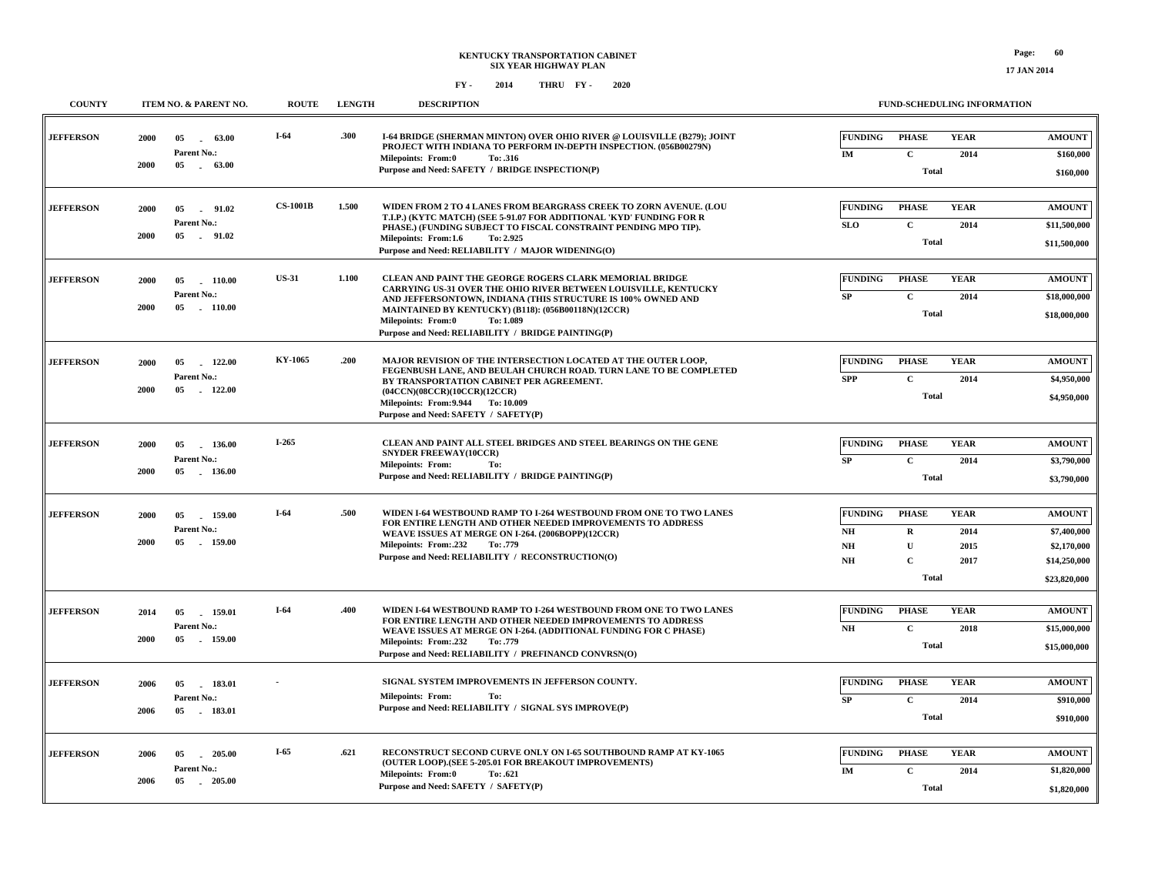| <b>COUNTY</b>    |              | ITEM NO. & PARENT NO.                                  | <b>ROUTE</b>    | <b>LENGTH</b> | <b>DESCRIPTION</b>                                                                                                                                                                                                                                                                                                                                | FUND-SCHEDULING INFORMATION                                                                                                                                               |                                                                             |
|------------------|--------------|--------------------------------------------------------|-----------------|---------------|---------------------------------------------------------------------------------------------------------------------------------------------------------------------------------------------------------------------------------------------------------------------------------------------------------------------------------------------------|---------------------------------------------------------------------------------------------------------------------------------------------------------------------------|-----------------------------------------------------------------------------|
| <b>JEFFERSON</b> | 2000<br>2000 | 05<br>63.00<br>$\sim$<br>Parent No.:<br>05 63.00       | $I-64$          | .300          | I-64 BRIDGE (SHERMAN MINTON) OVER OHIO RIVER @ LOUISVILLE (B279); JOINT<br>PROJECT WITH INDIANA TO PERFORM IN-DEPTH INSPECTION. (056B00279N)<br><b>Milepoints: From:0</b><br>To: .316<br>Purpose and Need: SAFETY / BRIDGE INSPECTION(P)                                                                                                          | <b>FUNDING</b><br><b>PHASE</b><br><b>YEAR</b><br>$\mathbf{C}$<br>IM<br>2014<br><b>Total</b>                                                                               | <b>AMOUNT</b><br>\$160,000<br>\$160,000                                     |
| <b>JEFFERSON</b> | 2000<br>2000 | 05<br>91.02<br>$\sim$<br>Parent No.:<br>05<br>$-91.02$ | <b>CS-1001B</b> | 1.500         | WIDEN FROM 2 TO 4 LANES FROM BEARGRASS CREEK TO ZORN AVENUE. (LOU<br>T.I.P.) (KYTC MATCH) (SEE 5-91.07 FOR ADDITIONAL 'KYD' FUNDING FOR R<br>PHASE.) (FUNDING SUBJECT TO FISCAL CONSTRAINT PENDING MPO TIP).<br>Milepoints: From:1.6<br>To: 2.925<br>Purpose and Need: RELIABILITY / MAJOR WIDENING(O)                                            | <b>FUNDING</b><br><b>PHASE</b><br><b>YEAR</b><br><b>SLO</b><br>$\mathbf{C}$<br>2014<br><b>Total</b>                                                                       | <b>AMOUNT</b><br>\$11,500,000<br>\$11,500,000                               |
| <b>JEFFERSON</b> | 2000<br>2000 | 05<br>110.00<br>Parent No.:<br>05<br>$-110.00$         | <b>US-31</b>    | 1.100         | CLEAN AND PAINT THE GEORGE ROGERS CLARK MEMORIAL BRIDGE<br>CARRYING US-31 OVER THE OHIO RIVER BETWEEN LOUISVILLE, KENTUCKY<br>AND JEFFERSONTOWN, INDIANA (THIS STRUCTURE IS 100% OWNED AND<br>MAINTAINED BY KENTUCKY) (B118): (056B00118N)(12CCR)<br><b>Milepoints: From:0</b><br>To: 1.089<br>Purpose and Need: RELIABILITY / BRIDGE PAINTING(P) | <b>FUNDING</b><br><b>PHASE</b><br><b>YEAR</b><br>SP<br>$\mathbf C$<br>2014<br><b>Total</b>                                                                                | <b>AMOUNT</b><br>\$18,000,000<br>\$18,000,000                               |
| <b>JEFFERSON</b> | 2000<br>2000 | 05<br>122.00<br>Parent No.:<br>05<br>122.00            | KY-1065         | .200          | MAJOR REVISION OF THE INTERSECTION LOCATED AT THE OUTER LOOP,<br>FEGENBUSH LANE, AND BEULAH CHURCH ROAD. TURN LANE TO BE COMPLETED<br>BY TRANSPORTATION CABINET PER AGREEMENT.<br>(04CCN)(08CCR)(10CCR)(12CCR)<br>Milepoints: From: 9.944 To: 10.009<br>Purpose and Need: SAFETY / SAFETY(P)                                                      | <b>FUNDING</b><br><b>PHASE</b><br><b>YEAR</b><br>$\mathbf{C}$<br><b>SPP</b><br>2014<br><b>Total</b>                                                                       | <b>AMOUNT</b><br>\$4,950,000<br>\$4,950,000                                 |
| <b>JEFFERSON</b> | 2000<br>2000 | 05<br>136.00<br><b>Parent No.:</b><br>05<br>136.00     | I-265           |               | CLEAN AND PAINT ALL STEEL BRIDGES AND STEEL BEARINGS ON THE GENE<br><b>SNYDER FREEWAY(10CCR)</b><br><b>Milepoints: From:</b><br>To:<br>Purpose and Need: RELIABILITY / BRIDGE PAINTING(P)                                                                                                                                                         | <b>FUNDING</b><br><b>PHASE</b><br><b>YEAR</b><br>$\mathbf C$<br>SP<br>2014<br><b>Total</b>                                                                                | <b>AMOUNT</b><br>\$3,790,000<br>\$3,790,000                                 |
| <b>JEFFERSON</b> | 2000<br>2000 | 05<br>159.00<br>Parent No.:<br>05<br>159.00            | $I-64$          | .500          | WIDEN I-64 WESTBOUND RAMP TO I-264 WESTBOUND FROM ONE TO TWO LANES<br>FOR ENTIRE LENGTH AND OTHER NEEDED IMPROVEMENTS TO ADDRESS<br>WEAVE ISSUES AT MERGE ON I-264. (2006BOPP)(12CCR)<br>Milepoints: From: 232<br>To: .779<br>Purpose and Need: RELIABILITY / RECONSTRUCTION(O)                                                                   | <b>FUNDING</b><br><b>PHASE</b><br><b>YEAR</b><br>NH<br>$\mathbf R$<br>2014<br>NH<br>$\mathbf{U}$<br>2015<br>$\mathbf C$<br>$\mathbf{N}\mathbf{H}$<br>2017<br><b>Total</b> | <b>AMOUNT</b><br>\$7,400,000<br>\$2,170,000<br>\$14,250,000<br>\$23,820,000 |
| <b>JEFFERSON</b> | 2014<br>2000 | 159.01<br>05<br>Parent No.:<br>05<br>. 159.00          | $I-64$          | .400          | WIDEN I-64 WESTBOUND RAMP TO I-264 WESTBOUND FROM ONE TO TWO LANES<br>FOR ENTIRE LENGTH AND OTHER NEEDED IMPROVEMENTS TO ADDRESS<br>WEAVE ISSUES AT MERGE ON I-264. (ADDITIONAL FUNDING FOR C PHASE)<br>Milepoints: From:.232<br>To: .779<br>Purpose and Need: RELIABILITY / PREFINANCD CONVRSN(O)                                                | <b>FUNDING</b><br><b>PHASE</b><br><b>YEAR</b><br>$\mathbf{N}\mathbf{H}$<br>$\mathbf C$<br>2018<br><b>Total</b>                                                            | <b>AMOUNT</b><br>\$15,000,000<br>\$15,000,000                               |
| <b>JEFFERSON</b> | 2006<br>2006 | 183.01<br>05<br>Parent No.:<br>. 183.01<br>05          |                 |               | SIGNAL SYSTEM IMPROVEMENTS IN JEFFERSON COUNTY.<br><b>Milepoints: From:</b><br>To:<br>Purpose and Need: RELIABILITY / SIGNAL SYS IMPROVE(P)                                                                                                                                                                                                       | <b>FUNDING</b><br><b>PHASE</b><br><b>YEAR</b><br>SP<br>$\mathbf{C}$<br>2014<br><b>Total</b>                                                                               | <b>AMOUNT</b><br>\$910,000<br>\$910,000                                     |
| <b>JEFFERSON</b> | 2006<br>2006 | 05<br>205.00<br>Parent No.:<br>05<br>$-205.00$         | I-65            | .621          | RECONSTRUCT SECOND CURVE ONLY ON I-65 SOUTHBOUND RAMP AT KY-1065<br>(OUTER LOOP).(SEE 5-205.01 FOR BREAKOUT IMPROVEMENTS)<br>Milepoints: From:0<br>To: .621<br>Purpose and Need: SAFETY / SAFETY(P)                                                                                                                                               | <b>FUNDING</b><br><b>YEAR</b><br><b>PHASE</b><br>$\mathbf{IM}$<br>$\mathbf C$<br>2014<br>Total                                                                            | <b>AMOUNT</b><br>\$1,820,000<br>\$1,820,000                                 |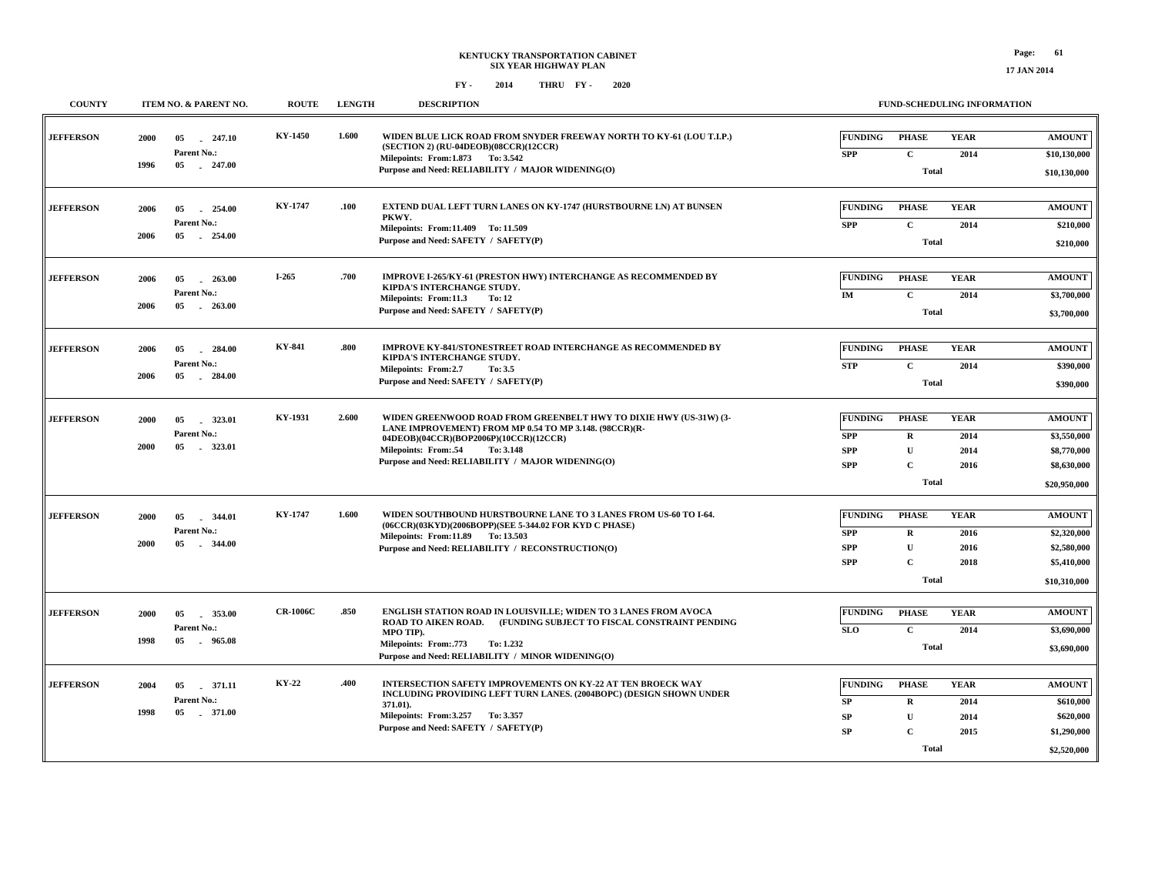**17 JAN 2014**

| <b>COUNTY</b>    | ITEM NO. & PARENT NO.                                           | <b>ROUTE</b>    | <b>LENGTH</b> | <b>DESCRIPTION</b>                                                                                                                                                                                                                                              | FUND-SCHEDULING INFORMATION                                                                                                                                                   |                                                                            |
|------------------|-----------------------------------------------------------------|-----------------|---------------|-----------------------------------------------------------------------------------------------------------------------------------------------------------------------------------------------------------------------------------------------------------------|-------------------------------------------------------------------------------------------------------------------------------------------------------------------------------|----------------------------------------------------------------------------|
| <b>JEFFERSON</b> | 05<br>$-247.10$<br>2000<br>Parent No.:<br>1996<br>05 247.00     | <b>KY-1450</b>  | 1.600         | WIDEN BLUE LICK ROAD FROM SNYDER FREEWAY NORTH TO KY-61 (LOU T.I.P.)<br>(SECTION 2) (RU-04DEOB)(08CCR)(12CCR)<br>Milepoints: From: 1.873 To: 3.542<br>Purpose and Need: RELIABILITY / MAJOR WIDENING(O)                                                         | <b>FUNDING</b><br><b>YEAR</b><br><b>PHASE</b><br>$\mathbf{C}$<br><b>SPP</b><br>2014<br><b>Total</b>                                                                           | <b>AMOUNT</b><br>\$10,130,000<br>\$10,130,000                              |
| <b>JEFFERSON</b> | 05<br>254.00<br>2006<br>Parent No.:<br>2006<br>05<br>254.00     | KY-1747         | .100          | EXTEND DUAL LEFT TURN LANES ON KY-1747 (HURSTBOURNE LN) AT BUNSEN<br>PKWY.<br>Milepoints: From:11.409 To: 11.509<br>Purpose and Need: SAFETY / SAFETY(P)                                                                                                        | <b>FUNDING</b><br><b>PHASE</b><br><b>YEAR</b><br>$\mathbf{C}$<br><b>SPP</b><br>2014<br><b>Total</b>                                                                           | <b>AMOUNT</b><br>\$210,000<br>\$210,000                                    |
| <b>JEFFERSON</b> | 2006<br>05<br>263.00<br>Parent No.:<br>2006<br>05<br>$-263.00$  | I-265           | .700          | IMPROVE I-265/KY-61 (PRESTON HWY) INTERCHANGE AS RECOMMENDED BY<br>KIPDA'S INTERCHANGE STUDY.<br>Milepoints: From:11.3<br>To: 12<br>Purpose and Need: SAFETY / SAFETY(P)                                                                                        | <b>FUNDING</b><br><b>PHASE</b><br><b>YEAR</b><br>$\mathbf{C}$<br>IM<br>2014<br><b>Total</b>                                                                                   | <b>AMOUNT</b><br>\$3,700,000<br>\$3,700,000                                |
| <b>JEFFERSON</b> | 2006<br>05<br>284.00<br>Parent No.:<br>2006<br>05<br>$-284.00$  | KY-841          | .800          | IMPROVE KY-841/STONESTREET ROAD INTERCHANGE AS RECOMMENDED BY<br>KIPDA'S INTERCHANGE STUDY.<br>Milepoints: From:2.7<br>To: 3.5<br>Purpose and Need: SAFETY / SAFETY(P)                                                                                          | <b>FUNDING</b><br><b>PHASE</b><br><b>YEAR</b><br>$\mathbf C$<br><b>STP</b><br>2014<br><b>Total</b>                                                                            | <b>AMOUNT</b><br>\$390,000<br>\$390,000                                    |
| <b>JEFFERSON</b> | 323.01<br><b>2000</b><br>05<br>Parent No.:<br>2000<br>05 323.01 | KY-1931         | 2.600         | WIDEN GREENWOOD ROAD FROM GREENBELT HWY TO DIXIE HWY (US-31W) (3-<br>LANE IMPROVEMENT) FROM MP 0.54 TO MP 3.148. (98CCR)(R-<br>04DEOB)(04CCR)(BOP2006P)(10CCR)(12CCR)<br>Milepoints: From:.54<br>To: 3.148<br>Purpose and Need: RELIABILITY / MAJOR WIDENING(O) | <b>FUNDING</b><br><b>PHASE</b><br><b>YEAR</b><br>$\mathbf R$<br><b>SPP</b><br>2014<br><b>SPP</b><br>$\mathbf{U}$<br>2014<br>$\mathbf C$<br><b>SPP</b><br>2016<br><b>Total</b> | <b>AMOUNT</b><br>\$3,550,000<br>\$8,770,000<br>\$8,630,000<br>\$20,950,000 |
| <b>JEFFERSON</b> | 2000<br>05<br>344.01<br>Parent No.:<br>2000<br>05<br>344.00     | KY-1747         | 1.600         | WIDEN SOUTHBOUND HURSTBOURNE LANE TO 3 LANES FROM US-60 TO I-64.<br>(06CCR)(03KYD)(2006BOPP)(SEE 5-344.02 FOR KYD C PHASE)<br>Milepoints: From:11.89 To: 13.503<br>Purpose and Need: RELIABILITY / RECONSTRUCTION(O)                                            | <b>FUNDING</b><br><b>PHASE</b><br><b>YEAR</b><br><b>SPP</b><br>R<br>2016<br>$\mathbf U$<br><b>SPP</b><br>2016<br>$\overline{C}$<br><b>SPP</b><br>2018<br><b>Total</b>         | <b>AMOUNT</b><br>\$2,320,000<br>\$2,580,000<br>\$5,410,000<br>\$10,310,000 |
| <b>JEFFERSON</b> | 2000<br>05<br>353.00<br>Parent No.:<br>1998<br>05<br>- 965.08   | <b>CR-1006C</b> | .850          | ENGLISH STATION ROAD IN LOUISVILLE; WIDEN TO 3 LANES FROM AVOCA<br>ROAD TO AIKEN ROAD. (FUNDING SUBJECT TO FISCAL CONSTRAINT PENDING<br>MPO TIP).<br>Milepoints: From: 773<br>To: 1.232<br>Purpose and Need: RELIABILITY / MINOR WIDENING(O)                    | <b>FUNDING</b><br><b>YEAR</b><br><b>PHASE</b><br><b>SLO</b><br>$\mathbf{C}$<br>2014<br><b>Total</b>                                                                           | <b>AMOUNT</b><br>\$3,690,000<br>\$3,690,000                                |
| <b>JEFFERSON</b> | 05<br>371.11<br>2004<br>Parent No.:<br>1998<br>05<br>.371.00    | <b>KY-22</b>    | .400          | <b>INTERSECTION SAFETY IMPROVEMENTS ON KY-22 AT TEN BROECK WAY</b><br>INCLUDING PROVIDING LEFT TURN LANES. (2004BOPC) (DESIGN SHOWN UNDER<br>371.01).<br>Milepoints: From: 3.257 To: 3.357<br>Purpose and Need: SAFETY / SAFETY(P)                              | <b>FUNDING</b><br><b>PHASE</b><br><b>YEAR</b><br>${\bf SP}$<br>$\mathbf R$<br>2014<br>$\mathbf U$<br><b>SP</b><br>2014<br>SP<br>$\mathbf C$<br>2015<br><b>Total</b>           | <b>AMOUNT</b><br>\$610,000<br>\$620,000<br>\$1,290,000<br>\$2,520,000      |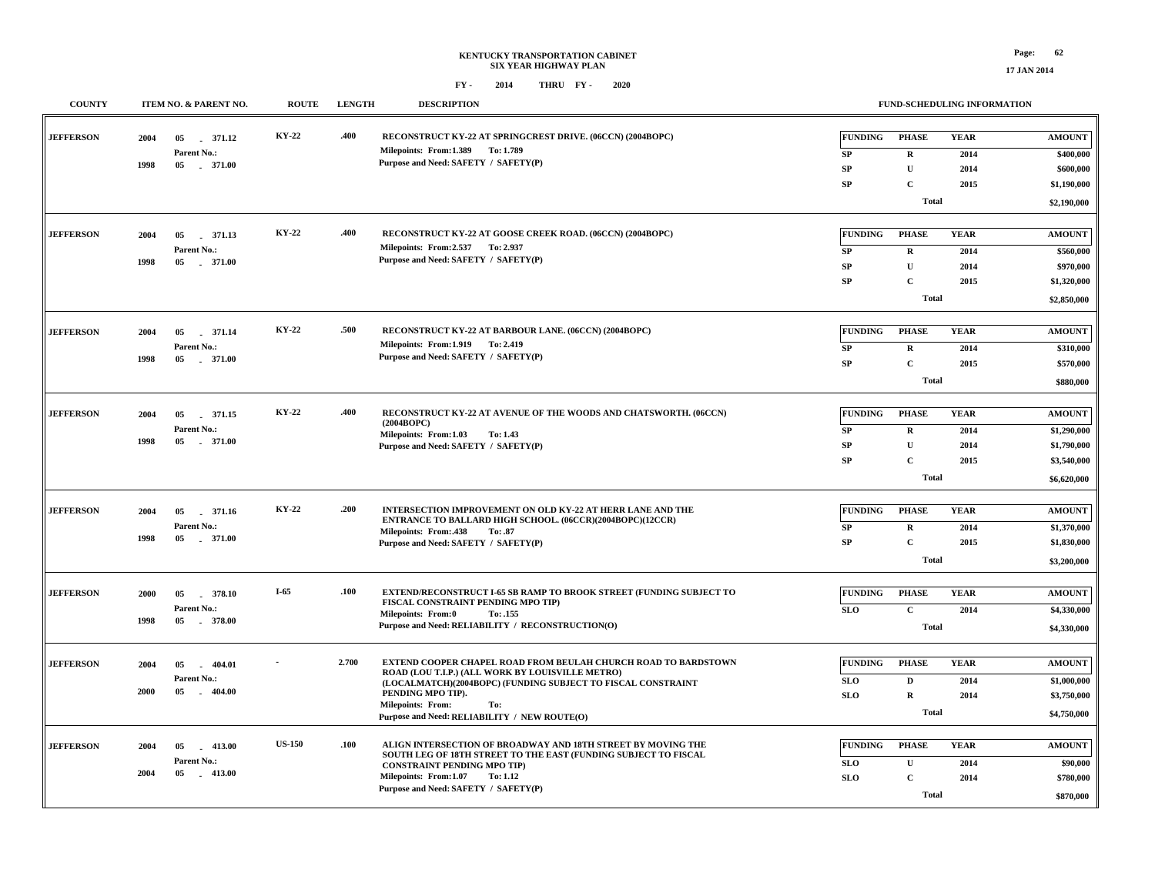**17 JAN 2014**

| <b>COUNTY</b>    |            | ITEM NO. & PARENT NO.           | <b>ROUTE</b>  | <b>LENGTH</b> | <b>DESCRIPTION</b>                                                                                                              |                | <b>FUND-SCHEDULING INFORMATION</b> |              |                          |
|------------------|------------|---------------------------------|---------------|---------------|---------------------------------------------------------------------------------------------------------------------------------|----------------|------------------------------------|--------------|--------------------------|
| <b>JEFFERSON</b> | 2004<br>05 | 371.12<br>Parent No.:           | KY-22         | .400          | RECONSTRUCT KY-22 AT SPRINGCREST DRIVE. (06CCN) (2004BOPC)<br>Milepoints: From:1.389 To: 1.789                                  | <b>FUNDING</b> | <b>PHASE</b>                       | <b>YEAR</b>  | <b>AMOUNT</b>            |
|                  | 1998       | 05 . 371.00                     |               |               | Purpose and Need: SAFETY / SAFETY(P)                                                                                            | SP             | $\mathbf{R}$                       | 2014         | \$400,000                |
|                  |            |                                 |               |               |                                                                                                                                 | SP<br>SP       | $\mathbf U$<br>C                   | 2014<br>2015 | \$600,000<br>\$1,190,000 |
|                  |            |                                 |               |               |                                                                                                                                 |                | <b>Total</b>                       |              |                          |
|                  |            |                                 |               |               |                                                                                                                                 |                |                                    |              | \$2,190,000              |
| <b>JEFFERSON</b> | 2004       | 05 371.13                       | KY-22         | .400          | RECONSTRUCT KY-22 AT GOOSE CREEK ROAD. (06CCN) (2004BOPC)                                                                       | <b>FUNDING</b> | <b>PHASE</b>                       | <b>YEAR</b>  | <b>AMOUNT</b>            |
|                  |            | Parent No.:                     |               |               | Milepoints: From: 2.537 To: 2.937                                                                                               | ${\bf SP}$     | $\bf R$                            | 2014         | \$560,000                |
|                  | 1998<br>05 | $-371.00$                       |               |               | Purpose and Need: SAFETY / SAFETY(P)                                                                                            | SP             | $\mathbf{U}$                       | 2014         | \$970,000                |
|                  |            |                                 |               |               |                                                                                                                                 | <b>SP</b>      | $\mathbf C$                        | 2015         | \$1,320,000              |
|                  |            |                                 |               |               |                                                                                                                                 |                | <b>Total</b>                       |              |                          |
|                  |            |                                 |               |               |                                                                                                                                 |                |                                    |              | \$2,850,000              |
| <b>JEFFERSON</b> | 2004<br>05 | 371.14                          | KY-22         | .500          | RECONSTRUCT KY-22 AT BARBOUR LANE. (06CCN) (2004BOPC)                                                                           | <b>FUNDING</b> | <b>PHASE</b>                       | <b>YEAR</b>  | <b>AMOUNT</b>            |
|                  |            | Parent No.:                     |               |               | Milepoints: From: 1.919 To: 2.419<br>Purpose and Need: SAFETY / SAFETY(P)                                                       | SP             | $\mathbf R$                        | 2014         | \$310,000                |
|                  | 1998       | 05 . 371.00                     |               |               |                                                                                                                                 | <b>SP</b>      | $\mathbf C$                        | 2015         | \$570,000                |
|                  |            |                                 |               |               |                                                                                                                                 |                | <b>Total</b>                       |              | \$880,000                |
|                  |            |                                 |               |               |                                                                                                                                 |                |                                    |              |                          |
| <b>JEFFERSON</b> | 2004       | 05 371.15                       | KY-22         | .400          | <b>RECONSTRUCT KY-22 AT AVENUE OF THE WOODS AND CHATSWORTH. (06CCN)</b><br>(2004BOPC)                                           | <b>FUNDING</b> | <b>PHASE</b>                       | <b>YEAR</b>  | <b>AMOUNT</b>            |
|                  |            | Parent No.:                     |               |               | Milepoints: From:1.03<br>To: 1.43                                                                                               | SP             | $\mathbf R$                        | 2014         | \$1,290,000              |
|                  | 1998<br>05 | 371.00                          |               |               | Purpose and Need: SAFETY / SAFETY(P)                                                                                            | <b>SP</b>      | $\mathbf U$                        | 2014         | \$1,790,000              |
|                  |            |                                 |               |               |                                                                                                                                 | <b>SP</b>      | $\mathbf{C}$                       | 2015         | \$3,540,000              |
|                  |            |                                 |               |               |                                                                                                                                 |                | <b>Total</b>                       |              | \$6,620,000              |
|                  |            |                                 |               |               |                                                                                                                                 |                |                                    |              |                          |
| <b>JEFFERSON</b> | 2004<br>05 | 371.16                          | KY-22         | .200          | INTERSECTION IMPROVEMENT ON OLD KY-22 AT HERR LANE AND THE<br>ENTRANCE TO BALLARD HIGH SCHOOL. (06CCR)(2004BOPC)(12CCR)         | <b>FUNDING</b> | <b>PHASE</b>                       | <b>YEAR</b>  | <b>AMOUNT</b>            |
|                  | 1998       | Parent No.:<br>05 . 371.00      |               |               | Milepoints: From:.438<br>To: .87                                                                                                | SP             | $\mathbf R$                        | 2014         | \$1,370,000              |
|                  |            |                                 |               |               | Purpose and Need: SAFETY / SAFETY(P)                                                                                            | ${\bf SP}$     | $\mathbf{C}$                       | 2015         | \$1,830,000              |
|                  |            |                                 |               |               |                                                                                                                                 |                | <b>Total</b>                       |              | \$3,200,000              |
| <b>JEFFERSON</b> | 2000<br>05 | 378.10                          | $I-65$        | .100          | EXTEND/RECONSTRUCT I-65 SB RAMP TO BROOK STREET (FUNDING SUBJECT TO                                                             | <b>FUNDING</b> | <b>PHASE</b>                       | <b>YEAR</b>  | <b>AMOUNT</b>            |
|                  |            | Parent No.:                     |               |               | FISCAL CONSTRAINT PENDING MPO TIP)                                                                                              | <b>SLO</b>     | $\mathbf{C}$                       |              |                          |
|                  | 1998       | 05 378.00                       |               |               | <b>Milepoints: From:0</b><br>To: .155<br>Purpose and Need: RELIABILITY / RECONSTRUCTION(O)                                      |                |                                    | 2014         | \$4,330,000              |
|                  |            |                                 |               |               |                                                                                                                                 |                | <b>Total</b>                       |              | \$4,330,000              |
|                  |            |                                 |               |               |                                                                                                                                 |                |                                    |              |                          |
| <b>JEFFERSON</b> | 2004<br>05 | $-404.01$                       |               | 2.700         | EXTEND COOPER CHAPEL ROAD FROM BEULAH CHURCH ROAD TO BARDSTOWN<br>ROAD (LOU T.I.P.) (ALL WORK BY LOUISVILLE METRO)              | <b>FUNDING</b> | <b>PHASE</b>                       | <b>YEAR</b>  | <b>AMOUNT</b>            |
|                  | 2000<br>05 | Parent No.:<br>$-404.00$        |               |               | (LOCALMATCH)(2004BOPC) (FUNDING SUBJECT TO FISCAL CONSTRAINT<br>PENDING MPO TIP).                                               | <b>SLO</b>     | $\mathbf{D}$                       | 2014         | \$1,000,000              |
|                  |            |                                 |               |               | <b>Milepoints: From:</b><br>To:                                                                                                 | <b>SLO</b>     | $\mathbf R$                        | 2014         | \$3,750,000              |
|                  |            |                                 |               |               | Purpose and Need: RELIABILITY / NEW ROUTE(O)                                                                                    |                | <b>Total</b>                       |              | \$4,750,000              |
|                  |            |                                 | <b>US-150</b> | .100          |                                                                                                                                 |                |                                    |              |                          |
| <b>JEFFERSON</b> | 2004<br>05 | $-413.00$                       |               |               | ALIGN INTERSECTION OF BROADWAY AND 18TH STREET BY MOVING THE<br>SOUTH LEG OF 18TH STREET TO THE EAST (FUNDING SUBJECT TO FISCAL | <b>FUNDING</b> | <b>PHASE</b>                       | <b>YEAR</b>  | <b>AMOUNT</b>            |
|                  | 2004<br>05 | <b>Parent No.:</b><br>$-413.00$ |               |               | <b>CONSTRAINT PENDING MPO TIP)</b>                                                                                              | <b>SLO</b>     | $\mathbf U$                        | 2014         | \$90,000                 |
|                  |            |                                 |               |               | Milepoints: From:1.07<br>To: 1.12<br>Purpose and Need: SAFETY / SAFETY(P)                                                       | <b>SLO</b>     | $\mathbf C$                        | 2014         | \$780,000                |
|                  |            |                                 |               |               |                                                                                                                                 |                | Total                              |              | \$870,000                |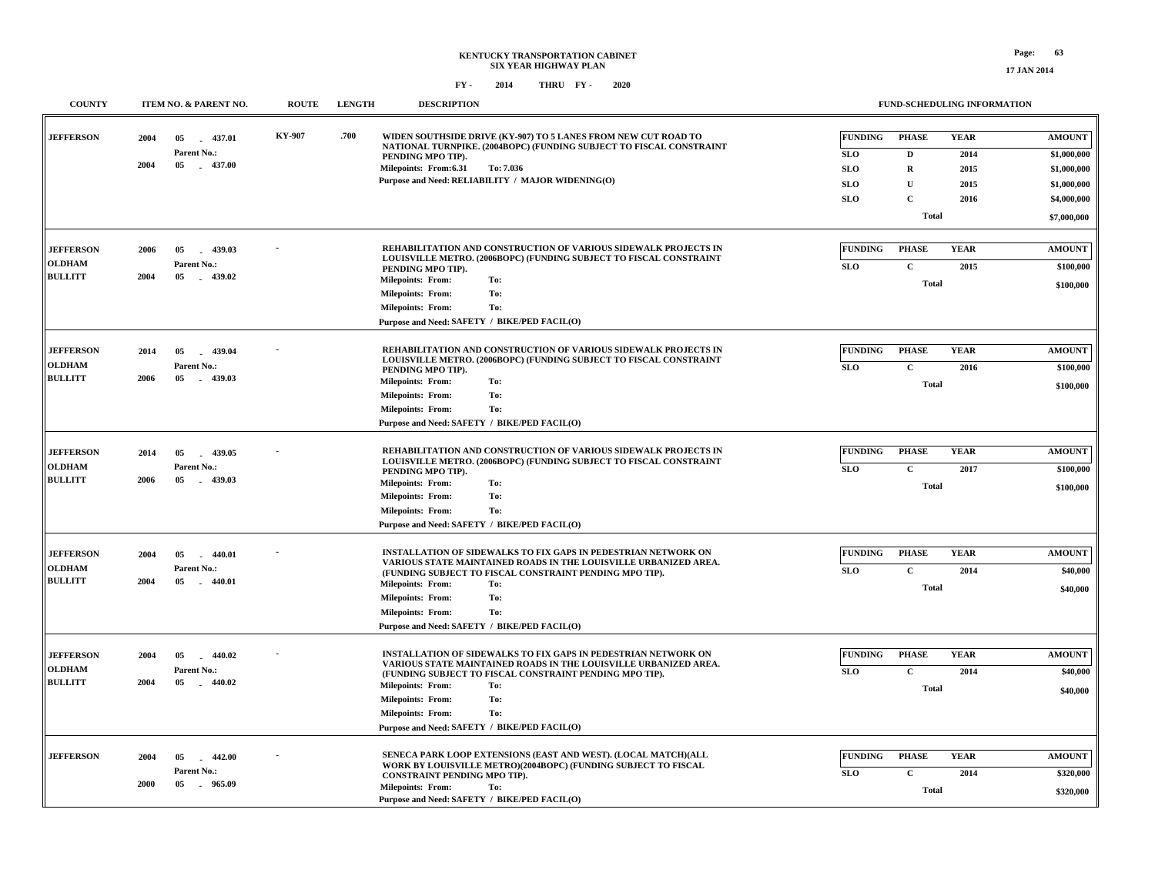| <b>COUNTY</b>                                       | ITEM NO. & PARENT NO.                                                    | <b>ROUTE</b>  | <b>LENGTH</b> | <b>DESCRIPTION</b>                                                                                                                                                                                                                                                                                                                                     | FUND-SCHEDULING INFORMATION                                                                                                                                                                                                                                                                          |
|-----------------------------------------------------|--------------------------------------------------------------------------|---------------|---------------|--------------------------------------------------------------------------------------------------------------------------------------------------------------------------------------------------------------------------------------------------------------------------------------------------------------------------------------------------------|------------------------------------------------------------------------------------------------------------------------------------------------------------------------------------------------------------------------------------------------------------------------------------------------------|
| <b>JEFFERSON</b>                                    | 2004<br>05<br>$-437.01$<br>Parent No.:<br>2004<br>05<br>$-437.00$        | <b>KY-907</b> | .700          | WIDEN SOUTHSIDE DRIVE (KY-907) TO 5 LANES FROM NEW CUT ROAD TO<br>NATIONAL TURNPIKE. (2004BOPC) (FUNDING SUBJECT TO FISCAL CONSTRAINT<br>PENDING MPO TIP).<br>Milepoints: From:6.31<br>To: 7.036<br>Purpose and Need: RELIABILITY / MAJOR WIDENING(O)                                                                                                  | <b>FUNDING</b><br><b>PHASE</b><br><b>YEAR</b><br><b>AMOUNT</b><br>$\mathbf D$<br><b>SLO</b><br>2014<br>\$1,000,000<br><b>SLO</b><br>$\mathbf R$<br>2015<br>\$1,000,000<br><b>SLO</b><br>U<br>2015<br>\$1,000,000<br>$\mathbf{C}$<br><b>SLO</b><br>2016<br>\$4,000,000<br><b>Total</b><br>\$7,000,000 |
| <b>JEFFERSON</b><br><b>OLDHAM</b><br><b>BULLITT</b> | 439.03<br>2006<br>05<br>Parent No.:<br>2004<br>05<br>$-439.02$           |               |               | REHABILITATION AND CONSTRUCTION OF VARIOUS SIDEWALK PROJECTS IN<br>LOUISVILLE METRO. (2006BOPC) (FUNDING SUBJECT TO FISCAL CONSTRAINT<br>PENDING MPO TIP).<br>To:<br><b>Milepoints: From:</b><br>To:<br><b>Milepoints: From:</b><br>To:<br><b>Milepoints: From:</b><br>Purpose and Need: SAFETY / BIKE/PED FACIL(O)                                    | <b>FUNDING</b><br><b>PHASE</b><br><b>YEAR</b><br><b>AMOUNT</b><br><b>SLO</b><br>$\mathbf{C}$<br>2015<br>\$100,000<br><b>Total</b><br>\$100,000                                                                                                                                                       |
| <b>JEFFERSON</b><br><b>OLDHAM</b><br><b>BULLITT</b> | 2014<br>05<br>439.04<br>Parent No.:<br>2006<br>05<br>$-439.03$           |               |               | REHABILITATION AND CONSTRUCTION OF VARIOUS SIDEWALK PROJECTS IN<br>LOUISVILLE METRO. (2006BOPC) (FUNDING SUBJECT TO FISCAL CONSTRAINT<br>PENDING MPO TIP).<br><b>Milepoints: From:</b><br>To:<br>To:<br><b>Milepoints: From:</b><br>To:<br><b>Milepoints: From:</b><br>Purpose and Need: SAFETY / BIKE/PED FACIL(O)                                    | <b>FUNDING</b><br><b>PHASE</b><br><b>YEAR</b><br><b>AMOUNT</b><br><b>SLO</b><br>$\mathbf C$<br>2016<br>\$100,000<br>Total<br>\$100,000                                                                                                                                                               |
| <b>JEFFERSON</b><br><b>OLDHAM</b><br><b>BULLITT</b> | 439.05<br>2014<br>05<br>Parent No.:<br>2006<br>05<br>439.03              |               |               | REHABILITATION AND CONSTRUCTION OF VARIOUS SIDEWALK PROJECTS IN<br>LOUISVILLE METRO. (2006BOPC) (FUNDING SUBJECT TO FISCAL CONSTRAINT<br>PENDING MPO TIP).<br><b>Milepoints: From:</b><br>To:<br>To:<br><b>Milepoints: From:</b><br><b>Milepoints: From:</b><br>To:<br>Purpose and Need: SAFETY / BIKE/PED FACIL(O)                                    | <b>FUNDING</b><br><b>PHASE</b><br><b>YEAR</b><br><b>AMOUNT</b><br>$\mathbf C$<br><b>SLO</b><br>2017<br>\$100,000<br>Total<br>\$100,000                                                                                                                                                               |
| <b>JEFFERSON</b><br><b>OLDHAM</b><br><b>BULLITT</b> | 440.01<br>2004<br>05<br>$\sim$<br>Parent No.:<br>2004<br>05<br>$-440.01$ |               |               | INSTALLATION OF SIDEWALKS TO FIX GAPS IN PEDESTRIAN NETWORK ON<br>VARIOUS STATE MAINTAINED ROADS IN THE LOUISVILLE URBANIZED AREA.<br>(FUNDING SUBJECT TO FISCAL CONSTRAINT PENDING MPO TIP).<br><b>Milepoints: From:</b><br>To:<br><b>Milepoints: From:</b><br>To:<br><b>Milepoints: From:</b><br>To:<br>Purpose and Need: SAFETY / BIKE/PED FACIL(O) | <b>FUNDING</b><br><b>PHASE</b><br><b>YEAR</b><br><b>AMOUNT</b><br><b>SLO</b><br>$\mathbf C$<br>2014<br>\$40,000<br><b>Total</b><br>\$40,000                                                                                                                                                          |
| <b>JEFFERSON</b><br><b>OLDHAM</b><br><b>BULLITT</b> | 2004<br>05<br>440.02<br>Parent No.:<br>2004<br>440.02<br>05              |               |               | INSTALLATION OF SIDEWALKS TO FIX GAPS IN PEDESTRIAN NETWORK ON<br>VARIOUS STATE MAINTAINED ROADS IN THE LOUISVILLE URBANIZED AREA.<br>(FUNDING SUBJECT TO FISCAL CONSTRAINT PENDING MPO TIP).<br><b>Milepoints: From:</b><br>To:<br>To:<br><b>Milepoints: From:</b><br><b>Milepoints: From:</b><br>To:<br>Purpose and Need: SAFETY / BIKE/PED FACIL(O) | <b>FUNDING</b><br><b>PHASE</b><br><b>YEAR</b><br><b>AMOUNT</b><br>$\mathbf C$<br><b>SLO</b><br>2014<br>\$40,000<br>Total<br>\$40,000                                                                                                                                                                 |
| <b>JEFFERSON</b>                                    | 2004<br>05<br>$-442.00$<br>Parent No.:<br>2000<br>05<br>. 965.09         |               |               | SENECA PARK LOOP EXTENSIONS (EAST AND WEST). (LOCAL MATCH)(ALL<br>WORK BY LOUISVILLE METRO)(2004BOPC) (FUNDING SUBJECT TO FISCAL<br>CONSTRAINT PENDING MPO TIP).<br><b>Milepoints: From:</b><br>To:<br>Purpose and Need: SAFETY / BIKE/PED FACIL(O)                                                                                                    | <b>FUNDING</b><br><b>PHASE</b><br><b>YEAR</b><br><b>AMOUNT</b><br>$\mathbf C$<br>SLO<br>2014<br>\$320,000<br><b>Total</b><br>\$320,000                                                                                                                                                               |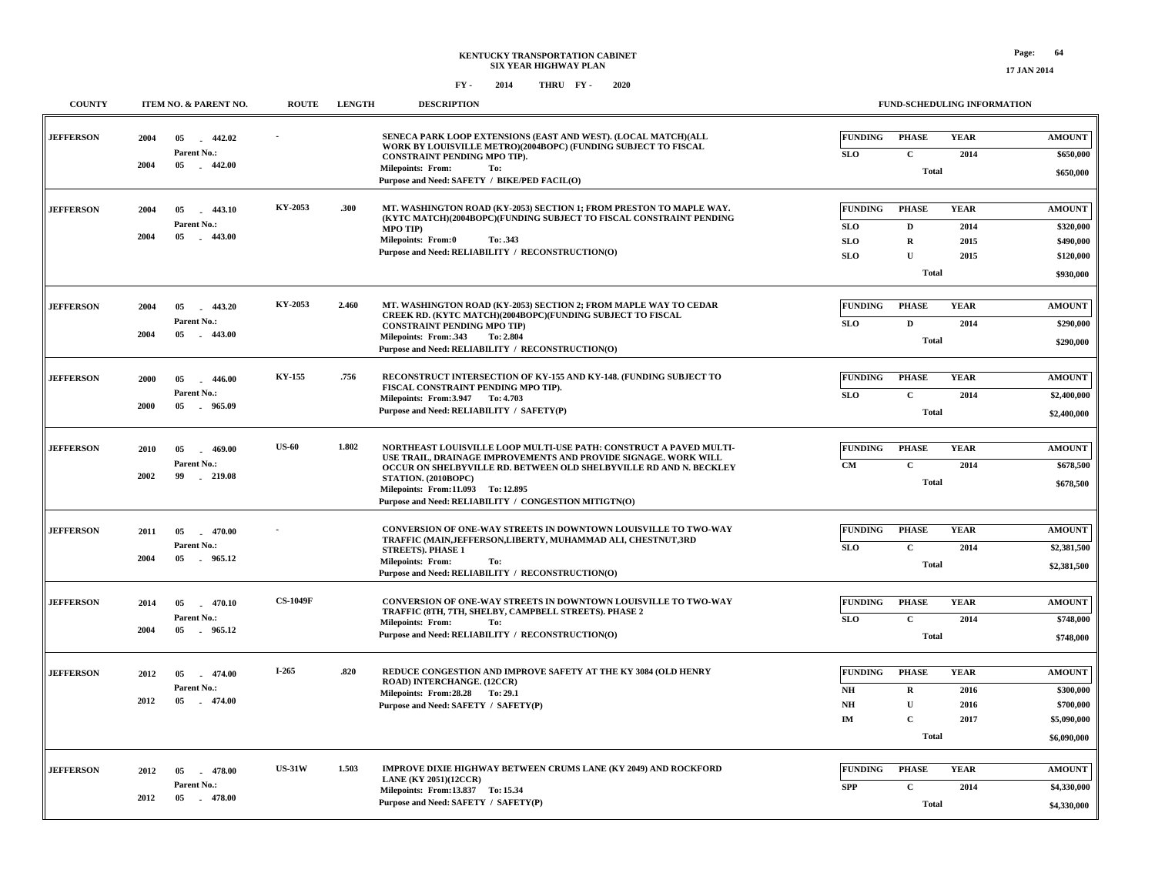| <b>COUNTY</b>    | ITEM NO. & PARENT NO.                                                 | <b>ROUTE</b>    | <b>LENGTH</b> | <b>DESCRIPTION</b>                                                                                                                                                                                                                                                                                                                |                                                          | FUND-SCHEDULING INFORMATION                                       |                                     |                                                                       |
|------------------|-----------------------------------------------------------------------|-----------------|---------------|-----------------------------------------------------------------------------------------------------------------------------------------------------------------------------------------------------------------------------------------------------------------------------------------------------------------------------------|----------------------------------------------------------|-------------------------------------------------------------------|-------------------------------------|-----------------------------------------------------------------------|
| <b>JEFFERSON</b> | 2004<br>05<br>442.02<br>Parent No.:<br>2004<br>$-442.00$<br>05        |                 |               | SENECA PARK LOOP EXTENSIONS (EAST AND WEST). (LOCAL MATCH)(ALL<br>WORK BY LOUISVILLE METRO)(2004BOPC) (FUNDING SUBJECT TO FISCAL<br>CONSTRAINT PENDING MPO TIP).<br><b>Milepoints: From:</b><br>To:<br>Purpose and Need: SAFETY / BIKE/PED FACIL(O)                                                                               | <b>FUNDING</b><br><b>SLO</b>                             | <b>PHASE</b><br>$\mathbf C$<br><b>Total</b>                       | <b>YEAR</b><br>2014                 | <b>AMOUNT</b><br>\$650,000<br>\$650,000                               |
| <b>JEFFERSON</b> | $-443.10$<br>2004<br>05<br>Parent No.:<br>2004<br>05<br>$-443.00$     | KY-2053         | .300          | MT. WASHINGTON ROAD (KY-2053) SECTION 1; FROM PRESTON TO MAPLE WAY.<br>(KYTC MATCH)(2004BOPC)(FUNDING SUBJECT TO FISCAL CONSTRAINT PENDING<br><b>MPO TIP)</b><br><b>Milepoints: From:0</b><br>To: .343<br>Purpose and Need: RELIABILITY / RECONSTRUCTION(O)                                                                       | <b>FUNDING</b><br><b>SLO</b><br><b>SLO</b><br><b>SLO</b> | <b>PHASE</b><br>D<br>$\mathbf R$<br>$\mathbf{U}$<br><b>Total</b>  | <b>YEAR</b><br>2014<br>2015<br>2015 | <b>AMOUNT</b><br>\$320,000<br>\$490,000<br>\$120,000<br>\$930,000     |
| <b>JEFFERSON</b> | 2004<br>05<br>443.20<br>Parent No.:<br>2004<br>05<br>$-443.00$        | KY-2053         | 2.460         | MT. WASHINGTON ROAD (KY-2053) SECTION 2; FROM MAPLE WAY TO CEDAR<br>CREEK RD. (KYTC MATCH)(2004BOPC)(FUNDING SUBJECT TO FISCAL<br><b>CONSTRAINT PENDING MPO TIP)</b><br>Milepoints: From: 343<br>To: 2.804<br>Purpose and Need: RELIABILITY / RECONSTRUCTION(O)                                                                   | <b>FUNDING</b><br><b>SLO</b>                             | <b>PHASE</b><br>$\mathbf D$<br><b>Total</b>                       | <b>YEAR</b><br>2014                 | <b>AMOUNT</b><br>\$290,000<br>\$290,000                               |
| <b>JEFFERSON</b> | 2000<br>05<br>$-446.00$<br>Parent No.:<br>2000<br>05<br>. 965.09      | KY-155          | .756          | <b>RECONSTRUCT INTERSECTION OF KY-155 AND KY-148. (FUNDING SUBJECT TO</b><br>FISCAL CONSTRAINT PENDING MPO TIP).<br>Milepoints: From: 3.947 To: 4.703<br>Purpose and Need: RELIABILITY / SAFETY(P)                                                                                                                                | <b>FUNDING</b><br><b>SLO</b>                             | <b>PHASE</b><br>$\mathbf{C}$<br><b>Total</b>                      | <b>YEAR</b><br>2014                 | <b>AMOUNT</b><br>\$2,400,000<br>\$2,400,000                           |
| <b>JEFFERSON</b> | 2010<br>05<br>469.00<br>Parent No.:<br>2002<br>$-219.08$<br>99        | <b>US-60</b>    | 1.802         | NORTHEAST LOUISVILLE LOOP MULTI-USE PATH: CONSTRUCT A PAVED MULTI-<br>USE TRAIL, DRAINAGE IMPROVEMENTS AND PROVIDE SIGNAGE. WORK WILL<br>OCCUR ON SHELBYVILLE RD. BETWEEN OLD SHELBYVILLE RD AND N. BECKLEY<br>STATION. (2010BOPC)<br>Milepoints: From:11.093 To: 12.895<br>Purpose and Need: RELIABILITY / CONGESTION MITIGTN(O) | <b>FUNDING</b><br><b>CM</b>                              | <b>PHASE</b><br>$\mathbf C$<br><b>Total</b>                       | <b>YEAR</b><br>2014                 | <b>AMOUNT</b><br>\$678,500<br>\$678,500                               |
| <b>JEFFERSON</b> | 2011<br>05<br>$-470.00$<br>Parent No.:<br>2004<br>05<br>965.12        |                 |               | CONVERSION OF ONE-WAY STREETS IN DOWNTOWN LOUISVILLE TO TWO-WAY<br>TRAFFIC (MAIN, JEFFERSON, LIBERTY, MUHAMMAD ALI, CHESTNUT, 3RD<br><b>STREETS). PHASE 1</b><br><b>Milepoints: From:</b><br>To:<br>Purpose and Need: RELIABILITY / RECONSTRUCTION(O)                                                                             | <b>FUNDING</b><br><b>SLO</b>                             | <b>PHASE</b><br>$\mathbf C$<br><b>Total</b>                       | <b>YEAR</b><br>2014                 | <b>AMOUNT</b><br>\$2,381,500<br>\$2,381,500                           |
| <b>JEFFERSON</b> | 2014<br>05<br>$-470.10$<br>Parent No.:<br>2004<br>05 965.12           | <b>CS-1049F</b> |               | CONVERSION OF ONE-WAY STREETS IN DOWNTOWN LOUISVILLE TO TWO-WAY<br>TRAFFIC (8TH, 7TH, SHELBY, CAMPBELL STREETS). PHASE 2<br>Milepoints: From:<br>To:<br>Purpose and Need: RELIABILITY / RECONSTRUCTION(O)                                                                                                                         | <b>FUNDING</b><br><b>SLO</b>                             | <b>PHASE</b><br>$\mathbf C$<br><b>Total</b>                       | <b>YEAR</b><br>2014                 | $\boldsymbol{\mathsf{AMOUNT}}$<br>\$748,000<br>\$748,000              |
| <b>JEFFERSON</b> | 2012<br>474.00<br>05<br><b>Parent No.:</b><br>2012<br>05<br>$-474.00$ | $I-265$         | .820          | REDUCE CONGESTION AND IMPROVE SAFETY AT THE KY 3084 (OLD HENRY<br>ROAD) INTERCHANGE. (12CCR)<br>Milepoints: From: 28.28 To: 29.1<br>Purpose and Need: SAFETY / SAFETY(P)                                                                                                                                                          | <b>FUNDING</b><br>NH<br>NH<br><b>IM</b>                  | <b>PHASE</b><br>R<br>$\mathbf{U}$<br>$\mathbf{C}$<br><b>Total</b> | <b>YEAR</b><br>2016<br>2016<br>2017 | <b>AMOUNT</b><br>\$300,000<br>\$700,000<br>\$5,090,000<br>\$6,090,000 |
| <b>JEFFERSON</b> | $-478.00$<br>2012<br>05<br>Parent No.:<br>2012<br>05<br>$-478.00$     | <b>US-31W</b>   | 1.503         | <b>IMPROVE DIXIE HIGHWAY BETWEEN CRUMS LANE (KY 2049) AND ROCKFORD</b><br><b>LANE (KY 2051)(12CCR)</b><br>Milepoints: From:13.837 To: 15.34<br>Purpose and Need: SAFETY / SAFETY(P)                                                                                                                                               | <b>FUNDING</b><br><b>SPP</b>                             | <b>PHASE</b><br>$\mathbf C$<br><b>Total</b>                       | <b>YEAR</b><br>2014                 | <b>AMOUNT</b><br>\$4,330,000<br>\$4,330,000                           |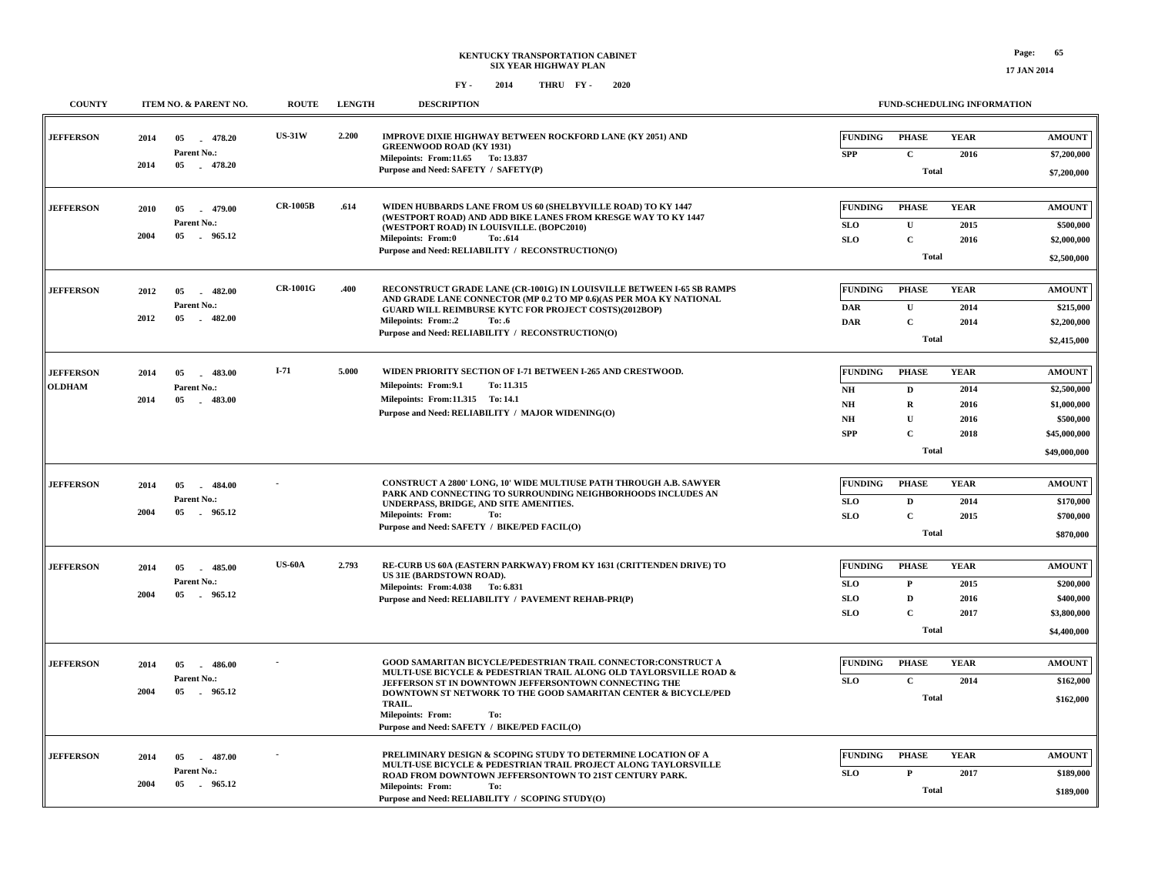**COUNTY ITEM NO. & PARENT NO. ROUTE LENGTH DESCRIPTION**

**FUND-SCHEDULING INFORMATION**

| <b>JEFFERSON</b> | 2014<br>2014 | 478.20<br>05<br>Parent No.:<br>05<br>$-478.20$ | <b>US-31W</b>   | 2.200 | IMPROVE DIXIE HIGHWAY BETWEEN ROCKFORD LANE (KY 2051) AND<br><b>GREENWOOD ROAD (KY 1931)</b><br>Milepoints: From:11.65 To: 13.837           | <b>FUNDING</b><br><b>SPP</b> | <b>PHASE</b><br>$\mathbf{C}$ | <b>YEAR</b><br>2016 | <b>AMOUNT</b><br>\$7,200,000 |
|------------------|--------------|------------------------------------------------|-----------------|-------|---------------------------------------------------------------------------------------------------------------------------------------------|------------------------------|------------------------------|---------------------|------------------------------|
|                  |              |                                                |                 |       | Purpose and Need: SAFETY / SAFETY(P)                                                                                                        |                              | <b>Total</b>                 |                     | \$7,200,000                  |
| <b>JEFFERSON</b> | 2010         | 05<br>$-479.00$                                | <b>CR-1005B</b> | .614  | WIDEN HUBBARDS LANE FROM US 60 (SHELBYVILLE ROAD) TO KY 1447                                                                                | <b>FUNDING</b>               | <b>PHASE</b>                 | <b>YEAR</b>         | <b>AMOUNT</b>                |
|                  |              | Parent No.:                                    |                 |       | (WESTPORT ROAD) AND ADD BIKE LANES FROM KRESGE WAY TO KY 1447<br>(WESTPORT ROAD) IN LOUISVILLE. (BOPC2010)                                  | SLO                          | ${\bf U}$                    | 2015                | \$500,000                    |
|                  | 2004         | 05 965.12                                      |                 |       | <b>Milepoints: From:0</b><br>To: .614                                                                                                       | <b>SLO</b>                   | $\mathbf C$                  | 2016                | \$2,000,000                  |
|                  |              |                                                |                 |       | Purpose and Need: RELIABILITY / RECONSTRUCTION(O)                                                                                           |                              | Total                        |                     | \$2,500,000                  |
|                  |              |                                                |                 |       |                                                                                                                                             |                              |                              |                     |                              |
| <b>JEFFERSON</b> | 2012         | $-482.00$<br>05                                | <b>CR-1001G</b> | .400  | RECONSTRUCT GRADE LANE (CR-1001G) IN LOUISVILLE BETWEEN I-65 SB RAMPS<br>AND GRADE LANE CONNECTOR (MP 0.2 TO MP 0.6)(AS PER MOA KY NATIONAL | <b>FUNDING</b>               | <b>PHASE</b>                 | <b>YEAR</b>         | <b>AMOUNT</b>                |
|                  |              | Parent No.:                                    |                 |       | <b>GUARD WILL REIMBURSE KYTC FOR PROJECT COSTS)(2012BOP)</b>                                                                                | <b>DAR</b>                   | ${\bf U}$                    | 2014                | \$215,000                    |
|                  | 2012         | 05<br>$-482.00$                                |                 |       | <b>Milepoints: From:.2</b><br>To: .6                                                                                                        | <b>DAR</b>                   | $\mathbf C$                  | 2014                | \$2,200,000                  |
|                  |              |                                                |                 |       | Purpose and Need: RELIABILITY / RECONSTRUCTION(O)                                                                                           |                              | <b>Total</b>                 |                     | \$2,415,000                  |
| <b>JEFFERSON</b> | 2014         | $-483.00$<br>05                                | $I-71$          | 5.000 | WIDEN PRIORITY SECTION OF I-71 BETWEEN I-265 AND CRESTWOOD.                                                                                 | <b>FUNDING</b>               | <b>PHASE</b>                 | <b>YEAR</b>         | <b>AMOUNT</b>                |
| <b>OLDHAM</b>    |              | Parent No.:                                    |                 |       | Milepoints: From: 9.1<br>To: 11.315                                                                                                         | N <sub>H</sub>               | $\mathbf D$                  | 2014                | \$2,500,000                  |
|                  | 2014         | 05 483.00                                      |                 |       | Milepoints: From:11.315 To: 14.1                                                                                                            | N <sub>H</sub>               | $\mathbf R$                  | 2016                | \$1,000,000                  |
|                  |              |                                                |                 |       | Purpose and Need: RELIABILITY / MAJOR WIDENING(O)                                                                                           | NH                           | $\mathbf{U}$                 | 2016                | \$500,000                    |
|                  |              |                                                |                 |       |                                                                                                                                             | <b>SPP</b>                   | $\mathbf{C}$                 | 2018                | \$45,000,000                 |
|                  |              |                                                |                 |       |                                                                                                                                             |                              | Total                        |                     | \$49,000,000                 |
|                  |              |                                                |                 |       |                                                                                                                                             |                              |                              |                     |                              |
| <b>JEFFERSON</b> | 2014         | $-484.00$<br>05                                |                 |       | CONSTRUCT A 2800' LONG, 10' WIDE MULTIUSE PATH THROUGH A.B. SAWYER<br>PARK AND CONNECTING TO SURROUNDING NEIGHBORHOODS INCLUDES AN          | <b>FUNDING</b>               | <b>PHASE</b>                 | <b>YEAR</b>         | <b>AMOUNT</b>                |
|                  | 2004         | Parent No.:<br>05<br>965.12                    |                 |       | UNDERPASS, BRIDGE, AND SITE AMENITIES.<br>To:                                                                                               | SLO                          | $\mathbf{D}$                 | 2014                | \$170,000                    |
|                  |              |                                                |                 |       | <b>Milepoints: From:</b><br>Purpose and Need: SAFETY / BIKE/PED FACIL(O)                                                                    | <b>SLO</b>                   | $\mathbf C$                  | 2015                | \$700,000                    |
|                  |              |                                                |                 |       |                                                                                                                                             |                              | Total                        |                     | \$870,000                    |
| <b>JEFFERSON</b> | 2014         | 485.00<br>05<br>$\sim$                         | <b>US-60A</b>   | 2.793 | RE-CURB US 60A (EASTERN PARKWAY) FROM KY 1631 (CRITTENDEN DRIVE) TO                                                                         | <b>FUNDING</b>               | <b>PHASE</b>                 | <b>YEAR</b>         | <b>AMOUNT</b>                |
|                  |              | Parent No.:                                    |                 |       | US 31E (BARDSTOWN ROAD).<br>Milepoints: From: 4.038 To: 6.831                                                                               | <b>SLO</b>                   | $\mathbf P$                  | 2015                | \$200,000                    |
|                  | 2004         | 05<br>. 965.12                                 |                 |       | Purpose and Need: RELIABILITY / PAVEMENT REHAB-PRI(P)                                                                                       | <b>SLO</b>                   | $\mathbf D$                  | 2016                | \$400,000                    |
|                  |              |                                                |                 |       |                                                                                                                                             | <b>SLO</b>                   | $\mathbf C$                  | 2017                | \$3,800,000                  |
|                  |              |                                                |                 |       |                                                                                                                                             |                              | <b>Total</b>                 |                     | \$4,400,000                  |
|                  |              |                                                |                 |       |                                                                                                                                             |                              |                              |                     |                              |
| <b>JEFFERSON</b> | 2014         | 05<br>$-486.00$                                |                 |       | GOOD SAMARITAN BICYCLE/PEDESTRIAN TRAIL CONNECTOR:CONSTRUCT A<br>MULTI-USE BICYCLE & PEDESTRIAN TRAIL ALONG OLD TAYLORSVILLE ROAD &         | FUNDING                      | <b>PHASE</b>                 | <b>YEAR</b>         | <b>AMOUNT</b>                |
|                  | 2004         | Parent No.:<br>05<br>. 965.12                  |                 |       | JEFFERSON ST IN DOWNTOWN JEFFERSONTOWN CONNECTING THE<br>DOWNTOWN ST NETWORK TO THE GOOD SAMARITAN CENTER & BICYCLE/PED                     | <b>SLO</b>                   | $\mathbf{C}$                 | 2014                | \$162,000                    |
|                  |              |                                                |                 |       | TRAIL.<br><b>Milepoints: From:</b><br>To:<br>Purpose and Need: SAFETY / BIKE/PED FACIL(O)                                                   |                              | <b>Total</b>                 |                     | \$162,000                    |
|                  |              |                                                |                 |       |                                                                                                                                             |                              |                              |                     |                              |
| <b>JEFFERSON</b> | 2014         | 05<br>$-487.00$                                |                 |       | PRELIMINARY DESIGN & SCOPING STUDY TO DETERMINE LOCATION OF A<br>MULTI-USE BICYCLE & PEDESTRIAN TRAIL PROJECT ALONG TAYLORSVILLE            | FUNDING                      | <b>PHASE</b>                 | <b>YEAR</b>         | <b>AMOUNT</b>                |
|                  | 2004         | Parent No.:<br>05<br>965.12                    |                 |       | ROAD FROM DOWNTOWN JEFFERSONTOWN TO 21ST CENTURY PARK.<br><b>Milepoints: From:</b><br>To:                                                   | <b>SLO</b>                   | $\mathbf{P}$                 | 2017                | \$189,000                    |
|                  |              |                                                |                 |       | Purpose and Need: RELIABILITY / SCOPING STUDY(O)                                                                                            |                              | <b>Total</b>                 |                     | \$189,000                    |
|                  |              |                                                |                 |       |                                                                                                                                             |                              |                              |                     |                              |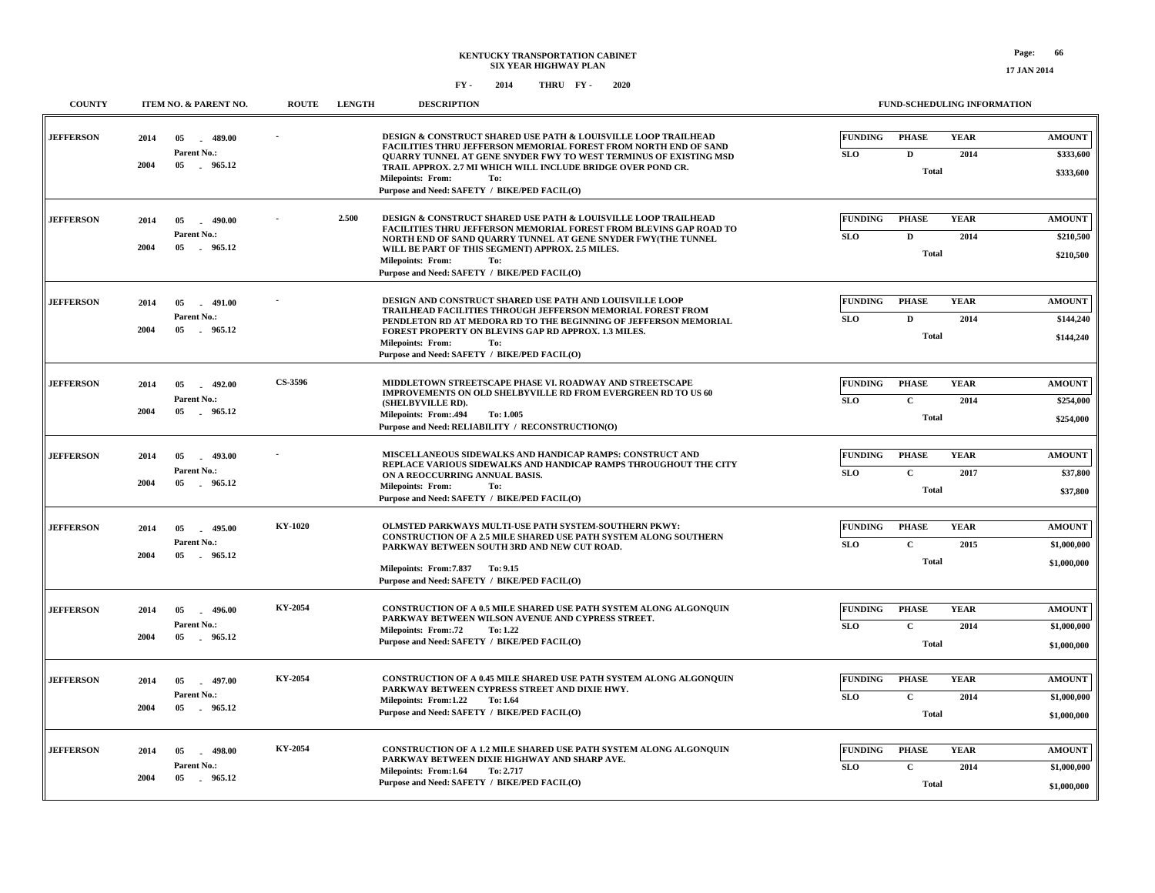| <b>COUNTY</b>    | ITEM NO. & PARENT NO.                                                 | <b>ROUTE</b> | <b>LENGTH</b> | <b>DESCRIPTION</b>                                                                                                                                                                                             | FUND-SCHEDULING INFORMATION                                                         |                            |
|------------------|-----------------------------------------------------------------------|--------------|---------------|----------------------------------------------------------------------------------------------------------------------------------------------------------------------------------------------------------------|-------------------------------------------------------------------------------------|----------------------------|
| <b>JEFFERSON</b> | 2014<br>05<br>489.00<br>$\sim$<br>Parent No.:<br>2004<br>05<br>965.12 |              |               | DESIGN & CONSTRUCT SHARED USE PATH & LOUISVILLE LOOP TRAILHEAD<br>FACILITIES THRU JEFFERSON MEMORIAL FOREST FROM NORTH END OF SAND<br><b>OUARRY TUNNEL AT GENE SNYDER FWY TO WEST TERMINUS OF EXISTING MSD</b> | <b>FUNDING</b><br><b>YEAR</b><br><b>PHASE</b><br><b>SLO</b><br>$\mathbf{D}$<br>2014 | <b>AMOUNT</b><br>\$333,600 |
|                  |                                                                       |              |               | TRAIL APPROX. 2.7 MI WHICH WILL INCLUDE BRIDGE OVER POND CR.<br>Milepoints: From:<br>To:<br>Purpose and Need: SAFETY / BIKE/PED FACIL(O)                                                                       | <b>Total</b>                                                                        | \$333,600                  |
| <b>JEFFERSON</b> | 2014<br>05<br>$-490.00$                                               |              | 2.500         | DESIGN & CONSTRUCT SHARED USE PATH & LOUISVILLE LOOP TRAILHEAD<br>FACILITIES THRU JEFFERSON MEMORIAL FOREST FROM BLEVINS GAP ROAD TO                                                                           | <b>YEAR</b><br><b>FUNDING</b><br><b>PHASE</b>                                       | <b>AMOUNT</b>              |
|                  | Parent No.:<br>2004<br>05<br>. 965.12                                 |              |               | NORTH END OF SAND QUARRY TUNNEL AT GENE SNYDER FWY(THE TUNNEL<br>WILL BE PART OF THIS SEGMENT) APPROX. 2.5 MILES.<br><b>Milepoints: From:</b><br>To:<br>Purpose and Need: SAFETY / BIKE/PED FACIL(O)           | <b>SLO</b><br>D<br>2014<br><b>Total</b>                                             | \$210,500<br>\$210,500     |
| <b>JEFFERSON</b> | 2014<br>05<br>$-491.00$                                               |              |               | DESIGN AND CONSTRUCT SHARED USE PATH AND LOUISVILLE LOOP<br>TRAILHEAD FACILITIES THROUGH JEFFERSON MEMORIAL FOREST FROM                                                                                        | <b>FUNDING</b><br><b>PHASE</b><br><b>YEAR</b>                                       | <b>AMOUNT</b>              |
|                  | Parent No.:<br>2004<br>05<br>965.12                                   |              |               | PENDLETON RD AT MEDORA RD TO THE BEGINNING OF JEFFERSON MEMORIAL<br>FOREST PROPERTY ON BLEVINS GAP RD APPROX. 1.3 MILES.<br>Milepoints: From:<br>To:<br>Purpose and Need: SAFETY / BIKE/PED FACIL(O)           | <b>SLO</b><br>D<br>2014<br><b>Total</b>                                             | \$144,240<br>\$144,240     |
| <b>JEFFERSON</b> | 2014<br>05<br>$-492.00$                                               | CS-3596      |               | MIDDLETOWN STREETSCAPE PHASE VI. ROADWAY AND STREETSCAPE                                                                                                                                                       | <b>FUNDING</b><br><b>YEAR</b><br><b>PHASE</b>                                       | <b>AMOUNT</b>              |
|                  | Parent No.:                                                           |              |               | IMPROVEMENTS ON OLD SHELBYVILLE RD FROM EVERGREEN RD TO US 60<br>(SHELBYVILLE RD).                                                                                                                             | $\mathbf{C}$<br><b>SLO</b><br>2014                                                  | \$254,000                  |
|                  | 2004<br>05<br>965.12                                                  |              |               | <b>Milepoints: From:.494</b><br>To: 1.005<br>Purpose and Need: RELIABILITY / RECONSTRUCTION(O)                                                                                                                 | <b>Total</b>                                                                        | \$254,000                  |
| <b>JEFFERSON</b> | 2014<br>$-493.00$<br>05                                               |              |               | MISCELLANEOUS SIDEWALKS AND HANDICAP RAMPS: CONSTRUCT AND<br>REPLACE VARIOUS SIDEWALKS AND HANDICAP RAMPS THROUGHOUT THE CITY                                                                                  | <b>FUNDING</b><br><b>PHASE</b><br><b>YEAR</b>                                       | <b>AMOUNT</b>              |
|                  | Parent No.:<br>2004<br>05<br>965.12                                   |              |               | ON A REOCCURRING ANNUAL BASIS.<br><b>Milepoints: From:</b><br>To:                                                                                                                                              | <b>SLO</b><br>$\mathbf{C}$<br>2017<br><b>Total</b>                                  | \$37,800                   |
|                  |                                                                       |              |               | Purpose and Need: SAFETY / BIKE/PED FACIL(O)                                                                                                                                                                   |                                                                                     | \$37,800                   |
| <b>JEFFERSON</b> | 2014<br>05<br>495.00                                                  | KY-1020      |               | OLMSTED PARKWAYS MULTI-USE PATH SYSTEM-SOUTHERN PKWY:<br><b>CONSTRUCTION OF A 2.5 MILE SHARED USE PATH SYSTEM ALONG SOUTHERN</b>                                                                               | <b>FUNDING</b><br><b>PHASE</b><br><b>YEAR</b>                                       | <b>AMOUNT</b>              |
|                  | Parent No.:<br>2004<br>05<br>.965.12                                  |              |               | PARKWAY BETWEEN SOUTH 3RD AND NEW CUT ROAD.                                                                                                                                                                    | <b>SLO</b><br>$\mathbf C$<br>2015<br><b>Total</b>                                   | \$1,000,000                |
|                  |                                                                       |              |               | Milepoints: From: 7.837 To: 9.15<br>Purpose and Need: SAFETY / BIKE/PED FACIL(O)                                                                                                                               |                                                                                     | \$1,000,000                |
| <b>JEFFERSON</b> | 2014<br>05<br>$-496.00$                                               | KY-2054      |               | CONSTRUCTION OF A 0.5 MILE SHARED USE PATH SYSTEM ALONG ALGONQUIN                                                                                                                                              | <b>FUNDING</b><br><b>PHASE</b><br><b>YEAR</b>                                       | <b>AMOUNT</b>              |
|                  | Parent No.:<br>2004<br>05<br>965.12                                   |              |               | PARKWAY BETWEEN WILSON AVENUE AND CYPRESS STREET.<br><b>Milepoints: From:.72</b><br>To: 1.22                                                                                                                   | $\mathbf C$<br><b>SLO</b><br>2014                                                   | \$1,000,000                |
|                  |                                                                       |              |               | Purpose and Need: SAFETY / BIKE/PED FACIL(O)                                                                                                                                                                   | <b>Total</b>                                                                        | \$1,000,000                |
| <b>JEFFERSON</b> | 2014<br>05<br>$-497.00$                                               | KY-2054      |               | CONSTRUCTION OF A 0.45 MILE SHARED USE PATH SYSTEM ALONG ALGONQUIN                                                                                                                                             | <b>FUNDING</b><br><b>PHASE</b><br><b>YEAR</b>                                       | <b>AMOUNT</b>              |
|                  | Parent No.:<br>2004<br>05<br>965.12                                   |              |               | PARKWAY BETWEEN CYPRESS STREET AND DIXIE HWY.<br>Milepoints: From:1.22<br>To: 1.64                                                                                                                             | <b>SLO</b><br>$\mathbf C$<br>2014                                                   | \$1,000,000                |
|                  |                                                                       |              |               | Purpose and Need: SAFETY / BIKE/PED FACIL(O)                                                                                                                                                                   | <b>Total</b>                                                                        | \$1,000,000                |
| <b>JEFFERSON</b> | 2014<br>05<br>$-498.00$                                               | KY-2054      |               | CONSTRUCTION OF A 1.2 MILE SHARED USE PATH SYSTEM ALONG ALGONQUIN                                                                                                                                              | <b>FUNDING</b><br><b>PHASE</b><br><b>YEAR</b>                                       | <b>AMOUNT</b>              |
|                  | Parent No.:<br>2004<br>05 965.12                                      |              |               | PARKWAY BETWEEN DIXIE HIGHWAY AND SHARP AVE.<br>Milepoints: From:1.64<br>To: 2.717                                                                                                                             | $\mathbf C$<br><b>SLO</b><br>2014                                                   | \$1,000,000                |
|                  |                                                                       |              |               | Purpose and Need: SAFETY / BIKE/PED FACIL(O)                                                                                                                                                                   | <b>Total</b>                                                                        | \$1,000,000                |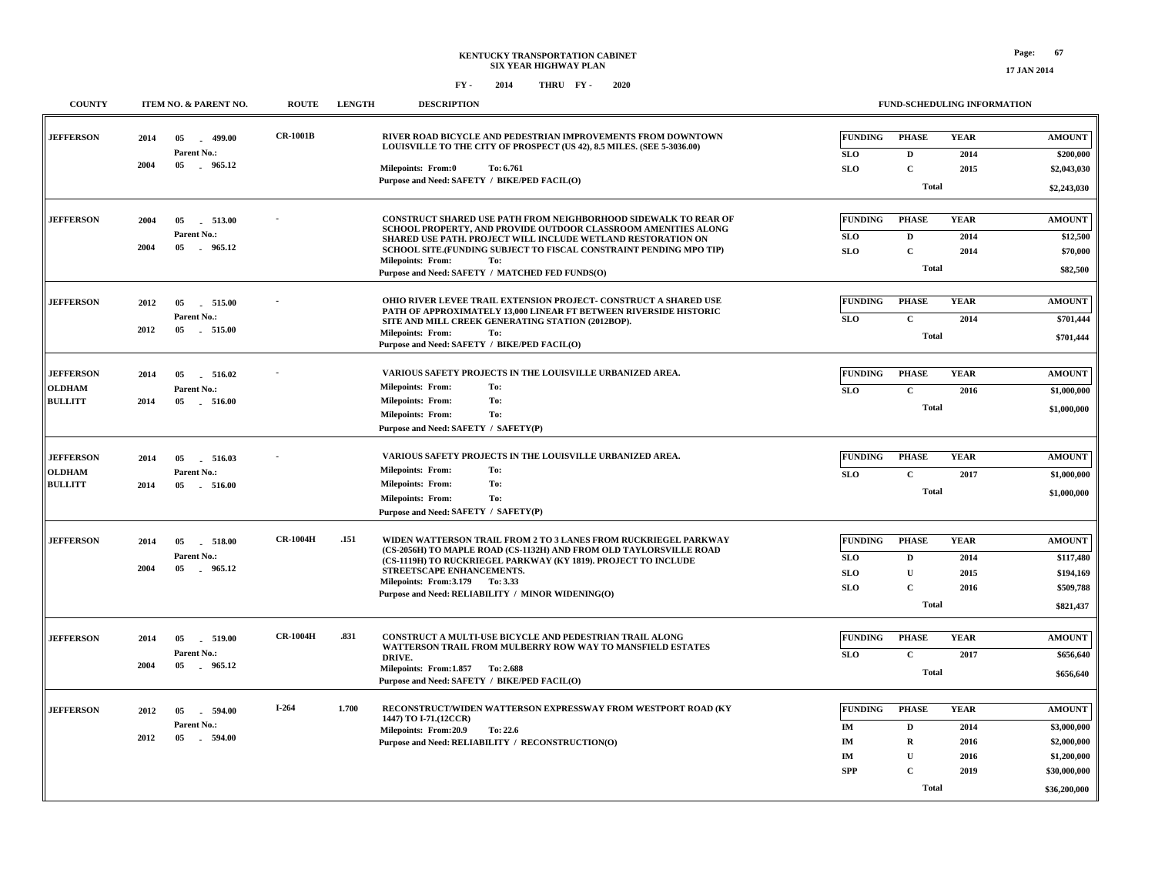**17 JAN 2014**

| <b>COUNTY</b>    |      | ITEM NO. & PARENT NO.         | <b>ROUTE</b>    | <b>LENGTH</b> | <b>DESCRIPTION</b>                                                                                                                     |                  | FUND-SCHEDULING INFORMATION  |              |                             |
|------------------|------|-------------------------------|-----------------|---------------|----------------------------------------------------------------------------------------------------------------------------------------|------------------|------------------------------|--------------|-----------------------------|
| <b>JEFFERSON</b> | 2014 | 499.00<br>05                  | <b>CR-1001B</b> |               | RIVER ROAD BICYCLE AND PEDESTRIAN IMPROVEMENTS FROM DOWNTOWN<br>LOUISVILLE TO THE CITY OF PROSPECT (US 42), 8.5 MILES. (SEE 5-3036.00) | <b>FUNDING</b>   | <b>PHASE</b>                 | <b>YEAR</b>  | <b>AMOUNT</b>               |
|                  | 2004 | Parent No.:<br>05 965.12      |                 |               |                                                                                                                                        | <b>SLO</b>       | D                            | 2014         | \$200,000                   |
|                  |      |                               |                 |               | <b>Milepoints: From:0</b><br>To: 6.761<br>Purpose and Need: SAFETY / BIKE/PED FACIL(O)                                                 | <b>SLO</b>       | $\mathbf C$                  | 2015         | \$2,043,030                 |
|                  |      |                               |                 |               |                                                                                                                                        |                  | <b>Total</b>                 |              | \$2,243,030                 |
|                  |      |                               |                 |               |                                                                                                                                        |                  |                              |              |                             |
| <b>JEFFERSON</b> | 2004 | 05<br>513.00                  |                 |               | CONSTRUCT SHARED USE PATH FROM NEIGHBORHOOD SIDEWALK TO REAR OF<br>SCHOOL PROPERTY, AND PROVIDE OUTDOOR CLASSROOM AMENITIES ALONG      | <b>FUNDING</b>   | <b>PHASE</b>                 | <b>YEAR</b>  | <b>AMOUNT</b>               |
|                  |      | Parent No.:                   |                 |               | SHARED USE PATH. PROJECT WILL INCLUDE WETLAND RESTORATION ON                                                                           | <b>SLO</b>       | D                            | 2014         | \$12,500                    |
|                  | 2004 | $05\,$<br>965.12              |                 |               | SCHOOL SITE. (FUNDING SUBJECT TO FISCAL CONSTRAINT PENDING MPO TIP)<br><b>Milepoints: From:</b><br>To:                                 | <b>SLO</b>       | $\mathbf C$                  | 2014         | \$70,000                    |
|                  |      |                               |                 |               | Purpose and Need: SAFETY / MATCHED FED FUNDS(O)                                                                                        |                  | <b>Total</b>                 |              | \$82,500                    |
|                  |      |                               |                 |               |                                                                                                                                        |                  |                              |              |                             |
| <b>JEFFERSON</b> | 2012 | 05<br>515.00                  |                 |               | OHIO RIVER LEVEE TRAIL EXTENSION PROJECT- CONSTRUCT A SHARED USE<br>PATH OF APPROXIMATELY 13,000 LINEAR FT BETWEEN RIVERSIDE HISTORIC  | <b>FUNDING</b>   | <b>PHASE</b>                 | <b>YEAR</b>  | <b>AMOUNT</b>               |
|                  |      | Parent No.:                   |                 |               | SITE AND MILL CREEK GENERATING STATION (2012BOP).                                                                                      | <b>SLO</b>       | $\mathbf C$                  | 2014         | \$701,444                   |
|                  | 2012 | 05 515.00                     |                 |               | <b>Milepoints: From:</b><br>To:                                                                                                        |                  | <b>Total</b>                 |              | \$701,444                   |
|                  |      |                               |                 |               | Purpose and Need: SAFETY / BIKE/PED FACIL(O)                                                                                           |                  |                              |              |                             |
| <b>JEFFERSON</b> | 2014 | 05<br>516.02                  |                 |               | VARIOUS SAFETY PROJECTS IN THE LOUISVILLE URBANIZED AREA.                                                                              | <b>FUNDING</b>   | <b>PHASE</b>                 | <b>YEAR</b>  | <b>AMOUNT</b>               |
| <b>OLDHAM</b>    |      | Parent No.:                   |                 |               | <b>Milepoints: From:</b><br>To:                                                                                                        | <b>SLO</b>       | $\mathbf C$                  | 2016         | \$1,000,000                 |
| <b>BULLITT</b>   | 2014 | $05\,$<br>516.00              |                 |               | <b>Milepoints: From:</b><br>To:                                                                                                        |                  | <b>Total</b>                 |              |                             |
|                  |      |                               |                 |               | <b>Milepoints: From:</b><br>To:                                                                                                        |                  |                              |              | \$1,000,000                 |
|                  |      |                               |                 |               | Purpose and Need: SAFETY / SAFETY(P)                                                                                                   |                  |                              |              |                             |
| <b>JEFFERSON</b> | 2014 | 05<br>516.03                  |                 |               | VARIOUS SAFETY PROJECTS IN THE LOUISVILLE URBANIZED AREA.                                                                              | <b>FUNDING</b>   | <b>PHASE</b>                 | <b>YEAR</b>  | <b>AMOUNT</b>               |
| <b>OLDHAM</b>    |      | Parent No.:                   |                 |               | <b>Milepoints: From:</b><br>To:                                                                                                        | <b>SLO</b>       | $\mathbf C$                  | 2017         | \$1,000,000                 |
| <b>BULLITT</b>   | 2014 | 05<br>516.00                  |                 |               | <b>Milepoints: From:</b><br>To:                                                                                                        |                  |                              |              |                             |
|                  |      |                               |                 |               | <b>Milepoints: From:</b><br>To:                                                                                                        |                  | <b>Total</b>                 |              | \$1,000,000                 |
|                  |      |                               |                 |               | Purpose and Need: SAFETY / SAFETY(P)                                                                                                   |                  |                              |              |                             |
| <b>JEFFERSON</b> | 2014 | $05\,$<br>518.00              | <b>CR-1004H</b> | .151          | WIDEN WATTERSON TRAIL FROM 2 TO 3 LANES FROM RUCKRIEGEL PARKWAY                                                                        | <b>FUNDING</b>   | <b>PHASE</b>                 | <b>YEAR</b>  | <b>AMOUNT</b>               |
|                  |      | Parent No.:                   |                 |               | (CS-2056H) TO MAPLE ROAD (CS-1132H) AND FROM OLD TAYLORSVILLE ROAD                                                                     | <b>SLO</b>       | D                            | 2014         | \$117,480                   |
|                  | 2004 | 05<br>. 965.12                |                 |               | (CS-1119H) TO RUCKRIEGEL PARKWAY (KY 1819). PROJECT TO INCLUDE<br>STREETSCAPE ENHANCEMENTS.                                            | <b>SLO</b>       | $\mathbf U$                  | 2015         | \$194,169                   |
|                  |      |                               |                 |               | Milepoints: From: 3.179 To: 3.33                                                                                                       | <b>SLO</b>       | $\mathbf C$                  | 2016         | \$509,788                   |
|                  |      |                               |                 |               | Purpose and Need: RELIABILITY / MINOR WIDENING(O)                                                                                      |                  | <b>Total</b>                 |              | \$821,437                   |
|                  |      |                               |                 |               |                                                                                                                                        |                  |                              |              |                             |
| <b>JEFFERSON</b> | 2014 | 05<br>519.00                  | <b>CR-1004H</b> | .831          | CONSTRUCT A MULTI-USE BICYCLE AND PEDESTRIAN TRAIL ALONG                                                                               | <b>FUNDING</b>   | <b>PHASE</b>                 | <b>YEAR</b>  | <b>AMOUNT</b>               |
|                  |      | Parent No.:                   |                 |               | WATTERSON TRAIL FROM MULBERRY ROW WAY TO MANSFIELD ESTATES<br>DRIVE.                                                                   | <b>SLO</b>       | $\mathbf C$                  | 2017         | \$656,640                   |
|                  | 2004 | 05 965.12                     |                 |               | Milepoints: From: 1.857 To: 2.688                                                                                                      |                  | <b>Total</b>                 |              | \$656,640                   |
|                  |      |                               |                 |               | Purpose and Need: SAFETY / BIKE/PED FACIL(O)                                                                                           |                  |                              |              |                             |
|                  |      |                               |                 | 1.700         |                                                                                                                                        |                  |                              |              |                             |
| <b>JEFFERSON</b> | 2012 | 594.00<br>05                  | $I-264$         |               | RECONSTRUCT/WIDEN WATTERSON EXPRESSWAY FROM WESTPORT ROAD (KY<br>1447) TO I-71.(12CCR)                                                 | <b>FUNDING</b>   | <b>PHASE</b>                 | <b>YEAR</b>  | <b>AMOUNT</b>               |
|                  | 2012 | Parent No.:<br>- 594.00<br>05 |                 |               | Milepoints: From:20.9<br>To: 22.6                                                                                                      | IM               | D                            | 2014         | \$3,000,000                 |
|                  |      |                               |                 |               | Purpose and Need: RELIABILITY / RECONSTRUCTION(O)                                                                                      | IM               | $\mathbf R$                  | 2016         | \$2,000,000                 |
|                  |      |                               |                 |               |                                                                                                                                        | IM<br><b>SPP</b> | $\mathbf{U}$<br>$\mathbf{C}$ | 2016<br>2019 | \$1,200,000<br>\$30,000,000 |
|                  |      |                               |                 |               |                                                                                                                                        |                  |                              |              |                             |
|                  |      |                               |                 |               |                                                                                                                                        |                  | <b>Total</b>                 |              | \$36,200,000                |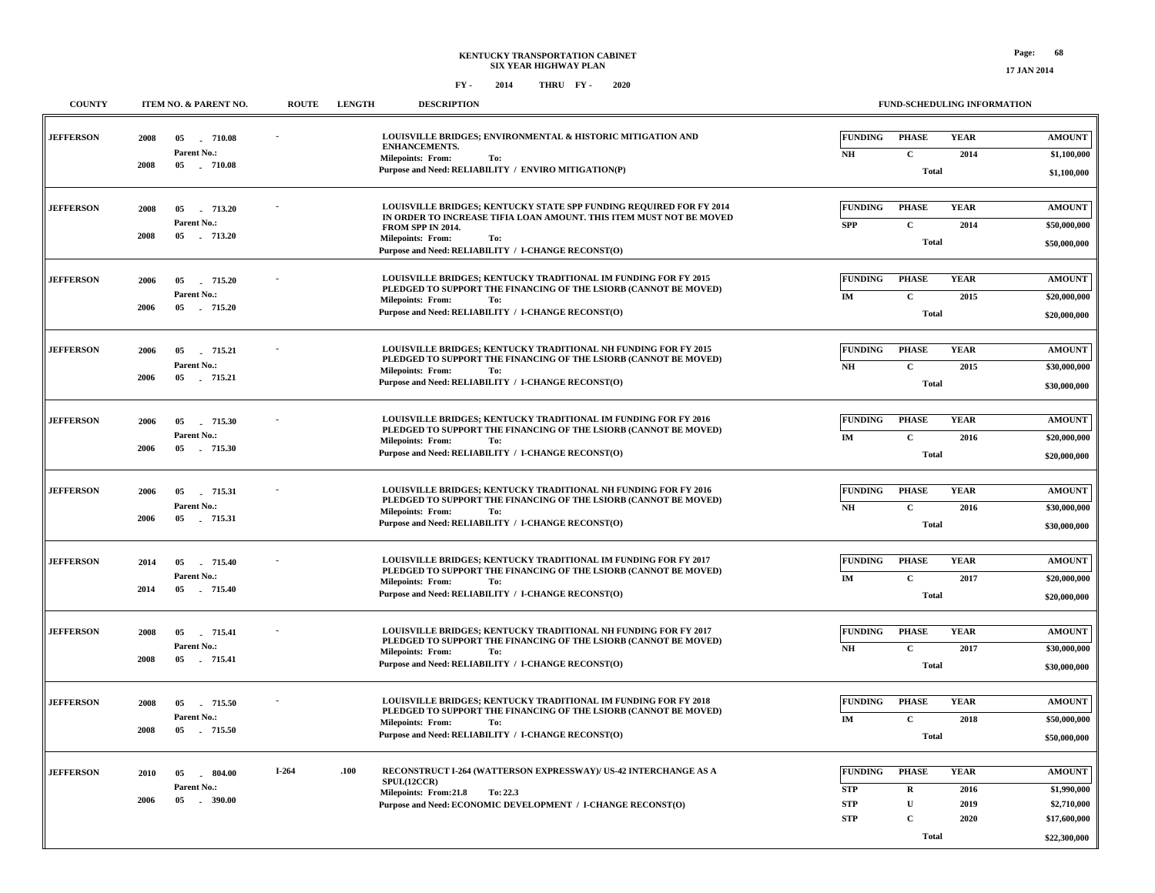| <b>COUNTY</b>    | ITEM NO. & PARENT NO.                                           | <b>ROUTE</b> | <b>LENGTH</b> | <b>DESCRIPTION</b>                                                                                                                                                                                                                                        |                                                          |                                                                           | <b>FUND-SCHEDULING INFORMATION</b>  |                                                                             |
|------------------|-----------------------------------------------------------------|--------------|---------------|-----------------------------------------------------------------------------------------------------------------------------------------------------------------------------------------------------------------------------------------------------------|----------------------------------------------------------|---------------------------------------------------------------------------|-------------------------------------|-----------------------------------------------------------------------------|
| <b>JEFFERSON</b> | 2008<br>05<br>$-710.08$<br>Parent No.:<br>05 710.08<br>2008     |              |               | LOUISVILLE BRIDGES; ENVIRONMENTAL & HISTORIC MITIGATION AND<br><b>ENHANCEMENTS.</b><br><b>Milepoints: From:</b><br>To:<br>Purpose and Need: RELIABILITY / ENVIRO MITIGATION(P)                                                                            | <b>FUNDING</b><br>$\mathbf{N}\mathbf{H}$                 | <b>PHASE</b><br>$\mathbf C$<br><b>Total</b>                               | <b>YEAR</b><br>2014                 | <b>AMOUNT</b><br>\$1,100,000<br>\$1,100,000                                 |
| <b>JEFFERSON</b> | 05<br>713.20<br>2008<br>Parent No.:<br>2008<br>05<br>$-713.20$  |              |               | LOUISVILLE BRIDGES; KENTUCKY STATE SPP FUNDING REQUIRED FOR FY 2014<br>IN ORDER TO INCREASE TIFIA LOAN AMOUNT. THIS ITEM MUST NOT BE MOVED<br>FROM SPP IN 2014.<br><b>Milepoints: From:</b><br>To:<br>Purpose and Need: RELIABILITY / I-CHANGE RECONST(O) | <b>FUNDING</b><br><b>SPP</b>                             | <b>PHASE</b><br>$\mathbf C$<br><b>Total</b>                               | <b>YEAR</b><br>2014                 | <b>AMOUNT</b><br>\$50,000,000<br>\$50,000,000                               |
| <b>JEFFERSON</b> | 2006<br>05<br>715.20<br><b>Parent No.:</b><br>2006<br>05 715.20 |              |               | LOUISVILLE BRIDGES; KENTUCKY TRADITIONAL IM FUNDING FOR FY 2015<br>PLEDGED TO SUPPORT THE FINANCING OF THE LSIORB (CANNOT BE MOVED)<br><b>Milepoints: From:</b><br>To:<br>Purpose and Need: RELIABILITY / I-CHANGE RECONST(O)                             | <b>FUNDING</b><br>IM                                     | <b>PHASE</b><br>$\mathbf C$<br><b>Total</b>                               | <b>YEAR</b><br>2015                 | <b>AMOUNT</b><br>\$20,000,000<br>\$20,000,000                               |
| <b>JEFFERSON</b> | 2006<br>05<br>715.21<br>Parent No.:<br>2006<br>05<br>715.21     |              |               | LOUISVILLE BRIDGES; KENTUCKY TRADITIONAL NH FUNDING FOR FY 2015<br>PLEDGED TO SUPPORT THE FINANCING OF THE LSIORB (CANNOT BE MOVED)<br><b>Milepoints: From:</b><br>To:<br>Purpose and Need: RELIABILITY / I-CHANGE RECONST(O)                             | <b>FUNDING</b><br>NH                                     | <b>PHASE</b><br>$\mathbf{C}$<br><b>Total</b>                              | <b>YEAR</b><br>2015                 | <b>AMOUNT</b><br>\$30,000,000<br>\$30,000,000                               |
| <b>JEFFERSON</b> | 2006<br>05<br>715.30<br><b>Parent No.:</b><br>2006<br>05 715.30 |              |               | <b>LOUISVILLE BRIDGES: KENTUCKY TRADITIONAL IM FUNDING FOR FY 2016</b><br>PLEDGED TO SUPPORT THE FINANCING OF THE LSIORB (CANNOT BE MOVED)<br><b>Milepoints: From:</b><br>To:<br>Purpose and Need: RELIABILITY / I-CHANGE RECONST(O)                      | <b>FUNDING</b><br>IM                                     | <b>PHASE</b><br>$\mathbf C$<br><b>Total</b>                               | <b>YEAR</b><br>2016                 | <b>AMOUNT</b><br>\$20,000,000<br>\$20,000,000                               |
| <b>JEFFERSON</b> | 2006<br>05<br>715.31<br>Parent No.:<br>2006<br>05<br>715.31     |              |               | LOUISVILLE BRIDGES; KENTUCKY TRADITIONAL NH FUNDING FOR FY 2016<br>PLEDGED TO SUPPORT THE FINANCING OF THE LSIORB (CANNOT BE MOVED)<br><b>Milepoints: From:</b><br>To:<br>Purpose and Need: RELIABILITY / I-CHANGE RECONST(O)                             | <b>FUNDING</b><br>NH                                     | <b>PHASE</b><br>$\mathbf C$<br><b>Total</b>                               | <b>YEAR</b><br>2016                 | <b>AMOUNT</b><br>\$30,000,000<br>\$30,000,000                               |
| <b>JEFFERSON</b> | $05\,$<br>715.40<br>2014<br>Parent No.:<br>2014<br>05 715.40    |              |               | <b>LOUISVILLE BRIDGES; KENTUCKY TRADITIONAL IM FUNDING FOR FY 2017</b><br>PLEDGED TO SUPPORT THE FINANCING OF THE LSIORB (CANNOT BE MOVED)<br><b>Milepoints: From:</b><br>To:<br>Purpose and Need: RELIABILITY / I-CHANGE RECONST(O)                      | <b>FUNDING</b><br>$\mathbf{IM}$                          | <b>PHASE</b><br>$\mathbf C$<br><b>Total</b>                               | <b>YEAR</b><br>2017                 | <b>AMOUNT</b><br>\$20,000,000<br>\$20,000,000                               |
| <b>JEFFERSON</b> | 2008<br>05<br>715.41<br>Parent No.:<br>2008<br>05<br>715.41     |              |               | LOUISVILLE BRIDGES: KENTUCKY TRADITIONAL NH FUNDING FOR FY 2017<br>PLEDGED TO SUPPORT THE FINANCING OF THE LSIORB (CANNOT BE MOVED)<br><b>Milepoints: From:</b><br>To:<br>Purpose and Need: RELIABILITY / I-CHANGE RECONST(O)                             | <b>FUNDING</b><br>NH                                     | <b>PHASE</b><br>$\mathbf C$<br><b>Total</b>                               | <b>YEAR</b><br>2017                 | <b>AMOUNT</b><br>\$30,000,000<br>\$30,000,000                               |
| <b>JEFFERSON</b> | $05\,$<br>715.50<br>2008<br>Parent No.:<br>2008<br>05<br>715.50 |              |               | LOUISVILLE BRIDGES; KENTUCKY TRADITIONAL IM FUNDING FOR FY 2018<br>PLEDGED TO SUPPORT THE FINANCING OF THE LSIORB (CANNOT BE MOVED)<br><b>Milepoints: From:</b><br>To:<br>Purpose and Need: RELIABILITY / I-CHANGE RECONST(O)                             | <b>FUNDING</b><br>$\mathbf{IM}$                          | <b>PHASE</b><br>$\mathbf C$<br><b>Total</b>                               | <b>YEAR</b><br>2018                 | <b>AMOUNT</b><br>\$50,000,000<br>\$50,000,000                               |
| <b>JEFFERSON</b> | . 804.00<br>2010<br>05<br>Parent No.:<br>2006<br>05<br>. 390.00 | $I-264$      | .100          | RECONSTRUCT I-264 (WATTERSON EXPRESSWAY)/ US-42 INTERCHANGE AS A<br>SPUI.(12CCR)<br>Milepoints: From:21.8<br><b>To: 22.3</b><br>Purpose and Need: ECONOMIC DEVELOPMENT / I-CHANGE RECONST(O)                                                              | <b>FUNDING</b><br><b>STP</b><br><b>STP</b><br><b>STP</b> | <b>PHASE</b><br>$\mathbf R$<br>$\mathbf U$<br>$\mathbf C$<br><b>Total</b> | <b>YEAR</b><br>2016<br>2019<br>2020 | <b>AMOUNT</b><br>\$1,990,000<br>\$2,710,000<br>\$17,600,000<br>\$22,300,000 |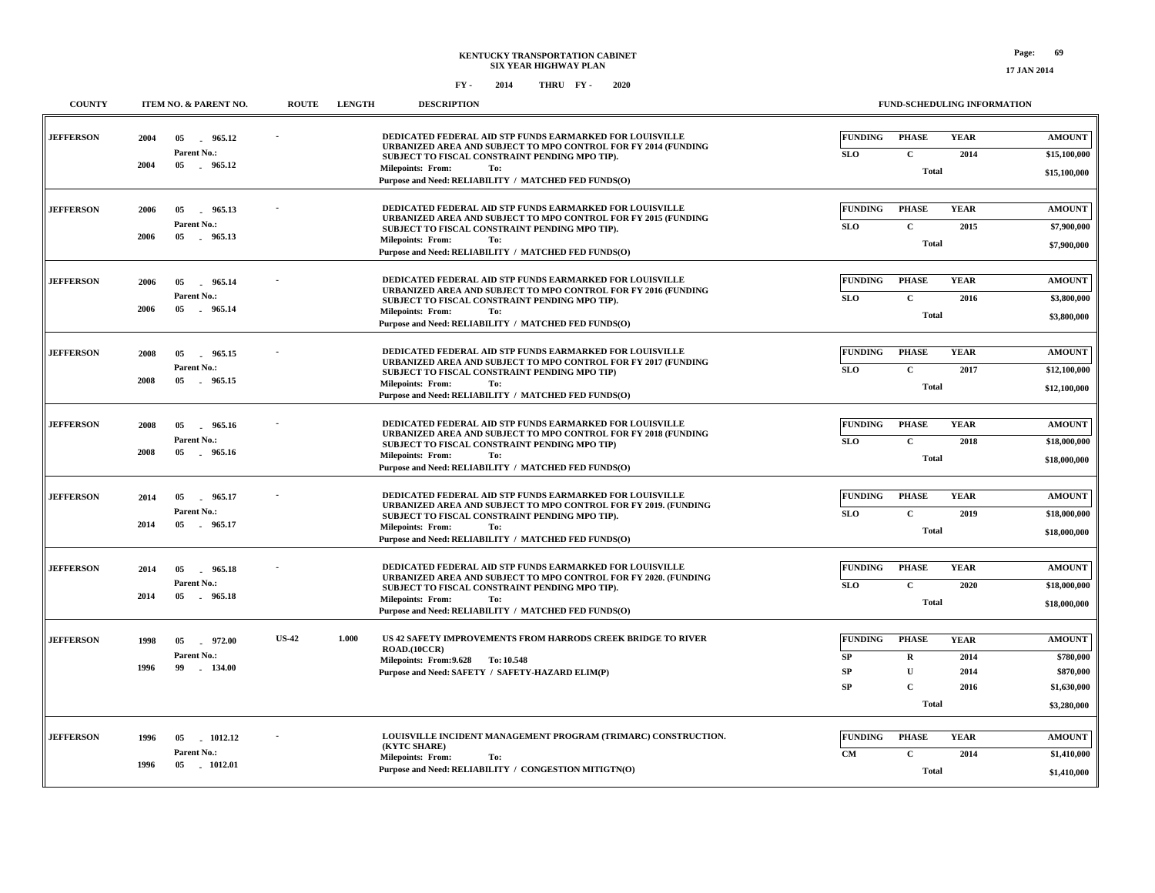| <b>COUNTY</b>    | ITEM NO. & PARENT NO.                                                | <b>ROUTE</b> | <b>LENGTH</b> | <b>DESCRIPTION</b>                                                                                                                                                                                                                                                       |                                         |                                                                       | <b>FUND-SCHEDULING INFORMATION</b>  |                                                                       |
|------------------|----------------------------------------------------------------------|--------------|---------------|--------------------------------------------------------------------------------------------------------------------------------------------------------------------------------------------------------------------------------------------------------------------------|-----------------------------------------|-----------------------------------------------------------------------|-------------------------------------|-----------------------------------------------------------------------|
| <b>JEFFERSON</b> | 2004<br>05<br>965.12<br>Parent No.:<br>2004<br>05 965.12             |              |               | DEDICATED FEDERAL AID STP FUNDS EARMARKED FOR LOUISVILLE<br>URBANIZED AREA AND SUBJECT TO MPO CONTROL FOR FY 2014 (FUNDING<br>SUBJECT TO FISCAL CONSTRAINT PENDING MPO TIP).<br><b>Milepoints: From:</b><br>To:<br>Purpose and Need: RELIABILITY / MATCHED FED FUNDS(O)  | <b>FUNDING</b><br><b>SLO</b>            | <b>PHASE</b><br>$\mathbf{C}$<br>Total                                 | <b>YEAR</b><br>2014                 | <b>AMOUNT</b><br>\$15,100,000<br>\$15,100,000                         |
| <b>JEFFERSON</b> | 2006<br>05<br>965.13<br>Parent No.:<br>2006<br>05 965.13             |              |               | DEDICATED FEDERAL AID STP FUNDS EARMARKED FOR LOUISVILLE<br>URBANIZED AREA AND SUBJECT TO MPO CONTROL FOR FY 2015 (FUNDING<br>SUBJECT TO FISCAL CONSTRAINT PENDING MPO TIP).<br><b>Milepoints: From:</b><br>To:<br>Purpose and Need: RELIABILITY / MATCHED FED FUNDS(O)  | <b>FUNDING</b><br><b>SLO</b>            | <b>PHASE</b><br>$\mathbf C$<br>Total                                  | <b>YEAR</b><br>2015                 | <b>AMOUNT</b><br>\$7,900,000<br>\$7,900,000                           |
| <b>JEFFERSON</b> | 965.14<br>2006<br>05<br>Parent No.:<br>2006<br>05 965.14             |              |               | DEDICATED FEDERAL AID STP FUNDS EARMARKED FOR LOUISVILLE<br>URBANIZED AREA AND SUBJECT TO MPO CONTROL FOR FY 2016 (FUNDING<br>SUBJECT TO FISCAL CONSTRAINT PENDING MPO TIP).<br><b>Milepoints: From:</b><br>To:<br>Purpose and Need: RELIABILITY / MATCHED FED FUNDS(O)  | <b>FUNDING</b><br><b>SLO</b>            | <b>PHASE</b><br>$\mathbf C$<br>Total                                  | <b>YEAR</b><br>2016                 | <b>AMOUNT</b><br>\$3,800,000<br>\$3,800,000                           |
| <b>JEFFERSON</b> | 2008<br>05<br>965.15<br>Parent No.:<br>2008<br>05 965.15             |              |               | DEDICATED FEDERAL AID STP FUNDS EARMARKED FOR LOUISVILLE<br>URBANIZED AREA AND SUBJECT TO MPO CONTROL FOR FY 2017 (FUNDING<br>SUBJECT TO FISCAL CONSTRAINT PENDING MPO TIP)<br><b>Milepoints: From:</b><br>To:<br>Purpose and Need: RELIABILITY / MATCHED FED FUNDS(O)   | <b>FUNDING</b><br><b>SLO</b>            | <b>PHASE</b><br>$\mathbf C$<br>Total                                  | <b>YEAR</b><br>2017                 | <b>AMOUNT</b><br>\$12,100,000<br>\$12,100,000                         |
| <b>JEFFERSON</b> | 965.16<br>2008<br>05<br>Parent No.:<br>2008<br>05<br>965.16          |              |               | DEDICATED FEDERAL AID STP FUNDS EARMARKED FOR LOUISVILLE<br>URBANIZED AREA AND SUBJECT TO MPO CONTROL FOR FY 2018 (FUNDING<br>SUBJECT TO FISCAL CONSTRAINT PENDING MPO TIP)<br><b>Milepoints: From:</b><br>To:<br>Purpose and Need: RELIABILITY / MATCHED FED FUNDS(O)   | <b>FUNDING</b><br><b>SLO</b>            | <b>PHASE</b><br>$\mathbf C$<br><b>Total</b>                           | <b>YEAR</b><br>2018                 | <b>AMOUNT</b><br>\$18,000,000<br>\$18,000,000                         |
| <b>JEFFERSON</b> | 965.17<br>2014<br>05<br>Parent No.:<br>2014<br>05<br>965.17          |              |               | DEDICATED FEDERAL AID STP FUNDS EARMARKED FOR LOUISVILLE<br>URBANIZED AREA AND SUBJECT TO MPO CONTROL FOR FY 2019. (FUNDING<br>SUBJECT TO FISCAL CONSTRAINT PENDING MPO TIP).<br><b>Milepoints: From:</b><br>To:<br>Purpose and Need: RELIABILITY / MATCHED FED FUNDS(O) | <b>FUNDING</b><br><b>SLO</b>            | <b>PHASE</b><br>$\mathbf{C}$<br>Total                                 | <b>YEAR</b><br>2019                 | <b>AMOUNT</b><br>\$18,000,000<br>\$18,000,000                         |
| <b>JEFFERSON</b> | 2014<br>05 965.18<br>Parent No.:<br>2014<br>05<br>965.18             |              |               | DEDICATED FEDERAL AID STP FUNDS EARMARKED FOR LOUISVILLE<br>URBANIZED AREA AND SUBJECT TO MPO CONTROL FOR FY 2020. (FUNDING<br>SUBJECT TO FISCAL CONSTRAINT PENDING MPO TIP).<br><b>Milepoints: From:</b><br>To:<br>Purpose and Need: RELIABILITY / MATCHED FED FUNDS(O) | <b>FUNDING</b><br><b>SLO</b>            | <b>PHASE</b><br>$\mathbf C$<br>Total                                  | <b>YEAR</b><br>2020                 | <b>AMOUNT</b><br>\$18,000,000<br>\$18,000,000                         |
| <b>JEFFERSON</b> | 1998<br>05<br>972.00<br>Parent No.:<br>1996<br>99<br>$-134.00$       | <b>US-42</b> | 1.000         | US 42 SAFETY IMPROVEMENTS FROM HARRODS CREEK BRIDGE TO RIVER<br>ROAD.(10CCR)<br>Milepoints: From: 9.628 To: 10.548<br>Purpose and Need: SAFETY / SAFETY-HAZARD ELIM(P)                                                                                                   | <b>FUNDING</b><br>SP<br>SP<br><b>SP</b> | <b>PHASE</b><br>$\mathbf R$<br>$\mathbf U$<br>$\overline{c}$<br>Total | <b>YEAR</b><br>2014<br>2014<br>2016 | <b>AMOUNT</b><br>\$780,000<br>\$870,000<br>\$1,630,000<br>\$3,280,000 |
| <b>JEFFERSON</b> | 1012.12<br>1996<br>05<br>Parent No.:<br>1996<br>$05\,$<br>$-1012.01$ |              |               | LOUISVILLE INCIDENT MANAGEMENT PROGRAM (TRIMARC) CONSTRUCTION.<br>(KYTC SHARE)<br><b>Milepoints: From:</b><br>To:<br>Purpose and Need: RELIABILITY / CONGESTION MITIGTN(O)                                                                                               | <b>FUNDING</b><br><b>CM</b>             | <b>PHASE</b><br>$\mathbf C$<br>Total                                  | <b>YEAR</b><br>2014                 | <b>AMOUNT</b><br>\$1,410,000<br>\$1,410,000                           |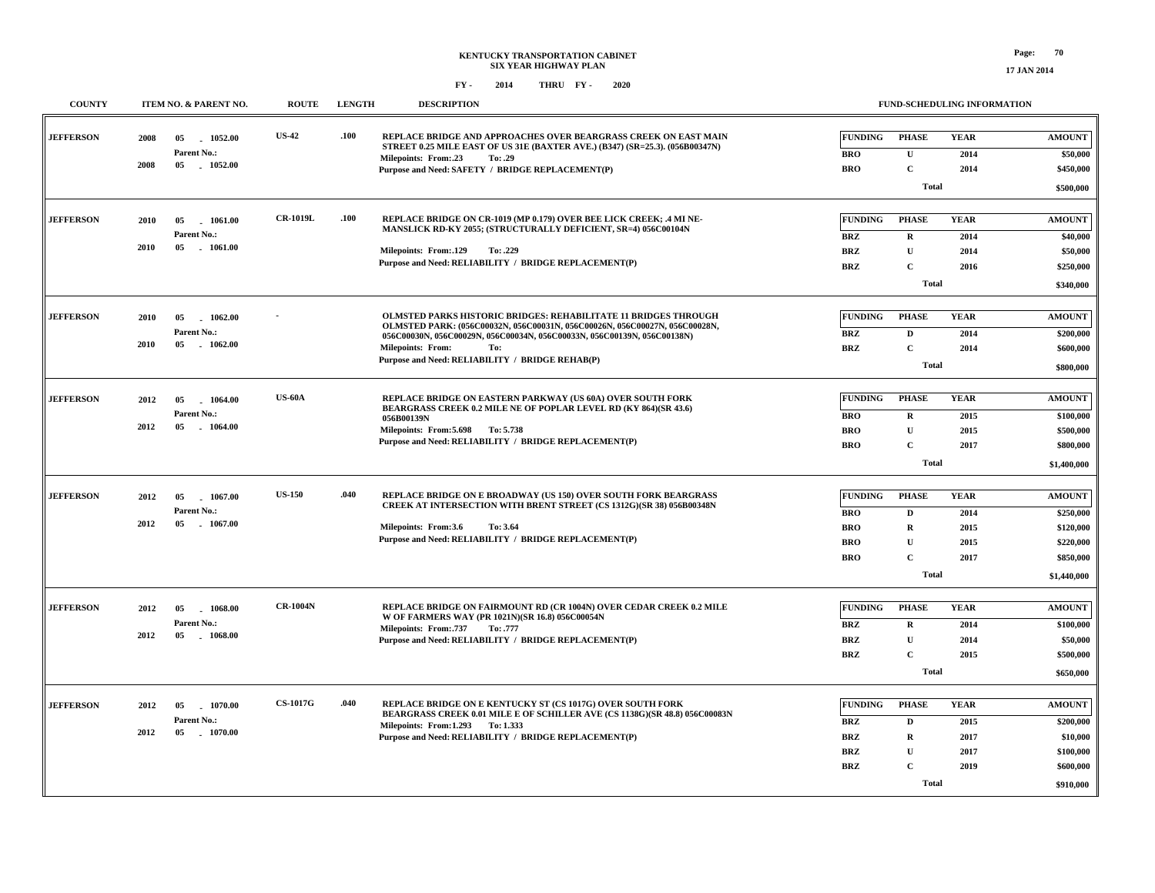| <b>COUNTY</b>    |      | ITEM NO. & PARENT NO.           | <b>ROUTE</b>    | <b>LENGTH</b> | <b>DESCRIPTION</b>                                                                                                                              |                | FUND-SCHEDULING INFORMATION |             |                           |
|------------------|------|---------------------------------|-----------------|---------------|-------------------------------------------------------------------------------------------------------------------------------------------------|----------------|-----------------------------|-------------|---------------------------|
| <b>JEFFERSON</b> | 2008 | 05<br>$-1052.00$<br>Parent No.: | <b>US-42</b>    | .100          | REPLACE BRIDGE AND APPROACHES OVER BEARGRASS CREEK ON EAST MAIN<br>STREET 0.25 MILE EAST OF US 31E (BAXTER AVE.) (B347) (SR=25.3). (056B00347N) | <b>FUNDING</b> | <b>PHASE</b>                | <b>YEAR</b> | <b>AMOUNT</b><br>\$50,000 |
|                  | 2008 | 05<br>1052.00                   |                 |               | Milepoints: From:.23<br>To: .29                                                                                                                 | <b>BRO</b>     | $\mathbf U$                 | 2014        |                           |
|                  |      |                                 |                 |               | Purpose and Need: SAFETY / BRIDGE REPLACEMENT(P)                                                                                                | <b>BRO</b>     | $\mathbf C$                 | 2014        | \$450,000                 |
|                  |      |                                 |                 |               |                                                                                                                                                 |                | Total                       |             | \$500,000                 |
|                  |      |                                 |                 |               |                                                                                                                                                 |                |                             |             |                           |
| <b>JEFFERSON</b> | 2010 | 05<br>$-1061.00$<br>Parent No.: | <b>CR-1019L</b> | .100          | REPLACE BRIDGE ON CR-1019 (MP 0.179) OVER BEE LICK CREEK: .4 MI NE-<br>MANSLICK RD-KY 2055; (STRUCTURALLY DEFICIENT, SR=4) 056C00104N           | <b>FUNDING</b> | PHASE                       | <b>YEAR</b> | <b>AMOUNT</b>             |
|                  | 2010 | 05<br>$-1061.00$                |                 |               |                                                                                                                                                 | <b>BRZ</b>     | $\mathbf R$                 | 2014        | \$40,000                  |
|                  |      |                                 |                 |               | Milepoints: From:.129<br>To: .229<br>Purpose and Need: RELIABILITY / BRIDGE REPLACEMENT(P)                                                      | <b>BRZ</b>     | $\mathbf{U}$                | 2014        | \$50,000                  |
|                  |      |                                 |                 |               |                                                                                                                                                 | <b>BRZ</b>     | $\mathbf C$                 | 2016        | \$250,000                 |
|                  |      |                                 |                 |               |                                                                                                                                                 |                | Total                       |             | \$340,000                 |
| <b>JEFFERSON</b> |      |                                 |                 |               | <b>OLMSTED PARKS HISTORIC BRIDGES: REHABILITATE 11 BRIDGES THROUGH</b>                                                                          | <b>FUNDING</b> | <b>PHASE</b>                | <b>YEAR</b> | <b>AMOUNT</b>             |
|                  | 2010 | 05<br>1062.00<br>Parent No.:    |                 |               | OLMSTED PARK: (056C00032N, 056C00031N, 056C00026N, 056C00027N, 056C00028N,                                                                      |                |                             |             |                           |
|                  | 2010 | $05\,$<br>$-1062.00$            |                 |               | 056C00030N, 056C00029N, 056C00034N, 056C00033N, 056C00139N, 056C00138N)                                                                         | <b>BRZ</b>     | $\mathbf{D}$                | 2014        | \$200,000                 |
|                  |      |                                 |                 |               | <b>Milepoints: From:</b><br>To:<br>Purpose and Need: RELIABILITY / BRIDGE REHAB(P)                                                              | <b>BRZ</b>     | $\mathbf C$                 | 2014        | \$600,000                 |
|                  |      |                                 |                 |               |                                                                                                                                                 |                | Total                       |             | \$800,000                 |
| <b>JEFFERSON</b> | 2012 | 05                              | <b>US-60A</b>   |               | REPLACE BRIDGE ON EASTERN PARKWAY (US 60A) OVER SOUTH FORK                                                                                      | <b>FUNDING</b> | <b>PHASE</b>                | <b>YEAR</b> | <b>AMOUNT</b>             |
|                  |      | 1064.00<br>Parent No.:          |                 |               | BEARGRASS CREEK 0.2 MILE NE OF POPLAR LEVEL RD (KY 864)(SR 43.6)                                                                                |                |                             |             |                           |
|                  | 2012 | 05<br>1064.00                   |                 |               | 056B00139N                                                                                                                                      | <b>BRO</b>     | $\mathbf R$                 | 2015        | \$100,000                 |
|                  |      |                                 |                 |               | Milepoints: From: 5.698 To: 5.738<br>Purpose and Need: RELIABILITY / BRIDGE REPLACEMENT(P)                                                      | <b>BRO</b>     | $\mathbf{U}$                | 2015        | \$500,000                 |
|                  |      |                                 |                 |               |                                                                                                                                                 | <b>BRO</b>     | $\mathbf C$                 | 2017        | \$800,000                 |
|                  |      |                                 |                 |               |                                                                                                                                                 |                | <b>Total</b>                |             | \$1,400,000               |
| <b>JEFFERSON</b> |      |                                 | <b>US-150</b>   | .040          | REPLACE BRIDGE ON E BROADWAY (US 150) OVER SOUTH FORK BEARGRASS                                                                                 | <b>FUNDING</b> | <b>PHASE</b>                | <b>YEAR</b> | <b>AMOUNT</b>             |
|                  | 2012 | 05<br>1067.00<br>Parent No.:    |                 |               | CREEK AT INTERSECTION WITH BRENT STREET (CS 1312G)(SR 38) 056B00348N                                                                            |                |                             |             |                           |
|                  | 2012 | 05<br>$-1067.00$                |                 |               |                                                                                                                                                 | <b>BRO</b>     | D                           | 2014        | \$250,000                 |
|                  |      |                                 |                 |               | Milepoints: From:3.6<br>To: 3.64<br>Purpose and Need: RELIABILITY / BRIDGE REPLACEMENT(P)                                                       | <b>BRO</b>     | $\mathbf R$                 | 2015        | \$120,000                 |
|                  |      |                                 |                 |               |                                                                                                                                                 | <b>BRO</b>     | $\mathbf{U}$                | 2015        | \$220,000                 |
|                  |      |                                 |                 |               |                                                                                                                                                 | <b>BRO</b>     | $\mathbf C$                 | 2017        | \$850,000                 |
|                  |      |                                 |                 |               |                                                                                                                                                 |                | Total                       |             | \$1,440,000               |
| <b>JEFFERSON</b> |      |                                 | <b>CR-1004N</b> |               | REPLACE BRIDGE ON FAIRMOUNT RD (CR 1004N) OVER CEDAR CREEK 0.2 MILE                                                                             | <b>FUNDING</b> | <b>PHASE</b>                | <b>YEAR</b> | <b>AMOUNT</b>             |
|                  | 2012 | 05<br>1068.00<br>Parent No.:    |                 |               | W OF FARMERS WAY (PR 1021N)(SR 16.8) 056C00054N                                                                                                 |                |                             |             |                           |
|                  | 2012 | 05<br>1068.00                   |                 |               | <b>Milepoints: From: 737</b><br>To: .777                                                                                                        | <b>BRZ</b>     | $\mathbf R$                 | 2014        | \$100,000                 |
|                  |      |                                 |                 |               | Purpose and Need: RELIABILITY / BRIDGE REPLACEMENT(P)                                                                                           | <b>BRZ</b>     | $\mathbf{U}$                | 2014        | \$50,000                  |
|                  |      |                                 |                 |               |                                                                                                                                                 | BRZ            | $\mathbf C$                 | 2015        | \$500,000                 |
|                  |      |                                 |                 |               |                                                                                                                                                 |                | Total                       |             | \$650,000                 |
| <b>JEFFERSON</b> | 2012 | 05<br>1070.00                   | <b>CS-1017G</b> | .040          | REPLACE BRIDGE ON E KENTUCKY ST (CS 1017G) OVER SOUTH FORK                                                                                      | <b>FUNDING</b> | <b>PHASE</b>                | <b>YEAR</b> | <b>AMOUNT</b>             |
|                  |      | Parent No.:                     |                 |               | BEARGRASS CREEK 0.01 MILE E OF SCHILLER AVE (CS 1138G)(SR 48.8) 056C00083N                                                                      |                |                             |             |                           |
|                  | 2012 | 05<br>1070.00                   |                 |               | Milepoints: From:1.293 To:1.333                                                                                                                 | BRZ            | D                           | 2015        | \$200,000                 |
|                  |      |                                 |                 |               | Purpose and Need: RELIABILITY / BRIDGE REPLACEMENT(P)                                                                                           | <b>BRZ</b>     | $\mathbf R$                 | 2017        | \$10,000                  |
|                  |      |                                 |                 |               |                                                                                                                                                 | <b>BRZ</b>     | $\mathbf{U}$                | 2017        | \$100,000                 |
|                  |      |                                 |                 |               |                                                                                                                                                 | <b>BRZ</b>     | $\mathbf C$                 | 2019        | \$600,000                 |
|                  |      |                                 |                 |               |                                                                                                                                                 |                | Total                       |             | \$910,000                 |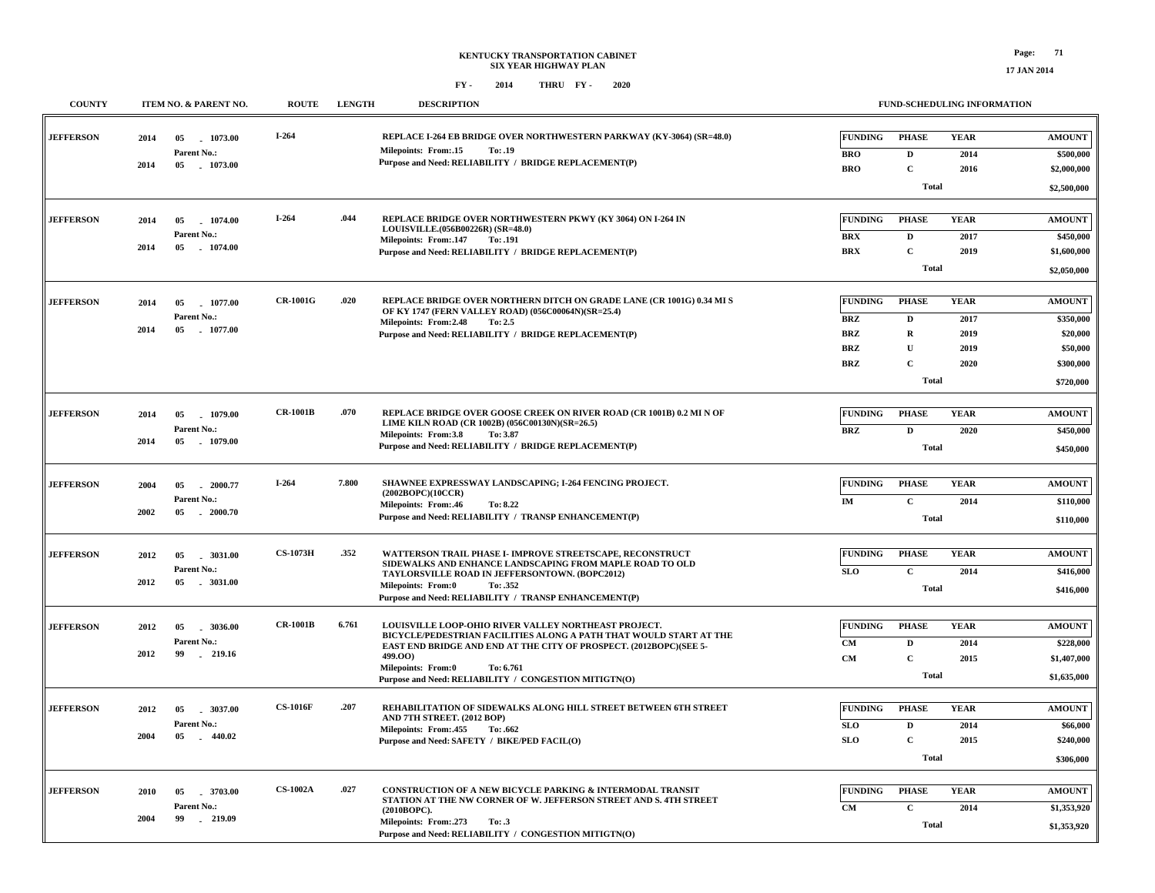| <b>COUNTY</b>    |      | ITEM NO. & PARENT NO.               | <b>ROUTE</b>    | <b>LENGTH</b> | <b>DESCRIPTION</b>                                                                                                           |                              | FUND-SCHEDULING INFORMATION  |                     |                            |
|------------------|------|-------------------------------------|-----------------|---------------|------------------------------------------------------------------------------------------------------------------------------|------------------------------|------------------------------|---------------------|----------------------------|
| <b>JEFFERSON</b> | 2014 | 1073.00<br>05<br>Parent No.:        | $I-264$         |               | REPLACE I-264 EB BRIDGE OVER NORTHWESTERN PARKWAY (KY-3064) (SR=48.0)<br>Milepoints: From:.15<br>To: .19                     | <b>FUNDING</b><br><b>BRO</b> | <b>PHASE</b><br>$\mathbf{D}$ | <b>YEAR</b><br>2014 | <b>AMOUNT</b><br>\$500,000 |
|                  | 2014 | 05 1073.00                          |                 |               | Purpose and Need: RELIABILITY / BRIDGE REPLACEMENT(P)                                                                        | <b>BRO</b>                   | $\mathbf C$                  | 2016                | \$2,000,000                |
|                  |      |                                     |                 |               |                                                                                                                              |                              | Total                        |                     | \$2,500,000                |
| <b>JEFFERSON</b> | 2014 | 1074.00<br>05                       | $I-264$         | .044          | REPLACE BRIDGE OVER NORTHWESTERN PKWY (KY 3064) ON I-264 IN<br>LOUISVILLE.(056B00226R) (SR=48.0)                             | <b>FUNDING</b>               | <b>PHASE</b>                 | <b>YEAR</b>         | <b>AMOUNT</b>              |
|                  | 2014 | Parent No.:<br>05 1074.00           |                 |               | <b>Milepoints: From:.147</b><br>To: .191                                                                                     | <b>BRX</b>                   | $\mathbf D$                  | 2017                | \$450,000                  |
|                  |      |                                     |                 |               | Purpose and Need: RELIABILITY / BRIDGE REPLACEMENT(P)                                                                        | <b>BRX</b>                   | $\mathbf C$                  | 2019                | \$1,600,000                |
|                  |      |                                     |                 |               |                                                                                                                              |                              | <b>Total</b>                 |                     | \$2,050,000                |
| <b>JEFFERSON</b> | 2014 | 05<br>1077.00                       | <b>CR-1001G</b> | .020          | REPLACE BRIDGE OVER NORTHERN DITCH ON GRADE LANE (CR 1001G) 0.34 MI S<br>OF KY 1747 (FERN VALLEY ROAD) (056C00064N)(SR=25.4) | <b>FUNDING</b>               | <b>PHASE</b>                 | <b>YEAR</b>         | <b>AMOUNT</b>              |
|                  | 2014 | Parent No.:<br>05 1077.00           |                 |               | Milepoints: From: 2.48<br>To: 2.5                                                                                            | <b>BRZ</b>                   | D                            | 2017                | \$350,000                  |
|                  |      |                                     |                 |               | Purpose and Need: RELIABILITY / BRIDGE REPLACEMENT(P)                                                                        | <b>BRZ</b>                   | $\mathbf R$                  | 2019                | \$20,000                   |
|                  |      |                                     |                 |               |                                                                                                                              | <b>BRZ</b>                   | U<br>$\mathbf C$             | 2019                | \$50,000<br>\$300,000      |
|                  |      |                                     |                 |               |                                                                                                                              | <b>BRZ</b>                   | <b>Total</b>                 | 2020                |                            |
|                  |      |                                     |                 |               |                                                                                                                              |                              |                              |                     | \$720,000                  |
| <b>JEFFERSON</b> | 2014 | 05 1079.00                          | <b>CR-1001B</b> | .070          | REPLACE BRIDGE OVER GOOSE CREEK ON RIVER ROAD (CR 1001B) 0.2 MI N OF<br>LIME KILN ROAD (CR 1002B) (056C00130N)(SR=26.5)      | <b>FUNDING</b>               | <b>PHASE</b>                 | <b>YEAR</b>         | <b>AMOUNT</b>              |
|                  | 2014 | Parent No.:<br>1079.00<br>05        |                 |               | Milepoints: From:3.8<br>To: 3.87                                                                                             | BRZ                          | $\mathbf D$                  | 2020                | \$450,000                  |
|                  |      |                                     |                 |               | Purpose and Need: RELIABILITY / BRIDGE REPLACEMENT(P)                                                                        |                              | <b>Total</b>                 |                     | \$450,000                  |
|                  |      |                                     |                 |               |                                                                                                                              |                              |                              |                     |                            |
| <b>JEFFERSON</b> | 2004 | 05<br>. 2000.77                     | $I-264$         | 7.800         | SHAWNEE EXPRESSWAY LANDSCAPING; I-264 FENCING PROJECT.<br>(2002BOPC)(10CCR)                                                  | <b>FUNDING</b>               | <b>PHASE</b>                 | <b>YEAR</b>         | <b>AMOUNT</b>              |
|                  | 2002 | Parent No.:<br>$05\,$<br>$-2000.70$ |                 |               | Milepoints: From:.46<br>To: 8.22                                                                                             | IM                           | $\mathbf{C}$                 | 2014                | \$110,000                  |
|                  |      |                                     |                 |               | Purpose and Need: RELIABILITY / TRANSP ENHANCEMENT(P)                                                                        |                              | <b>Total</b>                 |                     | \$110,000                  |
|                  |      |                                     | <b>CS-1073H</b> | .352          | WATTERSON TRAIL PHASE I- IMPROVE STREETSCAPE, RECONSTRUCT                                                                    | <b>FUNDING</b>               | <b>PHASE</b>                 | <b>YEAR</b>         | <b>AMOUNT</b>              |
| <b>JEFFERSON</b> | 2012 | 3031.00<br>05<br>Parent No.:        |                 |               | SIDEWALKS AND ENHANCE LANDSCAPING FROM MAPLE ROAD TO OLD                                                                     |                              |                              |                     |                            |
|                  | 2012 | 05<br>.3031.00                      |                 |               | TAYLORSVILLE ROAD IN JEFFERSONTOWN. (BOPC2012)<br><b>Milepoints: From:0</b><br>To: .352                                      | SLO                          | $\mathbf C$                  | 2014                | \$416,000                  |
|                  |      |                                     |                 |               | Purpose and Need: RELIABILITY / TRANSP ENHANCEMENT(P)                                                                        |                              | Total                        |                     | \$416,000                  |
| <b>JEFFERSON</b> | 2012 | 05<br>.3036.00                      | <b>CR-1001B</b> | 6.761         | LOUISVILLE LOOP-OHIO RIVER VALLEY NORTHEAST PROJECT.<br>BICYCLE/PEDESTRIAN FACILITIES ALONG A PATH THAT WOULD START AT THE   | <b>FUNDING</b>               | <b>PHASE</b>                 | <b>YEAR</b>         | <b>AMOUNT</b>              |
|                  |      | Parent No.:                         |                 |               | EAST END BRIDGE AND END AT THE CITY OF PROSPECT. (2012BOPC)(SEE 5-                                                           | CM                           | D                            | 2014                | \$228,000                  |
|                  | 2012 | 99<br>$-219.16$                     |                 |               | 499.OO)<br>Milepoints: From:0<br>To: 6.761                                                                                   | CM                           | $\mathbf C$                  | 2015                | \$1,407,000                |
|                  |      |                                     |                 |               | Purpose and Need: RELIABILITY / CONGESTION MITIGTN(O)                                                                        |                              | Total                        |                     | \$1,635,000                |
|                  |      |                                     | <b>CS-1016F</b> | .207          | REHABILITATION OF SIDEWALKS ALONG HILL STREET BETWEEN 6TH STREET                                                             | <b>FUNDING</b>               | <b>PHASE</b>                 | <b>YEAR</b>         | <b>AMOUNT</b>              |
| <b>JEFFERSON</b> | 2012 | $-3037.00$<br>05<br>Parent No.:     |                 |               | AND 7TH STREET. (2012 BOP)                                                                                                   | SLO                          | $\mathbf{D}$                 | 2014                |                            |
|                  | 2004 | 05 440.02                           |                 |               | Milepoints: From: 455<br>To: .662<br>Purpose and Need: SAFETY / BIKE/PED FACIL(O)                                            | SLO                          | $\mathbf C$                  | 2015                | \$66,000<br>\$240,000      |
|                  |      |                                     |                 |               |                                                                                                                              |                              | <b>Total</b>                 |                     | \$306,000                  |
|                  |      |                                     |                 |               |                                                                                                                              |                              |                              |                     |                            |
| <b>JEFFERSON</b> | 2010 | 3703.00<br>05                       | <b>CS-1002A</b> | .027          | CONSTRUCTION OF A NEW BICYCLE PARKING & INTERMODAL TRANSIT                                                                   | <b>FUNDING</b>               | <b>PHASE</b>                 | <b>YEAR</b>         | <b>AMOUNT</b>              |
|                  |      | Parent No.:                         |                 |               | STATION AT THE NW CORNER OF W. JEFFERSON STREET AND S. 4TH STREET<br>(2010BOPC).                                             | CM                           | C                            | 2014                | \$1,353,920                |
|                  | 2004 | 99<br>$-219.09$                     |                 |               | Milepoints: From: .273<br>To: .3<br>Purpose and Need: RELIABILITY / CONGESTION MITIGTN(O)                                    |                              | <b>Total</b>                 |                     | \$1,353,920                |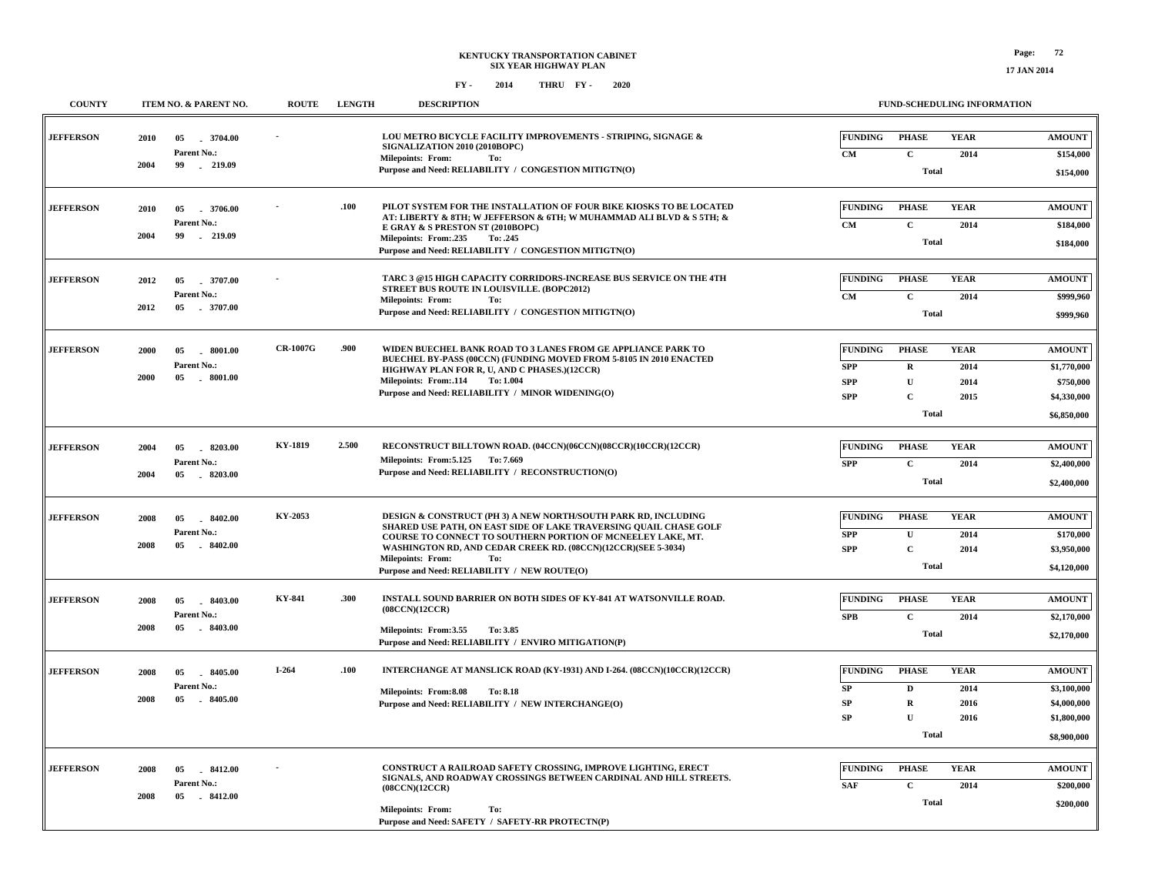| <b>COUNTY</b>    | ITEM NO. & PARENT NO.                                               | <b>ROUTE</b>    | <b>LENGTH</b> | <b>DESCRIPTION</b>                                                                                                                                                                                                                                                                                                                                     | FUND-SCHEDULING INFORMATION                                                                                                                                            |                                                                           |
|------------------|---------------------------------------------------------------------|-----------------|---------------|--------------------------------------------------------------------------------------------------------------------------------------------------------------------------------------------------------------------------------------------------------------------------------------------------------------------------------------------------------|------------------------------------------------------------------------------------------------------------------------------------------------------------------------|---------------------------------------------------------------------------|
| <b>JEFFERSON</b> | $-3704.00$<br>2010<br>05<br>Parent No.:<br>2004<br>99<br>$-219.09$  |                 |               | LOU METRO BICYCLE FACILITY IMPROVEMENTS - STRIPING, SIGNAGE &<br>SIGNALIZATION 2010 (2010BOPC)<br><b>Milepoints: From:</b><br>To:                                                                                                                                                                                                                      | <b>YEAR</b><br><b>FUNDING</b><br><b>PHASE</b><br>CM<br>$\mathbf{C}$<br>2014                                                                                            | <b>AMOUNT</b><br>\$154,000                                                |
|                  |                                                                     |                 |               | Purpose and Need: RELIABILITY / CONGESTION MITIGTN(O)                                                                                                                                                                                                                                                                                                  | <b>Total</b>                                                                                                                                                           | \$154,000                                                                 |
| <b>JEFFERSON</b> | 2010<br>05<br>3706.00<br>Parent No.:<br>2004<br>99<br>$-219.09$     |                 | .100          | PILOT SYSTEM FOR THE INSTALLATION OF FOUR BIKE KIOSKS TO BE LOCATED<br>AT: LIBERTY & 8TH; W JEFFERSON & 6TH; W MUHAMMAD ALI BLVD & S 5TH; &<br>E GRAY & S PRESTON ST (2010BOPC)<br>Milepoints: From:.235<br>To: .245<br>Purpose and Need: RELIABILITY / CONGESTION MITIGTN(O)                                                                          | <b>FUNDING</b><br><b>PHASE</b><br><b>YEAR</b><br>$\mathbf{C}$<br>2014<br>CM<br><b>Total</b>                                                                            | <b>AMOUNT</b><br>\$184,000<br>\$184,000                                   |
| <b>JEFFERSON</b> | 05<br>2012<br>3707.00<br>Parent No.:<br>$-3707.00$<br>2012<br>05    |                 |               | TARC 3 @15 HIGH CAPACITY CORRIDORS-INCREASE BUS SERVICE ON THE 4TH<br>STREET BUS ROUTE IN LOUISVILLE. (BOPC2012)<br><b>Milepoints: From:</b><br>To:<br>Purpose and Need: RELIABILITY / CONGESTION MITIGTN(O)                                                                                                                                           | <b>FUNDING</b><br><b>PHASE</b><br><b>YEAR</b><br>$\mathbf{C}$<br>CM<br>2014<br><b>Total</b>                                                                            | <b>AMOUNT</b><br>\$999,960<br>\$999,960                                   |
| <b>JEFFERSON</b> | 2000<br>05<br>$-8001.00$<br>Parent No.:<br>2000<br>05<br>$-8001.00$ | <b>CR-1007G</b> | .900          | WIDEN BUECHEL BANK ROAD TO 3 LANES FROM GE APPLIANCE PARK TO<br>BUECHEL BY-PASS (00CCN) (FUNDING MOVED FROM 5-8105 IN 2010 ENACTED<br>HIGHWAY PLAN FOR R, U, AND C PHASES.)(12CCR)<br>Milepoints: From:.114<br>To: 1.004<br>Purpose and Need: RELIABILITY / MINOR WIDENING(O)                                                                          | <b>FUNDING</b><br><b>PHASE</b><br><b>YEAR</b><br><b>SPP</b><br>${\bf R}$<br>2014<br>$\mathbf U$<br><b>SPP</b><br>2014<br>$\overline{c}$<br><b>SPP</b><br>2015<br>Total | <b>AMOUNT</b><br>\$1,770,000<br>\$750,000<br>\$4,330,000<br>\$6,850,000   |
| <b>JEFFERSON</b> | 8203.00<br>2004<br>05<br>Parent No.:<br>2004<br>05<br>$-8203.00$    | KY-1819         | 2.500         | RECONSTRUCT BILLTOWN ROAD. (04CCN)(06CCN)(08CCR)(10CCR)(12CCR)<br>Milepoints: From: 5.125 To: 7.669<br>Purpose and Need: RELIABILITY / RECONSTRUCTION(O)                                                                                                                                                                                               | <b>FUNDING</b><br><b>PHASE</b><br><b>YEAR</b><br><b>SPP</b><br>$\mathbf{C}$<br>2014<br><b>Total</b>                                                                    | <b>AMOUNT</b><br>\$2,400,000<br>\$2,400,000                               |
| <b>JEFFERSON</b> | 2008<br>$-8402.00$<br>05<br>Parent No.:<br>2008<br>05<br>$-8402.00$ | KY-2053         |               | DESIGN & CONSTRUCT (PH 3) A NEW NORTH/SOUTH PARK RD, INCLUDING<br>SHARED USE PATH, ON EAST SIDE OF LAKE TRAVERSING QUAIL CHASE GOLF<br>COURSE TO CONNECT TO SOUTHERN PORTION OF MCNEELEY LAKE, MT.<br>WASHINGTON RD, AND CEDAR CREEK RD. (08CCN)(12CCR)(SEE 5-3034)<br><b>Milepoints: From:</b><br>To:<br>Purpose and Need: RELIABILITY / NEW ROUTE(O) | <b>FUNDING</b><br><b>PHASE</b><br><b>YEAR</b><br>$\mathbf U$<br>${\bf SPP}$<br>2014<br>$\mathbf C$<br><b>SPP</b><br>2014<br><b>Total</b>                               | <b>AMOUNT</b><br>\$170,000<br>\$3,950,000<br>\$4,120,000                  |
| <b>JEFFERSON</b> | 8403.00<br>2008<br>05<br>Parent No.:<br>2008<br>05<br>8403.00       | KY-841          | .300          | INSTALL SOUND BARRIER ON BOTH SIDES OF KY-841 AT WATSONVILLE ROAD.<br>(08CCN)(12CCR)<br>Milepoints: From:3.55<br>To: 3.85<br>Purpose and Need: RELIABILITY / ENVIRO MITIGATION(P)                                                                                                                                                                      | <b>FUNDING</b><br><b>PHASE</b><br><b>YEAR</b><br>$\mathbf{C}$<br>2014<br><b>SPB</b><br><b>Total</b>                                                                    | $\boldsymbol{\mathrm{AMOUNT}}$<br>\$2,170,000<br>\$2,170,000              |
| <b>JEFFERSON</b> | 2008<br>05<br>8405.00<br>Parent No.:<br>2008<br>05<br>$-8405.00$    | $I-264$         | .100          | INTERCHANGE AT MANSLICK ROAD (KY-1931) AND I-264. (08CCN)(10CCR)(12CCR)<br>Milepoints: From:8.08<br>To: 8.18<br>Purpose and Need: RELIABILITY / NEW INTERCHANGE(O)                                                                                                                                                                                     | <b>FUNDING</b><br><b>PHASE</b><br><b>YEAR</b><br>${\bf SP}$<br>$\mathbf D$<br>2014<br>${\bf SP}$<br>$\mathbf R$<br>2016<br>${\bf SP}$<br>U<br>2016<br>Total            | <b>AMOUNT</b><br>\$3,100,000<br>\$4,000,000<br>\$1,800,000<br>\$8,900,000 |
| <b>JEFFERSON</b> | 8412.00<br>2008<br>05<br>Parent No.:<br>2008<br>$-8412.00$<br>05    |                 |               | CONSTRUCT A RAILROAD SAFETY CROSSING, IMPROVE LIGHTING, ERECT<br>SIGNALS, AND ROADWAY CROSSINGS BETWEEN CARDINAL AND HILL STREETS.<br>(08CCN)(12CCR)<br><b>Milepoints: From:</b><br>To:<br>Purpose and Need: SAFETY / SAFETY-RR PROTECTN(P)                                                                                                            | <b>FUNDING</b><br><b>PHASE</b><br><b>YEAR</b><br>$\mathbf{C}$<br><b>SAF</b><br>2014<br>Total                                                                           | <b>AMOUNT</b><br>\$200,000<br>\$200,000                                   |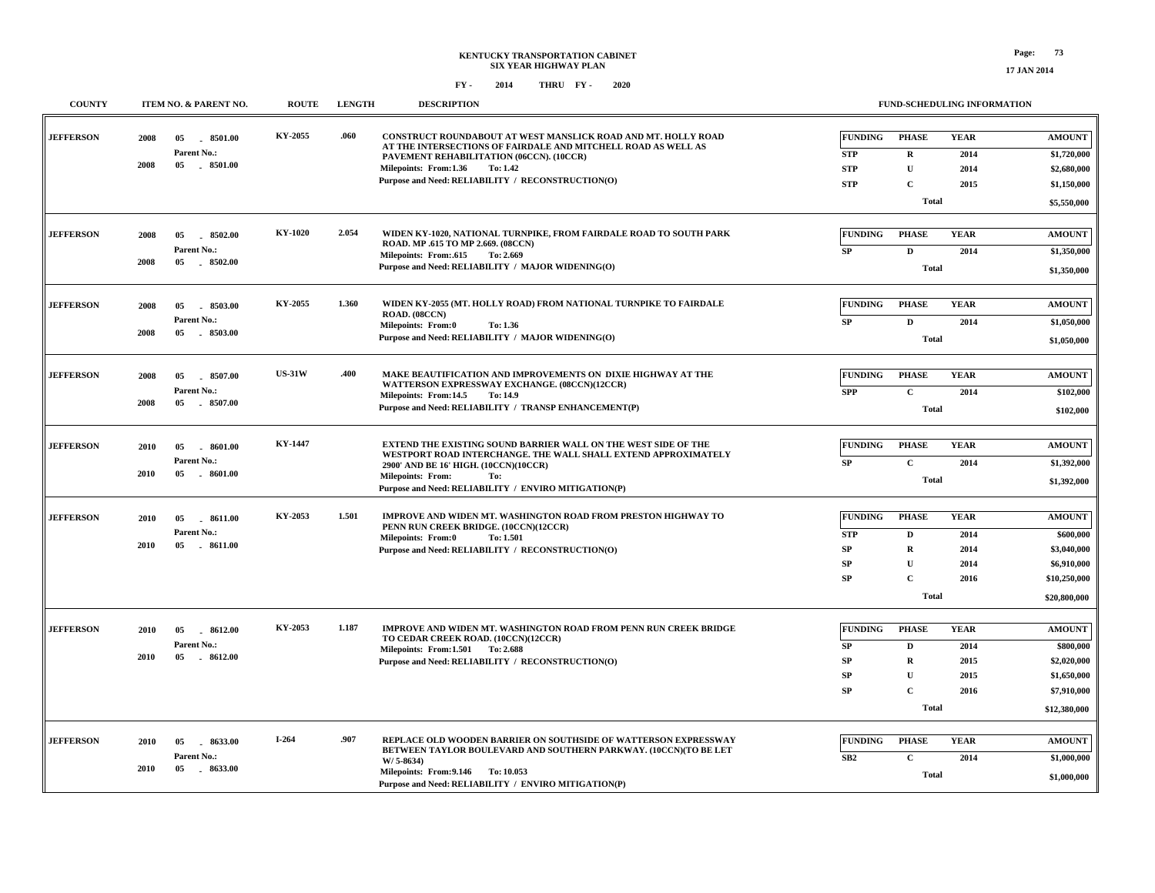| <b>COUNTY</b>    |      | ITEM NO. & PARENT NO.           | <b>ROUTE</b>   | <b>LENGTH</b> | <b>DESCRIPTION</b>                                                                                                                      |                 |                             | <b>FUND-SCHEDULING INFORMATION</b> |                            |
|------------------|------|---------------------------------|----------------|---------------|-----------------------------------------------------------------------------------------------------------------------------------------|-----------------|-----------------------------|------------------------------------|----------------------------|
| <b>JEFFERSON</b> | 2008 | 8501.00<br>05                   | KY-2055        | .060          | CONSTRUCT ROUNDABOUT AT WEST MANSLICK ROAD AND MT. HOLLY ROAD<br>AT THE INTERSECTIONS OF FAIRDALE AND MITCHELL ROAD AS WELL AS          | <b>FUNDING</b>  | <b>PHASE</b>                | <b>YEAR</b>                        | <b>AMOUNT</b>              |
|                  |      | Parent No.:                     |                |               | PAVEMENT REHABILITATION (06CCN). (10CCR)                                                                                                | <b>STP</b>      | $\mathbf R$                 | 2014                               | \$1,720,000                |
|                  | 2008 | 05<br>$-8501.00$                |                |               | Milepoints: From:1.36<br>To: 1.42                                                                                                       | <b>STP</b>      | $\mathbf{U}$                | 2014                               | \$2,680,000                |
|                  |      |                                 |                |               | Purpose and Need: RELIABILITY / RECONSTRUCTION(O)                                                                                       | <b>STP</b>      | C                           | 2015                               | \$1,150,000                |
|                  |      |                                 |                |               |                                                                                                                                         |                 | <b>Total</b>                |                                    | \$5,550,000                |
| <b>JEFFERSON</b> | 2008 | 8502.00<br>05                   | <b>KY-1020</b> | 2.054         | WIDEN KY-1020, NATIONAL TURNPIKE, FROM FAIRDALE ROAD TO SOUTH PARK<br>ROAD. MP .615 TO MP 2.669. (08CCN)                                | <b>FUNDING</b>  | <b>PHASE</b>                | <b>YEAR</b>                        | <b>AMOUNT</b>              |
|                  |      | Parent No.:                     |                |               | Milepoints: From:.615<br>To: 2.669                                                                                                      | SP              | $\mathbf D$                 | 2014                               | \$1,350,000                |
|                  | 2008 | 05 8502.00                      |                |               | Purpose and Need: RELIABILITY / MAJOR WIDENING(O)                                                                                       |                 | Total                       |                                    | \$1,350,000                |
| <b>JEFFERSON</b> | 2008 | 8503.00                         | KY-2055        | 1.360         | WIDEN KY-2055 (MT. HOLLY ROAD) FROM NATIONAL TURNPIKE TO FAIRDALE                                                                       | <b>FUNDING</b>  | <b>PHASE</b>                | <b>YEAR</b>                        | <b>AMOUNT</b>              |
|                  |      | 05<br>Parent No.:               |                |               | ROAD. (08CCN)                                                                                                                           |                 |                             |                                    |                            |
|                  | 2008 | $-8503.00$<br>05                |                |               | Milepoints: From:0<br>To: 1.36                                                                                                          | SP              | $\mathbf{D}$                | 2014                               | \$1,050,000                |
|                  |      |                                 |                |               | Purpose and Need: RELIABILITY / MAJOR WIDENING(O)                                                                                       |                 | <b>Total</b>                |                                    | \$1,050,000                |
| <b>JEFFERSON</b> | 2008 | 05<br>8507.00                   | <b>US-31W</b>  | .400          | MAKE BEAUTIFICATION AND IMPROVEMENTS ON DIXIE HIGHWAY AT THE                                                                            | <b>FUNDING</b>  | <b>PHASE</b>                | <b>YEAR</b>                        | <b>AMOUNT</b>              |
|                  |      | Parent No.:                     |                |               | WATTERSON EXPRESSWAY EXCHANGE. (08CCN)(12CCR)<br>Milepoints: From:14.5<br>To: 14.9                                                      | <b>SPP</b>      | $\mathbf{C}$                | 2014                               | \$102,000                  |
|                  | 2008 | $-8507.00$<br>05                |                |               | Purpose and Need: RELIABILITY / TRANSP ENHANCEMENT(P)                                                                                   |                 | <b>Total</b>                |                                    | \$102,000                  |
|                  |      |                                 |                |               |                                                                                                                                         |                 |                             |                                    |                            |
| <b>JEFFERSON</b> | 2010 | $-8601.00$<br>05                | <b>KY-1447</b> |               | <b>EXTEND THE EXISTING SOUND BARRIER WALL ON THE WEST SIDE OF THE</b><br>WESTPORT ROAD INTERCHANGE. THE WALL SHALL EXTEND APPROXIMATELY | <b>FUNDING</b>  | <b>PHASE</b>                | <b>YEAR</b>                        | <b>AMOUNT</b>              |
|                  | 2010 | Parent No.:<br>05<br>$-8601.00$ |                |               | 2900' AND BE 16' HIGH. (10CCN)(10CCR)                                                                                                   | <b>SP</b>       | $\mathbf C$                 | 2014                               | \$1,392,000                |
|                  |      |                                 |                |               | <b>Milepoints: From:</b><br>To:<br>Purpose and Need: RELIABILITY / ENVIRO MITIGATION(P)                                                 |                 | <b>Total</b>                |                                    | \$1,392,000                |
| <b>JEFFERSON</b> | 2010 | 8611.00<br>05                   | KY-2053        | 1.501         | IMPROVE AND WIDEN MT. WASHINGTON ROAD FROM PRESTON HIGHWAY TO                                                                           | <b>FUNDING</b>  | <b>PHASE</b>                | <b>YEAR</b>                        | <b>AMOUNT</b>              |
|                  |      | Parent No.:                     |                |               | PENN RUN CREEK BRIDGE. (10CCN)(12CCR)                                                                                                   | <b>STP</b>      | D                           | 2014                               | \$600,000                  |
|                  | 2010 | 05<br>$-8611.00$                |                |               | Milepoints: From:0<br>To: 1.501<br>Purpose and Need: RELIABILITY / RECONSTRUCTION(O)                                                    | SP              | $\mathbf R$                 | 2014                               | \$3,040,000                |
|                  |      |                                 |                |               |                                                                                                                                         | <b>SP</b>       | $\mathbf{U}$                | 2014                               | \$6,910,000                |
|                  |      |                                 |                |               |                                                                                                                                         | <b>SP</b>       | $\mathbf C$                 | 2016                               | \$10,250,000               |
|                  |      |                                 |                |               |                                                                                                                                         |                 | Total                       |                                    | \$20,800,000               |
| <b>JEFFERSON</b> |      |                                 | KY-2053        | 1.187         | IMPROVE AND WIDEN MT. WASHINGTON ROAD FROM PENN RUN CREEK BRIDGE                                                                        | <b>FUNDING</b>  | <b>PHASE</b>                | <b>YEAR</b>                        | <b>AMOUNT</b>              |
|                  | 2010 | 05<br>$-8612.00$<br>Parent No.: |                |               | TO CEDAR CREEK ROAD. (10CCN)(12CCR)                                                                                                     |                 |                             |                                    |                            |
|                  | 2010 | 05<br>$-8612.00$                |                |               | Milepoints: From:1.501 To: 2.688                                                                                                        | <b>SP</b>       | $\mathbf D$                 | 2014                               | \$800,000                  |
|                  |      |                                 |                |               | Purpose and Need: RELIABILITY / RECONSTRUCTION(O)                                                                                       | SP              | $\mathbf R$                 | 2015                               | \$2,020,000                |
|                  |      |                                 |                |               |                                                                                                                                         | <b>SP</b><br>SP | $\mathbf{U}$<br>$\mathbf C$ | 2015<br>2016                       | \$1,650,000<br>\$7,910,000 |
|                  |      |                                 |                |               |                                                                                                                                         |                 | Total                       |                                    | \$12,380,000               |
|                  |      |                                 |                |               |                                                                                                                                         |                 |                             |                                    |                            |
| <b>JEFFERSON</b> | 2010 | 8633.00<br>05                   | $I-264$        | .907          | REPLACE OLD WOODEN BARRIER ON SOUTHSIDE OF WATTERSON EXPRESSWAY<br>BETWEEN TAYLOR BOULEVARD AND SOUTHERN PARKWAY. (10CCN)(TO BE LET     | <b>FUNDING</b>  | <b>PHASE</b>                | <b>YEAR</b>                        | <b>AMOUNT</b>              |
|                  |      | Parent No.:                     |                |               | W/ 5-8634)                                                                                                                              | SB2             | $\mathbf C$                 | 2014                               | \$1,000,000                |
|                  | 2010 | $-8633.00$<br>05                |                |               | Milepoints: From: 9.146 To: 10.053<br>Purpose and Need: RELIABILITY / ENVIRO MITIGATION(P)                                              |                 | Total                       |                                    | \$1,000,000                |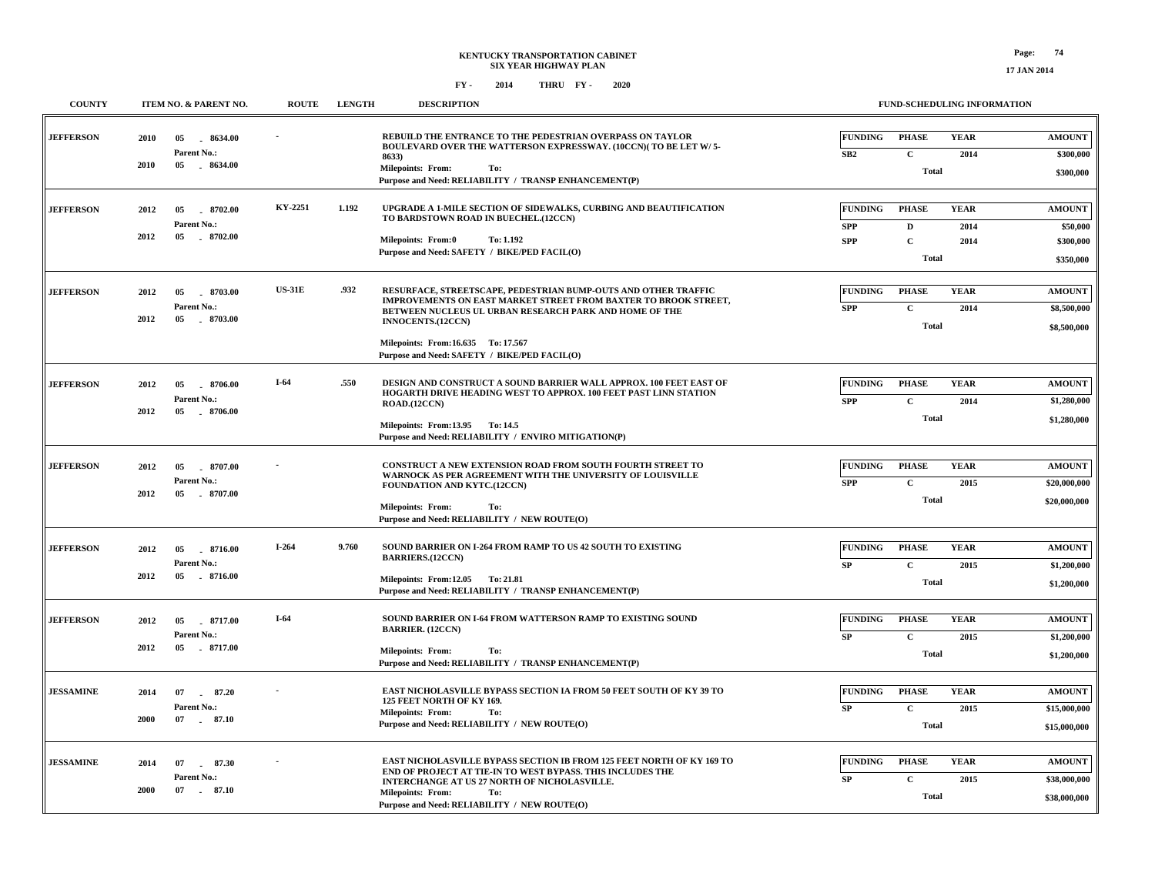| <b>COUNTY</b>    |              | ITEM NO. & PARENT NO.                               | <b>ROUTE</b>  | <b>LENGTH</b> | <b>DESCRIPTION</b>                                                                                                                                                                                                                                                                                             | FUND-SCHEDULING INFORMATION                |                                                            |                             |                                                     |  |
|------------------|--------------|-----------------------------------------------------|---------------|---------------|----------------------------------------------------------------------------------------------------------------------------------------------------------------------------------------------------------------------------------------------------------------------------------------------------------------|--------------------------------------------|------------------------------------------------------------|-----------------------------|-----------------------------------------------------|--|
| <b>JEFFERSON</b> | 2010<br>2010 | 05<br>8634.00<br>Parent No.:<br>05<br>$-8634.00$    |               |               | REBUILD THE ENTRANCE TO THE PEDESTRIAN OVERPASS ON TAYLOR<br>BOULEVARD OVER THE WATTERSON EXPRESSWAY. (10CCN)(TO BE LET W/5-<br>8633)                                                                                                                                                                          | <b>FUNDING</b><br>SB2                      | <b>PHASE</b><br>$\mathbf{C}$                               | <b>YEAR</b><br>2014         | <b>AMOUNT</b><br>\$300,000                          |  |
|                  |              |                                                     |               |               | <b>Milepoints: From:</b><br>To:<br>Purpose and Need: RELIABILITY / TRANSP ENHANCEMENT(P)                                                                                                                                                                                                                       |                                            | <b>Total</b>                                               |                             | \$300,000                                           |  |
| <b>JEFFERSON</b> | 2012<br>2012 | 8702.00<br>05<br>Parent No.:<br>05<br>8702.00       | KY-2251       | 1.192         | UPGRADE A 1-MILE SECTION OF SIDEWALKS, CURBING AND BEAUTIFICATION<br>TO BARDSTOWN ROAD IN BUECHEL.(12CCN)<br><b>Milepoints: From:0</b><br>To: 1.192<br>Purpose and Need: SAFETY / BIKE/PED FACIL(O)                                                                                                            | <b>FUNDING</b><br><b>SPP</b><br><b>SPP</b> | <b>PHASE</b><br>$\mathbf D$<br>$\mathbf C$<br><b>Total</b> | <b>YEAR</b><br>2014<br>2014 | <b>AMOUNT</b><br>\$50,000<br>\$300,000<br>\$350,000 |  |
| <b>JEFFERSON</b> | 2012<br>2012 | 8703.00<br>05<br>Parent No.:<br>05 8703.00          | <b>US-31E</b> | .932          | RESURFACE, STREETSCAPE, PEDESTRIAN BUMP-OUTS AND OTHER TRAFFIC<br>IMPROVEMENTS ON EAST MARKET STREET FROM BAXTER TO BROOK STREET,<br>BETWEEN NUCLEUS UL URBAN RESEARCH PARK AND HOME OF THE<br><b>INNOCENTS.(12CCN)</b><br>Milepoints: From: 16.635 To: 17.567<br>Purpose and Need: SAFETY / BIKE/PED FACIL(O) | <b>FUNDING</b><br><b>SPP</b>               | <b>PHASE</b><br>$\mathbf C$<br><b>Total</b>                | <b>YEAR</b><br>2014         | <b>AMOUNT</b><br>\$8,500,000<br>\$8,500,000         |  |
| <b>JEFFERSON</b> | 2012<br>2012 | 05<br>8706.00<br>Parent No.:<br>$-8706.00$<br>05    | $I-64$        | .550          | DESIGN AND CONSTRUCT A SOUND BARRIER WALL APPROX. 100 FEET EAST OF<br>HOGARTH DRIVE HEADING WEST TO APPROX. 100 FEET PAST LINN STATION<br>ROAD.(12CCN)<br>Milepoints: From:13.95 To:14.5<br>Purpose and Need: RELIABILITY / ENVIRO MITIGATION(P)                                                               | <b>FUNDING</b><br><b>SPP</b>               | <b>PHASE</b><br>$\mathbf C$<br><b>Total</b>                | <b>YEAR</b><br>2014         | <b>AMOUNT</b><br>\$1,280,000<br>\$1,280,000         |  |
| <b>JEFFERSON</b> | 2012<br>2012 | 05<br>$-8707.00$<br>Parent No.:<br>05<br>8707.00    |               |               | CONSTRUCT A NEW EXTENSION ROAD FROM SOUTH FOURTH STREET TO<br>WARNOCK AS PER AGREEMENT WITH THE UNIVERSITY OF LOUISVILLE<br><b>FOUNDATION AND KYTC.(12CCN)</b><br>Milepoints: From:<br>To:<br>Purpose and Need: RELIABILITY / NEW ROUTE(O)                                                                     | <b>FUNDING</b><br><b>SPP</b>               | <b>PHASE</b><br>$\mathbf C$<br><b>Total</b>                | <b>YEAR</b><br>2015         | <b>AMOUNT</b><br>\$20,000,000<br>\$20,000,000       |  |
| <b>JEFFERSON</b> | 2012<br>2012 | 05<br>8716.00<br>Parent No.:<br>05<br>$-8716.00$    | $I-264$       | 9.760         | SOUND BARRIER ON I-264 FROM RAMP TO US 42 SOUTH TO EXISTING<br><b>BARRIERS.(12CCN)</b><br>Milepoints: From:12.05 To: 21.81<br>Purpose and Need: RELIABILITY / TRANSP ENHANCEMENT(P)                                                                                                                            | <b>FUNDING</b><br>SP                       | <b>PHASE</b><br>$\mathbf{C}$<br><b>Total</b>               | <b>YEAR</b><br>2015         | <b>AMOUNT</b><br>\$1,200,000<br>\$1,200,000         |  |
| <b>JEFFERSON</b> | 2012<br>2012 | 8717.00<br>05<br>Parent No.:<br>$-8717.00$<br>05    | $I-64$        |               | SOUND BARRIER ON I-64 FROM WATTERSON RAMP TO EXISTING SOUND<br><b>BARRIER. (12CCN)</b><br>Milepoints: From:<br>To:<br>Purpose and Need: RELIABILITY / TRANSP ENHANCEMENT(P)                                                                                                                                    | <b>FUNDING</b><br>SP                       | <b>PHASE</b><br>$\mathbf{C}$<br>Total                      | <b>YEAR</b><br>2015         | <b>AMOUNT</b><br>\$1,200,000<br>\$1,200,000         |  |
| <b>JESSAMINE</b> | 2014<br>2000 | 07<br>87.20<br>Parent No.:<br>07 . 87.10            |               |               | EAST NICHOLASVILLE BYPASS SECTION IA FROM 50 FEET SOUTH OF KY 39 TO<br>125 FEET NORTH OF KY 169.<br><b>Milepoints: From:</b><br>To:<br>Purpose and Need: RELIABILITY / NEW ROUTE(O)                                                                                                                            | <b>FUNDING</b><br>SP                       | <b>PHASE</b><br>$\mathbf C$<br>Total                       | <b>YEAR</b><br>2015         | <b>AMOUNT</b><br>\$15,000,000<br>\$15,000,000       |  |
| <b>JESSAMINE</b> | 2014<br>2000 | 07<br>87.30<br>$\sim$<br>Parent No.:<br>87.10<br>07 |               |               | EAST NICHOLASVILLE BYPASS SECTION IB FROM 125 FEET NORTH OF KY 169 TO<br>END OF PROJECT AT TIE-IN TO WEST BYPASS. THIS INCLUDES THE<br>INTERCHANGE AT US 27 NORTH OF NICHOLASVILLE.<br><b>Milepoints: From:</b><br>To:<br>Purpose and Need: RELIABILITY / NEW ROUTE(O)                                         | <b>FUNDING</b><br>SP                       | <b>PHASE</b><br>$\mathbf C$<br><b>Total</b>                | <b>YEAR</b><br>2015         | <b>AMOUNT</b><br>\$38,000,000<br>\$38,000,000       |  |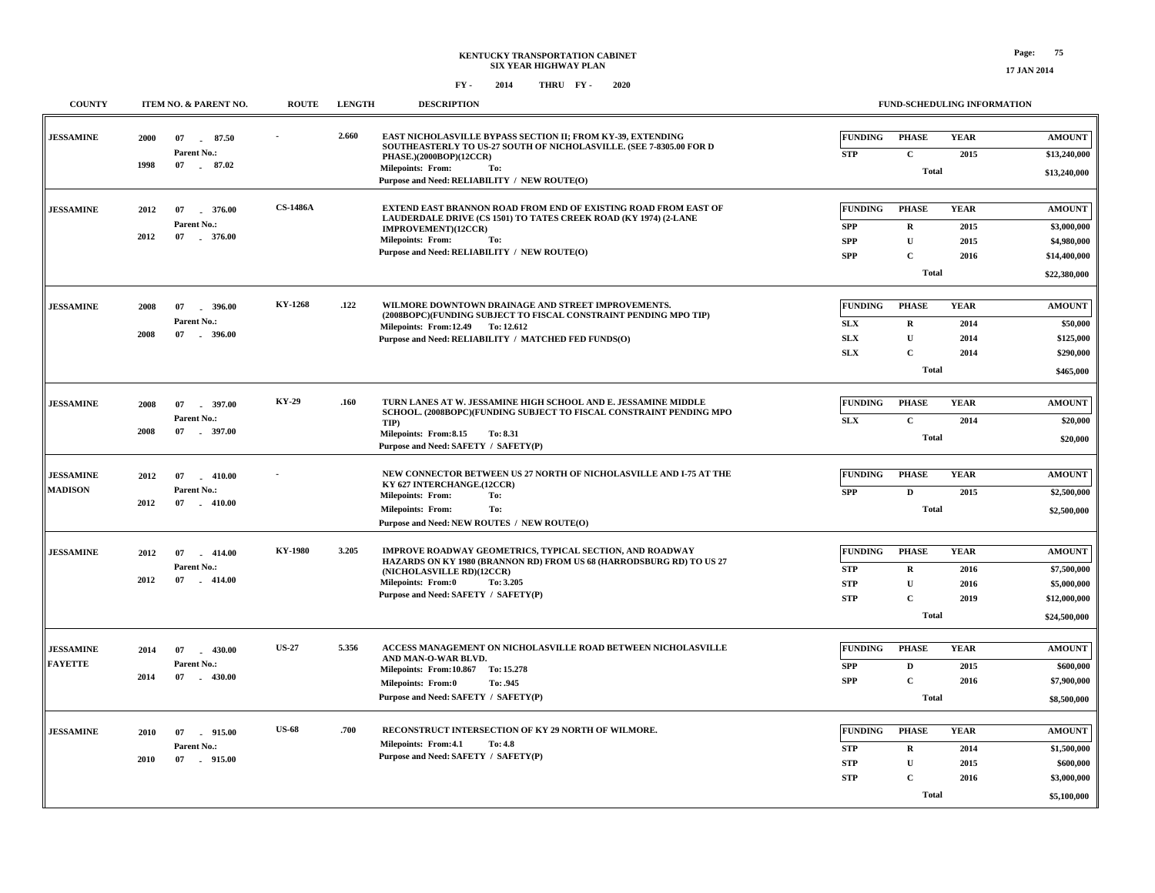**\$5,100,000**

 **\$3,000,000**

**Total**

**2016**

**C**

**STP**

| <b>COUNTY</b>                      | ITEM NO. & PARENT NO.                                                    | <b>ROUTE</b>    | <b>LENGTH</b> | <b>DESCRIPTION</b>                                                                                                                                                                                                                               |                                                          |                                                                         | <b>FUND-SCHEDULING INFORMATION</b>  |                                                                             |
|------------------------------------|--------------------------------------------------------------------------|-----------------|---------------|--------------------------------------------------------------------------------------------------------------------------------------------------------------------------------------------------------------------------------------------------|----------------------------------------------------------|-------------------------------------------------------------------------|-------------------------------------|-----------------------------------------------------------------------------|
| <b>JESSAMINE</b>                   | 2000<br>07<br>87.50<br>Parent No.:<br>1998<br>07 . 87.02                 |                 | 2.660         | EAST NICHOLASVILLE BYPASS SECTION II; FROM KY-39, EXTENDING<br>SOUTHEASTERLY TO US-27 SOUTH OF NICHOLASVILLE. (SEE 7-8305.00 FOR D<br>PHASE.)(2000BOP)(12CCR)<br><b>Milepoints: From:</b><br>To:<br>Purpose and Need: RELIABILITY / NEW ROUTE(O) | <b>FUNDING</b><br><b>STP</b>                             | <b>PHASE</b><br>$\mathbf{C}$<br><b>Total</b>                            | <b>YEAR</b><br>2015                 | <b>AMOUNT</b><br>\$13,240,000<br>\$13,240,000                               |
| <b>JESSAMINE</b>                   | 2012<br>07<br>376.00<br>Parent No.:<br>2012<br>07 376.00                 | <b>CS-1486A</b> |               | EXTEND EAST BRANNON ROAD FROM END OF EXISTING ROAD FROM EAST OF<br>LAUDERDALE DRIVE (CS 1501) TO TATES CREEK ROAD (KY 1974) (2-LANE<br>IMPROVEMENT)(12CCR)<br><b>Milepoints: From:</b><br>To:<br>Purpose and Need: RELIABILITY / NEW ROUTE(O)    | <b>FUNDING</b><br><b>SPP</b><br><b>SPP</b><br><b>SPP</b> | <b>PHASE</b><br>$\mathbf{R}$<br>U<br>$\mathbf{C}$<br><b>Total</b>       | <b>YEAR</b><br>2015<br>2015<br>2016 | <b>AMOUNT</b><br>\$3,000,000<br>\$4,980,000<br>\$14,400,000<br>\$22,380,000 |
| <b>JESSAMINE</b>                   | 2008<br>07<br>396.00<br>Parent No.:<br>2008<br>07<br>$-396.00$           | KY-1268         | .122          | WILMORE DOWNTOWN DRAINAGE AND STREET IMPROVEMENTS.<br>(2008BOPC)(FUNDING SUBJECT TO FISCAL CONSTRAINT PENDING MPO TIP)<br>Milepoints: From:12.49 To:12.612<br>Purpose and Need: RELIABILITY / MATCHED FED FUNDS(O)                               | <b>FUNDING</b><br><b>SLX</b><br><b>SLX</b><br><b>SLX</b> | <b>PHASE</b><br>$\bf{R}$<br>$\mathbf U$<br>$\mathbf{C}$<br><b>Total</b> | <b>YEAR</b><br>2014<br>2014<br>2014 | <b>AMOUNT</b><br>\$50,000<br>\$125,000<br>\$290,000<br>\$465,000            |
| <b>JESSAMINE</b>                   | 2008<br>07<br>$-397.00$<br>Parent No.:<br>2008<br>07<br>$-397.00$        | <b>KY-29</b>    | .160          | TURN LANES AT W. JESSAMINE HIGH SCHOOL AND E. JESSAMINE MIDDLE<br>SCHOOL. (2008BOPC)(FUNDING SUBJECT TO FISCAL CONSTRAINT PENDING MPO<br>TIP)<br>Milepoints: From:8.15<br>To: 8.31<br>Purpose and Need: SAFETY / SAFETY(P)                       | <b>FUNDING</b><br><b>SLX</b>                             | <b>PHASE</b><br>$\mathbf{C}$<br><b>Total</b>                            | <b>YEAR</b><br>2014                 | <b>AMOUNT</b><br>\$20,000<br>\$20,000                                       |
| <b>JESSAMINE</b><br><b>MADISON</b> | 2012<br>07<br>$-410.00$<br>Parent No.:<br>2012<br>07<br>$-410.00$        |                 |               | NEW CONNECTOR BETWEEN US 27 NORTH OF NICHOLASVILLE AND I-75 AT THE<br>KY 627 INTERCHANGE.(12CCR)<br>To:<br><b>Milepoints: From:</b><br>To:<br><b>Milepoints: From:</b><br>Purpose and Need: NEW ROUTES / NEW ROUTE(O)                            | <b>FUNDING</b><br><b>SPP</b>                             | <b>PHASE</b><br>$\mathbf{D}$<br>Total                                   | <b>YEAR</b><br>2015                 | AMOUNT<br>\$2,500,000<br>\$2,500,000                                        |
| <b>JESSAMINE</b>                   | 2012<br>07<br>414.00<br>$\sim$<br>Parent No.:<br>2012<br>07<br>$-414.00$ | <b>KY-1980</b>  | 3.205         | IMPROVE ROADWAY GEOMETRICS, TYPICAL SECTION, AND ROADWAY<br>HAZARDS ON KY 1980 (BRANNON RD) FROM US 68 (HARRODSBURG RD) TO US 27<br>(NICHOLASVILLE RD)(12CCR)<br>Milepoints: From:0<br>To: 3.205<br>Purpose and Need: SAFETY / SAFETY(P)         | <b>FUNDING</b><br><b>STP</b><br><b>STP</b><br><b>STP</b> | <b>PHASE</b><br>$\mathbf{R}$<br>U<br>$\mathbf C$<br><b>Total</b>        | <b>YEAR</b><br>2016<br>2016<br>2019 | <b>AMOUNT</b><br>\$7,500,000<br>\$5,000,000<br>\$12,000,000<br>\$24,500,000 |
| <b>JESSAMINE</b><br><b>FAYETTE</b> | 2014<br>$-430.00$<br>07<br>Parent No.:<br>2014<br>07<br>$-430.00$        | <b>US-27</b>    | 5.356         | ACCESS MANAGEMENT ON NICHOLASVILLE ROAD BETWEEN NICHOLASVILLE<br>AND MAN-O-WAR BLVD.<br>Milepoints: From:10.867 To: 15.278<br><b>Milepoints: From:0</b><br>To: .945<br>Purpose and Need: SAFETY / SAFETY(P)                                      | <b>FUNDING</b><br><b>SPP</b><br><b>SPP</b>               | <b>PHASE</b><br>D<br>$\mathbf{C}$<br><b>Total</b>                       | <b>YEAR</b><br>2015<br>2016         | <b>AMOUNT</b><br>\$600,000<br>\$7,900,000<br>\$8,500,000                    |
| <b>JESSAMINE</b>                   | 2010<br>07<br>915.00<br>Parent No.:<br>2010<br>07<br>915.00              | <b>US-68</b>    | .700          | RECONSTRUCT INTERSECTION OF KY 29 NORTH OF WILMORE.<br>Milepoints: From:4.1<br>To: 4.8<br>Purpose and Need: SAFETY / SAFETY(P)                                                                                                                   | <b>FUNDING</b><br><b>STP</b><br><b>STP</b>               | <b>PHASE</b><br>$\mathbf R$<br>$\mathbf{H}$                             | <b>YEAR</b><br>2014<br>2015         | <b>AMOUNT</b><br>\$1,500,000<br>\$600,000                                   |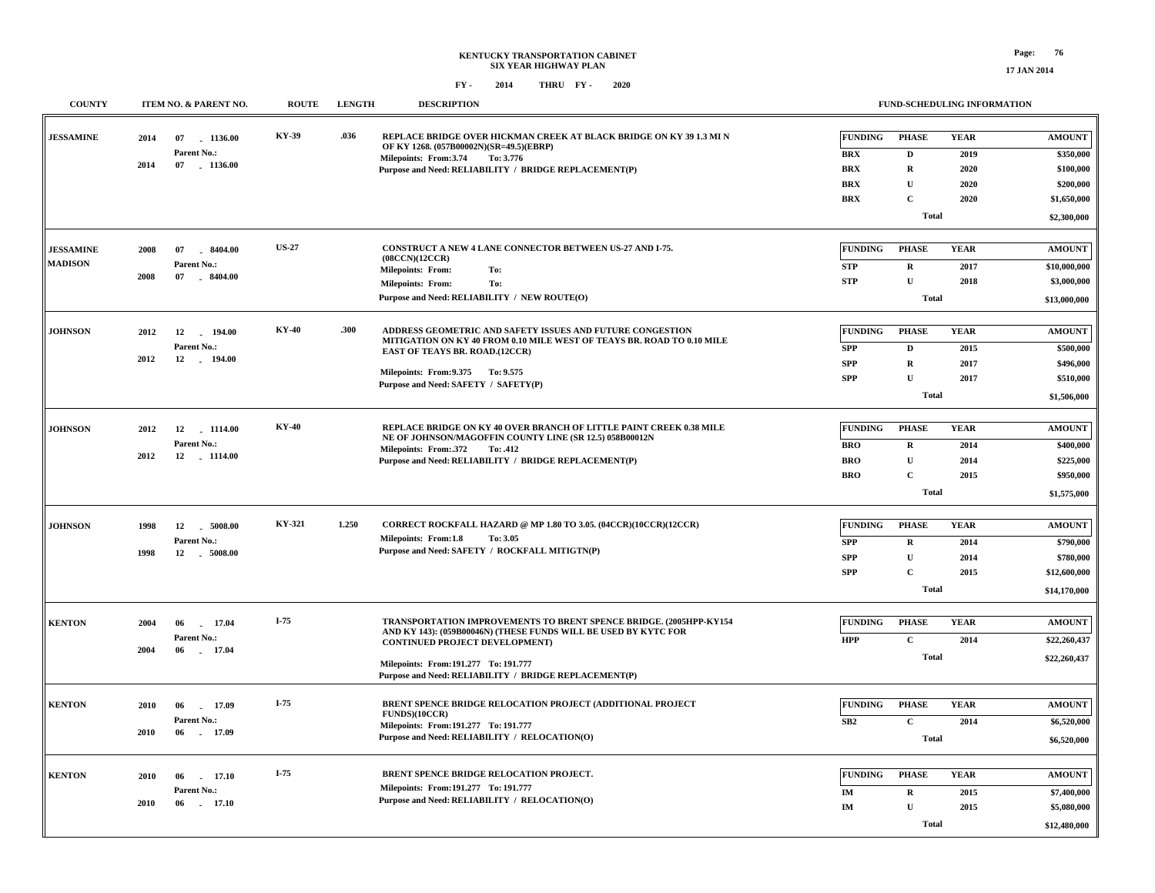| <b>COUNTY</b>    |      | ITEM NO. & PARENT NO.        | <b>ROUTE</b> | <b>LENGTH</b> | <b>DESCRIPTION</b>                                                                                                                    |                | <b>FUND-SCHEDULING INFORMATION</b> |             |                              |  |
|------------------|------|------------------------------|--------------|---------------|---------------------------------------------------------------------------------------------------------------------------------------|----------------|------------------------------------|-------------|------------------------------|--|
| <b>JESSAMINE</b> | 2014 | 07<br>1136.00                | KY-39        | .036          | REPLACE BRIDGE OVER HICKMAN CREEK AT BLACK BRIDGE ON KY 39 1.3 MI N<br>OF KY 1268. (057B00002N)(SR=49.5)(EBRP)                        | <b>FUNDING</b> | <b>PHASE</b>                       | <b>YEAR</b> | <b>AMOUNT</b>                |  |
|                  |      | Parent No.:                  |              |               | To: 3.776<br>Milepoints: From:3.74                                                                                                    | <b>BRX</b>     | D                                  | 2019        | \$350,000                    |  |
|                  | 2014 | 07 1136.00                   |              |               | Purpose and Need: RELIABILITY / BRIDGE REPLACEMENT(P)                                                                                 | <b>BRX</b>     | $\mathbf R$                        | 2020        | \$100,000                    |  |
|                  |      |                              |              |               |                                                                                                                                       | <b>BRX</b>     | U                                  | 2020        | \$200,000                    |  |
|                  |      |                              |              |               |                                                                                                                                       | <b>BRX</b>     | $\mathbf{C}$                       | 2020        | \$1,650,000                  |  |
|                  |      |                              |              |               |                                                                                                                                       |                | <b>Total</b>                       |             | \$2,300,000                  |  |
| <b>JESSAMINE</b> |      |                              | <b>US-27</b> |               | CONSTRUCT A NEW 4 LANE CONNECTOR BETWEEN US-27 AND I-75.                                                                              | <b>FUNDING</b> | <b>PHASE</b>                       | <b>YEAR</b> | <b>AMOUNT</b>                |  |
| <b>MADISON</b>   | 2008 | 07<br>8404.00                |              |               | (08CCN)(12CCR)                                                                                                                        |                |                                    |             |                              |  |
|                  | 2008 | Parent No.:<br>07<br>8404.00 |              |               | <b>Milepoints: From:</b><br>To:                                                                                                       | STP            | $\mathbf R$                        | 2017        | \$10,000,000                 |  |
|                  |      |                              |              |               | Milepoints: From:<br>To:                                                                                                              | STP            | $\mathbf{U}$                       | 2018        | \$3,000,000                  |  |
|                  |      |                              |              |               | Purpose and Need: RELIABILITY / NEW ROUTE(O)                                                                                          |                | <b>Total</b>                       |             | \$13,000,000                 |  |
| <b>JOHNSON</b>   | 2012 | 194.00<br>12                 | <b>KY-40</b> | .300          | ADDRESS GEOMETRIC AND SAFETY ISSUES AND FUTURE CONGESTION                                                                             | <b>FUNDING</b> | <b>PHASE</b>                       | <b>YEAR</b> | <b>AMOUNT</b>                |  |
|                  |      | Parent No.:                  |              |               | MITIGATION ON KY 40 FROM 0.10 MILE WEST OF TEAYS BR. ROAD TO 0.10 MILE<br><b>EAST OF TEAYS BR. ROAD.(12CCR)</b>                       | <b>SPP</b>     | $\mathbf D$                        | 2015        | \$500,000                    |  |
|                  | 2012 | 12<br>$-194.00$              |              |               |                                                                                                                                       | <b>SPP</b>     | $\mathbf R$                        | 2017        | \$496,000                    |  |
|                  |      |                              |              |               | Milepoints: From: 9.375 To: 9.575                                                                                                     | <b>SPP</b>     | $\mathbf U$                        | 2017        | \$510,000                    |  |
|                  |      |                              |              |               | Purpose and Need: SAFETY / SAFETY(P)                                                                                                  |                | <b>Total</b>                       |             |                              |  |
|                  |      |                              |              |               |                                                                                                                                       |                |                                    |             | \$1,506,000                  |  |
| <b>JOHNSON</b>   | 2012 | 12 1114.00                   | <b>KY-40</b> |               | REPLACE BRIDGE ON KY 40 OVER BRANCH OF LITTLE PAINT CREEK 0.38 MILE<br>NE OF JOHNSON/MAGOFFIN COUNTY LINE (SR 12.5) 058B00012N        | FUNDING        | <b>PHASE</b>                       | <b>YEAR</b> | <b>AMOUNT</b>                |  |
|                  |      | Parent No.:                  |              |               | Milepoints: From: 372<br>To: .412                                                                                                     | <b>BRO</b>     | $\mathbf R$                        | 2014        | \$400,000                    |  |
|                  | 2012 | 12 1114.00                   |              |               | Purpose and Need: RELIABILITY / BRIDGE REPLACEMENT(P)                                                                                 | <b>BRO</b>     | ${\bf U}$                          | 2014        | \$225,000                    |  |
|                  |      |                              |              |               |                                                                                                                                       | <b>BRO</b>     | $\mathbf{C}$                       | 2015        | \$950,000                    |  |
|                  |      |                              |              |               |                                                                                                                                       |                | Total                              |             | \$1,575,000                  |  |
|                  |      |                              | KY-321       | 1.250         | CORRECT ROCKFALL HAZARD @ MP 1.80 TO 3.05. (04CCR)(10CCR)(12CCR)                                                                      | <b>FUNDING</b> | <b>PHASE</b>                       | <b>YEAR</b> | <b>AMOUNT</b>                |  |
| <b>JOHNSON</b>   | 1998 | 12<br>5008.00                |              |               | Milepoints: From:1.8<br>To: 3.05                                                                                                      |                |                                    |             |                              |  |
|                  | 1998 | Parent No.:<br>12   5008.00  |              |               | Purpose and Need: SAFETY / ROCKFALL MITIGTN(P)                                                                                        | SPP            | $\bf R$                            | 2014        | \$790,000                    |  |
|                  |      |                              |              |               |                                                                                                                                       | <b>SPP</b>     | $\mathbf U$                        | 2014        | \$780,000                    |  |
|                  |      |                              |              |               |                                                                                                                                       | <b>SPP</b>     | $\mathbf{C}$<br><b>Total</b>       | 2015        | \$12,600,000<br>\$14,170,000 |  |
|                  |      |                              |              |               |                                                                                                                                       |                |                                    |             |                              |  |
| <b>KENTON</b>    | 2004 | 17.04<br>06                  | $I-75$       |               | TRANSPORTATION IMPROVEMENTS TO BRENT SPENCE BRIDGE. (2005HPP-KY154<br>AND KY 143): (059B00046N) (THESE FUNDS WILL BE USED BY KYTC FOR | <b>FUNDING</b> | <b>PHASE</b>                       | <b>YEAR</b> | <b>AMOUNT</b>                |  |
|                  | 2004 | Parent No.:                  |              |               | <b>CONTINUED PROJECT DEVELOPMENT)</b>                                                                                                 | <b>HPP</b>     | $\mathbf C$                        | 2014        | \$22,260,437                 |  |
|                  |      | 06<br>17.04                  |              |               | Milepoints: From:191.277 To: 191.777                                                                                                  |                | <b>Total</b>                       |             | \$22,260,437                 |  |
|                  |      |                              |              |               | Purpose and Need: RELIABILITY / BRIDGE REPLACEMENT(P)                                                                                 |                |                                    |             |                              |  |
| <b>KENTON</b>    | 2010 | 06<br>17.09                  | $I-75$       |               | BRENT SPENCE BRIDGE RELOCATION PROJECT (ADDITIONAL PROJECT                                                                            | <b>FUNDING</b> | <b>PHASE</b>                       | <b>YEAR</b> | <b>AMOUNT</b>                |  |
|                  |      | Parent No.:                  |              |               | FUNDS)(10CCR)                                                                                                                         | SB2            | $\mathbf C$                        |             | \$6,520,000                  |  |
|                  | 2010 | 06 17.09                     |              |               | Milepoints: From: 191.277 To: 191.777                                                                                                 |                |                                    | 2014        |                              |  |
|                  |      |                              |              |               | Purpose and Need: RELIABILITY / RELOCATION(O)                                                                                         |                | Total                              |             | \$6,520,000                  |  |
| <b>KENTON</b>    | 2010 | 17.10<br>06                  | $I-75$       |               | BRENT SPENCE BRIDGE RELOCATION PROJECT.                                                                                               | <b>FUNDING</b> | <b>PHASE</b>                       | <b>YEAR</b> | <b>AMOUNT</b>                |  |
|                  |      | Parent No.:                  |              |               | Milepoints: From: 191.277 To: 191.777                                                                                                 | IM             | $\mathbf R$                        | 2015        | \$7,400,000                  |  |
|                  | 2010 | 06<br>17.10<br>$\sim$        |              |               | Purpose and Need: RELIABILITY / RELOCATION(O)                                                                                         | IM             | $\mathbf U$                        | 2015        | \$5,080,000                  |  |
|                  |      |                              |              |               |                                                                                                                                       |                |                                    |             |                              |  |
|                  |      |                              |              |               |                                                                                                                                       |                | <b>Total</b>                       |             | \$12,480,000                 |  |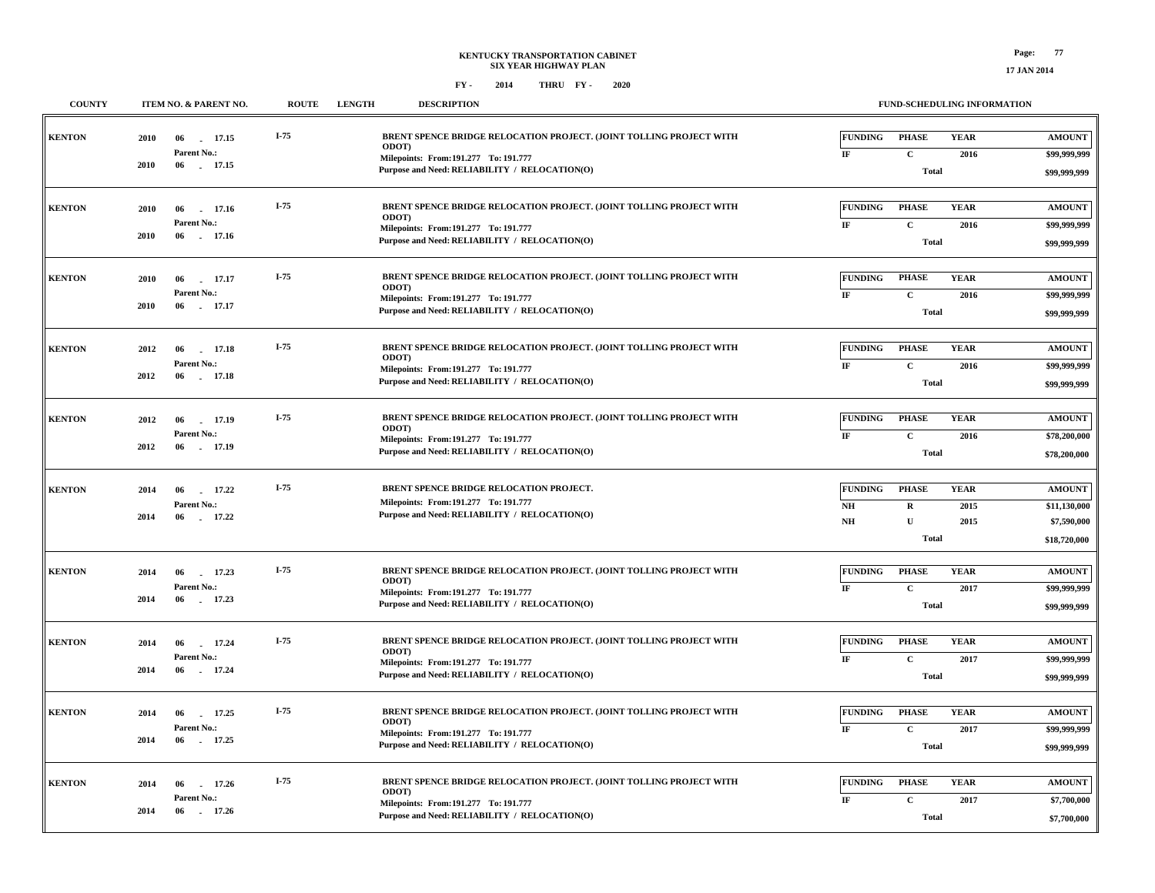**\$7,700,000**

**Total**

#### **FY - FY - 2014 2020 THRU**

**COUNTY ITEM NO. & PARENT NO. ROUTE LENGTH DESCRIPTION**

 **06 17.26 -2014**

| <b>KENTON</b> |      |                            | I-75   | BRENT SPENCE BRIDGE RELOCATION PROJECT. (JOINT TOLLING PROJECT WITH                    | <b>FUNDING</b> | <b>PHASE</b> | <b>YEAR</b> | <b>AMOUNT</b> |
|---------------|------|----------------------------|--------|----------------------------------------------------------------------------------------|----------------|--------------|-------------|---------------|
|               | 2010 | 06<br>17.15<br>Parent No.: |        | ODOT)                                                                                  | IF             | $\mathbf C$  | 2016        | \$99,999,999  |
|               | 2010 | 06<br>17.15                |        | Milepoints: From: 191.277 To: 191.777<br>Purpose and Need: RELIABILITY / RELOCATION(O) |                | Total        |             |               |
|               |      |                            |        |                                                                                        |                |              |             | \$99,999,999  |
| <b>KENTON</b> | 2010 | 06 17.16                   | I-75   | BRENT SPENCE BRIDGE RELOCATION PROJECT. (JOINT TOLLING PROJECT WITH                    | <b>FUNDING</b> | <b>PHASE</b> | <b>YEAR</b> | <b>AMOUNT</b> |
|               |      | Parent No.:                |        | ODOT)<br>Milepoints: From: 191.277 To: 191.777                                         | IF             | $\mathbf C$  | 2016        | \$99,999,999  |
|               | 2010 | 06 17.16                   |        | Purpose and Need: RELIABILITY / RELOCATION(O)                                          |                | <b>Total</b> |             | \$99,999,999  |
|               |      |                            |        |                                                                                        |                |              |             |               |
| <b>KENTON</b> | 2010 | 06<br>17.17                | $I-75$ | BRENT SPENCE BRIDGE RELOCATION PROJECT. (JOINT TOLLING PROJECT WITH                    | <b>FUNDING</b> | PHASE        | <b>YEAR</b> | <b>AMOUNT</b> |
|               |      | Parent No.:                |        | <b>ODOT</b><br>Milepoints: From: 191.277 To: 191.777                                   | IF             | $\mathbf{C}$ | 2016        | \$99,999,999  |
|               | 2010 | 06 17.17                   |        | Purpose and Need: RELIABILITY / RELOCATION(O)                                          |                | <b>Total</b> |             | \$99,999,999  |
|               |      |                            |        |                                                                                        |                |              |             |               |
| <b>KENTON</b> | 2012 | 17.18<br>06                | $I-75$ | BRENT SPENCE BRIDGE RELOCATION PROJECT. (JOINT TOLLING PROJECT WITH                    | <b>FUNDING</b> | <b>PHASE</b> | <b>YEAR</b> | <b>AMOUNT</b> |
|               |      | Parent No.:                |        | ODOT)<br>Milepoints: From:191.277 To: 191.777                                          | $_{\rm IF}$    | $\mathbf C$  | 2016        | \$99,999,999  |
|               | 2012 | 06 17.18                   |        | Purpose and Need: RELIABILITY / RELOCATION(O)                                          |                | Total        |             | \$99,999,999  |
|               |      |                            |        |                                                                                        |                |              |             |               |
| <b>KENTON</b> | 2012 | 17.19<br>06                | $I-75$ | BRENT SPENCE BRIDGE RELOCATION PROJECT. (JOINT TOLLING PROJECT WITH                    | <b>FUNDING</b> | <b>PHASE</b> | <b>YEAR</b> | <b>AMOUNT</b> |
|               |      | Parent No.:                |        | ODOT)<br>Milepoints: From: 191.277 To: 191.777                                         | IF             | $\mathbf C$  | 2016        | \$78,200,000  |
|               | 2012 | 06<br>. 17.19              |        | Purpose and Need: RELIABILITY / RELOCATION(O)                                          |                | <b>Total</b> |             | \$78,200,000  |
|               |      |                            |        |                                                                                        |                |              |             |               |
| <b>KENTON</b> | 2014 | 06<br>17.22                | I-75   | BRENT SPENCE BRIDGE RELOCATION PROJECT.                                                | <b>FUNDING</b> | <b>PHASE</b> | <b>YEAR</b> | <b>AMOUNT</b> |
|               |      | Parent No.:                |        | Milepoints: From: 191.277 To: 191.777                                                  | NH             | R            | 2015        | \$11,130,000  |
|               | 2014 | 06<br>17.22                |        | Purpose and Need: RELIABILITY / RELOCATION(O)                                          | NH             | $\mathbf U$  | 2015        | \$7,590,000   |
|               |      |                            |        |                                                                                        |                | Total        |             | \$18,720,000  |
|               |      |                            |        |                                                                                        |                |              |             |               |
| <b>KENTON</b> | 2014 | 06<br>17.23                | I-75   | BRENT SPENCE BRIDGE RELOCATION PROJECT. (JOINT TOLLING PROJECT WITH<br>ODOT)           | <b>FUNDING</b> | <b>PHASE</b> | <b>YEAR</b> | <b>AMOUNT</b> |
|               | 2014 | Parent No.:<br>06 - 17.23  |        | Milepoints: From: 191.277 To: 191.777                                                  | IF             | $\mathbf{C}$ | 2017        | \$99,999,999  |
|               |      |                            |        | Purpose and Need: RELIABILITY / RELOCATION(O)                                          |                | <b>Total</b> |             | \$99,999,999  |
|               |      |                            |        |                                                                                        |                |              |             |               |
| <b>KENTON</b> | 2014 | 06<br>17.24                | I-75   | BRENT SPENCE BRIDGE RELOCATION PROJECT. (JOINT TOLLING PROJECT WITH<br>ODOT)           | <b>FUNDING</b> | <b>PHASE</b> | <b>YEAR</b> | <b>AMOUNT</b> |
|               | 2014 | Parent No.:<br>06<br>17.24 |        | Milepoints: From: 191.277 To: 191.777                                                  | IF             | $\mathbf{C}$ | 2017        | \$99,999,999  |
|               |      |                            |        | Purpose and Need: RELIABILITY / RELOCATION(O)                                          |                | <b>Total</b> |             | \$99,999,999  |
|               |      |                            | $I-75$ |                                                                                        |                |              |             |               |
| <b>KENTON</b> | 2014 | 06<br>17.25<br>Parent No.: |        | BRENT SPENCE BRIDGE RELOCATION PROJECT. (JOINT TOLLING PROJECT WITH<br><b>ODOT</b>     | <b>FUNDING</b> | <b>PHASE</b> | <b>YEAR</b> | <b>AMOUNT</b> |
|               | 2014 | 17.25<br>06                |        | Milepoints: From: 191.277 To: 191.777                                                  | IF             | $\mathbf{C}$ | 2017        | \$99,999,999  |
|               |      |                            |        | Purpose and Need: RELIABILITY / RELOCATION(O)                                          |                | <b>Total</b> |             | \$99,999,999  |
|               |      |                            |        |                                                                                        |                |              |             |               |
| <b>KENTON</b> | 2014 | 17.26<br>06                | $I-75$ | BRENT SPENCE BRIDGE RELOCATION PROJECT. (JOINT TOLLING PROJECT WITH<br><b>ODOT</b> )   | <b>FUNDING</b> | <b>PHASE</b> | <b>YEAR</b> | <b>AMOUNT</b> |
|               |      | Parent No.:                |        | Milepoints: From: 191.277 To: 191.777                                                  | IF             | $\mathbf C$  | 2017        | \$7,700,000   |

**Purpose and Need: RELIABILITY / RELOCATION(O)**

**FUND-SCHEDULING INFORMATION**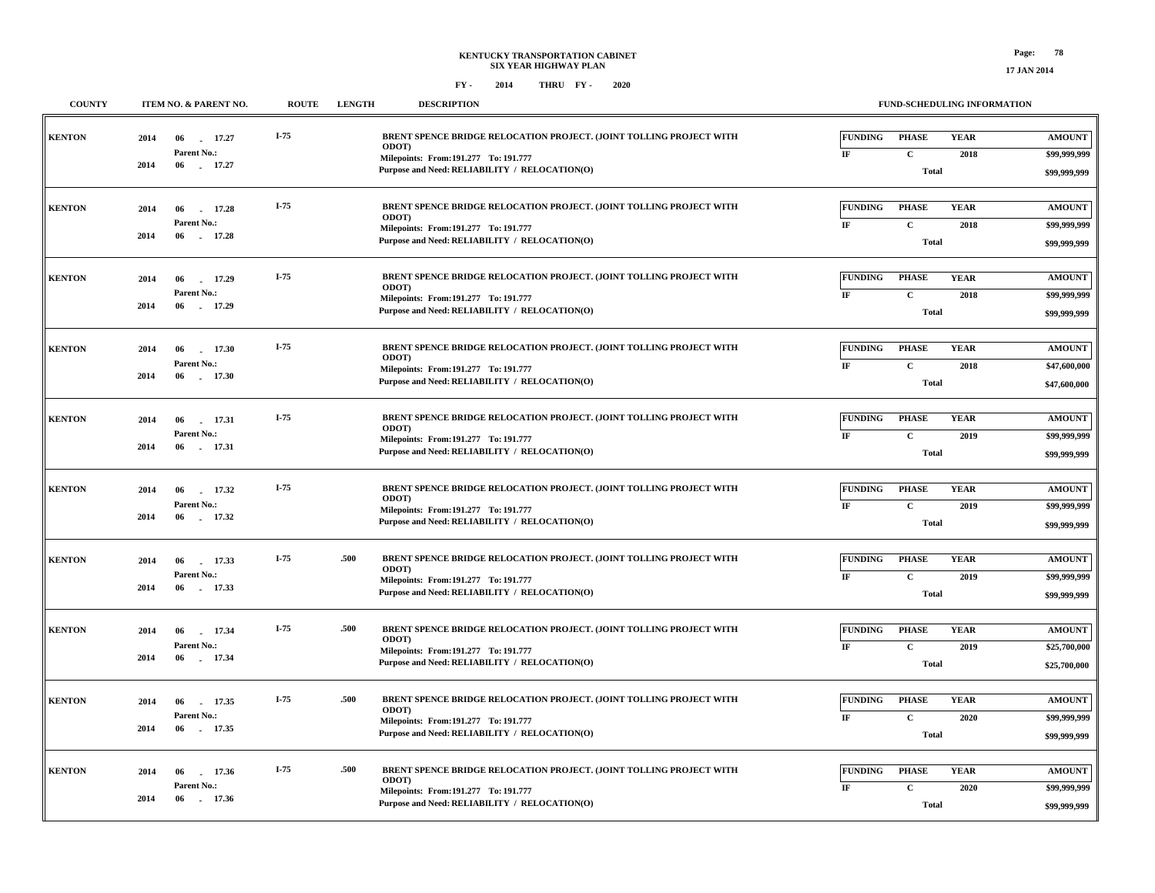**\$99,999,999**

**Total**

#### **FY - FY - 2014 2020 THRU**

**COUNTY ITEM NO. & PARENT NO. ROUTE LENGTH DESCRIPTION**

 **06 17.36 -2014**

| <b>KENTON</b> | 2014 | 06<br>17.27<br>a.          | $I-75$ |      | BRENT SPENCE BRIDGE RELOCATION PROJECT. (JOINT TOLLING PROJECT WITH                    | <b>FUNDING</b> | <b>PHASE</b>                 | <b>YEAR</b> | <b>AMOUNT</b>                |
|---------------|------|----------------------------|--------|------|----------------------------------------------------------------------------------------|----------------|------------------------------|-------------|------------------------------|
|               |      | Parent No.:                |        |      | <b>ODOT</b><br>Milepoints: From: 191.277 To: 191.777                                   | IF             | $\mathbf C$                  | 2018        | \$99,999,999                 |
|               | 2014 | 06<br>17.27                |        |      | Purpose and Need: RELIABILITY / RELOCATION(O)                                          |                | <b>Total</b>                 |             | \$99,999,999                 |
| <b>KENTON</b> | 2014 | 06<br>17.28                | $I-75$ |      | BRENT SPENCE BRIDGE RELOCATION PROJECT. (JOINT TOLLING PROJECT WITH                    | <b>FUNDING</b> | <b>PHASE</b>                 | <b>YEAR</b> | <b>AMOUNT</b>                |
|               |      | Parent No.:                |        |      | <b>ODOT</b><br>Milepoints: From: 191.277 To: 191.777                                   | IF             | $\mathbf C$                  | 2018        | \$99,999,999                 |
|               | 2014 | 06<br>17.28                |        |      | Purpose and Need: RELIABILITY / RELOCATION(O)                                          |                | <b>Total</b>                 |             | \$99,999,999                 |
| <b>KENTON</b> | 2014 | 06<br>17.29                | $I-75$ |      | BRENT SPENCE BRIDGE RELOCATION PROJECT. (JOINT TOLLING PROJECT WITH                    | <b>FUNDING</b> | <b>PHASE</b>                 | <b>YEAR</b> | <b>AMOUNT</b>                |
|               |      | <b>Parent No.:</b>         |        |      | ODOT)                                                                                  | IF             | $\mathbf C$                  | 2018        | \$99,999,999                 |
|               | 2014 | 06<br>17.29                |        |      | Milepoints: From: 191.277 To: 191.777<br>Purpose and Need: RELIABILITY / RELOCATION(O) |                | <b>Total</b>                 |             | \$99,999,999                 |
| <b>KENTON</b> | 2014 | 06<br>17.30                | $I-75$ |      | BRENT SPENCE BRIDGE RELOCATION PROJECT. (JOINT TOLLING PROJECT WITH                    | <b>FUNDING</b> | <b>PHASE</b>                 | <b>YEAR</b> | <b>AMOUNT</b>                |
|               |      | Parent No.:                |        |      | <b>ODOT</b> )                                                                          | $\rm I\!F$     | $\mathbf C$                  | 2018        | \$47,600,000                 |
|               | 2014 | 06<br>17.30                |        |      | Milepoints: From: 191.277 To: 191.777<br>Purpose and Need: RELIABILITY / RELOCATION(O) |                | <b>Total</b>                 |             | \$47,600,000                 |
|               |      |                            |        |      |                                                                                        |                |                              |             |                              |
| <b>KENTON</b> | 2014 | 17.31<br>06                | $I-75$ |      | BRENT SPENCE BRIDGE RELOCATION PROJECT. (JOINT TOLLING PROJECT WITH                    | <b>FUNDING</b> | <b>PHASE</b>                 | <b>YEAR</b> | <b>AMOUNT</b>                |
|               |      | Parent No.:                |        |      | ODOT)<br>Milepoints: From: 191.277 To: 191.777                                         | $\bf I\bf F$   | $\mathbf C$                  | 2019        | \$99,999,999                 |
|               | 2014 | 06<br>17.31                |        |      | Purpose and Need: RELIABILITY / RELOCATION(O)                                          |                | <b>Total</b>                 |             | \$99,999,999                 |
| <b>KENTON</b> | 2014 | 06<br>17.32                | I-75   |      | BRENT SPENCE BRIDGE RELOCATION PROJECT. (JOINT TOLLING PROJECT WITH                    | <b>FUNDING</b> | <b>PHASE</b>                 | <b>YEAR</b> | <b>AMOUNT</b>                |
|               |      | Parent No.:                |        |      | ODOT)<br>Milepoints: From: 191.277 To: 191.777                                         | IF             | $\mathbf C$                  | 2019        | \$99,999,999                 |
|               | 2014 | 06<br>17.32                |        |      | Purpose and Need: RELIABILITY / RELOCATION(O)                                          |                | <b>Total</b>                 |             | \$99,999,999                 |
|               |      |                            |        |      |                                                                                        |                |                              |             |                              |
| <b>KENTON</b> | 2014 | 06<br>17.33                | $I-75$ | .500 | BRENT SPENCE BRIDGE RELOCATION PROJECT. (JOINT TOLLING PROJECT WITH<br>ODOT)           | <b>FUNDING</b> | <b>PHASE</b>                 | <b>YEAR</b> | <b>AMOUNT</b>                |
|               | 2014 | Parent No.:<br>17.33<br>06 |        |      | Milepoints: From: 191.277 To: 191.777                                                  | $_{\rm IF}$    | $\mathbf{C}$                 | 2019        | \$99,999,999                 |
|               |      |                            |        |      | Purpose and Need: RELIABILITY / RELOCATION(O)                                          |                | <b>Total</b>                 |             | \$99,999,999                 |
| <b>KENTON</b> | 2014 | 06<br>17.34                | I-75   | .500 | BRENT SPENCE BRIDGE RELOCATION PROJECT. (JOINT TOLLING PROJECT WITH<br>ODOT)           | <b>FUNDING</b> | <b>PHASE</b>                 | <b>YEAR</b> | <b>AMOUNT</b>                |
|               |      | Parent No.:                |        |      | Milepoints: From: 191.277 To: 191.777                                                  | $_{\rm IF}$    | $\mathbf{C}$                 | 2019        | \$25,700,000                 |
|               | 2014 | 06<br>17.34                |        |      | Purpose and Need: RELIABILITY / RELOCATION(O)                                          |                | <b>Total</b>                 |             | \$25,700,000                 |
|               |      |                            | $I-75$ | .500 | BRENT SPENCE BRIDGE RELOCATION PROJECT. (JOINT TOLLING PROJECT WITH                    |                |                              |             |                              |
| <b>KENTON</b> | 2014 | 06<br>17.35<br>Parent No.: |        |      | ODOT)                                                                                  | <b>FUNDING</b> | <b>PHASE</b>                 | <b>YEAR</b> | <b>AMOUNT</b>                |
|               | 2014 | 17.35<br>06                |        |      | Milepoints: From: 191.277 To: 191.777<br>Purpose and Need: RELIABILITY / RELOCATION(O) | IF             | $\mathbf{C}$<br><b>Total</b> | 2020        | \$99,999,999<br>\$99,999,999 |
|               |      |                            |        |      |                                                                                        |                |                              |             |                              |
| <b>KENTON</b> | 2014 | 17.36<br>06                | $I-75$ | .500 | BRENT SPENCE BRIDGE RELOCATION PROJECT. (JOINT TOLLING PROJECT WITH<br>ODOT)           | <b>FUNDING</b> | <b>PHASE</b>                 | <b>YEAR</b> | <b>AMOUNT</b>                |
|               |      | Parent No.:                |        |      | Milenoints: From: 191.277 To: 191.777                                                  | IF             | $\mathbf{C}$                 | 2020        | \$99,999,999                 |

**Purpose and Need: RELIABILITY / RELOCATION(O)**

**191.277 191.777 Milepoints: To: From:**

**FUND-SCHEDULING INFORMATION**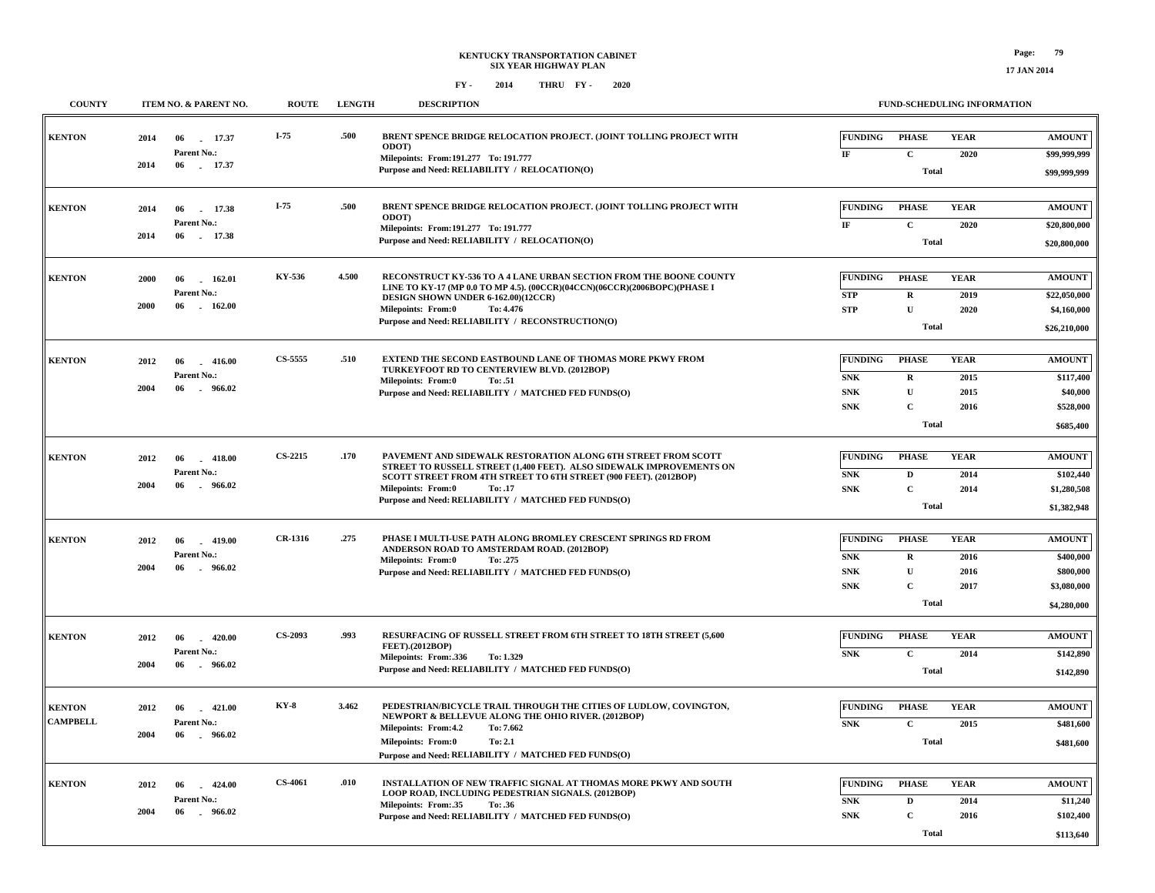| <b>COUNTY</b>   | ITEM NO. & PARENT NO.                                            | <b>ROUTE</b>   | <b>LENGTH</b> | <b>DESCRIPTION</b>                                                                                                                                               |                               | FUND-SCHEDULING INFORMATION |                     |                               |
|-----------------|------------------------------------------------------------------|----------------|---------------|------------------------------------------------------------------------------------------------------------------------------------------------------------------|-------------------------------|-----------------------------|---------------------|-------------------------------|
| <b>KENTON</b>   | 2014<br>06<br>17.37<br>Parent No.:                               | $I-75$         | .500          | BRENT SPENCE BRIDGE RELOCATION PROJECT. (JOINT TOLLING PROJECT WITH<br><b>ODOT</b>                                                                               | <b>FUNDING</b><br>IF          | <b>PHASE</b><br>$\mathbf C$ | <b>YEAR</b><br>2020 | <b>AMOUNT</b><br>\$99,999,999 |
|                 | 2014<br>06 17.37                                                 |                |               | Milepoints: From: 191.277 To: 191.777<br>Purpose and Need: RELIABILITY / RELOCATION(O)                                                                           |                               | <b>Total</b>                |                     | \$99,999,999                  |
| <b>KENTON</b>   | 2014<br>06<br>17.38<br>Parent No.:                               | $I-75$         | .500          | BRENT SPENCE BRIDGE RELOCATION PROJECT. (JOINT TOLLING PROJECT WITH<br><b>ODOT</b>                                                                               | <b>FUNDING</b>                | <b>PHASE</b>                | <b>YEAR</b>         | <b>AMOUNT</b>                 |
|                 | 2014<br>06<br>17.38                                              |                |               | Milepoints: From: 191.277 To: 191.777<br>Purpose and Need: RELIABILITY / RELOCATION(O)                                                                           | IF                            | $\mathbf C$<br><b>Total</b> | 2020                | \$20,800,000<br>\$20,800,000  |
| <b>KENTON</b>   | 2000<br>06<br>162.01                                             | KY-536         | 4.500         | RECONSTRUCT KY-536 TO A 4 LANE URBAN SECTION FROM THE BOONE COUNTY<br>LINE TO KY-17 (MP 0.0 TO MP 4.5). (00CCR)(04CCN)(06CCR)(2006BOPC)(PHASE I                  | <b>FUNDING</b>                | <b>PHASE</b>                | <b>YEAR</b>         | <b>AMOUNT</b>                 |
|                 | Parent No.:<br>2000<br>06<br>162.00                              |                |               | DESIGN SHOWN UNDER 6-162.00)(12CCR)<br><b>Milepoints: From:0</b><br>To: 4.476<br>Purpose and Need: RELIABILITY / RECONSTRUCTION(O)                               | <b>STP</b><br><b>STP</b>      | $\mathbf R$<br>${\bf U}$    | 2019<br>2020        | \$22,050,000<br>\$4,160,000   |
|                 |                                                                  |                |               |                                                                                                                                                                  |                               | Total                       |                     | \$26,210,000                  |
| <b>KENTON</b>   | 2012<br>06<br>$-416.00$<br>Parent No.:                           | CS-5555        | .510          | EXTEND THE SECOND EASTBOUND LANE OF THOMAS MORE PKWY FROM<br>TURKEYFOOT RD TO CENTERVIEW BLVD. (2012BOP)<br>Milepoints: From:0<br>To: .51                        | <b>FUNDING</b><br>${\bf SNK}$ | <b>PHASE</b><br>$\mathbf R$ | <b>YEAR</b><br>2015 | <b>AMOUNT</b><br>\$117,400    |
|                 | 2004<br>$-966.02$<br>06                                          |                |               | Purpose and Need: RELIABILITY / MATCHED FED FUNDS(O)                                                                                                             | ${\bf SNK}$<br>${\bf SNK}$    | $\mathbf U$<br>$\mathbf C$  | 2015<br>2016        | \$40,000<br>\$528,000         |
|                 |                                                                  |                |               |                                                                                                                                                                  |                               | <b>Total</b>                |                     | \$685,400                     |
| <b>KENTON</b>   | 2012<br>06<br>$-418.00$                                          | <b>CS-2215</b> | .170          | PAVEMENT AND SIDEWALK RESTORATION ALONG 6TH STREET FROM SCOTT<br>STREET TO RUSSELL STREET (1,400 FEET). ALSO SIDEWALK IMPROVEMENTS ON                            | <b>FUNDING</b>                | <b>PHASE</b>                | <b>YEAR</b>         | <b>AMOUNT</b>                 |
|                 | Parent No.:<br>2004<br>06<br>$-966.02$                           |                |               | SCOTT STREET FROM 4TH STREET TO 6TH STREET (900 FEET). (2012BOP)<br><b>Milepoints: From:0</b><br>To: .17<br>Purpose and Need: RELIABILITY / MATCHED FED FUNDS(O) | <b>SNK</b><br>${\bf SNK}$     | D<br>$\mathbf C$            | 2014<br>2014        | \$102,440<br>\$1,280,508      |
|                 |                                                                  |                |               |                                                                                                                                                                  |                               | <b>Total</b>                |                     | \$1,382,948                   |
| <b>KENTON</b>   | 2012<br>06<br>$-419.00$<br>Parent No.:                           | CR-1316        | .275          | PHASE I MULTI-USE PATH ALONG BROMLEY CRESCENT SPRINGS RD FROM<br>ANDERSON ROAD TO AMSTERDAM ROAD. (2012BOP)                                                      | <b>FUNDING</b><br>${\bf SNK}$ | <b>PHASE</b><br>$\mathbf R$ | <b>YEAR</b><br>2016 | <b>AMOUNT</b><br>\$400,000    |
|                 | 2004<br>06<br>$-966.02$                                          |                |               | <b>Milepoints: From:0</b><br>To: .275<br>Purpose and Need: RELIABILITY / MATCHED FED FUNDS(O)                                                                    | ${\bf SNK}$<br>${\bf SNK}$    | $\mathbf U$<br>$\mathbf C$  | 2016<br>2017        | \$800,000<br>\$3,080,000      |
|                 |                                                                  |                |               |                                                                                                                                                                  |                               | Total                       |                     | \$4,280,000                   |
| <b>KENTON</b>   | 2012<br>$-420.00$<br>06                                          | CS-2093        | .993          | RESURFACING OF RUSSELL STREET FROM 6TH STREET TO 18TH STREET (5,600<br>FEET).(2012BOP)                                                                           | <b>FUNDING</b>                | <b>PHASE</b>                | <b>YEAR</b>         | <b>AMOUNT</b>                 |
|                 | <b>Parent No.:</b><br>2004<br>06<br>$-966.02$                    |                |               | Milepoints: From: 336<br>To: 1.329<br>Purpose and Need: RELIABILITY / MATCHED FED FUNDS(O)                                                                       | ${\bf SNK}$                   | $\mathbf C$<br><b>Total</b> | 2014                | \$142,890<br>\$142,890        |
| <b>KENTON</b>   |                                                                  | <b>KY-8</b>    | 3.462         | PEDESTRIAN/BICYCLE TRAIL THROUGH THE CITIES OF LUDLOW, COVINGTON,                                                                                                | <b>FUNDING</b>                | <b>PHASE</b>                | <b>YEAR</b>         | <b>AMOUNT</b>                 |
| <b>CAMPBELL</b> | 2012<br>06<br>$-421.00$<br>Parent No.:<br>2004<br>06<br>. 966.02 |                |               | NEWPORT & BELLEVUE ALONG THE OHIO RIVER. (2012BOP)<br>Milepoints: From:4.2<br>To: 7.662                                                                          | ${\bf SNK}$                   | $\mathbf{C}$                | 2015                | \$481,600                     |
|                 |                                                                  |                |               | <b>Milepoints: From:0</b><br>To: 2.1<br>Purpose and Need: RELIABILITY / MATCHED FED FUNDS(O)                                                                     |                               | <b>Total</b>                |                     | \$481,600                     |
| <b>KENTON</b>   | $-424.00$<br>2012<br>06                                          | <b>CS-4061</b> | .010          | INSTALLATION OF NEW TRAFFIC SIGNAL AT THOMAS MORE PKWY AND SOUTH<br>LOOP ROAD, INCLUDING PEDESTRIAN SIGNALS. (2012BOP)                                           | FUNDING                       | <b>PHASE</b>                | <b>YEAR</b>         | <b>AMOUNT</b>                 |
|                 | Parent No.:<br>2004<br>06<br>$-966.02$                           |                |               | Milepoints: From: 35<br>To: .36<br>Purpose and Need: RELIABILITY / MATCHED FED FUNDS(O)                                                                          | ${\bf SNK}$<br>${\bf SNK}$    | $\mathbf D$<br>$\mathbf C$  | 2014<br>2016        | \$11,240<br>\$102,400         |
|                 |                                                                  |                |               |                                                                                                                                                                  |                               | Total                       |                     | \$113,640                     |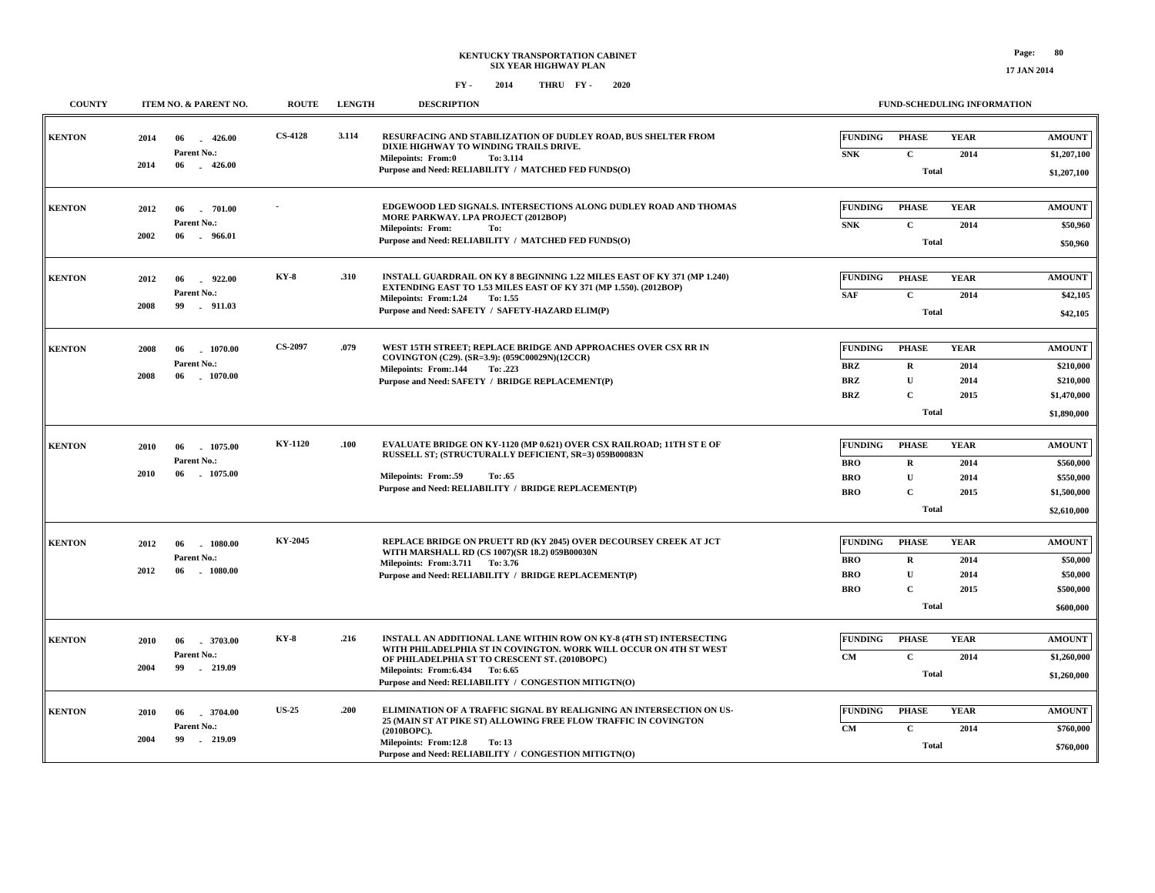**17 JAN 2014**

| <b>COUNTY</b> | ITEM NO. & PARENT NO.                                                    | <b>ROUTE</b>   | <b>LENGTH</b> | <b>DESCRIPTION</b>                                                                                                                                                                                                                                                                     | <b>FUND-SCHEDULING INFORMATION</b>                                                                                                                                             |                                                                       |
|---------------|--------------------------------------------------------------------------|----------------|---------------|----------------------------------------------------------------------------------------------------------------------------------------------------------------------------------------------------------------------------------------------------------------------------------------|--------------------------------------------------------------------------------------------------------------------------------------------------------------------------------|-----------------------------------------------------------------------|
| <b>KENTON</b> | 2014<br>426.00<br>06<br>$\sim$<br>Parent No.:<br>2014<br>06<br>$-426.00$ | <b>CS-4128</b> | 3.114         | RESURFACING AND STABILIZATION OF DUDLEY ROAD, BUS SHELTER FROM<br>DIXIE HIGHWAY TO WINDING TRAILS DRIVE.<br>Milepoints: From:0<br>To: 3.114<br>Purpose and Need: RELIABILITY / MATCHED FED FUNDS(O)                                                                                    | <b>FUNDING</b><br><b>PHASE</b><br><b>YEAR</b><br><b>SNK</b><br>$\mathbf{C}$<br>2014<br><b>Total</b>                                                                            | <b>AMOUNT</b><br>\$1,207,100<br>\$1,207,100                           |
| <b>KENTON</b> | 2012<br>06<br>. 701.00<br>Parent No.:<br>2002<br>06<br>- 966.01          |                |               | EDGEWOOD LED SIGNALS. INTERSECTIONS ALONG DUDLEY ROAD AND THOMAS<br>MORE PARKWAY. LPA PROJECT (2012BOP)<br><b>Milepoints: From:</b><br>To:<br>Purpose and Need: RELIABILITY / MATCHED FED FUNDS(O)                                                                                     | <b>FUNDING</b><br><b>YEAR</b><br><b>PHASE</b><br>${\bf SNK}$<br>$\mathbf{C}$<br>2014<br>Total                                                                                  | <b>AMOUNT</b><br>\$50,960<br>\$50,960                                 |
| <b>KENTON</b> | 922.00<br>2012<br>06<br>Parent No.:<br>2008<br>99<br>911.03              | <b>KY-8</b>    | .310          | INSTALL GUARDRAIL ON KY 8 BEGINNING 1.22 MILES EAST OF KY 371 (MP 1.240)<br>EXTENDING EAST TO 1.53 MILES EAST OF KY 371 (MP 1.550). (2012BOP)<br>Milepoints: From:1.24<br>To: 1.55<br>Purpose and Need: SAFETY / SAFETY-HAZARD ELIM(P)                                                 | <b>FUNDING</b><br><b>PHASE</b><br><b>YEAR</b><br>$\mathbf C$<br><b>SAF</b><br>2014<br>Total                                                                                    | <b>AMOUNT</b><br>\$42,105<br>\$42,105                                 |
| <b>KENTON</b> | 2008<br>1070.00<br>06<br>Parent No.:<br>2008<br>06<br>$-1070.00$         | <b>CS-2097</b> | .079          | WEST 15TH STREET; REPLACE BRIDGE AND APPROACHES OVER CSX RR IN<br>COVINGTON (C29). (SR=3.9): (059C00029N)(12CCR)<br>Milepoints: From: 144<br>To: .223<br>Purpose and Need: SAFETY / BRIDGE REPLACEMENT(P)                                                                              | <b>FUNDING</b><br><b>PHASE</b><br><b>YEAR</b><br><b>BRZ</b><br>$\mathbf R$<br>2014<br>$\mathbf{U}$<br><b>BRZ</b><br>2014<br>$\mathbf{C}$<br><b>BRZ</b><br>2015<br><b>Total</b> | <b>AMOUNT</b><br>\$210,000<br>\$210,000<br>\$1,470,000<br>\$1,890,000 |
| <b>KENTON</b> | 2010<br>06<br>1075.00<br>Parent No.:<br>2010<br>06<br>1075.00            | KY-1120        | .100          | <b>EVALUATE BRIDGE ON KY-1120 (MP 0.621) OVER CSX RAILROAD; 11TH ST E OF</b><br>RUSSELL ST; (STRUCTURALLY DEFICIENT, SR=3) 059B00083N<br><b>Milepoints: From:.59</b><br>To: .65<br>Purpose and Need: RELIABILITY / BRIDGE REPLACEMENT(P)                                               | <b>FUNDING</b><br><b>PHASE</b><br><b>YEAR</b><br>$\bf{R}$<br>2014<br><b>BRO</b><br>$\mathbf{U}$<br><b>BRO</b><br>2014<br>$\mathbf{C}$<br><b>BRO</b><br>2015<br><b>Total</b>    | <b>AMOUNT</b><br>\$560,000<br>\$550,000<br>\$1,500,000<br>\$2,610,000 |
| <b>KENTON</b> | 2012<br>06<br>1080.00<br>Parent No.:<br>2012<br>$-1080.00$<br>06         | KY-2045        |               | REPLACE BRIDGE ON PRUETT RD (KY 2045) OVER DECOURSEY CREEK AT JCT<br>WITH MARSHALL RD (CS 1007)(SR 18.2) 059B00030N<br>Milepoints: From: 3.711 To: 3.76<br>Purpose and Need: RELIABILITY / BRIDGE REPLACEMENT(P)                                                                       | <b>FUNDING</b><br><b>PHASE</b><br><b>YEAR</b><br><b>BRO</b><br>$\bf{R}$<br>2014<br><b>BRO</b><br>U<br>2014<br>$\mathbf{C}$<br><b>BRO</b><br>2015<br><b>Total</b>               | <b>AMOUNT</b><br>\$50,000<br>\$50,000<br>\$500,000<br>\$600,000       |
| <b>KENTON</b> | 2010<br>06<br>.3703.00<br>Parent No.:<br>2004<br>99<br>$-219.09$         | <b>KY-8</b>    | .216          | INSTALL AN ADDITIONAL LANE WITHIN ROW ON KY-8 (4TH ST) INTERSECTING<br>WITH PHILADELPHIA ST IN COVINGTON. WORK WILL OCCUR ON 4TH ST WEST<br>OF PHILADELPHIA ST TO CRESCENT ST. (2010BOPC)<br>Milepoints: From: 6.434 To: 6.65<br>Purpose and Need: RELIABILITY / CONGESTION MITIGTN(O) | <b>FUNDING</b><br><b>PHASE</b><br><b>YEAR</b><br>$\mathbf{C}$<br>CM<br>2014<br><b>Total</b>                                                                                    | <b>AMOUNT</b><br>\$1,260,000<br>\$1,260,000                           |
| <b>KENTON</b> | .3704.00<br>2010<br>06<br>Parent No.:<br>2004<br>99<br>$-219.09$         | <b>US-25</b>   | .200          | ELIMINATION OF A TRAFFIC SIGNAL BY REALIGNING AN INTERSECTION ON US-<br>25 (MAIN ST AT PIKE ST) ALLOWING FREE FLOW TRAFFIC IN COVINGTON<br>(2010BOPC).<br>Milepoints: From:12.8<br>To: 13<br>Purpose and Need: RELIABILITY / CONGESTION MITIGTN(O)                                     | <b>FUNDING</b><br><b>PHASE</b><br><b>YEAR</b><br>$\mathbf{C}$<br>CM<br>2014<br><b>Total</b>                                                                                    | <b>AMOUNT</b><br>\$760,000<br>\$760,000                               |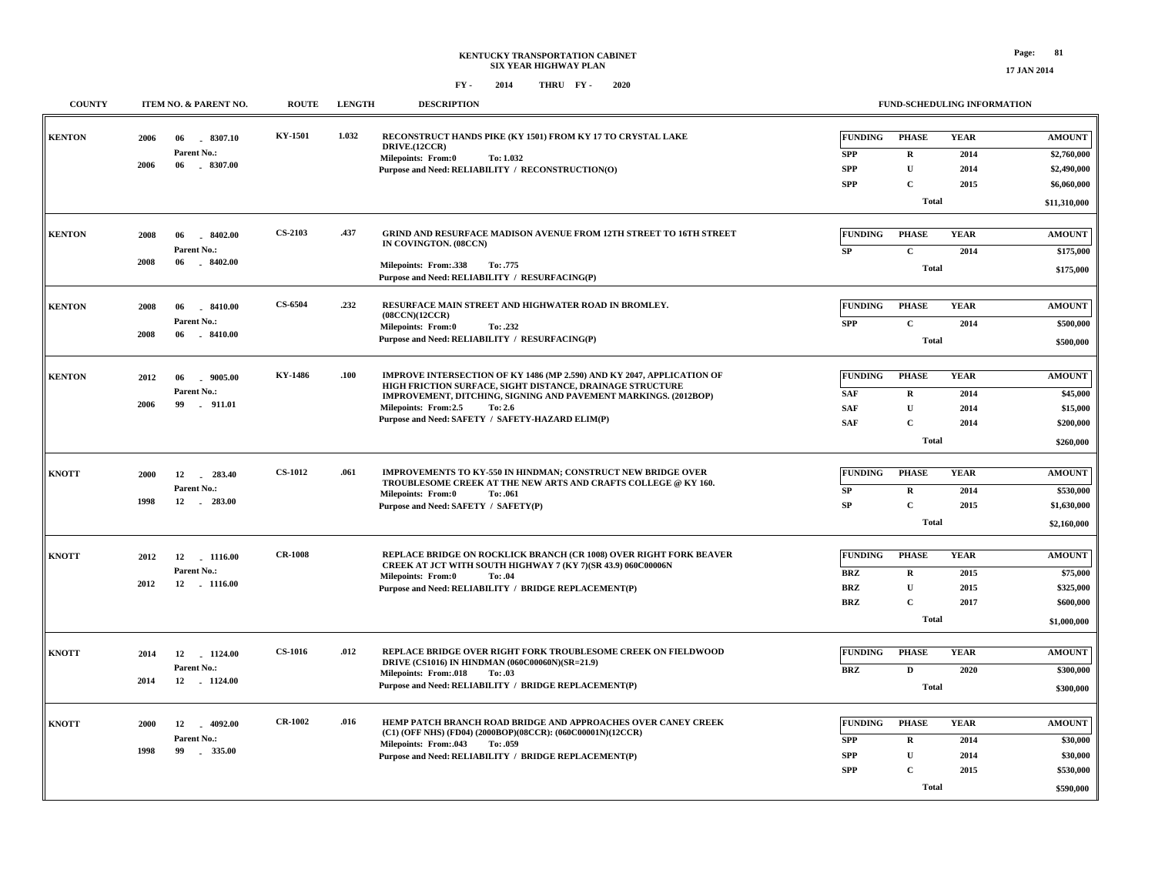**17 JAN 2014**

| <b>COUNTY</b> | ITEM NO. & PARENT NO.                                               | <b>ROUTE</b>   | <b>LENGTH</b> | <b>DESCRIPTION</b>                                                                                                                                                                                                                                                                            |                                                          | <b>FUND-SCHEDULING INFORMATION</b>                                           |                                     |                                                                            |
|---------------|---------------------------------------------------------------------|----------------|---------------|-----------------------------------------------------------------------------------------------------------------------------------------------------------------------------------------------------------------------------------------------------------------------------------------------|----------------------------------------------------------|------------------------------------------------------------------------------|-------------------------------------|----------------------------------------------------------------------------|
| <b>KENTON</b> | 2006<br>06<br>$-8307.10$<br>Parent No.:<br>2006<br>$-8307.00$<br>06 | KY-1501        | 1.032         | RECONSTRUCT HANDS PIKE (KY 1501) FROM KY 17 TO CRYSTAL LAKE<br>DRIVE.(12CCR)<br>Milepoints: From:0<br>To: 1.032<br>Purpose and Need: RELIABILITY / RECONSTRUCTION(O)                                                                                                                          | <b>FUNDING</b><br><b>SPP</b><br><b>SPP</b><br><b>SPP</b> | <b>PHASE</b><br>$\mathbf{R}$<br>$\mathbf{U}$<br>$\mathbf{C}$<br><b>Total</b> | <b>YEAR</b><br>2014<br>2014<br>2015 | <b>AMOUNT</b><br>\$2,760,000<br>\$2,490,000<br>\$6,060,000<br>\$11,310,000 |
| <b>KENTON</b> | 2008<br>8402.00<br>06<br>Parent No.:<br>2008<br>06<br>8402.00       | <b>CS-2103</b> | .437          | GRIND AND RESURFACE MADISON AVENUE FROM 12TH STREET TO 16TH STREET<br>IN COVINGTON. (08CCN)<br>Milepoints: From: 338<br>To: .775<br>Purpose and Need: RELIABILITY / RESURFACING(P)                                                                                                            | <b>FUNDING</b><br>SP                                     | <b>PHASE</b><br>$\mathbf c$<br><b>Total</b>                                  | <b>YEAR</b><br>2014                 | <b>AMOUNT</b><br>\$175,000<br>\$175,000                                    |
| <b>KENTON</b> | 2008<br>06<br>.8410.00<br>Parent No.:<br>2008<br>06<br>$-8410.00$   | <b>CS-6504</b> | .232          | RESURFACE MAIN STREET AND HIGHWATER ROAD IN BROMLEY.<br>(08CCN)(12CCR)<br>Milepoints: From:0<br>To: .232<br>Purpose and Need: RELIABILITY / RESURFACING(P)                                                                                                                                    | <b>FUNDING</b><br><b>SPP</b>                             | <b>PHASE</b><br>$\mathbf C$<br><b>Total</b>                                  | <b>YEAR</b><br>2014                 | <b>AMOUNT</b><br>\$500,000<br>\$500,000                                    |
| <b>KENTON</b> | .9005.00<br>2012<br>06<br>Parent No.:<br>2006<br>99<br>.911.01      | KY-1486        | .100          | IMPROVE INTERSECTION OF KY 1486 (MP 2.590) AND KY 2047, APPLICATION OF<br>HIGH FRICTION SURFACE, SIGHT DISTANCE, DRAINAGE STRUCTURE<br>IMPROVEMENT, DITCHING, SIGNING AND PAVEMENT MARKINGS. (2012BOP)<br>Milepoints: From:2.5<br>To: 2.6<br>Purpose and Need: SAFETY / SAFETY-HAZARD ELIM(P) | <b>FUNDING</b><br><b>SAF</b><br><b>SAF</b><br><b>SAF</b> | <b>PHASE</b><br>$\mathbf R$<br>$\mathbf U$<br>C<br><b>Total</b>              | <b>YEAR</b><br>2014<br>2014<br>2014 | <b>AMOUNT</b><br>\$45,000<br>\$15,000<br>\$200,000<br>\$260,000            |
| <b>KNOTT</b>  | 2000<br>12<br>283.40<br>Parent No.:<br>1998<br>12 . 283.00          | <b>CS-1012</b> | .061          | IMPROVEMENTS TO KY-550 IN HINDMAN; CONSTRUCT NEW BRIDGE OVER<br>TROUBLESOME CREEK AT THE NEW ARTS AND CRAFTS COLLEGE @ KY 160.<br>Milepoints: From:0<br>To: .061<br>Purpose and Need: SAFETY / SAFETY(P)                                                                                      | <b>FUNDING</b><br>SP<br><b>SP</b>                        | <b>PHASE</b><br>$\mathbf{R}$<br>$\mathbf C$<br><b>Total</b>                  | <b>YEAR</b><br>2014<br>2015         | <b>AMOUNT</b><br>\$530,000<br>\$1,630,000<br>\$2,160,000                   |
| <b>KNOTT</b>  | 2012<br>12 1116.00<br>Parent No.:<br>2012<br>12<br>1116.00          | <b>CR-1008</b> |               | REPLACE BRIDGE ON ROCKLICK BRANCH (CR 1008) OVER RIGHT FORK BEAVER<br>CREEK AT JCT WITH SOUTH HIGHWAY 7 (KY 7)(SR 43.9) 060C00006N<br><b>Milepoints: From:0</b><br>To: .04<br>Purpose and Need: RELIABILITY / BRIDGE REPLACEMENT(P)                                                           | <b>FUNDING</b><br><b>BRZ</b><br><b>BRZ</b><br><b>BRZ</b> | <b>PHASE</b><br>$\mathbf R$<br>${\bf U}$<br>$\mathbf C$<br><b>Total</b>      | <b>YEAR</b><br>2015<br>2015<br>2017 | <b>AMOUNT</b><br>\$75,000<br>\$325,000<br>\$600,000<br>\$1,000,000         |
| <b>KNOTT</b>  | 2014<br>12<br>1124.00<br>Parent No.:<br>2014<br>12 1124.00          | <b>CS-1016</b> | .012          | REPLACE BRIDGE OVER RIGHT FORK TROUBLESOME CREEK ON FIELDWOOD<br>DRIVE (CS1016) IN HINDMAN (060C00060N)(SR=21.9)<br>Milepoints: From:.018<br>To: .03<br>Purpose and Need: RELIABILITY / BRIDGE REPLACEMENT(P)                                                                                 | <b>FUNDING</b><br><b>BRZ</b>                             | <b>PHASE</b><br>D<br><b>Total</b>                                            | <b>YEAR</b><br>2020                 | <b>AMOUNT</b><br>\$300,000<br>\$300,000                                    |
| <b>KNOTT</b>  | 2000<br>12<br>$-4092.00$<br>Parent No.:<br>1998<br>99<br>$-335.00$  | <b>CR-1002</b> | .016          | HEMP PATCH BRANCH ROAD BRIDGE AND APPROACHES OVER CANEY CREEK<br>(C1) (OFF NHS) (FD04) (2000BOP)(08CCR): (060C00001N)(12CCR)<br>Milepoints: From:.043<br>To: .059<br>Purpose and Need: RELIABILITY / BRIDGE REPLACEMENT(P)                                                                    | <b>FUNDING</b><br><b>SPP</b><br><b>SPP</b><br><b>SPP</b> | <b>PHASE</b><br>$\bf R$<br>${\bf U}$<br>$\mathbf C$<br><b>Total</b>          | <b>YEAR</b><br>2014<br>2014<br>2015 | <b>AMOUNT</b><br>\$30,000<br>\$30,000<br>\$530,000<br>\$590,000            |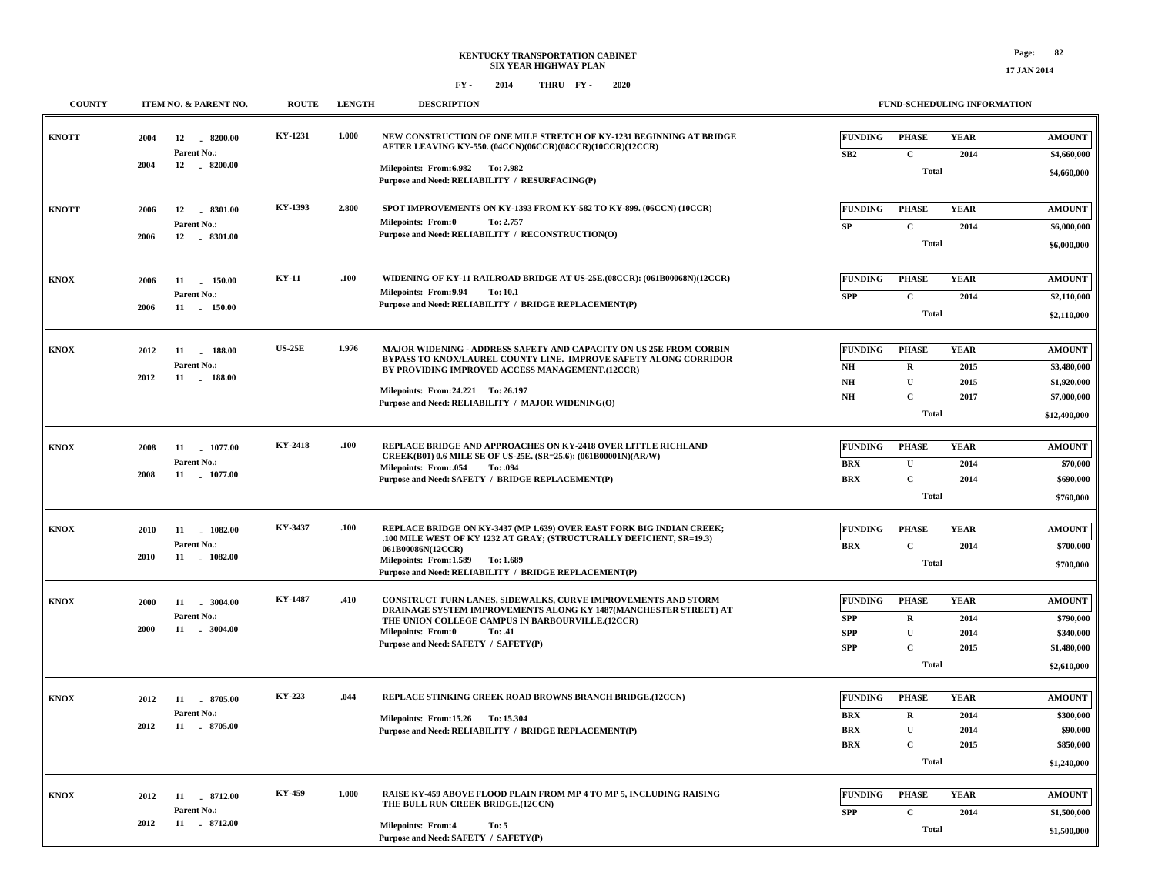| <b>COUNTY</b> |              | ITEM NO. & PARENT NO.                         | <b>ROUTE</b>  | <b>LENGTH</b> | <b>DESCRIPTION</b>                                                                                                                                                                        |                                          | FUND-SCHEDULING INFORMATION  |                     |                              |
|---------------|--------------|-----------------------------------------------|---------------|---------------|-------------------------------------------------------------------------------------------------------------------------------------------------------------------------------------------|------------------------------------------|------------------------------|---------------------|------------------------------|
| <b>KNOTT</b>  | 2004         | 12<br>8200.00<br>Parent No.:                  | KY-1231       | 1.000         | NEW CONSTRUCTION OF ONE MILE STRETCH OF KY-1231 BEGINNING AT BRIDGE<br>AFTER LEAVING KY-550. (04CCN)(06CCR)(08CCR)(10CCR)(12CCR)                                                          | <b>FUNDING</b><br>SB2                    | <b>PHASE</b><br>$\mathbf{C}$ | <b>YEAR</b><br>2014 | <b>AMOUNT</b><br>\$4,660,000 |
|               | 2004         | 12 . 8200.00                                  |               |               | Milepoints: From: 6.982 To: 7.982<br>Purpose and Need: RELIABILITY / RESURFACING(P)                                                                                                       |                                          | <b>Total</b>                 |                     | \$4,660,000                  |
| <b>KNOTT</b>  | 2006<br>2006 | 12<br>8301.00<br>Parent No.:<br>12<br>8301.00 | KY-1393       | 2.800         | SPOT IMPROVEMENTS ON KY-1393 FROM KY-582 TO KY-899. (06CCN) (10CCR)<br><b>Milepoints: From:0</b><br>To: 2.757<br>Purpose and Need: RELIABILITY / RECONSTRUCTION(O)                        | <b>FUNDING</b><br><b>SP</b>              | <b>PHASE</b><br>$\mathbf C$  | <b>YEAR</b><br>2014 | <b>AMOUNT</b><br>\$6,000,000 |
|               |              |                                               |               |               |                                                                                                                                                                                           |                                          | <b>Total</b>                 |                     | \$6,000,000                  |
| KNOX          | 2006         | 11<br>150.00<br>Parent No.:                   | <b>KY-11</b>  | .100          | WIDENING OF KY-11 RAILROAD BRIDGE AT US-25E.(08CCR): (061B00068N)(12CCR)<br>Milepoints: From: 9.94<br>To: 10.1                                                                            | <b>FUNDING</b><br><b>SPP</b>             | <b>PHASE</b><br>$\mathbf C$  | <b>YEAR</b><br>2014 | <b>AMOUNT</b><br>\$2,110,000 |
|               | 2006         | 11 150.00                                     |               |               | Purpose and Need: RELIABILITY / BRIDGE REPLACEMENT(P)                                                                                                                                     |                                          | <b>Total</b>                 |                     | \$2,110,000                  |
| <b>KNOX</b>   | 2012         | 188.00<br>11<br>Parent No.:                   | <b>US-25E</b> | 1.976         | MAJOR WIDENING - ADDRESS SAFETY AND CAPACITY ON US 25E FROM CORBIN<br>BYPASS TO KNOX/LAUREL COUNTY LINE. IMPROVE SAFETY ALONG CORRIDOR<br>BY PROVIDING IMPROVED ACCESS MANAGEMENT.(12CCR) | <b>FUNDING</b><br>$\mathbf{N}\mathbf{H}$ | <b>PHASE</b><br>$\mathbf R$  | <b>YEAR</b><br>2015 | <b>AMOUNT</b><br>\$3,480,000 |
|               | 2012         | 11 . 188.00                                   |               |               | Milepoints: From: 24.221 To: 26.197<br>Purpose and Need: RELIABILITY / MAJOR WIDENING(O)                                                                                                  | $\mathbf{NH}{}$<br>$\mathbf{NH}{}$       | $\mathbf U$<br>$\mathbf C$   | 2015<br>2017        | \$1,920,000<br>\$7,000,000   |
|               |              |                                               |               |               |                                                                                                                                                                                           |                                          | <b>Total</b>                 |                     | \$12,400,000                 |
| <b>KNOX</b>   | 2008         | 11 1077.00<br>Parent No.:                     | KY-2418       | .100          | REPLACE BRIDGE AND APPROACHES ON KY-2418 OVER LITTLE RICHLAND<br>CREEK(B01) 0.6 MILE SE OF US-25E. (SR=25.6): (061B00001N)(AR/W)<br><b>Milepoints: From:.054</b>                          | <b>FUNDING</b><br><b>BRX</b>             | <b>PHASE</b><br>$\mathbf U$  | <b>YEAR</b><br>2014 | <b>AMOUNT</b><br>\$70,000    |
|               | 2008         | 11<br>1077.00                                 |               |               | To: .094<br>Purpose and Need: SAFETY / BRIDGE REPLACEMENT(P)                                                                                                                              | <b>BRX</b>                               | $\mathbf C$<br><b>Total</b>  | 2014                | \$690,000                    |
|               |              |                                               |               |               |                                                                                                                                                                                           |                                          |                              |                     | \$760,000                    |
| <b>KNOX</b>   | 2010         | 1082.00<br>11<br>Parent No.:                  | KY-3437       | .100          | REPLACE BRIDGE ON KY-3437 (MP 1.639) OVER EAST FORK BIG INDIAN CREEK;<br>.100 MILE WEST OF KY 1232 AT GRAY; (STRUCTURALLY DEFICIENT, SR=19.3)<br>061B00086N(12CCR)                        | <b>FUNDING</b><br><b>BRX</b>             | <b>PHASE</b><br>$\mathbf C$  | <b>YEAR</b><br>2014 | <b>AMOUNT</b><br>\$700,000   |
|               | 2010         | $-1082.00$<br>11                              |               |               | Milepoints: From: 1.589 To: 1.689<br>Purpose and Need: RELIABILITY / BRIDGE REPLACEMENT(P)                                                                                                |                                          | <b>Total</b>                 |                     | \$700,000                    |
| <b>KNOX</b>   | 2000         | 11<br>$-3004.00$<br>Parent No.:               | KY-1487       | .410          | CONSTRUCT TURN LANES, SIDEWALKS, CURVE IMPROVEMENTS AND STORM<br>DRAINAGE SYSTEM IMPROVEMENTS ALONG KY 1487(MANCHESTER STREET) AT                                                         | <b>FUNDING</b><br><b>SPP</b>             | <b>PHASE</b><br>$\mathbf R$  | <b>YEAR</b><br>2014 | <b>AMOUNT</b><br>\$790,000   |
|               | 2000         | 11 . 3004.00                                  |               |               | THE UNION COLLEGE CAMPUS IN BARBOURVILLE.(12CCR)<br>Milepoints: From:0<br>To: .41<br>Purpose and Need: SAFETY / SAFETY(P)                                                                 | <b>SPP</b><br><b>SPP</b>                 | $\mathbf{U}$<br>$\mathbf C$  | 2014<br>2015        | \$340,000<br>\$1,480,000     |
|               |              |                                               |               |               |                                                                                                                                                                                           |                                          | <b>Total</b>                 |                     | \$2,610,000                  |
| <b>KNOX</b>   | 2012         | 11<br>8705.00<br>Parent No.:                  | KY-223        | .044          | REPLACE STINKING CREEK ROAD BROWNS BRANCH BRIDGE.(12CCN)                                                                                                                                  | <b>FUNDING</b><br><b>BRX</b>             | <b>PHASE</b><br>$\mathbf R$  | <b>YEAR</b><br>2014 | <b>AMOUNT</b><br>\$300,000   |
|               | 2012         | 11 8705.00                                    |               |               | Milepoints: From:15.26 To: 15.304<br>Purpose and Need: RELIABILITY / BRIDGE REPLACEMENT(P)                                                                                                | <b>BRX</b><br><b>BRX</b>                 | U<br>$\mathbf C$             | 2014<br>2015        | \$90,000<br>\$850,000        |
|               |              |                                               |               |               |                                                                                                                                                                                           |                                          | <b>Total</b>                 |                     | \$1,240,000                  |
| <b>KNOX</b>   | 2012         | 8712.00<br>11<br>Parent No.:                  | KY-459        | 1.000         | RAISE KY-459 ABOVE FLOOD PLAIN FROM MP 4 TO MP 5, INCLUDING RAISING<br>THE BULL RUN CREEK BRIDGE.(12CCN)                                                                                  | <b>FUNDING</b><br><b>SPP</b>             | <b>PHASE</b><br>$\mathbf C$  | <b>YEAR</b><br>2014 | <b>AMOUNT</b><br>\$1,500,000 |
|               | 2012         | 11 . 8712.00                                  |               |               | <b>Milepoints: From:4</b><br>To: 5<br>Purpose and Need: SAFETY / SAFETY(P)                                                                                                                |                                          | <b>Total</b>                 |                     | \$1,500,000                  |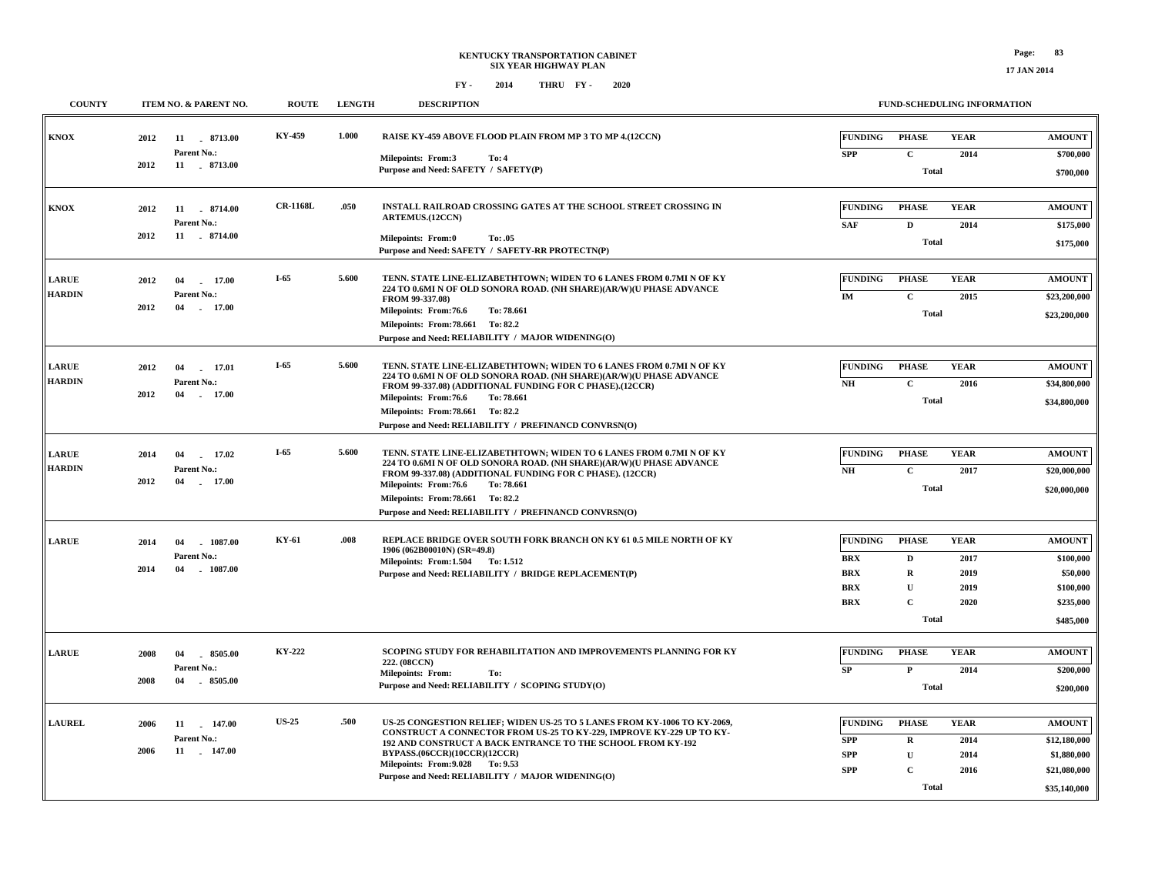**\$35,140,000**

**Total**

| <b>COUNTY</b>                 | ITEM NO. & PARENT NO.                                               | <b>ROUTE</b>    | <b>LENGTH</b> | <b>DESCRIPTION</b>                                                            |                                                                                                                                                                                                                                                                                |                                                                        | <b>FUND-SCHEDULING INFORMATION</b>                                              |                                             |                                                                               |  |  |
|-------------------------------|---------------------------------------------------------------------|-----------------|---------------|-------------------------------------------------------------------------------|--------------------------------------------------------------------------------------------------------------------------------------------------------------------------------------------------------------------------------------------------------------------------------|------------------------------------------------------------------------|---------------------------------------------------------------------------------|---------------------------------------------|-------------------------------------------------------------------------------|--|--|
| KNOX                          | 2012<br>11<br>8713.00<br>Parent No.:<br>2012<br>11 . 8713.00        | KY-459          | 1.000         | Milepoints: From:3<br>Purpose and Need: SAFETY / SAFETY(P)                    | RAISE KY-459 ABOVE FLOOD PLAIN FROM MP 3 TO MP 4.(12CCN)<br>To: 4                                                                                                                                                                                                              | <b>FUNDING</b><br><b>SPP</b>                                           | <b>PHASE</b><br>$\mathbf{C}$<br><b>Total</b>                                    | <b>YEAR</b><br>2014                         | <b>AMOUNT</b><br>\$700,000<br>\$700,000                                       |  |  |
| KNOX                          | 2012<br>11<br>8714.00<br>Parent No.:<br>2012<br>11 . 8714.00        | <b>CR-1168L</b> | .050          | <b>ARTEMUS.(12CCN)</b><br><b>Milepoints: From:0</b>                           | INSTALL RAILROAD CROSSING GATES AT THE SCHOOL STREET CROSSING IN<br>To: .05<br>Purpose and Need: SAFETY / SAFETY-RR PROTECTN(P)                                                                                                                                                | <b>FUNDING</b><br><b>SAF</b>                                           | <b>PHASE</b><br>$\mathbf D$<br><b>Total</b>                                     | <b>YEAR</b><br>2014                         | <b>AMOUNT</b><br>\$175,000<br>\$175,000                                       |  |  |
| <b>LARUE</b><br><b>HARDIN</b> | 2012<br>04<br>17.00<br>Parent No.:<br>2012<br>04<br>17.00           | $I-65$          | 5.600         | FROM 99-337.08)<br>Milepoints: From:76.6<br>Milepoints: From: 78.661 To: 82.2 | TENN. STATE LINE-ELIZABETHTOWN; WIDEN TO 6 LANES FROM 0.7MI N OF KY<br>224 TO 0.6MI N OF OLD SONORA ROAD. (NH SHARE)(AR/W)(U PHASE ADVANCE<br>To: 78.661<br>Purpose and Need: RELIABILITY / MAJOR WIDENING(O)                                                                  | <b>FUNDING</b><br>IM                                                   | <b>PHASE</b><br>$\mathbf C$<br><b>Total</b>                                     | <b>YEAR</b><br>2015                         | <b>AMOUNT</b><br>\$23,200,000<br>\$23,200,000                                 |  |  |
| <b>LARUE</b><br><b>HARDIN</b> | 17.01<br>2012<br>04<br>Parent No.:<br>2012<br>04<br>17.00           | $I-65$          | 5.600         | Milepoints: From: 76.6<br>Milepoints: From: 78.661 To: 82.2                   | TENN. STATE LINE-ELIZABETHTOWN; WIDEN TO 6 LANES FROM 0.7MI N OF KY<br>224 TO 0.6MI N OF OLD SONORA ROAD. (NH SHARE)(AR/W)(U PHASE ADVANCE<br>FROM 99-337.08) (ADDITIONAL FUNDING FOR C PHASE).(12CCR)<br>To: 78.661<br>Purpose and Need: RELIABILITY / PREFINANCD CONVRSN(O)  | <b>FUNDING</b><br>N <sub>H</sub>                                       | <b>PHASE</b><br>$\mathbf c$<br><b>Total</b>                                     | <b>YEAR</b><br>2016                         | <b>AMOUNT</b><br>\$34,800,000<br>\$34,800,000                                 |  |  |
| <b>LARUE</b><br><b>HARDIN</b> | 2014<br>17.02<br>04<br>Parent No.:<br>2012<br>04<br>17.00           | $I-65$          | 5.600         | Milepoints: From:76.6<br>Milepoints: From: 78.661 To: 82.2                    | TENN. STATE LINE-ELIZABETHTOWN; WIDEN TO 6 LANES FROM 0.7MI N OF KY<br>224 TO 0.6MI N OF OLD SONORA ROAD. (NH SHARE)(AR/W)(U PHASE ADVANCE<br>FROM 99-337.08) (ADDITIONAL FUNDING FOR C PHASE). (12CCR)<br>To: 78.661<br>Purpose and Need: RELIABILITY / PREFINANCD CONVRSN(O) | <b>FUNDING</b><br>N <sub>H</sub>                                       | <b>PHASE</b><br>$\mathbf C$<br><b>Total</b>                                     | <b>YEAR</b><br>2017                         | <b>AMOUNT</b><br>\$20,000,000<br>\$20,000,000                                 |  |  |
| <b>LARUE</b>                  | 2014<br>04<br>1087.00<br>Parent No.:<br>2014<br>04<br>$-1087.00$    | KY-61           | .008          | 1906 (062B00010N) (SR=49.8)<br>Milepoints: From:1.504 To:1.512                | REPLACE BRIDGE OVER SOUTH FORK BRANCH ON KY 61 0.5 MILE NORTH OF KY<br>Purpose and Need: RELIABILITY / BRIDGE REPLACEMENT(P)                                                                                                                                                   | <b>FUNDING</b><br><b>BRX</b><br><b>BRX</b><br><b>BRX</b><br><b>BRX</b> | <b>PHASE</b><br>D<br>$\mathbf R$<br>$\mathbf U$<br>$\mathbf{C}$<br><b>Total</b> | <b>YEAR</b><br>2017<br>2019<br>2019<br>2020 | <b>AMOUNT</b><br>\$100,000<br>\$50,000<br>\$100,000<br>\$235,000<br>\$485,000 |  |  |
| <b>LARUE</b>                  | 2008<br>04<br>$-8505.00$<br>Parent No.:<br>04<br>$-8505.00$<br>2008 | <b>KY-222</b>   |               | 222. (08CCN)<br><b>Milepoints: From:</b>                                      | SCOPING STUDY FOR REHABILITATION AND IMPROVEMENTS PLANNING FOR KY<br>To:<br>Purpose and Need: RELIABILITY / SCOPING STUDY(O)                                                                                                                                                   | <b>FUNDING</b><br><b>SP</b>                                            | <b>PHASE</b><br>$\mathbf{P}$<br><b>Total</b>                                    | <b>YEAR</b><br>2014                         | <b>AMOUNT</b><br>\$200,000<br>\$200,000                                       |  |  |
| <b>LAUREL</b>                 | 2006<br>11 147.00<br><b>Parent No.:</b><br>2006<br>11 . 147.00      | <b>US-25</b>    | .500          | BYPASS.(06CCR)(10CCR)(12CCR)<br>Milepoints: From: 9.028 To: 9.53              | US-25 CONGESTION RELIEF; WIDEN US-25 TO 5 LANES FROM KY-1006 TO KY-2069,<br>CONSTRUCT A CONNECTOR FROM US-25 TO KY-229, IMPROVE KY-229 UP TO KY-<br>192 AND CONSTRUCT A BACK ENTRANCE TO THE SCHOOL FROM KY-192<br>Purpose and Need: RELIABILITY / MAJOR WIDENING(O)           | <b>FUNDING</b><br><b>SPP</b><br><b>SPP</b><br><b>SPP</b>               | <b>PHASE</b><br>$\mathbf R$<br>U<br>$\mathbf C$                                 | <b>YEAR</b><br>2014<br>2014<br>2016         | <b>AMOUNT</b><br>\$12,180,000<br>\$1,880,000<br>\$21,080,000                  |  |  |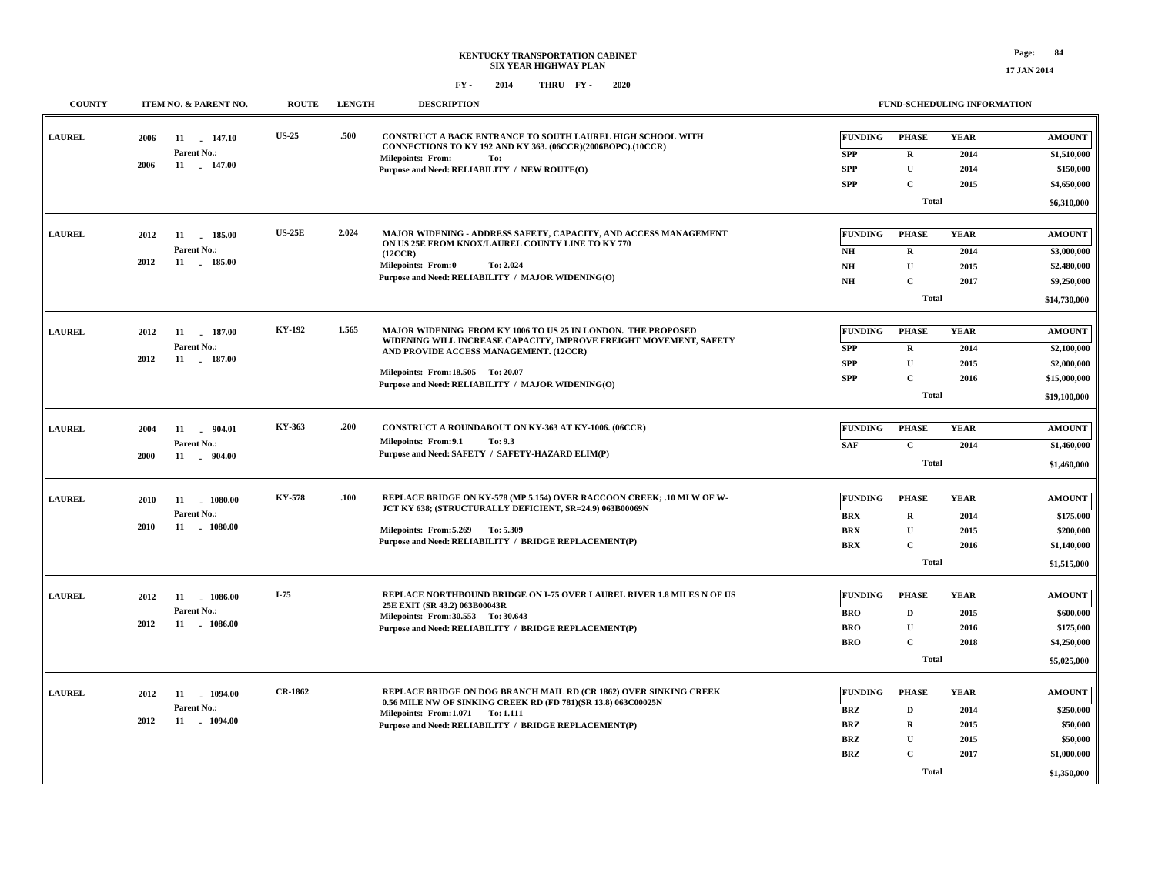**17 JAN 2014**

| <b>COUNTY</b> |      | ITEM NO. & PARENT NO.    | <b>ROUTE</b>   | <b>LENGTH</b> | <b>DESCRIPTION</b>                                                                                                                                    |                       | <b>FUND-SCHEDULING INFORMATION</b> |                     |                              |
|---------------|------|--------------------------|----------------|---------------|-------------------------------------------------------------------------------------------------------------------------------------------------------|-----------------------|------------------------------------|---------------------|------------------------------|
| <b>LAUREL</b> | 2006 | 11 147.10<br>Parent No.: | <b>US-25</b>   | .500          | CONSTRUCT A BACK ENTRANCE TO SOUTH LAUREL HIGH SCHOOL WITH<br>CONNECTIONS TO KY 192 AND KY 363. (06CCR)(2006BOPC).(10CCR)<br>Milepoints: From:<br>To: | FUNDING<br><b>SPP</b> | <b>PHASE</b><br>$\mathbf R$        | <b>YEAR</b><br>2014 | <b>AMOUNT</b><br>\$1,510,000 |
|               | 2006 | 11 . 147.00              |                |               | Purpose and Need: RELIABILITY / NEW ROUTE(O)                                                                                                          | <b>SPP</b>            | $\mathbf U$                        | 2014                | \$150,000                    |
|               |      |                          |                |               |                                                                                                                                                       | <b>SPP</b>            | $\mathbf C$                        | 2015                | \$4,650,000                  |
|               |      |                          |                |               |                                                                                                                                                       |                       | <b>Total</b>                       |                     | \$6,310,000                  |
| <b>LAUREL</b> | 2012 | 11 185.00                | $US-25E$       | 2.024         | MAJOR WIDENING - ADDRESS SAFETY, CAPACITY, AND ACCESS MANAGEMENT                                                                                      | <b>FUNDING</b>        | <b>PHASE</b>                       | <b>YEAR</b>         | <b>AMOUNT</b>                |
|               |      | Parent No.:              |                |               | ON US 25E FROM KNOX/LAUREL COUNTY LINE TO KY 770<br>(12CCR)                                                                                           | $N\!H$                | $\mathbf R$                        | 2014                | \$3,000,000                  |
|               | 2012 | 11 185.00                |                |               | <b>Milepoints: From:0</b><br>To: 2.024                                                                                                                | NH                    | ${\bf U}$                          | 2015                | \$2,480,000                  |
|               |      |                          |                |               | Purpose and Need: RELIABILITY / MAJOR WIDENING(O)                                                                                                     | <b>NH</b>             | $\mathbf C$                        | 2017                | \$9,250,000                  |
|               |      |                          |                |               |                                                                                                                                                       |                       | Total                              |                     | \$14,730,000                 |
| <b>LAUREL</b> | 2012 | 11 187.00                | KY-192         | 1.565         | MAJOR WIDENING FROM KY 1006 TO US 25 IN LONDON. THE PROPOSED                                                                                          | <b>FUNDING</b>        | <b>PHASE</b>                       | <b>YEAR</b>         | <b>AMOUNT</b>                |
|               |      | Parent No.:              |                |               | WIDENING WILL INCREASE CAPACITY, IMPROVE FREIGHT MOVEMENT, SAFETY                                                                                     | <b>SPP</b>            | $\mathbf R$                        | 2014                | \$2,100,000                  |
|               | 2012 | 11 . 187.00              |                |               | AND PROVIDE ACCESS MANAGEMENT. (12CCR)                                                                                                                | <b>SPP</b>            | $\mathbf{U}$                       | 2015                | \$2,000,000                  |
|               |      |                          |                |               | Milepoints: From:18.505 To: 20.07                                                                                                                     | <b>SPP</b>            | $\mathbf C$                        | 2016                | \$15,000,000                 |
|               |      |                          |                |               | Purpose and Need: RELIABILITY / MAJOR WIDENING(O)                                                                                                     |                       | <b>Total</b>                       |                     | \$19,100,000                 |
|               |      |                          |                |               |                                                                                                                                                       |                       |                                    |                     |                              |
| <b>LAUREL</b> | 2004 | 11<br>904.01             | KY-363         | .200          | CONSTRUCT A ROUNDABOUT ON KY-363 AT KY-1006. (06CCR)                                                                                                  | FUNDING               | <b>PHASE</b>                       | <b>YEAR</b>         | <b>AMOUNT</b>                |
|               |      | Parent No.:              |                |               | Milepoints: From: 9.1<br>To: 9.3                                                                                                                      | <b>SAF</b>            | $\mathbf C$                        | 2014                | \$1,460,000                  |
|               | 2000 | 11 . 904.00              |                |               | Purpose and Need: SAFETY / SAFETY-HAZARD ELIM(P)                                                                                                      |                       | <b>Total</b>                       |                     | \$1,460,000                  |
|               |      |                          |                |               |                                                                                                                                                       |                       |                                    |                     |                              |
| <b>LAUREL</b> | 2010 | 1080.00<br>11            | <b>KY-578</b>  | .100          | REPLACE BRIDGE ON KY-578 (MP 5.154) OVER RACCOON CREEK; .10 MI W OF W-<br>JCT KY 638; (STRUCTURALLY DEFICIENT, SR=24.9) 063B00069N                    | <b>FUNDING</b>        | <b>PHASE</b>                       | <b>YEAR</b>         | <b>AMOUNT</b>                |
|               |      | Parent No.:              |                |               |                                                                                                                                                       | <b>BRX</b>            | $\mathbf R$                        | 2014                | \$175,000                    |
|               | 2010 | 11 1080.00               |                |               | Milepoints: From: 5.269 To: 5.309                                                                                                                     | <b>BRX</b>            | U                                  | 2015                | \$200,000                    |
|               |      |                          |                |               | Purpose and Need: RELIABILITY / BRIDGE REPLACEMENT(P)                                                                                                 | <b>BRX</b>            | $\mathbf C$                        | 2016                | \$1,140,000                  |
|               |      |                          |                |               |                                                                                                                                                       |                       | <b>Total</b>                       |                     | \$1,515,000                  |
| <b>LAUREL</b> | 2012 | 11 1086.00               | $I-75$         |               | REPLACE NORTHBOUND BRIDGE ON I-75 OVER LAUREL RIVER 1.8 MILES N OF US                                                                                 | <b>FUNDING</b>        | <b>PHASE</b>                       | <b>YEAR</b>         | <b>AMOUNT</b>                |
|               |      | Parent No.:              |                |               | 25E EXIT (SR 43.2) 063B00043R<br>Milepoints: From: 30.553 To: 30.643                                                                                  | <b>BRO</b>            | $\mathbf D$                        | 2015                | \$600,000                    |
|               | 2012 | 11 . 1086.00             |                |               | Purpose and Need: RELIABILITY / BRIDGE REPLACEMENT(P)                                                                                                 | <b>BRO</b>            | ${\bf U}$                          | 2016                | \$175,000                    |
|               |      |                          |                |               |                                                                                                                                                       | <b>BRO</b>            | $\mathbf C$                        | 2018                | \$4,250,000                  |
|               |      |                          |                |               |                                                                                                                                                       |                       | <b>Total</b>                       |                     | \$5,025,000                  |
|               |      |                          |                |               |                                                                                                                                                       |                       |                                    |                     |                              |
| <b>LAUREL</b> | 2012 | 1094.00<br>11            | <b>CR-1862</b> |               | REPLACE BRIDGE ON DOG BRANCH MAIL RD (CR 1862) OVER SINKING CREEK<br>0.56 MILE NW OF SINKING CREEK RD (FD 781)(SR 13.8) 063C00025N                    | <b>FUNDING</b>        | <b>PHASE</b>                       | <b>YEAR</b>         | <b>AMOUNT</b>                |
|               |      | Parent No.:              |                |               | Milepoints: From: 1.071 To: 1.111                                                                                                                     | <b>BRZ</b>            | $\mathbf D$                        | 2014                | \$250,000                    |
|               | 2012 | 11 1094.00               |                |               | Purpose and Need: RELIABILITY / BRIDGE REPLACEMENT(P)                                                                                                 | <b>BRZ</b>            | $\mathbf R$                        | 2015                | \$50,000                     |
|               |      |                          |                |               |                                                                                                                                                       | BRZ                   | U                                  | 2015                | \$50,000                     |
|               |      |                          |                |               |                                                                                                                                                       | <b>BRZ</b>            | $\mathbf{C}$                       | 2017                | \$1,000,000                  |
|               |      |                          |                |               |                                                                                                                                                       |                       | <b>Total</b>                       |                     | \$1,350,000                  |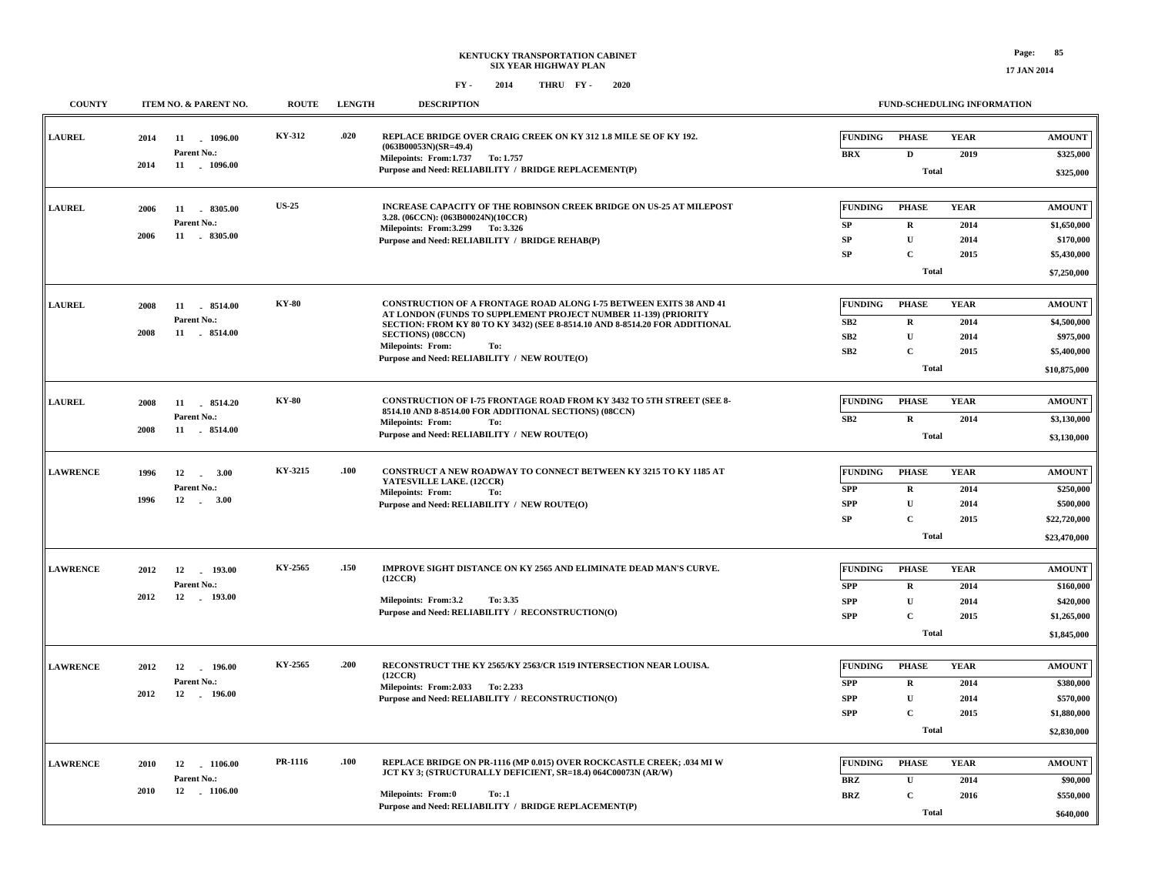| <b>COUNTY</b>   |      | ITEM NO. & PARENT NO.           | <b>ROUTE</b> | <b>LENGTH</b> | <b>DESCRIPTION</b>                                                                                                                           |                              |                              | FUND-SCHEDULING INFORMATION |                            |
|-----------------|------|---------------------------------|--------------|---------------|----------------------------------------------------------------------------------------------------------------------------------------------|------------------------------|------------------------------|-----------------------------|----------------------------|
| <b>LAUREL</b>   | 2014 | 11 1096.00<br>Parent No.:       | KY-312       | .020          | REPLACE BRIDGE OVER CRAIG CREEK ON KY 312 1.8 MILE SE OF KY 192.<br>$(063B00053N)(SR=49.4)$<br>Milepoints: From:1.737 To: 1.757              | <b>FUNDING</b><br><b>BRX</b> | <b>PHASE</b><br>$\mathbf{D}$ | <b>YEAR</b><br>2019         | <b>AMOUNT</b><br>\$325,000 |
|                 | 2014 | 11 . 1096.00                    |              |               | Purpose and Need: RELIABILITY / BRIDGE REPLACEMENT(P)                                                                                        |                              | <b>Total</b>                 |                             | \$325,000                  |
| <b>LAUREL</b>   | 2006 | 11 8305.00                      | <b>US-25</b> |               | INCREASE CAPACITY OF THE ROBINSON CREEK BRIDGE ON US-25 AT MILEPOST<br>3.28. (06CCN): (063B00024N)(10CCR)                                    | <b>FUNDING</b>               | <b>PHASE</b>                 | <b>YEAR</b>                 | <b>AMOUNT</b>              |
|                 | 2006 | Parent No.:<br>11 8305.00       |              |               | Milepoints: From: 3.299 To: 3.326                                                                                                            | ${\bf SP}$                   | $\mathbf R$                  | 2014                        | \$1,650,000                |
|                 |      |                                 |              |               | Purpose and Need: RELIABILITY / BRIDGE REHAB(P)                                                                                              | SP                           | $\mathbf{U}$                 | 2014                        | \$170,000                  |
|                 |      |                                 |              |               |                                                                                                                                              | SP                           | $\mathbf C$                  | 2015                        | \$5,430,000                |
|                 |      |                                 |              |               |                                                                                                                                              |                              | <b>Total</b>                 |                             | \$7,250,000                |
| <b>LAUREL</b>   | 2008 | 11 8514.00                      | <b>KY-80</b> |               | <b>CONSTRUCTION OF A FRONTAGE ROAD ALONG I-75 BETWEEN EXITS 38 AND 41</b><br>AT LONDON (FUNDS TO SUPPLEMENT PROJECT NUMBER 11-139) (PRIORITY | <b>FUNDING</b>               | <b>PHASE</b>                 | <b>YEAR</b>                 | <b>AMOUNT</b>              |
|                 | 2008 | Parent No.:<br>11 8514.00       |              |               | SECTION: FROM KY 80 TO KY 3432) (SEE 8-8514.10 AND 8-8514.20 FOR ADDITIONAL                                                                  | SB2                          | $\mathbf R$                  | 2014                        | \$4,500,000                |
|                 |      |                                 |              |               | <b>SECTIONS</b> ) (08CCN)<br>Milepoints: From:<br>To:                                                                                        | SB2                          | $\mathbf U$                  | 2014                        | \$975,000                  |
|                 |      |                                 |              |               | Purpose and Need: RELIABILITY / NEW ROUTE(O)                                                                                                 | SB <sub>2</sub>              | $\mathbf C$                  | 2015                        | \$5,400,000                |
|                 |      |                                 |              |               |                                                                                                                                              |                              | <b>Total</b>                 |                             | \$10,875,000               |
| <b>LAUREL</b>   | 2008 | 11 . 8514.20                    | <b>KY-80</b> |               | CONSTRUCTION OF I-75 FRONTAGE ROAD FROM KY 3432 TO 5TH STREET (SEE 8-<br>8514.10 AND 8-8514.00 FOR ADDITIONAL SECTIONS) (08CCN)              | <b>FUNDING</b>               | <b>PHASE</b>                 | <b>YEAR</b>                 | <b>AMOUNT</b>              |
|                 |      | Parent No.:                     |              |               | Milepoints: From:<br>To:                                                                                                                     | SB2                          | $\mathbf R$                  | 2014                        | \$3,130,000                |
|                 | 2008 | 11 8514.00                      |              |               | Purpose and Need: RELIABILITY / NEW ROUTE(O)                                                                                                 |                              | Total                        |                             | \$3,130,000                |
| <b>LAWRENCE</b> | 1996 | 12<br>$\sim$<br>3.00            | KY-3215      | .100          | CONSTRUCT A NEW ROADWAY TO CONNECT BETWEEN KY 3215 TO KY 1185 AT                                                                             | <b>FUNDING</b>               | <b>PHASE</b>                 | <b>YEAR</b>                 | <b>AMOUNT</b>              |
|                 |      | Parent No.:                     |              |               | YATESVILLE LAKE. (12CCR)<br><b>Milepoints: From:</b><br>To:                                                                                  | <b>SPP</b>                   | $\mathbf R$                  | 2014                        | \$250,000                  |
|                 | 1996 | 12<br>$-3.00$                   |              |               | Purpose and Need: RELIABILITY / NEW ROUTE(O)                                                                                                 | <b>SPP</b>                   | $\mathbf U$                  | 2014                        | \$500,000                  |
|                 |      |                                 |              |               |                                                                                                                                              | SP                           | $\mathbf C$                  | 2015                        | \$22,720,000               |
|                 |      |                                 |              |               |                                                                                                                                              |                              | <b>Total</b>                 |                             | \$23,470,000               |
| <b>LAWRENCE</b> | 2012 | 12<br>193.00                    | KY-2565      | .150          | IMPROVE SIGHT DISTANCE ON KY 2565 AND ELIMINATE DEAD MAN'S CURVE.                                                                            | <b>FUNDING</b>               | <b>PHASE</b>                 | <b>YEAR</b>                 | <b>AMOUNT</b>              |
|                 |      | Parent No.:                     |              |               | (12CCR)                                                                                                                                      | <b>SPP</b>                   | R                            | 2014                        | \$160,000                  |
|                 | 2012 | 12 193.00                       |              |               | Milepoints: From:3.2<br>To: 3.35                                                                                                             | <b>SPP</b>                   | $\mathbf U$                  | 2014                        | \$420,000                  |
|                 |      |                                 |              |               | Purpose and Need: RELIABILITY / RECONSTRUCTION(O)                                                                                            | <b>SPP</b>                   | $\mathbf C$                  | 2015                        | \$1,265,000                |
|                 |      |                                 |              |               |                                                                                                                                              |                              | <b>Total</b>                 |                             | \$1,845,000                |
| <b>LAWRENCE</b> |      |                                 | KY-2565      | .200          | RECONSTRUCT THE KY 2565/KY 2563/CR 1519 INTERSECTION NEAR LOUISA.                                                                            | <b>FUNDING</b>               | <b>PHASE</b>                 | <b>YEAR</b>                 | <b>AMOUNT</b>              |
|                 | 2012 | 12<br>196.00<br>Parent No.:     |              |               | (12CCR)                                                                                                                                      |                              |                              |                             |                            |
|                 | 2012 | 12 196.00                       |              |               | Milepoints: From: 2.033 To: 2.233<br>Purpose and Need: RELIABILITY / RECONSTRUCTION(O)                                                       | <b>SPP</b><br><b>SPP</b>     | $\mathbf R$<br>$\mathbf U$   | 2014<br>2014                | \$380,000<br>\$570,000     |
|                 |      |                                 |              |               |                                                                                                                                              | <b>SPP</b>                   | $\mathbf C$                  | 2015                        | \$1,880,000                |
|                 |      |                                 |              |               |                                                                                                                                              |                              | <b>Total</b>                 |                             | \$2,830,000                |
|                 |      |                                 |              |               |                                                                                                                                              |                              |                              |                             |                            |
| <b>LAWRENCE</b> | 2010 | 12<br>$-1106.00$                | PR-1116      | .100          | REPLACE BRIDGE ON PR-1116 (MP 0.015) OVER ROCKCASTLE CREEK; .034 MI W<br>JCT KY 3; (STRUCTURALLY DEFICIENT, SR=18.4) 064C00073N (AR/W)       | <b>FUNDING</b>               | <b>PHASE</b>                 | <b>YEAR</b>                 | <b>AMOUNT</b>              |
|                 | 2010 | Parent No.:<br>12<br>$-1106.00$ |              |               |                                                                                                                                              | <b>BRZ</b>                   | $\mathbf U$                  | 2014                        | \$90,000                   |
|                 |      |                                 |              |               | <b>Milepoints: From:0</b><br>To: .1<br>Purpose and Need: RELIABILITY / BRIDGE REPLACEMENT(P)                                                 | <b>BRZ</b>                   | $\mathbf C$                  | 2016                        | \$550,000                  |
|                 |      |                                 |              |               |                                                                                                                                              |                              | <b>Total</b>                 |                             | \$640,000                  |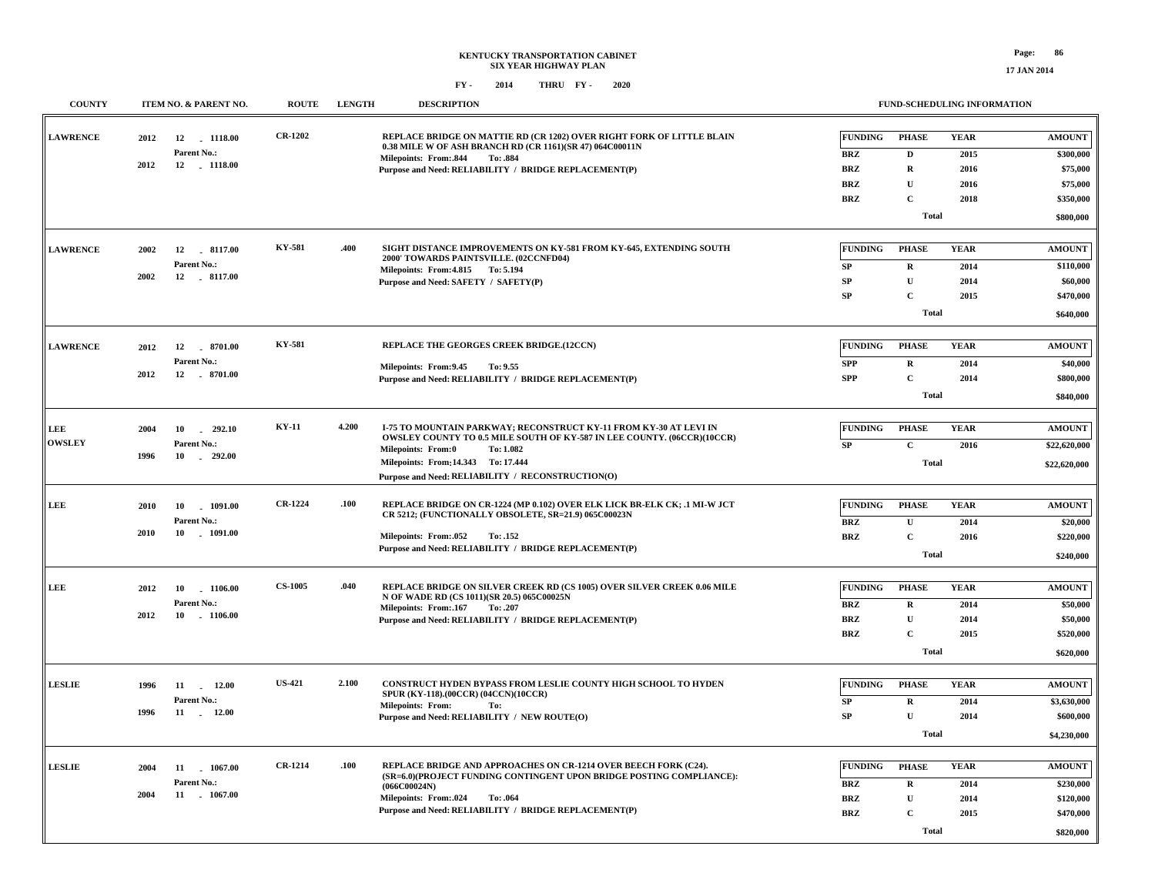| <b>COUNTY</b>   | ITEM NO. & PARENT NO.                | <b>ROUTE</b>   | <b>LENGTH</b> | <b>DESCRIPTION</b>                                                                                                                                         | FUND-SCHEDULING INFORMATION |              |              |                       |
|-----------------|--------------------------------------|----------------|---------------|------------------------------------------------------------------------------------------------------------------------------------------------------------|-----------------------------|--------------|--------------|-----------------------|
| <b>LAWRENCE</b> | 2012<br>12 1118.00                   | <b>CR-1202</b> |               | REPLACE BRIDGE ON MATTIE RD (CR 1202) OVER RIGHT FORK OF LITTLE BLAIN<br>0.38 MILE W OF ASH BRANCH RD (CR 1161)(SR 47) 064C00011N                          | <b>FUNDING</b>              | <b>PHASE</b> | <b>YEAR</b>  | <b>AMOUNT</b>         |
|                 | Parent No.:                          |                |               | Milepoints: From: 844<br>To: .884                                                                                                                          | <b>BRZ</b>                  | $\mathbf D$  | 2015         | \$300,000             |
|                 | 2012<br>12 . 1118.00                 |                |               | Purpose and Need: RELIABILITY / BRIDGE REPLACEMENT(P)                                                                                                      | <b>BRZ</b>                  | $\mathbf R$  | 2016         | \$75,000              |
|                 |                                      |                |               |                                                                                                                                                            | <b>BRZ</b>                  | $\mathbf U$  | 2016         | \$75,000              |
|                 |                                      |                |               |                                                                                                                                                            | <b>BRZ</b>                  | $\mathbf{C}$ | 2018         | \$350,000             |
|                 |                                      |                |               |                                                                                                                                                            |                             | <b>Total</b> |              | \$800,000             |
| <b>LAWRENCE</b> | 2002<br>12<br>8117.00                | <b>KY-581</b>  | .400          | SIGHT DISTANCE IMPROVEMENTS ON KY-581 FROM KY-645, EXTENDING SOUTH                                                                                         | <b>FUNDING</b>              | <b>PHASE</b> | <b>YEAR</b>  | <b>AMOUNT</b>         |
|                 | Parent No.:                          |                |               | 2000' TOWARDS PAINTSVILLE. (02CCNFD04)<br>Milepoints: From: 4.815 To: 5.194                                                                                | SP                          | $\mathbf R$  | 2014         | \$110,000             |
|                 | 2002<br>12 8117.00                   |                |               | Purpose and Need: SAFETY / SAFETY(P)                                                                                                                       | <b>SP</b>                   | $\mathbf{U}$ | 2014         | \$60,000              |
|                 |                                      |                |               |                                                                                                                                                            | SP                          | $\mathbf C$  | 2015         | \$470,000             |
|                 |                                      |                |               |                                                                                                                                                            |                             | Total        |              | \$640,000             |
| <b>LAWRENCE</b> | 8701.00<br>2012<br>12                | <b>KY-581</b>  |               | REPLACE THE GEORGES CREEK BRIDGE.(12CCN)                                                                                                                   | <b>FUNDING</b>              | <b>PHASE</b> | <b>YEAR</b>  | <b>AMOUNT</b>         |
|                 | Parent No.:                          |                |               |                                                                                                                                                            | <b>SPP</b>                  | $\mathbf R$  | 2014         | \$40,000              |
|                 | 2012<br>12<br>$-8701.00$             |                |               | Milepoints: From: 9.45<br>To: 9.55<br>Purpose and Need: RELIABILITY / BRIDGE REPLACEMENT(P)                                                                | <b>SPP</b>                  | $\mathbf{C}$ | 2014         | \$800,000             |
|                 |                                      |                |               |                                                                                                                                                            |                             |              |              |                       |
|                 |                                      |                |               |                                                                                                                                                            |                             | Total        |              | \$840,000             |
| LEE             | 292.10<br>2004<br>10                 | <b>KY-11</b>   | 4.200         | <b>I-75 TO MOUNTAIN PARKWAY: RECONSTRUCT KY-11 FROM KY-30 AT LEVI IN</b><br><b>OWSLEY COUNTY TO 0.5 MILE SOUTH OF KY-587 IN LEE COUNTY. (06CCR)(10CCR)</b> | <b>FUNDING</b>              | <b>PHASE</b> | <b>YEAR</b>  | <b>AMOUNT</b>         |
| <b>OWSLEY</b>   | Parent No.:                          |                |               | <b>Milepoints: From:0</b><br>To: 1.082                                                                                                                     | SP                          | $\mathbf C$  | 2016         | \$22,620,000          |
|                 | 292.00<br>1996<br>10                 |                |               | Milepoints: From:14.343 To: 17.444                                                                                                                         |                             | <b>Total</b> |              | \$22,620,000          |
|                 |                                      |                |               | Purpose and Need: RELIABILITY / RECONSTRUCTION(O)                                                                                                          |                             |              |              |                       |
|                 |                                      | <b>CR-1224</b> | .100          | REPLACE BRIDGE ON CR-1224 (MP 0.102) OVER ELK LICK BR-ELK CK; .1 MI-W JCT                                                                                  | <b>FUNDING</b>              | <b>PHASE</b> | <b>YEAR</b>  | <b>AMOUNT</b>         |
| LEE             | 2010<br>10<br>1091.00<br>Parent No.: |                |               | CR 5212; (FUNCTIONALLY OBSOLETE, SR=21.9) 065C00023N                                                                                                       |                             | $\mathbf{U}$ |              |                       |
|                 | 10<br>2010<br>1091.00                |                |               | Milepoints: From: 052<br>To: .152                                                                                                                          | <b>BRZ</b><br><b>BRZ</b>    | $\mathbf C$  | 2014<br>2016 | \$20,000<br>\$220,000 |
|                 |                                      |                |               | Purpose and Need: RELIABILITY / BRIDGE REPLACEMENT(P)                                                                                                      |                             |              |              |                       |
|                 |                                      |                |               |                                                                                                                                                            |                             | Total        |              | \$240,000             |
| LEE             | 2012<br>10 1106.00                   | <b>CS-1005</b> | .040          | REPLACE BRIDGE ON SILVER CREEK RD (CS 1005) OVER SILVER CREEK 0.06 MILE                                                                                    | <b>FUNDING</b>              | <b>PHASE</b> | <b>YEAR</b>  | <b>AMOUNT</b>         |
|                 | Parent No.:                          |                |               | N OF WADE RD (CS 1011)(SR 20.5) 065C00025N<br>Milepoints: From: 167<br>To: .207                                                                            | BRZ                         | $\mathbf R$  | 2014         | \$50,000              |
|                 | 2012<br>10<br>$-1106.00$             |                |               | Purpose and Need: RELIABILITY / BRIDGE REPLACEMENT(P)                                                                                                      | <b>BRZ</b>                  | $\mathbf U$  | 2014         | \$50,000              |
|                 |                                      |                |               |                                                                                                                                                            | <b>BRZ</b>                  | $\mathbf C$  | 2015         | \$520,000             |
|                 |                                      |                |               |                                                                                                                                                            |                             | <b>Total</b> |              | \$620,000             |
|                 |                                      |                |               |                                                                                                                                                            |                             |              |              |                       |
| <b>LESLIE</b>   | 12.00<br>1996<br>11                  | <b>US-421</b>  | 2.100         | CONSTRUCT HYDEN BYPASS FROM LESLIE COUNTY HIGH SCHOOL TO HYDEN<br>SPUR (KY-118).(00CCR) (04CCN)(10CCR)                                                     | <b>FUNDING</b>              | <b>PHASE</b> | <b>YEAR</b>  | <b>AMOUNT</b>         |
|                 | Parent No.:<br>1996<br>11<br>12.00   |                |               | <b>Milepoints: From:</b><br>To:                                                                                                                            | ${\bf SP}$                  | $\mathbf R$  | 2014         | \$3,630,000           |
|                 |                                      |                |               | Purpose and Need: RELIABILITY / NEW ROUTE(O)                                                                                                               | SP                          | $\mathbf U$  | 2014         | \$600,000             |
|                 |                                      |                |               |                                                                                                                                                            |                             | <b>Total</b> |              | \$4,230,000           |
| <b>LESLIE</b>   | 2004<br>11 1067.00                   | <b>CR-1214</b> | .100          | REPLACE BRIDGE AND APPROACHES ON CR-1214 OVER BEECH FORK (C24).                                                                                            | <b>FUNDING</b>              | <b>PHASE</b> | <b>YEAR</b>  | <b>AMOUNT</b>         |
|                 | Parent No.:                          |                |               | (SR=6.0)(PROJECT FUNDING CONTINGENT UPON BRIDGE POSTING COMPLIANCE):                                                                                       | <b>BRZ</b>                  | $\mathbf R$  | 2014         | \$230,000             |
|                 | 2004<br>11 . 1067.00                 |                |               | (066C00024N)<br><b>Milepoints: From:.024</b><br>To: .064                                                                                                   | <b>BRZ</b>                  | $\mathbf U$  | 2014         | \$120,000             |
|                 |                                      |                |               | Purpose and Need: RELIABILITY / BRIDGE REPLACEMENT(P)                                                                                                      | <b>BRZ</b>                  | $\mathbf C$  | 2015         | \$470,000             |
|                 |                                      |                |               |                                                                                                                                                            |                             | <b>Total</b> |              |                       |
|                 |                                      |                |               |                                                                                                                                                            |                             |              |              | \$820,000             |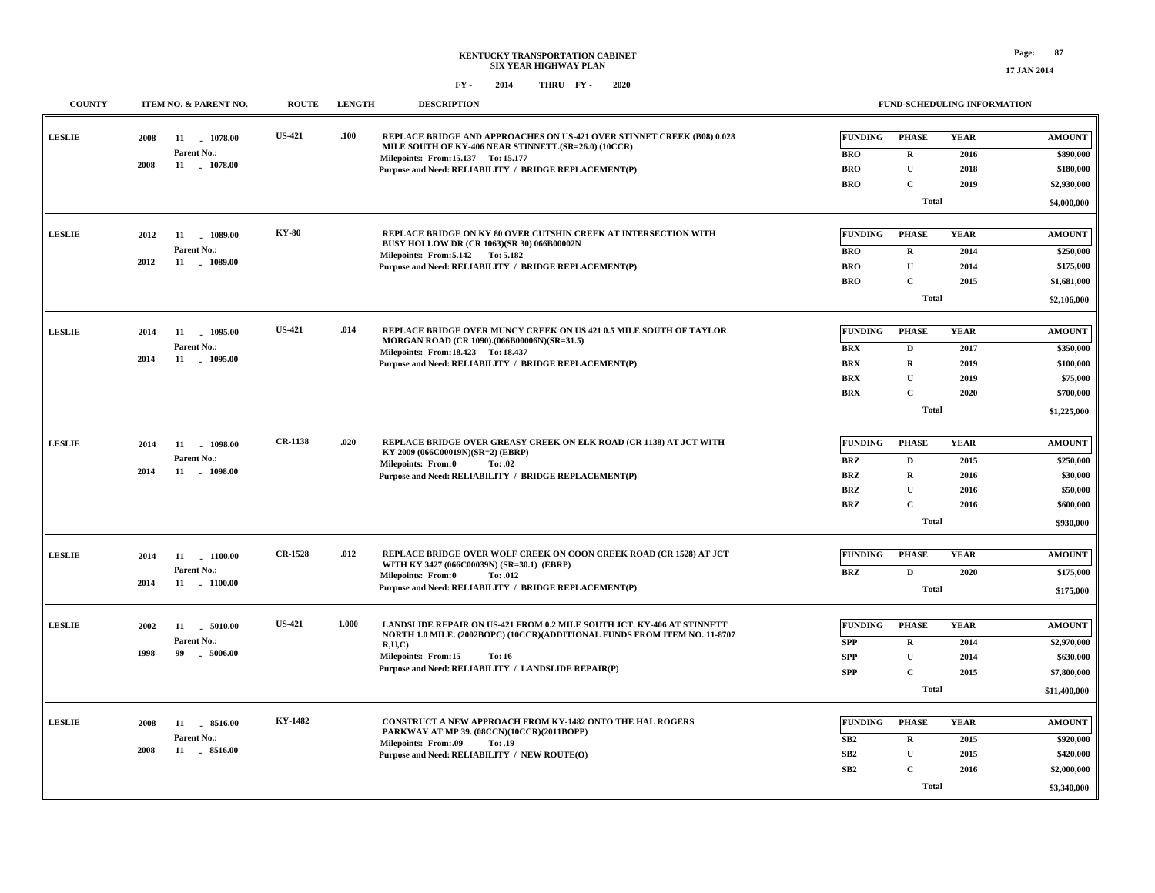**17 JAN 2014**

| <b>COUNTY</b> | ITEM NO. & PARENT NO.                                            | <b>ROUTE</b>   | <b>LENGTH</b> | <b>DESCRIPTION</b>                                                                                                                                                                                                                                          |                                                                        | <b>FUND-SCHEDULING INFORMATION</b>                                              |                                             |                                                                                 |  |
|---------------|------------------------------------------------------------------|----------------|---------------|-------------------------------------------------------------------------------------------------------------------------------------------------------------------------------------------------------------------------------------------------------------|------------------------------------------------------------------------|---------------------------------------------------------------------------------|---------------------------------------------|---------------------------------------------------------------------------------|--|
| <b>LESLIE</b> | 2008<br>11<br>1078.00<br>Parent No.:<br>2008<br>11 1078.00       | <b>US-421</b>  | .100          | REPLACE BRIDGE AND APPROACHES ON US-421 OVER STINNET CREEK (B08) 0.028<br>MILE SOUTH OF KY-406 NEAR STINNETT. (SR=26.0) (10CCR)<br>Milepoints: From:15.137 To: 15.177<br>Purpose and Need: RELIABILITY / BRIDGE REPLACEMENT(P)                              | <b>FUNDING</b><br><b>BRO</b><br><b>BRO</b><br><b>BRO</b>               | <b>PHASE</b><br>$\mathbf R$<br>$\mathbf{U}$<br>$\mathbf C$<br><b>Total</b>      | <b>YEAR</b><br>2016<br>2018<br>2019         | <b>AMOUNT</b><br>\$890,000<br>\$180,000<br>\$2,930,000<br>\$4,000,000           |  |
| <b>LESLIE</b> | 2012<br>11 1089.00<br>Parent No.:<br>2012<br>11<br>$-1089.00$    | <b>KY-80</b>   |               | REPLACE BRIDGE ON KY 80 OVER CUTSHIN CREEK AT INTERSECTION WITH<br>BUSY HOLLOW DR (CR 1063)(SR 30) 066B00002N<br>Milepoints: From: 5.142 To: 5.182<br>Purpose and Need: RELIABILITY / BRIDGE REPLACEMENT(P)                                                 | <b>FUNDING</b><br><b>BRO</b><br><b>BRO</b><br><b>BRO</b>               | <b>PHASE</b><br>$\mathbf R$<br>${\bf U}$<br>$\mathbf C$<br><b>Total</b>         | <b>YEAR</b><br>2014<br>2014<br>2015         | <b>AMOUNT</b><br>\$250,000<br>\$175,000<br>\$1,681,000<br>\$2,106,000           |  |
| <b>LESLIE</b> | 2014<br>11 1095.00<br>Parent No.:<br>2014<br>11 1095.00          | <b>US-421</b>  | .014          | <b>REPLACE BRIDGE OVER MUNCY CREEK ON US 421 0.5 MILE SOUTH OF TAYLOR</b><br>MORGAN ROAD (CR 1090).(066B00006N)(SR=31.5)<br>Milepoints: From: 18.423 To: 18.437<br>Purpose and Need: RELIABILITY / BRIDGE REPLACEMENT(P)                                    | <b>FUNDING</b><br><b>BRX</b><br><b>BRX</b><br><b>BRX</b><br><b>BRX</b> | <b>PHASE</b><br>$\mathbf D$<br>$\mathbf R$<br>U<br>$\mathbf{C}$<br><b>Total</b> | <b>YEAR</b><br>2017<br>2019<br>2019<br>2020 | <b>AMOUNT</b><br>\$350,000<br>\$100,000<br>\$75,000<br>\$700,000<br>\$1,225,000 |  |
| <b>LESLIE</b> | 11<br>1098.00<br>2014<br>Parent No.:<br>2014<br>11<br>1098.00    | <b>CR-1138</b> | .020          | REPLACE BRIDGE OVER GREASY CREEK ON ELK ROAD (CR 1138) AT JCT WITH<br>KY 2009 (066C00019N)(SR=2) (EBRP)<br>Milepoints: From:0<br>To: .02<br>Purpose and Need: RELIABILITY / BRIDGE REPLACEMENT(P)                                                           | <b>FUNDING</b><br><b>BRZ</b><br><b>BRZ</b><br>BRZ<br><b>BRZ</b>        | <b>PHASE</b><br>D<br>$\mathbf R$<br>$\mathbf{U}$<br>$\mathbf C$<br><b>Total</b> | <b>YEAR</b><br>2015<br>2016<br>2016<br>2016 | <b>AMOUNT</b><br>\$250,000<br>\$30,000<br>\$50,000<br>\$600,000<br>\$930,000    |  |
| <b>LESLIE</b> | 11 1100.00<br>2014<br>Parent No.:<br>2014<br>11 . 1100.00        | <b>CR-1528</b> | .012          | REPLACE BRIDGE OVER WOLF CREEK ON COON CREEK ROAD (CR 1528) AT JCT<br>WITH KY 3427 (066C00039N) (SR=30.1) (EBRP)<br>Milepoints: From:0<br>To: .012<br>Purpose and Need: RELIABILITY / BRIDGE REPLACEMENT(P)                                                 | <b>FUNDING</b><br><b>BRZ</b>                                           | <b>PHASE</b><br>$\mathbf{D}$<br><b>Total</b>                                    | <b>YEAR</b><br>2020                         | <b>AMOUNT</b><br>\$175,000<br>\$175,000                                         |  |
| <b>LESLIE</b> | 2002<br>11<br>5010.00<br>Parent No.:<br>1998<br>99<br>$-5006.00$ | <b>US-421</b>  | 1.000         | LANDSLIDE REPAIR ON US-421 FROM 0.2 MILE SOUTH JCT. KY-406 AT STINNETT<br>NORTH 1.0 MILE. (2002BOPC) (10CCR)(ADDITIONAL FUNDS FROM ITEM NO. 11-8707<br>R.U.C<br><b>Milepoints: From:15</b><br>To: 16<br>Purpose and Need: RELIABILITY / LANDSLIDE REPAIR(P) | <b>FUNDING</b><br><b>SPP</b><br><b>SPP</b><br><b>SPP</b>               | <b>PHASE</b><br>R<br>${\bf U}$<br>$\mathbf C$<br><b>Total</b>                   | <b>YEAR</b><br>2014<br>2014<br>2015         | <b>AMOUNT</b><br>\$2,970,000<br>\$630,000<br>\$7,800,000<br>\$11,400,000        |  |
| <b>LESLIE</b> | 8516.00<br>2008<br>11<br>Parent No.:<br>2008<br>11 . 8516.00     | KY-1482        |               | CONSTRUCT A NEW APPROACH FROM KY-1482 ONTO THE HAL ROGERS<br>PARKWAY AT MP 39. (08CCN)(10CCR)(2011BOPP)<br><b>Milepoints: From:.09</b><br>To: .19<br>Purpose and Need: RELIABILITY / NEW ROUTE(O)                                                           | <b>FUNDING</b><br>SB2<br>SB2<br>SB2                                    | <b>PHASE</b><br>$\mathbf R$<br>$\mathbf U$<br>$\mathbf C$<br><b>Total</b>       | <b>YEAR</b><br>2015<br>2015<br>2016         | <b>AMOUNT</b><br>\$920,000<br>\$420,000<br>\$2,000,000<br>\$3,340,000           |  |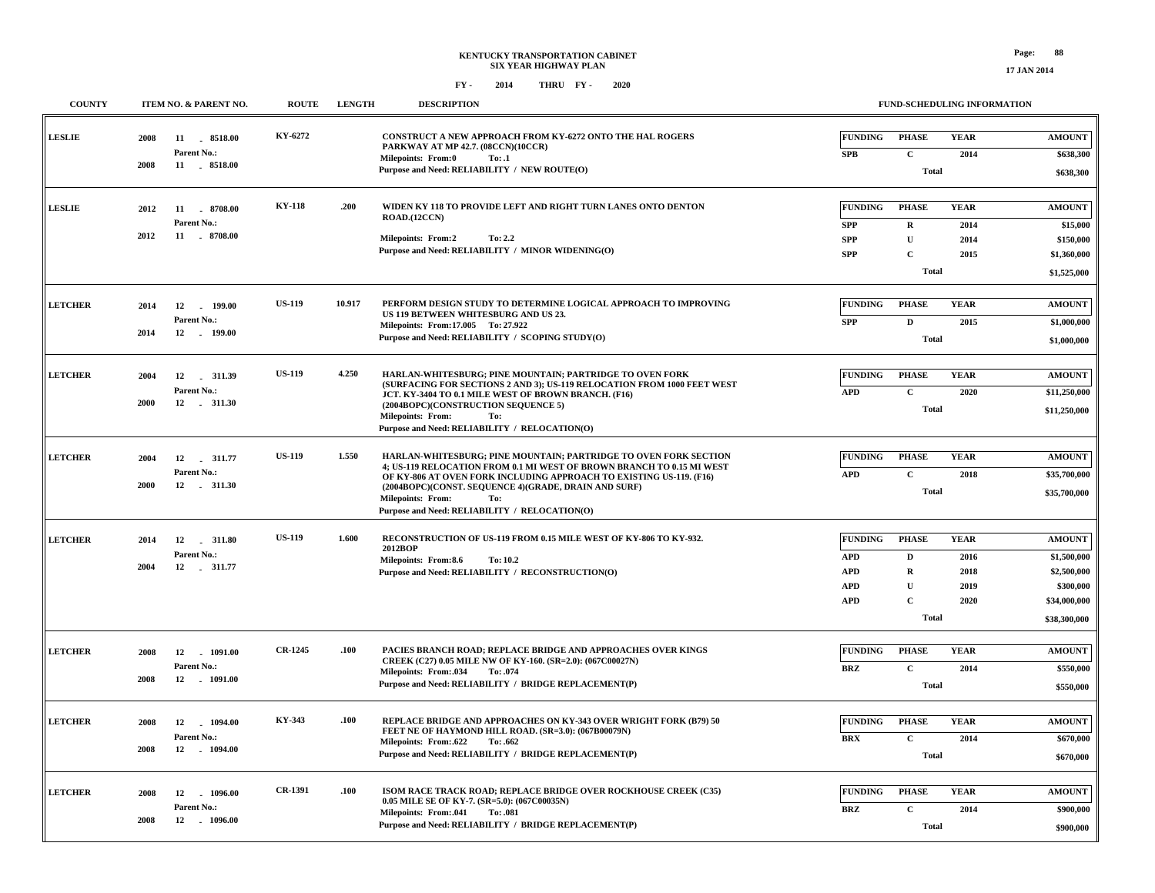**\$900,000**

 **\$900,000**

**Total**

**2014**

**C**

**BRZ**

#### **FY - FY - 2014 2020 THRU**

 **12 1096.00 -2008**

**Parent No.:**

| <b>COUNTY</b>  | ITEM NO. & PARENT NO.                                          | <b>ROUTE</b>   | <b>LENGTH</b> | <b>DESCRIPTION</b>                                                                                                                                                                                                                                                                                                                                    |                                                                        |                                                                             | FUND-SCHEDULING INFORMATION                 |                                                                                          |
|----------------|----------------------------------------------------------------|----------------|---------------|-------------------------------------------------------------------------------------------------------------------------------------------------------------------------------------------------------------------------------------------------------------------------------------------------------------------------------------------------------|------------------------------------------------------------------------|-----------------------------------------------------------------------------|---------------------------------------------|------------------------------------------------------------------------------------------|
| <b>LESLIE</b>  | 2008<br>11<br>8518.00<br>Parent No.:<br>2008<br>11 . 8518.00   | KY-6272        |               | <b>CONSTRUCT A NEW APPROACH FROM KY-6272 ONTO THE HAL ROGERS</b><br>PARKWAY AT MP 42.7. (08CCN)(10CCR)<br>Milepoints: From:0<br>To: .1<br>Purpose and Need: RELIABILITY / NEW ROUTE(O)                                                                                                                                                                | <b>FUNDING</b><br><b>SPB</b>                                           | <b>PHASE</b><br>$\mathbf{C}$<br><b>Total</b>                                | <b>YEAR</b><br>2014                         | <b>AMOUNT</b><br>\$638,300<br>\$638,300                                                  |
| <b>LESLIE</b>  | 2012<br>11<br>8708.00<br>Parent No.:<br>2012<br>11 . 8708.00   | <b>KY-118</b>  | .200          | WIDEN KY 118 TO PROVIDE LEFT AND RIGHT TURN LANES ONTO DENTON<br>ROAD.(12CCN)<br><b>Milepoints: From:2</b><br>To: 2.2<br>Purpose and Need: RELIABILITY / MINOR WIDENING(O)                                                                                                                                                                            | <b>FUNDING</b><br><b>SPP</b><br><b>SPP</b><br><b>SPP</b>               | <b>PHASE</b><br>$\mathbf R$<br>$\mathbf{U}$<br>$\mathbf{C}$<br><b>Total</b> | <b>YEAR</b><br>2014<br>2014<br>2015         | <b>AMOUNT</b><br>\$15,000<br>\$150,000<br>\$1,360,000<br>\$1,525,000                     |
| <b>LETCHER</b> | 12<br>2014<br>199.00<br>Parent No.:<br>2014<br>12<br>. 199.00  | <b>US-119</b>  | 10.917        | PERFORM DESIGN STUDY TO DETERMINE LOGICAL APPROACH TO IMPROVING<br>US 119 BETWEEN WHITESBURG AND US 23.<br>Milepoints: From:17.005 To: 27.922<br>Purpose and Need: RELIABILITY / SCOPING STUDY(O)                                                                                                                                                     | <b>FUNDING</b><br>${\bf SPP}$                                          | <b>PHASE</b><br>D<br><b>Total</b>                                           | <b>YEAR</b><br>2015                         | <b>AMOUNT</b><br>\$1,000,000<br>\$1,000,000                                              |
| <b>LETCHER</b> | 2004<br>12<br>311.39<br>Parent No.:<br>2000<br>12 . 311.30     | <b>US-119</b>  | 4.250         | HARLAN-WHITESBURG; PINE MOUNTAIN; PARTRIDGE TO OVEN FORK<br>(SURFACING FOR SECTIONS 2 AND 3); US-119 RELOCATION FROM 1000 FEET WEST<br>JCT. KY-3404 TO 0.1 MILE WEST OF BROWN BRANCH. (F16)<br>(2004BOPC)(CONSTRUCTION SEQUENCE 5)<br><b>Milepoints: From:</b><br>To:<br>Purpose and Need: RELIABILITY / RELOCATION(O)                                | <b>FUNDING</b><br><b>APD</b>                                           | <b>PHASE</b><br>$\mathbf C$<br><b>Total</b>                                 | <b>YEAR</b><br>2020                         | <b>AMOUNT</b><br>\$11,250,000<br>\$11,250,000                                            |
| <b>LETCHER</b> | 12<br>2004<br>. 311.77<br>Parent No.:<br>2000<br>12<br>.311.30 | <b>US-119</b>  | 1.550         | HARLAN-WHITESBURG; PINE MOUNTAIN; PARTRIDGE TO OVEN FORK SECTION<br>4; US-119 RELOCATION FROM 0.1 MI WEST OF BROWN BRANCH TO 0.15 MI WEST<br>OF KY-806 AT OVEN FORK INCLUDING APPROACH TO EXISTING US-119. (F16)<br>(2004BOPC)(CONST. SEQUENCE 4)(GRADE, DRAIN AND SURF)<br>Milepoints: From:<br>To:<br>Purpose and Need: RELIABILITY / RELOCATION(O) | <b>FUNDING</b><br><b>APD</b>                                           | <b>PHASE</b><br>$\mathbf c$<br><b>Total</b>                                 | <b>YEAR</b><br>2018                         | <b>AMOUNT</b><br>\$35,700,000<br>\$35,700,000                                            |
| <b>LETCHER</b> | 2014<br>12<br>311.80<br>Parent No.:<br>2004<br>12<br>.311.77   | <b>US-119</b>  | 1.600         | RECONSTRUCTION OF US-119 FROM 0.15 MILE WEST OF KY-806 TO KY-932.<br>2012BOP<br>Milepoints: From:8.6<br>To: 10.2<br>Purpose and Need: RELIABILITY / RECONSTRUCTION(O)                                                                                                                                                                                 | <b>FUNDING</b><br><b>APD</b><br><b>APD</b><br><b>APD</b><br><b>APD</b> | <b>PHASE</b><br>D<br>$\mathbf R$<br>U<br>$\mathbf{C}$<br><b>Total</b>       | <b>YEAR</b><br>2016<br>2018<br>2019<br>2020 | <b>AMOUNT</b><br>\$1,500,000<br>\$2,500,000<br>\$300,000<br>\$34,000,000<br>\$38,300,000 |
| <b>LETCHER</b> | 2008<br>12<br>. 1091.00<br>Parent No.:<br>2008<br>12 - 1091.00 | <b>CR-1245</b> | .100          | PACIES BRANCH ROAD; REPLACE BRIDGE AND APPROACHES OVER KINGS<br>CREEK (C27) 0.05 MILE NW OF KY-160. (SR=2.0): (067C00027N)<br>Milepoints: From:.034<br>To: .074<br>Purpose and Need: RELIABILITY / BRIDGE REPLACEMENT(P)                                                                                                                              | <b>FUNDING</b><br>BRZ                                                  | <b>PHASE</b><br>$\mathbf C$<br><b>Total</b>                                 | <b>YEAR</b><br>2014                         | <b>AMOUNT</b><br>\$550,000<br>\$550,000                                                  |
| <b>LETCHER</b> | 2008<br>12<br>1094.00<br>Parent No.:<br>2008<br>12 1094.00     | KY-343         | .100          | REPLACE BRIDGE AND APPROACHES ON KY-343 OVER WRIGHT FORK (B79) 50<br>FEET NE OF HAYMOND HILL ROAD. (SR=3.0): (067B00079N)<br>Milepoints: From:.622<br>To: .662<br>Purpose and Need: RELIABILITY / BRIDGE REPLACEMENT(P)                                                                                                                               | <b>FUNDING</b><br><b>BRX</b>                                           | <b>PHASE</b><br>$\mathbf C$<br><b>Total</b>                                 | <b>YEAR</b><br>2014                         | <b>AMOUNT</b><br>\$670,000<br>\$670,000                                                  |
| <b>LETCHER</b> | 12 1096.00<br>2008                                             | <b>CR-1391</b> | .100          | ISOM RACE TRACK ROAD; REPLACE BRIDGE OVER ROCKHOUSE CREEK (C35)<br>0.05 MILE SE OF KY-7. (SR=5.0): (067C00035N)                                                                                                                                                                                                                                       | <b>FUNDING</b>                                                         | PHASE                                                                       | <b>YEAR</b>                                 | <b>AMOUNT</b>                                                                            |

**Purpose and Need: RELIABILITY / BRIDGE REPLACEMENT(P)**

**.041 .081 Milepoints: To: From:**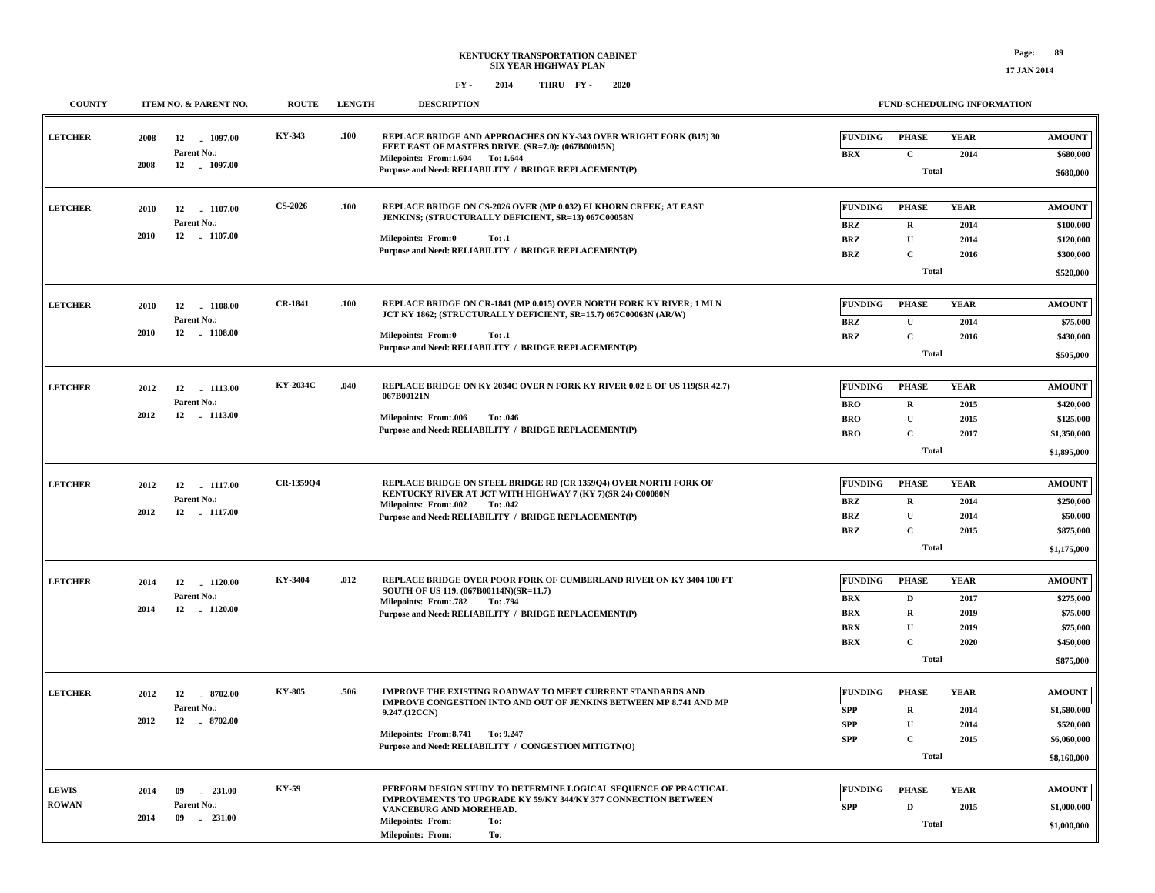**17 JAN 2014**

| <b>COUNTY</b>  |      | ITEM NO. & PARENT NO.           | <b>ROUTE</b>   | <b>LENGTH</b> | <b>DESCRIPTION</b>                                                                                                                                           |                              | <b>FUND-SCHEDULING INFORMATION</b> |                     |                            |  |  |
|----------------|------|---------------------------------|----------------|---------------|--------------------------------------------------------------------------------------------------------------------------------------------------------------|------------------------------|------------------------------------|---------------------|----------------------------|--|--|
| <b>LETCHER</b> | 2008 | $-1097.00$<br>12<br>Parent No.: | KY-343         | .100          | REPLACE BRIDGE AND APPROACHES ON KY-343 OVER WRIGHT FORK (B15) 30<br>FEET EAST OF MASTERS DRIVE. (SR=7.0): (067B00015N)<br>Milepoints: From: 1.604 To: 1.644 | <b>FUNDING</b><br><b>BRX</b> | <b>PHASE</b><br>$\mathbf{C}$       | <b>YEAR</b><br>2014 | <b>AMOUNT</b><br>\$680,000 |  |  |
|                | 2008 | 12 1097.00                      |                |               | Purpose and Need: RELIABILITY / BRIDGE REPLACEMENT(P)                                                                                                        |                              | <b>Total</b>                       |                     |                            |  |  |
| <b>LETCHER</b> | 2010 | 12 1107.00                      | <b>CS-2026</b> | .100          | REPLACE BRIDGE ON CS-2026 OVER (MP 0.032) ELKHORN CREEK; AT EAST<br>JENKINS; (STRUCTURALLY DEFICIENT, SR=13) 067C00058N                                      | <b>FUNDING</b>               | <b>PHASE</b>                       | <b>YEAR</b>         | <b>AMOUNT</b>              |  |  |
|                |      | Parent No.:                     |                |               |                                                                                                                                                              | <b>BRZ</b>                   | $\mathbf R$                        | 2014                | \$100,000                  |  |  |
|                | 2010 | 12 1107.00                      |                |               | <b>Milepoints: From:0</b><br>To: .1                                                                                                                          | <b>BRZ</b>                   | $\mathbf{U}$                       | 2014                | \$120,000                  |  |  |
|                |      |                                 |                |               | Purpose and Need: RELIABILITY / BRIDGE REPLACEMENT(P)                                                                                                        | <b>BRZ</b>                   | $\mathbf{C}$                       | 2016                | \$300,000                  |  |  |
|                |      |                                 |                |               |                                                                                                                                                              |                              | <b>Total</b>                       |                     | \$520,000                  |  |  |
|                |      |                                 | <b>CR-1841</b> | .100          | REPLACE BRIDGE ON CR-1841 (MP 0.015) OVER NORTH FORK KY RIVER; 1 MI N                                                                                        |                              |                                    |                     |                            |  |  |
| <b>LETCHER</b> | 2010 | 12 1108.00                      |                |               | JCT KY 1862; (STRUCTURALLY DEFICIENT, SR=15.7) 067C00063N (AR/W)                                                                                             | <b>FUNDING</b>               | <b>PHASE</b>                       | <b>YEAR</b>         | <b>AMOUNT</b>              |  |  |
|                | 2010 | Parent No.:<br>12<br>$-1108.00$ |                |               |                                                                                                                                                              | <b>BRZ</b>                   | U                                  | 2014                | \$75,000                   |  |  |
|                |      |                                 |                |               | Milepoints: From:0<br>To: .1<br>Purpose and Need: RELIABILITY / BRIDGE REPLACEMENT(P)                                                                        | <b>BRZ</b>                   | $\mathbf{C}$                       | 2016                | \$430,000                  |  |  |
|                |      |                                 |                |               |                                                                                                                                                              |                              | <b>Total</b>                       |                     | \$505,000                  |  |  |
| <b>LETCHER</b> | 2012 | 12 1113.00                      | KY-2034C       | .040          | REPLACE BRIDGE ON KY 2034C OVER N FORK KY RIVER 0.02 E OF US 119(SR 42.7)                                                                                    | <b>FUNDING</b>               | <b>PHASE</b>                       | <b>YEAR</b>         | <b>AMOUNT</b>              |  |  |
|                |      | Parent No.:                     |                |               | 067B00121N                                                                                                                                                   | <b>BRO</b>                   | $\mathbf{R}$                       | 2015                | \$420,000                  |  |  |
|                | 2012 | 12 - 1113.00                    |                |               | <b>Milepoints: From:.006</b><br>To: .046                                                                                                                     | <b>BRO</b>                   | ${\bf U}$                          | 2015                | \$125,000                  |  |  |
|                |      |                                 |                |               | Purpose and Need: RELIABILITY / BRIDGE REPLACEMENT(P)                                                                                                        | <b>BRO</b>                   | $\mathbf{C}$                       | 2017                | \$1,350,000                |  |  |
|                |      |                                 |                |               |                                                                                                                                                              |                              | <b>Total</b>                       |                     |                            |  |  |
|                |      |                                 |                |               |                                                                                                                                                              |                              |                                    |                     | \$1,895,000                |  |  |
| <b>LETCHER</b> | 2012 | 12 1117.00                      | CR-1359Q4      |               | REPLACE BRIDGE ON STEEL BRIDGE RD (CR 135904) OVER NORTH FORK OF                                                                                             | <b>FUNDING</b>               | <b>PHASE</b>                       | <b>YEAR</b>         | <b>AMOUNT</b>              |  |  |
|                |      | Parent No.:                     |                |               | KENTUCKY RIVER AT JCT WITH HIGHWAY 7 (KY 7)(SR 24) C00080N                                                                                                   | <b>BRZ</b>                   | $\mathbf R$                        | 2014                | \$250,000                  |  |  |
|                | 2012 | 12 1117.00                      |                |               | Milepoints: From:.002 To:.042<br>Purpose and Need: RELIABILITY / BRIDGE REPLACEMENT(P)                                                                       | <b>BRZ</b>                   | $\mathbf{U}$                       | 2014                | \$50,000                   |  |  |
|                |      |                                 |                |               |                                                                                                                                                              | <b>BRZ</b>                   | $\mathbf C$                        | 2015                | \$875,000                  |  |  |
|                |      |                                 |                |               |                                                                                                                                                              |                              | <b>Total</b>                       |                     | \$1,175,000                |  |  |
|                |      |                                 |                |               |                                                                                                                                                              |                              |                                    |                     |                            |  |  |
| <b>LETCHER</b> | 2014 | 12<br>1120.00                   | KY-3404        | .012          | REPLACE BRIDGE OVER POOR FORK OF CUMBERLAND RIVER ON KY 3404 100 FT                                                                                          | <b>FUNDING</b>               | <b>PHASE</b>                       | <b>YEAR</b>         | <b>AMOUNT</b>              |  |  |
|                |      | Parent No.:                     |                |               | SOUTH OF US 119. (067B00114N)(SR=11.7)<br>Milepoints: From: 782<br>To: .794                                                                                  | <b>BRX</b>                   | $\mathbf D$                        | 2017                | \$275,000                  |  |  |
|                | 2014 | 12 1120.00                      |                |               | Purpose and Need: RELIABILITY / BRIDGE REPLACEMENT(P)                                                                                                        | <b>BRX</b>                   | R                                  | 2019                | \$75,000                   |  |  |
|                |      |                                 |                |               |                                                                                                                                                              | <b>BRX</b>                   | $\mathbf{U}$                       | 2019                | \$75,000                   |  |  |
|                |      |                                 |                |               |                                                                                                                                                              | <b>BRX</b>                   | $\mathbf{C}$                       | 2020                | \$450,000                  |  |  |
|                |      |                                 |                |               |                                                                                                                                                              |                              | <b>Total</b>                       |                     | \$875,000                  |  |  |
|                |      |                                 |                |               |                                                                                                                                                              |                              |                                    |                     |                            |  |  |
| <b>LETCHER</b> | 2012 | 12<br>8702.00                   | KY-805         | .506          | <b>IMPROVE THE EXISTING ROADWAY TO MEET CURRENT STANDARDS AND</b><br>IMPROVE CONGESTION INTO AND OUT OF JENKINS BETWEEN MP 8.741 AND MP                      | <b>FUNDING</b>               | <b>PHASE</b>                       | <b>YEAR</b>         | <b>AMOUNT</b>              |  |  |
|                |      | Parent No.:                     |                |               | 9.247.(12CCN)                                                                                                                                                | <b>SPP</b>                   | $\mathbf{R}$                       | 2014                | \$1,580,000                |  |  |
|                | 2012 | 12 8702.00                      |                |               | Milepoints: From: 8.741 To: 9.247                                                                                                                            | <b>SPP</b>                   | ${\bf U}$                          | 2014                | \$520,000                  |  |  |
|                |      |                                 |                |               | Purpose and Need: RELIABILITY / CONGESTION MITIGTN(O)                                                                                                        | <b>SPP</b>                   | $\mathbf{C}$                       | 2015                | \$6,060,000                |  |  |
|                |      |                                 |                |               |                                                                                                                                                              |                              | <b>Total</b>                       |                     | \$8,160,000                |  |  |
|                |      |                                 |                |               |                                                                                                                                                              |                              |                                    |                     |                            |  |  |
| <b>LEWIS</b>   | 2014 | 09<br>231.00                    | KY-59          |               | PERFORM DESIGN STUDY TO DETERMINE LOGICAL SEQUENCE OF PRACTICAL<br>IMPROVEMENTS TO UPGRADE KY 59/KY 344/KY 377 CONNECTION BETWEEN                            | <b>FUNDING</b>               | <b>PHASE</b>                       | <b>YEAR</b>         | <b>AMOUNT</b>              |  |  |
| <b>ROWAN</b>   | 2014 | Parent No.:<br>09<br>$-231.00$  |                |               | VANCEBURG AND MOREHEAD.                                                                                                                                      | <b>SPP</b>                   | $\mathbf D$                        | 2015                | \$1,000,000                |  |  |
|                |      |                                 |                |               | <b>Milepoints: From:</b><br>To:<br>To:<br>Milepoints: From:                                                                                                  |                              | <b>Total</b>                       |                     | \$1,000,000                |  |  |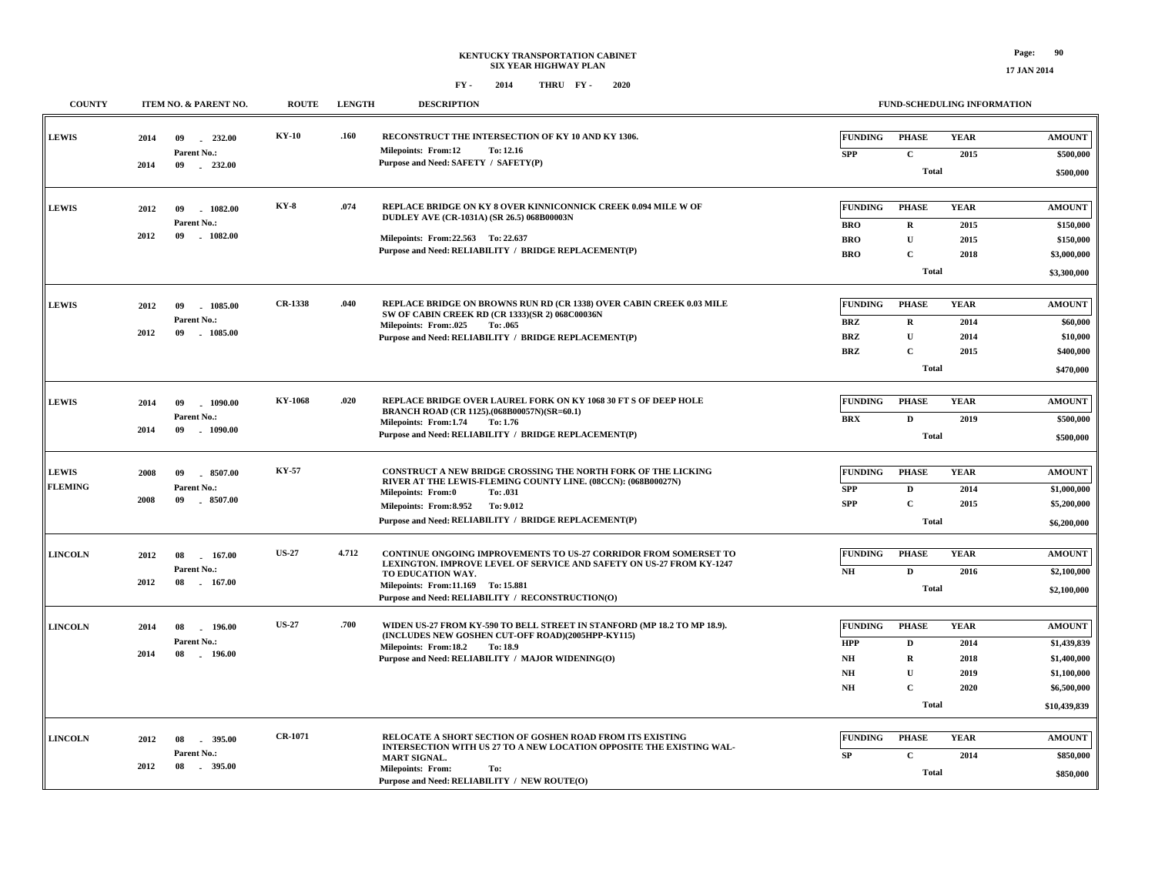| <b>COUNTY</b>                  |              | ITEM NO. & PARENT NO.                            | <b>ROUTE</b>   | <b>LENGTH</b>                                                                              | <b>DESCRIPTION</b>                                                                                                                                                                                                                                                    |                                                                                                                            |                                                             | FUND-SCHEDULING INFORMATION                                                               |
|--------------------------------|--------------|--------------------------------------------------|----------------|--------------------------------------------------------------------------------------------|-----------------------------------------------------------------------------------------------------------------------------------------------------------------------------------------------------------------------------------------------------------------------|----------------------------------------------------------------------------------------------------------------------------|-------------------------------------------------------------|-------------------------------------------------------------------------------------------|
| <b>LEWIS</b>                   | 2014<br>2014 | 09<br>232.00<br>Parent No.:<br>09<br>$-232.00$   | <b>KY-10</b>   | .160                                                                                       | RECONSTRUCT THE INTERSECTION OF KY 10 AND KY 1306.<br><b>Milepoints: From:12</b><br>To: 12.16<br>Purpose and Need: SAFETY / SAFETY(P)                                                                                                                                 | <b>PHASE</b><br><b>FUNDING</b><br>$\mathbf{C}$<br><b>SPP</b>                                                               | <b>YEAR</b><br>2015                                         | <b>AMOUNT</b><br>\$500,000                                                                |
|                                |              |                                                  |                |                                                                                            |                                                                                                                                                                                                                                                                       |                                                                                                                            | <b>Total</b>                                                | \$500,000                                                                                 |
| <b>LEWIS</b>                   | 2012         | 09<br>1082.00<br>Parent No.:                     | <b>KY-8</b>    | .074                                                                                       | REPLACE BRIDGE ON KY 8 OVER KINNICONNICK CREEK 0.094 MILE W OF<br>DUDLEY AVE (CR-1031A) (SR 26.5) 068B00003N                                                                                                                                                          | <b>FUNDING</b><br><b>PHASE</b><br><b>BRO</b><br>R                                                                          | <b>YEAR</b><br>2015                                         | <b>AMOUNT</b><br>\$150,000                                                                |
|                                | 2012         | $-1082.00$<br>09                                 |                |                                                                                            | Milepoints: From: 22.563 To: 22.637<br>Purpose and Need: RELIABILITY / BRIDGE REPLACEMENT(P)                                                                                                                                                                          | <b>BRO</b><br>U<br>$\mathbf C$<br><b>BRO</b>                                                                               | 2015<br>2018                                                | \$150,000<br>\$3,000,000                                                                  |
|                                |              |                                                  |                |                                                                                            |                                                                                                                                                                                                                                                                       |                                                                                                                            | <b>Total</b>                                                | \$3,300,000                                                                               |
| <b>LEWIS</b>                   | 2012         | 09<br>1085.00<br>Parent No.:                     | <b>CR-1338</b> | .040                                                                                       | REPLACE BRIDGE ON BROWNS RUN RD (CR 1338) OVER CABIN CREEK 0.03 MILE<br>SW OF CABIN CREEK RD (CR 1333)(SR 2) 068C00036N                                                                                                                                               | <b>FUNDING</b><br><b>PHASE</b><br><b>BRZ</b><br>$\mathbf R$                                                                | <b>YEAR</b><br>2014                                         | <b>AMOUNT</b><br>\$60,000                                                                 |
|                                | 2012         | 09<br>$-1085.00$                                 |                |                                                                                            | Milepoints: From:.025<br>To: .065<br>Purpose and Need: RELIABILITY / BRIDGE REPLACEMENT(P)                                                                                                                                                                            | $\mathbf{U}$<br><b>BRZ</b><br><b>BRZ</b><br>$\mathbf C$                                                                    | 2014<br>2015                                                | \$10,000<br>\$400,000                                                                     |
|                                |              |                                                  |                |                                                                                            |                                                                                                                                                                                                                                                                       |                                                                                                                            | <b>Total</b>                                                | \$470,000                                                                                 |
| <b>LEWIS</b>                   | 2014         | 1090.00<br>09<br>Parent No.:                     | <b>KY-1068</b> | .020                                                                                       | REPLACE BRIDGE OVER LAUREL FORK ON KY 1068 30 FT S OF DEEP HOLE<br>BRANCH ROAD (CR 1125).(068B00057N)(SR=60.1)                                                                                                                                                        | <b>FUNDING</b><br><b>PHASE</b><br><b>BRX</b><br>$\mathbf D$                                                                | <b>YEAR</b><br>2019                                         | <b>AMOUNT</b><br>\$500,000                                                                |
| 2014<br>09                     | $-1090.00$   |                                                  |                | Milepoints: From:1.74<br>To: 1.76<br>Purpose and Need: RELIABILITY / BRIDGE REPLACEMENT(P) |                                                                                                                                                                                                                                                                       | <b>Total</b>                                                                                                               | \$500,000                                                   |                                                                                           |
| <b>LEWIS</b><br><b>FLEMING</b> | 2008<br>2008 | $-8507.00$<br>09<br>Parent No.:<br>09<br>8507.00 | <b>KY-57</b>   |                                                                                            | CONSTRUCT A NEW BRIDGE CROSSING THE NORTH FORK OF THE LICKING<br>RIVER AT THE LEWIS-FLEMING COUNTY LINE. (08CCN): (068B00027N)<br><b>Milepoints: From:0</b><br>To: .031<br>Milepoints: From: 8.952 To: 9.012<br>Purpose and Need: RELIABILITY / BRIDGE REPLACEMENT(P) | <b>FUNDING</b><br><b>PHASE</b><br><b>SPP</b><br>D<br><b>SPP</b><br>$\mathbf{C}$                                            | <b>YEAR</b><br>2014<br>2015<br><b>Total</b>                 | <b>AMOUNT</b><br>\$1,000,000<br>\$5,200,000<br>\$6,200,000                                |
| <b>LINCOLN</b>                 | 2012<br>2012 | 08<br>167.00<br>Parent No.:<br>08<br>167.00      | <b>US-27</b>   | 4.712                                                                                      | CONTINUE ONGOING IMPROVEMENTS TO US-27 CORRIDOR FROM SOMERSET TO<br>LEXINGTON. IMPROVE LEVEL OF SERVICE AND SAFETY ON US-27 FROM KY-1247<br>TO EDUCATION WAY.<br>Milepoints: From:11.169 To: 15.881<br>Purpose and Need: RELIABILITY / RECONSTRUCTION(O)              | <b>FUNDING</b><br><b>PHASE</b><br>$\mathbf D$<br>NH                                                                        | <b>YEAR</b><br>2016<br><b>Total</b>                         | <b>AMOUNT</b><br>\$2,100,000<br>\$2,100,000                                               |
| <b>LINCOLN</b>                 | 2014<br>2014 | 08<br>196.00<br>Parent No.:<br>08<br>$-196.00$   | <b>US-27</b>   | .700                                                                                       | WIDEN US-27 FROM KY-590 TO BELL STREET IN STANFORD (MP 18.2 TO MP 18.9).<br>(INCLUDES NEW GOSHEN CUT-OFF ROAD)(2005HPP-KY115)<br>Milepoints: From:18.2 To:18.9<br>Purpose and Need: RELIABILITY / MAJOR WIDENING(O)                                                   | <b>FUNDING</b><br><b>PHASE</b><br><b>HPP</b><br>$\mathbf D$<br>NH<br>$\mathbf R$<br>$\mathbf U$<br>NH<br>$\mathbf C$<br>NH | <b>YEAR</b><br>2014<br>2018<br>2019<br>2020<br><b>Total</b> | <b>AMOUNT</b><br>\$1,439,839<br>\$1,400,000<br>\$1,100,000<br>\$6,500,000<br>\$10,439,839 |
| <b>LINCOLN</b>                 | 2012<br>2012 | 395.00<br>08<br>Parent No.:<br>08<br>$-395.00$   | <b>CR-1071</b> |                                                                                            | RELOCATE A SHORT SECTION OF GOSHEN ROAD FROM ITS EXISTING<br>INTERSECTION WITH US 27 TO A NEW LOCATION OPPOSITE THE EXISTING WAL-<br><b>MART SIGNAL.</b><br><b>Milepoints: From:</b><br>To:<br>Purpose and Need: RELIABILITY / NEW ROUTE(O)                           | <b>FUNDING</b><br><b>PHASE</b><br>$\mathbf C$<br>SP                                                                        | <b>YEAR</b><br>2014<br><b>Total</b>                         | <b>AMOUNT</b><br>\$850,000<br>\$850,000                                                   |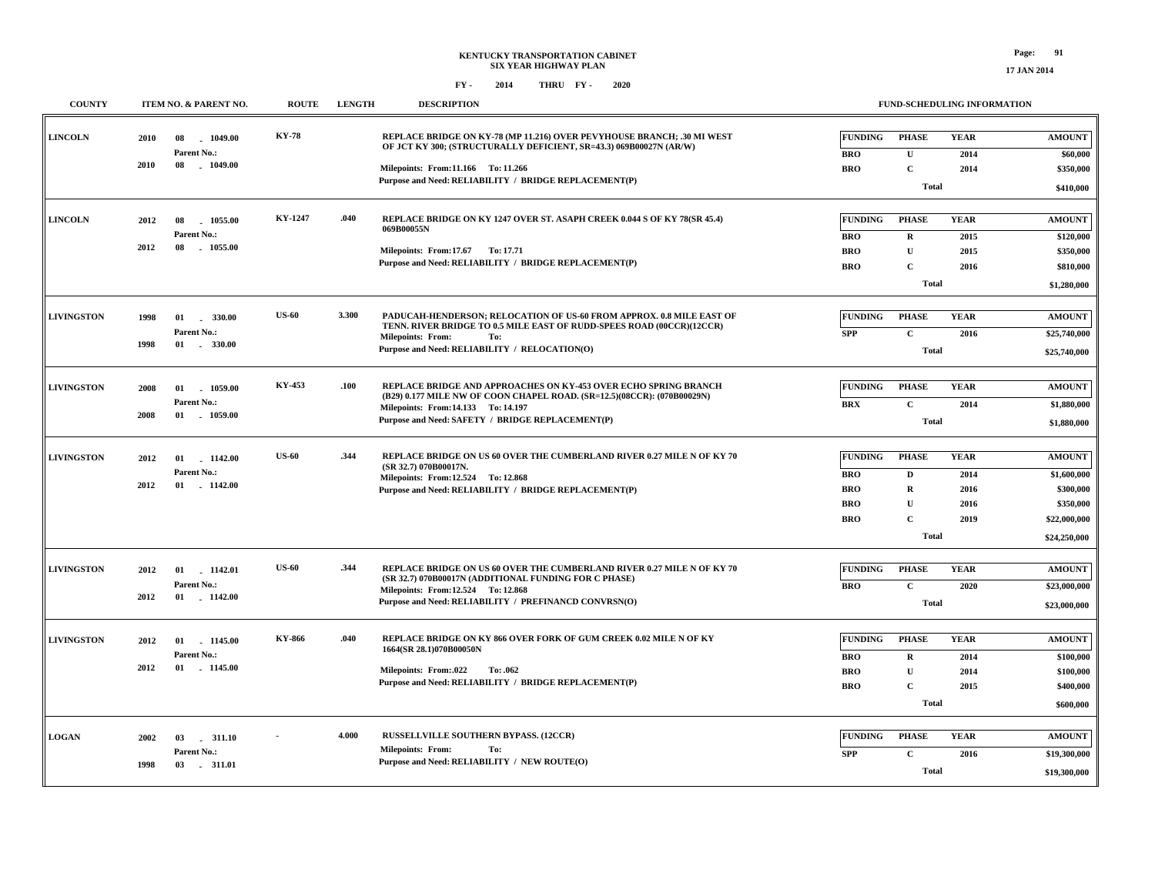**17 JAN 2014**

| <b>COUNTY</b>     |              | ITEM NO. & PARENT NO.                               | <b>ROUTE</b> | <b>LENGTH</b> | <b>DESCRIPTION</b>                                                                                                                                                                                                                    |                                                                        | FUND-SCHEDULING INFORMATION                                           |                                             |                                                                                        |  |  |
|-------------------|--------------|-----------------------------------------------------|--------------|---------------|---------------------------------------------------------------------------------------------------------------------------------------------------------------------------------------------------------------------------------------|------------------------------------------------------------------------|-----------------------------------------------------------------------|---------------------------------------------|----------------------------------------------------------------------------------------|--|--|
| <b>LINCOLN</b>    | 2010<br>2010 | 08<br>$-1049.00$<br>Parent No.:<br>08<br>$-1049.00$ | <b>KY-78</b> |               | REPLACE BRIDGE ON KY-78 (MP 11.216) OVER PEVYHOUSE BRANCH: .30 MI WEST<br>OF JCT KY 300; (STRUCTURALLY DEFICIENT, SR=43.3) 069B00027N (AR/W)<br>Milepoints: From:11.166 To: 11.266                                                    | <b>FUNDING</b><br><b>BRO</b><br><b>BRO</b>                             | <b>PHASE</b><br>$\mathbf{U}$<br>$\mathbf C$                           | <b>YEAR</b><br>2014<br>2014                 | <b>AMOUNT</b><br>\$60,000<br>\$350,000                                                 |  |  |
|                   |              |                                                     |              |               | Purpose and Need: RELIABILITY / BRIDGE REPLACEMENT(P)                                                                                                                                                                                 |                                                                        | Total                                                                 |                                             |                                                                                        |  |  |
| <b>LINCOLN</b>    | 2012<br>2012 | 1055.00<br>08<br>Parent No.:<br>08<br>1055.00       | KY-1247      | .040          | REPLACE BRIDGE ON KY 1247 OVER ST. ASAPH CREEK 0.044 S OF KY 78(SR 45.4)<br>069B00055N<br>Milepoints: From:17.67 To: 17.71<br>Purpose and Need: RELIABILITY / BRIDGE REPLACEMENT(P)                                                   | <b>FUNDING</b><br><b>BRO</b><br><b>BRO</b><br><b>BRO</b>               | <b>PHASE</b><br>$\mathbf R$<br>${\bf U}$<br>$\mathbf C$<br>Total      | <b>YEAR</b><br>2015<br>2015<br>2016         | <b>AMOUNT</b><br>\$120,000<br>\$350,000<br>\$810,000<br>\$1,280,000                    |  |  |
| <b>LIVINGSTON</b> | 1998<br>1998 | 01<br>330.00<br>Parent No.:<br>01 . 330.00          | <b>US-60</b> | 3.300         | PADUCAH-HENDERSON: RELOCATION OF US-60 FROM APPROX. 0.8 MILE EAST OF<br>TENN. RIVER BRIDGE TO 0.5 MILE EAST OF RUDD-SPEES ROAD (00CCR)(12CCR)<br><b>Milepoints: From:</b><br>To:<br>Purpose and Need: RELIABILITY / RELOCATION(O)     | <b>FUNDING</b><br><b>SPP</b>                                           | <b>PHASE</b><br>$\mathbf C$<br><b>Total</b>                           | <b>YEAR</b><br>2016                         | <b>AMOUNT</b><br>\$25,740,000<br>\$25,740,000                                          |  |  |
| <b>LIVINGSTON</b> | 2008<br>2008 | 01 1059.00<br>Parent No.:<br>01 1059.00             | KY-453       | .100          | REPLACE BRIDGE AND APPROACHES ON KY-453 OVER ECHO SPRING BRANCH<br>(B29) 0.177 MILE NW OF COON CHAPEL ROAD. (SR=12.5)(08CCR): (070B00029N)<br>Milepoints: From: 14.133 To: 14.197<br>Purpose and Need: SAFETY / BRIDGE REPLACEMENT(P) | <b>FUNDING</b><br><b>BRX</b>                                           | <b>PHASE</b><br>$\mathbf{C}$<br><b>Total</b>                          | <b>YEAR</b><br>2014                         | <b>AMOUNT</b><br>\$1,880,000<br>\$1,880,000                                            |  |  |
| <b>LIVINGSTON</b> | 2012<br>2012 | 01 1142.00<br>Parent No.:<br>01 1142.00             | <b>US-60</b> | .344          | REPLACE BRIDGE ON US 60 OVER THE CUMBERLAND RIVER 0.27 MILE N OF KY 70<br>(SR 32.7) 070B00017N.<br>Milepoints: From:12.524 To:12.868<br>Purpose and Need: RELIABILITY / BRIDGE REPLACEMENT(P)                                         | <b>FUNDING</b><br><b>BRO</b><br><b>BRO</b><br><b>BRO</b><br><b>BRO</b> | <b>PHASE</b><br>$\mathbf D$<br>${\bf R}$<br>U<br>$\mathbf C$<br>Total | <b>YEAR</b><br>2014<br>2016<br>2016<br>2019 | <b>AMOUNT</b><br>\$1,600,000<br>\$300,000<br>\$350,000<br>\$22,000,000<br>\$24,250,000 |  |  |
| <b>LIVINGSTON</b> | 2012<br>2012 | 01 1142.01<br>Parent No.:<br>01 1142.00             | <b>US-60</b> | .344          | REPLACE BRIDGE ON US 60 OVER THE CUMBERLAND RIVER 0.27 MILE N OF KY 70<br>(SR 32.7) 070B00017N (ADDITIONAL FUNDING FOR C PHASE)<br>Milepoints: From:12.524 To:12.868<br>Purpose and Need: RELIABILITY / PREFINANCD CONVRSN(O)         | <b>FUNDING</b><br><b>BRO</b>                                           | <b>PHASE</b><br>$\mathbf C$<br><b>Total</b>                           | <b>YEAR</b><br>2020                         | <b>AMOUNT</b><br>\$23,000,000<br>\$23,000,000                                          |  |  |
| <b>LIVINGSTON</b> | 2012<br>2012 | 01<br>1145.00<br>Parent No.:<br>01 1145.00          | KY-866       | .040          | REPLACE BRIDGE ON KY 866 OVER FORK OF GUM CREEK 0.02 MILE N OF KY<br>1664(SR 28.1)070B00050N<br><b>Milepoints: From:.022</b><br>To: .062<br>Purpose and Need: RELIABILITY / BRIDGE REPLACEMENT(P)                                     | <b>FUNDING</b><br><b>BRO</b><br><b>BRO</b><br><b>BRO</b>               | <b>PHASE</b><br>$\mathbf R$<br>$\mathbf{U}$<br>$\mathbf C$<br>Total   | <b>YEAR</b><br>2014<br>2014<br>2015         | <b>AMOUNT</b><br>\$100,000<br>\$100,000<br>\$400,000<br>\$600,000                      |  |  |
| <b>LOGAN</b>      | 2002<br>1998 | 03<br>.311.10<br>Parent No.:<br>03 - 311.01         |              | 4.000         | <b>RUSSELLVILLE SOUTHERN BYPASS. (12CCR)</b><br><b>Milepoints: From:</b><br>To:<br>Purpose and Need: RELIABILITY / NEW ROUTE(O)                                                                                                       | <b>FUNDING</b><br><b>SPP</b>                                           | <b>PHASE</b><br>$\mathbf C$<br>Total                                  | <b>YEAR</b><br>2016                         | <b>AMOUNT</b><br>\$19,300,000<br>\$19,300,000                                          |  |  |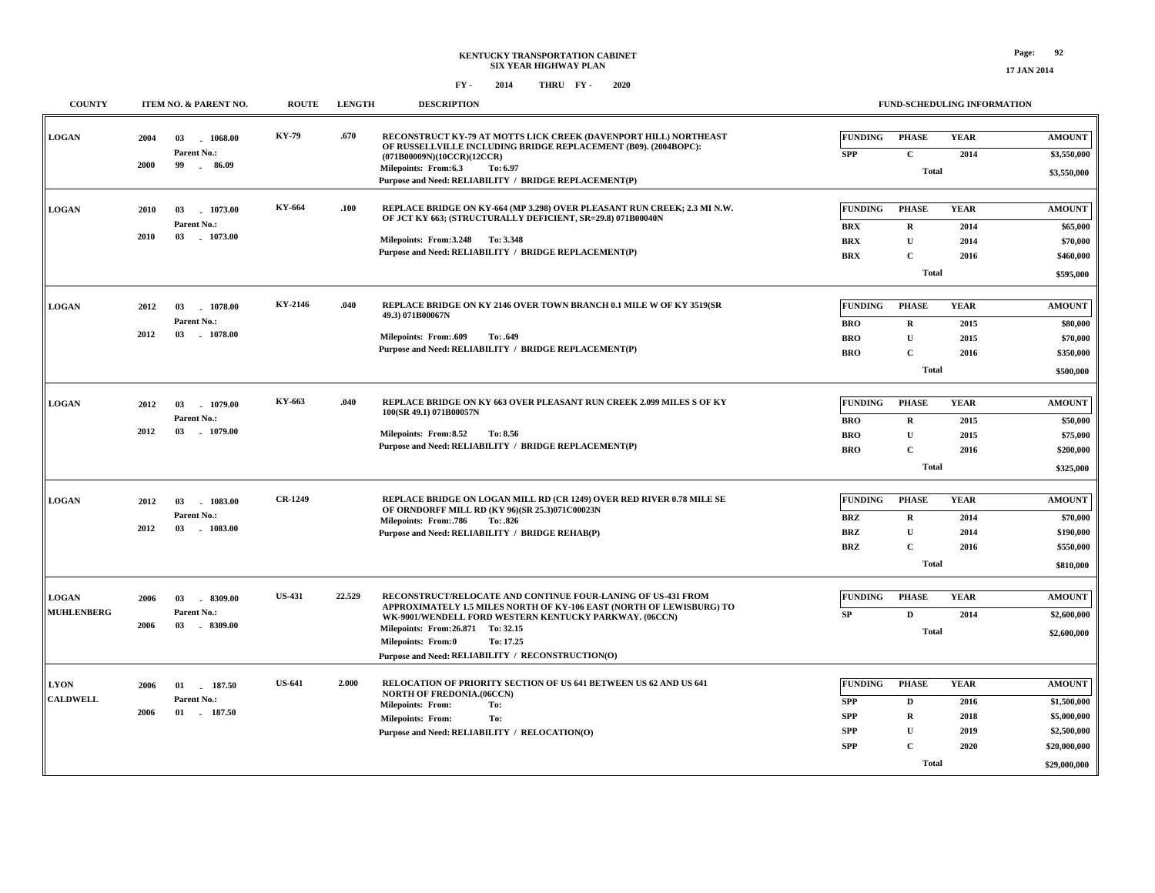| <b>COUNTY</b>                     | ITEM NO. & PARENT NO.                   | <b>ROUTE</b>                              | <b>LENGTH</b> | <b>DESCRIPTION</b>                                                                                                                                                                                                                                                                                                                  | <b>FUND-SCHEDULING INFORMATION</b>                                                                                                                                                             |                                                                                            |
|-----------------------------------|-----------------------------------------|-------------------------------------------|---------------|-------------------------------------------------------------------------------------------------------------------------------------------------------------------------------------------------------------------------------------------------------------------------------------------------------------------------------------|------------------------------------------------------------------------------------------------------------------------------------------------------------------------------------------------|--------------------------------------------------------------------------------------------|
| <b>LOGAN</b>                      | 2004<br>03<br>Parent No.:<br>2000<br>99 | KY-79<br>1068.00<br>$-86.09$              | .670          | RECONSTRUCT KY-79 AT MOTTS LICK CREEK (DAVENPORT HILL) NORTHEAST<br>OF RUSSELLVILLE INCLUDING BRIDGE REPLACEMENT (B09). (2004BOPC):<br>(071B00009N)(10CCR)(12CCR)<br>Milepoints: From:6.3<br>To: 6.97<br>Purpose and Need: RELIABILITY / BRIDGE REPLACEMENT(P)                                                                      | <b>FUNDING</b><br><b>PHASE</b><br><b>YEAR</b><br>$\mathbf{C}$<br><b>SPP</b><br>2014<br><b>Total</b>                                                                                            | <b>AMOUNT</b><br>\$3,550,000<br>\$3,550,000                                                |
| <b>LOGAN</b>                      | 03<br>2010<br>Parent No.:<br>2010<br>03 | <b>KY-664</b><br>1073.00<br>1073.00       | .100          | REPLACE BRIDGE ON KY-664 (MP 3.298) OVER PLEASANT RUN CREEK; 2.3 MI N.W.<br>OF JCT KY 663; (STRUCTURALLY DEFICIENT, SR=29.8) 071B00040N<br>Milepoints: From: 3.248 To: 3.348<br>Purpose and Need: RELIABILITY / BRIDGE REPLACEMENT(P)                                                                                               | <b>FUNDING</b><br><b>PHASE</b><br><b>YEAR</b><br>$\mathbf{R}$<br><b>BRX</b><br>2014<br>${\bf U}$<br><b>BRX</b><br>2014<br>$\mathbf{C}$<br><b>BRX</b><br>2016<br><b>Total</b>                   | <b>AMOUNT</b><br>\$65,000<br>\$70,000<br>\$460,000<br>\$595,000                            |
| <b>LOGAN</b>                      | 2012<br>03<br>Parent No.:<br>2012<br>03 | KY-2146<br>1078.00<br>1078.00             | .040          | REPLACE BRIDGE ON KY 2146 OVER TOWN BRANCH 0.1 MILE W OF KY 3519(SR<br>49.3) 071B00067N<br>Milepoints: From:.609<br>To: .649<br>Purpose and Need: RELIABILITY / BRIDGE REPLACEMENT(P)                                                                                                                                               | <b>FUNDING</b><br><b>PHASE</b><br><b>YEAR</b><br><b>BRO</b><br>$\mathbf{R}$<br>2015<br>${\bf U}$<br><b>BRO</b><br>2015<br>$\mathbf{C}$<br><b>BRO</b><br>2016<br><b>Total</b>                   | <b>AMOUNT</b><br>\$80,000<br>\$70,000<br>\$350,000<br>\$500,000                            |
| <b>LOGAN</b>                      | 2012<br>03<br>Parent No.:<br>03<br>2012 | KY-663<br>1079.00<br>1079.00              | .040          | REPLACE BRIDGE ON KY 663 OVER PLEASANT RUN CREEK 2.099 MILES S OF KY<br>100(SR 49.1) 071B00057N<br>Milepoints: From:8.52<br>To: 8.56<br>Purpose and Need: RELIABILITY / BRIDGE REPLACEMENT(P)                                                                                                                                       | <b>FUNDING</b><br><b>PHASE</b><br><b>YEAR</b><br><b>BRO</b><br>$\bf R$<br>2015<br>${\bf U}$<br><b>BRO</b><br>2015<br><b>BRO</b><br>$\mathbf{C}$<br>2016<br><b>Total</b>                        | <b>AMOUNT</b><br>\$50,000<br>\$75,000<br>\$200,000<br>\$325,000                            |
| <b>LOGAN</b>                      | 2012<br>03<br>Parent No.:<br>2012<br>03 | <b>CR-1249</b><br>1083.00<br>$-1083.00$   |               | REPLACE BRIDGE ON LOGAN MILL RD (CR 1249) OVER RED RIVER 0.78 MILE SE<br>OF ORNDORFF MILL RD (KY 96)(SR 25.3)071C00023N<br><b>Milepoints: From: 786</b><br>To: .826<br>Purpose and Need: RELIABILITY / BRIDGE REHAB(P)                                                                                                              | <b>FUNDING</b><br><b>PHASE</b><br><b>YEAR</b><br><b>BRZ</b><br>$\bf R$<br>2014<br><b>BRZ</b><br>${\bf U}$<br>2014<br>$\mathbf{C}$<br><b>BRZ</b><br>2016<br><b>Total</b>                        | <b>AMOUNT</b><br>\$70,000<br>\$190,000<br>\$550,000<br>\$810,000                           |
| <b>LOGAN</b><br><b>MUHLENBERG</b> | 2006<br>03<br>Parent No.:<br>2006<br>03 | <b>US-431</b><br>$-8309.00$<br>$-8309.00$ | 22.529        | RECONSTRUCT/RELOCATE AND CONTINUE FOUR-LANING OF US-431 FROM<br>APPROXIMATELY 1.5 MILES NORTH OF KY-106 EAST (NORTH OF LEWISBURG) TO<br>WK-9001/WENDELL FORD WESTERN KENTUCKY PARKWAY. (06CCN)<br>Milepoints: From: 26.871 To: 32.15<br><b>Milepoints: From:0</b><br>To: 17.25<br>Purpose and Need: RELIABILITY / RECONSTRUCTION(O) | <b>FUNDING</b><br><b>PHASE</b><br><b>YEAR</b><br>$\mathbf D$<br><b>SP</b><br>2014<br><b>Total</b>                                                                                              | <b>AMOUNT</b><br>\$2,600,000<br>\$2,600,000                                                |
| <b>LYON</b><br><b>CALDWELL</b>    | 2006<br>01<br>Parent No.:<br>2006<br>01 | <b>US-641</b><br>187.50<br>. 187.50       | 2.000         | RELOCATION OF PRIORITY SECTION OF US 641 BETWEEN US 62 AND US 641<br><b>NORTH OF FREDONIA.(06CCN)</b><br>To:<br><b>Milepoints: From:</b><br><b>Milepoints: From:</b><br>To:<br>Purpose and Need: RELIABILITY / RELOCATION(O)                                                                                                        | <b>FUNDING</b><br><b>PHASE</b><br><b>YEAR</b><br><b>SPP</b><br>2016<br>D<br><b>SPP</b><br>$\mathbf R$<br>2018<br><b>SPP</b><br>U<br>2019<br><b>SPP</b><br>$\mathbf{C}$<br>2020<br><b>Total</b> | <b>AMOUNT</b><br>\$1,500,000<br>\$5,000,000<br>\$2,500,000<br>\$20,000,000<br>\$29,000,000 |

**17 JAN 2014**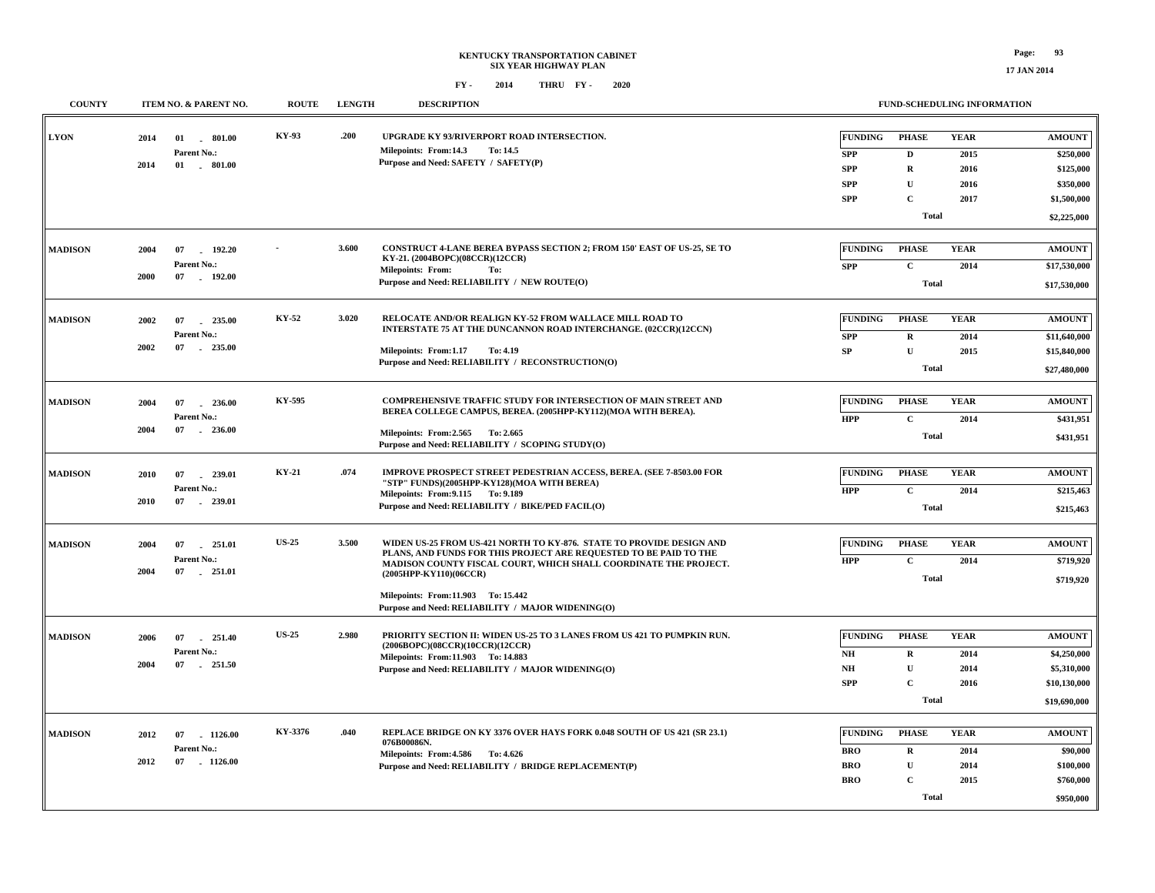| <b>COUNTY</b>  |                          | ITEM NO. & PARENT NO.                           | <b>ROUTE</b> | <b>LENGTH</b> | <b>DESCRIPTION</b>                                                                                                                                                                                                                                                                                                                 |                                                                        | FUND-SCHEDULING INFORMATION                                                               |                                             |                                                                                    |  |  |
|----------------|--------------------------|-------------------------------------------------|--------------|---------------|------------------------------------------------------------------------------------------------------------------------------------------------------------------------------------------------------------------------------------------------------------------------------------------------------------------------------------|------------------------------------------------------------------------|-------------------------------------------------------------------------------------------|---------------------------------------------|------------------------------------------------------------------------------------|--|--|
| <b>LYON</b>    | 2014<br>2014             | $01$ $801.00$<br>Parent No.:<br>$01$ . $801.00$ | KY-93        | .200          | UPGRADE KY 93/RIVERPORT ROAD INTERSECTION.<br>To: 14.5<br>Milepoints: From:14.3<br>Purpose and Need: SAFETY / SAFETY(P)                                                                                                                                                                                                            | <b>FUNDING</b><br><b>SPP</b><br><b>SPP</b><br><b>SPP</b><br><b>SPP</b> | <b>PHASE</b><br>$\mathbf D$<br>$\mathbf R$<br>$\mathbf{U}$<br>$\mathbf C$<br><b>Total</b> | <b>YEAR</b><br>2015<br>2016<br>2016<br>2017 | <b>AMOUNT</b><br>\$250,000<br>\$125,000<br>\$350,000<br>\$1,500,000<br>\$2,225,000 |  |  |
| <b>MADISON</b> | 2004<br>07<br>2000       | 192.20<br>Parent No.:<br>07 192.00              |              | 3.600         | CONSTRUCT 4-LANE BEREA BYPASS SECTION 2; FROM 150' EAST OF US-25, SE TO<br>KY-21. (2004BOPC)(08CCR)(12CCR)<br><b>Milepoints: From:</b><br>To:<br>Purpose and Need: RELIABILITY / NEW ROUTE(O)                                                                                                                                      | <b>FUNDING</b><br><b>SPP</b>                                           | <b>PHASE</b><br>$\mathbf{C}$<br><b>Total</b>                                              | <b>YEAR</b><br>2014                         | <b>AMOUNT</b><br>\$17,530,000<br>\$17,530,000                                      |  |  |
| <b>MADISON</b> | 2002<br>07<br>2002<br>07 | 235.00<br>Parent No.:<br>$-235.00$              | KY-52        | 3.020         | RELOCATE AND/OR REALIGN KY-52 FROM WALLACE MILL ROAD TO<br>INTERSTATE 75 AT THE DUNCANNON ROAD INTERCHANGE. (02CCR)(12CCN)<br>Milepoints: From:1.17<br>To: 4.19<br>Purpose and Need: RELIABILITY / RECONSTRUCTION(O)                                                                                                               | <b>FUNDING</b><br><b>SPP</b><br>${\bf SP}$                             | <b>PHASE</b><br>$\mathbf R$<br>$\mathbf{U}$<br><b>Total</b>                               | <b>YEAR</b><br>2014<br>2015                 | <b>AMOUNT</b><br>\$11,640,000<br>\$15,840,000<br>\$27,480,000                      |  |  |
| <b>MADISON</b> | 2004<br>07<br>2004       | 236.00<br>Parent No.:<br>07 . 236.00            | KY-595       |               | <b>COMPREHENSIVE TRAFFIC STUDY FOR INTERSECTION OF MAIN STREET AND</b><br>BEREA COLLEGE CAMPUS, BEREA. (2005HPP-KY112)(MOA WITH BEREA).<br>Milepoints: From: 2.565 To: 2.665<br>Purpose and Need: RELIABILITY / SCOPING STUDY(O)                                                                                                   | <b>FUNDING</b><br><b>HPP</b>                                           | <b>PHASE</b><br>$\mathbf{C}$<br><b>Total</b>                                              | <b>YEAR</b><br>2014                         | <b>AMOUNT</b><br>\$431,951<br>\$431,951                                            |  |  |
| <b>MADISON</b> | 2010<br>07<br>2010       | $-239.01$<br>Parent No.:<br>07 239.01           | KY-21        | .074          | IMPROVE PROSPECT STREET PEDESTRIAN ACCESS, BEREA. (SEE 7-8503.00 FOR<br>"STP" FUNDS)(2005HPP-KY128)(MOA WITH BEREA)<br>Milepoints: From: 9.115 To: 9.189<br>Purpose and Need: RELIABILITY / BIKE/PED FACIL(O)                                                                                                                      | <b>FUNDING</b><br><b>HPP</b>                                           | <b>PHASE</b><br>$\mathbf C$<br>Total                                                      | <b>YEAR</b><br>2014                         | <b>AMOUNT</b><br>\$215,463<br>\$215,463                                            |  |  |
| <b>MADISON</b> | 2004<br>07<br>2004<br>07 | 251.01<br>Parent No.:<br>$-251.01$              | <b>US-25</b> | 3.500         | WIDEN US-25 FROM US-421 NORTH TO KY-876. STATE TO PROVIDE DESIGN AND<br>PLANS, AND FUNDS FOR THIS PROJECT ARE REQUESTED TO BE PAID TO THE<br>MADISON COUNTY FISCAL COURT, WHICH SHALL COORDINATE THE PROJECT.<br>(2005HPP-KY110)(06CCR)<br>Milepoints: From:11.903 To: 15.442<br>Purpose and Need: RELIABILITY / MAJOR WIDENING(O) | <b>FUNDING</b><br><b>HPP</b>                                           | <b>PHASE</b><br>$\mathbf{C}$<br><b>Total</b>                                              | <b>YEAR</b><br>2014                         | <b>AMOUNT</b><br>\$719,920<br>\$719,920                                            |  |  |
| <b>MADISON</b> | 2006<br>07<br>2004<br>07 | 251.40<br>$\sim$<br>Parent No.:<br>251.50       | <b>US-25</b> | 2.980         | PRIORITY SECTION II: WIDEN US-25 TO 3 LANES FROM US 421 TO PUMPKIN RUN.<br>(2006BOPC)(08CCR)(10CCR)(12CCR)<br>Milepoints: From:11.903 To: 14.883<br>Purpose and Need: RELIABILITY / MAJOR WIDENING(O)                                                                                                                              | <b>FUNDING</b><br>NH<br>$\mathbf{N}\mathbf{H}$<br><b>SPP</b>           | <b>PHASE</b><br>$\mathbf R$<br>$\mathbf U$<br>$\mathbf C$<br><b>Total</b>                 | <b>YEAR</b><br>2014<br>2014<br>2016         | <b>AMOUNT</b><br>\$4,250,000<br>\$5,310,000<br>\$10,130,000<br>\$19,690,000        |  |  |
| <b>MADISON</b> | 2012<br>07<br>2012<br>07 | $-1126.00$<br>Parent No.:<br>1126.00            | KY-3376      | .040          | REPLACE BRIDGE ON KY 3376 OVER HAYS FORK 0.048 SOUTH OF US 421 (SR 23.1)<br>076B00086N.<br>Milepoints: From: 4.586 To: 4.626<br>Purpose and Need: RELIABILITY / BRIDGE REPLACEMENT(P)                                                                                                                                              | <b>FUNDING</b><br><b>BRO</b><br><b>BRO</b><br><b>BRO</b>               | <b>PHASE</b><br>$\mathbf R$<br>$\mathbf{U}$<br>$\mathbf C$<br><b>Total</b>                | <b>YEAR</b><br>2014<br>2014<br>2015         | <b>AMOUNT</b><br>\$90,000<br>\$100,000<br>\$760,000<br>\$950,000                   |  |  |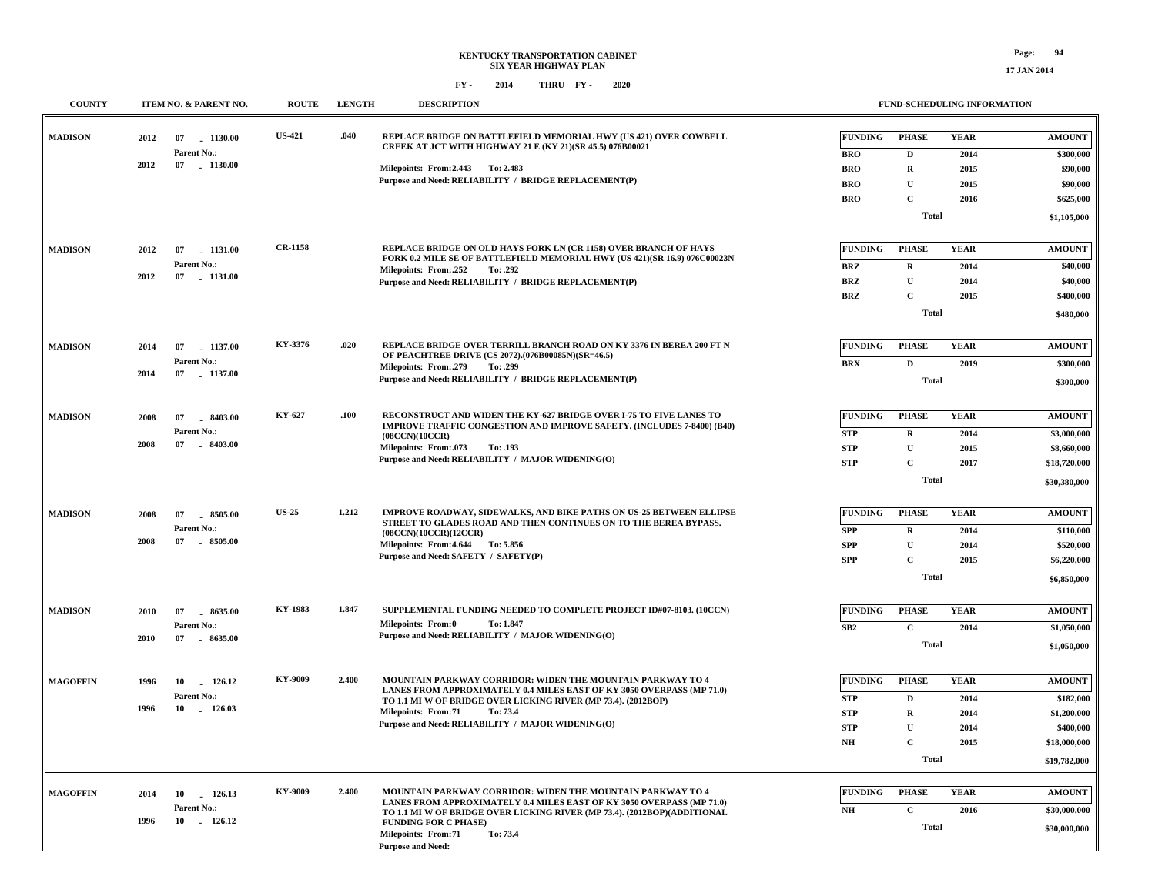| <b>COUNTY</b>   | ITEM NO. & PARENT NO.             | <b>ROUTE</b>   | <b>LENGTH</b>                                                                                           | <b>DESCRIPTION</b>                                                                                                                      |                | FUND-SCHEDULING INFORMATION |             |               |
|-----------------|-----------------------------------|----------------|---------------------------------------------------------------------------------------------------------|-----------------------------------------------------------------------------------------------------------------------------------------|----------------|-----------------------------|-------------|---------------|
| <b>MADISON</b>  | 2012<br>07 1130.00                | <b>US-421</b>  | .040                                                                                                    | REPLACE BRIDGE ON BATTLEFIELD MEMORIAL HWY (US 421) OVER COWBELL<br>CREEK AT JCT WITH HIGHWAY 21 E (KY 21)(SR 45.5) 076B00021           | <b>FUNDING</b> | <b>PHASE</b>                | <b>YEAR</b> | <b>AMOUNT</b> |
|                 | Parent No.:<br>2012<br>07 1130.00 |                |                                                                                                         |                                                                                                                                         | <b>BRO</b>     | D                           | 2014        | \$300,000     |
|                 |                                   |                |                                                                                                         | Milepoints: From: 2.443 To: 2.483<br>Purpose and Need: RELIABILITY / BRIDGE REPLACEMENT(P)                                              | <b>BRO</b>     | $\mathbf R$                 | 2015        | \$90,000      |
|                 |                                   |                |                                                                                                         |                                                                                                                                         | <b>BRO</b>     | $\mathbf{U}$                | 2015        | \$90,000      |
|                 |                                   |                |                                                                                                         |                                                                                                                                         | <b>BRO</b>     | $\mathbf C$                 | 2016        | \$625,000     |
|                 |                                   |                |                                                                                                         |                                                                                                                                         |                | Total                       |             | \$1,105,000   |
| <b>MADISON</b>  | 2012<br>07<br>$-1131.00$          | <b>CR-1158</b> |                                                                                                         | REPLACE BRIDGE ON OLD HAYS FORK LN (CR 1158) OVER BRANCH OF HAYS                                                                        | FUNDING        | <b>PHASE</b>                | <b>YEAR</b> | <b>AMOUNT</b> |
|                 | Parent No.:                       |                |                                                                                                         | FORK 0.2 MILE SE OF BATTLEFIELD MEMORIAL HWY (US 421)(SR 16.9) 076C00023N<br>Milepoints: From: 252<br>To: .292                          | <b>BRZ</b>     | $\mathbf R$                 | 2014        | \$40,000      |
|                 | 2012<br>07<br>$-1131.00$          |                |                                                                                                         | Purpose and Need: RELIABILITY / BRIDGE REPLACEMENT(P)                                                                                   | <b>BRZ</b>     | U                           | 2014        | \$40,000      |
|                 |                                   |                |                                                                                                         |                                                                                                                                         |                | $\mathbf C$                 | 2015        | \$400,000     |
|                 |                                   |                |                                                                                                         |                                                                                                                                         |                | Total                       |             | \$480,000     |
|                 |                                   | KY-3376        | .020                                                                                                    | REPLACE BRIDGE OVER TERRILL BRANCH ROAD ON KY 3376 IN BEREA 200 FT N                                                                    |                | <b>PHASE</b>                |             |               |
| <b>MADISON</b>  | 2014<br>07<br>1137.00             |                |                                                                                                         | OF PEACHTREE DRIVE (CS 2072).(076B00085N)(SR=46.5)                                                                                      | <b>FUNDING</b> |                             | <b>YEAR</b> | <b>AMOUNT</b> |
|                 | Parent No.:<br>2014<br>07 1137.00 |                |                                                                                                         | Milepoints: From: 279<br>To: .299                                                                                                       | <b>BRX</b>     | $\mathbf D$                 | 2019        | \$300,000     |
|                 |                                   |                |                                                                                                         | Purpose and Need: RELIABILITY / BRIDGE REPLACEMENT(P)                                                                                   |                | <b>Total</b>                |             | \$300,000     |
| <b>MADISON</b>  | 8403.00<br>2008<br>07             | KY-627         | .100                                                                                                    | RECONSTRUCT AND WIDEN THE KY-627 BRIDGE OVER I-75 TO FIVE LANES TO                                                                      | <b>FUNDING</b> | <b>PHASE</b>                | <b>YEAR</b> | <b>AMOUNT</b> |
|                 | Parent No.:                       |                |                                                                                                         | IMPROVE TRAFFIC CONGESTION AND IMPROVE SAFETY. (INCLUDES 7-8400) (B40)                                                                  | <b>STP</b>     | ${\bf R}$                   | 2014        | \$3,000,000   |
|                 | 2008<br>07 . 8403.00              |                |                                                                                                         | (08CCN)(10CCR)<br>Milepoints: From:.073<br>To: .193                                                                                     | <b>STP</b>     | $\mathbf U$                 | 2015        | \$8,660,000   |
|                 |                                   |                |                                                                                                         | Purpose and Need: RELIABILITY / MAJOR WIDENING(O)                                                                                       | <b>STP</b>     | $\mathbf C$                 | 2017        | \$18,720,000  |
|                 |                                   |                |                                                                                                         |                                                                                                                                         |                | Total                       |             | \$30,380,000  |
|                 |                                   |                |                                                                                                         |                                                                                                                                         |                |                             |             |               |
| <b>MADISON</b>  | 07 .8505.00<br>2008               | <b>US-25</b>   | 1.212                                                                                                   | IMPROVE ROADWAY, SIDEWALKS, AND BIKE PATHS ON US-25 BETWEEN ELLIPSE<br>STREET TO GLADES ROAD AND THEN CONTINUES ON TO THE BEREA BYPASS. | <b>FUNDING</b> | <b>PHASE</b>                | <b>YEAR</b> | <b>AMOUNT</b> |
|                 | Parent No.:                       |                |                                                                                                         | (08CCN)(10CCR)(12CCR)                                                                                                                   | <b>SPP</b>     | $\mathbf R$                 | 2014        | \$110,000     |
|                 | 2008<br>07 8505.00                |                |                                                                                                         | Milepoints: From: 4.644 To: 5.856                                                                                                       | <b>SPP</b>     | $\mathbf{U}$                | 2014        | \$520,000     |
|                 |                                   |                |                                                                                                         | Purpose and Need: SAFETY / SAFETY(P)                                                                                                    | <b>SPP</b>     | $\mathbf C$                 | 2015        | \$6,220,000   |
|                 |                                   |                |                                                                                                         |                                                                                                                                         |                | <b>Total</b>                |             | \$6,850,000   |
| <b>MADISON</b>  | 2010<br>07 8635.00                | KY-1983        | 1.847                                                                                                   | SUPPLEMENTAL FUNDING NEEDED TO COMPLETE PROJECT ID#07-8103. (10CCN)                                                                     | <b>FUNDING</b> | <b>PHASE</b>                | <b>YEAR</b> | <b>AMOUNT</b> |
|                 | Parent No.:                       |                |                                                                                                         | Milepoints: From:0<br>To: 1.847                                                                                                         | SB2            | $\mathbf C$                 | 2014        | \$1,050,000   |
|                 | 2010<br>07<br>8635.00             |                |                                                                                                         | Purpose and Need: RELIABILITY / MAJOR WIDENING(O)                                                                                       |                |                             |             |               |
|                 |                                   |                |                                                                                                         |                                                                                                                                         |                | <b>Total</b>                |             | \$1,050,000   |
| <b>MAGOFFIN</b> | 1996<br>10<br>126.12              | KY-9009        | 2.400                                                                                                   | MOUNTAIN PARKWAY CORRIDOR: WIDEN THE MOUNTAIN PARKWAY TO 4                                                                              | <b>FUNDING</b> | <b>PHASE</b>                | <b>YEAR</b> | <b>AMOUNT</b> |
|                 | Parent No.:                       |                |                                                                                                         | LANES FROM APPROXIMATELY 0.4 MILES EAST OF KY 3050 OVERPASS (MP 71.0)<br>TO 1.1 MI W OF BRIDGE OVER LICKING RIVER (MP 73.4). (2012BOP)  | <b>STP</b>     | D                           | 2014        | \$182,000     |
|                 | 1996<br>10<br>126.03              |                |                                                                                                         | <b>Milepoints: From:71</b><br>To: 73.4                                                                                                  | <b>STP</b>     | $\mathbf R$                 | 2014        | \$1,200,000   |
|                 |                                   |                |                                                                                                         | Purpose and Need: RELIABILITY / MAJOR WIDENING(O)                                                                                       | <b>STP</b>     | $\mathbf U$                 | 2014        | \$400,000     |
|                 |                                   |                |                                                                                                         |                                                                                                                                         | N <sub>H</sub> | $\mathbf C$                 | 2015        | \$18,000,000  |
|                 |                                   |                |                                                                                                         |                                                                                                                                         |                | Total                       |             | \$19,782,000  |
|                 |                                   | <b>KY-9009</b> | 2.400                                                                                                   | MOUNTAIN PARKWAY CORRIDOR: WIDEN THE MOUNTAIN PARKWAY TO 4                                                                              |                |                             | <b>YEAR</b> |               |
| <b>MAGOFFIN</b> | 2014<br>10<br>126.13              |                |                                                                                                         | LANES FROM APPROXIMATELY 0.4 MILES EAST OF KY 3050 OVERPASS (MP 71.0)                                                                   | FUNDING        | <b>PHASE</b>                |             | <b>AMOUNT</b> |
|                 | Parent No.:                       |                | TO 1.1 MI W OF BRIDGE OVER LICKING RIVER (MP 73.4). (2012BOP)(ADDITIONAL<br><b>FUNDING FOR C PHASE)</b> |                                                                                                                                         | N <sub>H</sub> | $\mathbf{C}$                | 2016        | \$30,000,000  |
|                 | 1996<br>10<br>$-126.12$           |                |                                                                                                         | <b>Milepoints: From:71</b><br>To: 73.4<br><b>Purpose and Need:</b>                                                                      |                | Total                       |             | \$30,000,000  |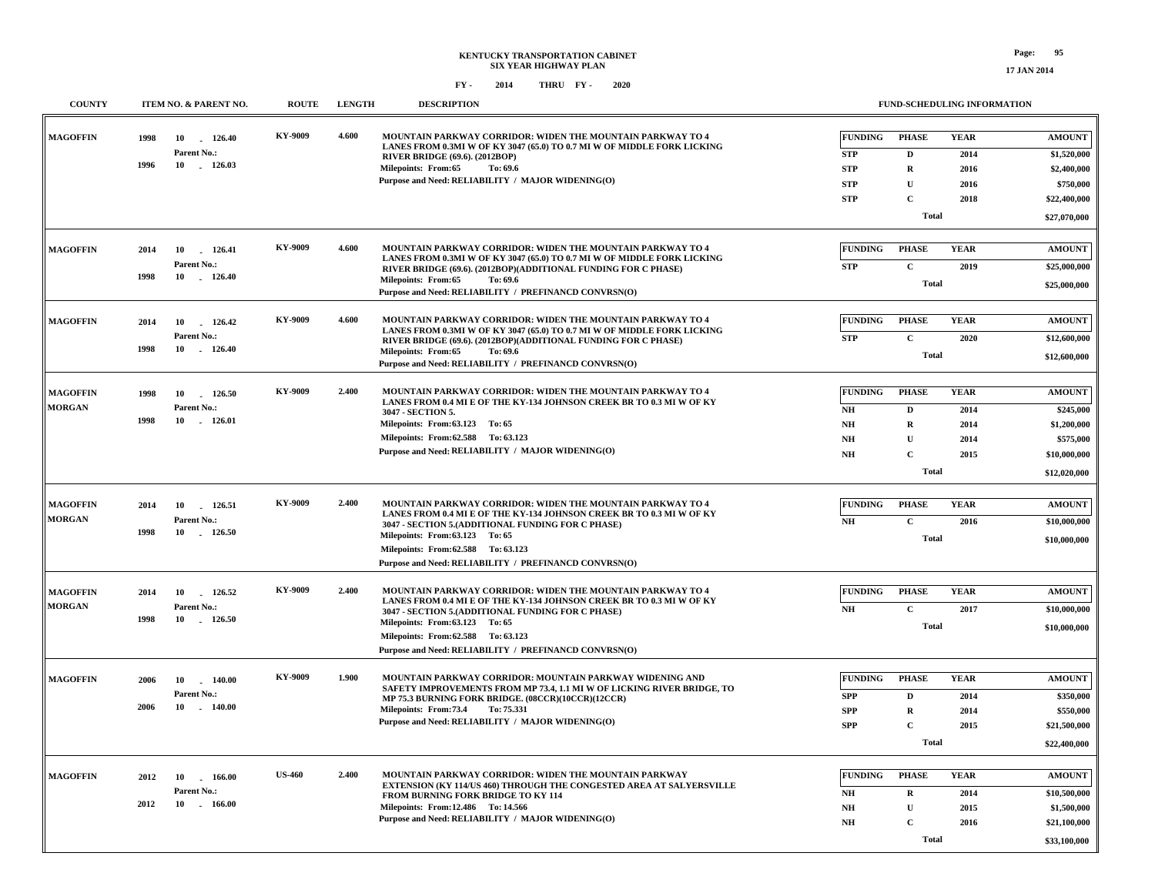**COUNTY ITEM NO. & PARENT NO. ROUTE LENGTH DESCRIPTION**

 **\$27,070,000**

 **\$1,520,000 \$2,400,000 \$750,000 \$22,400,000**

**AMOUNT**

 **\$25,000,000**

 **\$25,000,000**

**AMOUNT**

 **\$12,600,000**

 **\$245,000 \$1,200,000 \$575,000 \$10,000,000**

**AMOUNT**

 **\$12,600,000**

**AMOUNT**

 **\$12,020,000**

 **\$10,000,000**

 **\$10,000,000**

**AMOUNT**

 **\$10,000,000**

 **\$350,000 \$550,000 \$21,500,000**

**AMOUNT**

 **\$10,000,000**

**AMOUNT**

**FUND-SCHEDULING INFORMATION**

**C**

**SPP**

**2015**

| <b>MAGOFFIN</b> | 1998 | 126.40<br>10                | <b>KY-9009</b> | 4.600 | MOUNTAIN PARKWAY CORRIDOR: WIDEN THE MOUNTAIN PARKWAY TO 4                                                                            | <b>FUNDING</b> | <b>PHASE</b> | <b>YEAR</b> |
|-----------------|------|-----------------------------|----------------|-------|---------------------------------------------------------------------------------------------------------------------------------------|----------------|--------------|-------------|
|                 |      | Parent No.:                 |                |       | LANES FROM 0.3MI W OF KY 3047 (65.0) TO 0.7 MI W OF MIDDLE FORK LICKING<br><b>RIVER BRIDGE (69.6). (2012BOP)</b>                      | <b>STP</b>     | D            | 2014        |
|                 | 1996 | 10<br>$-126.03$             |                |       | <b>Milepoints: From:65</b><br>To: 69.6                                                                                                | <b>STP</b>     | $\mathbf R$  | 2016        |
|                 |      |                             |                |       | Purpose and Need: RELIABILITY / MAJOR WIDENING(O)                                                                                     | <b>STP</b>     | $\mathbf{U}$ | 2016        |
|                 |      |                             |                |       |                                                                                                                                       | <b>STP</b>     | C            | 2018        |
|                 |      |                             |                |       |                                                                                                                                       |                | <b>Total</b> |             |
|                 |      |                             |                |       |                                                                                                                                       |                |              |             |
| <b>MAGOFFIN</b> | 2014 | 126.41<br>10                | <b>KY-9009</b> | 4.600 | MOUNTAIN PARKWAY CORRIDOR: WIDEN THE MOUNTAIN PARKWAY TO 4<br>LANES FROM 0.3MI W OF KY 3047 (65.0) TO 0.7 MI W OF MIDDLE FORK LICKING | <b>FUNDING</b> | <b>PHASE</b> | <b>YEAR</b> |
|                 |      | Parent No.:                 |                |       | RIVER BRIDGE (69.6). (2012BOP)(ADDITIONAL FUNDING FOR C PHASE)                                                                        | <b>STP</b>     | $\mathbf C$  | 2019        |
|                 | 1998 | 10<br>126.40                |                |       | <b>Milepoints: From:65</b><br>To: 69.6                                                                                                |                | <b>Total</b> |             |
|                 |      |                             |                |       | Purpose and Need: RELIABILITY / PREFINANCD CONVRSN(O)                                                                                 |                |              |             |
|                 |      |                             | KY-9009        | 4.600 | MOUNTAIN PARKWAY CORRIDOR: WIDEN THE MOUNTAIN PARKWAY TO 4                                                                            | <b>FUNDING</b> | <b>PHASE</b> | <b>YEAR</b> |
| <b>MAGOFFIN</b> | 2014 | 10<br>126.42                |                |       | LANES FROM 0.3MI W OF KY 3047 (65.0) TO 0.7 MI W OF MIDDLE FORK LICKING                                                               |                |              |             |
|                 | 1998 | Parent No.:<br>126.40<br>10 |                |       | RIVER BRIDGE (69.6). (2012BOP)(ADDITIONAL FUNDING FOR C PHASE)                                                                        | <b>STP</b>     | $\mathbf{C}$ | 2020        |
|                 |      |                             |                |       | <b>Milepoints: From:65</b><br>To: 69.6<br>Purpose and Need: RELIABILITY / PREFINANCD CONVRSN(O)                                       |                | <b>Total</b> |             |
|                 |      |                             |                |       |                                                                                                                                       |                |              |             |
| <b>MAGOFFIN</b> | 1998 | 10<br>126.50                | <b>KY-9009</b> | 2.400 | MOUNTAIN PARKWAY CORRIDOR: WIDEN THE MOUNTAIN PARKWAY TO 4                                                                            | <b>FUNDING</b> | <b>PHASE</b> | <b>YEAR</b> |
| <b>MORGAN</b>   |      | Parent No.:                 |                |       | LANES FROM 0.4 MI E OF THE KY-134 JOHNSON CREEK BR TO 0.3 MI W OF KY                                                                  | NH             | D            | 2014        |
|                 | 1998 | 10<br>$-126.01$             |                |       | 3047 - SECTION 5.<br>Milepoints: From: 63.123 To: 65                                                                                  | <b>NH</b>      | R            | 2014        |
|                 |      |                             |                |       | Milepoints: From: 62.588 To: 63.123                                                                                                   | NH             | U            | 2014        |
|                 |      |                             |                |       | Purpose and Need: RELIABILITY / MAJOR WIDENING(O)                                                                                     | NH             | $\mathbf{C}$ | 2015        |
|                 |      |                             |                |       |                                                                                                                                       |                |              |             |
|                 |      |                             |                |       |                                                                                                                                       |                | <b>Total</b> |             |
| <b>MAGOFFIN</b> | 2014 | 10<br>126.51                | <b>KY-9009</b> | 2.400 | MOUNTAIN PARKWAY CORRIDOR: WIDEN THE MOUNTAIN PARKWAY TO 4                                                                            | <b>FUNDING</b> | <b>PHASE</b> | <b>YEAR</b> |
| <b>MORGAN</b>   |      | Parent No.:                 |                |       | LANES FROM 0.4 MI E OF THE KY-134 JOHNSON CREEK BR TO 0.3 MI W OF KY                                                                  |                |              |             |
|                 | 1998 | 10<br>126.50                |                |       | 3047 - SECTION 5.(ADDITIONAL FUNDING FOR C PHASE)                                                                                     | NH             | $\mathbf{C}$ | 2016        |
|                 |      |                             |                |       | Milepoints: From: 63.123 To: 65<br>Milepoints: From: 62.588 To: 63.123                                                                |                | <b>Total</b> |             |
|                 |      |                             |                |       | Purpose and Need: RELIABILITY / PREFINANCD CONVRSN(O)                                                                                 |                |              |             |
|                 |      |                             |                |       |                                                                                                                                       |                |              |             |
| <b>MAGOFFIN</b> | 2014 | 10<br>126.52                | <b>KY-9009</b> | 2.400 | MOUNTAIN PARKWAY CORRIDOR: WIDEN THE MOUNTAIN PARKWAY TO 4                                                                            | <b>FUNDING</b> | <b>PHASE</b> | <b>YEAR</b> |
| <b>MORGAN</b>   |      | Parent No.:                 |                |       | LANES FROM 0.4 MI E OF THE KY-134 JOHNSON CREEK BR TO 0.3 MI W OF KY                                                                  | NH             | $\mathbf{C}$ | 2017        |
|                 | 1998 | 10<br>126.50                |                |       | 3047 - SECTION 5.(ADDITIONAL FUNDING FOR C PHASE)<br>Milepoints: From: 63.123 To: 65                                                  |                |              |             |
|                 |      |                             |                |       | Milepoints: From: 62.588 To: 63.123                                                                                                   |                | <b>Total</b> |             |
|                 |      |                             |                |       | Purpose and Need: RELIABILITY / PREFINANCD CONVRSN(O)                                                                                 |                |              |             |
|                 |      |                             |                |       |                                                                                                                                       |                |              |             |
| <b>MAGOFFIN</b> | 2006 | 10<br>140.00                | <b>KY-9009</b> | 1.900 | MOUNTAIN PARKWAY CORRIDOR: MOUNTAIN PARKWAY WIDENING AND                                                                              | <b>FUNDING</b> | <b>PHASE</b> | <b>YEAR</b> |
|                 |      | <b>Parent No.:</b>          |                |       | SAFETY IMPROVEMENTS FROM MP 73.4, 1.1 MI W OF LICKING RIVER BRIDGE, TO<br>MP 75.3 BURNING FORK BRIDGE. (08CCR)(10CCR)(12CCR)          | <b>SPP</b>     | D            | 2014        |
|                 | 2006 | 10<br>140.00                |                |       | Milepoints: From: 73.4<br>To: 75.331                                                                                                  | <b>SPP</b>     | R            | 2014        |

|                 |      |              |               |       |                                                                                                                                      | Tota.          |       |             | \$22,400,000  |
|-----------------|------|--------------|---------------|-------|--------------------------------------------------------------------------------------------------------------------------------------|----------------|-------|-------------|---------------|
| <b>MAGOFFIN</b> | 2012 | 166.00<br>10 | <b>US-460</b> | 2.400 | MOUNTAIN PARKWAY CORRIDOR: WIDEN THE MOUNTAIN PARKWAY<br><b>EXTENSION (KY 114/US 460) THROUGH THE CONGESTED AREA AT SALYERSVILLE</b> | <b>FUNDING</b> | PHASE | <b>YEAR</b> | <b>AMOUNT</b> |
|                 |      | Parent No.:  |               |       | <b>FROM BURNING FORK BRIDGE TO KY 114</b>                                                                                            | NH             | R     | 2014        | \$10,500,000  |
|                 | 2012 | 166.00<br>10 |               |       | Milepoints: From:12.486 To: 14.566                                                                                                   | NH             |       | 2015        | \$1,500,000   |
|                 |      |              |               |       | Purpose and Need: RELIABILITY / MAJOR WIDENING(O)                                                                                    | NH             |       | 2016        | \$21,100,000  |
|                 |      |              |               |       |                                                                                                                                      |                | Total |             | \$33,100,000  |

**Purpose and Need: RELIABILITY / MAJOR WIDENING(O)**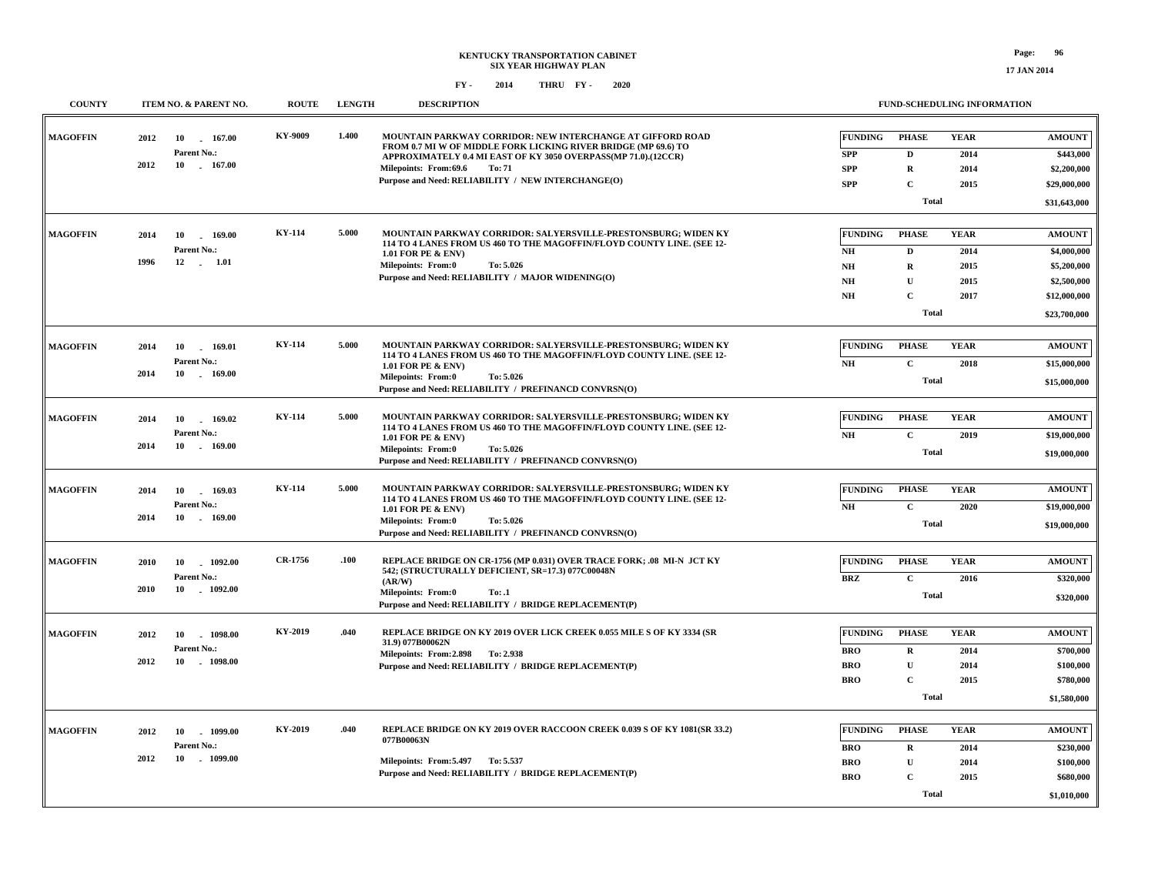| <b>COUNTY</b>   | ITEM NO. & PARENT NO.                                                    | <b>ROUTE</b>  | <b>LENGTH</b> | <b>DESCRIPTION</b>                                                                                                                                                                                                                                                                      | <b>FUND-SCHEDULING INFORMATION</b>                                                                                                                                            |                                                                                            |
|-----------------|--------------------------------------------------------------------------|---------------|---------------|-----------------------------------------------------------------------------------------------------------------------------------------------------------------------------------------------------------------------------------------------------------------------------------------|-------------------------------------------------------------------------------------------------------------------------------------------------------------------------------|--------------------------------------------------------------------------------------------|
| <b>MAGOFFIN</b> | 2012<br>10<br>167.00<br>Parent No.:<br>2012<br>10<br>167.00              | KY-9009       | 1.400         | MOUNTAIN PARKWAY CORRIDOR: NEW INTERCHANGE AT GIFFORD ROAD<br>FROM 0.7 MI W OF MIDDLE FORK LICKING RIVER BRIDGE (MP 69.6) TO<br>APPROXIMATELY 0.4 MI EAST OF KY 3050 OVERPASS(MP 71.0).(12CCR)<br>Milepoints: From:69.6<br>To: 71<br>Purpose and Need: RELIABILITY / NEW INTERCHANGE(O) | <b>FUNDING</b><br><b>PHASE</b><br><b>YEAR</b><br><b>SPP</b><br>$\mathbf{D}$<br>2014<br><b>SPP</b><br>$\mathbf R$<br>2014<br><b>SPP</b><br>$\mathbf C$<br>2015<br><b>Total</b> | <b>AMOUNT</b><br>\$443,000<br>\$2,200,000<br>\$29,000,000<br>\$31,643,000                  |
| <b>MAGOFFIN</b> | 2014<br>10<br>169.00<br>Parent No.:<br>1996<br>12<br>$\frac{1.01}{1.01}$ | <b>KY-114</b> | 5.000         | MOUNTAIN PARKWAY CORRIDOR: SALYERSVILLE-PRESTONSBURG; WIDEN KY<br>114 TO 4 LANES FROM US 460 TO THE MAGOFFIN/FLOYD COUNTY LINE. (SEE 12-<br>1.01 FOR PE & ENV)<br><b>Milepoints: From:0</b><br>To: 5.026<br>Purpose and Need: RELIABILITY / MAJOR WIDENING(O)                           | <b>FUNDING</b><br><b>PHASE</b><br><b>YEAR</b><br>D<br>2014<br>NH<br>N <sub>H</sub><br>R<br>2015<br>$\mathbf U$<br>NH<br>2015<br>$\mathbf{C}$<br>NH<br>2017<br><b>Total</b>    | <b>AMOUNT</b><br>\$4,000,000<br>\$5,200,000<br>\$2,500,000<br>\$12,000,000<br>\$23,700,000 |
| <b>MAGOFFIN</b> | 2014<br>10<br>$-169.01$<br>Parent No.:<br>2014<br>$-169.00$<br>10        | <b>KY-114</b> | 5.000         | MOUNTAIN PARKWAY CORRIDOR: SALYERSVILLE-PRESTONSBURG; WIDEN KY<br>114 TO 4 LANES FROM US 460 TO THE MAGOFFIN/FLOYD COUNTY LINE. (SEE 12-<br>1.01 FOR PE & ENV)<br><b>Milepoints: From:0</b><br>To: 5.026<br>Purpose and Need: RELIABILITY / PREFINANCD CONVRSN(O)                       | <b>FUNDING</b><br><b>PHASE</b><br><b>YEAR</b><br>$\mathbf C$<br>NH<br>2018<br><b>Total</b>                                                                                    | <b>AMOUNT</b><br>\$15,000,000<br>\$15,000,000                                              |
| <b>MAGOFFIN</b> | 10<br>169.02<br>2014<br>$\sim$<br>Parent No.:<br>2014<br>10<br>169.00    | <b>KY-114</b> | 5.000         | MOUNTAIN PARKWAY CORRIDOR: SALYERSVILLE-PRESTONSBURG; WIDEN KY<br>114 TO 4 LANES FROM US 460 TO THE MAGOFFIN/FLOYD COUNTY LINE. (SEE 12-<br>1.01 FOR PE & ENV)<br>Milepoints: From:0<br>To: 5.026<br>Purpose and Need: RELIABILITY / PREFINANCD CONVRSN(O)                              | <b>FUNDING</b><br><b>PHASE</b><br><b>YEAR</b><br>$\mathbf C$<br>$\mathbf{N}\mathbf{H}$<br>2019<br><b>Total</b>                                                                | <b>AMOUNT</b><br>\$19,000,000<br>\$19,000,000                                              |
| <b>MAGOFFIN</b> | 169.03<br>2014<br>10<br>Parent No.:<br>2014<br>10<br>169.00              | <b>KY-114</b> | 5.000         | MOUNTAIN PARKWAY CORRIDOR: SALYERSVILLE-PRESTONSBURG; WIDEN KY<br>114 TO 4 LANES FROM US 460 TO THE MAGOFFIN/FLOYD COUNTY LINE. (SEE 12-<br>1.01 FOR PE & ENV)<br>To: 5.026<br>Milepoints: From:0<br>Purpose and Need: RELIABILITY / PREFINANCD CONVRSN(O)                              | <b>FUNDING</b><br><b>PHASE</b><br><b>YEAR</b><br>$\mathbf C$<br>2020<br>NH<br><b>Total</b>                                                                                    | <b>AMOUNT</b><br>\$19,000,000<br>\$19,000,000                                              |
| <b>MAGOFFIN</b> | 1092.00<br>2010<br>10<br>Parent No.:<br>2010<br>10<br>$-1092.00$         | CR-1756       | .100          | REPLACE BRIDGE ON CR-1756 (MP 0.031) OVER TRACE FORK; .08 MI-N JCT KY<br>542; (STRUCTURALLY DEFICIENT, SR=17.3) 077C00048N<br>(AR/W)<br><b>Milepoints: From:0</b><br>To: .1<br>Purpose and Need: RELIABILITY / BRIDGE REPLACEMENT(P)                                                    | <b>PHASE</b><br><b>YEAR</b><br><b>FUNDING</b><br>$\mathbf C$<br><b>BRZ</b><br>2016<br><b>Total</b>                                                                            | <b>AMOUNT</b><br>\$320,000<br>\$320,000                                                    |
| <b>MAGOFFIN</b> | 2012<br>10<br>1098.00<br>Parent No.:<br>2012<br>10<br>1098.00            | KY-2019       | .040          | REPLACE BRIDGE ON KY 2019 OVER LICK CREEK 0.055 MILE S OF KY 3334 (SR<br>31.9) 077B00062N<br>Milepoints: From: 2.898 To: 2.938<br>Purpose and Need: RELIABILITY / BRIDGE REPLACEMENT(P)                                                                                                 | <b>FUNDING</b><br><b>PHASE</b><br><b>YEAR</b><br><b>BRO</b><br>$\mathbf R$<br>2014<br>$\mathbf U$<br><b>BRO</b><br>2014<br><b>BRO</b><br>$\mathbf C$<br>2015<br><b>Total</b>  | <b>AMOUNT</b><br>\$700,000<br>\$100,000<br>\$780,000<br>\$1,580,000                        |
| <b>MAGOFFIN</b> | 2012<br>10<br>$-1099.00$<br>Parent No.:<br>2012<br>10<br>$-1099.00$      | KY-2019       | .040          | REPLACE BRIDGE ON KY 2019 OVER RACCOON CREEK 0.039 S OF KY 1081(SR 33.2)<br>077B00063N<br>Milepoints: From: 5.497 To: 5.537<br>Purpose and Need: RELIABILITY / BRIDGE REPLACEMENT(P)                                                                                                    | <b>FUNDING</b><br><b>PHASE</b><br><b>YEAR</b><br><b>BRO</b><br>$\mathbf R$<br>2014<br>U<br><b>BRO</b><br>2014<br><b>BRO</b><br>$\mathbf C$<br>2015<br><b>Total</b>            | <b>AMOUNT</b><br>\$230,000<br>\$100,000<br>\$680,000<br>\$1,010,000                        |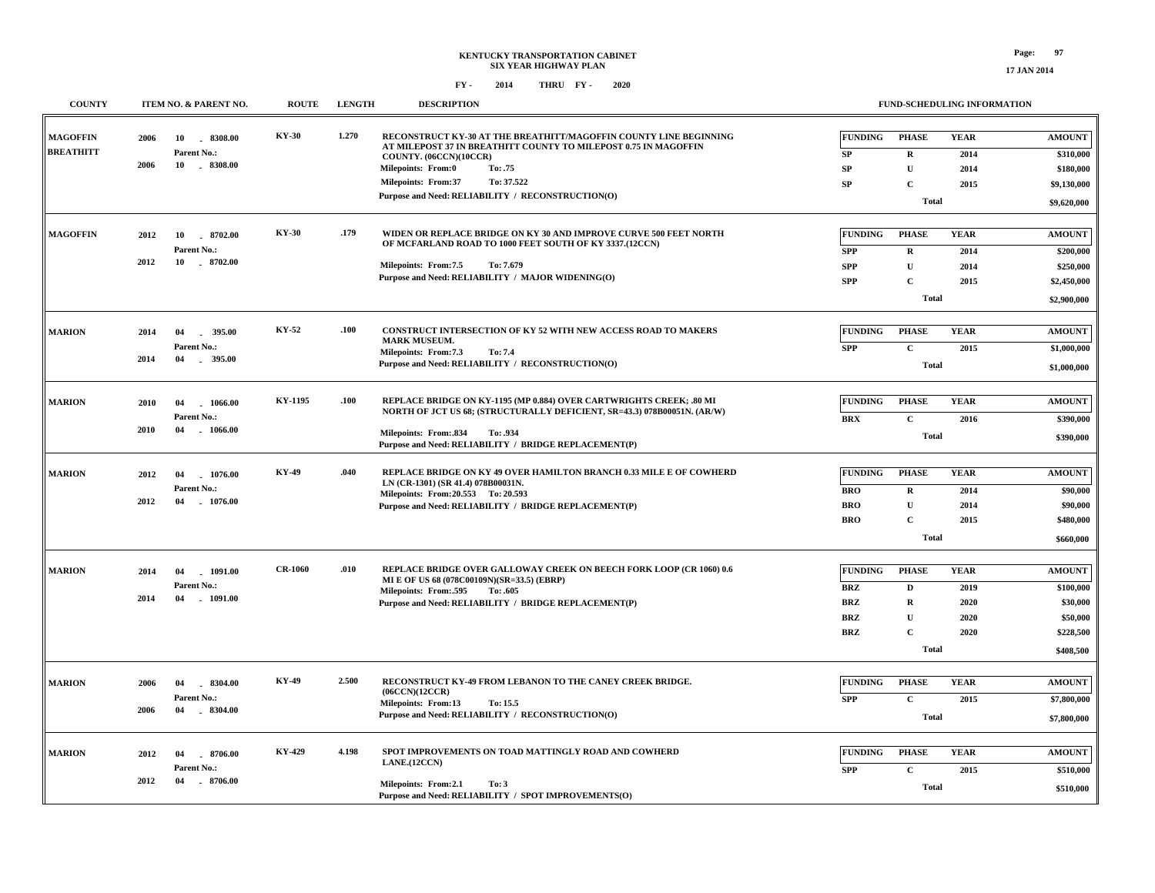**17 JAN 2014**

| <b>COUNTY</b>                       | ITEM NO. & PARENT NO.                                                   | <b>ROUTE</b>   | <b>LENGTH</b> | <b>DESCRIPTION</b>                                                                                                                                                                                                                                                                                      | FUND-SCHEDULING INFORMATION                                                                                                                                                                              |                                                                              |
|-------------------------------------|-------------------------------------------------------------------------|----------------|---------------|---------------------------------------------------------------------------------------------------------------------------------------------------------------------------------------------------------------------------------------------------------------------------------------------------------|----------------------------------------------------------------------------------------------------------------------------------------------------------------------------------------------------------|------------------------------------------------------------------------------|
| <b>MAGOFFIN</b><br><b>BREATHITT</b> | 2006<br>10<br>8308.00<br>Parent No.:<br>2006<br>$-8308.00$<br>10        | <b>KY-30</b>   | 1.270         | RECONSTRUCT KY-30 AT THE BREATHITT/MAGOFFIN COUNTY LINE BEGINNING<br>AT MILEPOST 37 IN BREATHITT COUNTY TO MILEPOST 0.75 IN MAGOFFIN<br>COUNTY. (06CCN)(10CCR)<br><b>Milepoints: From:0</b><br>To: .75<br>To: 37.522<br><b>Milepoints: From:37</b><br>Purpose and Need: RELIABILITY / RECONSTRUCTION(O) | <b>FUNDING</b><br><b>PHASE</b><br><b>YEAR</b><br><b>SP</b><br>$\mathbf R$<br>2014<br>SP<br>U<br>2014<br><b>SP</b><br>$\mathbf{C}$<br>2015<br><b>Total</b>                                                | <b>AMOUNT</b><br>\$310,000<br>\$180,000<br>\$9,130,000<br>\$9,620,000        |
| <b>MAGOFFIN</b>                     | 2012<br>10 8702.00<br>Parent No.:<br>2012<br>10<br>8702.00              | KY-30          | .179          | WIDEN OR REPLACE BRIDGE ON KY 30 AND IMPROVE CURVE 500 FEET NORTH<br>OF MCFARLAND ROAD TO 1000 FEET SOUTH OF KY 3337.(12CCN)<br>Milepoints: From:7.5<br>To: 7.679<br>Purpose and Need: RELIABILITY / MAJOR WIDENING(O)                                                                                  | <b>FUNDING</b><br><b>PHASE</b><br><b>YEAR</b><br><b>SPP</b><br>$\mathbf R$<br>2014<br>$\mathbf U$<br><b>SPP</b><br>2014<br>$\mathbf{C}$<br><b>SPP</b><br>2015<br><b>Total</b>                            | <b>AMOUNT</b><br>\$200,000<br>\$250,000<br>\$2,450,000<br>\$2,900,000        |
| <b>MARION</b>                       | 2014<br>04<br>395.00<br>Parent No.:<br>2014<br>04<br>. 395.00           | KY-52          | .100          | CONSTRUCT INTERSECTION OF KY 52 WITH NEW ACCESS ROAD TO MAKERS<br><b>MARK MUSEUM.</b><br>Milepoints: From:7.3<br>To: 7.4<br>Purpose and Need: RELIABILITY / RECONSTRUCTION(O)                                                                                                                           | <b>FUNDING</b><br><b>PHASE</b><br><b>YEAR</b><br><b>SPP</b><br>$\mathbf C$<br>2015<br><b>Total</b>                                                                                                       | <b>AMOUNT</b><br>\$1,000,000<br>\$1,000,000                                  |
| <b>MARION</b>                       | 2010<br>04<br>1066.00<br>Parent No.:<br>2010<br>04<br>$-1066.00$        | KY-1195        | .100          | REPLACE BRIDGE ON KY-1195 (MP 0.884) OVER CARTWRIGHTS CREEK; .80 MI<br>NORTH OF JCT US 68; (STRUCTURALLY DEFICIENT, SR=43.3) 078B00051N. (AR/W)<br><b>Milepoints: From:.834</b><br>To: .934<br>Purpose and Need: RELIABILITY / BRIDGE REPLACEMENT(P)                                                    | <b>YEAR</b><br><b>FUNDING</b><br><b>PHASE</b><br>$\mathbf C$<br><b>BRX</b><br>2016<br><b>Total</b>                                                                                                       | <b>AMOUNT</b><br>\$390,000<br>\$390,000                                      |
| <b>MARION</b>                       | 2012<br>04<br>1076.00<br><b>Parent No.:</b><br>2012<br>04<br>$-1076.00$ | <b>KY-49</b>   | .040          | REPLACE BRIDGE ON KY 49 OVER HAMILTON BRANCH 0.33 MILE E OF COWHERD<br>LN (CR-1301) (SR 41.4) 078B00031N.<br>Milepoints: From: 20.553 To: 20.593<br>Purpose and Need: RELIABILITY / BRIDGE REPLACEMENT(P)                                                                                               | <b>FUNDING</b><br><b>PHASE</b><br><b>YEAR</b><br><b>BRO</b><br>$\mathbf R$<br>2014<br><b>BRO</b><br>$\mathbf U$<br>2014<br>$\mathbf C$<br><b>BRO</b><br>2015<br><b>Total</b>                             | <b>AMOUNT</b><br>\$90,000<br>\$90,000<br>\$480,000<br>\$660,000              |
| <b>MARION</b>                       | 2014<br>04<br>$-1091.00$<br>Parent No.:<br>2014<br>1091.00<br>04        | <b>CR-1060</b> | .010          | REPLACE BRIDGE OVER GALLOWAY CREEK ON BEECH FORK LOOP (CR 1060) 0.6<br>MI E OF US 68 (078C00109N)(SR=33.5) (EBRP)<br>Milepoints: From:.595<br>To: .605<br>Purpose and Need: RELIABILITY / BRIDGE REPLACEMENT(P)                                                                                         | <b>FUNDING</b><br><b>PHASE</b><br><b>YEAR</b><br><b>BRZ</b><br>2019<br>D<br><b>BRZ</b><br>$\mathbf R$<br>2020<br><b>BRZ</b><br>$\mathbf U$<br>2020<br>$\mathbf{C}$<br><b>BRZ</b><br>2020<br><b>Total</b> | <b>AMOUNT</b><br>\$100,000<br>\$30,000<br>\$50,000<br>\$228,500<br>\$408,500 |
| <b>MARION</b>                       | 8304.00<br>2006<br>04<br>Parent No.:<br>2006<br>04<br>$-8304.00$        | <b>KY-49</b>   | 2.500         | RECONSTRUCT KY-49 FROM LEBANON TO THE CANEY CREEK BRIDGE.<br>(06CCN)(12CCR)<br><b>Milepoints: From:13</b><br>To: 15.5<br>Purpose and Need: RELIABILITY / RECONSTRUCTION(O)                                                                                                                              | <b>FUNDING</b><br><b>PHASE</b><br><b>YEAR</b><br><b>SPP</b><br>$\mathbf{C}$<br>2015<br><b>Total</b>                                                                                                      | <b>AMOUNT</b><br>\$7,800,000<br>\$7,800,000                                  |
| <b>MARION</b>                       | 2012<br>04<br>8706.00<br>Parent No.:<br>2012<br>04<br>$-8706.00$        | KY-429         | 4.198         | SPOT IMPROVEMENTS ON TOAD MATTINGLY ROAD AND COWHERD<br>LANE.(12CCN)<br>Milepoints: From:2.1<br>To: 3<br>Purpose and Need: RELIABILITY / SPOT IMPROVEMENTS(O)                                                                                                                                           | <b>FUNDING</b><br><b>PHASE</b><br><b>YEAR</b><br><b>SPP</b><br>$\mathbf C$<br>2015<br><b>Total</b>                                                                                                       | <b>AMOUNT</b><br>\$510,000<br>\$510,000                                      |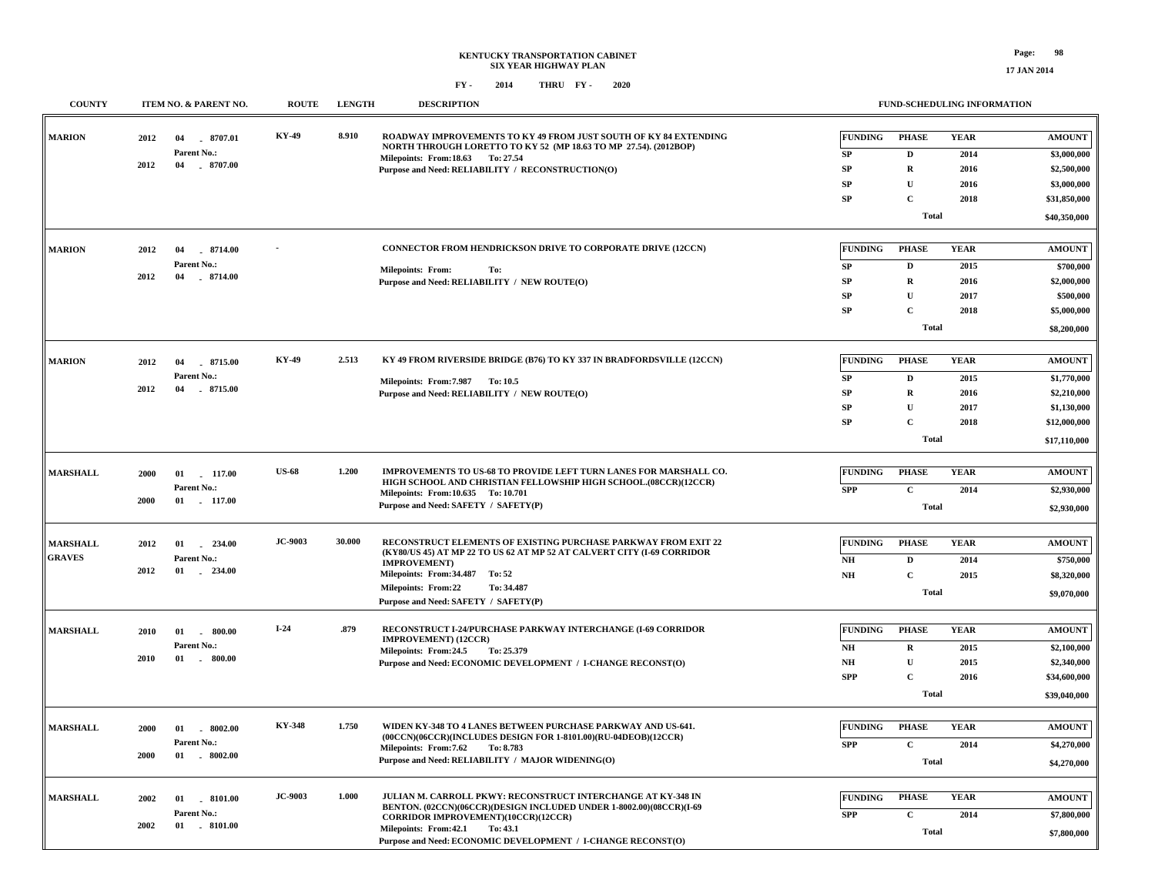**17 JAN 2014**

| <b>COUNTY</b>   |      | ITEM NO. & PARENT NO.      | <b>ROUTE</b>   | <b>LENGTH</b> | <b>DESCRIPTION</b>                                                                                                              |                                                                                  |              | FUND-SCHEDULING INFORMATION |               |             |
|-----------------|------|----------------------------|----------------|---------------|---------------------------------------------------------------------------------------------------------------------------------|----------------------------------------------------------------------------------|--------------|-----------------------------|---------------|-------------|
| <b>MARION</b>   | 2012 | 8707.01<br>04              | KY-49          | 8.910         | ROADWAY IMPROVEMENTS TO KY 49 FROM JUST SOUTH OF KY 84 EXTENDING                                                                | <b>FUNDING</b>                                                                   | <b>PHASE</b> | <b>YEAR</b>                 | <b>AMOUNT</b> |             |
|                 |      | Parent No.:                |                |               | NORTH THROUGH LORETTO TO KY 52 (MP 18.63 TO MP 27.54). (2012BOP)<br>Milepoints: From:18.63 To: 27.54                            | ${\bf SP}$                                                                       | $\mathbf D$  | 2014                        | \$3,000,000   |             |
|                 | 2012 | 04<br>$-8707.00$           |                |               | Purpose and Need: RELIABILITY / RECONSTRUCTION(O)                                                                               | ${\bf SP}$                                                                       | $\mathbf R$  | 2016                        | \$2,500,000   |             |
|                 |      |                            |                |               |                                                                                                                                 | ${\bf SP}$                                                                       | $\mathbf{U}$ | 2016                        | \$3,000,000   |             |
|                 |      |                            |                |               |                                                                                                                                 | SP                                                                               | $\mathbf C$  | 2018                        | \$31,850,000  |             |
|                 |      |                            |                |               |                                                                                                                                 |                                                                                  | <b>Total</b> |                             | \$40,350,000  |             |
| <b>MARION</b>   | 2012 | 8714.00<br>04              |                |               | CONNECTOR FROM HENDRICKSON DRIVE TO CORPORATE DRIVE (12CCN)                                                                     | <b>FUNDING</b>                                                                   | <b>PHASE</b> | <b>YEAR</b>                 | <b>AMOUNT</b> |             |
|                 |      | Parent No.:                |                |               |                                                                                                                                 | ${\bf SP}$                                                                       | $\mathbf{D}$ | 2015                        | \$700,000     |             |
|                 | 2012 | 04<br>8714.00              |                |               | <b>Milepoints: From:</b><br>To:<br>Purpose and Need: RELIABILITY / NEW ROUTE(O)                                                 | ${\bf SP}$                                                                       | $\mathbf R$  | 2016                        | \$2,000,000   |             |
|                 |      |                            |                |               |                                                                                                                                 | SP                                                                               | $\mathbf U$  | 2017                        | \$500,000     |             |
|                 |      |                            |                |               |                                                                                                                                 | SP                                                                               | $\mathbf C$  | 2018                        | \$5,000,000   |             |
|                 |      |                            |                |               |                                                                                                                                 |                                                                                  | <b>Total</b> |                             | \$8,200,000   |             |
|                 |      |                            | <b>KY-49</b>   | 2.513         |                                                                                                                                 | <b>FUNDING</b>                                                                   |              |                             |               |             |
| <b>MARION</b>   | 2012 | 04<br>8715.00              |                |               | KY 49 FROM RIVERSIDE BRIDGE (B76) TO KY 337 IN BRADFORDSVILLE (12CCN)                                                           |                                                                                  | <b>PHASE</b> | <b>YEAR</b>                 | <b>AMOUNT</b> |             |
|                 | 2012 | Parent No.:<br>04 .8715.00 |                |               | Milepoints: From: 7.987 To: 10.5                                                                                                | ${\bf SP}$                                                                       | $\mathbf D$  | 2015                        | \$1,770,000   |             |
|                 |      |                            |                |               | Purpose and Need: RELIABILITY / NEW ROUTE(O)                                                                                    | SP                                                                               | $\mathbf R$  | 2016                        | \$2,210,000   |             |
|                 |      |                            |                |               |                                                                                                                                 | SP                                                                               | $\mathbf{U}$ | 2017                        | \$1,130,000   |             |
|                 |      |                            |                |               |                                                                                                                                 | ${\bf SP}$                                                                       | $\mathbf C$  | 2018                        | \$12,000,000  |             |
|                 |      |                            |                |               |                                                                                                                                 |                                                                                  | Total        |                             | \$17,110,000  |             |
| <b>MARSHALL</b> | 2000 | $01$ 117.00                | <b>US-68</b>   | 1.200         | IMPROVEMENTS TO US-68 TO PROVIDE LEFT TURN LANES FOR MARSHALL CO.                                                               | <b>FUNDING</b>                                                                   | <b>PHASE</b> | <b>YEAR</b>                 | <b>AMOUNT</b> |             |
|                 |      | Parent No.:                |                |               | HIGH SCHOOL AND CHRISTIAN FELLOWSHIP HIGH SCHOOL.(08CCR)(12CCR)<br>Milepoints: From:10.635 To:10.701                            | <b>SPP</b>                                                                       | $\mathbf C$  | 2014                        | \$2,930,000   |             |
|                 | 2000 | $01 \quad 117.00$          |                |               | Purpose and Need: SAFETY / SAFETY(P)                                                                                            |                                                                                  | Total        |                             | \$2,930,000   |             |
|                 |      |                            | JC-9003        | 30.000        | RECONSTRUCT ELEMENTS OF EXISTING PURCHASE PARKWAY FROM EXIT 22                                                                  |                                                                                  |              |                             |               |             |
| <b>MARSHALL</b> | 2012 | 01<br>$-234.00$            |                |               | (KY80/US 45) AT MP 22 TO US 62 AT MP 52 AT CALVERT CITY (I-69 CORRIDOR                                                          | <b>FUNDING</b>                                                                   | <b>PHASE</b> | <b>YEAR</b>                 | <b>AMOUNT</b> |             |
| <b>GRAVES</b>   | 2012 | Parent No.:<br>01 234.00   |                |               | <b>IMPROVEMENT</b> )                                                                                                            | N <sub>H</sub>                                                                   | D            | 2014                        | \$750,000     |             |
|                 |      |                            |                |               | Milepoints: From: 34.487 To: 52                                                                                                 | $\mathbf{N}\mathbf{H}$                                                           | $\mathbf C$  | 2015                        | \$8,320,000   |             |
|                 |      |                            |                |               | <b>Milepoints: From:22</b><br>To: 34.487<br>Purpose and Need: SAFETY / SAFETY(P)                                                |                                                                                  | <b>Total</b> |                             | \$9,070,000   |             |
| <b>MARSHALL</b> | 2010 | 01<br>$-800.00$            | $I-24$         | .879          | RECONSTRUCT I-24/PURCHASE PARKWAY INTERCHANGE (I-69 CORRIDOR                                                                    | <b>FUNDING</b>                                                                   | <b>PHASE</b> | <b>YEAR</b>                 | <b>AMOUNT</b> |             |
|                 |      | Parent No.:                |                |               | IMPROVEMENT) (12CCR)                                                                                                            | $\mathbf{N}\mathbf{H}$                                                           | $\mathbf R$  | 2015                        | \$2,100,000   |             |
|                 | 2010 | $01$ . 800.00              |                |               | Milepoints: From: 24.5 To: 25.379<br>Purpose and Need: ECONOMIC DEVELOPMENT / I-CHANGE RECONST(O)                               | $\mathbf{N}\mathbf{H}$                                                           | $\mathbf U$  | 2015                        | \$2,340,000   |             |
|                 |      |                            |                |               |                                                                                                                                 | <b>SPP</b>                                                                       | $\mathbf C$  | 2016                        | \$34,600,000  |             |
|                 |      |                            |                |               |                                                                                                                                 |                                                                                  | Total        |                             | \$39,040,000  |             |
|                 |      |                            |                |               |                                                                                                                                 |                                                                                  |              |                             |               |             |
| <b>MARSHALL</b> | 2000 | $01$ $8002.00$             | KY-348         | 1.750         | WIDEN KY-348 TO 4 LANES BETWEEN PURCHASE PARKWAY AND US-641.<br>(00CCN)(06CCR)(INCLUDES DESIGN FOR 1-8101.00)(RU-04DEOB)(12CCR) | <b>FUNDING</b>                                                                   | <b>PHASE</b> | <b>YEAR</b>                 | <b>AMOUNT</b> |             |
|                 |      | Parent No.:                |                |               | Milepoints: From: 7.62<br>To: 8.783                                                                                             | <b>SPP</b>                                                                       | $\mathbf C$  | 2014                        | \$4,270,000   |             |
|                 | 2000 | $-8002.00$<br>01           |                |               | Purpose and Need: RELIABILITY / MAJOR WIDENING(O)                                                                               |                                                                                  | <b>Total</b> |                             | \$4,270,000   |             |
| <b>MARSHALL</b> | 2002 | $01$ $8101.00$             | <b>JC-9003</b> | 1.000         | JULIAN M. CARROLL PKWY: RECONSTRUCT INTERCHANGE AT KY-348 IN                                                                    | <b>FUNDING</b>                                                                   | <b>PHASE</b> | <b>YEAR</b>                 | <b>AMOUNT</b> |             |
|                 |      | Parent No.:                |                |               | BENTON. (02CCN)(06CCR)(DESIGN INCLUDED UNDER 1-8002.00)(08CCR)(I-69                                                             | <b>SPP</b>                                                                       | $\mathbf C$  | 2014                        |               |             |
|                 | 2002 |                            | $01$ . 8101.00 |               |                                                                                                                                 | <b>CORRIDOR IMPROVEMENT)(10CCR)(12CCR)</b><br>Milepoints: From: 42.1<br>To: 43.1 |              |                             |               | \$7,800,000 |
|                 |      |                            |                |               | Purpose and Need: ECONOMIC DEVELOPMENT / I-CHANGE RECONST(O)                                                                    |                                                                                  | <b>Total</b> |                             | \$7,800,000   |             |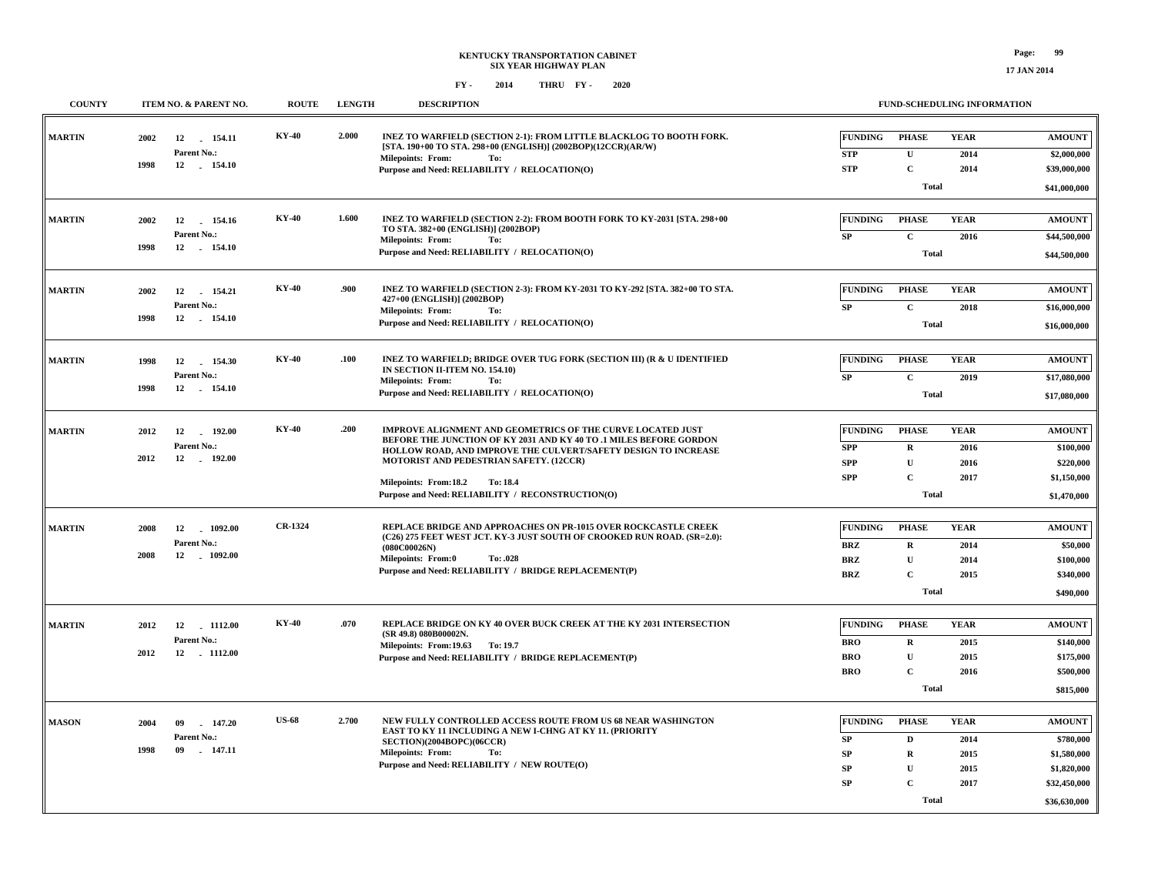| <b>COUNTY</b>     |                   | ITEM NO. & PARENT NO.         | <b>ROUTE</b>                                  | <b>LENGTH</b> | <b>DESCRIPTION</b>                                                                                                                   | FUND-SCHEDULING INFORMATION |              |             |               |
|-------------------|-------------------|-------------------------------|-----------------------------------------------|---------------|--------------------------------------------------------------------------------------------------------------------------------------|-----------------------------|--------------|-------------|---------------|
| <b>MARTIN</b>     | 2002              | 12 154.11                     | <b>KY-40</b>                                  | 2.000         | INEZ TO WARFIELD (SECTION 2-1): FROM LITTLE BLACKLOG TO BOOTH FORK.<br>[STA. 190+00 TO STA. 298+00 (ENGLISH)] (2002BOP)(12CCR)(AR/W) | <b>FUNDING</b>              | <b>PHASE</b> | <b>YEAR</b> | <b>AMOUNT</b> |
|                   |                   | Parent No.:                   |                                               |               | <b>Milepoints: From:</b><br>To:                                                                                                      | STP                         | $\mathbf{U}$ | 2014        | \$2,000,000   |
|                   | 1998              | 12 154.10                     |                                               |               | Purpose and Need: RELIABILITY / RELOCATION(O)                                                                                        | <b>STP</b>                  | $\mathbf C$  | 2014        | \$39,000,000  |
|                   |                   |                               |                                               |               |                                                                                                                                      |                             | <b>Total</b> |             | \$41,000,000  |
| <b>MARTIN</b>     | 2002              | 12<br>154.16                  | <b>KY-40</b>                                  | 1.600         | INEZ TO WARFIELD (SECTION 2-2): FROM BOOTH FORK TO KY-2031 [STA. 298+00                                                              | <b>FUNDING</b>              | <b>PHASE</b> | <b>YEAR</b> | <b>AMOUNT</b> |
|                   |                   | Parent No.:                   |                                               |               | TO STA. 382+00 (ENGLISH)] (2002BOP)                                                                                                  | SP                          | $\mathbf{C}$ | 2016        | \$44,500,000  |
|                   | 1998              | 12 154.10                     |                                               |               | <b>Milepoints: From:</b><br>To:<br>Purpose and Need: RELIABILITY / RELOCATION(O)                                                     |                             | <b>Total</b> |             |               |
|                   |                   |                               |                                               |               |                                                                                                                                      |                             |              |             | \$44,500,000  |
| <b>MARTIN</b>     | 2002              | 12<br>154.21                  | <b>KY-40</b>                                  | .900          | INEZ TO WARFIELD (SECTION 2-3): FROM KY-2031 TO KY-292 [STA. 382+00 TO STA.                                                          | <b>FUNDING</b>              | <b>PHASE</b> | <b>YEAR</b> | <b>AMOUNT</b> |
|                   |                   | Parent No.:                   |                                               |               | 427+00 (ENGLISH)] (2002BOP)<br>Milepoints: From:<br>To:                                                                              | SP                          | $\mathbf C$  | 2018        | \$16,000,000  |
|                   | 1998<br>12 154.10 |                               |                                               |               | Purpose and Need: RELIABILITY / RELOCATION(O)                                                                                        |                             | <b>Total</b> |             | \$16,000,000  |
|                   |                   |                               |                                               |               |                                                                                                                                      |                             |              |             |               |
| <b>MARTIN</b>     | 1998              | 12<br>154.30                  | <b>KY-40</b>                                  | .100          | INEZ TO WARFIELD; BRIDGE OVER TUG FORK (SECTION III) (R & U IDENTIFIED                                                               | <b>FUNDING</b>              | <b>PHASE</b> | <b>YEAR</b> | <b>AMOUNT</b> |
|                   |                   | Parent No.:                   |                                               |               | IN SECTION II-ITEM NO. 154.10)<br><b>Milepoints: From:</b><br>To:                                                                    | SP                          | $\mathbf{C}$ | 2019        | \$17,080,000  |
| 1998<br>12 154.10 |                   |                               | Purpose and Need: RELIABILITY / RELOCATION(O) |               | <b>Total</b>                                                                                                                         |                             |              |             |               |
|                   |                   |                               |                                               |               |                                                                                                                                      |                             |              |             |               |
| <b>MARTIN</b>     | 2012              | 12<br>192.00                  | <b>KY-40</b>                                  | .200          | IMPROVE ALIGNMENT AND GEOMETRICS OF THE CURVE LOCATED JUST<br>BEFORE THE JUNCTION OF KY 2031 AND KY 40 TO .1 MILES BEFORE GORDON     | <b>FUNDING</b>              | <b>PHASE</b> | <b>YEAR</b> | <b>AMOUNT</b> |
|                   |                   | Parent No.:                   |                                               |               | HOLLOW ROAD, AND IMPROVE THE CULVERT/SAFETY DESIGN TO INCREASE                                                                       | <b>SPP</b>                  | $\mathbf{R}$ | 2016        | \$100,000     |
|                   | 2012              | 12<br>192.00<br>$\sim$ $\sim$ |                                               |               | MOTORIST AND PEDESTRIAN SAFETY. (12CCR)                                                                                              | <b>SPP</b>                  | U            | 2016        | \$220,000     |
|                   |                   |                               |                                               |               | Milepoints: From:18.2<br>To: 18.4                                                                                                    | <b>SPP</b>                  | $\mathbf{C}$ | 2017        | \$1,150,000   |
|                   |                   |                               |                                               |               | Purpose and Need: RELIABILITY / RECONSTRUCTION(O)                                                                                    |                             | <b>Total</b> |             | \$1,470,000   |
| <b>MARTIN</b>     | 2008              | 12<br>1092.00                 | CR-1324                                       |               | REPLACE BRIDGE AND APPROACHES ON PR-1015 OVER ROCKCASTLE CREEK                                                                       | <b>FUNDING</b>              | <b>PHASE</b> | <b>YEAR</b> | <b>AMOUNT</b> |
|                   |                   | Parent No.:                   |                                               |               | (C26) 275 FEET WEST JCT. KY-3 JUST SOUTH OF CROOKED RUN ROAD. (SR=2.0):<br>(080C00026N)                                              | <b>BRZ</b>                  | R            | 2014        | \$50,000      |
|                   | 2008              | 12<br>$-1092.00$              |                                               |               | Milepoints: From:0<br>To: .028                                                                                                       | <b>BRZ</b>                  | $\mathbf{U}$ | 2014        | \$100,000     |
|                   |                   |                               |                                               |               | Purpose and Need: RELIABILITY / BRIDGE REPLACEMENT(P)                                                                                | <b>BRZ</b>                  | $\mathbf C$  | 2015        | \$340,000     |
|                   |                   |                               |                                               |               |                                                                                                                                      |                             | <b>Total</b> |             | \$490,000     |
|                   |                   |                               |                                               |               |                                                                                                                                      |                             |              |             |               |
| <b>MARTIN</b>     | 2012              | 12 1112.00                    | <b>KY-40</b>                                  | .070          | REPLACE BRIDGE ON KY 40 OVER BUCK CREEK AT THE KY 2031 INTERSECTION<br>(SR 49.8) 080B00002N.                                         | FUNDING                     | <b>PHASE</b> | <b>YEAR</b> | <b>AMOUNT</b> |
|                   | 2012              | Parent No.:<br>12 1112.00     |                                               |               | Milepoints: From:19.63 To:19.7                                                                                                       | <b>BRO</b>                  | $\mathbf R$  | 2015        | \$140,000     |
|                   |                   |                               |                                               |               | Purpose and Need: RELIABILITY / BRIDGE REPLACEMENT(P)                                                                                | <b>BRO</b>                  | $\mathbf U$  | 2015        | \$175,000     |
|                   |                   |                               |                                               |               |                                                                                                                                      | <b>BRO</b>                  | $\mathbf C$  | 2016        | \$500,000     |
|                   |                   |                               |                                               |               |                                                                                                                                      |                             | Total        |             | \$815,000     |
| <b>MASON</b>      | 2004              | 147.20<br>09                  | <b>US-68</b>                                  | 2.700         | NEW FULLY CONTROLLED ACCESS ROUTE FROM US 68 NEAR WASHINGTON                                                                         | <b>FUNDING</b>              | <b>PHASE</b> | <b>YEAR</b> | <b>AMOUNT</b> |
|                   |                   | Parent No.:                   |                                               |               | EAST TO KY 11 INCLUDING A NEW I-CHNG AT KY 11. (PRIORITY<br>SECTION)(2004BOPC)(06CCR)                                                | SP                          | D            | 2014        | \$780,000     |
|                   | 1998              | 09<br>$-147.11$               |                                               |               | <b>Milepoints: From:</b><br>To:                                                                                                      | <b>SP</b>                   | $\mathbf R$  | 2015        | \$1,580,000   |
|                   |                   |                               |                                               |               | Purpose and Need: RELIABILITY / NEW ROUTE(O)                                                                                         | SP                          | U            | 2015        | \$1,820,000   |
|                   |                   |                               |                                               |               |                                                                                                                                      | SP                          | $\mathbf{C}$ | 2017        | \$32,450,000  |
|                   |                   |                               |                                               |               |                                                                                                                                      |                             | Total        |             | \$36,630,000  |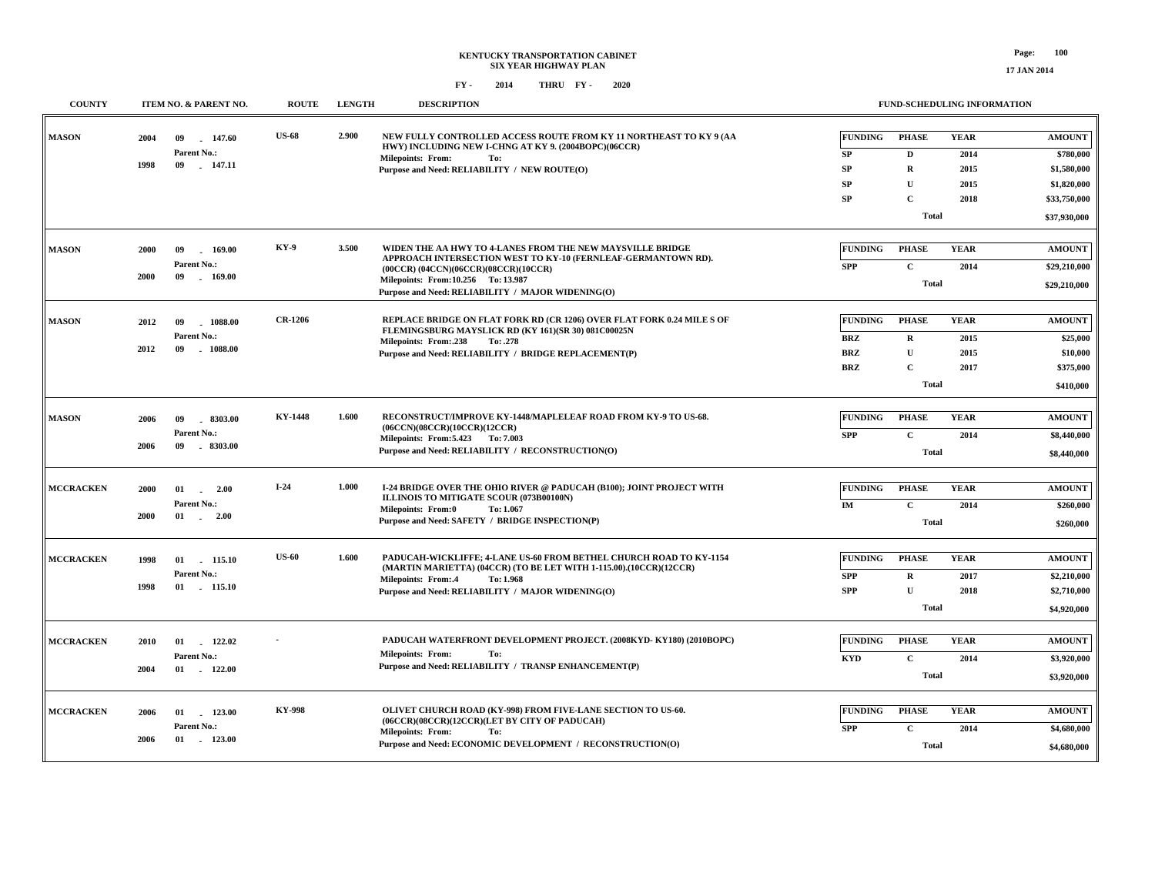#### **FY - FY - 2014 2020 THRU**

| <b>COUNTY</b>    |      | ITEM NO. & PARENT NO.           | <b>ROUTE</b>   | <b>LENGTH</b> | <b>DESCRIPTION</b>                                                                                                            |                | FUND-SCHEDULING INFORMATION |             |               |  |
|------------------|------|---------------------------------|----------------|---------------|-------------------------------------------------------------------------------------------------------------------------------|----------------|-----------------------------|-------------|---------------|--|
| <b>MASON</b>     | 2004 | 147.60<br>09<br>Parent No.:     | <b>US-68</b>   | 2.900         | NEW FULLY CONTROLLED ACCESS ROUTE FROM KY 11 NORTHEAST TO KY 9 (AA<br>HWY) INCLUDING NEW I-CHNG AT KY 9. (2004BOPC)(06CCR)    | <b>FUNDING</b> | <b>PHASE</b>                | <b>YEAR</b> | <b>AMOUNT</b> |  |
|                  | 1998 | 09<br>147.11                    |                |               | <b>Milepoints: From:</b><br>To:                                                                                               | SP             | $\mathbf D$                 | 2014        | \$780,000     |  |
|                  |      |                                 |                |               | Purpose and Need: RELIABILITY / NEW ROUTE(O)                                                                                  | SP             | R                           | 2015        | \$1,580,000   |  |
|                  |      |                                 |                |               |                                                                                                                               | SP             | U                           | 2015        | \$1,820,000   |  |
|                  |      |                                 |                |               |                                                                                                                               | SP             | $\mathbf C$                 | 2018        | \$33,750,000  |  |
|                  |      |                                 |                |               |                                                                                                                               |                | <b>Total</b>                |             | \$37,930,000  |  |
|                  |      |                                 |                |               |                                                                                                                               |                |                             |             |               |  |
| <b>MASON</b>     | 2000 | 09<br>169.00                    | KY-9           | 3.500         | WIDEN THE AA HWY TO 4-LANES FROM THE NEW MAYSVILLE BRIDGE<br>APPROACH INTERSECTION WEST TO KY-10 (FERNLEAF-GERMANTOWN RD).    | <b>FUNDING</b> | <b>PHASE</b>                | <b>YEAR</b> | <b>AMOUNT</b> |  |
|                  | 2000 | Parent No.:<br>09<br>169.00     |                |               | $(00CCR)$ $(04CCN)$ $(06CCR)$ $(08CCR)$ $(10CCR)$<br>Milepoints: From:10.256 To:13.987                                        | <b>SPP</b>     | $\mathbf C$                 | 2014        | \$29,210,000  |  |
|                  |      |                                 |                |               | Purpose and Need: RELIABILITY / MAJOR WIDENING(O)                                                                             |                | Total                       |             |               |  |
|                  |      |                                 |                |               |                                                                                                                               |                |                             |             |               |  |
| <b>MASON</b>     | 2012 | $-1088.00$<br>09<br>Parent No.: | <b>CR-1206</b> |               | REPLACE BRIDGE ON FLAT FORK RD (CR 1206) OVER FLAT FORK 0.24 MILE S OF<br>FLEMINGSBURG MAYSLICK RD (KY 161)(SR 30) 081C00025N | <b>FUNDING</b> | <b>PHASE</b>                | <b>YEAR</b> | <b>AMOUNT</b> |  |
|                  | 2012 | 09<br>$-1088.00$                |                |               | Milepoints: From:.238<br>To: .278                                                                                             | BRZ            | $\mathbf R$                 | 2015        | \$25,000      |  |
|                  |      |                                 |                |               | Purpose and Need: RELIABILITY / BRIDGE REPLACEMENT(P)                                                                         | <b>BRZ</b>     | $\mathbf{U}$                | 2015        | \$10,000      |  |
|                  |      |                                 |                |               |                                                                                                                               | <b>BRZ</b>     | $\mathbf C$                 | 2017        | \$375,000     |  |
|                  |      |                                 |                |               |                                                                                                                               |                | Total                       |             | \$410,000     |  |
| <b>MASON</b>     | 2006 | 09<br>$-8303.00$                | <b>KY-1448</b> | 1.600         | RECONSTRUCT/IMPROVE KY-1448/MAPLELEAF ROAD FROM KY-9 TO US-68.                                                                | <b>FUNDING</b> | <b>PHASE</b>                | <b>YEAR</b> | <b>AMOUNT</b> |  |
|                  |      | Parent No.:                     |                |               | (06CCN)(08CCR)(10CCR)(12CCR)                                                                                                  | <b>SPP</b>     | $\mathbf C$                 | 2014        |               |  |
|                  | 2006 | $-8303.00$<br>09                |                |               | Milepoints: From: 5.423 To: 7.003<br>Purpose and Need: RELIABILITY / RECONSTRUCTION(O)                                        |                |                             |             | \$8,440,000   |  |
|                  |      |                                 |                |               |                                                                                                                               |                | Total                       |             | \$8,440,000   |  |
| <b>MCCRACKEN</b> | 2000 | 01<br>2.00                      | $I-24$         | 1.000         | I-24 BRIDGE OVER THE OHIO RIVER @ PADUCAH (B100); JOINT PROJECT WITH                                                          | <b>FUNDING</b> | <b>PHASE</b>                | <b>YEAR</b> | <b>AMOUNT</b> |  |
|                  |      | i.<br>Parent No.:               |                |               | ILLINOIS TO MITIGATE SCOUR (073B00100N)                                                                                       | IM             | $\mathbf C$                 | 2014        | \$260,000     |  |
|                  | 2000 | 01<br>2.00<br>$\sim$            |                |               | Milepoints: From:0<br>To: 1.067<br>Purpose and Need: SAFETY / BRIDGE INSPECTION(P)                                            |                | <b>Total</b>                |             |               |  |
|                  |      |                                 |                |               |                                                                                                                               |                |                             |             | \$260,000     |  |
| <b>MCCRACKEN</b> | 1998 | 01<br>115.10                    | <b>US-60</b>   | 1.600         | PADUCAH-WICKLIFFE; 4-LANE US-60 FROM BETHEL CHURCH ROAD TO KY-1154                                                            | <b>FUNDING</b> | <b>PHASE</b>                | <b>YEAR</b> | <b>AMOUNT</b> |  |
|                  |      | Parent No.:                     |                |               | (MARTIN MARIETTA) (04CCR) (TO BE LET WITH 1-115.00).(10CCR)(12CCR)                                                            | <b>SPP</b>     | $\mathbf R$                 | 2017        | \$2,210,000   |  |
|                  | 1998 | 01 115.10                       |                |               | <b>Milepoints: From:.4</b><br>To: 1.968<br>Purpose and Need: RELIABILITY / MAJOR WIDENING(O)                                  | <b>SPP</b>     | $\mathbf{U}$                | 2018        | \$2,710,000   |  |
|                  |      |                                 |                |               |                                                                                                                               |                | Total                       |             | \$4,920,000   |  |
|                  |      |                                 |                |               |                                                                                                                               |                |                             |             |               |  |
| <b>MCCRACKEN</b> | 2010 | 122.02<br>01                    |                |               | PADUCAH WATERFRONT DEVELOPMENT PROJECT. (2008KYD-KY180) (2010BOPC)                                                            | <b>FUNDING</b> | <b>PHASE</b>                | <b>YEAR</b> | <b>AMOUNT</b> |  |
|                  |      | Parent No.:                     |                |               | <b>Milepoints: From:</b><br>To:                                                                                               | <b>KYD</b>     | $\mathbf{C}$                | 2014        | \$3,920,000   |  |
|                  | 2004 | $01 \t 122.00$                  |                |               | Purpose and Need: RELIABILITY / TRANSP ENHANCEMENT(P)                                                                         |                | Total                       |             | \$3,920,000   |  |
|                  |      |                                 |                |               |                                                                                                                               |                |                             |             |               |  |
| <b>MCCRACKEN</b> | 2006 | 123.00<br>01                    | <b>KY-998</b>  |               | OLIVET CHURCH ROAD (KY-998) FROM FIVE-LANE SECTION TO US-60.                                                                  | <b>FUNDING</b> | <b>PHASE</b>                | <b>YEAR</b> | <b>AMOUNT</b> |  |
|                  |      | Parent No.:                     |                |               | (06CCR)(08CCR)(12CCR)(LET BY CITY OF PADUCAH)<br><b>Milepoints: From:</b><br>To:                                              | <b>SPP</b>     | $\mathbf{C}$                | 2014        | \$4,680,000   |  |
|                  | 2006 | $-123.00$<br>01                 |                |               | Purpose and Need: ECONOMIC DEVELOPMENT / RECONSTRUCTION(O)                                                                    |                | Total                       |             | \$4,680,000   |  |
|                  |      |                                 |                |               |                                                                                                                               |                |                             |             |               |  |

**17 JAN 2014**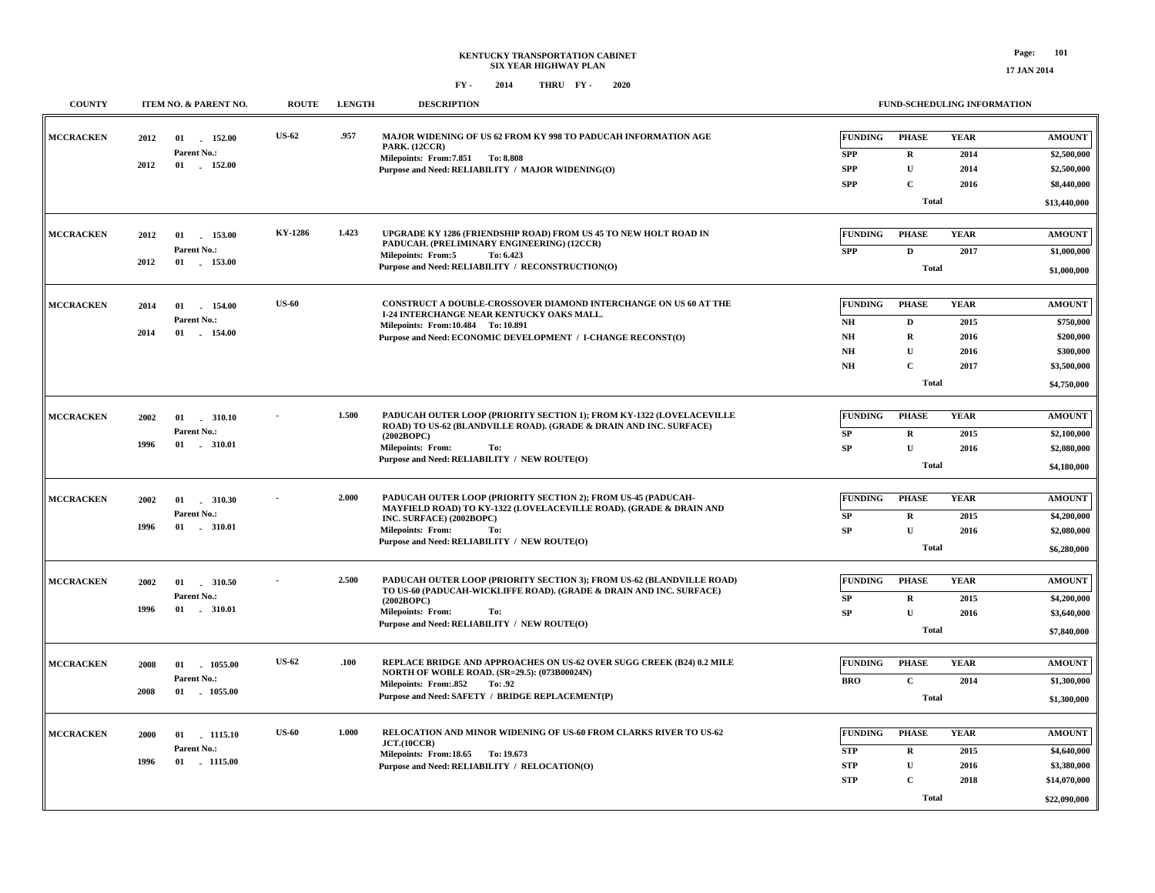**COUNTY ITEM NO. & PARENT NO. ROUTE LENGTH DESCRIPTION**

**FUND-SCHEDULING INFORMATION**

| <b>MCCRACKEN</b> | 2012 | 01<br>152.00  | <b>US-62</b>   | .957  | MAJOR WIDENING OF US 62 FROM KY 998 TO PADUCAH INFORMATION AGE<br><b>PARK.</b> (12CCR)            | <b>FUNDING</b>         | <b>PHASE</b> | <b>YEAR</b> | <b>AMOUNT</b> |
|------------------|------|---------------|----------------|-------|---------------------------------------------------------------------------------------------------|------------------------|--------------|-------------|---------------|
|                  |      | Parent No.:   |                |       | Milepoints: From: 7.851 To: 8.808                                                                 | <b>SPP</b>             | $\mathbf R$  | 2014        | \$2,500,000   |
|                  | 2012 | 01 152.00     |                |       | Purpose and Need: RELIABILITY / MAJOR WIDENING(O)                                                 | <b>SPP</b>             | $\mathbf U$  | 2014        | \$2,500,000   |
|                  |      |               |                |       |                                                                                                   | <b>SPP</b>             | $\mathbf C$  | 2016        | \$8,440,000   |
|                  |      |               |                |       |                                                                                                   |                        | <b>Total</b> |             |               |
|                  |      |               |                |       |                                                                                                   |                        |              |             | \$13,440,000  |
|                  |      |               |                |       |                                                                                                   |                        |              |             |               |
| <b>MCCRACKEN</b> | 2012 | 01 153.00     | <b>KY-1286</b> | 1.423 | UPGRADE KY 1286 (FRIENDSHIP ROAD) FROM US 45 TO NEW HOLT ROAD IN                                  | <b>FUNDING</b>         | <b>PHASE</b> | <b>YEAR</b> | <b>AMOUNT</b> |
|                  |      | Parent No.:   |                |       | PADUCAH. (PRELIMINARY ENGINEERING) (12CCR)<br><b>Milepoints: From:5</b><br>To: 6.423              | <b>SPP</b>             | D            | 2017        | \$1,000,000   |
|                  | 2012 | 01 153.00     |                |       | Purpose and Need: RELIABILITY / RECONSTRUCTION(O)                                                 |                        | <b>Total</b> |             |               |
|                  |      |               |                |       |                                                                                                   |                        |              |             | \$1,000,000   |
|                  |      |               |                |       |                                                                                                   |                        |              |             |               |
| <b>MCCRACKEN</b> | 2014 | 01<br>154.00  | <b>US-60</b>   |       | CONSTRUCT A DOUBLE-CROSSOVER DIAMOND INTERCHANGE ON US 60 AT THE                                  | <b>FUNDING</b>         | <b>PHASE</b> | <b>YEAR</b> | <b>AMOUNT</b> |
|                  |      | Parent No.:   |                |       | I-24 INTERCHANGE NEAR KENTUCKY OAKS MALL.                                                         | $\mathbf{N}\mathbf{H}$ | D            | 2015        | \$750,000     |
|                  | 2014 | 01 154.00     |                |       | Milepoints: From:10.484 To:10.891<br>Purpose and Need: ECONOMIC DEVELOPMENT / I-CHANGE RECONST(O) | $\mathbf{N}\mathbf{H}$ | $\mathbf R$  | 2016        | \$200,000     |
|                  |      |               |                |       |                                                                                                   | $\mathbf{N}\mathbf{H}$ | $\mathbf{U}$ | 2016        | \$300,000     |
|                  |      |               |                |       |                                                                                                   |                        |              |             |               |
|                  |      |               |                |       |                                                                                                   | NH                     | $\mathbf C$  | 2017        | \$3,500,000   |
|                  |      |               |                |       |                                                                                                   |                        | <b>Total</b> |             | \$4,750,000   |
|                  |      |               |                |       |                                                                                                   |                        |              |             |               |
| <b>MCCRACKEN</b> | 2002 | 01<br>.310.10 |                | 1.500 | PADUCAH OUTER LOOP (PRIORITY SECTION 1): FROM KY-1322 (LOVELACEVILLE                              | <b>FUNDING</b>         | <b>PHASE</b> | <b>YEAR</b> | <b>AMOUNT</b> |
|                  |      | Parent No.:   |                |       | ROAD) TO US-62 (BLANDVILLE ROAD). (GRADE & DRAIN AND INC. SURFACE)                                | ${\bf SP}$             | $\bf R$      | 2015        | \$2,100,000   |
|                  | 1996 | 01 . 310.01   |                |       | (2002BOPC)<br>Milepoints: From:<br>To:                                                            | <b>SP</b>              | $\mathbf{U}$ | 2016        | \$2,080,000   |
|                  |      |               |                |       | Purpose and Need: RELIABILITY / NEW ROUTE(O)                                                      |                        |              |             |               |
|                  |      |               |                |       |                                                                                                   |                        | <b>Total</b> |             | \$4,180,000   |
|                  |      |               |                |       |                                                                                                   |                        |              |             |               |
| <b>MCCRACKEN</b> | 2002 | 01<br>310.30  |                | 2.000 | PADUCAH OUTER LOOP (PRIORITY SECTION 2); FROM US-45 (PADUCAH-                                     | <b>FUNDING</b>         | <b>PHASE</b> | <b>YEAR</b> | <b>AMOUNT</b> |
|                  |      | Parent No.:   |                |       | MAYFIELD ROAD) TO KY-1322 (LOVELACEVILLE ROAD). (GRADE & DRAIN AND<br>INC. SURFACE) (2002BOPC)    | ${\bf SP}$             | $\mathbf R$  | 2015        | \$4,200,000   |
|                  | 1996 | 01 . 310.01   |                |       | <b>Milepoints: From:</b><br>To:                                                                   | SP                     | $\mathbf{U}$ | 2016        | \$2,080,000   |
|                  |      |               |                |       | Purpose and Need: RELIABILITY / NEW ROUTE(O)                                                      |                        |              |             |               |
|                  |      |               |                |       |                                                                                                   |                        | <b>Total</b> |             | \$6,280,000   |
|                  |      |               |                |       |                                                                                                   |                        |              |             |               |
| <b>MCCRACKEN</b> | 2002 |               |                | 2.500 | PADUCAH OUTER LOOP (PRIORITY SECTION 3); FROM US-62 (BLANDVILLE ROAD)                             | <b>FUNDING</b>         | <b>PHASE</b> | <b>YEAR</b> | <b>AMOUNT</b> |
|                  |      | Parent No.:   |                |       | TO US-60 (PADUCAH-WICKLIFFE ROAD). (GRADE & DRAIN AND INC. SURFACE)<br>(2002BOPC)                 | SP                     | $\mathbf{R}$ | 2015        | \$4,200,000   |
|                  | 1996 | 01 . 310.01   |                |       | <b>Milepoints: From:</b><br>To:                                                                   | SP                     | $\mathbf U$  | 2016        | \$3,640,000   |
|                  |      |               |                |       | Purpose and Need: RELIABILITY / NEW ROUTE(O)                                                      |                        | <b>Total</b> |             |               |
|                  |      |               |                |       |                                                                                                   |                        |              |             | \$7,840,000   |
|                  |      |               |                |       |                                                                                                   |                        |              |             |               |
| <b>MCCRACKEN</b> | 2008 | 01<br>1055.00 | <b>US-62</b>   | .100  | REPLACE BRIDGE AND APPROACHES ON US-62 OVER SUGG CREEK (B24) 0.2 MILE                             | <b>FUNDING</b>         | <b>PHASE</b> | <b>YEAR</b> | <b>AMOUNT</b> |
|                  |      | Parent No.:   |                |       | NORTH OF WOBLE ROAD. (SR=29.5): (073B00024N)<br>Milepoints: From: 852<br>To: .92                  | <b>BRO</b>             | $\mathbf C$  | 2014        | \$1,300,000   |
|                  | 2008 | 01<br>1055.00 |                |       | Purpose and Need: SAFETY / BRIDGE REPLACEMENT(P)                                                  |                        | <b>Total</b> |             | \$1,300,000   |
|                  |      |               |                |       |                                                                                                   |                        |              |             |               |
|                  |      |               |                |       |                                                                                                   |                        |              |             |               |
| <b>MCCRACKEN</b> | 2000 | 01<br>1115.10 | <b>US-60</b>   | 1.000 | RELOCATION AND MINOR WIDENING OF US-60 FROM CLARKS RIVER TO US-62                                 | <b>FUNDING</b>         | <b>PHASE</b> | <b>YEAR</b> | <b>AMOUNT</b> |
|                  |      | Parent No.:   |                |       | JCT.(10CCR)<br>Milepoints: From:18.65 To: 19.673                                                  | <b>STP</b>             | $\mathbf R$  | 2015        | \$4,640,000   |
|                  | 1996 | 01 1115.00    |                |       | Purpose and Need: RELIABILITY / RELOCATION(O)                                                     | <b>STP</b>             | ${\bf U}$    | 2016        | \$3,380,000   |
|                  |      |               |                |       |                                                                                                   | <b>STP</b>             | $\mathbf C$  | 2018        | \$14,070,000  |
|                  |      |               |                |       |                                                                                                   |                        |              |             |               |
|                  |      |               |                |       |                                                                                                   |                        | <b>Total</b> |             | \$22,090,000  |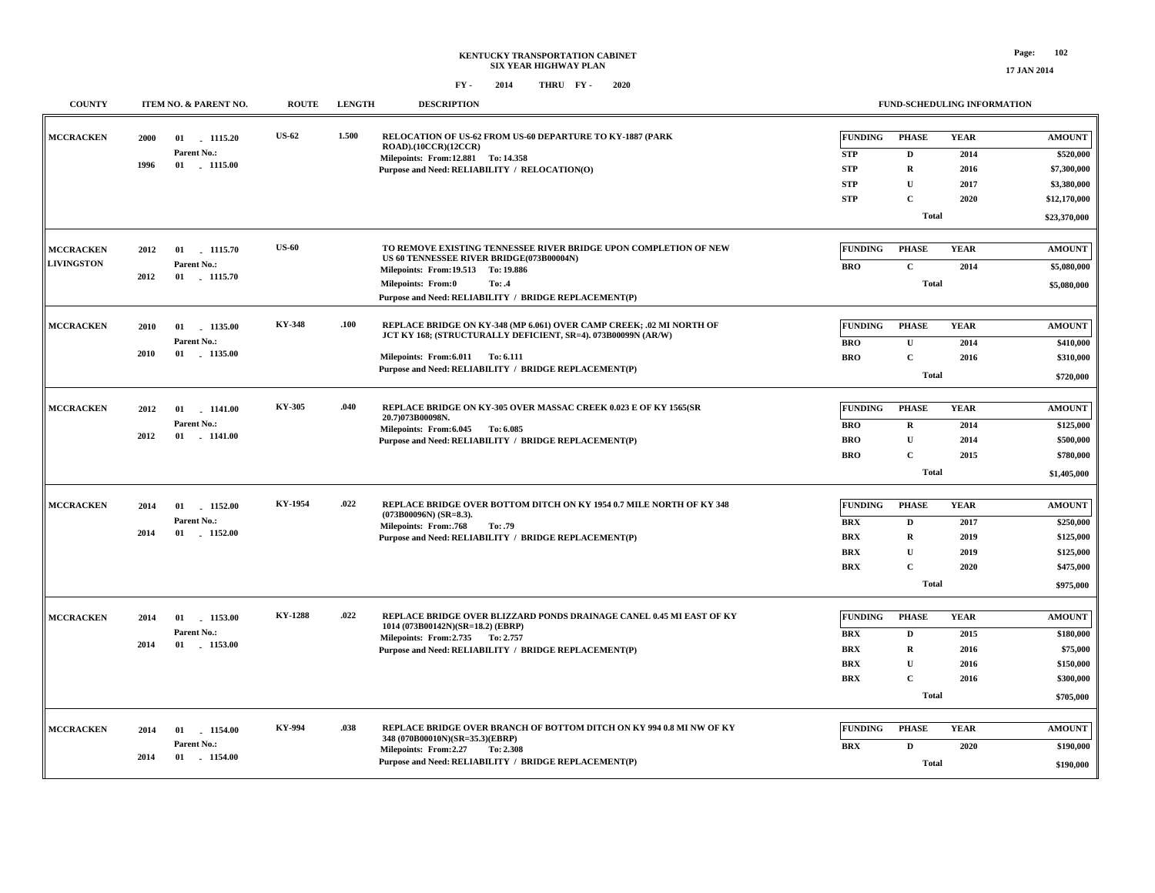| <b>COUNTY</b>     | ITEM NO. & PARENT NO.                                                             | <b>ROUTE</b>   | <b>LENGTH</b> | <b>DESCRIPTION</b>                                                                                        |                | FUND-SCHEDULING INFORMATION |             |               |
|-------------------|-----------------------------------------------------------------------------------|----------------|---------------|-----------------------------------------------------------------------------------------------------------|----------------|-----------------------------|-------------|---------------|
| <b>MCCRACKEN</b>  | 2000<br>01<br>1115.20                                                             | <b>US-62</b>   | 1.500         | RELOCATION OF US-62 FROM US-60 DEPARTURE TO KY-1887 (PARK<br>ROAD).(10CCR)(12CCR)                         | <b>FUNDING</b> | <b>PHASE</b>                | <b>YEAR</b> | <b>AMOUNT</b> |
|                   | Parent No.:                                                                       |                |               | Milepoints: From:12.881 To:14.358                                                                         | <b>STP</b>     | D                           | 2014        | \$520,000     |
|                   | 1996<br>01 1115.00                                                                |                |               | Purpose and Need: RELIABILITY / RELOCATION(O)                                                             | <b>STP</b>     | $\mathbf R$                 | 2016        | \$7,300,000   |
|                   |                                                                                   |                |               |                                                                                                           | <b>STP</b>     | $\mathbf{U}$                | 2017        | \$3,380,000   |
|                   |                                                                                   |                |               |                                                                                                           | <b>STP</b>     | $\mathbf{C}$                | 2020        | \$12,170,000  |
|                   |                                                                                   |                |               |                                                                                                           |                | <b>Total</b>                |             | \$23,370,000  |
| <b>MCCRACKEN</b>  | 2012<br>01<br>1115.70                                                             | <b>US-60</b>   |               | TO REMOVE EXISTING TENNESSEE RIVER BRIDGE UPON COMPLETION OF NEW                                          | <b>FUNDING</b> | <b>PHASE</b>                | <b>YEAR</b> | <b>AMOUNT</b> |
| <b>LIVINGSTON</b> | Parent No.:                                                                       |                |               | US 60 TENNESSEE RIVER BRIDGE(073B00004N)                                                                  | <b>BRO</b>     | $\mathbf C$                 | 2014        | \$5,080,000   |
|                   | 2012<br>01 1115.70                                                                |                |               | Milepoints: From: 19.513 To: 19.886                                                                       |                |                             |             |               |
|                   |                                                                                   |                |               | <b>Milepoints: From:0</b><br>To: .4<br>Purpose and Need: RELIABILITY / BRIDGE REPLACEMENT(P)              |                | <b>Total</b>                |             | \$5,080,000   |
|                   |                                                                                   |                |               |                                                                                                           |                |                             |             |               |
| <b>MCCRACKEN</b>  | 1135.00<br>2010<br>01                                                             | <b>KY-348</b>  | .100          | REPLACE BRIDGE ON KY-348 (MP 6.061) OVER CAMP CREEK; .02 MI NORTH OF                                      | <b>FUNDING</b> | <b>PHASE</b>                | <b>YEAR</b> | <b>AMOUNT</b> |
|                   | Parent No.:                                                                       |                |               | JCT KY 168; (STRUCTURALLY DEFICIENT, SR=4). 073B00099N (AR/W)                                             | BRO            | $\mathbf{U}$                | 2014        | \$410,000     |
|                   | 2010<br>01<br>1135.00                                                             |                |               | Milepoints: From: 6.011 To: 6.111                                                                         | <b>BRO</b>     | $\mathbf{C}$                | 2016        | \$310,000     |
|                   |                                                                                   |                |               | Purpose and Need: RELIABILITY / BRIDGE REPLACEMENT(P)                                                     |                | <b>Total</b>                |             | \$720,000     |
|                   |                                                                                   |                |               |                                                                                                           |                |                             |             |               |
| <b>MCCRACKEN</b>  | 1141.00<br>2012<br>01                                                             | KY-305         | .040          | REPLACE BRIDGE ON KY-305 OVER MASSAC CREEK 0.023 E OF KY 1565(SR<br>20.7)073B00098N.                      | <b>FUNDING</b> | <b>PHASE</b>                | <b>YEAR</b> | <b>AMOUNT</b> |
|                   | Parent No.:                                                                       |                |               | Milepoints: From: 6.045 To: 6.085                                                                         | BRO            | $\mathbf R$                 | 2014        | \$125,000     |
|                   | 2012<br>$01$ . $1141.00$                                                          |                |               | Purpose and Need: RELIABILITY / BRIDGE REPLACEMENT(P)                                                     | <b>BRO</b>     | $\mathbf{U}$                | 2014        | \$500,000     |
|                   |                                                                                   |                |               |                                                                                                           | <b>BRO</b>     | $\mathbf{C}$                | 2015        | \$780,000     |
|                   |                                                                                   |                |               |                                                                                                           |                | <b>Total</b>                |             | \$1,405,000   |
| <b>MCCRACKEN</b>  | 2014<br>01<br>1152.00                                                             | KY-1954        | .022          | REPLACE BRIDGE OVER BOTTOM DITCH ON KY 1954 0.7 MILE NORTH OF KY 348                                      | <b>FUNDING</b> | <b>PHASE</b>                | <b>YEAR</b> | <b>AMOUNT</b> |
|                   | Parent No.:                                                                       |                |               | $(073B00096N)$ (SR=8.3).                                                                                  | <b>BRX</b>     | D                           | 2017        | \$250,000     |
|                   | 01<br>$-1152.00$<br>2014                                                          |                |               | Milepoints: From:.768<br>To: .79<br>Purpose and Need: RELIABILITY / BRIDGE REPLACEMENT(P)                 | <b>BRX</b>     | $\mathbf R$                 | 2019        | \$125,000     |
|                   |                                                                                   |                |               |                                                                                                           | BRX            | $\mathbf{U}$                | 2019        | \$125,000     |
|                   |                                                                                   |                |               |                                                                                                           | <b>BRX</b>     | $\mathbf{C}$                | 2020        | \$475,000     |
|                   |                                                                                   |                |               |                                                                                                           |                | <b>Total</b>                |             | \$975,000     |
|                   |                                                                                   |                |               |                                                                                                           |                |                             |             |               |
| <b>MCCRACKEN</b>  | 2014<br>01 1153.00                                                                | <b>KY-1288</b> | .022          | REPLACE BRIDGE OVER BLIZZARD PONDS DRAINAGE CANEL 0.45 MI EAST OF KY<br>1014 (073B00142N)(SR=18.2) (EBRP) | <b>FUNDING</b> | <b>PHASE</b>                | <b>YEAR</b> | <b>AMOUNT</b> |
|                   | Parent No.:                                                                       |                |               | Milepoints: From: 2.735 To: 2.757                                                                         | <b>BRX</b>     | D                           | 2015        | \$180,000     |
|                   | 2014<br>01 1153.00                                                                |                |               | Purpose and Need: RELIABILITY / BRIDGE REPLACEMENT(P)                                                     | <b>BRX</b>     | $\mathbf R$                 | 2016        | \$75,000      |
|                   |                                                                                   |                |               |                                                                                                           | <b>BRX</b>     | $\mathbf{U}$                | 2016        | \$150,000     |
|                   |                                                                                   |                |               |                                                                                                           | <b>BRX</b>     | $\mathbf{C}$                | 2016        | \$300,000     |
|                   |                                                                                   |                |               |                                                                                                           |                | <b>Total</b>                |             | \$705,000     |
|                   |                                                                                   |                |               |                                                                                                           |                |                             |             |               |
| <b>MCCRACKEN</b>  | 1154.00<br>2014<br>01                                                             | KY-994         | .038          | REPLACE BRIDGE OVER BRANCH OF BOTTOM DITCH ON KY 994 0.8 MI NW OF KY<br>348 (070B00010N)(SR=35.3)(EBRP)   | <b>FUNDING</b> | <b>PHASE</b>                | <b>YEAR</b> | <b>AMOUNT</b> |
|                   | Parent No.:                                                                       |                |               | Milepoints: From:2.27<br>To: 2.308                                                                        | BRX            | D                           | 2020        | \$190,000     |
|                   | 2014<br>01<br>$-1154.00$<br>Purpose and Need: RELIABILITY / BRIDGE REPLACEMENT(P) |                | Total         |                                                                                                           | \$190,000      |                             |             |               |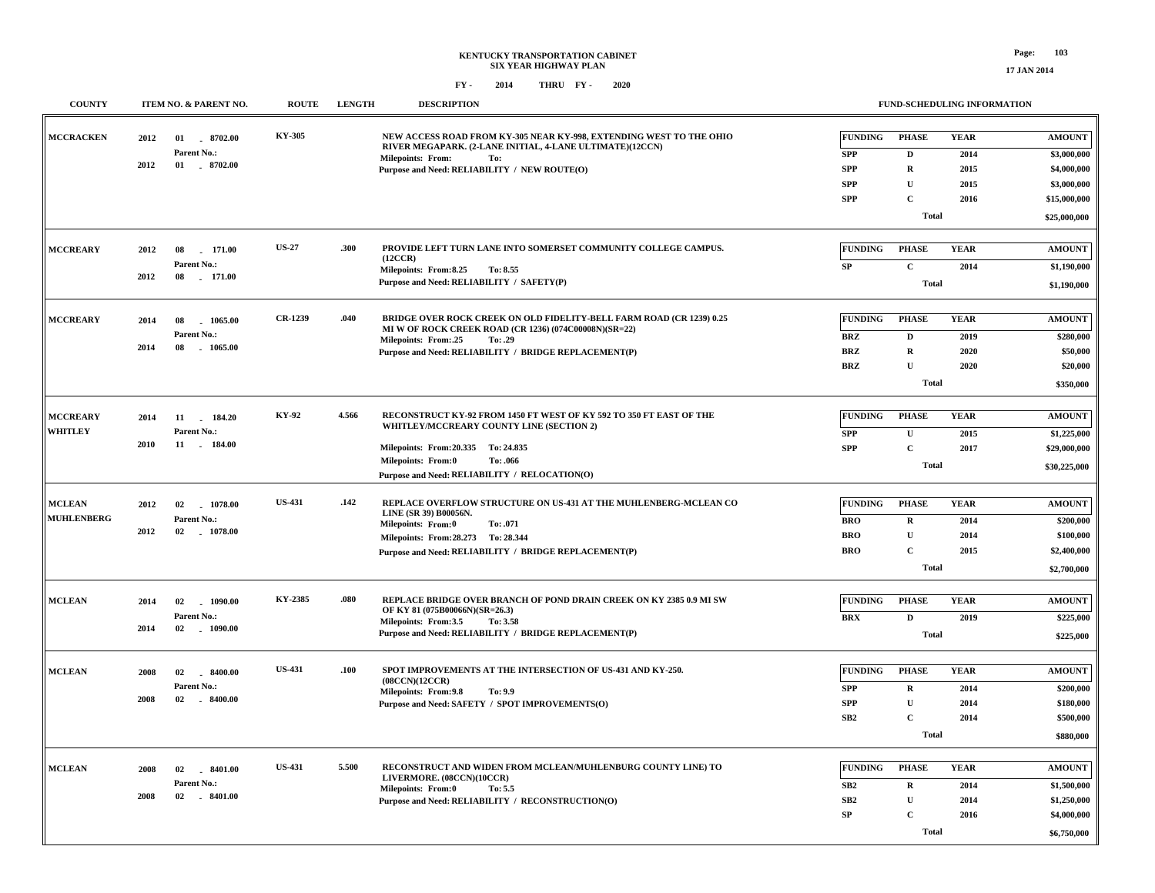**FUND-SCHEDULING INFORMATION**

| <b>COUNTY</b>     |      | ITEM NO. & PARENT NO.           | <b>ROUTE</b>  | <b>LENGTH</b> | <b>DESCRIPTION</b>                                                                                                              |                | <b>FUND-SCHEDULING INFORMATION</b> |             |               |
|-------------------|------|---------------------------------|---------------|---------------|---------------------------------------------------------------------------------------------------------------------------------|----------------|------------------------------------|-------------|---------------|
| <b>MCCRACKEN</b>  | 2012 | $-8702.00$<br>01<br>Parent No.: | KY-305        |               | NEW ACCESS ROAD FROM KY-305 NEAR KY-998, EXTENDING WEST TO THE OHIO<br>RIVER MEGAPARK. (2-LANE INITIAL, 4-LANE ULTIMATE)(12CCN) | <b>FUNDING</b> | <b>PHASE</b>                       | <b>YEAR</b> | <b>AMOUNT</b> |
|                   | 2012 | 01 . 8702.00                    |               |               | <b>Milepoints: From:</b><br>To:                                                                                                 | ${\bf SPP}$    | D                                  | 2014        | \$3,000,000   |
|                   |      |                                 |               |               | Purpose and Need: RELIABILITY / NEW ROUTE(O)                                                                                    | <b>SPP</b>     | $\mathbf R$                        | 2015        | \$4,000,000   |
|                   |      |                                 |               |               |                                                                                                                                 | <b>SPP</b>     | $\mathbf U$                        | 2015        | \$3,000,000   |
|                   |      |                                 |               |               |                                                                                                                                 | <b>SPP</b>     | $\mathbf C$                        | 2016        | \$15,000,000  |
|                   |      |                                 |               |               |                                                                                                                                 |                | <b>Total</b>                       |             | \$25,000,000  |
| <b>MCCREARY</b>   | 2012 | 08<br>171.00                    | <b>US-27</b>  | .300          | PROVIDE LEFT TURN LANE INTO SOMERSET COMMUNITY COLLEGE CAMPUS.                                                                  | <b>FUNDING</b> | <b>PHASE</b>                       | <b>YEAR</b> | <b>AMOUNT</b> |
|                   |      | Parent No.:                     |               |               | (12CCR)                                                                                                                         |                |                                    |             |               |
|                   | 2012 | 08<br>171.00                    |               |               | Milepoints: From:8.25<br>To: 8.55                                                                                               | SP             | $\mathbf{C}$                       | 2014        | \$1,190,000   |
|                   |      |                                 |               |               | Purpose and Need: RELIABILITY / SAFETY(P)                                                                                       |                | <b>Total</b>                       |             | \$1,190,000   |
| <b>MCCREARY</b>   |      |                                 | CR-1239       | .040          | BRIDGE OVER ROCK CREEK ON OLD FIDELITY-BELL FARM ROAD (CR 1239) 0.25                                                            | <b>FUNDING</b> | <b>PHASE</b>                       | <b>YEAR</b> | <b>AMOUNT</b> |
|                   | 2014 | 08<br>1065.00<br>Parent No.:    |               |               | MI W OF ROCK CREEK ROAD (CR 1236) (074C00008N)(SR=22)                                                                           |                |                                    |             |               |
|                   | 2014 | 08<br>1065.00                   |               |               | Milepoints: From:.25<br>To: .29                                                                                                 | <b>BRZ</b>     | $\mathbf D$                        | 2019        | \$280,000     |
|                   |      |                                 |               |               | Purpose and Need: RELIABILITY / BRIDGE REPLACEMENT(P)                                                                           | <b>BRZ</b>     | ${\bf R}$                          | 2020        | \$50,000      |
|                   |      |                                 |               |               |                                                                                                                                 | <b>BRZ</b>     | $\mathbf U$                        | 2020        | \$20,000      |
|                   |      |                                 |               |               |                                                                                                                                 |                | <b>Total</b>                       |             | \$350,000     |
| <b>MCCREARY</b>   | 2014 | 184.20<br>11                    | KY-92         | 4.566         | RECONSTRUCT KY-92 FROM 1450 FT WEST OF KY 592 TO 350 FT EAST OF THE                                                             | <b>FUNDING</b> | <b>PHASE</b>                       | <b>YEAR</b> | <b>AMOUNT</b> |
| <b>WHITLEY</b>    |      | Parent No.:                     |               |               | WHITLEY/MCCREARY COUNTY LINE (SECTION 2)                                                                                        | <b>SPP</b>     | ${\bf U}$                          | 2015        | \$1,225,000   |
|                   | 2010 | 11 . 184.00                     |               |               | Milepoints: From: 20.335 To: 24.835                                                                                             | <b>SPP</b>     | $\mathbf{C}$                       | 2017        | \$29,000,000  |
|                   |      |                                 |               |               | <b>Milepoints: From:0</b><br>To: .066                                                                                           |                | <b>Total</b>                       |             |               |
|                   |      |                                 |               |               | Purpose and Need: RELIABILITY / RELOCATION(O)                                                                                   |                |                                    |             | \$30,225,000  |
| <b>MCLEAN</b>     | 2012 | 1078.00<br>02                   | <b>US-431</b> | .142          | REPLACE OVERFLOW STRUCTURE ON US-431 AT THE MUHLENBERG-MCLEAN CO                                                                | <b>FUNDING</b> | <b>PHASE</b>                       | <b>YEAR</b> | <b>AMOUNT</b> |
| <b>MUHLENBERG</b> |      | Parent No.:                     |               |               | LINE (SR 39) B00056N.                                                                                                           | <b>BRO</b>     | $\mathbf R$                        | 2014        | \$200,000     |
|                   | 2012 | 02<br>1078.00                   |               |               | <b>Milepoints: From:0</b><br>To: .071                                                                                           | <b>BRO</b>     | ${\bf U}$                          | 2014        | \$100,000     |
|                   |      |                                 |               |               | Milepoints: From: 28.273 To: 28.344                                                                                             | <b>BRO</b>     | $\mathbf C$                        | 2015        | \$2,400,000   |
|                   |      |                                 |               |               | Purpose and Need: RELIABILITY / BRIDGE REPLACEMENT(P)                                                                           |                | <b>Total</b>                       |             | \$2,700,000   |
|                   |      |                                 |               |               |                                                                                                                                 |                |                                    |             |               |
| <b>MCLEAN</b>     | 2014 | 02<br>$-1090.00$                | KY-2385       | .080          | REPLACE BRIDGE OVER BRANCH OF POND DRAIN CREEK ON KY 2385 0.9 MI SW<br>OF KY 81 (075B00066N)(SR=26.3)                           | <b>FUNDING</b> | <b>PHASE</b>                       | <b>YEAR</b> | <b>AMOUNT</b> |
|                   |      | Parent No.:                     |               |               | Milepoints: From:3.5<br>To: 3.58                                                                                                | <b>BRX</b>     | $\mathbf D$                        | 2019        | \$225,000     |
|                   | 2014 | $-1090.00$<br>02                |               |               | Purpose and Need: RELIABILITY / BRIDGE REPLACEMENT(P)                                                                           |                | <b>Total</b>                       |             | \$225,000     |
|                   |      |                                 |               |               |                                                                                                                                 |                |                                    |             |               |
| <b>MCLEAN</b>     | 2008 | $-8400.00$<br>02                | <b>US-431</b> | .100          | SPOT IMPROVEMENTS AT THE INTERSECTION OF US-431 AND KY-250.<br>(08CCN)(12CCR)                                                   | <b>FUNDING</b> | <b>PHASE</b>                       | <b>YEAR</b> | <b>AMOUNT</b> |
|                   |      | Parent No.:                     |               |               | Milepoints: From: 9.8<br>To: 9.9                                                                                                | <b>SPP</b>     | $\mathbf R$                        | 2014        | \$200,000     |
|                   | 2008 | $-8400.00$<br>02                |               |               | Purpose and Need: SAFETY / SPOT IMPROVEMENTS(O)                                                                                 | <b>SPP</b>     | $\mathbf U$                        | 2014        | \$180,000     |
|                   |      |                                 |               |               |                                                                                                                                 | SB2            | $\mathbf C$                        | 2014        | \$500,000     |
|                   |      |                                 |               |               |                                                                                                                                 |                | <b>Total</b>                       |             | \$880,000     |
| <b>MCLEAN</b>     | 2008 | 02                              | <b>US-431</b> | 5.500         | RECONSTRUCT AND WIDEN FROM MCLEAN/MUHLENBURG COUNTY LINE) TO                                                                    | <b>FUNDING</b> | <b>PHASE</b>                       | <b>YEAR</b> | <b>AMOUNT</b> |
|                   |      | $-8401.00$<br>Parent No.:       |               |               | LIVERMORE. (08CCN)(10CCR)                                                                                                       |                |                                    |             |               |
|                   | 2008 | 02 8401.00                      |               |               | Milepoints: From:0<br>To: 5.5                                                                                                   | SB2            | $\mathbf R$                        | 2014        | \$1,500,000   |
|                   |      |                                 |               |               | Purpose and Need: RELIABILITY / RECONSTRUCTION(O)                                                                               | SB2            | U                                  | 2014        | \$1,250,000   |
|                   |      |                                 |               |               |                                                                                                                                 | SP             | $\mathbf{C}$                       | 2016        | \$4,000,000   |
|                   |      |                                 |               |               |                                                                                                                                 |                | <b>Total</b>                       |             | \$6,750,000   |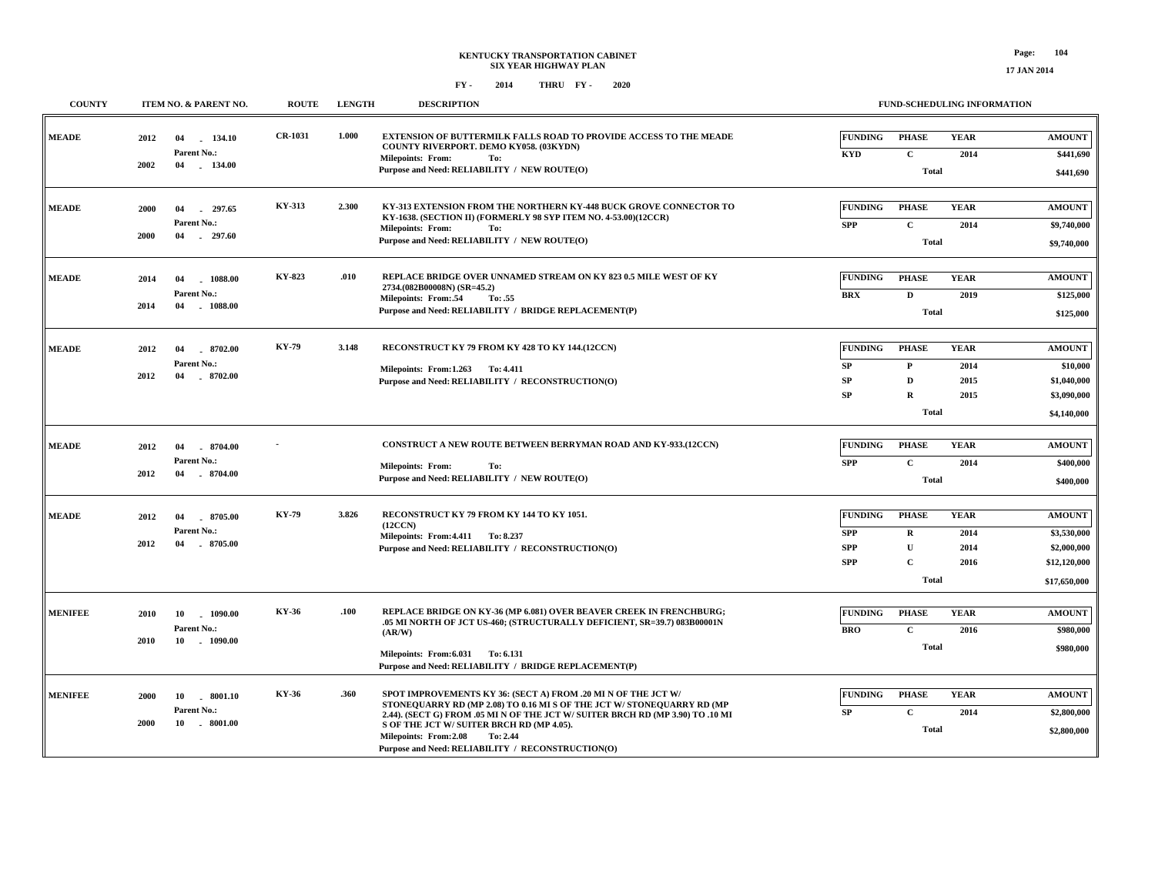| <b>COUNTY</b>  | ITEM NO. & PARENT NO.                                                   | <b>ROUTE</b>   | <b>LENGTH</b> | <b>DESCRIPTION</b>                                                                                                                                                                                                                                                                                                                                                |                                                          |                                                                             | <b>FUND-SCHEDULING INFORMATION</b>  |                                                                             |
|----------------|-------------------------------------------------------------------------|----------------|---------------|-------------------------------------------------------------------------------------------------------------------------------------------------------------------------------------------------------------------------------------------------------------------------------------------------------------------------------------------------------------------|----------------------------------------------------------|-----------------------------------------------------------------------------|-------------------------------------|-----------------------------------------------------------------------------|
| <b>MEADE</b>   | 2012<br>04<br>134.10<br>Parent No.:<br>2002<br>$-134.00$<br>04          | <b>CR-1031</b> | 1.000         | <b>EXTENSION OF BUTTERMILK FALLS ROAD TO PROVIDE ACCESS TO THE MEADE</b><br>COUNTY RIVERPORT. DEMO KY058. (03KYDN)<br><b>Milepoints: From:</b><br>To:<br>Purpose and Need: RELIABILITY / NEW ROUTE(O)                                                                                                                                                             | <b>FUNDING</b><br><b>KYD</b>                             | <b>PHASE</b><br>$\mathbf{C}$<br><b>Total</b>                                | <b>YEAR</b><br>2014                 | <b>AMOUNT</b><br>\$441,690<br>\$441,690                                     |
| <b>MEADE</b>   | 297.65<br>2000<br>04<br>Parent No.:<br>$-297.60$<br>2000<br>04          | KY-313         | 2.300         | KY-313 EXTENSION FROM THE NORTHERN KY-448 BUCK GROVE CONNECTOR TO<br>KY-1638. (SECTION II) (FORMERLY 98 SYP ITEM NO. 4-53.00)(12CCR)<br>Milepoints: From:<br>To:<br>Purpose and Need: RELIABILITY / NEW ROUTE(O)                                                                                                                                                  | <b>FUNDING</b><br><b>SPP</b>                             | <b>PHASE</b><br>$\mathbf{C}$<br><b>Total</b>                                | <b>YEAR</b><br>2014                 | <b>AMOUNT</b><br>\$9,740,000<br>\$9,740,000                                 |
| <b>MEADE</b>   | 04<br>1088.00<br>2014<br>Parent No.:<br>2014<br>04<br>1088.00           | KY-823         | .010          | REPLACE BRIDGE OVER UNNAMED STREAM ON KY 823 0.5 MILE WEST OF KY<br>2734.(082B00008N) (SR=45.2)<br><b>Milepoints: From:.54</b><br>To: .55<br>Purpose and Need: RELIABILITY / BRIDGE REPLACEMENT(P)                                                                                                                                                                | <b>FUNDING</b><br><b>BRX</b>                             | <b>PHASE</b><br>D<br><b>Total</b>                                           | <b>YEAR</b><br>2019                 | <b>AMOUNT</b><br>\$125,000<br>\$125,000                                     |
| <b>MEADE</b>   | 2012<br>04<br>8702.00<br><b>Parent No.:</b><br>2012<br>04<br>$-8702.00$ | <b>KY-79</b>   | 3.148         | RECONSTRUCT KY 79 FROM KY 428 TO KY 144.(12CCN)<br>Milepoints: From: 1.263 To: 4.411<br>Purpose and Need: RELIABILITY / RECONSTRUCTION(O)                                                                                                                                                                                                                         | <b>FUNDING</b><br>SP<br>SP<br>SP                         | <b>PHASE</b><br>$\mathbf{P}$<br>D<br>$\mathbf R$<br><b>Total</b>            | <b>YEAR</b><br>2014<br>2015<br>2015 | <b>AMOUNT</b><br>\$10,000<br>\$1,040,000<br>\$3,090,000<br>\$4,140,000      |
| <b>MEADE</b>   | 2012<br>8704.00<br>04<br>Parent No.:<br>2012<br>$-8704.00$<br>04        |                |               | <b>CONSTRUCT A NEW ROUTE BETWEEN BERRYMAN ROAD AND KY-933.(12CCN)</b><br><b>Milepoints: From:</b><br>To:<br>Purpose and Need: RELIABILITY / NEW ROUTE(O)                                                                                                                                                                                                          | <b>FUNDING</b><br><b>SPP</b>                             | <b>PHASE</b><br>$\mathbf{C}$<br><b>Total</b>                                | <b>YEAR</b><br>2014                 | <b>AMOUNT</b><br>\$400,000<br>\$400,000                                     |
| <b>MEADE</b>   | 8705.00<br>2012<br>04<br>Parent No.:<br>2012<br>04<br>8705.00           | <b>KY-79</b>   | 3.826         | RECONSTRUCT KY 79 FROM KY 144 TO KY 1051.<br>(12CCN)<br>Milepoints: From: 4.411 To: 8.237<br>Purpose and Need: RELIABILITY / RECONSTRUCTION(O)                                                                                                                                                                                                                    | <b>FUNDING</b><br><b>SPP</b><br><b>SPP</b><br><b>SPP</b> | <b>PHASE</b><br>$\mathbf R$<br>$\mathbf{U}$<br>$\mathbf{C}$<br><b>Total</b> | <b>YEAR</b><br>2014<br>2014<br>2016 | <b>AMOUNT</b><br>\$3,530,000<br>\$2,000,000<br>\$12,120,000<br>\$17,650,000 |
| <b>MENIFEE</b> | 2010<br>1090.00<br>10<br>Parent No.:<br>$-1090.00$<br>2010<br>10        | KY-36          | .100          | REPLACE BRIDGE ON KY-36 (MP 6.081) OVER BEAVER CREEK IN FRENCHBURG;<br>.05 MI NORTH OF JCT US-460; (STRUCTURALLY DEFICIENT, SR=39.7) 083B00001N<br>(AR/W)<br>Milepoints: From: 6.031 To: 6.131<br>Purpose and Need: RELIABILITY / BRIDGE REPLACEMENT(P)                                                                                                           | <b>FUNDING</b><br><b>BRO</b>                             | <b>PHASE</b><br>$\mathbf{C}$<br><b>Total</b>                                | <b>YEAR</b><br>2016                 | <b>AMOUNT</b><br>\$980,000<br>\$980,000                                     |
| <b>MENIFEE</b> | 2000<br>10<br>. 8001.10<br>Parent No.:<br>10 . 8001.00<br>2000          | <b>KY-36</b>   | .360          | SPOT IMPROVEMENTS KY 36: (SECT A) FROM .20 MI N OF THE JCT W/<br>STONEQUARRY RD (MP 2.08) TO 0.16 MI S OF THE JCT W/ STONEQUARRY RD (MP<br>2.44). (SECT G) FROM .05 MI N OF THE JCT W/ SUITER BRCH RD (MP 3.90) TO .10 MI<br>S OF THE JCT W/ SUITER BRCH RD (MP 4.05).<br>Milepoints: From: 2.08<br>To: 2.44<br>Purpose and Need: RELIABILITY / RECONSTRUCTION(O) | <b>FUNDING</b><br>SP                                     | <b>PHASE</b><br>$\mathbf c$<br><b>Total</b>                                 | <b>YEAR</b><br>2014                 | <b>AMOUNT</b><br>\$2,800,000<br>\$2,800,000                                 |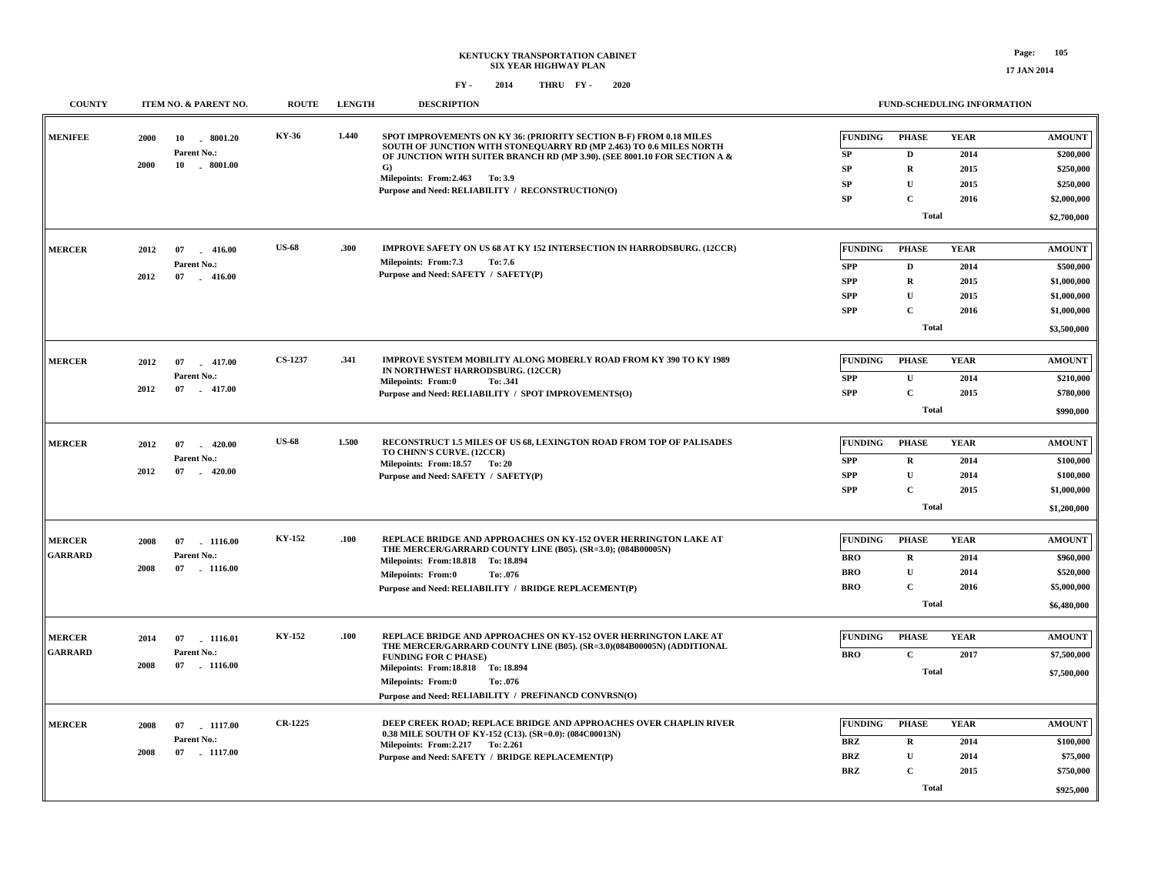| <b>COUNTY</b>  |      | ITEM NO. & PARENT NO.        | <b>ROUTE</b>   | <b>LENGTH</b> | <b>DESCRIPTION</b>                                                                                                                        |                      | FUND-SCHEDULING INFORMATION |                     |                            |
|----------------|------|------------------------------|----------------|---------------|-------------------------------------------------------------------------------------------------------------------------------------------|----------------------|-----------------------------|---------------------|----------------------------|
| <b>MENIFEE</b> | 2000 | 10<br>8001.20<br>Parent No.: | KY-36          | 1.440         | SPOT IMPROVEMENTS ON KY 36: (PRIORITY SECTION B-F) FROM 0.18 MILES<br>SOUTH OF JUNCTION WITH STONEQUARRY RD (MP 2.463) TO 0.6 MILES NORTH | <b>FUNDING</b><br>SP | <b>PHASE</b><br>D           | <b>YEAR</b><br>2014 | <b>AMOUNT</b><br>\$200,000 |
|                | 2000 | $10 \quad . \quad 8001.00$   |                |               | OF JUNCTION WITH SUITER BRANCH RD (MP 3.90). (SEE 8001.10 FOR SECTION A &<br>G)                                                           | SP                   | $\bf R$                     | 2015                | \$250,000                  |
|                |      |                              |                |               | Milepoints: From: 2.463 To: 3.9                                                                                                           | SP                   | $\mathbf U$                 | 2015                | \$250,000                  |
|                |      |                              |                |               | Purpose and Need: RELIABILITY / RECONSTRUCTION(O)                                                                                         | SP                   | $\mathbf C$                 | 2016                | \$2,000,000                |
|                |      |                              |                |               |                                                                                                                                           |                      |                             |                     |                            |
|                |      |                              |                |               |                                                                                                                                           |                      | <b>Total</b>                |                     | \$2,700,000                |
| <b>MERCER</b>  | 2012 | 07<br>$-416.00$              | <b>US-68</b>   | .300          | IMPROVE SAFETY ON US 68 AT KY 152 INTERSECTION IN HARRODSBURG. (12CCR)                                                                    | <b>FUNDING</b>       | <b>PHASE</b>                | <b>YEAR</b>         | <b>AMOUNT</b>              |
|                |      | Parent No.:                  |                |               | Milepoints: From: 7.3<br>To: 7.6                                                                                                          | <b>SPP</b>           | $\mathbf D$                 | 2014                | \$500,000                  |
|                | 2012 | 07<br>$-416.00$              |                |               | Purpose and Need: SAFETY / SAFETY(P)                                                                                                      | <b>SPP</b>           | $\mathbf R$                 | 2015                | \$1,000,000                |
|                |      |                              |                |               |                                                                                                                                           | <b>SPP</b>           | $\mathbf U$                 | 2015                | \$1,000,000                |
|                |      |                              |                |               |                                                                                                                                           | <b>SPP</b>           | $\mathbf C$                 | 2016                | \$1,000,000                |
|                |      |                              |                |               |                                                                                                                                           |                      | <b>Total</b>                |                     | \$3,500,000                |
|                |      |                              |                |               |                                                                                                                                           |                      |                             |                     |                            |
| <b>MERCER</b>  | 2012 | 07<br>$-417.00$              | <b>CS-1237</b> | .341          | IMPROVE SYSTEM MOBILITY ALONG MOBERLY ROAD FROM KY 390 TO KY 1989                                                                         | <b>FUNDING</b>       | <b>PHASE</b>                | <b>YEAR</b>         | <b>AMOUNT</b>              |
|                |      | Parent No.:                  |                |               | IN NORTHWEST HARRODSBURG. (12CCR)<br><b>Milepoints: From:0</b><br>To: .341                                                                | <b>SPP</b>           | $\mathbf{U}$                | 2014                | \$210,000                  |
|                | 2012 | 07<br>$-417.00$              |                |               | Purpose and Need: RELIABILITY / SPOT IMPROVEMENTS(O)                                                                                      | <b>SPP</b>           | $\mathbf C$                 | 2015                | \$780,000                  |
|                |      |                              |                |               |                                                                                                                                           |                      | Total                       |                     | \$990,000                  |
|                |      |                              |                |               |                                                                                                                                           |                      |                             |                     |                            |
| <b>MERCER</b>  | 2012 | 07<br>420.00<br>$\sim$       | <b>US-68</b>   | 1.500         | RECONSTRUCT 1.5 MILES OF US 68, LEXINGTON ROAD FROM TOP OF PALISADES                                                                      | <b>FUNDING</b>       | <b>PHASE</b>                | <b>YEAR</b>         | <b>AMOUNT</b>              |
|                |      | Parent No.:                  |                |               | TO CHINN'S CURVE. (12CCR)<br>Milepoints: From:18.57 To: 20                                                                                | <b>SPP</b>           | $\mathbf R$                 | 2014                | \$100,000                  |
|                | 2012 | 07<br>$-420.00$              |                |               | Purpose and Need: SAFETY / SAFETY(P)                                                                                                      | <b>SPP</b>           | $\mathbf U$                 | 2014                | \$100,000                  |
|                |      |                              |                |               |                                                                                                                                           | <b>SPP</b>           | $\mathbf C$                 | 2015                | \$1,000,000                |
|                |      |                              |                |               |                                                                                                                                           |                      | <b>Total</b>                |                     | \$1,200,000                |
|                |      |                              |                |               |                                                                                                                                           |                      |                             |                     |                            |
| <b>MERCER</b>  | 2008 | 07<br>1116.00                | <b>KY-152</b>  | .100          | REPLACE BRIDGE AND APPROACHES ON KY-152 OVER HERRINGTON LAKE AT<br>THE MERCER/GARRARD COUNTY LINE (B05). (SR=3.0); (084B00005N)           | <b>FUNDING</b>       | <b>PHASE</b>                | <b>YEAR</b>         | <b>AMOUNT</b>              |
| <b>GARRARD</b> |      | Parent No.:                  |                |               | Milepoints: From: 18.818 To: 18.894                                                                                                       | <b>BRO</b>           | $\mathbf R$                 | 2014                | \$960,000                  |
|                | 2008 | 07<br>$-1116.00$             |                |               | <b>Milepoints: From:0</b><br>To: .076                                                                                                     | <b>BRO</b>           | $\mathbf U$                 | 2014                | \$520,000                  |
|                |      |                              |                |               | Purpose and Need: RELIABILITY / BRIDGE REPLACEMENT(P)                                                                                     | <b>BRO</b>           | $\mathbf C$                 | 2016                | \$5,000,000                |
|                |      |                              |                |               |                                                                                                                                           |                      | Total                       |                     | \$6,480,000                |
|                |      |                              |                |               |                                                                                                                                           |                      |                             |                     |                            |
| <b>MERCER</b>  | 2014 | 07<br>1116.01                | <b>KY-152</b>  | .100          | REPLACE BRIDGE AND APPROACHES ON KY-152 OVER HERRINGTON LAKE AT<br>THE MERCER/GARRARD COUNTY LINE (B05). (SR=3.0)(084B00005N) (ADDITIONAL | <b>FUNDING</b>       | <b>PHASE</b>                | <b>YEAR</b>         | <b>AMOUNT</b>              |
| <b>GARRARD</b> |      | Parent No.:                  |                |               | <b>FUNDING FOR C PHASE)</b>                                                                                                               | <b>BRO</b>           | $\mathbf{C}$                | 2017                | \$7,500,000                |
|                | 2008 | 07<br>$-1116.00$             |                |               | Milepoints: From: 18.818 To: 18.894                                                                                                       |                      | Total                       |                     | \$7,500,000                |
|                |      |                              |                |               | <b>Milepoints: From:0</b><br>To: .076<br>Purpose and Need: RELIABILITY / PREFINANCD CONVRSN(O)                                            |                      |                             |                     |                            |
|                |      |                              |                |               |                                                                                                                                           |                      |                             |                     |                            |
| <b>MERCER</b>  | 2008 | 07<br>1117.00                | <b>CR-1225</b> |               | DEEP CREEK ROAD; REPLACE BRIDGE AND APPROACHES OVER CHAPLIN RIVER                                                                         | <b>FUNDING</b>       | <b>PHASE</b>                | <b>YEAR</b>         | <b>AMOUNT</b>              |
|                |      | Parent No.:                  |                |               | 0.38 MILE SOUTH OF KY-152 (C13). (SR=0.0): (084C00013N)<br>Milepoints: From: 2.217 To: 2.261                                              | <b>BRZ</b>           | $\mathbf R$                 | 2014                | \$100,000                  |
|                | 2008 | 07<br>$-1117.00$             |                |               | Purpose and Need: SAFETY / BRIDGE REPLACEMENT(P)                                                                                          | <b>BRZ</b>           | $\mathbf U$                 | 2014                | \$75,000                   |
|                |      |                              |                |               |                                                                                                                                           | <b>BRZ</b>           | $\mathbf C$                 | 2015                | \$750,000                  |
|                |      |                              |                |               |                                                                                                                                           |                      | <b>Total</b>                |                     | \$925,000                  |
|                |      |                              |                |               |                                                                                                                                           |                      |                             |                     |                            |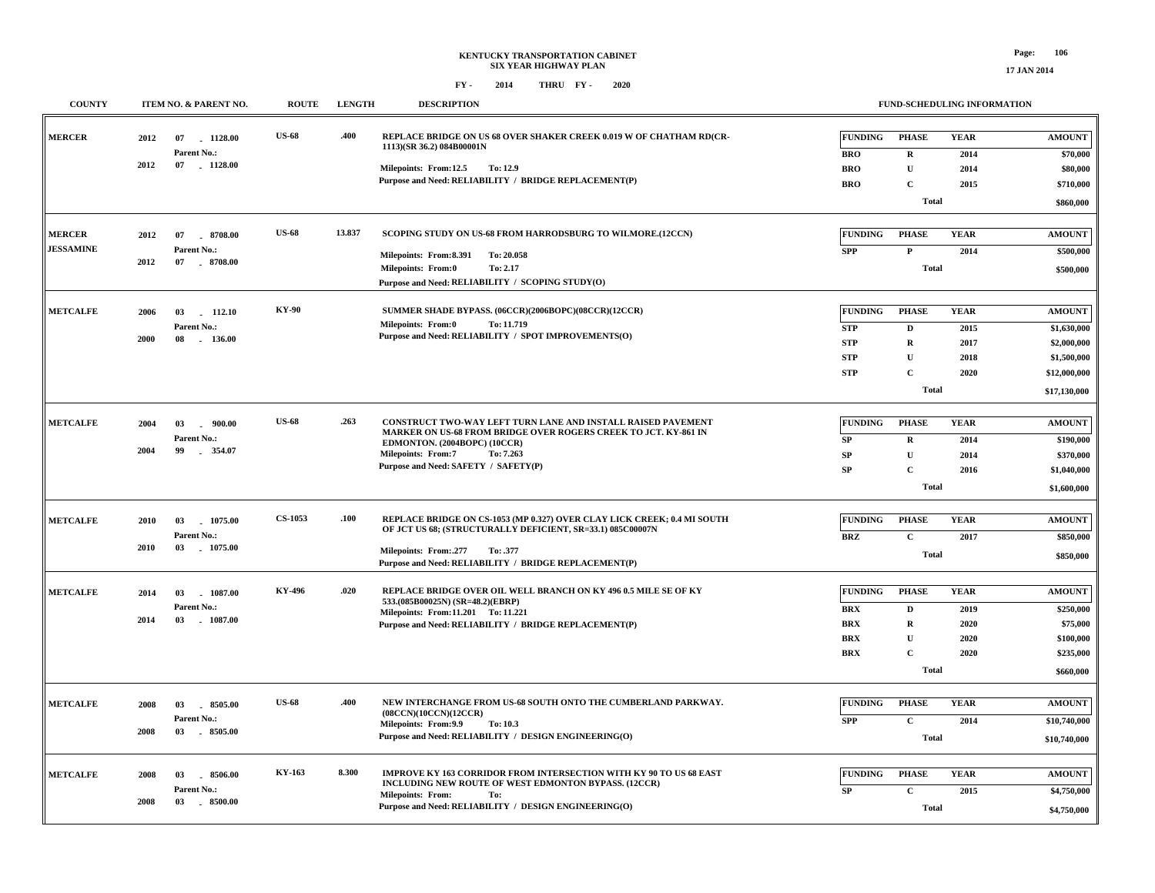**COUNTY ITEM NO. & PARENT NO. ROUTE LENGTH DESCRIPTION**

#### **FUND-SCHEDULING INFORMATION**

| <b>MERCER</b>                     | 2012<br>2012 | 07<br>1128.00<br>Parent No.:<br>07<br>$-1128.00$    | <b>US-68</b>   | .400   | REPLACE BRIDGE ON US 68 OVER SHAKER CREEK 0.019 W OF CHATHAM RD(CR-<br>1113)(SR 36.2) 084B00001N<br>Milepoints: From:12.5<br><b>To: 12.9</b><br>Purpose and Need: RELIABILITY / BRIDGE REPLACEMENT(P)                                             | <b>FUNDING</b><br><b>BRO</b><br><b>BRO</b><br><b>BRO</b>               | <b>PHASE</b><br>$\bf{R}$<br>$\mathbf U$<br>$\mathbf C$<br><b>Total</b>                    | <b>YEAR</b><br>2014<br>2014<br>2015         | <b>AMOUNT</b><br>\$70,000<br>\$80,000<br>\$710,000<br>\$860,000                            |
|-----------------------------------|--------------|-----------------------------------------------------|----------------|--------|---------------------------------------------------------------------------------------------------------------------------------------------------------------------------------------------------------------------------------------------------|------------------------------------------------------------------------|-------------------------------------------------------------------------------------------|---------------------------------------------|--------------------------------------------------------------------------------------------|
| <b>MERCER</b><br><b>JESSAMINE</b> | 2012<br>2012 | $-8708.00$<br>07<br>Parent No.:<br>07<br>$-8708.00$ | <b>US-68</b>   | 13.837 | SCOPING STUDY ON US-68 FROM HARRODSBURG TO WILMORE.(12CCN)<br>Milepoints: From:8.391<br>To: 20.058<br><b>Milepoints: From:0</b><br>To: 2.17<br>Purpose and Need: RELIABILITY / SCOPING STUDY(O)                                                   | <b>FUNDING</b><br><b>SPP</b>                                           | <b>PHASE</b><br>$\mathbf{P}$<br><b>Total</b>                                              | <b>YEAR</b><br>2014                         | <b>AMOUNT</b><br>\$500,000<br>\$500,000                                                    |
| <b>METCALFE</b>                   | 2006<br>2000 | 112.10<br>03<br>Parent No.:<br>08<br>$-136.00$      | <b>KY-90</b>   |        | SUMMER SHADE BYPASS. (06CCR)(2006BOPC)(08CCR)(12CCR)<br><b>Milepoints: From:0</b><br>To: 11.719<br>Purpose and Need: RELIABILITY / SPOT IMPROVEMENTS(O)                                                                                           | <b>FUNDING</b><br><b>STP</b><br><b>STP</b><br><b>STP</b><br><b>STP</b> | <b>PHASE</b><br>D<br>$\mathbf R$<br>$\mathbf U$<br>$\mathbf C$<br><b>Total</b>            | <b>YEAR</b><br>2015<br>2017<br>2018<br>2020 | <b>AMOUNT</b><br>\$1,630,000<br>\$2,000,000<br>\$1,500,000<br>\$12,000,000<br>\$17,130,000 |
| <b>METCALFE</b>                   | 2004<br>2004 | 03<br>$-900.00$<br>Parent No.:<br>99<br>354.07      | <b>US-68</b>   | .263   | CONSTRUCT TWO-WAY LEFT TURN LANE AND INSTALL RAISED PAVEMENT<br>MARKER ON US-68 FROM BRIDGE OVER ROGERS CREEK TO JCT. KY-861 IN<br>EDMONTON. (2004BOPC) (10CCR)<br><b>Milepoints: From:7</b><br>To: 7.263<br>Purpose and Need: SAFETY / SAFETY(P) | <b>FUNDING</b><br>SP<br><b>SP</b><br><b>SP</b>                         | <b>PHASE</b><br>$\mathbf R$<br>U<br>$\mathbf C$<br><b>Total</b>                           | <b>YEAR</b><br>2014<br>2014<br>2016         | <b>AMOUNT</b><br>\$190,000<br>\$370,000<br>\$1,040,000<br>\$1,600,000                      |
| <b>METCALFE</b>                   | 2010<br>2010 | 1075.00<br>03<br>Parent No.:<br>03<br>$-1075.00$    | <b>CS-1053</b> | .100   | REPLACE BRIDGE ON CS-1053 (MP 0.327) OVER CLAY LICK CREEK; 0.4 MI SOUTH<br>OF JCT US 68; (STRUCTURALLY DEFICIENT, SR=33.1) 085C00007N<br>Milepoints: From:.277<br>To: .377<br>Purpose and Need: RELIABILITY / BRIDGE REPLACEMENT(P)               | <b>FUNDING</b><br><b>BRZ</b>                                           | <b>PHASE</b><br>$\mathbf{C}$<br><b>Total</b>                                              | <b>YEAR</b><br>2017                         | <b>AMOUNT</b><br>\$850,000<br>\$850,000                                                    |
| <b>METCALFE</b>                   | 2014<br>2014 | 03<br>1087.00<br>Parent No.:<br>03<br>$-1087.00$    | KY-496         | .020   | REPLACE BRIDGE OVER OIL WELL BRANCH ON KY 496 0.5 MILE SE OF KY<br>533.(085B00025N) (SR=48.2)(EBRP)<br>Milepoints: From:11.201 To: 11.221<br>Purpose and Need: RELIABILITY / BRIDGE REPLACEMENT(P)                                                | <b>FUNDING</b><br>BRX<br><b>BRX</b><br><b>BRX</b><br><b>BRX</b>        | <b>PHASE</b><br>$\mathbf D$<br>$\mathbf R$<br>$\mathbf{U}$<br>$\mathbf C$<br><b>Total</b> | <b>YEAR</b><br>2019<br>2020<br>2020<br>2020 | <b>AMOUNT</b><br>\$250,000<br>\$75,000<br>\$100,000<br>\$235,000<br>\$660,000              |
| <b>METCALFE</b>                   | 2008<br>2008 | 03<br>8505.00<br>Parent No.:<br>03<br>$-8505.00$    | <b>US-68</b>   | .400   | NEW INTERCHANGE FROM US-68 SOUTH ONTO THE CUMBERLAND PARKWAY.<br>(08CCN)(10CCN)(12CCR)<br>Milepoints: From: 9.9<br>To: 10.3<br>Purpose and Need: RELIABILITY / DESIGN ENGINEERING(O)                                                              | <b>FUNDING</b><br><b>SPP</b>                                           | <b>PHASE</b><br>$\mathbf C$<br><b>Total</b>                                               | <b>YEAR</b><br>2014                         | <b>AMOUNT</b><br>\$10,740,000<br>\$10,740,000                                              |
| <b>METCALFE</b>                   | 2008<br>2008 | 8506.00<br>03<br>Parent No.:<br>03<br>$-8500.00$    | KY-163         | 8.300  | IMPROVE KY 163 CORRIDOR FROM INTERSECTION WITH KY 90 TO US 68 EAST<br>INCLUDING NEW ROUTE OF WEST EDMONTON BYPASS. (12CCR)<br><b>Milepoints: From:</b><br>To:<br>Purpose and Need: RELIABILITY / DESIGN ENGINEERING(O)                            | <b>FUNDING</b><br>SP                                                   | <b>PHASE</b><br>$\mathbf C$<br><b>Total</b>                                               | <b>YEAR</b><br>2015                         | <b>AMOUNT</b><br>\$4,750,000<br>\$4,750,000                                                |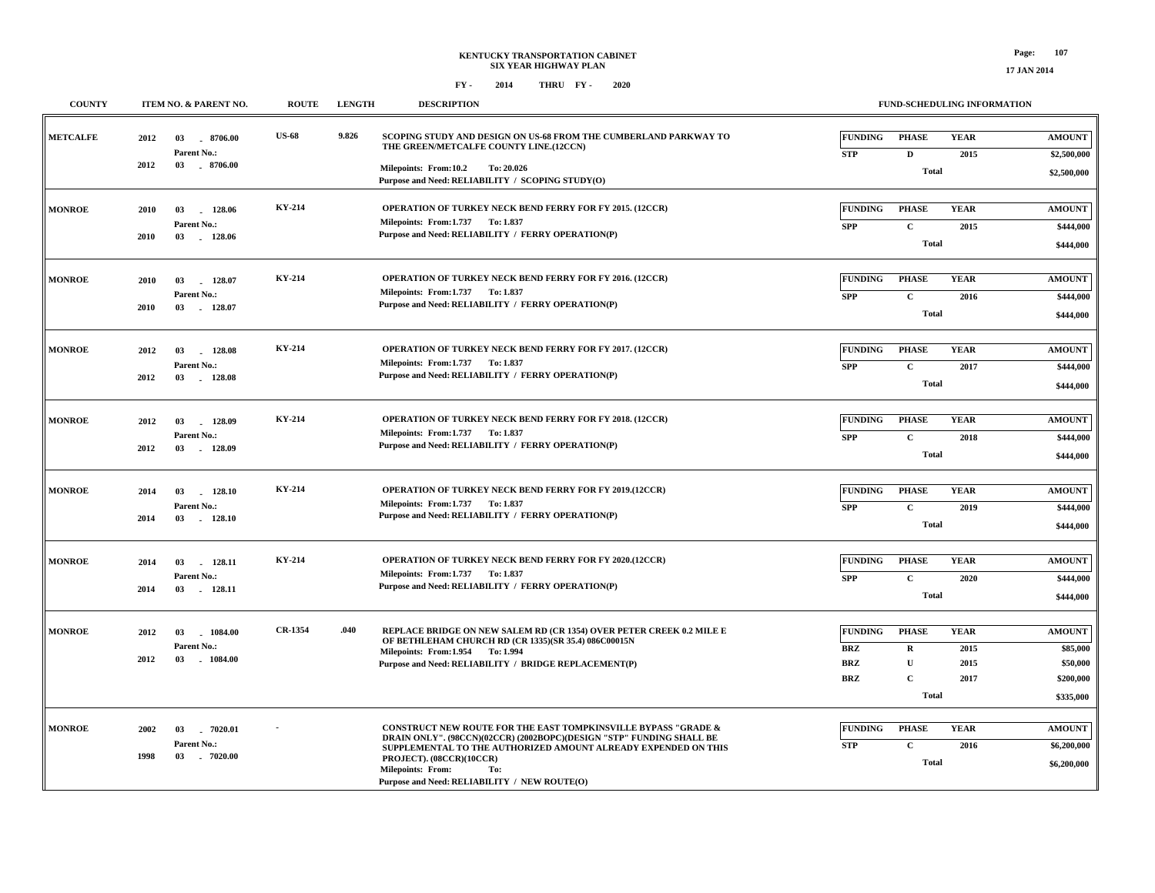| <b>COUNTY</b>   |      | ITEM NO. & PARENT NO.                               | <b>ROUTE</b>   | <b>LENGTH</b> | <b>DESCRIPTION</b>                                                                                                                                                                                                                                                                                                      |                              |                              | <b>FUND-SCHEDULING INFORMATION</b> |                              |
|-----------------|------|-----------------------------------------------------|----------------|---------------|-------------------------------------------------------------------------------------------------------------------------------------------------------------------------------------------------------------------------------------------------------------------------------------------------------------------------|------------------------------|------------------------------|------------------------------------|------------------------------|
| <b>METCALFE</b> | 2012 | 8706.00<br>03<br>Parent No.:                        | <b>US-68</b>   | 9.826         | SCOPING STUDY AND DESIGN ON US-68 FROM THE CUMBERLAND PARKWAY TO<br>THE GREEN/METCALFE COUNTY LINE.(12CCN)                                                                                                                                                                                                              | <b>FUNDING</b><br><b>STP</b> | <b>PHASE</b><br>$\mathbf D$  | <b>YEAR</b><br>2015                | <b>AMOUNT</b><br>\$2,500,000 |
|                 | 2012 | 03<br>$-8706.00$                                    |                |               | Milepoints: From:10.2<br>To: 20.026<br>Purpose and Need: RELIABILITY / SCOPING STUDY(O)                                                                                                                                                                                                                                 |                              | <b>Total</b>                 |                                    | \$2,500,000                  |
| <b>MONROE</b>   | 2010 | 03<br>128.06                                        | KY-214         |               | OPERATION OF TURKEY NECK BEND FERRY FOR FY 2015. (12CCR)                                                                                                                                                                                                                                                                | <b>FUNDING</b>               | <b>PHASE</b>                 | <b>YEAR</b>                        | <b>AMOUNT</b>                |
|                 | 2010 | Parent No.:<br>03<br>$-128.06$                      |                |               | Milepoints: From:1.737 To: 1.837<br>Purpose and Need: RELIABILITY / FERRY OPERATION(P)                                                                                                                                                                                                                                  | <b>SPP</b>                   | $\mathbf{C}$<br><b>Total</b> | 2015                               | \$444,000<br>\$444,000       |
| <b>MONROE</b>   | 2010 | 03<br>128.07                                        | KY-214         |               | OPERATION OF TURKEY NECK BEND FERRY FOR FY 2016. (12CCR)                                                                                                                                                                                                                                                                | <b>FUNDING</b>               | <b>PHASE</b>                 | <b>YEAR</b>                        | <b>AMOUNT</b>                |
|                 | 2010 | Parent No.:<br>03<br>$-128.07$                      |                |               | Milepoints: From:1.737 To: 1.837<br>Purpose and Need: RELIABILITY / FERRY OPERATION(P)                                                                                                                                                                                                                                  | <b>SPP</b>                   | $\mathbf C$<br><b>Total</b>  | 2016                               | \$444,000<br>\$444,000       |
| <b>MONROE</b>   | 2012 | 128.08<br>03                                        | KY-214         |               | OPERATION OF TURKEY NECK BEND FERRY FOR FY 2017. (12CCR)                                                                                                                                                                                                                                                                | <b>FUNDING</b>               | <b>PHASE</b>                 | <b>YEAR</b>                        | <b>AMOUNT</b>                |
|                 | 2012 | Parent No.:<br>128.08<br>03                         |                |               | Milepoints: From:1.737 To: 1.837<br>Purpose and Need: RELIABILITY / FERRY OPERATION(P)                                                                                                                                                                                                                                  | <b>SPP</b>                   | $\mathbf{C}$                 | 2017                               | \$444,000                    |
|                 |      |                                                     |                |               |                                                                                                                                                                                                                                                                                                                         |                              | <b>Total</b>                 |                                    | \$444,000                    |
| <b>MONROE</b>   | 2012 | 128.09<br>03                                        | KY-214         |               | <b>OPERATION OF TURKEY NECK BEND FERRY FOR FY 2018. (12CCR)</b><br>Milepoints: From:1.737 To: 1.837                                                                                                                                                                                                                     | <b>FUNDING</b>               | <b>PHASE</b>                 | <b>YEAR</b>                        | <b>AMOUNT</b>                |
|                 | 2012 | Parent No.:<br>03<br>$-128.09$                      |                |               | Purpose and Need: RELIABILITY / FERRY OPERATION(P)                                                                                                                                                                                                                                                                      | <b>SPP</b>                   | $\mathbf C$<br><b>Total</b>  | 2018                               | \$444,000<br>\$444,000       |
| <b>MONROE</b>   | 2014 | 03<br>128.10                                        | KY-214         |               | OPERATION OF TURKEY NECK BEND FERRY FOR FY 2019.(12CCR)                                                                                                                                                                                                                                                                 | <b>FUNDING</b>               | <b>PHASE</b>                 | <b>YEAR</b>                        | <b>AMOUNT</b>                |
|                 | 2014 | Parent No.:<br>$-128.10$<br>03                      |                |               | Milepoints: From:1.737 To: 1.837<br>Purpose and Need: RELIABILITY / FERRY OPERATION(P)                                                                                                                                                                                                                                  | <b>SPP</b>                   | $\mathbf C$<br><b>Total</b>  | 2019                               | \$444,000<br>\$444,000       |
|                 |      |                                                     |                |               |                                                                                                                                                                                                                                                                                                                         |                              |                              |                                    |                              |
| <b>MONROE</b>   | 2014 | 128.11<br>03<br>Parent No.:                         | KY-214         |               | OPERATION OF TURKEY NECK BEND FERRY FOR FY 2020.(12CCR)<br>Milepoints: From:1.737 To: 1.837                                                                                                                                                                                                                             | <b>FUNDING</b><br><b>SPP</b> | <b>PHASE</b><br>$\mathbf C$  | <b>YEAR</b><br>2020                | <b>AMOUNT</b><br>\$444,000   |
|                 | 2014 | 03<br>$-128.11$                                     |                |               | Purpose and Need: RELIABILITY / FERRY OPERATION(P)                                                                                                                                                                                                                                                                      |                              | <b>Total</b>                 |                                    | \$444,000                    |
| <b>MONROE</b>   | 2012 | 03<br>$-1084.00$                                    | <b>CR-1354</b> | .040          | REPLACE BRIDGE ON NEW SALEM RD (CR 1354) OVER PETER CREEK 0.2 MILE E                                                                                                                                                                                                                                                    | <b>FUNDING</b>               | <b>PHASE</b>                 | <b>YEAR</b>                        | <b>AMOUNT</b>                |
|                 | 2012 | Parent No.:<br>03<br>$-1084.00$                     |                |               | OF BETHLEHAM CHURCH RD (CR 1335)(SR 35.4) 086C00015N<br>Milepoints: From: 1.954 To: 1.994<br>Purpose and Need: RELIABILITY / BRIDGE REPLACEMENT(P)                                                                                                                                                                      | <b>BRZ</b><br><b>BRZ</b>     | ${\bf R}$<br>$\mathbf{U}$    | 2015<br>2015                       | \$85,000<br>\$50,000         |
|                 |      |                                                     |                |               |                                                                                                                                                                                                                                                                                                                         | <b>BRZ</b>                   | $\mathbf C$<br><b>Total</b>  | 2017                               | \$200,000<br>\$335,000       |
|                 |      |                                                     |                |               |                                                                                                                                                                                                                                                                                                                         |                              |                              |                                    |                              |
| <b>MONROE</b>   | 2002 | 03<br>$-7020.01$<br>Parent No.:<br>03<br>$-7020.00$ |                |               | CONSTRUCT NEW ROUTE FOR THE EAST TOMPKINSVILLE BYPASS "GRADE &<br>DRAIN ONLY". (98CCN)(02CCR) (2002BOPC)(DESIGN "STP" FUNDING SHALL BE<br>SUPPLEMENTAL TO THE AUTHORIZED AMOUNT ALREADY EXPENDED ON THIS<br>PROJECT). (08CCR)(10CCR)<br><b>Milepoints: From:</b><br>To:<br>Purpose and Need: RELIABILITY / NEW ROUTE(O) | <b>FUNDING</b><br><b>STP</b> | <b>PHASE</b><br>$\mathbf C$  | <b>YEAR</b><br>2016                | <b>AMOUNT</b><br>\$6,200,000 |
|                 | 1998 |                                                     |                |               |                                                                                                                                                                                                                                                                                                                         |                              | Total                        |                                    | \$6,200,000                  |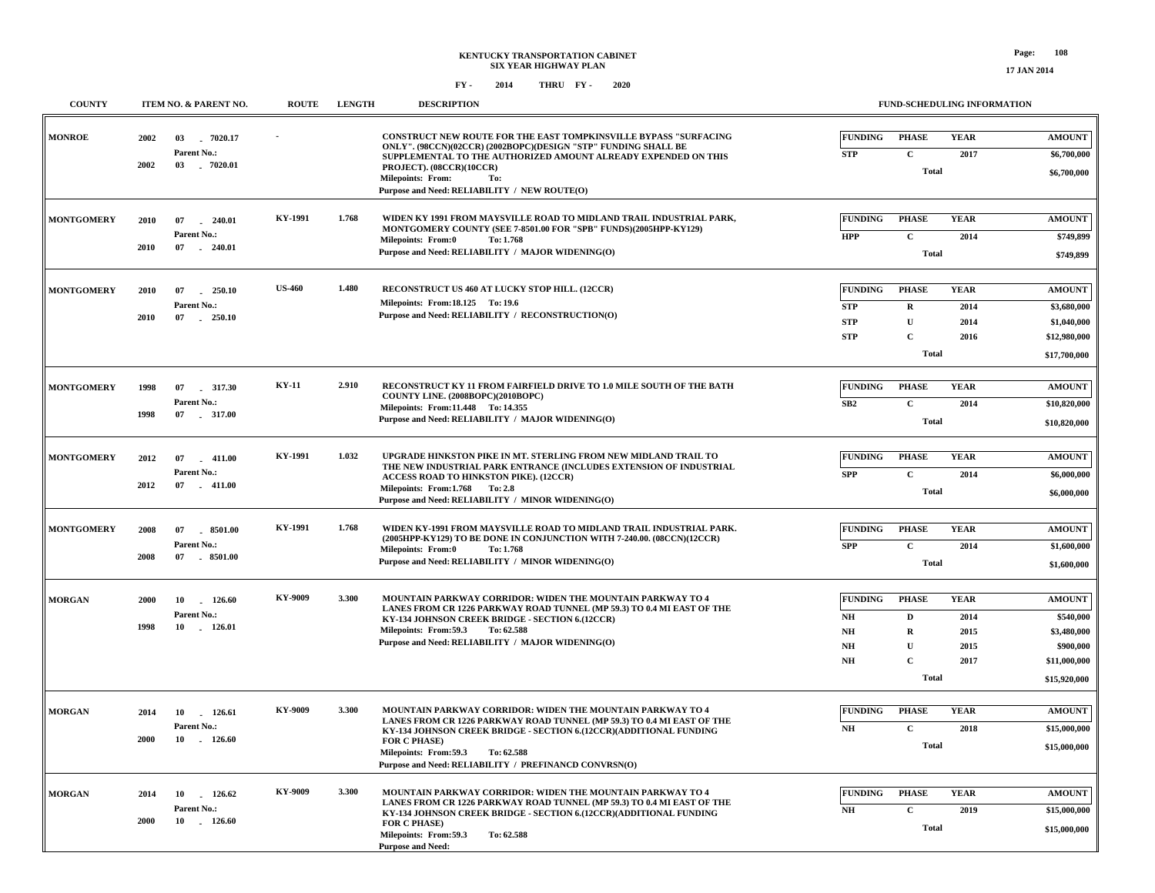#### **FY - FY - 2014 2020 THRU**

| <b>COUNTY</b>     | ITEM NO. & PARENT NO.                                               | <b>ROUTE</b>   | <b>LENGTH</b> | <b>DESCRIPTION</b>                                                                                                                                                                                                                                                                                                         | FUND-SCHEDULING INFORMATION                                                                                                                                     |                                                                                        |  |  |
|-------------------|---------------------------------------------------------------------|----------------|---------------|----------------------------------------------------------------------------------------------------------------------------------------------------------------------------------------------------------------------------------------------------------------------------------------------------------------------------|-----------------------------------------------------------------------------------------------------------------------------------------------------------------|----------------------------------------------------------------------------------------|--|--|
| <b>MONROE</b>     | 2002<br>03<br>$-7020.17$<br>Parent No.:<br>2002<br>03<br>$-7020.01$ |                |               | <b>CONSTRUCT NEW ROUTE FOR THE EAST TOMPKINSVILLE BYPASS "SURFACING</b><br>ONLY". (98CCN)(02CCR) (2002BOPC)(DESIGN "STP" FUNDING SHALL BE<br>SUPPLEMENTAL TO THE AUTHORIZED AMOUNT ALREADY EXPENDED ON THIS<br>PROJECT). (08CCR)(10CCR)<br><b>Milepoints: From:</b><br>To:<br>Purpose and Need: RELIABILITY / NEW ROUTE(O) | <b>FUNDING</b><br><b>PHASE</b><br><b>YEAR</b><br>${\bf STP}$<br>$\mathbf C$<br>2017<br><b>Total</b>                                                             | <b>AMOUNT</b><br>\$6,700,000<br>\$6,700,000                                            |  |  |
| <b>MONTGOMERY</b> | 2010<br>07<br>240.01<br>Parent No.:<br>2010<br>07<br>$-240.01$      | KY-1991        | 1.768         | WIDEN KY 1991 FROM MAYSVILLE ROAD TO MIDLAND TRAIL INDUSTRIAL PARK,<br>MONTGOMERY COUNTY (SEE 7-8501.00 FOR "SPB" FUNDS)(2005HPP-KY129)<br><b>Milepoints: From:0</b><br>To: 1.768<br>Purpose and Need: RELIABILITY / MAJOR WIDENING(O)                                                                                     | <b>FUNDING</b><br><b>PHASE</b><br><b>YEAR</b><br><b>HPP</b><br>$\mathbf C$<br>2014<br><b>Total</b>                                                              | <b>AMOUNT</b><br>\$749,899<br>\$749,899                                                |  |  |
| <b>MONTGOMERY</b> | 2010<br>07<br>250.10<br>Parent No.:<br>2010<br>07<br>$-250.10$      | <b>US-460</b>  | 1.480         | RECONSTRUCT US 460 AT LUCKY STOP HILL. (12CCR)<br>Milepoints: From:18.125 To:19.6<br>Purpose and Need: RELIABILITY / RECONSTRUCTION(O)                                                                                                                                                                                     | <b>FUNDING</b><br><b>PHASE</b><br><b>YEAR</b><br><b>STP</b><br>2014<br>$\bf{R}$<br><b>STP</b><br>U<br>2014<br><b>STP</b><br>$\mathbf C$<br>2016<br><b>Total</b> | <b>AMOUNT</b><br>\$3,680,000<br>\$1,040,000<br>\$12,980,000<br>\$17,700,000            |  |  |
| <b>MONTGOMERY</b> | 1998<br>07<br>317.30<br>Parent No.:<br>1998<br>07<br>.317.00        | <b>KY-11</b>   | 2.910         | RECONSTRUCT KY 11 FROM FAIRFIELD DRIVE TO 1.0 MILE SOUTH OF THE BATH<br>COUNTY LINE. (2008BOPC)(2010BOPC)<br>Milepoints: From:11.448 To: 14.355<br>Purpose and Need: RELIABILITY / MAJOR WIDENING(O)                                                                                                                       | <b>PHASE</b><br><b>YEAR</b><br><b>FUNDING</b><br>SB2<br>$\mathbf C$<br>2014<br><b>Total</b>                                                                     | <b>AMOUNT</b><br>\$10,820,000<br>\$10,820,000                                          |  |  |
| <b>MONTGOMERY</b> | 2012<br>07<br>$-411.00$<br>Parent No.:<br>2012<br>$-411.00$<br>07   | <b>KY-1991</b> | 1.032         | UPGRADE HINKSTON PIKE IN MT. STERLING FROM NEW MIDLAND TRAIL TO<br>THE NEW INDUSTRIAL PARK ENTRANCE (INCLUDES EXTENSION OF INDUSTRIAL<br>ACCESS ROAD TO HINKSTON PIKE). (12CCR)<br>Milepoints: From:1.768 To: 2.8<br>Purpose and Need: RELIABILITY / MINOR WIDENING(O)                                                     | <b>FUNDING</b><br><b>PHASE</b><br><b>YEAR</b><br><b>SPP</b><br>$\mathbf C$<br>2014<br><b>Total</b>                                                              | <b>AMOUNT</b><br>\$6,000,000<br>\$6,000,000                                            |  |  |
| <b>MONTGOMERY</b> | 2008<br>07<br>8501.00<br>Parent No.:<br>2008<br>07<br>8501.00       | KY-1991        | 1.768         | WIDEN KY-1991 FROM MAYSVILLE ROAD TO MIDLAND TRAIL INDUSTRIAL PARK.<br>(2005HPP-KY129) TO BE DONE IN CONJUNCTION WITH 7-240.00. (08CCN)(12CCR)<br><b>Milepoints: From:0</b><br>To: 1.768<br>Purpose and Need: RELIABILITY / MINOR WIDENING(O)                                                                              | <b>FUNDING</b><br><b>PHASE</b><br><b>YEAR</b><br><b>SPP</b><br>$\mathbf c$<br>2014<br><b>Total</b>                                                              | <b>AMOUNT</b><br>\$1,600,000<br>\$1,600,000                                            |  |  |
| <b>MORGAN</b>     | 10<br>126.60<br>2000<br>Parent No.:<br>1998<br>10<br>126.01         | KY-9009        | 3.300         | MOUNTAIN PARKWAY CORRIDOR: WIDEN THE MOUNTAIN PARKWAY TO 4<br>LANES FROM CR 1226 PARKWAY ROAD TUNNEL (MP 59.3) TO 0.4 MI EAST OF THE<br>KY-134 JOHNSON CREEK BRIDGE - SECTION 6.(12CCR)<br>Milepoints: From:59.3<br>To: 62.588<br>Purpose and Need: RELIABILITY / MAJOR WIDENING(O)                                        | <b>FUNDING</b><br><b>PHASE</b><br><b>YEAR</b><br>2014<br>NH<br>D<br>NH<br>2015<br>R<br>$\mathbf{U}$<br>2015<br>NH<br>NH<br>$\mathbf{C}$<br>2017<br><b>Total</b> | <b>AMOUNT</b><br>\$540,000<br>\$3,480,000<br>\$900,000<br>\$11,000,000<br>\$15,920,000 |  |  |
| <b>MORGAN</b>     | 10 126.61<br>2014<br>Parent No.:<br>2000<br>10<br>$-126.60$         | KY-9009        | 3.300         | MOUNTAIN PARKWAY CORRIDOR: WIDEN THE MOUNTAIN PARKWAY TO 4<br>LANES FROM CR 1226 PARKWAY ROAD TUNNEL (MP 59.3) TO 0.4 MI EAST OF THE<br>KY-134 JOHNSON CREEK BRIDGE - SECTION 6.(12CCR)(ADDITIONAL FUNDING<br>FOR C PHASE)<br>Milepoints: From: 59.3 To: 62.588<br>Purpose and Need: RELIABILITY / PREFINANCD CONVRSN(O)   | <b>FUNDING</b><br><b>PHASE</b><br><b>YEAR</b><br>$\mathbf{C}$<br>NH<br>2018<br><b>Total</b>                                                                     | <b>AMOUNT</b><br>\$15,000,000<br>\$15,000,000                                          |  |  |
| <b>MORGAN</b>     | 2014<br>10 126.62<br>Parent No.:<br>2000<br>10<br>$-126.60$         | KY-9009        | 3.300         | MOUNTAIN PARKWAY CORRIDOR: WIDEN THE MOUNTAIN PARKWAY TO 4<br>LANES FROM CR 1226 PARKWAY ROAD TUNNEL (MP 59.3) TO 0.4 MI EAST OF THE<br>KY-134 JOHNSON CREEK BRIDGE - SECTION 6.(12CCR)(ADDITIONAL FUNDING<br><b>FOR C PHASE)</b><br>Milepoints: From:59.3<br>To: 62.588<br>Purnose and Need:                              | <b>FUNDING</b><br><b>PHASE</b><br><b>YEAR</b><br>NH<br>$\mathbf C$<br>2019<br><b>Total</b>                                                                      | <b>AMOUNT</b><br>\$15,000,000<br>\$15,000,000                                          |  |  |

**Purpose and Need:**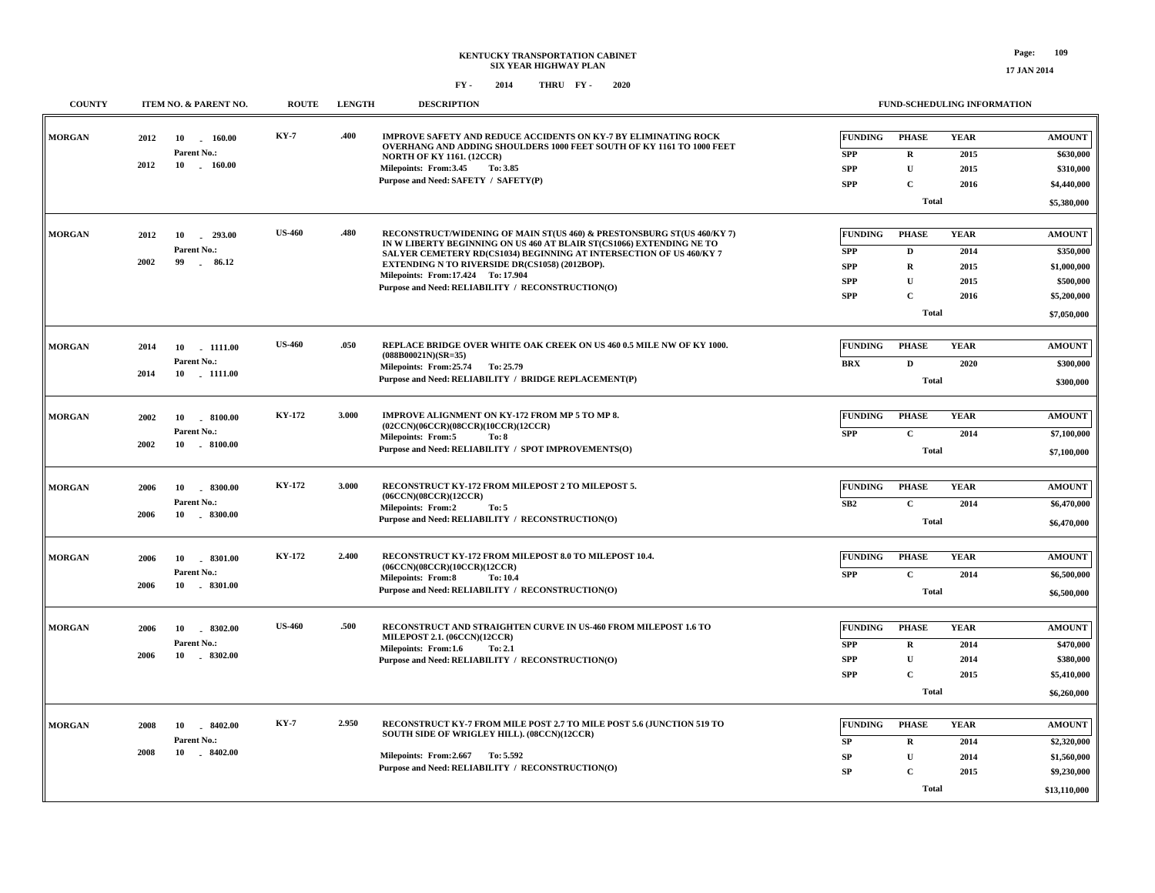| <b>COUNTY</b> | <b>ITEM NO. &amp; PARENT NO.</b>    | <b>ROUTE</b>  | <b>LENGTH</b> | <b>DESCRIPTION</b>                                                                                                                             |                              | <b>FUND-SCHEDULING INFORMATION</b> |                     |                            |
|---------------|-------------------------------------|---------------|---------------|------------------------------------------------------------------------------------------------------------------------------------------------|------------------------------|------------------------------------|---------------------|----------------------------|
| <b>MORGAN</b> | 2012<br>10<br>160.00<br>Parent No.: | <b>KY-7</b>   | .400          | IMPROVE SAFETY AND REDUCE ACCIDENTS ON KY-7 BY ELIMINATING ROCK<br>OVERHANG AND ADDING SHOULDERS 1000 FEET SOUTH OF KY 1161 TO 1000 FEET       | <b>FUNDING</b><br><b>SPP</b> | <b>PHASE</b><br>$\mathbf R$        | <b>YEAR</b><br>2015 | <b>AMOUNT</b><br>\$630,000 |
|               | 2012<br>$10 \quad . \quad 160.00$   |               |               | <b>NORTH OF KY 1161. (12CCR)</b><br>Milepoints: From:3.45<br>To: 3.85                                                                          | <b>SPP</b>                   | $\mathbf U$                        | 2015                | \$310,000                  |
|               |                                     |               |               | Purpose and Need: SAFETY / SAFETY(P)                                                                                                           | <b>SPP</b>                   | C                                  |                     |                            |
|               |                                     |               |               |                                                                                                                                                |                              |                                    | 2016                | \$4,440,000                |
|               |                                     |               |               |                                                                                                                                                |                              | <b>Total</b>                       |                     | \$5,380,000                |
|               |                                     |               |               |                                                                                                                                                |                              |                                    |                     |                            |
| <b>MORGAN</b> | 2012<br>10<br>$-293.00$             | <b>US-460</b> | .480          | RECONSTRUCT/WIDENING OF MAIN ST(US 460) & PRESTONSBURG ST(US 460/KY 7)<br>IN W LIBERTY BEGINNING ON US 460 AT BLAIR ST(CS1066) EXTENDING NE TO | <b>FUNDING</b>               | <b>PHASE</b>                       | <b>YEAR</b>         | <b>AMOUNT</b>              |
|               | Parent No.:<br>2002<br>99<br>86.12  |               |               | SALYER CEMETERY RD(CS1034) BEGINNING AT INTERSECTION OF US 460/KY 7                                                                            | <b>SPP</b>                   | D                                  | 2014                | \$350,000                  |
|               |                                     |               |               | EXTENDING N TO RIVERSIDE DR(CS1058) (2012BOP).<br>Milepoints: From: 17.424 To: 17.904                                                          | <b>SPP</b>                   | $\mathbf R$                        | 2015                | \$1,000,000                |
|               |                                     |               |               | Purpose and Need: RELIABILITY / RECONSTRUCTION(O)                                                                                              | <b>SPP</b>                   | ${\bf U}$                          | 2015                | \$500,000                  |
|               |                                     |               |               |                                                                                                                                                | <b>SPP</b>                   | $\mathbf{C}$                       | 2016                | \$5,200,000                |
|               |                                     |               |               |                                                                                                                                                |                              | <b>Total</b>                       |                     | \$7,050,000                |
|               |                                     |               |               |                                                                                                                                                |                              |                                    |                     |                            |
| <b>MORGAN</b> | 2014<br>10<br>1111.00               | <b>US-460</b> | .050          | REPLACE BRIDGE OVER WHITE OAK CREEK ON US 460 0.5 MILE NW OF KY 1000.<br>$(088B00021N)(SR=35)$                                                 | <b>FUNDING</b>               | <b>PHASE</b>                       | <b>YEAR</b>         | <b>AMOUNT</b>              |
|               | Parent No.:<br>2014<br>10 1111.00   |               |               | Milepoints: From: 25.74 To: 25.79                                                                                                              | <b>BRX</b>                   | $\mathbf D$                        | 2020                | \$300,000                  |
|               |                                     |               |               | Purpose and Need: RELIABILITY / BRIDGE REPLACEMENT(P)                                                                                          |                              | <b>Total</b>                       |                     | \$300,000                  |
|               |                                     |               |               |                                                                                                                                                |                              |                                    |                     |                            |
| <b>MORGAN</b> | 2002<br>$-8100.00$<br>10            | <b>KY-172</b> | 3.000         | IMPROVE ALIGNMENT ON KY-172 FROM MP 5 TO MP 8.                                                                                                 | <b>FUNDING</b>               | <b>PHASE</b>                       | <b>YEAR</b>         | <b>AMOUNT</b>              |
|               | Parent No.:                         |               |               | (02CCN)(06CCR)(08CCR)(10CCR)(12CCR)<br><b>Milepoints: From:5</b><br>To: 8                                                                      | <b>SPP</b>                   | $\mathbf{C}$                       | 2014                | \$7,100,000                |
|               | 2002<br>10 . 8100.00                |               |               | Purpose and Need: RELIABILITY / SPOT IMPROVEMENTS(O)                                                                                           |                              | <b>Total</b>                       |                     | \$7,100,000                |
|               |                                     |               |               |                                                                                                                                                |                              |                                    |                     |                            |
| <b>MORGAN</b> | $-8300.00$<br>2006<br>10            | KY-172        | 3.000         | RECONSTRUCT KY-172 FROM MILEPOST 2 TO MILEPOST 5.                                                                                              | <b>FUNDING</b>               | <b>PHASE</b>                       | <b>YEAR</b>         | <b>AMOUNT</b>              |
|               | Parent No.:                         |               |               | (06CCN)(08CCR)(12CCR)<br><b>Milepoints: From:2</b><br>To: 5                                                                                    | SB2                          | $\mathbf{C}$                       | 2014                | \$6,470,000                |
|               | 2006<br>10<br>$-8300.00$            |               |               | Purpose and Need: RELIABILITY / RECONSTRUCTION(O)                                                                                              |                              | <b>Total</b>                       |                     | \$6,470,000                |
|               |                                     |               |               |                                                                                                                                                |                              |                                    |                     |                            |
| <b>MORGAN</b> | 2006<br>10<br>.8301.00              | <b>KY-172</b> | 2.400         | RECONSTRUCT KY-172 FROM MILEPOST 8.0 TO MILEPOST 10.4.                                                                                         | <b>FUNDING</b>               | <b>PHASE</b>                       | <b>YEAR</b>         | <b>AMOUNT</b>              |
|               | Parent No.:                         |               |               | (06CCN)(08CCR)(10CCR)(12CCR)                                                                                                                   | <b>SPP</b>                   | $\mathbf C$                        | 2014                | \$6,500,000                |
|               | 2006<br>10<br>$-8301.00$            |               |               | <b>Milepoints: From:8</b><br>To: 10.4<br>Purpose and Need: RELIABILITY / RECONSTRUCTION(O)                                                     |                              | <b>Total</b>                       |                     | \$6,500,000                |
|               |                                     |               |               |                                                                                                                                                |                              |                                    |                     |                            |
| <b>MORGAN</b> | 2006<br>8302.00<br>10               | <b>US-460</b> | .500          | RECONSTRUCT AND STRAIGHTEN CURVE IN US-460 FROM MILEPOST 1.6 TO                                                                                | <b>FUNDING</b>               | <b>PHASE</b>                       | <b>YEAR</b>         | <b>AMOUNT</b>              |
|               | Parent No.:                         |               |               | MILEPOST 2.1. (06CCN)(12CCR)                                                                                                                   | <b>SPP</b>                   | $\mathbf R$                        | 2014                | \$470,000                  |
|               | 2006<br>10 . 8302.00                |               |               | Milepoints: From:1.6<br>To: 2.1<br>Purpose and Need: RELIABILITY / RECONSTRUCTION(O)                                                           | <b>SPP</b>                   | ${\bf U}$                          | 2014                | \$380,000                  |
|               |                                     |               |               |                                                                                                                                                | <b>SPP</b>                   | $\mathbf C$                        | 2015                | \$5,410,000                |
|               |                                     |               |               |                                                                                                                                                |                              | <b>Total</b>                       |                     | \$6,260,000                |
|               |                                     |               |               |                                                                                                                                                |                              |                                    |                     |                            |
| <b>MORGAN</b> | $-8402.00$<br>2008<br>10            | <b>KY-7</b>   | 2,950         | RECONSTRUCT KY-7 FROM MILE POST 2.7 TO MILE POST 5.6 (JUNCTION 519 TO                                                                          | <b>FUNDING</b>               | <b>PHASE</b>                       | <b>YEAR</b>         | <b>AMOUNT</b>              |
|               | Parent No.:                         |               |               | SOUTH SIDE OF WRIGLEY HILL). (08CCN)(12CCR)                                                                                                    | SP                           | $\mathbf R$                        | 2014                | \$2,320,000                |
|               | 2008<br>10<br>$-8402.00$            |               |               | Milepoints: From: 2.667 To: 5.592                                                                                                              | SP                           | $\mathbf U$                        | 2014                | \$1,560,000                |
|               |                                     |               |               | Purpose and Need: RELIABILITY / RECONSTRUCTION(O)                                                                                              | SP                           | C                                  | 2015                | \$9,230,000                |
|               |                                     |               |               |                                                                                                                                                |                              | <b>Total</b>                       |                     |                            |
|               |                                     |               |               |                                                                                                                                                |                              |                                    |                     | \$13,110,000               |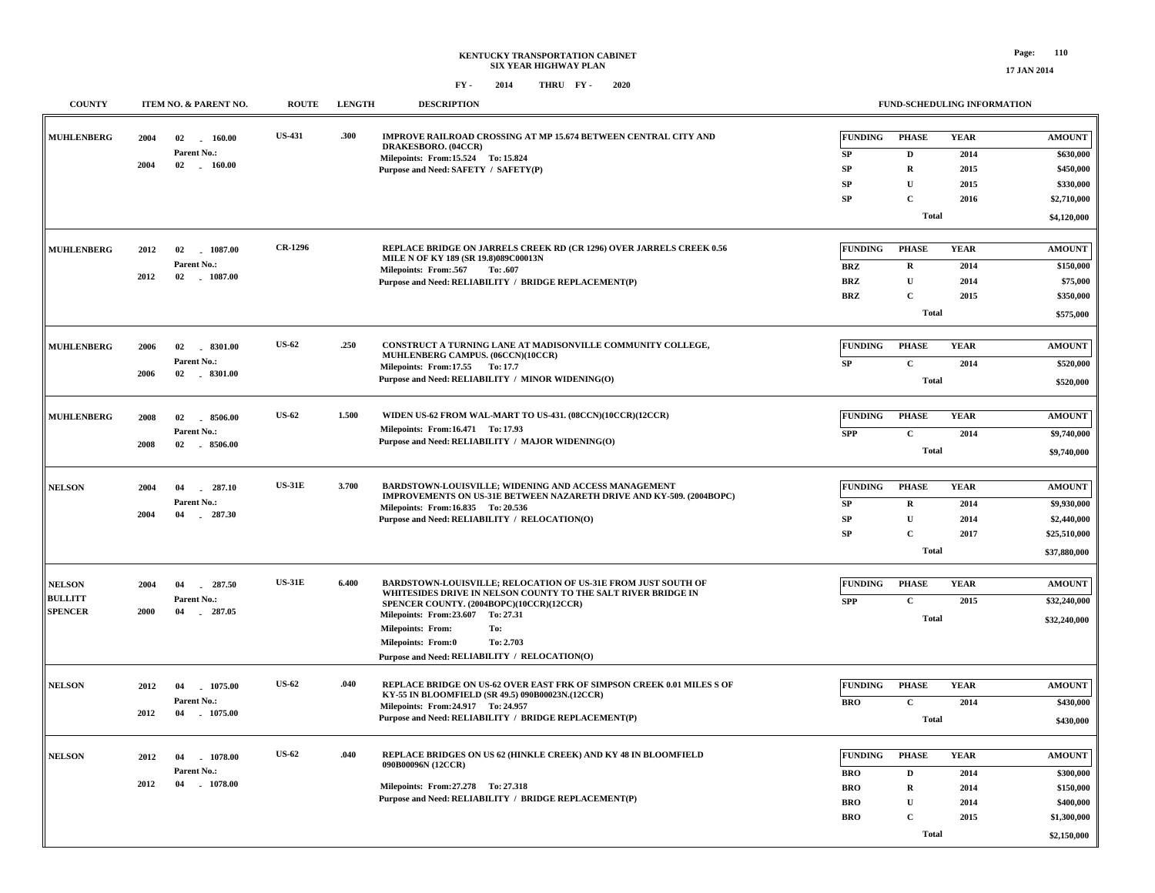| <b>COUNTY</b>                                     |              | ITEM NO. & PARENT NO.                             | <b>ROUTE</b>   | <b>LENGTH</b> | <b>DESCRIPTION</b>                                                                                                                                                                                                                                                                                                                                    |                                                                        | FUND-SCHEDULING INFORMATION                                                              |                                             |                                                                                    |
|---------------------------------------------------|--------------|---------------------------------------------------|----------------|---------------|-------------------------------------------------------------------------------------------------------------------------------------------------------------------------------------------------------------------------------------------------------------------------------------------------------------------------------------------------------|------------------------------------------------------------------------|------------------------------------------------------------------------------------------|---------------------------------------------|------------------------------------------------------------------------------------|
| <b>MUHLENBERG</b>                                 | 2004<br>2004 | 02<br>160.00<br>Parent No.:<br>02<br>$-160.00$    | <b>US-431</b>  | .300          | IMPROVE RAILROAD CROSSING AT MP 15.674 BETWEEN CENTRAL CITY AND<br>DRAKESBORO. (04CCR)<br>Milepoints: From:15.524 To: 15.824<br>Purpose and Need: SAFETY / SAFETY(P)                                                                                                                                                                                  | <b>FUNDING</b><br>${\bf SP}$<br>${\bf SP}$<br>SP<br><b>SP</b>          | <b>PHASE</b><br>$\mathbf D$<br>$\mathbf R$<br>$\mathbf U$<br>$\mathbf C$<br><b>Total</b> | <b>YEAR</b><br>2014<br>2015<br>2015<br>2016 | <b>AMOUNT</b><br>\$630,000<br>\$450,000<br>\$330,000<br>\$2,710,000<br>\$4,120,000 |
| <b>MUHLENBERG</b>                                 | 2012<br>2012 | 02<br>1087.00<br>Parent No.:<br>02 1087.00        | <b>CR-1296</b> |               | REPLACE BRIDGE ON JARRELS CREEK RD (CR 1296) OVER JARRELS CREEK 0.56<br>MILE N OF KY 189 (SR 19.8)089C00013N<br>Milepoints: From:.567<br>To: .607<br>Purpose and Need: RELIABILITY / BRIDGE REPLACEMENT(P)                                                                                                                                            | <b>FUNDING</b><br><b>BRZ</b><br><b>BRZ</b><br><b>BRZ</b>               | <b>PHASE</b><br>$\mathbf R$<br>$\mathbf U$<br>$\mathbf C$<br><b>Total</b>                | <b>YEAR</b><br>2014<br>2014<br>2015         | <b>AMOUNT</b><br>\$150,000<br>\$75,000<br>\$350,000<br>\$575,000                   |
| <b>MUHLENBERG</b>                                 | 2006<br>2006 | 02 8301.00<br>Parent No.:<br>02<br>$-8301.00$     | <b>US-62</b>   | .250          | CONSTRUCT A TURNING LANE AT MADISONVILLE COMMUNITY COLLEGE,<br>MUHLENBERG CAMPUS. (06CCN)(10CCR)<br>Milepoints: From:17.55 To: 17.7<br>Purpose and Need: RELIABILITY / MINOR WIDENING(O)                                                                                                                                                              | <b>FUNDING</b><br>SP                                                   | <b>PHASE</b><br>$\mathbf C$<br><b>Total</b>                                              | <b>YEAR</b><br>2014                         | <b>AMOUNT</b><br>\$520,000<br>\$520,000                                            |
| <b>MUHLENBERG</b>                                 | 2008<br>2008 | 02<br>8506.00<br>Parent No.:<br>02 8506.00        | <b>US-62</b>   | 1.500         | WIDEN US-62 FROM WAL-MART TO US-431. (08CCN)(10CCR)(12CCR)<br>Milepoints: From:16.471 To: 17.93<br>Purpose and Need: RELIABILITY / MAJOR WIDENING(O)                                                                                                                                                                                                  | <b>FUNDING</b><br><b>SPP</b>                                           | <b>PHASE</b><br>$\mathbf C$<br><b>Total</b>                                              | <b>YEAR</b><br>2014                         | <b>AMOUNT</b><br>\$9,740,000<br>\$9,740,000                                        |
| <b>NELSON</b>                                     | 2004<br>2004 | $-287.10$<br>04<br>Parent No.:<br>04<br>$-287.30$ | <b>US-31E</b>  | 3.700         | BARDSTOWN-LOUISVILLE; WIDENING AND ACCESS MANAGEMENT<br>IMPROVEMENTS ON US-31E BETWEEN NAZARETH DRIVE AND KY-509. (2004BOPC)<br>Milepoints: From:16.835 To: 20.536<br>Purpose and Need: RELIABILITY / RELOCATION(O)                                                                                                                                   | <b>FUNDING</b><br><b>SP</b><br>SP<br>SP                                | <b>PHASE</b><br>${\bf R}$<br>$\mathbf U$<br>$\mathbf C$<br><b>Total</b>                  | <b>YEAR</b><br>2014<br>2014<br>2017         | <b>AMOUNT</b><br>\$9,930,000<br>\$2,440,000<br>\$25,510,000<br>\$37,880,000        |
| <b>NELSON</b><br><b>BULLITT</b><br><b>SPENCER</b> | 2004<br>2000 | 287.50<br>04<br>Parent No.:<br>04<br>287.05       | <b>US-31E</b>  | 6.400         | <b>BARDSTOWN-LOUISVILLE; RELOCATION OF US-31E FROM JUST SOUTH OF</b><br>WHITESIDES DRIVE IN NELSON COUNTY TO THE SALT RIVER BRIDGE IN<br>SPENCER COUNTY. (2004BOPC)(10CCR)(12CCR)<br>Milepoints: From: 23.607 To: 27.31<br><b>Milepoints: From:</b><br>To:<br><b>Milepoints: From:0</b><br>To: 2.703<br>Purpose and Need: RELIABILITY / RELOCATION(O) | <b>FUNDING</b><br><b>SPP</b>                                           | <b>PHASE</b><br>$\mathbf C$<br><b>Total</b>                                              | <b>YEAR</b><br>2015                         | <b>AMOUNT</b><br>\$32,240,000<br>\$32,240,000                                      |
| <b>NELSON</b>                                     | 2012<br>2012 | 04<br>1075.00<br>Parent No.:<br>04<br>1075.00     | <b>US-62</b>   | .040          | REPLACE BRIDGE ON US-62 OVER EAST FRK OF SIMPSON CREEK 0.01 MILES S OF<br>KY-55 IN BLOOMFIELD (SR 49.5) 090B00023N.(12CCR)<br>Milepoints: From: 24.917 To: 24.957<br>Purpose and Need: RELIABILITY / BRIDGE REPLACEMENT(P)                                                                                                                            | <b>FUNDING</b><br><b>BRO</b>                                           | <b>PHASE</b><br>$\mathbf C$<br><b>Total</b>                                              | <b>YEAR</b><br>2014                         | <b>AMOUNT</b><br>\$430,000<br>\$430,000                                            |
| <b>NELSON</b>                                     | 2012<br>2012 | 04<br>1078.00<br>Parent No.:<br>04<br>1078.00     | <b>US-62</b>   | .040          | REPLACE BRIDGES ON US 62 (HINKLE CREEK) AND KY 48 IN BLOOMFIELD<br>090B00096N (12CCR)<br>Milepoints: From: 27.278 To: 27.318<br>Purpose and Need: RELIABILITY / BRIDGE REPLACEMENT(P)                                                                                                                                                                 | <b>FUNDING</b><br><b>BRO</b><br><b>BRO</b><br><b>BRO</b><br><b>BRO</b> | <b>PHASE</b><br>$\mathbf D$<br>$\mathbf R$<br>$\mathbf U$<br>$\mathbf C$<br><b>Total</b> | <b>YEAR</b><br>2014<br>2014<br>2014<br>2015 | <b>AMOUNT</b><br>\$300,000<br>\$150,000<br>\$400,000<br>\$1,300,000<br>\$2,150,000 |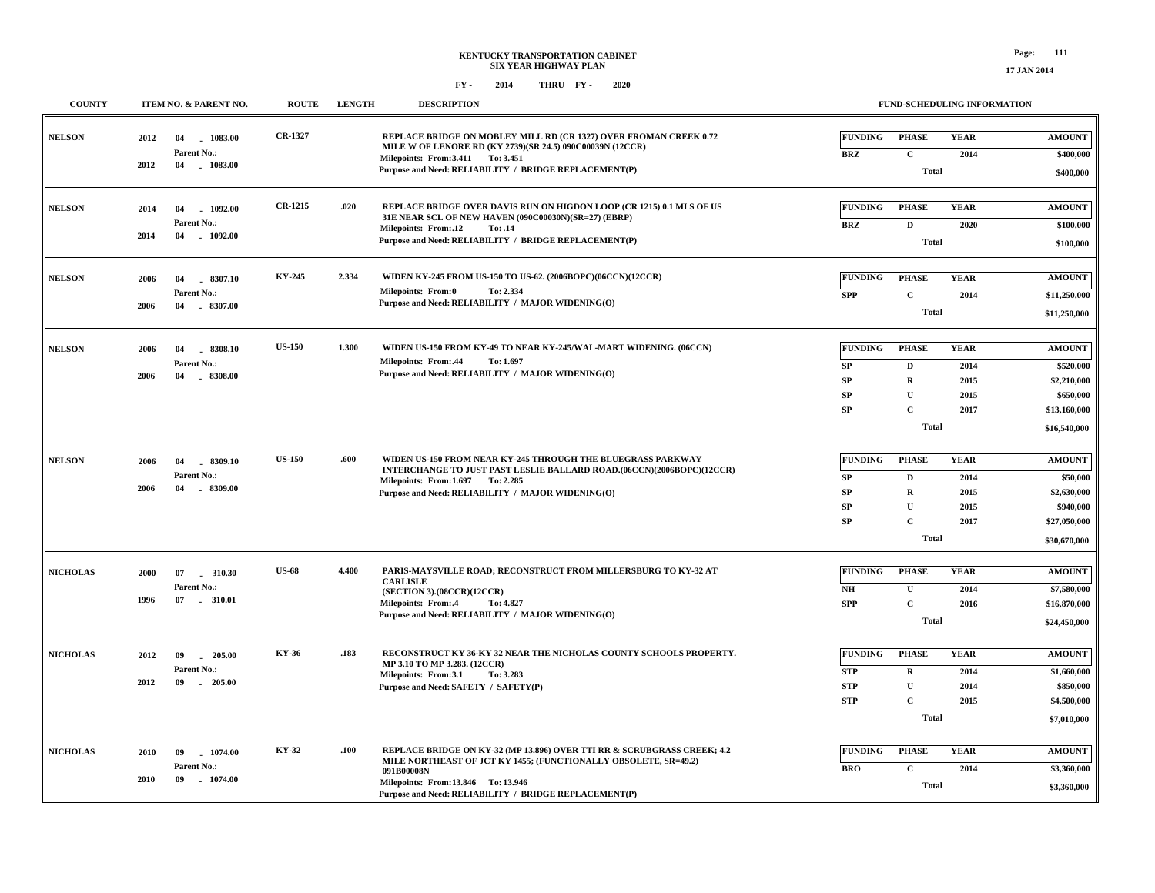| <b>COUNTY</b>         |                          | ITEM NO. & PARENT NO.           | <b>ROUTE</b>   | <b>LENGTH</b> | <b>DESCRIPTION</b>                                                                                                                         |                 | <b>FUND-SCHEDULING INFORMATION</b> |              |                           |
|-----------------------|--------------------------|---------------------------------|----------------|---------------|--------------------------------------------------------------------------------------------------------------------------------------------|-----------------|------------------------------------|--------------|---------------------------|
| <b>NELSON</b>         | 2012                     | 04<br>1083.00                   | CR-1327        |               | REPLACE BRIDGE ON MOBLEY MILL RD (CR 1327) OVER FROMAN CREEK 0.72<br>MILE W OF LENORE RD (KY 2739)(SR 24.5) 090C00039N (12CCR)             | <b>FUNDING</b>  | <b>PHASE</b>                       | <b>YEAR</b>  | <b>AMOUNT</b>             |
|                       | 2012                     | Parent No.:<br>$-1083.00$<br>04 |                |               | Milepoints: From: 3.411 To: 3.451                                                                                                          | <b>BRZ</b>      | $\mathbf{C}$                       | 2014         | \$400,000                 |
|                       |                          |                                 |                |               | Purpose and Need: RELIABILITY / BRIDGE REPLACEMENT(P)                                                                                      |                 | <b>Total</b>                       |              | \$400,000                 |
| <b>NELSON</b>         | 2014                     | 1092.00<br>04                   | <b>CR-1215</b> | .020          | REPLACE BRIDGE OVER DAVIS RUN ON HIGDON LOOP (CR 1215) 0.1 MI S OF US<br>31E NEAR SCL OF NEW HAVEN (090C00030N)(SR=27) (EBRP)              | <b>FUNDING</b>  | <b>PHASE</b>                       | <b>YEAR</b>  | <b>AMOUNT</b>             |
|                       | 2014                     | Parent No.:<br>04<br>$-1092.00$ |                |               | Milepoints: From:.12<br>To: .14                                                                                                            | <b>BRZ</b>      | D                                  | 2020         | \$100,000                 |
|                       |                          |                                 |                |               | Purpose and Need: RELIABILITY / BRIDGE REPLACEMENT(P)                                                                                      |                 | <b>Total</b>                       |              | \$100,000                 |
| <b>NELSON</b>         | 2006                     | 04<br>$-8307.10$                | KY-245         | 2.334         | WIDEN KY-245 FROM US-150 TO US-62. (2006BOPC)(06CCN)(12CCR)                                                                                | <b>FUNDING</b>  | <b>PHASE</b>                       | <b>YEAR</b>  | <b>AMOUNT</b>             |
|                       |                          | Parent No.:                     |                |               | <b>Milepoints: From:0</b><br>To: 2.334<br>Purpose and Need: RELIABILITY / MAJOR WIDENING(O)                                                | <b>SPP</b>      | $\mathbf{C}$                       | 2014         | \$11,250,000              |
|                       | 2006                     | 04<br>8307.00                   |                |               |                                                                                                                                            |                 | <b>Total</b>                       |              | \$11,250,000              |
| <b>NELSON</b>         | 2006                     | 04<br>8308.10                   | <b>US-150</b>  | 1.300         | WIDEN US-150 FROM KY-49 TO NEAR KY-245/WAL-MART WIDENING. (06CCN)                                                                          | <b>FUNDING</b>  | <b>PHASE</b>                       | <b>YEAR</b>  | <b>AMOUNT</b>             |
|                       |                          | Parent No.:                     |                |               | <b>Milepoints: From:.44</b><br>To: 1.697                                                                                                   | SP              | $\mathbf D$                        | 2014         | \$520,000                 |
|                       | 2006                     | 04<br>$-8308.00$                |                |               | Purpose and Need: RELIABILITY / MAJOR WIDENING(O)                                                                                          | SP              | $\mathbf R$                        | 2015         | \$2,210,000               |
|                       |                          |                                 |                |               |                                                                                                                                            | SP              | U                                  | 2015         | \$650,000                 |
|                       |                          |                                 |                |               |                                                                                                                                            | SP              | $\mathbf C$                        | 2017         | \$13,160,000              |
|                       |                          |                                 |                |               |                                                                                                                                            |                 | <b>Total</b>                       |              | \$16,540,000              |
| <b>NELSON</b><br>2006 |                          | 04<br>8309.10                   | <b>US-150</b>  | .600          | WIDEN US-150 FROM NEAR KY-245 THROUGH THE BLUEGRASS PARKWAY<br>INTERCHANGE TO JUST PAST LESLIE BALLARD ROAD.(06CCN)(2006BOPC)(12CCR)       | <b>FUNDING</b>  | <b>PHASE</b>                       | <b>YEAR</b>  | <b>AMOUNT</b>             |
|                       | 2006                     | Parent No.:<br>04<br>8309.00    |                |               | Milepoints: From: 1.697 To: 2.285                                                                                                          | SP              | D                                  | 2014         | \$50,000                  |
|                       |                          |                                 |                |               | Purpose and Need: RELIABILITY / MAJOR WIDENING(O)                                                                                          | ${\bf SP}$      | $\mathbf R$                        | 2015         | \$2,630,000               |
|                       |                          |                                 |                |               |                                                                                                                                            | SP<br><b>SP</b> | U<br>$\mathbf C$                   | 2015<br>2017 | \$940,000<br>\$27,050,000 |
|                       |                          |                                 |                |               |                                                                                                                                            |                 | <b>Total</b>                       |              | \$30,670,000              |
|                       |                          |                                 |                |               |                                                                                                                                            |                 |                                    |              |                           |
| <b>NICHOLAS</b>       | 2000                     | 07<br>310.30                    | <b>US-68</b>   | 4.400         | PARIS-MAYSVILLE ROAD; RECONSTRUCT FROM MILLERSBURG TO KY-32 AT<br><b>CARLISLE</b>                                                          | <b>FUNDING</b>  | <b>PHASE</b>                       | <b>YEAR</b>  | <b>AMOUNT</b>             |
|                       | 1996                     | Parent No.:<br>07 . 310.01      |                |               | (SECTION 3).(08CCR)(12CCR)                                                                                                                 | $N\!H$          | $\mathbf{U}$                       | 2014         | \$7,580,000               |
|                       |                          |                                 |                |               | <b>Milepoints: From:.4</b><br>To: 4.827<br>Purpose and Need: RELIABILITY / MAJOR WIDENING(O)                                               | <b>SPP</b>      | $\mathbf C$                        | 2016         | \$16,870,000              |
|                       |                          |                                 |                |               |                                                                                                                                            |                 | <b>Total</b>                       |              | \$24,450,000              |
| <b>NICHOLAS</b>       | 2012                     | 205.00<br>09                    | KY-36          | .183          | RECONSTRUCT KY 36-KY 32 NEAR THE NICHOLAS COUNTY SCHOOLS PROPERTY.                                                                         | <b>FUNDING</b>  | <b>PHASE</b>                       | <b>YEAR</b>  | <b>AMOUNT</b>             |
|                       |                          | Parent No.:                     |                |               | MP 3.10 TO MP 3.283. (12CCR)<br>Milepoints: From:3.1<br>To: 3.283                                                                          | <b>STP</b>      | R                                  | 2014         | \$1,660,000               |
|                       | 2012                     | 09<br>$-205.00$                 |                |               | Purpose and Need: SAFETY / SAFETY(P)                                                                                                       | <b>STP</b>      | U                                  | 2014         | \$850,000                 |
|                       |                          |                                 |                |               |                                                                                                                                            | <b>STP</b>      | $\mathbf C$                        | 2015         | \$4,500,000               |
|                       |                          |                                 |                |               |                                                                                                                                            |                 | <b>Total</b>                       |              | \$7,010,000               |
| <b>NICHOLAS</b>       | 2010                     | 1074.00<br>09                   | KY-32          | .100          | REPLACE BRIDGE ON KY-32 (MP 13.896) OVER TTI RR & SCRUBGRASS CREEK; 4.2<br>MILE NORTHEAST OF JCT KY 1455; (FUNCTIONALLY OBSOLETE, SR=49.2) | <b>FUNDING</b>  | <b>PHASE</b>                       | <b>YEAR</b>  | <b>AMOUNT</b>             |
|                       |                          | Parent No.:                     |                |               | 091B00008N                                                                                                                                 | <b>BRO</b>      | $\mathbf C$                        | 2014         | \$3,360,000               |
|                       | $-1074.00$<br>2010<br>09 |                                 |                |               | Milepoints: From:13.846 To: 13.946<br>Purpose and Need: RELIABILITY / BRIDGE REPLACEMENT(P)                                                |                 | <b>Total</b>                       |              | \$3,360,000               |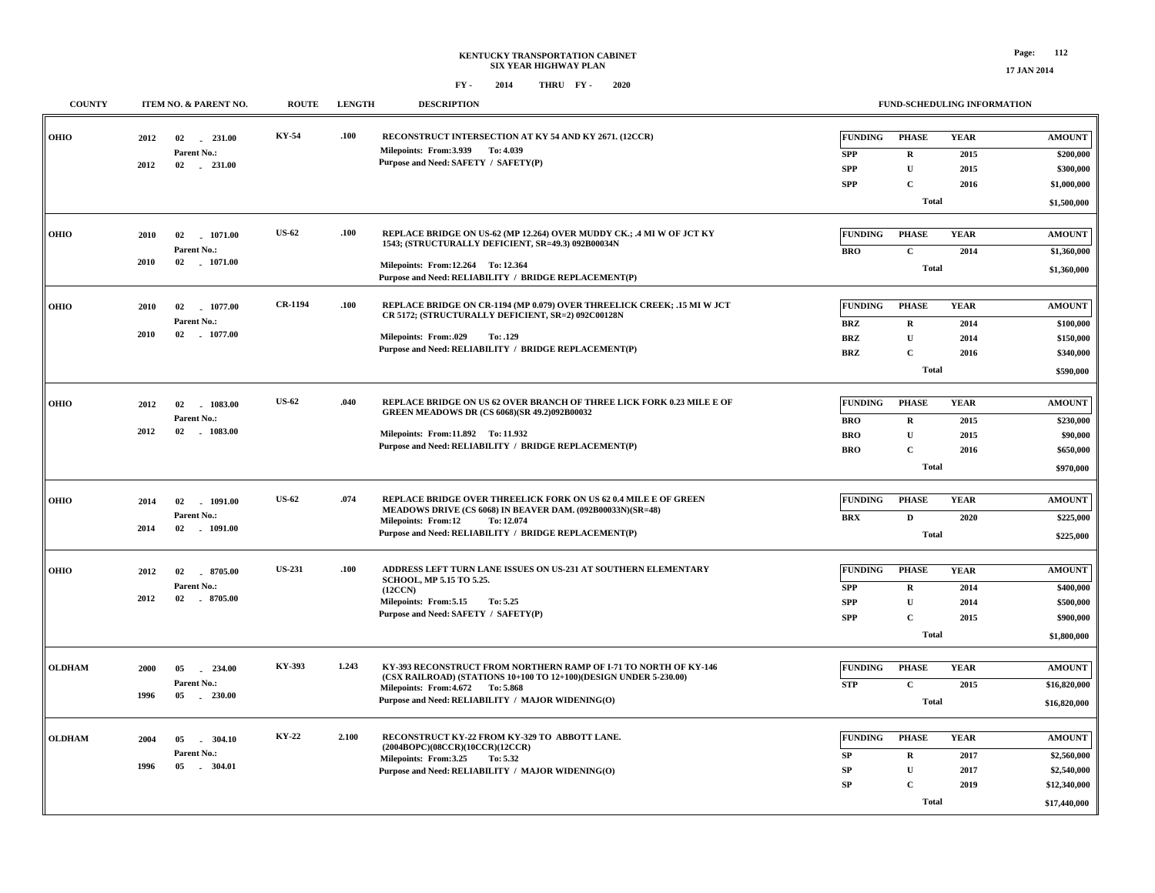| <b>COUNTY</b> |      | ITEM NO. & PARENT NO.     | <b>ROUTE</b>   | <b>LENGTH</b> | <b>DESCRIPTION</b>                                                                                                                    |                              | FUND-SCHEDULING INFORMATION |                     |                            |
|---------------|------|---------------------------|----------------|---------------|---------------------------------------------------------------------------------------------------------------------------------------|------------------------------|-----------------------------|---------------------|----------------------------|
| <b>OHIO</b>   | 2012 | 02 231.00<br>Parent No.:  | KY-54          | .100          | RECONSTRUCT INTERSECTION AT KY 54 AND KY 2671. (12CCR)<br>Milepoints: From: 3.939 To: 4.039                                           | <b>FUNDING</b><br><b>SPP</b> | <b>PHASE</b><br>$\mathbf R$ | <b>YEAR</b><br>2015 | <b>AMOUNT</b><br>\$200,000 |
|               | 2012 | $02 \t 231.00$            |                |               | Purpose and Need: SAFETY / SAFETY(P)                                                                                                  | <b>SPP</b>                   | ${\bf U}$                   | 2015                | \$300,000                  |
|               |      |                           |                |               |                                                                                                                                       | <b>SPP</b>                   | $\mathbf{C}$                | 2016                | \$1,000,000                |
|               |      |                           |                |               |                                                                                                                                       |                              | <b>Total</b>                |                     | \$1,500,000                |
|               |      |                           |                |               |                                                                                                                                       |                              |                             |                     |                            |
| <b>OHIO</b>   | 2010 | 02 1071.00                | <b>US-62</b>   | .100          | REPLACE BRIDGE ON US-62 (MP 12.264) OVER MUDDY CK.; .4 MI W OF JCT KY<br>1543; (STRUCTURALLY DEFICIENT, SR=49.3) 092B00034N           | <b>FUNDING</b>               | <b>PHASE</b>                | <b>YEAR</b>         | <b>AMOUNT</b>              |
|               | 2010 | Parent No.:<br>02 1071.00 |                |               |                                                                                                                                       | <b>BRO</b>                   | $\mathbf{C}$                | 2014                | \$1,360,000                |
|               |      |                           |                |               | Milepoints: From:12.264 To: 12.364<br>Purpose and Need: RELIABILITY / BRIDGE REPLACEMENT(P)                                           |                              | <b>Total</b>                |                     | \$1,360,000                |
| OHIO          | 2010 | 02 1077.00                | <b>CR-1194</b> | .100          | REPLACE BRIDGE ON CR-1194 (MP 0.079) OVER THREELICK CREEK; .15 MI W JCT                                                               | <b>FUNDING</b>               | <b>PHASE</b>                | <b>YEAR</b>         | <b>AMOUNT</b>              |
|               |      | Parent No.:               |                |               | CR 5172; (STRUCTURALLY DEFICIENT, SR=2) 092C00128N                                                                                    | <b>BRZ</b>                   | $\bf R$                     | 2014                | \$100,000                  |
|               | 2010 | $02$ 1077.00              |                |               | Milepoints: From:.029<br>To: .129                                                                                                     | <b>BRZ</b>                   | ${\bf U}$                   | 2014                | \$150,000                  |
|               |      |                           |                |               | Purpose and Need: RELIABILITY / BRIDGE REPLACEMENT(P)                                                                                 | <b>BRZ</b>                   | $\mathbf C$                 | 2016                | \$340,000                  |
|               |      |                           |                |               |                                                                                                                                       |                              | <b>Total</b>                |                     | \$590,000                  |
|               |      |                           |                |               |                                                                                                                                       |                              |                             |                     |                            |
| OHIO          | 2012 | 1083.00<br>02             | <b>US-62</b>   | .040          | REPLACE BRIDGE ON US 62 OVER BRANCH OF THREE LICK FORK 0.23 MILE E OF                                                                 | <b>FUNDING</b>               | <b>PHASE</b>                | <b>YEAR</b>         | <b>AMOUNT</b>              |
|               |      | Parent No.:               |                |               | <b>GREEN MEADOWS DR (CS 6068)(SR 49.2)092B00032</b>                                                                                   | <b>BRO</b>                   | $\mathbf R$                 | 2015                | \$230,000                  |
|               | 2012 | 02 1083.00                |                |               | Milepoints: From:11.892 To: 11.932                                                                                                    | <b>BRO</b>                   | $\mathbf U$                 | 2015                | \$90,000                   |
|               |      |                           |                |               | Purpose and Need: RELIABILITY / BRIDGE REPLACEMENT(P)                                                                                 | <b>BRO</b>                   | $\mathbf{C}$                | 2016                | \$650,000                  |
|               |      |                           |                |               |                                                                                                                                       |                              | <b>Total</b>                |                     | \$970,000                  |
|               |      |                           |                |               |                                                                                                                                       |                              |                             |                     |                            |
| OHIO          | 2014 | 1091.00<br>02             | <b>US-62</b>   | .074          | REPLACE BRIDGE OVER THREELICK FORK ON US 62 0.4 MILE E OF GREEN<br>MEADOWS DRIVE (CS 6068) IN BEAVER DAM. (092B00033N)(SR=48)         | <b>FUNDING</b>               | <b>PHASE</b>                | <b>YEAR</b>         | <b>AMOUNT</b>              |
|               |      | Parent No.:               |                |               | <b>Milepoints: From:12</b><br>To: 12.074                                                                                              | <b>BRX</b>                   | $\mathbf{D}$                | 2020                | \$225,000                  |
|               | 2014 | 02 1091.00                |                |               | Purpose and Need: RELIABILITY / BRIDGE REPLACEMENT(P)                                                                                 |                              | \$225,000                   |                     |                            |
|               |      |                           | <b>US-231</b>  | .100          | ADDRESS LEFT TURN LANE ISSUES ON US-231 AT SOUTHERN ELEMENTARY                                                                        | <b>FUNDING</b>               | <b>PHASE</b>                | <b>YEAR</b>         | <b>AMOUNT</b>              |
| OHIO          | 2012 | 02 8705.00                |                |               | SCHOOL, MP 5.15 TO 5.25.                                                                                                              |                              |                             |                     |                            |
|               | 2012 | Parent No.:<br>02 8705.00 |                |               | (12CCN)                                                                                                                               | <b>SPP</b>                   | $\mathbf R$                 | 2014                | \$400,000                  |
|               |      |                           |                |               | Milepoints: From: 5.15<br>To: 5.25<br>Purpose and Need: SAFETY / SAFETY(P)                                                            | <b>SPP</b>                   | ${\bf U}$                   | 2014                | \$500,000                  |
|               |      |                           |                |               |                                                                                                                                       | <b>SPP</b>                   | $\mathbf C$                 | 2015                | \$900,000                  |
|               |      |                           |                |               |                                                                                                                                       |                              | <b>Total</b>                |                     | \$1,800,000                |
| <b>OLDHAM</b> | 2000 | $-234.00$<br>05           | KY-393         | 1.243         | KY-393 RECONSTRUCT FROM NORTHERN RAMP OF I-71 TO NORTH OF KY-146<br>(CSX RAILROAD) (STATIONS 10+100 TO 12+100)(DESIGN UNDER 5-230.00) | <b>FUNDING</b>               | <b>PHASE</b>                | <b>YEAR</b>         | <b>AMOUNT</b>              |
|               |      | Parent No.:               |                |               | Milepoints: From: 4.672 To: 5.868                                                                                                     | <b>STP</b>                   | $\mathbf C$                 | 2015                | \$16,820,000               |
|               | 1996 | 05 230.00                 |                |               | Purpose and Need: RELIABILITY / MAJOR WIDENING(O)                                                                                     |                              | <b>Total</b>                |                     | \$16,820,000               |
|               |      |                           |                |               |                                                                                                                                       |                              |                             |                     |                            |
| <b>OLDHAM</b> | 2004 | 304.10<br>05              | KY-22          | 2.100         | RECONSTRUCT KY-22 FROM KY-329 TO ABBOTT LANE.                                                                                         | <b>FUNDING</b>               | <b>PHASE</b>                | <b>YEAR</b>         | <b>AMOUNT</b>              |
|               |      | Parent No.:               |                |               | (2004BOPC)(08CCR)(10CCR)(12CCR)<br>Milepoints: From:3.25 To: 5.32                                                                     | SP                           | $\mathbf R$                 | 2017                | \$2,560,000                |
|               | 1996 | 05<br>$-304.01$           |                |               | Purpose and Need: RELIABILITY / MAJOR WIDENING(O)                                                                                     | <b>SP</b>                    | ${\bf U}$                   | 2017                | \$2,540,000                |
|               |      |                           |                |               |                                                                                                                                       | SP                           | $\mathbf C$                 | 2019                | \$12,340,000               |
|               |      |                           |                |               |                                                                                                                                       |                              | <b>Total</b>                |                     | \$17,440,000               |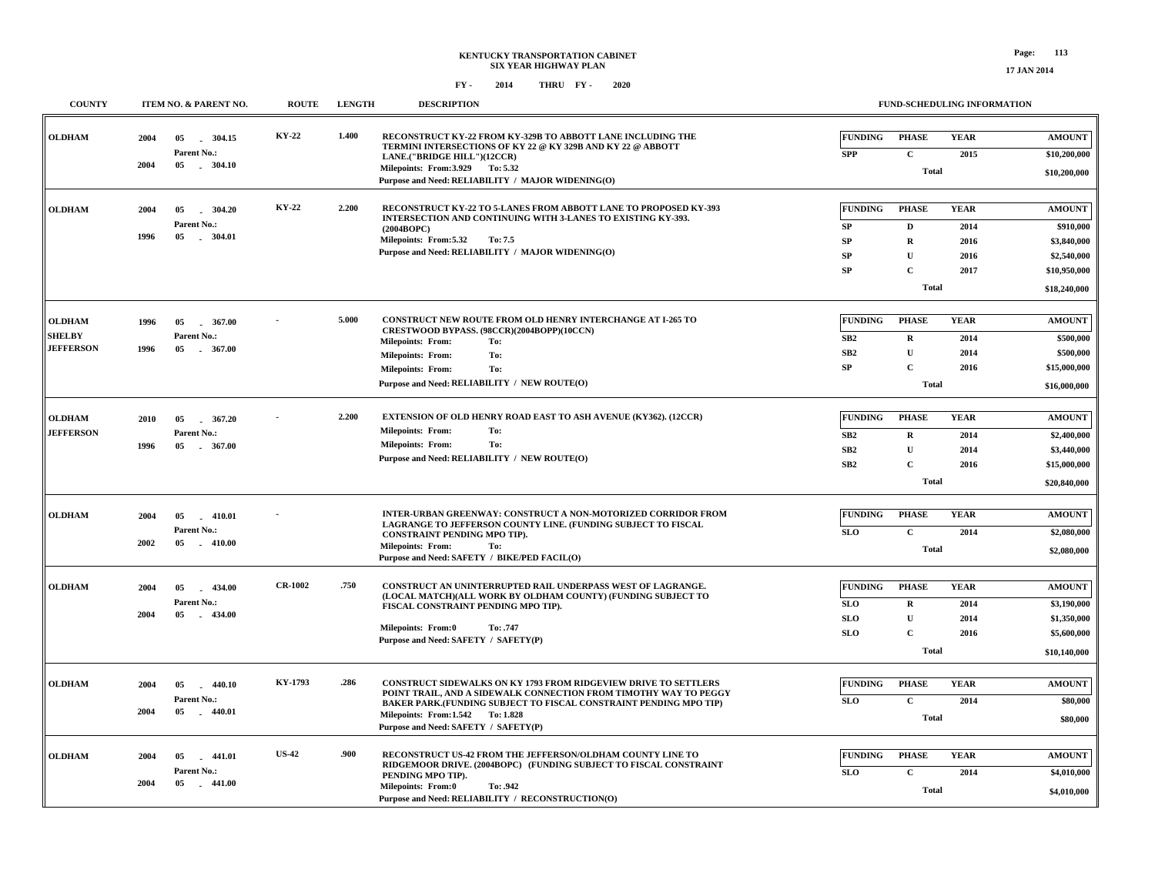**COUNTY ITEM NO. & PARENT NO. ROUTE LENGTH DESCRIPTION**

 **05 304.15 -2004**

**Parent No.:**

**KY-22**

**OLDHAM**

 **1.400**

#### **FUND-SCHEDULING INFORMATION RECONSTRUCT KY-22 FROM KY-329B TO ABBOTT LANE INCLUDING THE TERMINI INTERSECTIONS OF KY 22 @ KY 329B AND KY 22 @ ABBOTT LANE.("BRIDGE HILL")(12CCR) \$10,200,000 TotalCPHASEFUNDINGPHASE2015 YEARYEARSPPFUNDING \$10,200,000 AMOUNTAMOUNT**

|                  | 2004 | 05<br>. 304.10         |                |       | LANE, DRIDGE HILL #12CCR<br>Milepoints: From: 3.929 To: 5.32<br>Purpose and Need: RELIABILITY / MAJOR WIDENING(O)                     |                 | <b>Total</b> |             | \$10,200,000  |
|------------------|------|------------------------|----------------|-------|---------------------------------------------------------------------------------------------------------------------------------------|-----------------|--------------|-------------|---------------|
| <b>OLDHAM</b>    | 2004 | 304.20<br>05           | <b>KY-22</b>   | 2.200 | RECONSTRUCT KY-22 TO 5-LANES FROM ABBOTT LANE TO PROPOSED KY-393<br>INTERSECTION AND CONTINUING WITH 3-LANES TO EXISTING KY-393.      | <b>FUNDING</b>  | <b>PHASE</b> | <b>YEAR</b> | <b>AMOUNT</b> |
|                  |      | Parent No.:            |                |       | (2004BOPC)                                                                                                                            | SP              | D            | 2014        | \$910,000     |
|                  | 1996 | 05<br>304.01           |                |       | Milepoints: From:5.32<br>To: 7.5                                                                                                      | SP              | $\bf{R}$     | 2016        | \$3,840,000   |
|                  |      |                        |                |       | Purpose and Need: RELIABILITY / MAJOR WIDENING(O)                                                                                     | ${\bf SP}$      | $\mathbf{U}$ | 2016        | \$2,540,000   |
|                  |      |                        |                |       |                                                                                                                                       | SP              | $\mathbf{C}$ | 2017        | \$10,950,000  |
|                  |      |                        |                |       |                                                                                                                                       |                 | <b>Total</b> |             | \$18,240,000  |
| <b>OLDHAM</b>    | 1996 | 05<br>$-367.00$        |                | 5.000 | <b>CONSTRUCT NEW ROUTE FROM OLD HENRY INTERCHANGE AT I-265 TO</b>                                                                     | <b>FUNDING</b>  | <b>PHASE</b> | <b>YEAR</b> | <b>AMOUNT</b> |
| <b>SHELBY</b>    |      | Parent No.:            |                |       | CRESTWOOD BYPASS. (98CCR)(2004BOPP)(10CCN)<br><b>Milepoints: From:</b><br>To:                                                         | SB2             | $\mathbf{R}$ | 2014        | \$500,000     |
| <b>JEFFERSON</b> | 1996 | $-367.00$<br>05        |                |       | To:<br><b>Milepoints: From:</b>                                                                                                       | SB2             | $\mathbf U$  | 2014        | \$500,000     |
|                  |      |                        |                |       | To:<br><b>Milepoints: From:</b>                                                                                                       | ${\bf SP}$      | $\mathbf{C}$ | 2016        | \$15,000,000  |
|                  |      |                        |                |       | Purpose and Need: RELIABILITY / NEW ROUTE(O)                                                                                          |                 | <b>Total</b> |             | \$16,000,000  |
| <b>OLDHAM</b>    | 2010 | 367.20<br>05<br>$\sim$ |                | 2.200 | EXTENSION OF OLD HENRY ROAD EAST TO ASH AVENUE (KY362). (12CCR)                                                                       | <b>FUNDING</b>  | <b>PHASE</b> | <b>YEAR</b> | <b>AMOUNT</b> |
| <b>JEFFERSON</b> |      | Parent No.:            |                |       | <b>Milepoints: From:</b><br>To:                                                                                                       | SB <sub>2</sub> | $\mathbf R$  | 2014        | \$2,400,000   |
|                  | 1996 | 05<br>. 367.00         |                |       | <b>Milepoints: From:</b><br>To:                                                                                                       | SB2             | $\mathbf{U}$ | 2014        | \$3,440,000   |
|                  |      |                        |                |       | Purpose and Need: RELIABILITY / NEW ROUTE(O)                                                                                          | SB2             | $\mathbf{C}$ | 2016        | \$15,000,000  |
|                  |      |                        |                |       |                                                                                                                                       |                 | <b>Total</b> |             | \$20,840,000  |
| <b>OLDHAM</b>    | 2004 | 05<br>$-410.01$        |                |       | <b>INTER-URBAN GREENWAY: CONSTRUCT A NON-MOTORIZED CORRIDOR FROM</b>                                                                  | <b>FUNDING</b>  | <b>PHASE</b> | <b>YEAR</b> | <b>AMOUNT</b> |
|                  |      | Parent No.:            |                |       | LAGRANGE TO JEFFERSON COUNTY LINE. (FUNDING SUBJECT TO FISCAL<br>CONSTRAINT PENDING MPO TIP).                                         | <b>SLO</b>      | $\mathbf{C}$ | 2014        | \$2,080,000   |
|                  | 2002 | $-410.00$<br>05        |                |       | <b>Milepoints: From:</b><br>To:                                                                                                       |                 | Total        |             | \$2,080,000   |
|                  |      |                        |                |       | Purpose and Need: SAFETY / BIKE/PED FACIL(O)                                                                                          |                 |              |             |               |
| <b>OLDHAM</b>    | 2004 | 05<br>434.00<br>$\sim$ | <b>CR-1002</b> | .750  | CONSTRUCT AN UNINTERRUPTED RAIL UNDERPASS WEST OF LAGRANGE.<br>(LOCAL MATCH)(ALL WORK BY OLDHAM COUNTY) (FUNDING SUBJECT TO           | <b>FUNDING</b>  | <b>PHASE</b> | <b>YEAR</b> | <b>AMOUNT</b> |
|                  |      | Parent No.:            |                |       | FISCAL CONSTRAINT PENDING MPO TIP).                                                                                                   | <b>SLO</b>      | $\mathbf R$  | 2014        | \$3,190,000   |
|                  | 2004 | 05<br>$-434.00$        |                |       | Milepoints: From:0<br>To: .747                                                                                                        | <b>SLO</b>      | ${\bf U}$    | 2014        | \$1,350,000   |
|                  |      |                        |                |       | Purpose and Need: SAFETY / SAFETY(P)                                                                                                  | <b>SLO</b>      | $\mathbf{C}$ | 2016        | \$5,600,000   |
|                  |      |                        |                |       |                                                                                                                                       |                 | <b>Total</b> |             | \$10,140,000  |
| <b>OLDHAM</b>    | 2004 | 05<br>440.10           | KY-1793        | .286  | <b>CONSTRUCT SIDEWALKS ON KY 1793 FROM RIDGEVIEW DRIVE TO SETTLERS</b>                                                                | <b>FUNDING</b>  | <b>PHASE</b> | <b>YEAR</b> | <b>AMOUNT</b> |
|                  |      | Parent No.:            |                |       | POINT TRAIL, AND A SIDEWALK CONNECTION FROM TIMOTHY WAY TO PEGGY<br>BAKER PARK.(FUNDING SUBJECT TO FISCAL CONSTRAINT PENDING MPO TIP) | <b>SLO</b>      | $\mathbf{C}$ | 2014        | \$80,000      |
|                  | 2004 | $-440.01$<br>05        |                |       | Milepoints: From:1.542 To:1.828<br>Purpose and Need: SAFETY / SAFETY(P)                                                               |                 | <b>Total</b> |             | \$80,000      |
| <b>OLDHAM</b>    | 2004 | $-441.01$<br>05        | <b>US-42</b>   | .900  | RECONSTRUCT US-42 FROM THE JEFFERSON/OLDHAM COUNTY LINE TO                                                                            | <b>FUNDING</b>  | <b>PHASE</b> | <b>YEAR</b> | <b>AMOUNT</b> |
|                  |      | Parent No.:            |                |       | RIDGEMOOR DRIVE. (2004BOPC) (FUNDING SUBJECT TO FISCAL CONSTRAINT                                                                     | <b>SLO</b>      | $\mathbf{C}$ | 2014        | \$4,010,000   |
|                  | 2004 | $-441.00$<br>05        |                |       | PENDING MPO TIP).<br>Milepoints: From:0<br>To: .942                                                                                   |                 | <b>Total</b> |             |               |
|                  |      |                        |                |       | Purpose and Need: RELIABILITY / RECONSTRUCTION(O)                                                                                     |                 |              |             | \$4,010,000   |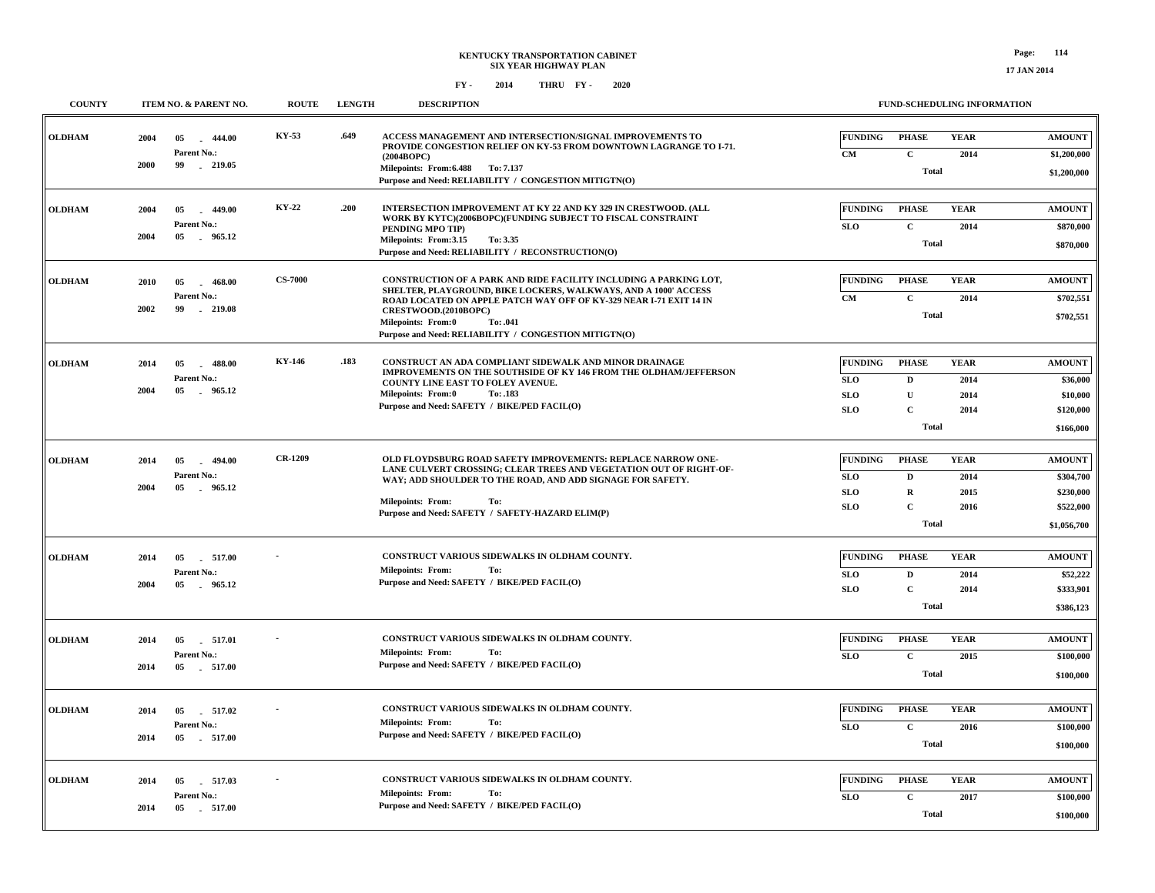| <b>COUNTY</b> | ITEM NO. & PARENT NO.                                                    | <b>ROUTE</b>   | <b>LENGTH</b> | <b>DESCRIPTION</b>                                                                                                                                                                                                                                                                                                                   |                                                   |                                                                 | <b>FUND-SCHEDULING INFORMATION</b>  |                                                                     |
|---------------|--------------------------------------------------------------------------|----------------|---------------|--------------------------------------------------------------------------------------------------------------------------------------------------------------------------------------------------------------------------------------------------------------------------------------------------------------------------------------|---------------------------------------------------|-----------------------------------------------------------------|-------------------------------------|---------------------------------------------------------------------|
| <b>OLDHAM</b> | 444.00<br>2004<br>05<br>n.<br>Parent No.:<br>2000<br>99<br>219.05        | KY-53          | .649          | ACCESS MANAGEMENT AND INTERSECTION/SIGNAL IMPROVEMENTS TO<br>PROVIDE CONGESTION RELIEF ON KY-53 FROM DOWNTOWN LAGRANGE TO I-71.<br>(2004BOPC)<br>Milepoints: From: 6.488 To: 7.137<br>Purpose and Need: RELIABILITY / CONGESTION MITIGTN(O)                                                                                          | <b>FUNDING</b><br>CM                              | <b>PHASE</b><br>$\mathbf C$<br><b>Total</b>                     | <b>YEAR</b><br>2014                 | <b>AMOUNT</b><br>\$1,200,000<br>\$1,200,000                         |
| <b>OLDHAM</b> | 2004<br>05<br>$-449.00$<br>Parent No.:<br>2004<br>05<br>965.12           | <b>KY-22</b>   | .200          | INTERSECTION IMPROVEMENT AT KY 22 AND KY 329 IN CRESTWOOD. (ALL<br>WORK BY KYTC)(2006BOPC)(FUNDING SUBJECT TO FISCAL CONSTRAINT<br>PENDING MPO TIP)<br>Milepoints: From:3.15<br>To: 3.35<br>Purpose and Need: RELIABILITY / RECONSTRUCTION(O)                                                                                        | FUNDING<br>SLO                                    | <b>PHASE</b><br>$\mathbf C$<br><b>Total</b>                     | <b>YEAR</b><br>2014                 | <b>AMOUNT</b><br>\$870,000<br>\$870,000                             |
| <b>OLDHAM</b> | 2010<br>05<br>$-468.00$<br>Parent No.:<br>2002<br>99<br>$-219.08$        | <b>CS-7000</b> |               | CONSTRUCTION OF A PARK AND RIDE FACILITY INCLUDING A PARKING LOT,<br>SHELTER, PLAYGROUND, BIKE LOCKERS, WALKWAYS, AND A 1000' ACCESS<br>ROAD LOCATED ON APPLE PATCH WAY OFF OF KY-329 NEAR I-71 EXIT 14 IN<br>CRESTWOOD.(2010BOPC)<br><b>Milepoints: From:0</b><br>To: .041<br>Purpose and Need: RELIABILITY / CONGESTION MITIGTN(O) | <b>FUNDING</b><br>CM                              | <b>PHASE</b><br>$\mathbf C$<br><b>Total</b>                     | <b>YEAR</b><br>2014                 | <b>AMOUNT</b><br>\$702,551<br>\$702,551                             |
| <b>OLDHAM</b> | 2014<br>05<br>$-488.00$<br>Parent No.:<br>2004<br>05<br>965.12           | KY-146         | .183          | CONSTRUCT AN ADA COMPLIANT SIDEWALK AND MINOR DRAINAGE<br>IMPROVEMENTS ON THE SOUTHSIDE OF KY 146 FROM THE OLDHAM/JEFFERSON<br>COUNTY LINE EAST TO FOLEY AVENUE.<br>Milepoints: From:0<br>To: .183<br>Purpose and Need: SAFETY / BIKE/PED FACIL(O)                                                                                   | <b>FUNDING</b><br><b>SLO</b><br><b>SLO</b><br>SLO | <b>PHASE</b><br>D<br>U<br>$\mathbf C$<br><b>Total</b>           | <b>YEAR</b><br>2014<br>2014<br>2014 | <b>AMOUNT</b><br>\$36,000<br>\$10,000<br>\$120,000<br>\$166,000     |
| <b>OLDHAM</b> | 05<br>$-494.00$<br>2014<br>Parent No.:<br>2004<br>05<br>965.12<br>$\sim$ | <b>CR-1209</b> |               | OLD FLOYDSBURG ROAD SAFETY IMPROVEMENTS: REPLACE NARROW ONE-<br>LANE CULVERT CROSSING; CLEAR TREES AND VEGETATION OUT OF RIGHT-OF-<br>WAY; ADD SHOULDER TO THE ROAD, AND ADD SIGNAGE FOR SAFETY.<br><b>Milepoints: From:</b><br>To:<br>Purpose and Need: SAFETY / SAFETY-HAZARD ELIM(P)                                              | <b>FUNDING</b><br>SLO<br>SLO<br><b>SLO</b>        | <b>PHASE</b><br>D<br>$\mathbf R$<br>$\mathbf C$<br><b>Total</b> | <b>YEAR</b><br>2014<br>2015<br>2016 | <b>AMOUNT</b><br>\$304,700<br>\$230,000<br>\$522,000<br>\$1,056,700 |
| <b>OLDHAM</b> | 2014<br>05<br>517.00<br>Parent No.:<br>2004<br>05<br>965.12              |                |               | CONSTRUCT VARIOUS SIDEWALKS IN OLDHAM COUNTY.<br><b>Milepoints: From:</b><br>To:<br>Purpose and Need: SAFETY / BIKE/PED FACIL(O)                                                                                                                                                                                                     | <b>FUNDING</b><br><b>SLO</b><br><b>SLO</b>        | <b>PHASE</b><br>D<br>$\mathbf{C}$<br><b>Total</b>               | <b>YEAR</b><br>2014<br>2014         | <b>AMOUNT</b><br>\$52,222<br>\$333,901<br>\$386,123                 |
| <b>OLDHAM</b> | 2014<br>05<br>517.01<br>Parent No.:<br>2014<br>05<br>517.00              |                |               | CONSTRUCT VARIOUS SIDEWALKS IN OLDHAM COUNTY.<br><b>Milepoints: From:</b><br>To:<br>Purpose and Need: SAFETY / BIKE/PED FACIL(O)                                                                                                                                                                                                     | <b>FUNDING</b><br><b>SLO</b>                      | <b>PHASE</b><br>$\mathbf C$<br><b>Total</b>                     | <b>YEAR</b><br>2015                 | <b>AMOUNT</b><br>\$100,000<br>\$100,000                             |
| <b>OLDHAM</b> | 2014<br>05<br>517.02<br>Parent No.:<br>2014<br>05<br>517.00              |                |               | CONSTRUCT VARIOUS SIDEWALKS IN OLDHAM COUNTY.<br><b>Milepoints: From:</b><br>To:<br>Purpose and Need: SAFETY / BIKE/PED FACIL(O)                                                                                                                                                                                                     | <b>FUNDING</b><br>SLO                             | <b>PHASE</b><br>$\mathbf C$<br><b>Total</b>                     | <b>YEAR</b><br>2016                 | <b>AMOUNT</b><br>\$100,000<br>\$100,000                             |
| <b>OLDHAM</b> | 2014<br>05<br>517.03<br>Parent No.:<br>2014<br>05 517.00                 |                |               | CONSTRUCT VARIOUS SIDEWALKS IN OLDHAM COUNTY.<br><b>Milepoints: From:</b><br>To:<br>Purpose and Need: SAFETY / BIKE/PED FACIL(O)                                                                                                                                                                                                     | <b>FUNDING</b><br>SLO                             | <b>PHASE</b><br>$\mathbf c$<br><b>Total</b>                     | <b>YEAR</b><br>2017                 | <b>AMOUNT</b><br>\$100,000<br>\$100,000                             |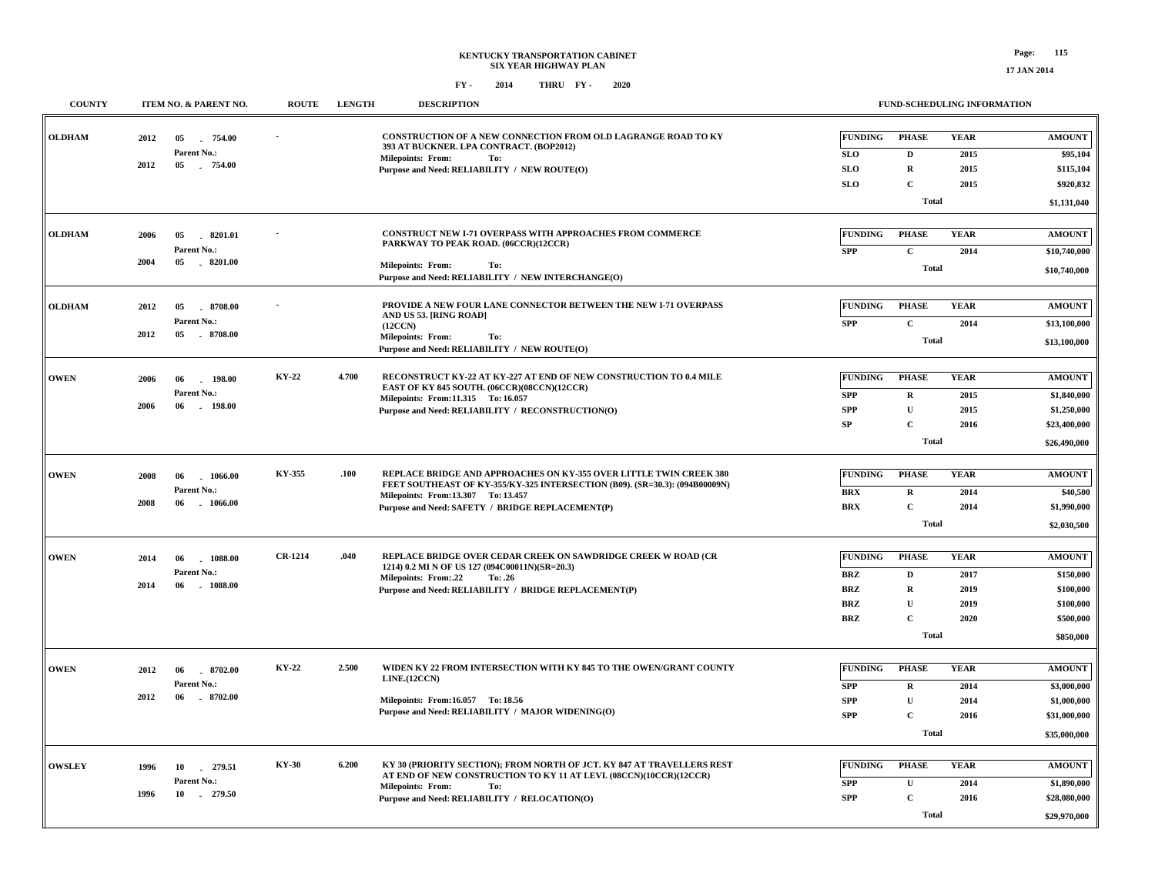| <b>COUNTY</b> |      | ITEM NO. & PARENT NO.        | <b>ROUTE</b>   | <b>LENGTH</b> | <b>DESCRIPTION</b>                                                                                              |                | FUND-SCHEDULING INFORMATION |              |               |
|---------------|------|------------------------------|----------------|---------------|-----------------------------------------------------------------------------------------------------------------|----------------|-----------------------------|--------------|---------------|
| <b>OLDHAM</b> | 2012 | 05<br>754.00                 |                |               | CONSTRUCTION OF A NEW CONNECTION FROM OLD LAGRANGE ROAD TO KY<br>393 AT BUCKNER. LPA CONTRACT. (BOP2012)        | <b>FUNDING</b> | <b>PHASE</b>                | <b>YEAR</b>  | <b>AMOUNT</b> |
|               |      | Parent No.:                  |                |               | <b>Milepoints: From:</b><br>To:                                                                                 | <b>SLO</b>     | $\mathbf D$                 | 2015         | \$95,104      |
|               | 2012 | 05 754.00                    |                |               | Purpose and Need: RELIABILITY / NEW ROUTE(O)                                                                    | <b>SLO</b>     | $\mathbf R$                 | 2015         | \$115,104     |
|               |      |                              |                |               |                                                                                                                 | <b>SLO</b>     | $\mathbf{C}$                | 2015         | \$920,832     |
|               |      |                              |                |               |                                                                                                                 |                | Total                       |              | \$1,131,040   |
| <b>OLDHAM</b> | 2006 | 05<br>8201.01                |                |               | CONSTRUCT NEW I-71 OVERPASS WITH APPROACHES FROM COMMERCE<br>PARKWAY TO PEAK ROAD. (06CCR)(12CCR)               | FUNDING        | <b>PHASE</b>                | <b>YEAR</b>  | <b>AMOUNT</b> |
|               |      | Parent No.:                  |                |               |                                                                                                                 | <b>SPP</b>     | $\mathbf{C}$                | 2014         | \$10,740,000  |
|               | 2004 | 05 8201.00                   |                |               | Milepoints: From:<br>To:<br>Purpose and Need: RELIABILITY / NEW INTERCHANGE(O)                                  |                | Total                       |              | \$10,740,000  |
| <b>OLDHAM</b> | 2012 | 05<br>8708.00                |                |               | PROVIDE A NEW FOUR LANE CONNECTOR BETWEEN THE NEW I-71 OVERPASS                                                 | <b>FUNDING</b> | <b>PHASE</b>                | <b>YEAR</b>  | <b>AMOUNT</b> |
|               |      | Parent No.:                  |                |               | AND US 53. [RING ROAD]<br>(12CCN)                                                                               | <b>SPP</b>     | $\mathbf C$                 | 2014         | \$13,100,000  |
|               | 2012 | 05<br>$-8708.00$             |                |               | Milepoints: From:<br>To:                                                                                        |                | <b>Total</b>                |              | \$13,100,000  |
|               |      |                              |                |               | Purpose and Need: RELIABILITY / NEW ROUTE(O)                                                                    |                |                             |              |               |
| <b>OWEN</b>   | 2006 | 06<br>$-198.00$              | KY-22          | 4.700         | RECONSTRUCT KY-22 AT KY-227 AT END OF NEW CONSTRUCTION TO 0.4 MILE                                              | FUNDING        | <b>PHASE</b>                | <b>YEAR</b>  | <b>AMOUNT</b> |
|               |      | Parent No.:                  |                |               | EAST OF KY 845 SOUTH. (06CCR)(08CCN)(12CCR)<br>Milepoints: From:11.315 To: 16.057                               | <b>SPP</b>     | R                           | 2015         | \$1,840,000   |
|               | 2006 | 06<br>$-198.00$              |                |               | Purpose and Need: RELIABILITY / RECONSTRUCTION(O)                                                               | <b>SPP</b>     | U                           | 2015         | \$1,250,000   |
|               |      |                              |                |               |                                                                                                                 | SP             | $\mathbf{C}$                | 2016         | \$23,400,000  |
|               |      |                              |                |               |                                                                                                                 |                | Total                       |              | \$26,490,000  |
| <b>OWEN</b>   | 2008 | 06<br>1066.00                | KY-355         | .100          | REPLACE BRIDGE AND APPROACHES ON KY-355 OVER LITTLE TWIN CREEK 380                                              | <b>FUNDING</b> | <b>PHASE</b>                | <b>YEAR</b>  | <b>AMOUNT</b> |
|               |      | Parent No.:                  |                |               | FEET SOUTHEAST OF KY-355/KY-325 INTERSECTION (B09). (SR=30.3): (094B00009N)                                     | <b>BRX</b>     | $\mathbf R$                 | 2014         | \$40,500      |
|               | 2008 | 06<br>1066.00                |                |               | Milepoints: From:13.307 To: 13.457<br>Purpose and Need: SAFETY / BRIDGE REPLACEMENT(P)                          | <b>BRX</b>     | $\mathbf C$                 | 2014         | \$1,990,000   |
|               |      |                              |                |               |                                                                                                                 |                | <b>Total</b>                |              | \$2,030,500   |
|               |      |                              |                |               |                                                                                                                 |                |                             |              |               |
| <b>OWEN</b>   | 2014 | 1088.00<br>06                | <b>CR-1214</b> | .040          | REPLACE BRIDGE OVER CEDAR CREEK ON SAWDRIDGE CREEK W ROAD (CR<br>1214) 0.2 MI N OF US 127 (094C00011N)(SR=20.3) | <b>FUNDING</b> | <b>PHASE</b>                | <b>YEAR</b>  | <b>AMOUNT</b> |
|               |      | Parent No.:                  |                |               | <b>Milepoints: From:.22</b><br>To: .26                                                                          | <b>BRZ</b>     | $\mathbf{D}$                | 2017         | \$150,000     |
|               | 2014 | 06<br>$-1088.00$             |                |               | Purpose and Need: RELIABILITY / BRIDGE REPLACEMENT(P)                                                           | <b>BRZ</b>     | $\mathbf R$                 | 2019         | \$100,000     |
|               |      |                              |                |               |                                                                                                                 | <b>BRZ</b>     | $\mathbf{U}$                | 2019         | \$100,000     |
|               |      |                              |                |               |                                                                                                                 | <b>BRZ</b>     | $\mathbf{C}$                | 2020         | \$500,000     |
|               |      |                              |                |               |                                                                                                                 |                | Total                       |              | \$850,000     |
|               |      |                              | KY-22          | 2.500         | WIDEN KY 22 FROM INTERSECTION WITH KY 845 TO THE OWEN/GRANT COUNTY                                              |                |                             |              |               |
| <b>OWEN</b>   | 2012 | 8702.00<br>06                |                |               | LINE.(12CCN)                                                                                                    | <b>FUNDING</b> | <b>PHASE</b>                | <b>YEAR</b>  | <b>AMOUNT</b> |
|               | 2012 | Parent No.:<br>8702.00<br>06 |                |               |                                                                                                                 | SPP            | $\mathbf R$                 | 2014         | \$3,000,000   |
|               |      |                              |                |               | Milepoints: From:16.057 To: 18.56<br>Purpose and Need: RELIABILITY / MAJOR WIDENING(O)                          | <b>SPP</b>     | U<br>$\mathbf C$            | 2014<br>2016 | \$1,000,000   |
|               |      |                              |                |               |                                                                                                                 | <b>SPP</b>     |                             |              | \$31,000,000  |
|               |      |                              |                |               |                                                                                                                 |                | Total                       |              | \$35,000,000  |
| <b>OWSLEY</b> | 1996 | 10<br>279.51                 | <b>KY-30</b>   | 6.200         | KY 30 (PRIORITY SECTION); FROM NORTH OF JCT. KY 847 AT TRAVELLERS REST                                          | FUNDING        | <b>PHASE</b>                | <b>YEAR</b>  | <b>AMOUNT</b> |
|               |      | Parent No.:                  |                |               | AT END OF NEW CONSTRUCTION TO KY 11 AT LEVI. (08CCN)(10CCR)(12CCR)                                              | <b>SPP</b>     | $\mathbf U$                 | 2014         | \$1,890,000   |
|               | 1996 | 10 279.50                    |                |               | <b>Milepoints: From:</b><br>To:<br>Purpose and Need: RELIABILITY / RELOCATION(O)                                | <b>SPP</b>     | $\mathbf C$                 | 2016         | \$28,080,000  |
|               |      |                              |                |               |                                                                                                                 |                | <b>Total</b>                |              | \$29,970,000  |
|               |      |                              |                |               |                                                                                                                 |                |                             |              |               |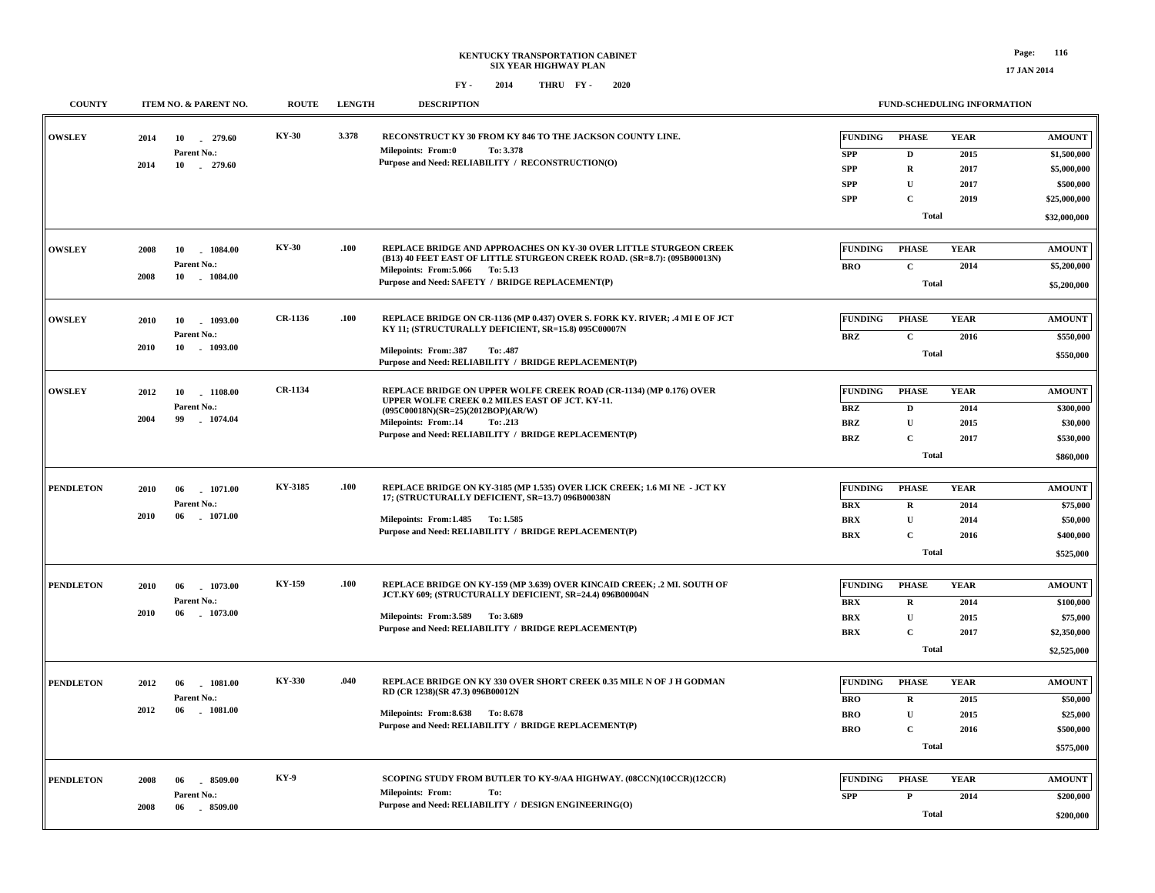| <b>COUNTY</b>    |      | ITEM NO. & PARENT NO.           | <b>ROUTE</b>   | <b>LENGTH</b> | <b>DESCRIPTION</b>                                                                                                                  |                                  | FUND-SCHEDULING INFORMATION |                     |                              |
|------------------|------|---------------------------------|----------------|---------------|-------------------------------------------------------------------------------------------------------------------------------------|----------------------------------|-----------------------------|---------------------|------------------------------|
| <b>OWSLEY</b>    | 2014 | 10<br>279.60<br>Parent No.:     | <b>KY-30</b>   | 3.378         | RECONSTRUCT KY 30 FROM KY 846 TO THE JACKSON COUNTY LINE.<br>To: 3.378<br><b>Milepoints: From:0</b>                                 | FUNDING<br><b>SPP</b>            | <b>PHASE</b><br>D           | <b>YEAR</b><br>2015 | <b>AMOUNT</b><br>\$1,500,000 |
|                  | 2014 | 10 . 279.60                     |                |               | Purpose and Need: RELIABILITY / RECONSTRUCTION(O)                                                                                   | <b>SPP</b>                       | $\mathbf R$                 | 2017                | \$5,000,000                  |
|                  |      |                                 |                |               |                                                                                                                                     | <b>SPP</b>                       | U                           | 2017                | \$500,000                    |
|                  |      |                                 |                |               |                                                                                                                                     | <b>SPP</b>                       | $\overline{c}$              | 2019                | \$25,000,000                 |
|                  |      |                                 |                |               |                                                                                                                                     |                                  |                             |                     |                              |
|                  |      |                                 |                |               |                                                                                                                                     |                                  | Total                       |                     | \$32,000,000                 |
| <b>OWSLEY</b>    |      |                                 | <b>KY-30</b>   | .100          | REPLACE BRIDGE AND APPROACHES ON KY-30 OVER LITTLE STURGEON CREEK                                                                   | <b>FUNDING</b>                   | <b>PHASE</b>                | <b>YEAR</b>         | <b>AMOUNT</b>                |
|                  | 2008 | 10<br>1084.00<br>Parent No.:    |                |               | (B13) 40 FEET EAST OF LITTLE STURGEON CREEK ROAD. (SR=8.7): (095B00013N)                                                            | <b>BRO</b>                       | $\mathbf C$                 | 2014                | \$5,200,000                  |
|                  | 2008 | 10<br>1084.00                   |                |               | Milepoints: From: 5.066 To: 5.13<br>Purpose and Need: SAFETY / BRIDGE REPLACEMENT(P)                                                |                                  |                             |                     |                              |
|                  |      |                                 |                |               |                                                                                                                                     |                                  | Total                       |                     | \$5,200,000                  |
|                  |      |                                 |                |               |                                                                                                                                     |                                  |                             |                     |                              |
| <b>OWSLEY</b>    | 2010 | 10<br>1093.00                   | CR-1136        | .100          | REPLACE BRIDGE ON CR-1136 (MP 0.437) OVER S. FORK KY. RIVER; .4 MI E OF JCT<br>KY 11; (STRUCTURALLY DEFICIENT, SR=15.8) 095C00007N  | <b>FUNDING</b>                   | <b>PHASE</b>                | <b>YEAR</b>         | <b>AMOUNT</b>                |
|                  | 2010 | Parent No.:<br>10<br>1093.00    |                |               |                                                                                                                                     | <b>BRZ</b>                       | $\mathbf C$                 | 2016                | \$550,000                    |
|                  |      |                                 |                |               | Milepoints: From:.387<br>To: .487<br>Purpose and Need: RELIABILITY / BRIDGE REPLACEMENT(P)                                          |                                  | <b>Total</b>                |                     | \$550,000                    |
|                  |      |                                 |                |               |                                                                                                                                     |                                  |                             |                     |                              |
| <b>OWSLEY</b>    | 2012 | 10<br>1108.00                   | <b>CR-1134</b> |               | REPLACE BRIDGE ON UPPER WOLFE CREEK ROAD (CR-1134) (MP 0.176) OVER<br>UPPER WOLFE CREEK 0.2 MILES EAST OF JCT. KY-11.               | <b>FUNDING</b>                   | <b>PHASE</b>                | <b>YEAR</b>         | <b>AMOUNT</b>                |
|                  |      | Parent No.:                     |                |               | $(095C00018N)(SR=25)(2012BOP)(AR/W)$                                                                                                | <b>BRZ</b>                       | D                           | 2014                | \$300,000                    |
|                  | 2004 | 99<br>1074.04                   |                |               | Milepoints: From:.14<br>To: .213                                                                                                    | <b>BRZ</b>                       | $\mathbf U$                 | 2015                | \$30,000                     |
|                  |      |                                 |                |               | Purpose and Need: RELIABILITY / BRIDGE REPLACEMENT(P)                                                                               | <b>BRZ</b>                       | $\mathbf C$                 | 2017                | \$530,000                    |
|                  |      |                                 |                |               |                                                                                                                                     |                                  | Total                       |                     | \$860,000                    |
|                  |      |                                 |                |               |                                                                                                                                     |                                  |                             |                     |                              |
| <b>PENDLETON</b> | 2010 | $-1071.00$<br>06                | KY-3185        | .100          | REPLACE BRIDGE ON KY-3185 (MP 1.535) OVER LICK CREEK; 1.6 MI NE - JCT KY<br>17; (STRUCTURALLY DEFICIENT, SR=13.7) 096B00038N        | FUNDING                          | <b>PHASE</b>                | <b>YEAR</b>         | <b>AMOUNT</b>                |
|                  |      | Parent No.:                     |                |               |                                                                                                                                     | <b>BRX</b>                       | $\mathbf R$                 | 2014                | \$75,000                     |
|                  | 2010 | 06<br>$-1071.00$                |                |               | Milepoints: From: 1.485 To: 1.585                                                                                                   | <b>BRX</b>                       | $\mathbf U$                 | 2014                | \$50,000                     |
|                  |      |                                 |                |               | Purpose and Need: RELIABILITY / BRIDGE REPLACEMENT(P)                                                                               | $\mathbf{B}\mathbf{R}\mathbf{X}$ | $\overline{c}$              | 2016                | \$400,000                    |
|                  |      |                                 |                |               |                                                                                                                                     |                                  | Total                       |                     | \$525,000                    |
|                  |      |                                 |                |               |                                                                                                                                     |                                  |                             |                     |                              |
| <b>PENDLETON</b> | 2010 | 1073.00<br>06                   | <b>KY-159</b>  | .100          | REPLACE BRIDGE ON KY-159 (MP 3.639) OVER KINCAID CREEK; .2 MI. SOUTH OF<br>JCT.KY 609; (STRUCTURALLY DEFICIENT, SR=24.4) 096B00004N | <b>FUNDING</b>                   | <b>PHASE</b>                | <b>YEAR</b>         | <b>AMOUNT</b>                |
|                  |      | Parent No.:                     |                |               |                                                                                                                                     | <b>BRX</b>                       | $\mathbf R$                 | 2014                | \$100,000                    |
|                  | 2010 | 06<br>$-1073.00$                |                |               | Milepoints: From: 3.589 To: 3.689<br>Purpose and Need: RELIABILITY / BRIDGE REPLACEMENT(P)                                          | <b>BRX</b>                       | $\mathbf U$                 | 2015                | \$75,000                     |
|                  |      |                                 |                |               |                                                                                                                                     | <b>BRX</b>                       | $\mathbf C$                 | 2017                | \$2,350,000                  |
|                  |      |                                 |                |               |                                                                                                                                     |                                  | <b>Total</b>                |                     | \$2,525,000                  |
|                  |      |                                 | KY-330         |               |                                                                                                                                     |                                  |                             |                     |                              |
| <b>PENDLETON</b> | 2012 | 06<br>$-1081.00$                |                | .040          | REPLACE BRIDGE ON KY 330 OVER SHORT CREEK 0.35 MILE N OF J H GODMAN<br>RD (CR 1238)(SR 47.3) 096B00012N                             | <b>FUNDING</b>                   | <b>PHASE</b>                | <b>YEAR</b>         | <b>AMOUNT</b>                |
|                  | 2012 | Parent No.:<br>06<br>$-1081.00$ |                |               |                                                                                                                                     | <b>BRO</b>                       | $\mathbf R$                 | 2015                | \$50,000                     |
|                  |      |                                 |                |               | Milepoints: From: 8.638 To: 8.678<br>Purpose and Need: RELIABILITY / BRIDGE REPLACEMENT(P)                                          | <b>BRO</b>                       | U                           | 2015                | \$25,000                     |
|                  |      |                                 |                |               |                                                                                                                                     | <b>BRO</b>                       | $\mathbf{C}$                | 2016                | \$500,000                    |
|                  |      |                                 |                |               |                                                                                                                                     |                                  | <b>Total</b>                |                     | \$575,000                    |
| <b>PENDLETON</b> | 2008 | $-8509.00$<br>06                | <b>KY-9</b>    |               | SCOPING STUDY FROM BUTLER TO KY-9/AA HIGHWAY. (08CCN)(10CCR)(12CCR)                                                                 | <b>FUNDING</b>                   | <b>PHASE</b>                | <b>YEAR</b>         | <b>AMOUNT</b>                |
|                  |      | Parent No.:                     |                |               | <b>Milepoints: From:</b><br>To:                                                                                                     |                                  |                             |                     |                              |
|                  | 2008 | 06<br>8509.00                   |                |               | Purpose and Need: RELIABILITY / DESIGN ENGINEERING(O)                                                                               | <b>SPP</b>                       | P                           | 2014                | \$200,000                    |
|                  |      |                                 |                |               |                                                                                                                                     |                                  | <b>Total</b>                |                     | \$200,000                    |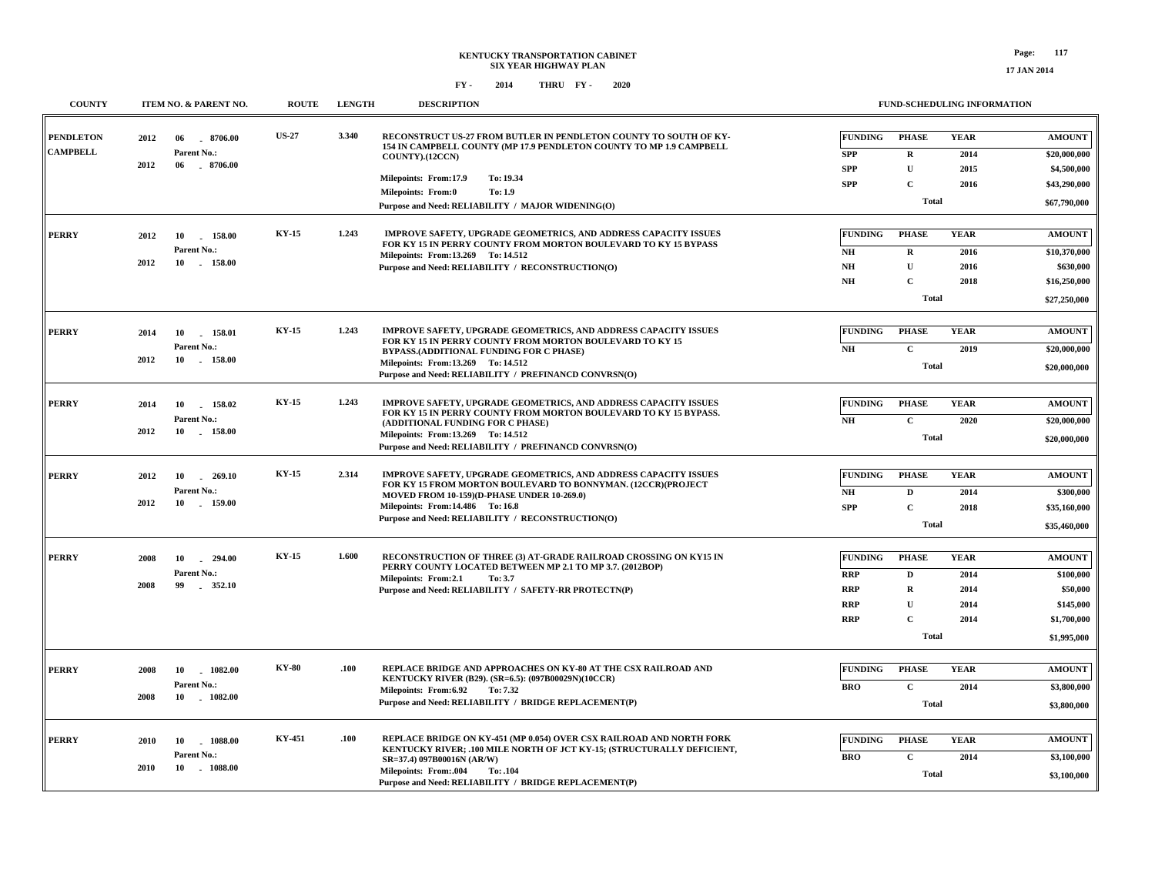| <b>COUNTY</b>                       | ITEM NO. & PARENT NO.                                            | <b>ROUTE</b> | <b>LENGTH</b> | <b>DESCRIPTION</b>                                                                                                                                                                                                                                                                             |                                                                          | FUND-SCHEDULING INFORMATION                                                     |                                             |                                                                                   |
|-------------------------------------|------------------------------------------------------------------|--------------|---------------|------------------------------------------------------------------------------------------------------------------------------------------------------------------------------------------------------------------------------------------------------------------------------------------------|--------------------------------------------------------------------------|---------------------------------------------------------------------------------|---------------------------------------------|-----------------------------------------------------------------------------------|
| <b>PENDLETON</b><br><b>CAMPBELL</b> | 2012<br>06<br>8706.00<br>Parent No.:<br>2012<br>06<br>$-8706.00$ | <b>US-27</b> | 3.340         | RECONSTRUCT US-27 FROM BUTLER IN PENDLETON COUNTY TO SOUTH OF KY-<br>154 IN CAMPBELL COUNTY (MP 17.9 PENDLETON COUNTY TO MP 1.9 CAMPBELL<br>COUNTY).(12CCN)<br>Milepoints: From:17.9<br>To: 19.34<br><b>Milepoints: From:0</b><br>To: 1.9<br>Purpose and Need: RELIABILITY / MAJOR WIDENING(O) | <b>FUNDING</b><br><b>SPP</b><br><b>SPP</b><br><b>SPP</b>                 | <b>PHASE</b><br>R<br>$\mathbf{U}$<br>$\mathbf C$<br>Total                       | <b>YEAR</b><br>2014<br>2015<br>2016         | <b>AMOUNT</b><br>\$20,000,000<br>\$4,500,000<br>\$43,290,000<br>\$67,790,000      |
| <b>PERRY</b>                        | 2012<br>10<br>158.00<br>Parent No.:<br>2012<br>10<br>158.00      | <b>KY-15</b> | 1.243         | <b>IMPROVE SAFETY, UPGRADE GEOMETRICS, AND ADDRESS CAPACITY ISSUES</b><br>FOR KY 15 IN PERRY COUNTY FROM MORTON BOULEVARD TO KY 15 BYPASS<br>Milepoints: From:13.269 To: 14.512<br>Purpose and Need: RELIABILITY / RECONSTRUCTION(O)                                                           | <b>FUNDING</b><br>NH<br>$\mathbf{N}\mathbf{H}$<br>$\mathbf{N}\mathbf{H}$ | <b>PHASE</b><br>$\mathbf{R}$<br>$\mathbf{U}$<br>$\mathbf C$<br><b>Total</b>     | <b>YEAR</b><br>2016<br>2016<br>2018         | <b>AMOUNT</b><br>\$10,370,000<br>\$630,000<br>\$16,250,000<br>\$27,250,000        |
| <b>PERRY</b>                        | 10<br>158.01<br>2014<br>Parent No.:<br>2012<br>10<br>$-158.00$   | KY-15        | 1.243         | IMPROVE SAFETY, UPGRADE GEOMETRICS, AND ADDRESS CAPACITY ISSUES<br>FOR KY 15 IN PERRY COUNTY FROM MORTON BOULEVARD TO KY 15<br>BYPASS.(ADDITIONAL FUNDING FOR C PHASE)<br>Milepoints: From:13.269 To: 14.512<br>Purpose and Need: RELIABILITY / PREFINANCD CONVRSN(O)                          | <b>FUNDING</b><br>N <sub>H</sub>                                         | <b>PHASE</b><br>$\mathbf C$<br><b>Total</b>                                     | <b>YEAR</b><br>2019                         | <b>AMOUNT</b><br>\$20,000,000<br>\$20,000,000                                     |
| <b>PERRY</b>                        | 2014<br>10<br>158.02<br>Parent No.:<br>10<br>$-158.00$<br>2012   | <b>KY-15</b> | 1.243         | IMPROVE SAFETY, UPGRADE GEOMETRICS, AND ADDRESS CAPACITY ISSUES<br>FOR KY 15 IN PERRY COUNTY FROM MORTON BOULEVARD TO KY 15 BYPASS.<br>(ADDITIONAL FUNDING FOR C PHASE)<br>Milepoints: From:13.269 To: 14.512<br>Purpose and Need: RELIABILITY / PREFINANCD CONVRSN(O)                         | <b>FUNDING</b><br>NH                                                     | <b>PHASE</b><br>$\mathbf{C}$<br><b>Total</b>                                    | <b>YEAR</b><br>2020                         | <b>AMOUNT</b><br>\$20,000,000<br>\$20,000,000                                     |
| <b>PERRY</b>                        | 2012<br>10<br>$-269.10$<br>Parent No.:<br>2012<br>10 159.00      | <b>KY-15</b> | 2.314         | IMPROVE SAFETY, UPGRADE GEOMETRICS, AND ADDRESS CAPACITY ISSUES<br>FOR KY 15 FROM MORTON BOULEVARD TO BONNYMAN. (12CCR)(PROJECT<br>MOVED FROM 10-159)(D-PHASE UNDER 10-269.0)<br>Milepoints: From:14.486 To:16.8<br>Purpose and Need: RELIABILITY / RECONSTRUCTION(O)                          | <b>FUNDING</b><br>NH<br><b>SPP</b>                                       | <b>PHASE</b><br>$\mathbf{D}$<br>$\mathbf C$<br><b>Total</b>                     | <b>YEAR</b><br>2014<br>2018                 | <b>AMOUNT</b><br>\$300,000<br>\$35,160,000<br>\$35,460,000                        |
| <b>PERRY</b>                        | 2008<br>10 294.00<br>Parent No.:<br>2008<br>99<br>$-352.10$      | <b>KY-15</b> | 1.600         | RECONSTRUCTION OF THREE (3) AT-GRADE RAILROAD CROSSING ON KY15 IN<br>PERRY COUNTY LOCATED BETWEEN MP 2.1 TO MP 3.7. (2012BOP)<br>Milepoints: From:2.1<br>To: 3.7<br>Purpose and Need: RELIABILITY / SAFETY-RR PROTECTN(P)                                                                      | <b>FUNDING</b><br><b>RRP</b><br><b>RRP</b><br><b>RRP</b><br><b>RRP</b>   | <b>PHASE</b><br>D<br>$\mathbf R$<br>$\mathbf{U}$<br>$\mathbf C$<br><b>Total</b> | <b>YEAR</b><br>2014<br>2014<br>2014<br>2014 | <b>AMOUNT</b><br>\$100,000<br>\$50,000<br>\$145,000<br>\$1,700,000<br>\$1,995,000 |
| <b>PERRY</b>                        | 2008<br>10 1082.00<br>Parent No.:<br>2008<br>10<br>1082.00       | <b>KY-80</b> | .100          | REPLACE BRIDGE AND APPROACHES ON KY-80 AT THE CSX RAILROAD AND<br>KENTUCKY RIVER (B29). (SR=6.5): (097B00029N)(10CCR)<br>Milepoints: From:6.92<br>To: 7.32<br>Purpose and Need: RELIABILITY / BRIDGE REPLACEMENT(P)                                                                            | <b>FUNDING</b><br><b>BRO</b>                                             | <b>PHASE</b><br>$\mathbf{C}$<br><b>Total</b>                                    | <b>YEAR</b><br>2014                         | <b>AMOUNT</b><br>\$3,800,000<br>\$3,800,000                                       |
| <b>PERRY</b>                        | 1088.00<br>2010<br>10<br>Parent No.:<br>10<br>$-1088.00$<br>2010 | KY-451       | .100          | REPLACE BRIDGE ON KY-451 (MP 0.054) OVER CSX RAILROAD AND NORTH FORK<br>KENTUCKY RIVER; .100 MILE NORTH OF JCT KY-15; (STRUCTURALLY DEFICIENT,<br>SR=37.4) 097B00016N (AR/W)<br><b>Milepoints: From:.004</b><br>To: .104<br>Purpose and Need: RELIABILITY / BRIDGE REPLACEMENT(P)              | <b>FUNDING</b><br><b>BRO</b>                                             | <b>PHASE</b><br>$\mathbf C$<br><b>Total</b>                                     | <b>YEAR</b><br>2014                         | <b>AMOUNT</b><br>\$3,100,000<br>\$3,100,000                                       |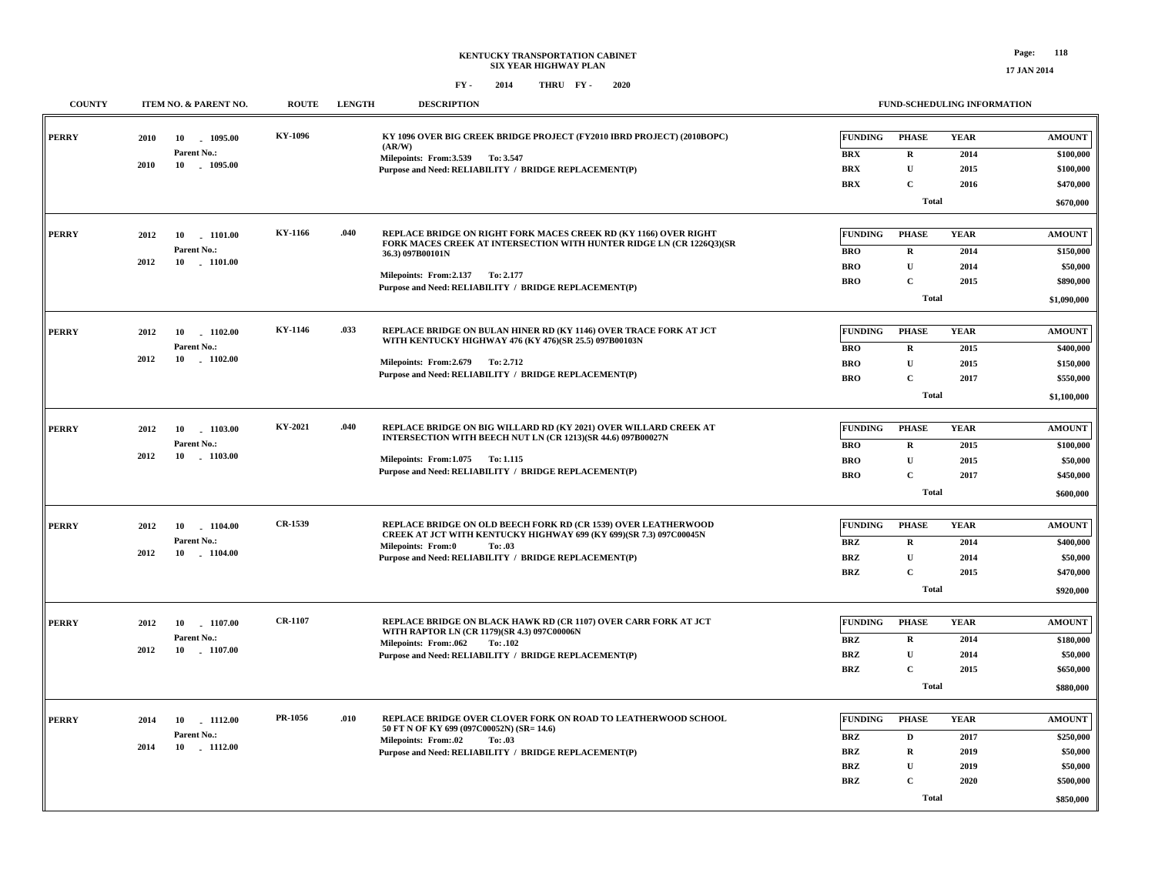| <b>COUNTY</b> | ITEM NO. & PARENT NO.    | <b>ROUTE</b>   | <b>LENGTH</b> | <b>DESCRIPTION</b>                                                                                                                              |                                  |              | <b>FUND-SCHEDULING INFORMATION</b> |               |
|---------------|--------------------------|----------------|---------------|-------------------------------------------------------------------------------------------------------------------------------------------------|----------------------------------|--------------|------------------------------------|---------------|
| <b>PERRY</b>  | 2010<br>10 1095.00       | KY-1096        |               | KY 1096 OVER BIG CREEK BRIDGE PROJECT (FY2010 IBRD PROJECT) (2010BOPC)                                                                          | <b>FUNDING</b>                   | <b>PHASE</b> | <b>YEAR</b>                        | <b>AMOUNT</b> |
|               | Parent No.:              |                |               | (AR/W)<br>Milepoints: From: 3.539 To: 3.547                                                                                                     | <b>BRX</b>                       | $\mathbf R$  | 2014                               | \$100,000     |
|               | 2010<br>10 1095.00       |                |               | Purpose and Need: RELIABILITY / BRIDGE REPLACEMENT(P)                                                                                           | <b>BRX</b>                       | $\mathbf{U}$ | 2015                               | \$100,000     |
|               |                          |                |               |                                                                                                                                                 | <b>BRX</b>                       | $\mathbf C$  | 2016                               | \$470,000     |
|               |                          |                |               |                                                                                                                                                 |                                  | <b>Total</b> |                                    | \$670,000     |
|               |                          |                |               |                                                                                                                                                 |                                  |              |                                    |               |
| <b>PERRY</b>  | 2012<br>10 1101.00       | KY-1166        | .040          | <b>REPLACE BRIDGE ON RIGHT FORK MACES CREEK RD (KY 1166) OVER RIGHT</b><br>FORK MACES CREEK AT INTERSECTION WITH HUNTER RIDGE LN (CR 1226O3)(SR | <b>FUNDING</b>                   | <b>PHASE</b> | <b>YEAR</b>                        | <b>AMOUNT</b> |
|               | Parent No.:              |                |               | 36.3) 097B00101N                                                                                                                                | <b>BRO</b>                       | R            | 2014                               | \$150,000     |
|               | 2012<br>10 1101.00       |                |               | Milepoints: From: 2.137 To: 2.177                                                                                                               | <b>BRO</b>                       | U            | 2014                               | \$50,000      |
|               |                          |                |               | Purpose and Need: RELIABILITY / BRIDGE REPLACEMENT(P)                                                                                           | <b>BRO</b>                       | $\mathbf C$  | 2015                               | \$890,000     |
|               |                          |                |               |                                                                                                                                                 |                                  | <b>Total</b> |                                    | \$1,090,000   |
| <b>PERRY</b>  | 2012<br>10<br>1102.00    | KY-1146        | .033          | REPLACE BRIDGE ON BULAN HINER RD (KY 1146) OVER TRACE FORK AT JCT                                                                               | <b>FUNDING</b>                   | <b>PHASE</b> | <b>YEAR</b>                        | <b>AMOUNT</b> |
|               | Parent No.:              |                |               | WITH KENTUCKY HIGHWAY 476 (KY 476)(SR 25.5) 097B00103N                                                                                          | <b>BRO</b>                       | $\mathbf R$  | 2015                               | \$400,000     |
|               | 2012<br>10 - 1102.00     |                |               | Milepoints: From: 2.679 To: 2.712                                                                                                               | <b>BRO</b>                       | $\mathbf{U}$ | 2015                               | \$150,000     |
|               |                          |                |               | Purpose and Need: RELIABILITY / BRIDGE REPLACEMENT(P)                                                                                           | <b>BRO</b>                       | $\mathbf C$  | 2017                               | \$550,000     |
|               |                          |                |               |                                                                                                                                                 |                                  | <b>Total</b> |                                    | \$1,100,000   |
|               |                          |                |               |                                                                                                                                                 |                                  |              |                                    |               |
| <b>PERRY</b>  | 2012<br>10<br>1103.00    | KY-2021        | .040          | REPLACE BRIDGE ON BIG WILLARD RD (KY 2021) OVER WILLARD CREEK AT<br>INTERSECTION WITH BEECH NUT LN (CR 1213)(SR 44.6) 097B00027N                | <b>FUNDING</b>                   | <b>PHASE</b> | <b>YEAR</b>                        | <b>AMOUNT</b> |
|               | Parent No.:              |                |               |                                                                                                                                                 | <b>BRO</b>                       | $\mathbf R$  | 2015                               | \$100,000     |
|               | 2012<br>10<br>$-1103.00$ |                |               | Milepoints: From: 1.075 To: 1.115                                                                                                               | <b>BRO</b>                       | $\mathbf U$  | 2015                               | \$50,000      |
|               |                          |                |               | Purpose and Need: RELIABILITY / BRIDGE REPLACEMENT(P)                                                                                           | <b>BRO</b>                       | $\mathbf C$  | 2017                               | \$450,000     |
|               |                          |                |               |                                                                                                                                                 |                                  | <b>Total</b> |                                    | \$600,000     |
|               |                          |                |               |                                                                                                                                                 |                                  |              |                                    |               |
| <b>PERRY</b>  | 2012<br>10<br>1104.00    | CR-1539        |               | <b>REPLACE BRIDGE ON OLD BEECH FORK RD (CR 1539) OVER LEATHERWOOD</b><br>CREEK AT JCT WITH KENTUCKY HIGHWAY 699 (KY 699)(SR 7.3) 097C00045N     | <b>FUNDING</b>                   | <b>PHASE</b> | <b>YEAR</b>                        | <b>AMOUNT</b> |
|               | Parent No.:<br>2012      |                |               | <b>Milepoints: From:0</b><br>To: .03                                                                                                            | <b>BRZ</b>                       | $\mathbf R$  | 2014                               | \$400,000     |
|               | 10 1104.00               |                |               | Purpose and Need: RELIABILITY / BRIDGE REPLACEMENT(P)                                                                                           | <b>BRZ</b>                       | $\mathbf U$  | 2014                               | \$50,000      |
|               |                          |                |               |                                                                                                                                                 | $\mathbf{B}\mathbf{R}\mathbf{Z}$ | $\mathbf C$  | 2015                               | \$470,000     |
|               |                          |                |               |                                                                                                                                                 |                                  | <b>Total</b> |                                    | \$920,000     |
| <b>PERRY</b>  | 2012<br>1107.00<br>10    | <b>CR-1107</b> |               | REPLACE BRIDGE ON BLACK HAWK RD (CR 1107) OVER CARR FORK AT JCT                                                                                 | <b>FUNDING</b>                   | <b>PHASE</b> | <b>YEAR</b>                        | <b>AMOUNT</b> |
|               | Parent No.:              |                |               | WITH RAPTOR LN (CR 1179)(SR 4.3) 097C00006N<br>Milepoints: From:.062<br>To: .102                                                                | BRZ                              | $\mathbf{R}$ | 2014                               | \$180,000     |
|               | 2012<br>10 1107.00       |                |               | Purpose and Need: RELIABILITY / BRIDGE REPLACEMENT(P)                                                                                           | <b>BRZ</b>                       | $\mathbf U$  | 2014                               | \$50,000      |
|               |                          |                |               |                                                                                                                                                 | <b>BRZ</b>                       | $\mathbf C$  | 2015                               | \$650,000     |
|               |                          |                |               |                                                                                                                                                 |                                  | <b>Total</b> |                                    | \$880,000     |
|               |                          |                |               |                                                                                                                                                 |                                  |              |                                    |               |
| <b>PERRY</b>  | 2014<br>10 1112.00       | PR-1056        | .010          | REPLACE BRIDGE OVER CLOVER FORK ON ROAD TO LEATHERWOOD SCHOOL<br>50 FT N OF KY 699 (097C00052N) (SR=14.6)                                       | <b>FUNDING</b>                   | <b>PHASE</b> | <b>YEAR</b>                        | <b>AMOUNT</b> |
|               | Parent No.:              |                |               | <b>Milepoints: From:.02</b><br>To: .03                                                                                                          | BRZ                              | D            | 2017                               | \$250,000     |
|               | 2014<br>10 1112.00       |                |               | Purpose and Need: RELIABILITY / BRIDGE REPLACEMENT(P)                                                                                           | BRZ                              | $\mathbf R$  | 2019                               | \$50,000      |
|               |                          |                |               |                                                                                                                                                 | <b>BRZ</b>                       | $\mathbf U$  | 2019                               | \$50,000      |
|               |                          |                |               |                                                                                                                                                 | <b>BRZ</b>                       | $\mathbf C$  | 2020                               | \$500,000     |
|               |                          |                |               |                                                                                                                                                 |                                  | <b>Total</b> |                                    | \$850,000     |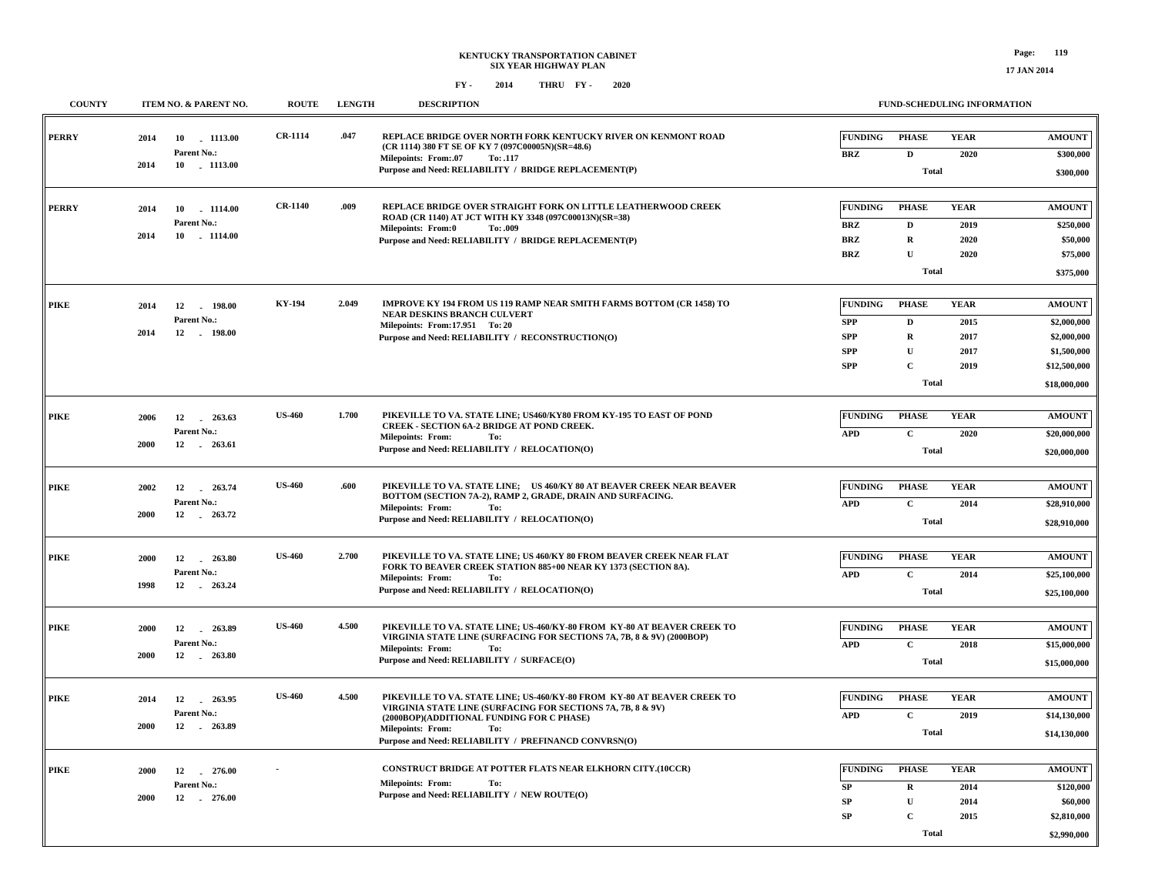| <b>COUNTY</b> | ITEM NO. & PARENT NO.                   | <b>ROUTE</b>   | <b>LENGTH</b> | <b>DESCRIPTION</b>                                                                                                                      |                          | FUND-SCHEDULING INFORMATION |              |                        |
|---------------|-----------------------------------------|----------------|---------------|-----------------------------------------------------------------------------------------------------------------------------------------|--------------------------|-----------------------------|--------------|------------------------|
| <b>PERRY</b>  | 2014<br>10 1113.00<br>Parent No.:       | <b>CR-1114</b> | .047          | REPLACE BRIDGE OVER NORTH FORK KENTUCKY RIVER ON KENMONT ROAD<br>(CR 1114) 380 FT SE OF KY 7 (097C00005N)(SR=48.6)                      | <b>FUNDING</b>           | <b>PHASE</b>                | <b>YEAR</b>  | <b>AMOUNT</b>          |
|               | 2014<br>10 1113.00                      |                |               | <b>Milepoints: From:.07</b><br>To: .117<br>Purpose and Need: RELIABILITY / BRIDGE REPLACEMENT(P)                                        | <b>BRZ</b>               | D<br><b>Total</b>           | 2020         | \$300,000<br>\$300,000 |
| <b>PERRY</b>  | 2014<br>10 1114.00                      | <b>CR-1140</b> | .009          | REPLACE BRIDGE OVER STRAIGHT FORK ON LITTLE LEATHERWOOD CREEK<br>ROAD (CR 1140) AT JCT WITH KY 3348 (097C00013N)(SR=38)                 | <b>FUNDING</b>           | <b>PHASE</b>                | <b>YEAR</b>  | <b>AMOUNT</b>          |
|               | Parent No.:<br>2014<br>10<br>$-1114.00$ |                |               | <b>Milepoints: From:0</b><br>To: .009                                                                                                   | <b>BRZ</b>               | $\mathbf D$                 | 2019         | \$250,000              |
|               |                                         |                |               | Purpose and Need: RELIABILITY / BRIDGE REPLACEMENT(P)                                                                                   | <b>BRZ</b><br><b>BRZ</b> | $\mathbf R$<br>$\mathbf{U}$ | 2020<br>2020 | \$50,000<br>\$75,000   |
|               |                                         |                |               |                                                                                                                                         |                          |                             |              |                        |
|               |                                         |                |               |                                                                                                                                         |                          | <b>Total</b>                |              | \$375,000              |
| <b>PIKE</b>   | 2014<br>12<br>198.00                    | <b>KY-194</b>  | 2.049         | <b>IMPROVE KY 194 FROM US 119 RAMP NEAR SMITH FARMS BOTTOM (CR 1458) TO</b>                                                             | <b>FUNDING</b>           | <b>PHASE</b>                | <b>YEAR</b>  | <b>AMOUNT</b>          |
|               | Parent No.:                             |                |               | NEAR DESKINS BRANCH CULVERT<br>Milepoints: From: 17.951 To: 20                                                                          | <b>SPP</b>               | $\mathbf D$                 | 2015         | \$2,000,000            |
|               | 12<br>2014<br>$-198.00$                 |                |               | Purpose and Need: RELIABILITY / RECONSTRUCTION(O)                                                                                       | <b>SPP</b>               | ${\bf R}$                   | 2017         | \$2,000,000            |
|               |                                         |                |               |                                                                                                                                         | <b>SPP</b>               | $\mathbf{U}$                | 2017         | \$1,500,000            |
|               |                                         |                |               |                                                                                                                                         | <b>SPP</b>               | $\mathbf C$                 | 2019         | \$12,500,000           |
|               |                                         |                |               |                                                                                                                                         |                          | <b>Total</b>                |              | \$18,000,000           |
|               |                                         |                |               |                                                                                                                                         |                          |                             |              |                        |
| <b>PIKE</b>   | 2006<br>12<br>263.63                    | <b>US-460</b>  | 1.700         | PIKEVILLE TO VA. STATE LINE; US460/KY80 FROM KY-195 TO EAST OF POND<br><b>CREEK - SECTION 6A-2 BRIDGE AT POND CREEK.</b>                | <b>FUNDING</b>           | <b>PHASE</b>                | <b>YEAR</b>  | <b>AMOUNT</b>          |
|               | Parent No.:<br>2000<br>12 . 263.61      |                |               | <b>Milepoints: From:</b><br>To:                                                                                                         | <b>APD</b>               | $\mathbf C$                 | 2020         | \$20,000,000           |
|               |                                         |                |               | Purpose and Need: RELIABILITY / RELOCATION(O)                                                                                           |                          | <b>Total</b>                |              | \$20,000,000           |
|               |                                         |                |               |                                                                                                                                         |                          |                             |              |                        |
| <b>PIKE</b>   | 2002<br>12 263.74                       | <b>US-460</b>  | .600          | PIKEVILLE TO VA. STATE LINE; US 460/KY 80 AT BEAVER CREEK NEAR BEAVER<br>BOTTOM (SECTION 7A-2), RAMP 2, GRADE, DRAIN AND SURFACING.     | <b>FUNDING</b>           | <b>PHASE</b>                | <b>YEAR</b>  | <b>AMOUNT</b>          |
|               | Parent No.:<br>2000<br>12<br>263.72     |                |               | <b>Milepoints: From:</b><br>To:                                                                                                         | <b>APD</b>               | $\mathbf C$                 | 2014         | \$28,910,000           |
|               |                                         |                |               | Purpose and Need: RELIABILITY / RELOCATION(O)                                                                                           |                          | <b>Total</b>                |              | \$28,910,000           |
|               |                                         |                |               |                                                                                                                                         |                          |                             |              |                        |
| PIKE          | 2000<br>12<br>263.80                    | <b>US-460</b>  | 2.700         | PIKEVILLE TO VA. STATE LINE; US 460/KY 80 FROM BEAVER CREEK NEAR FLAT<br>FORK TO BEAVER CREEK STATION 885+00 NEAR KY 1373 (SECTION 8A). | <b>FUNDING</b>           | <b>PHASE</b>                | <b>YEAR</b>  | <b>AMOUNT</b>          |
|               | Parent No.:<br>1998<br>12<br>263.24     |                |               | <b>Milepoints: From:</b><br>To:                                                                                                         | <b>APD</b>               | $\mathbf C$                 | 2014         | \$25,100,000           |
|               |                                         |                |               | Purpose and Need: RELIABILITY / RELOCATION(O)                                                                                           |                          | Total                       |              | \$25,100,000           |
| <b>PIKE</b>   | 2000<br>12<br>263.89                    | <b>US-460</b>  | 4.500         | PIKEVILLE TO VA. STATE LINE; US-460/KY-80 FROM KY-80 AT BEAVER CREEK TO                                                                 | <b>FUNDING</b>           | <b>PHASE</b>                | <b>YEAR</b>  | <b>AMOUNT</b>          |
|               | Parent No.:                             |                |               | VIRGINIA STATE LINE (SURFACING FOR SECTIONS 7A, 7B, 8 & 9V) (2000BOP)                                                                   | <b>APD</b>               | $\mathbf C$                 | 2018         | \$15,000,000           |
|               | 12<br>2000<br>$-263.80$                 |                |               | <b>Milepoints: From:</b><br>To:<br>Purpose and Need: RELIABILITY / SURFACE(O)                                                           |                          | <b>Total</b>                |              |                        |
|               |                                         |                |               |                                                                                                                                         |                          |                             |              | \$15,000,000           |
| <b>PIKE</b>   | 2014<br>12<br>263.95                    | <b>US-460</b>  | 4.500         | PIKEVILLE TO VA. STATE LINE; US-460/KY-80 FROM KY-80 AT BEAVER CREEK TO                                                                 | <b>FUNDING</b>           | <b>PHASE</b>                | <b>YEAR</b>  | <b>AMOUNT</b>          |
|               | Parent No.:                             |                |               | VIRGINIA STATE LINE (SURFACING FOR SECTIONS 7A, 7B, 8 & 9V)<br>(2000BOP)(ADDITIONAL FUNDING FOR C PHASE)                                | <b>APD</b>               | $\mathbf C$                 | 2019         | \$14,130,000           |
|               | 2000<br>12 . 263.89                     |                |               | <b>Milepoints: From:</b><br>To:                                                                                                         |                          | Total                       |              | \$14,130,000           |
|               |                                         |                |               | Purpose and Need: RELIABILITY / PREFINANCD CONVRSN(O)                                                                                   |                          |                             |              |                        |
| <b>PIKE</b>   | 2000<br>12<br>276.00                    |                |               | CONSTRUCT BRIDGE AT POTTER FLATS NEAR ELKHORN CITY.(10CCR)                                                                              | <b>FUNDING</b>           | <b>PHASE</b>                | <b>YEAR</b>  | <b>AMOUNT</b>          |
|               | Parent No.:                             |                |               | <b>Milepoints: From:</b><br>To:                                                                                                         | SP                       | R                           | 2014         | \$120,000              |
|               | 2000<br>12 276.00                       |                |               | Purpose and Need: RELIABILITY / NEW ROUTE(O)                                                                                            | SP                       | $\mathbf U$                 | 2014         | \$60,000               |
|               |                                         |                |               |                                                                                                                                         | SP                       | $\mathbf C$                 | 2015         | \$2,810,000            |
|               |                                         |                |               |                                                                                                                                         |                          | Total                       |              | \$2,990,000            |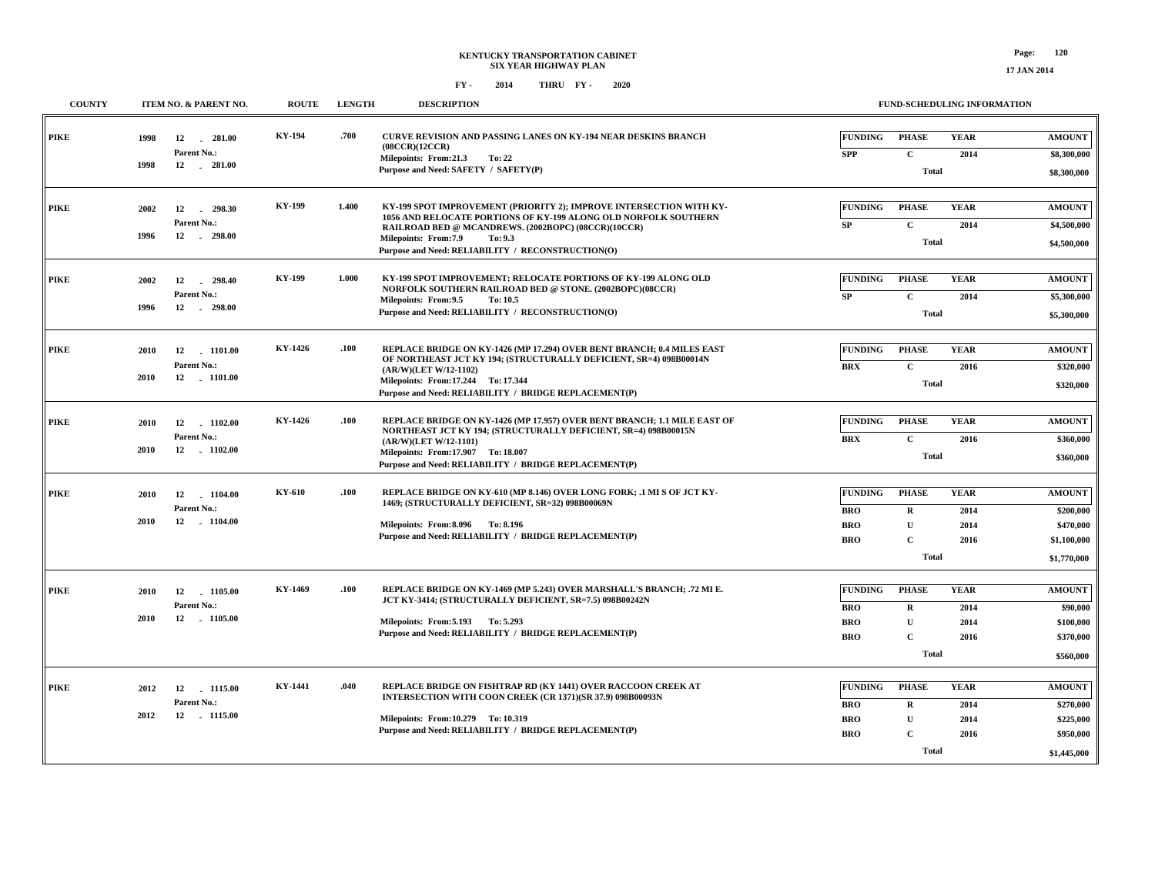| <b>COUNTY</b> | ITEM NO. & PARENT NO.                                             | <b>ROUTE</b>  | <b>LENGTH</b> | <b>DESCRIPTION</b>                                                                                                                                                                                                                                                                     | <b>FUND-SCHEDULING INFORMATION</b>                                                                                                                                   |                                                                       |
|---------------|-------------------------------------------------------------------|---------------|---------------|----------------------------------------------------------------------------------------------------------------------------------------------------------------------------------------------------------------------------------------------------------------------------------------|----------------------------------------------------------------------------------------------------------------------------------------------------------------------|-----------------------------------------------------------------------|
| PIKE          | 1998<br>12<br>281.00<br>Parent No.:<br>12 281.00<br>1998          | KY-194        | .700          | CURVE REVISION AND PASSING LANES ON KY-194 NEAR DESKINS BRANCH<br>(08CCR)(12CCR)<br>Milepoints: From:21.3<br>To: 22<br>Purpose and Need: SAFETY / SAFETY(P)                                                                                                                            | <b>PHASE</b><br><b>YEAR</b><br><b>FUNDING</b><br>$\mathbf{C}$<br><b>SPP</b><br>2014<br><b>Total</b>                                                                  | <b>AMOUNT</b><br>\$8,300,000<br>\$8,300,000                           |
| <b>PIKE</b>   | 12<br>$-298.30$<br>2002<br>Parent No.:<br>$-298.00$<br>1996<br>12 | <b>KY-199</b> | 1.400         | KY-199 SPOT IMPROVEMENT (PRIORITY 2); IMPROVE INTERSECTION WITH KY-<br>1056 AND RELOCATE PORTIONS OF KY-199 ALONG OLD NORFOLK SOUTHERN<br>RAILROAD BED @ MCANDREWS. (2002BOPC) (08CCR)(10CCR)<br>Milepoints: From: 7.9<br>To: 9.3<br>Purpose and Need: RELIABILITY / RECONSTRUCTION(O) | <b>FUNDING</b><br><b>PHASE</b><br><b>YEAR</b><br>$\mathbf C$<br>SP<br>2014<br><b>Total</b>                                                                           | <b>AMOUNT</b><br>\$4,500,000<br>\$4,500,000                           |
| <b>PIKE</b>   | 2002<br>12<br>298.40<br>Parent No.:<br>1996<br>12<br>$-298.00$    | KY-199        | 1.000         | KY-199 SPOT IMPROVEMENT; RELOCATE PORTIONS OF KY-199 ALONG OLD<br>NORFOLK SOUTHERN RAILROAD BED @ STONE. (2002BOPC)(08CCR)<br>Milepoints: From: 9.5<br>To: 10.5<br>Purpose and Need: RELIABILITY / RECONSTRUCTION(O)                                                                   | <b>FUNDING</b><br><b>PHASE</b><br><b>YEAR</b><br>$\mathbf C$<br>SP<br>2014<br><b>Total</b>                                                                           | <b>AMOUNT</b><br>\$5,300,000<br>\$5,300,000                           |
| PIKE          | 2010<br>12<br>1101.00<br>Parent No.:<br>2010<br>12 1101.00        | KY-1426       | .100          | REPLACE BRIDGE ON KY-1426 (MP 17.294) OVER BENT BRANCH; 0.4 MILES EAST<br>OF NORTHEAST JCT KY 194; (STRUCTURALLY DEFICIENT, SR=4) 098B00014N<br>(AR/W)(LET W/12-1102)<br>Milepoints: From:17.244 To: 17.344<br>Purpose and Need: RELIABILITY / BRIDGE REPLACEMENT(P)                   | <b>PHASE</b><br><b>YEAR</b><br><b>FUNDING</b><br>$\mathbf C$<br><b>BRX</b><br>2016<br><b>Total</b>                                                                   | <b>AMOUNT</b><br>\$320,000<br>\$320,000                               |
| PIKE          | 12<br>1102.00<br>2010<br>Parent No.:<br>12 1102.00<br>2010        | KY-1426       | .100          | REPLACE BRIDGE ON KY-1426 (MP 17.957) OVER BENT BRANCH; 1.1 MILE EAST OF<br>NORTHEAST JCT KY 194; (STRUCTURALLY DEFICIENT, SR=4) 098B00015N<br>(AR/W)(LET W/12-1101)<br>Milepoints: From:17.907 To: 18.007<br>Purpose and Need: RELIABILITY / BRIDGE REPLACEMENT(P)                    | <b>PHASE</b><br><b>YEAR</b><br><b>FUNDING</b><br>$\mathbf{C}$<br><b>BRX</b><br>2016<br><b>Total</b>                                                                  | <b>AMOUNT</b><br>\$360,000<br>\$360,000                               |
| PIKE          | 12 1104.00<br>2010<br>Parent No.:<br>12 1104.00<br>2010           | KY-610        | .100          | REPLACE BRIDGE ON KY-610 (MP 8.146) OVER LONG FORK; .1 MI S OF JCT KY-<br>1469; (STRUCTURALLY DEFICIENT, SR=32) 098B00069N<br>Milepoints: From: 8.096 To: 8.196<br>Purpose and Need: RELIABILITY / BRIDGE REPLACEMENT(P)                                                               | <b>FUNDING</b><br><b>PHASE</b><br><b>YEAR</b><br><b>BRO</b><br>$\bf{R}$<br>2014<br>U<br><b>BRO</b><br>2014<br><b>BRO</b><br>$\mathbf{C}$<br>2016<br><b>Total</b>     | <b>AMOUNT</b><br>\$200,000<br>\$470,000<br>\$1,100,000<br>\$1,770,000 |
| <b>PIKE</b>   | 2010<br>12<br>1105.00<br>Parent No.:<br>2010<br>12 1105.00        | KY-1469       | .100          | REPLACE BRIDGE ON KY-1469 (MP 5.243) OVER MARSHALL'S BRANCH; .72 MI E.<br>JCT KY-3414; (STRUCTURALLY DEFICIENT, SR=7.5) 098B00242N<br>Milepoints: From: 5.193 To: 5.293<br>Purpose and Need: RELIABILITY / BRIDGE REPLACEMENT(P)                                                       | <b>FUNDING</b><br><b>PHASE</b><br><b>YEAR</b><br><b>BRO</b><br>R<br>2014<br>$\mathbf{U}$<br><b>BRO</b><br>2014<br><b>BRO</b><br>$\mathbf{C}$<br>2016<br><b>Total</b> | <b>AMOUNT</b><br>\$90,000<br>\$100,000<br>\$370,000<br>\$560,000      |
| PIKE          | 2012<br>12<br>1115.00<br>Parent No.:<br>12 1115.00<br>2012        | KY-1441       | .040          | REPLACE BRIDGE ON FISHTRAP RD (KY 1441) OVER RACCOON CREEK AT<br>INTERSECTION WITH COON CREEK (CR 1371)(SR 37.9) 098B00093N<br>Milepoints: From:10.279 To:10.319<br>Purpose and Need: RELIABILITY / BRIDGE REPLACEMENT(P)                                                              | <b>FUNDING</b><br><b>PHASE</b><br><b>YEAR</b><br><b>BRO</b><br>$\mathbf{R}$<br>2014<br><b>BRO</b><br>${\bf U}$<br>2014<br><b>BRO</b><br>2016<br>C<br>Total           | <b>AMOUNT</b><br>\$270,000<br>\$225,000<br>\$950,000<br>\$1,445,000   |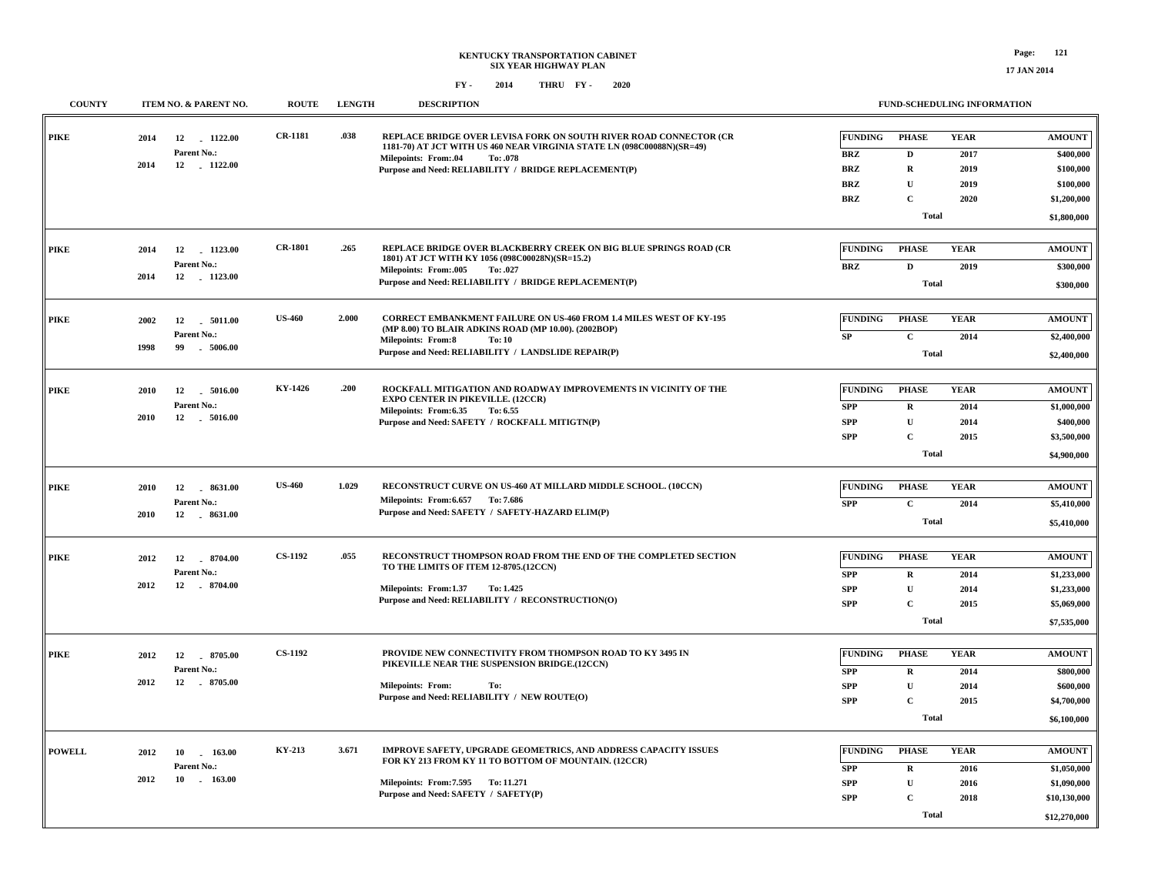| <b>COUNTY</b> | ITEM NO. & PARENT NO.             | <b>ROUTE</b>   | <b>LENGTH</b> | <b>DESCRIPTION</b>                                                                                                                          |                | FUND-SCHEDULING INFORMATION |             |               |
|---------------|-----------------------------------|----------------|---------------|---------------------------------------------------------------------------------------------------------------------------------------------|----------------|-----------------------------|-------------|---------------|
| <b>PIKE</b>   | 2014<br>12 1122.00                | CR-1181        | .038          | REPLACE BRIDGE OVER LEVISA FORK ON SOUTH RIVER ROAD CONNECTOR (CR<br>1181-70) AT JCT WITH US 460 NEAR VIRGINIA STATE LN (098C00088N)(SR=49) | FUNDING        | <b>PHASE</b>                | <b>YEAR</b> | <b>AMOUNT</b> |
|               | Parent No.:                       |                |               | <b>Milepoints: From:.04</b><br>To: .078                                                                                                     | <b>BRZ</b>     | D                           | 2017        | \$400,000     |
|               | 2014<br>12 1122.00                |                |               | Purpose and Need: RELIABILITY / BRIDGE REPLACEMENT(P)                                                                                       | <b>BRZ</b>     | $\mathbf R$                 | 2019        | \$100,000     |
|               |                                   |                |               |                                                                                                                                             | <b>BRZ</b>     | $\mathbf{U}$                | 2019        | \$100,000     |
|               |                                   |                |               |                                                                                                                                             | <b>BRZ</b>     | $\mathbf{C}$                | 2020        | \$1,200,000   |
|               |                                   |                |               |                                                                                                                                             |                | <b>Total</b>                |             | \$1,800,000   |
| <b>PIKE</b>   | 12<br>$-1123.00$<br>2014          | <b>CR-1801</b> | .265          | REPLACE BRIDGE OVER BLACKBERRY CREEK ON BIG BLUE SPRINGS ROAD (CR                                                                           | <b>FUNDING</b> | <b>PHASE</b>                | <b>YEAR</b> | <b>AMOUNT</b> |
|               | Parent No.:                       |                |               | 1801) AT JCT WITH KY 1056 (098C00028N)(SR=15.2)<br><b>Milepoints: From:.005</b><br>To: .027                                                 | <b>BRZ</b>     | $\mathbf{D}$                | 2019        | \$300,000     |
|               | 2014<br>12 1123.00                |                |               | Purpose and Need: RELIABILITY / BRIDGE REPLACEMENT(P)                                                                                       |                | Total                       |             | \$300,000     |
|               |                                   |                |               |                                                                                                                                             |                |                             |             |               |
| <b>PIKE</b>   | 2002<br>12<br>$-5011.00$          | <b>US-460</b>  | 2.000         | <b>CORRECT EMBANKMENT FAILURE ON US-460 FROM 1.4 MILES WEST OF KY-195</b>                                                                   | FUNDING        | <b>PHASE</b>                | <b>YEAR</b> | <b>AMOUNT</b> |
|               | Parent No.:                       |                |               | (MP 8.00) TO BLAIR ADKINS ROAD (MP 10.00). (2002BOP)<br><b>Milepoints: From:8</b><br>To: 10                                                 | SP             | $\mathbf{C}$                | 2014        | \$2,400,000   |
|               | 1998<br>99<br>$-5006.00$          |                |               | Purpose and Need: RELIABILITY / LANDSLIDE REPAIR(P)                                                                                         |                | <b>Total</b>                |             | \$2,400,000   |
|               |                                   |                |               |                                                                                                                                             |                |                             |             |               |
| <b>PIKE</b>   | 12<br>2010<br>$-5016.00$          | KY-1426        | .200          | ROCKFALL MITIGATION AND ROADWAY IMPROVEMENTS IN VICINITY OF THE                                                                             | <b>FUNDING</b> | <b>PHASE</b>                | <b>YEAR</b> | <b>AMOUNT</b> |
|               | Parent No.:                       |                |               | <b>EXPO CENTER IN PIKEVILLE. (12CCR)</b><br>To: 6.55                                                                                        | <b>SPP</b>     | $\mathbf R$                 | 2014        | \$1,000,000   |
|               | 2010<br>12 . 5016.00              |                |               | Milepoints: From:6.35<br>Purpose and Need: SAFETY / ROCKFALL MITIGTN(P)                                                                     | <b>SPP</b>     | $\mathbf{U}$                | 2014        | \$400,000     |
|               |                                   |                |               |                                                                                                                                             | <b>SPP</b>     | $\mathbf C$                 | 2015        | \$3,500,000   |
|               |                                   |                |               |                                                                                                                                             |                | <b>Total</b>                |             |               |
|               |                                   |                |               |                                                                                                                                             |                |                             |             | \$4,900,000   |
| PIKE          | 12<br>8631.00<br>2010             | <b>US-460</b>  | 1.029         | RECONSTRUCT CURVE ON US-460 AT MILLARD MIDDLE SCHOOL. (10CCN)                                                                               | <b>FUNDING</b> | <b>PHASE</b>                | <b>YEAR</b> | <b>AMOUNT</b> |
|               | Parent No.:                       |                |               | Milepoints: From: 6.657 To: 7.686                                                                                                           | <b>SPP</b>     | $\mathbf{C}$                | 2014        | \$5,410,000   |
|               | 2010<br>12 8631.00                |                |               | Purpose and Need: SAFETY / SAFETY-HAZARD ELIM(P)                                                                                            |                | Total                       |             |               |
|               |                                   |                |               |                                                                                                                                             |                |                             |             | \$5,410,000   |
| <b>PIKE</b>   | 12 8704.00<br>2012                | <b>CS-1192</b> | .055          | RECONSTRUCT THOMPSON ROAD FROM THE END OF THE COMPLETED SECTION                                                                             | <b>FUNDING</b> | <b>PHASE</b>                | <b>YEAR</b> | <b>AMOUNT</b> |
|               | Parent No.:                       |                |               | TO THE LIMITS OF ITEM 12-8705.(12CCN)                                                                                                       | <b>SPP</b>     | $\mathbf R$                 | 2014        | \$1,233,000   |
|               | 2012<br>12<br>$-8704.00$          |                |               | Milepoints: From:1.37<br>To: 1.425                                                                                                          | <b>SPP</b>     | ${\bf U}$                   | 2014        | \$1,233,000   |
|               |                                   |                |               | Purpose and Need: RELIABILITY / RECONSTRUCTION(O)                                                                                           | <b>SPP</b>     | $\mathbf C$                 | 2015        | \$5,069,000   |
|               |                                   |                |               |                                                                                                                                             |                | <b>Total</b>                |             | \$7,535,000   |
|               |                                   |                |               |                                                                                                                                             |                |                             |             |               |
| <b>PIKE</b>   | 2012<br>12 8705.00                | <b>CS-1192</b> |               | PROVIDE NEW CONNECTIVITY FROM THOMPSON ROAD TO KY 3495 IN                                                                                   | FUNDING        | <b>PHASE</b>                | <b>YEAR</b> | <b>AMOUNT</b> |
|               | Parent No.:                       |                |               | PIKEVILLE NEAR THE SUSPENSION BRIDGE.(12CCN)                                                                                                | <b>SPP</b>     | $\mathbf R$                 | 2014        | \$800,000     |
|               | 2012<br>12 . 8705.00              |                |               | Milepoints: From:<br>To:                                                                                                                    | <b>SPP</b>     | ${\bf U}$                   | 2014        | \$600,000     |
|               |                                   |                |               | Purpose and Need: RELIABILITY / NEW ROUTE(O)                                                                                                | <b>SPP</b>     | $\mathbf C$                 | 2015        | \$4,700,000   |
|               |                                   |                |               |                                                                                                                                             |                | <b>Total</b>                |             | \$6,100,000   |
|               |                                   |                |               |                                                                                                                                             |                |                             |             |               |
| <b>POWELL</b> | 2012<br>10 163.00                 | KY-213         | 3.671         | IMPROVE SAFETY, UPGRADE GEOMETRICS, AND ADDRESS CAPACITY ISSUES                                                                             | FUNDING        | <b>PHASE</b>                | <b>YEAR</b> | <b>AMOUNT</b> |
|               | Parent No.:                       |                |               | FOR KY 213 FROM KY 11 TO BOTTOM OF MOUNTAIN. (12CCR)                                                                                        | <b>SPP</b>     | R                           | 2016        | \$1,050,000   |
|               | 2012<br>$10 \quad . \quad 163.00$ |                |               | Milepoints: From: 7.595 To: 11.271                                                                                                          | <b>SPP</b>     | $\mathbf U$                 | 2016        | \$1,090,000   |
|               |                                   |                |               | Purpose and Need: SAFETY / SAFETY(P)                                                                                                        | <b>SPP</b>     | $\mathbf{C}$                | 2018        | \$10,130,000  |
|               |                                   |                |               |                                                                                                                                             |                | Total                       |             | \$12,270,000  |
|               |                                   |                |               |                                                                                                                                             |                |                             |             |               |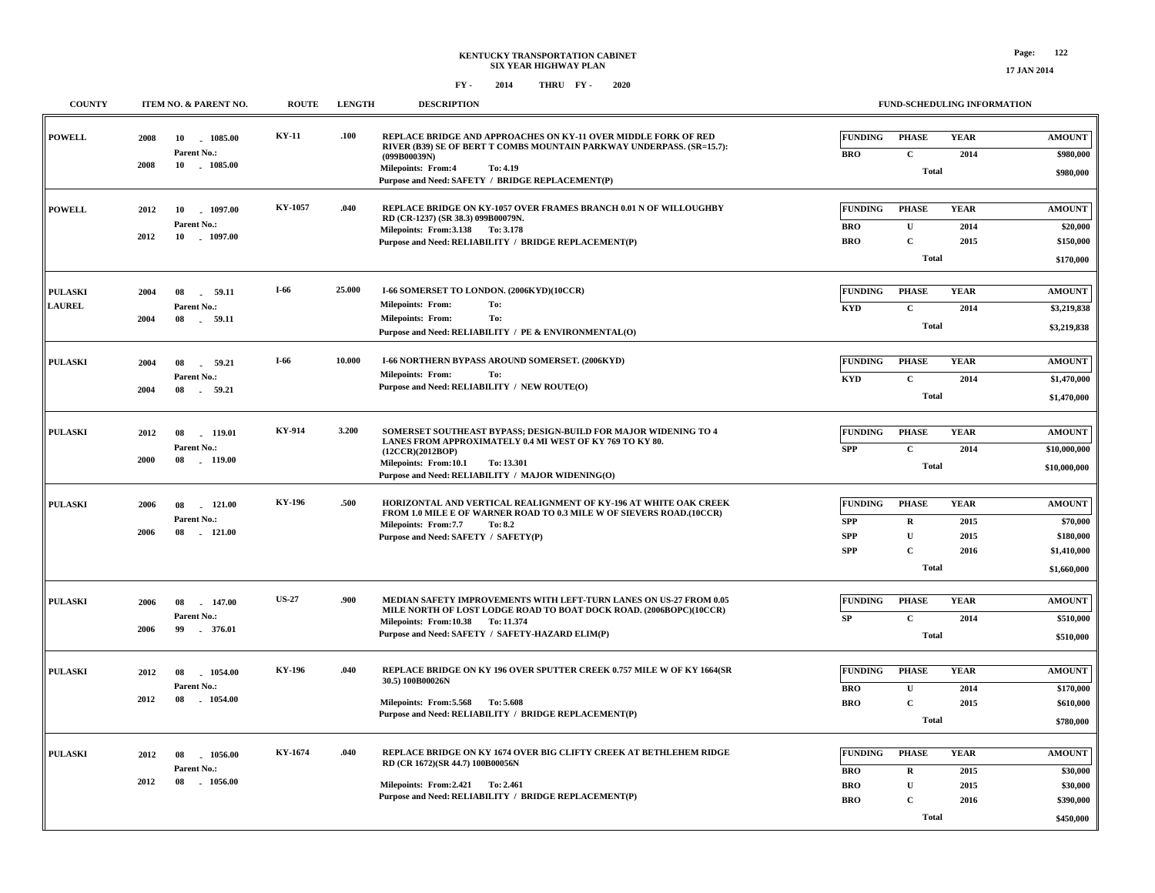| <b>COUNTY</b>                   | ITEM NO. & PARENT NO.                                            | <b>ROUTE</b>  | <b>LENGTH</b> | <b>DESCRIPTION</b>                                                                                                                                                                                                                                   |                                                          | FUND-SCHEDULING INFORMATION                                                 |                                     |                                                                      |
|---------------------------------|------------------------------------------------------------------|---------------|---------------|------------------------------------------------------------------------------------------------------------------------------------------------------------------------------------------------------------------------------------------------------|----------------------------------------------------------|-----------------------------------------------------------------------------|-------------------------------------|----------------------------------------------------------------------|
| <b>POWELL</b>                   | 2008<br>10<br>1085.00<br>Parent No.:<br>2008<br>$-1085.00$<br>10 | KY-11         | .100          | REPLACE BRIDGE AND APPROACHES ON KY-11 OVER MIDDLE FORK OF RED<br>RIVER (B39) SE OF BERT T COMBS MOUNTAIN PARKWAY UNDERPASS. (SR=15.7):<br>(099B00039N)<br><b>Milepoints: From:4</b><br>To: 4.19<br>Purpose and Need: SAFETY / BRIDGE REPLACEMENT(P) | <b>FUNDING</b><br><b>BRO</b>                             | <b>PHASE</b><br>$\mathbf{C}$<br><b>Total</b>                                | <b>YEAR</b><br>2014                 | <b>AMOUNT</b><br>\$980,000<br>\$980,000                              |
| <b>POWELL</b>                   | 10<br>1097.00<br>2012<br>Parent No.:<br>2012<br>$-1097.00$<br>10 | KY-1057       | .040          | REPLACE BRIDGE ON KY-1057 OVER FRAMES BRANCH 0.01 N OF WILLOUGHBY<br>RD (CR-1237) (SR 38.3) 099B00079N.<br>Milepoints: From: 3.138 To: 3.178<br>Purpose and Need: RELIABILITY / BRIDGE REPLACEMENT(P)                                                | <b>FUNDING</b><br><b>BRO</b><br><b>BRO</b>               | <b>PHASE</b><br>$\mathbf U$<br>$\mathbf{C}$<br>Total                        | <b>YEAR</b><br>2014<br>2015         | <b>AMOUNT</b><br>\$20,000<br>\$150,000<br>\$170,000                  |
| <b>PULASKI</b><br><b>LAUREL</b> | 2004<br>08<br>59.11<br>Parent No.:<br>2004<br>08<br>59.11        | I-66          | 25.000        | I-66 SOMERSET TO LONDON. (2006KYD)(10CCR)<br>Milepoints: From:<br>To:<br><b>Milepoints: From:</b><br>To:<br>Purpose and Need: RELIABILITY / PE & ENVIRONMENTAL(O)                                                                                    | <b>FUNDING</b><br><b>KYD</b>                             | <b>PHASE</b><br>$\mathbf C$<br><b>Total</b>                                 | <b>YEAR</b><br>2014                 | <b>AMOUNT</b><br>\$3,219,838<br>\$3,219,838                          |
| <b>PULASKI</b>                  | 2004<br>08<br>59.21<br>Parent No.:<br>2004<br>08<br>59.21        | I-66          | 10.000        | I-66 NORTHERN BYPASS AROUND SOMERSET. (2006KYD)<br>Milepoints: From:<br>To:<br>Purpose and Need: RELIABILITY / NEW ROUTE(O)                                                                                                                          | FUNDING<br><b>KYD</b>                                    | <b>PHASE</b><br>$\mathbf{C}$<br><b>Total</b>                                | <b>YEAR</b><br>2014                 | <b>AMOUNT</b><br>\$1,470,000<br>\$1,470,000                          |
| <b>PULASKI</b>                  | 2012<br>08<br>119.01<br>Parent No.:<br>2000<br>119.00<br>08      | KY-914        | 3.200         | SOMERSET SOUTHEAST BYPASS; DESIGN-BUILD FOR MAJOR WIDENING TO 4<br>LANES FROM APPROXIMATELY 0.4 MI WEST OF KY 769 TO KY 80.<br>(12CCR)(2012BOP)<br>Milepoints: From:10.1<br>To: 13.301<br>Purpose and Need: RELIABILITY / MAJOR WIDENING(O)          | <b>FUNDING</b><br><b>SPP</b>                             | <b>PHASE</b><br>$\mathbf{C}$<br><b>Total</b>                                | <b>YEAR</b><br>2014                 | <b>AMOUNT</b><br>\$10,000,000<br>\$10,000,000                        |
| <b>PULASKI</b>                  | $-121.00$<br>2006<br>08<br>Parent No.:<br>2006<br>08<br>121.00   | <b>KY-196</b> | .500          | HORIZONTAL AND VERTICAL REALIGNMENT OF KY-196 AT WHITE OAK CREEK<br>FROM 1.0 MILE E OF WARNER ROAD TO 0.3 MILE W OF SIEVERS ROAD.(10CCR)<br>Milepoints: From: 7.7<br>To: 8.2<br>Purpose and Need: SAFETY / SAFETY(P)                                 | <b>FUNDING</b><br><b>SPP</b><br><b>SPP</b><br><b>SPP</b> | <b>PHASE</b><br>$\mathbf R$<br>$\mathbf{U}$<br>$\mathbf{C}$<br><b>Total</b> | <b>YEAR</b><br>2015<br>2015<br>2016 | <b>AMOUNT</b><br>\$70,000<br>\$180,000<br>\$1,410,000<br>\$1,660,000 |
| <b>PULASKI</b>                  | 147.00<br>2006<br>08<br>Parent No.:<br>2006<br>99<br>376.01      | <b>US-27</b>  | .900          | MEDIAN SAFETY IMPROVEMENTS WITH LEFT-TURN LANES ON US-27 FROM 0.05<br>MILE NORTH OF LOST LODGE ROAD TO BOAT DOCK ROAD. (2006BOPC)(10CCR)<br>Milepoints: From:10.38 To: 11.374<br>Purpose and Need: SAFETY / SAFETY-HAZARD ELIM(P)                    | <b>FUNDING</b><br>SP                                     | <b>PHASE</b><br>$\mathbf{C}$<br><b>Total</b>                                | <b>YEAR</b><br>2014                 | <b>AMOUNT</b><br>\$510,000<br>\$510,000                              |
| <b>PULASKI</b>                  | 2012<br>08<br>1054.00<br>Parent No.:<br>1054.00<br>2012<br>08    | <b>KY-196</b> | .040          | REPLACE BRIDGE ON KY 196 OVER SPUTTER CREEK 0.757 MILE W OF KY 1664(SR<br>30.5) 100B00026N<br>Milepoints: From: 5.568 To: 5.608<br>Purpose and Need: RELIABILITY / BRIDGE REPLACEMENT(P)                                                             | <b>FUNDING</b><br><b>BRO</b><br><b>BRO</b>               | <b>PHASE</b><br>$\mathbf U$<br>$\mathbf{C}$<br>Total                        | <b>YEAR</b><br>2014<br>2015         | <b>AMOUNT</b><br>\$170,000<br>\$610,000<br>\$780,000                 |
| <b>PULASKI</b>                  | 1056.00<br>2012<br>08<br>Parent No.:<br>2012<br>08<br>1056.00    | KY-1674       | .040          | REPLACE BRIDGE ON KY 1674 OVER BIG CLIFTY CREEK AT BETHLEHEM RIDGE<br>RD (CR 1672)(SR 44.7) 100B00056N<br>Milepoints: From: 2.421 To: 2.461<br>Purpose and Need: RELIABILITY / BRIDGE REPLACEMENT(P)                                                 | <b>FUNDING</b><br><b>BRO</b><br><b>BRO</b><br><b>BRO</b> | <b>PHASE</b><br>$\mathbf R$<br>$\mathbf U$<br>$\mathbf C$<br>Total          | <b>YEAR</b><br>2015<br>2015<br>2016 | <b>AMOUNT</b><br>\$30,000<br>\$30,000<br>\$390,000<br>\$450,000      |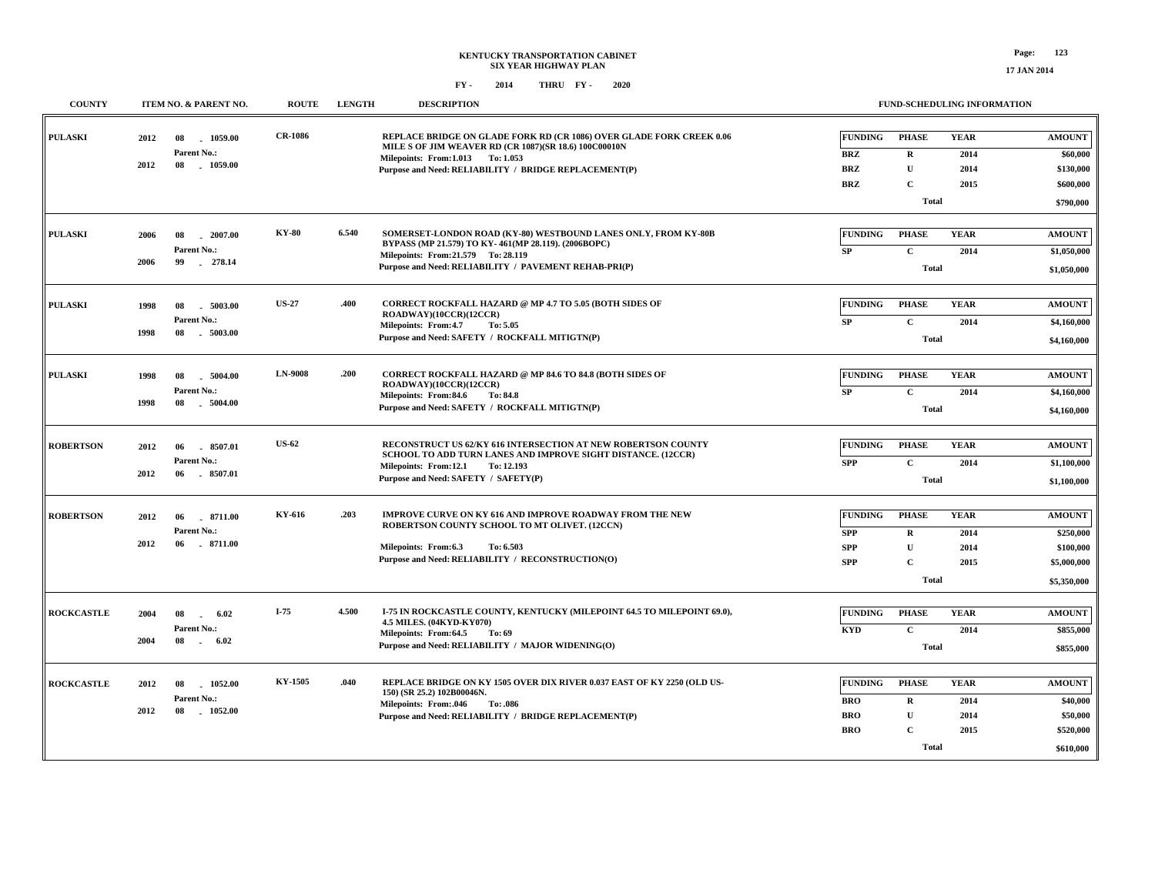| <b>COUNTY</b>     | ITEM NO. & PARENT NO.                                                   | <b>ROUTE</b>   | <b>LENGTH</b> | <b>DESCRIPTION</b>                                                                                                                                                                                                         |                                                          | FUND-SCHEDULING INFORMATION                                                  |                                     |                                                                       |  |
|-------------------|-------------------------------------------------------------------------|----------------|---------------|----------------------------------------------------------------------------------------------------------------------------------------------------------------------------------------------------------------------------|----------------------------------------------------------|------------------------------------------------------------------------------|-------------------------------------|-----------------------------------------------------------------------|--|
| <b>PULASKI</b>    | 2012<br>08<br>1059.00<br>Parent No.:<br>2012<br>08<br>1059.00           | <b>CR-1086</b> |               | REPLACE BRIDGE ON GLADE FORK RD (CR 1086) OVER GLADE FORK CREEK 0.06<br>MILE S OF JIM WEAVER RD (CR 1087)(SR 18.6) 100C00010N<br>Milepoints: From:1.013 To: 1.053<br>Purpose and Need: RELIABILITY / BRIDGE REPLACEMENT(P) | FUNDING<br><b>BRZ</b><br><b>BRZ</b><br><b>BRZ</b>        | <b>PHASE</b><br>$\mathbf R$<br>$\mathbf U$<br>$\mathbf{C}$<br><b>Total</b>   | <b>YEAR</b><br>2014<br>2014<br>2015 | <b>AMOUNT</b><br>\$60,000<br>\$130,000<br>\$600,000<br>\$790,000      |  |
| <b>PULASKI</b>    | 2006<br>08<br>$-2007.00$<br>Parent No.:<br>2006<br>99<br>278.14         | <b>KY-80</b>   | 6.540         | SOMERSET-LONDON ROAD (KY-80) WESTBOUND LANES ONLY, FROM KY-80B<br>BYPASS (MP 21.579) TO KY-461(MP 28.119). (2006BOPC)<br>Milepoints: From:21.579 To: 28.119<br>Purpose and Need: RELIABILITY / PAVEMENT REHAB-PRI(P)       | <b>FUNDING</b><br>SP                                     | <b>PHASE</b><br>$\mathbf{C}$<br>Total                                        | <b>YEAR</b><br>2014                 | <b>AMOUNT</b><br>\$1,050,000<br>\$1,050,000                           |  |
| <b>PULASKI</b>    | 5003.00<br>1998<br>08<br>Parent No.:<br>1998<br>08<br>5003.00           | <b>US-27</b>   | .400          | CORRECT ROCKFALL HAZARD @ MP 4.7 TO 5.05 (BOTH SIDES OF<br>ROADWAY)(10CCR)(12CCR)<br>Milepoints: From: 4.7<br>To: 5.05<br>Purpose and Need: SAFETY / ROCKFALL MITIGTN(P)                                                   | <b>FUNDING</b><br>SP                                     | <b>PHASE</b><br>$\mathbf{C}$<br><b>Total</b>                                 | <b>YEAR</b><br>2014                 | <b>AMOUNT</b><br>\$4,160,000<br>\$4,160,000                           |  |
| <b>PULASKI</b>    | 1998<br>08<br>5004.00<br>Parent No.:<br>1998<br>08<br>- 5004.00         | <b>LN-9008</b> | .200          | CORRECT ROCKFALL HAZARD @ MP 84.6 TO 84.8 (BOTH SIDES OF<br>ROADWAY)(10CCR)(12CCR)<br>Milepoints: From:84.6<br><b>To: 84.8</b><br>Purpose and Need: SAFETY / ROCKFALL MITIGTN(P)                                           | <b>FUNDING</b><br>SP                                     | <b>PHASE</b><br>$\mathbf{C}$<br><b>Total</b>                                 | <b>YEAR</b><br>2014                 | <b>AMOUNT</b><br>\$4,160,000<br>\$4,160,000                           |  |
| <b>ROBERTSON</b>  | 8507.01<br>2012<br>06<br>Parent No.:<br>2012<br>06 . 8507.01            | <b>US-62</b>   |               | RECONSTRUCT US 62/KY 616 INTERSECTION AT NEW ROBERTSON COUNTY<br>SCHOOL TO ADD TURN LANES AND IMPROVE SIGHT DISTANCE. (12CCR)<br>Milepoints: From:12.1<br>To: 12.193<br>Purpose and Need: SAFETY / SAFETY(P)               | <b>FUNDING</b><br><b>SPP</b>                             | <b>PHASE</b><br>$\mathbf{C}$<br><b>Total</b>                                 | <b>YEAR</b><br>2014                 | <b>AMOUNT</b><br>\$1,100,000<br>\$1,100,000                           |  |
| <b>ROBERTSON</b>  | 2012<br>06<br>8711.00<br>Parent No.:<br>2012<br>06<br>8711.00           | KY-616         | .203          | IMPROVE CURVE ON KY 616 AND IMPROVE ROADWAY FROM THE NEW<br>ROBERTSON COUNTY SCHOOL TO MT OLIVET. (12CCN)<br>Milepoints: From:6.3<br>To: 6.503<br>Purpose and Need: RELIABILITY / RECONSTRUCTION(O)                        | FUNDING<br><b>SPP</b><br><b>SPP</b><br><b>SPP</b>        | <b>PHASE</b><br>$\mathbf{R}$<br>$\mathbf{U}$<br>$\mathbf{C}$<br><b>Total</b> | <b>YEAR</b><br>2014<br>2014<br>2015 | <b>AMOUNT</b><br>\$250,000<br>\$100,000<br>\$5,000,000<br>\$5,350,000 |  |
| <b>ROCKCASTLE</b> | 2004<br>08<br>6.02<br>i.<br>Parent No.:<br>2004<br>08<br>6.02<br>$\sim$ | $I-75$         | 4.500         | I-75 IN ROCKCASTLE COUNTY, KENTUCKY (MILEPOINT 64.5 TO MILEPOINT 69.0),<br>4.5 MILES. (04KYD-KY070)<br>Milepoints: From:64.5<br>To: 69<br>Purpose and Need: RELIABILITY / MAJOR WIDENING(O)                                | FUNDING<br><b>KYD</b>                                    | <b>PHASE</b><br>$\mathbf{C}$<br>Total                                        | <b>YEAR</b><br>2014                 | <b>AMOUNT</b><br>\$855,000<br>\$855,000                               |  |
| <b>ROCKCASTLE</b> | 2012<br>08<br>1052.00<br>Parent No.:<br>$-1052.00$<br>2012<br>08        | KY-1505        | .040          | REPLACE BRIDGE ON KY 1505 OVER DIX RIVER 0.037 EAST OF KY 2250 (OLD US-<br>150) (SR 25.2) 102B00046N.<br>Milepoints: From:.046<br>To: .086<br>Purpose and Need: RELIABILITY / BRIDGE REPLACEMENT(P)                        | <b>FUNDING</b><br><b>BRO</b><br><b>BRO</b><br><b>BRO</b> | <b>PHASE</b><br>R<br>$\mathbf{U}$<br>$\mathbf{C}$<br>Total                   | <b>YEAR</b><br>2014<br>2014<br>2015 | <b>AMOUNT</b><br>\$40,000<br>\$50,000<br>\$520,000<br>\$610,000       |  |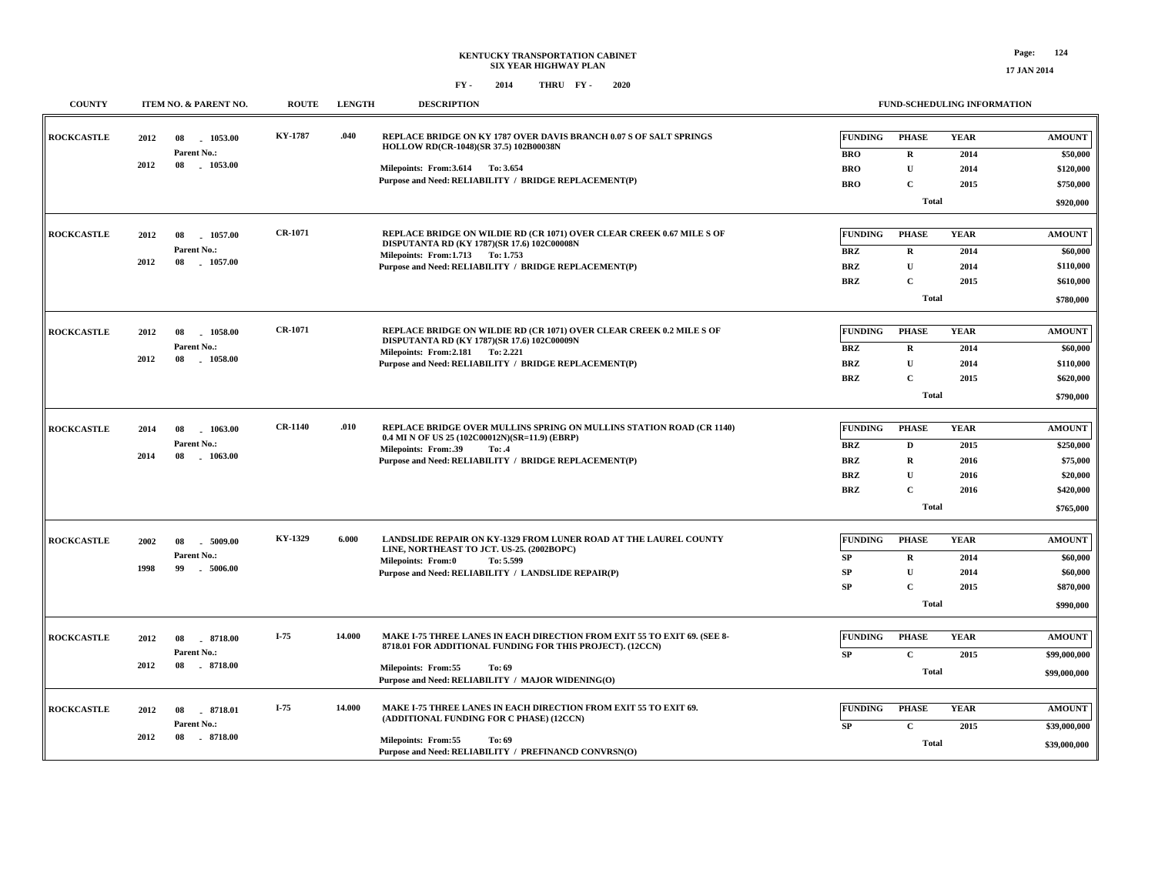#### **FY - FY - 2014 2020 THRU**

| <b>COUNTY</b>     | ITEM NO. & PARENT NO.                                               | <b>ROUTE</b>   | <b>LENGTH</b> | <b>DESCRIPTION</b>                                                                                                                                                                                                                 |                                                                        |                                                                                 | <b>FUND-SCHEDULING INFORMATION</b>          |                                                                              |
|-------------------|---------------------------------------------------------------------|----------------|---------------|------------------------------------------------------------------------------------------------------------------------------------------------------------------------------------------------------------------------------------|------------------------------------------------------------------------|---------------------------------------------------------------------------------|---------------------------------------------|------------------------------------------------------------------------------|
| <b>ROCKCASTLE</b> | 2012<br>1053.00<br>08<br>Parent No.:<br>$-1053.00$<br>2012<br>08    | <b>KY-1787</b> | .040          | REPLACE BRIDGE ON KY 1787 OVER DAVIS BRANCH 0.07 S OF SALT SPRINGS<br>HOLLOW RD(CR-1048)(SR 37.5) 102B00038N<br>Milepoints: From: 3.614 To: 3.654<br>Purpose and Need: RELIABILITY / BRIDGE REPLACEMENT(P)                         | <b>FUNDING</b><br><b>BRO</b><br><b>BRO</b><br><b>BRO</b>               | <b>PHASE</b><br>$\mathbf R$<br>$\mathbf U$<br>$\mathbf C$<br><b>Total</b>       | <b>YEAR</b><br>2014<br>2014<br>2015         | <b>AMOUNT</b><br>\$50,000<br>\$120,000<br>\$750,000<br>\$920,000             |
| <b>ROCKCASTLE</b> | 2012<br>1057.00<br>08<br>Parent No.:<br>2012<br>08<br>1057.00       | <b>CR-1071</b> |               | REPLACE BRIDGE ON WILDIE RD (CR 1071) OVER CLEAR CREEK 0.67 MILE S OF<br>DISPUTANTA RD (KY 1787)(SR 17.6) 102C00008N<br>Milepoints: From:1.713 To: 1.753<br>Purpose and Need: RELIABILITY / BRIDGE REPLACEMENT(P)                  | <b>FUNDING</b><br><b>BRZ</b><br>BRZ<br><b>BRZ</b>                      | <b>PHASE</b><br>$\mathbf R$<br>$\mathbf U$<br>$\mathbf{C}$<br>Total             | <b>YEAR</b><br>2014<br>2014<br>2015         | <b>AMOUNT</b><br>\$60,000<br>\$110,000<br>\$610,000<br>\$780,000             |
| <b>ROCKCASTLE</b> | 2012<br>08<br>$-1058.00$<br>Parent No.:<br>2012<br>08<br>$-1058.00$ | <b>CR-1071</b> |               | REPLACE BRIDGE ON WILDIE RD (CR 1071) OVER CLEAR CREEK 0.2 MILE S OF<br>DISPUTANTA RD (KY 1787)(SR 17.6) 102C00009N<br>Milepoints: From: 2.181 To: 2.221<br>Purpose and Need: RELIABILITY / BRIDGE REPLACEMENT(P)                  | <b>FUNDING</b><br><b>BRZ</b><br><b>BRZ</b><br><b>BRZ</b>               | <b>PHASE</b><br>$\mathbf R$<br>$\mathbf{U}$<br>$\mathbf{C}$<br><b>Total</b>     | <b>YEAR</b><br>2014<br>2014<br>2015         | <b>AMOUNT</b><br>\$60,000<br>\$110,000<br>\$620,000<br>\$790,000             |
| <b>ROCKCASTLE</b> | 2014<br>08<br>1063.00<br>Parent No.:<br>2014<br>08<br>$-1063.00$    | <b>CR-1140</b> | .010          | REPLACE BRIDGE OVER MULLINS SPRING ON MULLINS STATION ROAD (CR 1140)<br>0.4 MI N OF US 25 (102C00012N)(SR=11.9) (EBRP)<br>Milepoints: From: 39<br>To: .4<br>Purpose and Need: RELIABILITY / BRIDGE REPLACEMENT(P)                  | <b>FUNDING</b><br><b>BRZ</b><br><b>BRZ</b><br><b>BRZ</b><br><b>BRZ</b> | <b>PHASE</b><br>D<br>$\mathbf R$<br>$\mathbf U$<br>$\mathbf{C}$<br><b>Total</b> | <b>YEAR</b><br>2015<br>2016<br>2016<br>2016 | <b>AMOUNT</b><br>\$250,000<br>\$75,000<br>\$20,000<br>\$420,000<br>\$765,000 |
| <b>ROCKCASTLE</b> | 2002<br>08<br>.5009.00<br>Parent No.:<br>1998<br>99<br>$-5006.00$   | KY-1329        | 6.000         | <b>LANDSLIDE REPAIR ON KY-1329 FROM LUNER ROAD AT THE LAUREL COUNTY</b><br>LINE, NORTHEAST TO JCT. US-25. (2002BOPC)<br>Milepoints: From:0<br>To: 5.599<br>Purpose and Need: RELIABILITY / LANDSLIDE REPAIR(P)                     | <b>FUNDING</b><br>SP<br>SP<br>SP                                       | <b>PHASE</b><br>$\bf R$<br>$\mathbf{U}$<br>$\mathbf{C}$<br><b>Total</b>         | <b>YEAR</b><br>2014<br>2014<br>2015         | <b>AMOUNT</b><br>\$60,000<br>\$60,000<br>\$870,000<br>\$990,000              |
| <b>ROCKCASTLE</b> | 2012<br>08<br>8718.00<br>Parent No.:<br>2012<br>8718.00<br>08       | $I-75$         | 14.000        | MAKE I-75 THREE LANES IN EACH DIRECTION FROM EXIT 55 TO EXIT 69. (SEE 8-<br>8718.01 FOR ADDITIONAL FUNDING FOR THIS PROJECT). (12CCN)<br><b>Milepoints: From:55</b><br>To: 69<br>Purpose and Need: RELIABILITY / MAJOR WIDENING(O) | <b>FUNDING</b><br>SP                                                   | <b>PHASE</b><br>$\mathbf{C}$<br><b>Total</b>                                    | <b>YEAR</b><br>2015                         | <b>AMOUNT</b><br>\$99,000,000<br>\$99,000,000                                |
| <b>ROCKCASTLE</b> | 2012<br>8718.01<br>08<br>Parent No.:<br>2012<br>08<br>$-8718.00$    | $I-75$         | 14.000        | MAKE I-75 THREE LANES IN EACH DIRECTION FROM EXIT 55 TO EXIT 69.<br>(ADDITIONAL FUNDING FOR C PHASE) (12CCN)<br><b>Milepoints: From:55</b><br>To: 69<br>Purpose and Need: RELIABILITY / PREFINANCD CONVRSN(O)                      | <b>FUNDING</b><br>SP                                                   | <b>PHASE</b><br>$\mathbf{C}$<br><b>Total</b>                                    | <b>YEAR</b><br>2015                         | <b>AMOUNT</b><br>\$39,000,000<br>\$39,000,000                                |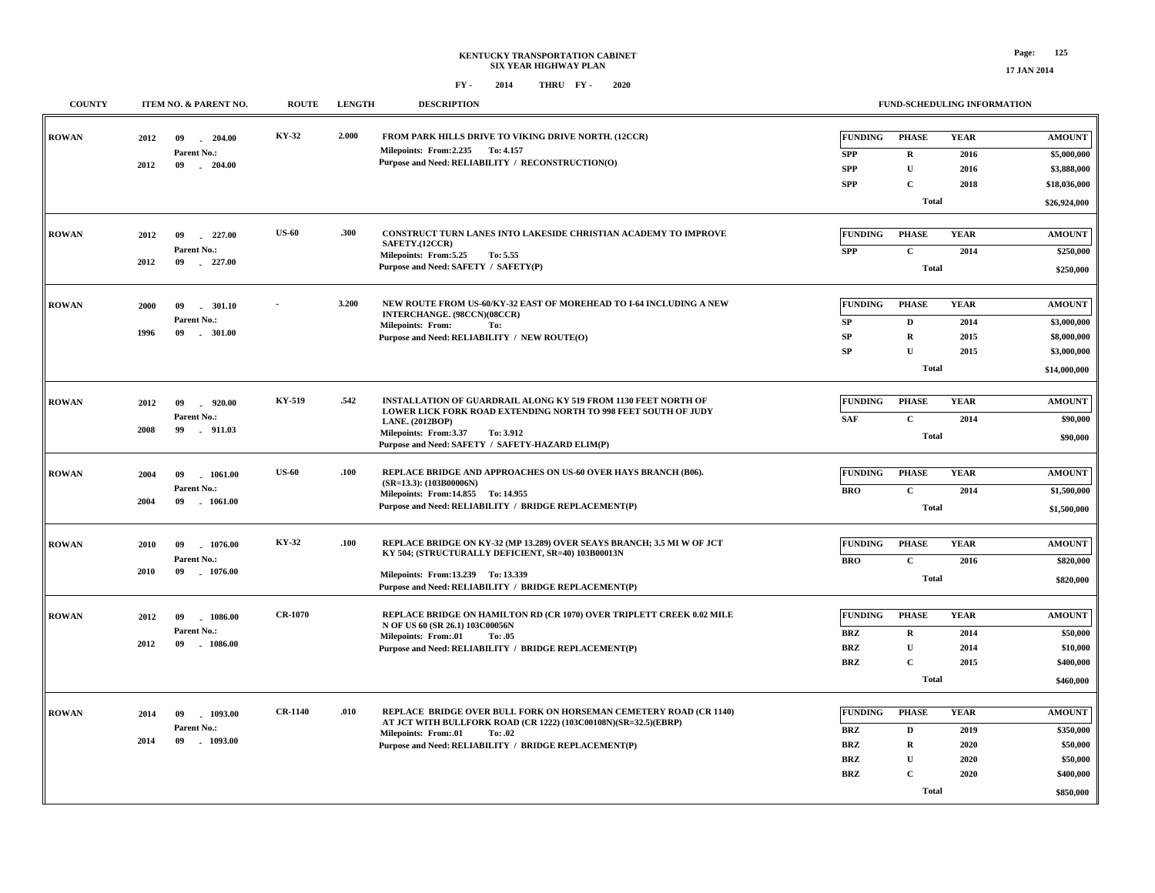| <b>COUNTY</b> | ITEM NO. & PARENT NO.                | <b>ROUTE</b>   | <b>LENGTH</b> | <b>DESCRIPTION</b>                                                                                                                   |                | FUND-SCHEDULING INFORMATION |             |               |
|---------------|--------------------------------------|----------------|---------------|--------------------------------------------------------------------------------------------------------------------------------------|----------------|-----------------------------|-------------|---------------|
|               |                                      |                |               |                                                                                                                                      |                |                             |             |               |
| <b>ROWAN</b>  | 2012<br>$-204.00$<br>09              | KY-32          | 2.000         | FROM PARK HILLS DRIVE TO VIKING DRIVE NORTH. (12CCR)                                                                                 | <b>FUNDING</b> | <b>PHASE</b>                | <b>YEAR</b> | <b>AMOUNT</b> |
|               | Parent No.:                          |                |               | Milepoints: From: 2.235 To: 4.157<br>Purpose and Need: RELIABILITY / RECONSTRUCTION(O)                                               | <b>SPP</b>     | $\mathbf R$                 | 2016        | \$5,000,000   |
|               | 2012<br>09<br>$-204.00$              |                |               |                                                                                                                                      | <b>SPP</b>     | ${\bf U}$                   | 2016        | \$3,888,000   |
|               |                                      |                |               |                                                                                                                                      | <b>SPP</b>     | C                           | 2018        | \$18,036,000  |
|               |                                      |                |               |                                                                                                                                      |                | <b>Total</b>                |             | \$26,924,000  |
|               |                                      |                |               |                                                                                                                                      |                |                             |             |               |
| <b>ROWAN</b>  | 2012<br>09<br>227.00                 | <b>US-60</b>   | .300          | CONSTRUCT TURN LANES INTO LAKESIDE CHRISTIAN ACADEMY TO IMPROVE<br>SAFETY.(12CCR)                                                    | <b>FUNDING</b> | <b>PHASE</b>                | <b>YEAR</b> | <b>AMOUNT</b> |
|               | Parent No.:                          |                |               | Milepoints: From: 5.25<br>To: 5.55                                                                                                   | <b>SPP</b>     | $\mathbf{C}$                | 2014        | \$250,000     |
|               | 2012<br>09<br>227.00                 |                |               | Purpose and Need: SAFETY / SAFETY(P)                                                                                                 |                | <b>Total</b>                |             | \$250,000     |
|               |                                      |                |               |                                                                                                                                      |                |                             |             |               |
| <b>ROWAN</b>  | 2000<br>09<br>. 301.10               |                | 3.200         | NEW ROUTE FROM US-60/KY-32 EAST OF MOREHEAD TO I-64 INCLUDING A NEW                                                                  | <b>FUNDING</b> | <b>PHASE</b>                | <b>YEAR</b> | <b>AMOUNT</b> |
|               | Parent No.:                          |                |               | INTERCHANGE. (98CCN)(08CCR)<br><b>Milepoints: From:</b><br>To:                                                                       | ${\bf SP}$     | D                           | 2014        | \$3,000,000   |
|               | 1996<br>09<br>$-301.00$              |                |               | Purpose and Need: RELIABILITY / NEW ROUTE(O)                                                                                         | SP             | $\mathbf R$                 | 2015        | \$8,000,000   |
|               |                                      |                |               |                                                                                                                                      | SP             | $\mathbf{U}$                | 2015        | \$3,000,000   |
|               |                                      |                |               |                                                                                                                                      |                | <b>Total</b>                |             | \$14,000,000  |
|               |                                      |                |               |                                                                                                                                      |                |                             |             |               |
| <b>ROWAN</b>  | 920.00<br>2012<br>09                 | KY-519         | .542          | INSTALLATION OF GUARDRAIL ALONG KY 519 FROM 1130 FEET NORTH OF                                                                       | <b>FUNDING</b> | <b>PHASE</b>                | <b>YEAR</b> | <b>AMOUNT</b> |
|               | Parent No.:                          |                |               | LOWER LICK FORK ROAD EXTENDING NORTH TO 998 FEET SOUTH OF JUDY<br><b>LANE.</b> (2012BOP)                                             | <b>SAF</b>     | $\mathbf{C}$                | 2014        | \$90,000      |
|               | 2008<br>99<br>$-911.03$              |                |               | Milepoints: From:3.37<br>To: 3.912                                                                                                   |                | Total                       |             | \$90,000      |
|               |                                      |                |               | Purpose and Need: SAFETY / SAFETY-HAZARD ELIM(P)                                                                                     |                |                             |             |               |
| <b>ROWAN</b>  | 2004<br>09<br>1061.00                | <b>US-60</b>   | .100          | REPLACE BRIDGE AND APPROACHES ON US-60 OVER HAYS BRANCH (B06).                                                                       | <b>FUNDING</b> | <b>PHASE</b>                | <b>YEAR</b> | <b>AMOUNT</b> |
|               | Parent No.:                          |                |               | $(SR=13.3)$ : (103B00006N)                                                                                                           | <b>BRO</b>     | $\mathbf{C}$                | 2014        | \$1,500,000   |
|               | 2004<br>09<br>$-1061.00$             |                |               | Milepoints: From: 14.855 To: 14.955<br>Purpose and Need: RELIABILITY / BRIDGE REPLACEMENT(P)                                         |                | <b>Total</b>                |             | \$1,500,000   |
|               |                                      |                |               |                                                                                                                                      |                |                             |             |               |
|               |                                      | KY-32          | .100          | REPLACE BRIDGE ON KY-32 (MP 13.289) OVER SEAYS BRANCH; 3.5 MI W OF JCT                                                               | <b>FUNDING</b> | <b>PHASE</b>                | <b>YEAR</b> |               |
| <b>ROWAN</b>  | 2010<br>09<br>1076.00<br>Parent No.: |                |               | KY 504; (STRUCTURALLY DEFICIENT, SR=40) 103B00013N                                                                                   |                |                             |             | <b>AMOUNT</b> |
|               | 2010<br>09<br>$-1076.00$             |                |               | Milepoints: From:13.239 To:13.339                                                                                                    | <b>BRO</b>     | $\mathbf{C}$                | 2016        | \$820,000     |
|               |                                      |                |               | Purpose and Need: RELIABILITY / BRIDGE REPLACEMENT(P)                                                                                |                | <b>Total</b>                |             | \$820,000     |
|               |                                      |                |               |                                                                                                                                      |                |                             |             |               |
| <b>ROWAN</b>  | 2012<br>1086.00<br>09                | <b>CR-1070</b> |               | REPLACE BRIDGE ON HAMILTON RD (CR 1070) OVER TRIPLETT CREEK 0.02 MILE<br>N OF US 60 (SR 26.1) 103C00056N                             | <b>FUNDING</b> | <b>PHASE</b>                | <b>YEAR</b> | <b>AMOUNT</b> |
|               | Parent No.:                          |                |               | Milepoints: From:.01<br>To: .05                                                                                                      | <b>BRZ</b>     | $\mathbf R$                 | 2014        | \$50,000      |
|               | 2012<br>09<br>$-1086.00$             |                |               | Purpose and Need: RELIABILITY / BRIDGE REPLACEMENT(P)                                                                                | <b>BRZ</b>     | $\mathbf{U}$                | 2014        | \$10,000      |
|               |                                      |                |               |                                                                                                                                      | <b>BRZ</b>     | $\mathbf C$                 | 2015        | \$400,000     |
|               |                                      |                |               |                                                                                                                                      |                | <b>Total</b>                |             | \$460,000     |
|               |                                      |                |               |                                                                                                                                      |                |                             |             |               |
| <b>ROWAN</b>  | 2014<br>09<br>1093.00                | <b>CR-1140</b> | .010          | REPLACE BRIDGE OVER BULL FORK ON HORSEMAN CEMETERY ROAD (CR 1140)<br>AT JCT WITH BULLFORK ROAD (CR 1222) (103C00108N)(SR=32.5)(EBRP) | <b>FUNDING</b> | <b>PHASE</b>                | <b>YEAR</b> | <b>AMOUNT</b> |
|               | Parent No.:<br>2014<br>1093.00<br>09 |                |               | Milepoints: From:.01<br>To: .02                                                                                                      | <b>BRZ</b>     | D                           | 2019        | \$350,000     |
|               |                                      |                |               | Purpose and Need: RELIABILITY / BRIDGE REPLACEMENT(P)                                                                                | <b>BRZ</b>     | $\mathbf R$                 | 2020        | \$50,000      |
|               |                                      |                |               |                                                                                                                                      | <b>BRZ</b>     | $\mathbf{U}$                | 2020        | \$50,000      |
|               |                                      |                |               |                                                                                                                                      | <b>BRZ</b>     | $\mathbf C$                 | 2020        | \$400,000     |
|               |                                      |                |               |                                                                                                                                      |                | Total                       |             | \$850,000     |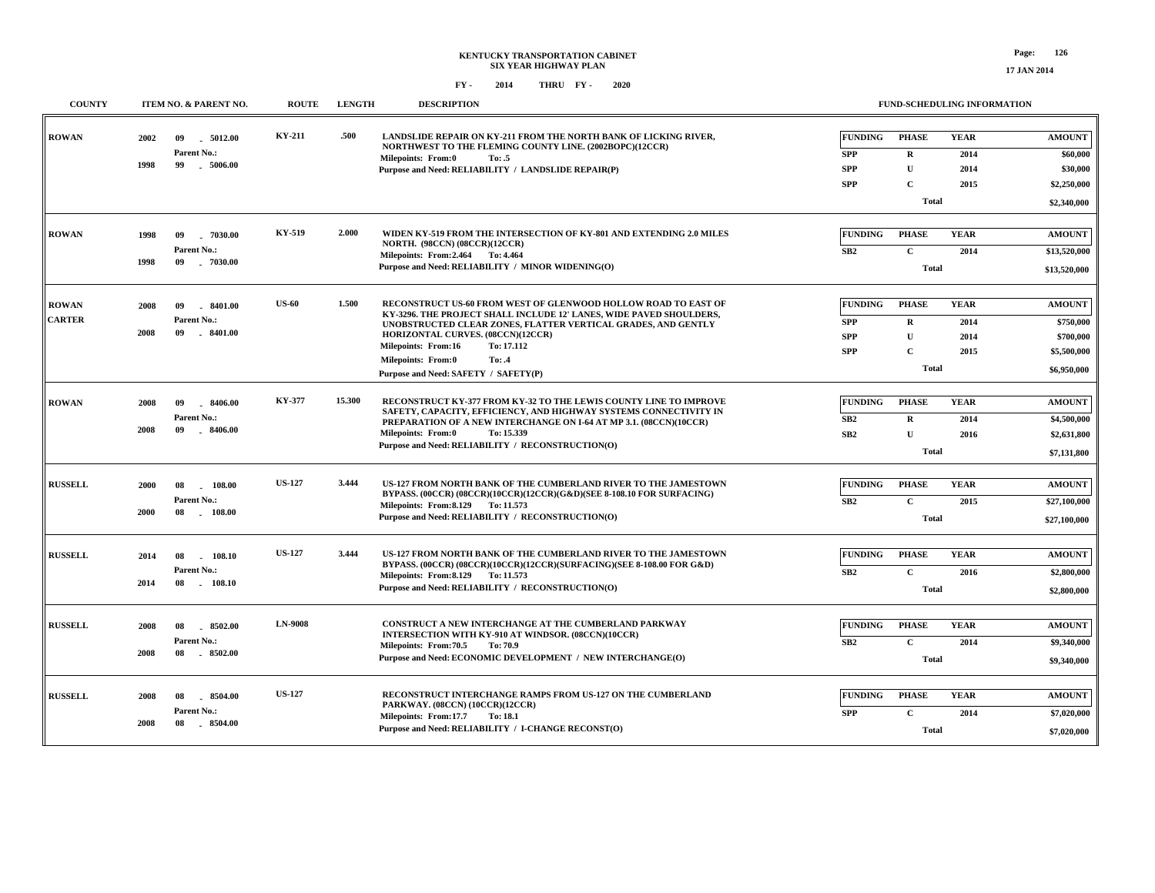| <b>COUNTY</b>                 | ITEM NO. & PARENT NO.                                                | <b>ROUTE</b>   | <b>LENGTH</b> | <b>DESCRIPTION</b>                                                                                                                                                                                                                                                                                                                                              |                                                          | <b>FUND-SCHEDULING INFORMATION</b>                                          |                                     |                                                                       |
|-------------------------------|----------------------------------------------------------------------|----------------|---------------|-----------------------------------------------------------------------------------------------------------------------------------------------------------------------------------------------------------------------------------------------------------------------------------------------------------------------------------------------------------------|----------------------------------------------------------|-----------------------------------------------------------------------------|-------------------------------------|-----------------------------------------------------------------------|
| <b>ROWAN</b>                  | 2002<br>.5012.00<br>09<br>Parent No.:<br>99<br>1998<br>$-5006.00$    | <b>KY-211</b>  | .500          | LANDSLIDE REPAIR ON KY-211 FROM THE NORTH BANK OF LICKING RIVER,<br>NORTHWEST TO THE FLEMING COUNTY LINE. (2002BOPC)(12CCR)<br>Milepoints: From:0<br>To: .5<br>Purpose and Need: RELIABILITY / LANDSLIDE REPAIR(P)                                                                                                                                              | <b>FUNDING</b><br><b>SPP</b><br><b>SPP</b><br><b>SPP</b> | <b>PHASE</b><br>$\mathbf R$<br>$\mathbf{U}$<br>$\mathbf{C}$<br><b>Total</b> | <b>YEAR</b><br>2014<br>2014<br>2015 | <b>AMOUNT</b><br>\$60,000<br>\$30,000<br>\$2,250,000<br>\$2,340,000   |
| <b>ROWAN</b>                  | $-7030.00$<br>1998<br>09<br>Parent No.:<br>1998<br>$-7030.00$<br>09  | KY-519         | 2.000         | WIDEN KY-519 FROM THE INTERSECTION OF KY-801 AND EXTENDING 2.0 MILES<br><b>NORTH.</b> (98CCN) (08CCR)(12CCR)<br>Milepoints: From: 2.464 To: 4.464<br>Purpose and Need: RELIABILITY / MINOR WIDENING(O)                                                                                                                                                          | <b>FUNDING</b><br>SB2                                    | <b>PHASE</b><br>$\mathbf{C}$<br><b>Total</b>                                | <b>YEAR</b><br>2014                 | <b>AMOUNT</b><br>\$13,520,000<br>\$13,520,000                         |
| <b>ROWAN</b><br><b>CARTER</b> | .8401.00<br>2008<br>09<br>Parent No.:<br>2008<br>09<br>$-8401.00$    | <b>US-60</b>   | 1.500         | RECONSTRUCT US-60 FROM WEST OF GLENWOOD HOLLOW ROAD TO EAST OF<br>KY-3296. THE PROJECT SHALL INCLUDE 12' LANES, WIDE PAVED SHOULDERS,<br>UNOBSTRUCTED CLEAR ZONES, FLATTER VERTICAL GRADES, AND GENTLY<br>HORIZONTAL CURVES. (08CCN)(12CCR)<br>Milepoints: From:16<br>To: 17.112<br><b>Milepoints: From:0</b><br>To: .4<br>Purpose and Need: SAFETY / SAFETY(P) | FUNDING<br><b>SPP</b><br><b>SPP</b><br><b>SPP</b>        | <b>PHASE</b><br>$\bf{R}$<br>$\mathbf{U}$<br>$\mathbf{C}$<br><b>Total</b>    | <b>YEAR</b><br>2014<br>2014<br>2015 | <b>AMOUNT</b><br>\$750,000<br>\$700,000<br>\$5,500,000<br>\$6,950,000 |
| <b>ROWAN</b>                  | 2008<br>$-8406.00$<br>-09<br>Parent No.:<br>2008<br>09<br>$-8406.00$ | <b>KY-377</b>  | 15.300        | RECONSTRUCT KY-377 FROM KY-32 TO THE LEWIS COUNTY LINE TO IMPROVE<br>SAFETY, CAPACITY, EFFICIENCY, AND HIGHWAY SYSTEMS CONNECTIVITY IN<br>PREPARATION OF A NEW INTERCHANGE ON I-64 AT MP 3.1. (08CCN)(10CCR)<br>Milepoints: From:0<br>To: 15.339<br>Purpose and Need: RELIABILITY / RECONSTRUCTION(O)                                                           | <b>FUNDING</b><br>SB2<br>SB <sub>2</sub>                 | <b>PHASE</b><br>$\mathbf R$<br>U<br><b>Total</b>                            | <b>YEAR</b><br>2014<br>2016         | <b>AMOUNT</b><br>\$4,500,000<br>\$2,631,800<br>\$7,131,800            |
| <b>RUSSELL</b>                | 2000<br>08<br>$-108.00$<br>Parent No.:<br>2000<br>08<br>$-108.00$    | <b>US-127</b>  | 3.444         | US-127 FROM NORTH BANK OF THE CUMBERLAND RIVER TO THE JAMESTOWN<br>BYPASS. (00CCR) (08CCR)(10CCR)(12CCR)(G&D)(SEE 8-108.10 FOR SURFACING)<br>Milepoints: From: 8.129 To: 11.573<br>Purpose and Need: RELIABILITY / RECONSTRUCTION(O)                                                                                                                            | <b>FUNDING</b><br>SB2                                    | <b>PHASE</b><br>$\mathbf{C}$<br>Total                                       | <b>YEAR</b><br>2015                 | <b>AMOUNT</b><br>\$27,100,000<br>\$27,100,000                         |
| <b>RUSSELL</b>                | 2014<br>108.10<br>08<br>Parent No.:<br>2014<br>08<br>108.10          | <b>US-127</b>  | 3.444         | US-127 FROM NORTH BANK OF THE CUMBERLAND RIVER TO THE JAMESTOWN<br>BYPASS. (00CCR) (08CCR)(10CCR)(12CCR)(SURFACING)(SEE 8-108.00 FOR G&D)<br>Milepoints: From: 8.129 To: 11.573<br>Purpose and Need: RELIABILITY / RECONSTRUCTION(O)                                                                                                                            | <b>FUNDING</b><br>SB2                                    | PHASE<br>$\mathbf{C}$<br><b>Total</b>                                       | <b>YEAR</b><br>2016                 | <b>AMOUNT</b><br>\$2,800,000<br>\$2,800,000                           |
| <b>RUSSELL</b>                | 8502.00<br>2008<br>08<br>Parent No.:<br>2008<br>08<br>8502.00        | <b>LN-9008</b> |               | <b>CONSTRUCT A NEW INTERCHANGE AT THE CUMBERLAND PARKWAY</b><br>INTERSECTION WITH KY-910 AT WINDSOR. (08CCN)(10CCR)<br>Milepoints: From: 70.5<br>To: 70.9<br>Purpose and Need: ECONOMIC DEVELOPMENT / NEW INTERCHANGE(O)                                                                                                                                        | <b>FUNDING</b><br>SB2                                    | <b>PHASE</b><br>$\mathbf{C}$<br><b>Total</b>                                | <b>YEAR</b><br>2014                 | <b>AMOUNT</b><br>\$9,340,000<br>\$9,340,000                           |
| <b>RUSSELL</b>                | 2008<br>8504.00<br>08<br>Parent No.:<br>$-8504.00$<br>2008<br>08     | <b>US-127</b>  |               | RECONSTRUCT INTERCHANGE RAMPS FROM US-127 ON THE CUMBERLAND<br>PARKWAY. (08CCN) (10CCR)(12CCR)<br>Milepoints: From:17.7<br>To: 18.1<br>Purpose and Need: RELIABILITY / I-CHANGE RECONST(O)                                                                                                                                                                      | <b>FUNDING</b><br><b>SPP</b>                             | <b>PHASE</b><br>$\mathbf C$<br><b>Total</b>                                 | <b>YEAR</b><br>2014                 | <b>AMOUNT</b><br>\$7,020,000<br>\$7,020,000                           |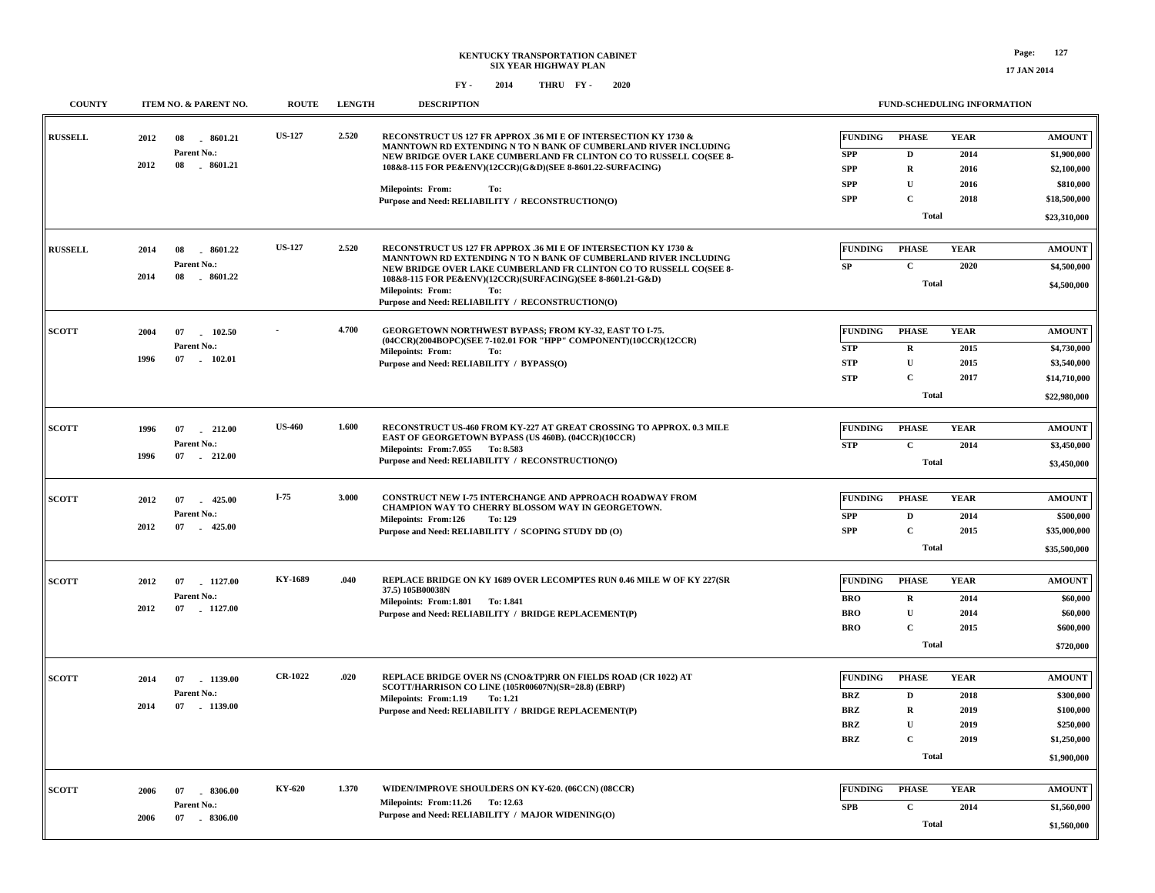| <b>COUNTY</b>  | ITEM NO. & PARENT NO.                | <b>ROUTE</b>   | <b>LENGTH</b> | <b>DESCRIPTION</b>                                                                                                                                                                                       |                              |                             | FUND-SCHEDULING INFORMATION |                              |
|----------------|--------------------------------------|----------------|---------------|----------------------------------------------------------------------------------------------------------------------------------------------------------------------------------------------------------|------------------------------|-----------------------------|-----------------------------|------------------------------|
| <b>RUSSELL</b> | 2012<br>8601.21<br>08<br>Parent No.: | <b>US-127</b>  | 2.520         | RECONSTRUCT US 127 FR APPROX .36 MI E OF INTERSECTION KY 1730 &<br>MANNTOWN RD EXTENDING N TO N BANK OF CUMBERLAND RIVER INCLUDING<br>NEW BRIDGE OVER LAKE CUMBERLAND FR CLINTON CO TO RUSSELL CO(SEE 8- | <b>FUNDING</b><br><b>SPP</b> | <b>PHASE</b><br>$\mathbf D$ | <b>YEAR</b><br>2014         | <b>AMOUNT</b><br>\$1,900,000 |
|                | 2012<br>08<br>.8601.21               |                |               | 108&8-115 FOR PE&ENV)(12CCR)(G&D)(SEE 8-8601.22-SURFACING)                                                                                                                                               | <b>SPP</b>                   | $\mathbf R$                 | 2016                        | \$2,100,000                  |
|                |                                      |                |               |                                                                                                                                                                                                          | <b>SPP</b>                   | $\mathbf U$                 | 2016                        | \$810,000                    |
|                |                                      |                |               | <b>Milepoints: From:</b><br>To:<br>Purpose and Need: RELIABILITY / RECONSTRUCTION(O)                                                                                                                     | <b>SPP</b>                   | $\mathbf C$                 | 2018                        | \$18,500,000                 |
|                |                                      |                |               |                                                                                                                                                                                                          |                              | Total                       |                             |                              |
|                |                                      |                |               |                                                                                                                                                                                                          |                              |                             |                             | \$23,310,000                 |
|                |                                      | <b>US-127</b>  | 2.520         | RECONSTRUCT US 127 FR APPROX .36 MI E OF INTERSECTION KY 1730 &                                                                                                                                          | <b>FUNDING</b>               | <b>PHASE</b>                | <b>YEAR</b>                 | <b>AMOUNT</b>                |
| <b>RUSSELL</b> | 8601.22<br>2014<br>08<br>Parent No.: |                |               | MANNTOWN RD EXTENDING N TO N BANK OF CUMBERLAND RIVER INCLUDING                                                                                                                                          |                              |                             |                             |                              |
|                | 8601.22<br>2014<br>08                |                |               | NEW BRIDGE OVER LAKE CUMBERLAND FR CLINTON CO TO RUSSELL CO(SEE 8-<br>108&8-115 FOR PE&ENV)(12CCR)(SURFACING)(SEE 8-8601.21-G&D)                                                                         | SP                           | $\mathbf C$                 | 2020                        | \$4,500,000                  |
|                |                                      |                |               | <b>Milepoints: From:</b><br>To:                                                                                                                                                                          |                              | Total                       |                             | \$4,500,000                  |
|                |                                      |                |               | Purpose and Need: RELIABILITY / RECONSTRUCTION(O)                                                                                                                                                        |                              |                             |                             |                              |
|                |                                      |                |               |                                                                                                                                                                                                          |                              |                             |                             |                              |
| <b>SCOTT</b>   | 2004<br>07<br>102.50                 |                | 4.700         | GEORGETOWN NORTHWEST BYPASS; FROM KY-32, EAST TO I-75.<br>(04CCR)(2004BOPC)(SEE 7-102.01 FOR "HPP" COMPONENT)(10CCR)(12CCR)                                                                              | <b>FUNDING</b>               | <b>PHASE</b>                | <b>YEAR</b>                 | <b>AMOUNT</b>                |
|                | Parent No.:                          |                |               | <b>Milepoints: From:</b><br>To:                                                                                                                                                                          | <b>STP</b>                   | $\mathbf R$                 | 2015                        | \$4,730,000                  |
|                | 1996<br>07<br>$-102.01$              |                |               | Purpose and Need: RELIABILITY / BYPASS(O)                                                                                                                                                                | <b>STP</b>                   | ${\bf U}$                   | 2015                        | \$3,540,000                  |
|                |                                      |                |               |                                                                                                                                                                                                          | <b>STP</b>                   | $\mathbf C$                 | 2017                        | \$14,710,000                 |
|                |                                      |                |               |                                                                                                                                                                                                          |                              | <b>Total</b>                |                             | \$22,980,000                 |
|                |                                      |                |               |                                                                                                                                                                                                          |                              |                             |                             |                              |
| <b>SCOTT</b>   | 07<br>212.00<br>1996                 | <b>US-460</b>  | 1.600         | RECONSTRUCT US-460 FROM KY-227 AT GREAT CROSSING TO APPROX. 0.3 MILE                                                                                                                                     | <b>FUNDING</b>               | <b>PHASE</b>                | <b>YEAR</b>                 | <b>AMOUNT</b>                |
|                | Parent No.:                          |                |               | EAST OF GEORGETOWN BYPASS (US 460B). (04CCR)(10CCR)<br>Milepoints: From: 7.055 To: 8.583                                                                                                                 | <b>STP</b>                   | $\mathbf{C}$                | 2014                        | \$3,450,000                  |
|                | 1996<br>07<br>$-212.00$              |                |               | Purpose and Need: RELIABILITY / RECONSTRUCTION(O)                                                                                                                                                        |                              | <b>Total</b>                |                             | \$3,450,000                  |
|                |                                      |                |               |                                                                                                                                                                                                          |                              |                             |                             |                              |
| <b>SCOTT</b>   |                                      | $I-75$         | 3.000         | CONSTRUCT NEW I-75 INTERCHANGE AND APPROACH ROADWAY FROM                                                                                                                                                 | <b>FUNDING</b>               | <b>PHASE</b>                | <b>YEAR</b>                 | <b>AMOUNT</b>                |
|                | 2012<br>07<br>425.00<br>Parent No.:  |                |               | CHAMPION WAY TO CHERRY BLOSSOM WAY IN GEORGETOWN.                                                                                                                                                        |                              |                             |                             |                              |
|                | 2012<br>07<br>425.00                 |                |               | Milepoints: From:126<br><b>To: 129</b>                                                                                                                                                                   | <b>SPP</b>                   | $\mathbf{D}$                | 2014                        | \$500,000                    |
|                |                                      |                |               | Purpose and Need: RELIABILITY / SCOPING STUDY DD (O)                                                                                                                                                     | <b>SPP</b>                   | $\mathbf C$                 | 2015                        | \$35,000,000                 |
|                |                                      |                |               |                                                                                                                                                                                                          |                              | <b>Total</b>                |                             | \$35,500,000                 |
|                |                                      |                |               |                                                                                                                                                                                                          |                              |                             |                             |                              |
| <b>SCOTT</b>   | 2012<br>07<br>$-1127.00$             | KY-1689        | .040          | REPLACE BRIDGE ON KY 1689 OVER LECOMPTES RUN 0.46 MILE W OF KY 227(SR<br>37.5) 105B00038N                                                                                                                | <b>FUNDING</b>               | <b>PHASE</b>                | <b>YEAR</b>                 | <b>AMOUNT</b>                |
|                | Parent No.:                          |                |               | Milepoints: From: 1.801 To: 1.841                                                                                                                                                                        | <b>BRO</b>                   | ${\bf R}$                   | 2014                        | \$60,000                     |
|                | 2012<br>07<br>$-1127.00$             |                |               | Purpose and Need: RELIABILITY / BRIDGE REPLACEMENT(P)                                                                                                                                                    | <b>BRO</b>                   | $\mathbf U$                 | 2014                        | \$60,000                     |
|                |                                      |                |               |                                                                                                                                                                                                          | <b>BRO</b>                   | $\mathbf C$                 | 2015                        | \$600,000                    |
|                |                                      |                |               |                                                                                                                                                                                                          |                              | <b>Total</b>                |                             | \$720,000                    |
|                |                                      |                |               |                                                                                                                                                                                                          |                              |                             |                             |                              |
| <b>SCOTT</b>   | 07<br>$-1139.00$<br>2014             | <b>CR-1022</b> | .020          | REPLACE BRIDGE OVER NS (CNO&TP)RR ON FIELDS ROAD (CR 1022) AT                                                                                                                                            | <b>FUNDING</b>               | <b>PHASE</b>                | <b>YEAR</b>                 | <b>AMOUNT</b>                |
|                | Parent No.:                          |                |               | SCOTT/HARRISON CO LINE (105R00607N)(SR=28.8) (EBRP)<br>Milepoints: From:1.19<br>To: 1.21                                                                                                                 | <b>BRZ</b>                   | $\mathbf{D}$                | 2018                        | \$300,000                    |
|                | 07<br>2014<br>$-1139.00$             |                |               | Purpose and Need: RELIABILITY / BRIDGE REPLACEMENT(P)                                                                                                                                                    | <b>BRZ</b>                   | $\mathbf R$                 | 2019                        | \$100,000                    |
|                |                                      |                |               |                                                                                                                                                                                                          | <b>BRZ</b>                   | $\mathbf U$                 | 2019                        | \$250,000                    |
|                |                                      |                |               |                                                                                                                                                                                                          | <b>BRZ</b>                   | $\mathbf C$                 | 2019                        | \$1,250,000                  |
|                |                                      |                |               |                                                                                                                                                                                                          |                              | <b>Total</b>                |                             | \$1,900,000                  |
|                |                                      |                |               |                                                                                                                                                                                                          |                              |                             |                             |                              |
| <b>SCOTT</b>   | 2006<br>07<br>$-8306.00$             | KY-620         | 1.370         | WIDEN/IMPROVE SHOULDERS ON KY-620. (06CCN) (08CCR)                                                                                                                                                       | <b>FUNDING</b>               | <b>PHASE</b>                | <b>YEAR</b>                 | <b>AMOUNT</b>                |
|                | Parent No.:                          |                |               | Milepoints: From:11.26 To: 12.63                                                                                                                                                                         | <b>SPB</b>                   | $\mathbf C$                 | 2014                        | \$1,560,000                  |
|                | 2006<br>07<br>$-8306.00$             |                |               | Purpose and Need: RELIABILITY / MAJOR WIDENING(O)                                                                                                                                                        |                              |                             |                             |                              |
|                |                                      |                |               |                                                                                                                                                                                                          |                              | Total                       |                             | \$1,560,000                  |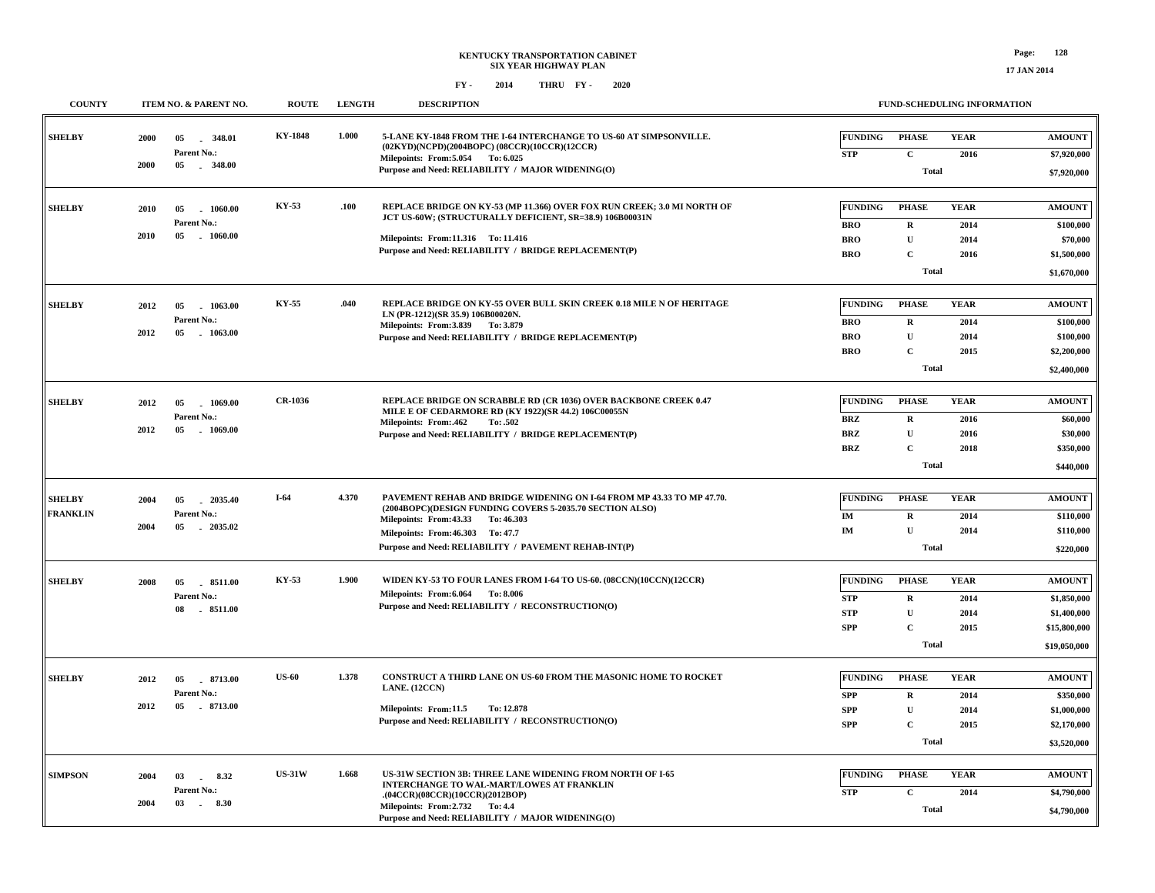| <b>COUNTY</b>   |      | ITEM NO. & PARENT NO.                | <b>ROUTE</b>   | <b>LENGTH</b> | <b>DESCRIPTION</b>                                                                                                                  |                              |                             | FUND-SCHEDULING INFORMATION |                                |
|-----------------|------|--------------------------------------|----------------|---------------|-------------------------------------------------------------------------------------------------------------------------------------|------------------------------|-----------------------------|-----------------------------|--------------------------------|
| <b>SHELBY</b>   | 2000 | 05<br>348.01<br>Parent No.:          | <b>KY-1848</b> | 1.000         | 5-LANE KY-1848 FROM THE I-64 INTERCHANGE TO US-60 AT SIMPSONVILLE.<br>$(02KYD)(NCPD)(2004BOPC) (08CCR)(10CCR)(12CCR)$               | FUNDING<br><b>STP</b>        | <b>PHASE</b><br>$\mathbf C$ | <b>YEAR</b><br>2016         | <b>AMOUNT</b><br>\$7,920,000   |
|                 | 2000 | 05 . 348.00                          |                |               | Milepoints: From: 5.054 To: 6.025<br>Purpose and Need: RELIABILITY / MAJOR WIDENING(O)                                              |                              | Total                       |                             | \$7,920,000                    |
| <b>SHELBY</b>   | 2010 | 05<br>1060.00<br>Parent No.:         | KY-53          | .100          | REPLACE BRIDGE ON KY-53 (MP 11.366) OVER FOX RUN CREEK; 3.0 MI NORTH OF<br>JCT US-60W; (STRUCTURALLY DEFICIENT, SR=38.9) 106B00031N | <b>FUNDING</b><br><b>BRO</b> | <b>PHASE</b><br>$\mathbf R$ | <b>YEAR</b><br>2014         | <b>AMOUNT</b><br>\$100,000     |
|                 | 2010 | 05<br>$-1060.00$                     |                |               | Milepoints: From:11.316 To: 11.416                                                                                                  | <b>BRO</b>                   | $\mathbf U$                 | 2014                        | \$70,000                       |
|                 |      |                                      |                |               | Purpose and Need: RELIABILITY / BRIDGE REPLACEMENT(P)                                                                               | <b>BRO</b>                   | $\mathbf C$                 | 2016                        | \$1,500,000                    |
|                 |      |                                      |                |               |                                                                                                                                     |                              | <b>Total</b>                |                             | \$1,670,000                    |
| <b>SHELBY</b>   | 2012 | 05 1063.00                           | KY-55          | .040          | REPLACE BRIDGE ON KY-55 OVER BULL SKIN CREEK 0.18 MILE N OF HERITAGE                                                                | <b>FUNDING</b>               | <b>PHASE</b>                | <b>YEAR</b>                 | $\boldsymbol{\mathrm{AMOUNT}}$ |
|                 |      | Parent No.:                          |                |               | LN (PR-1212)(SR 35.9) 106B00020N.                                                                                                   | <b>BRO</b>                   | $\mathbf R$                 | 2014                        | \$100,000                      |
|                 | 2012 | 05<br>$-1063.00$                     |                |               | Milepoints: From: 3.839 To: 3.879<br>Purpose and Need: RELIABILITY / BRIDGE REPLACEMENT(P)                                          | <b>BRO</b>                   | $\mathbf U$                 | 2014                        | \$100,000                      |
|                 |      |                                      |                |               |                                                                                                                                     | <b>BRO</b>                   | $\mathbf C$                 | 2015                        | \$2,200,000                    |
|                 |      |                                      |                |               |                                                                                                                                     |                              | <b>Total</b>                |                             | \$2,400,000                    |
| <b>SHELBY</b>   | 2012 | 05<br>1069.00                        | <b>CR-1036</b> |               | <b>REPLACE BRIDGE ON SCRABBLE RD (CR 1036) OVER BACKBONE CREEK 0.47</b>                                                             | <b>FUNDING</b>               | <b>PHASE</b>                | <b>YEAR</b>                 | <b>AMOUNT</b>                  |
|                 |      | Parent No.:                          |                |               | MILE E OF CEDARMORE RD (KY 1922)(SR 44.2) 106C00055N<br>Milepoints: From:.462<br>To: .502                                           | <b>BRZ</b>                   | $\mathbf R$                 | 2016                        | \$60,000                       |
|                 | 2012 | 05<br>$-1069.00$                     |                |               | Purpose and Need: RELIABILITY / BRIDGE REPLACEMENT(P)                                                                               | <b>BRZ</b>                   | $\mathbf U$                 | 2016                        | \$30,000                       |
|                 |      |                                      |                |               |                                                                                                                                     | <b>BRZ</b>                   | $\mathbf C$                 | 2018                        | \$350,000                      |
|                 |      |                                      |                |               |                                                                                                                                     |                              | <b>Total</b>                |                             | \$440,000                      |
| <b>SHELBY</b>   | 2004 | 05 2035.40                           | $I-64$         | 4.370         | PAVEMENT REHAB AND BRIDGE WIDENING ON I-64 FROM MP 43.33 TO MP 47.70.                                                               | <b>FUNDING</b>               | <b>PHASE</b>                | <b>YEAR</b>                 | <b>AMOUNT</b>                  |
| <b>FRANKLIN</b> |      | Parent No.:                          |                |               | (2004BOPC)(DESIGN FUNDING COVERS 5-2035.70 SECTION ALSO)                                                                            | IM                           | $\mathbf R$                 | 2014                        | \$110,000                      |
|                 | 2004 | 05<br>2035.02                        |                |               | Milepoints: From: 43.33 To: 46.303<br>Milepoints: From: 46.303 To: 47.7                                                             | IM                           | $\mathbf U$                 | 2014                        | \$110,000                      |
|                 |      |                                      |                |               | Purpose and Need: RELIABILITY / PAVEMENT REHAB-INT(P)                                                                               |                              | <b>Total</b>                |                             | \$220,000                      |
| <b>SHELBY</b>   | 2008 | 05<br>8511.00                        | KY-53          | 1.900         | WIDEN KY-53 TO FOUR LANES FROM I-64 TO US-60. (08CCN)(10CCN)(12CCR)                                                                 | <b>FUNDING</b>               | <b>PHASE</b>                | <b>YEAR</b>                 | <b>AMOUNT</b>                  |
|                 |      | Parent No.:                          |                |               | Milepoints: From: 6.064 To: 8.006                                                                                                   | <b>STP</b>                   | $\mathbf R$                 | 2014                        | \$1,850,000                    |
|                 |      | $-8511.00$<br>08                     |                |               | Purpose and Need: RELIABILITY / RECONSTRUCTION(O)                                                                                   | <b>STP</b>                   | $\mathbf U$                 | 2014                        | \$1,400,000                    |
|                 |      |                                      |                |               |                                                                                                                                     | <b>SPP</b>                   | $\mathbf C$                 | 2015                        | \$15,800,000                   |
|                 |      |                                      |                |               |                                                                                                                                     |                              | Total                       |                             | \$19,050,000                   |
| <b>SHELBY</b>   | 2012 |                                      | <b>US-60</b>   | 1.378         | CONSTRUCT A THIRD LANE ON US-60 FROM THE MASONIC HOME TO ROCKET                                                                     | <b>FUNDING</b>               | <b>PHASE</b>                | <b>YEAR</b>                 | <b>AMOUNT</b>                  |
|                 |      | 05 8713.00<br>Parent No.:            |                |               | LANE. (12CCN)                                                                                                                       | <b>SPP</b>                   | $\mathbf R$                 |                             | \$350,000                      |
|                 | 2012 | 05<br>$-8713.00$                     |                |               | Milepoints: From:11.5<br>To: 12.878                                                                                                 | <b>SPP</b>                   | $\mathbf U$                 | 2014<br>2014                | \$1,000,000                    |
|                 |      |                                      |                |               | Purpose and Need: RELIABILITY / RECONSTRUCTION(O)                                                                                   | <b>SPP</b>                   | $\mathbf C$                 | 2015                        | \$2,170,000                    |
|                 |      |                                      |                |               |                                                                                                                                     |                              | <b>Total</b>                |                             | \$3,520,000                    |
|                 |      |                                      | <b>US-31W</b>  | 1.668         | US-31W SECTION 3B: THREE LANE WIDENING FROM NORTH OF I-65                                                                           | <b>FUNDING</b>               | <b>PHASE</b>                | <b>YEAR</b>                 | <b>AMOUNT</b>                  |
| <b>SIMPSON</b>  | 2004 | $03$ $\qquad$<br>8.32<br>Parent No.: |                |               | <b>INTERCHANGE TO WAL-MART/LOWES AT FRANKLIN</b>                                                                                    |                              |                             |                             |                                |
|                 | 2004 | 03<br>8.30<br>$\sim$                 |                |               | . (04CCR)(08CCR)(10CCR)(2012BOP)<br>Milepoints: From: 2.732 To: 4.4<br>Purpose and Need: RELIABILITY / MAJOR WIDENING(O)            | <b>STP</b>                   | $\mathbf C$<br><b>Total</b> | 2014                        | \$4,790,000<br>\$4,790,000     |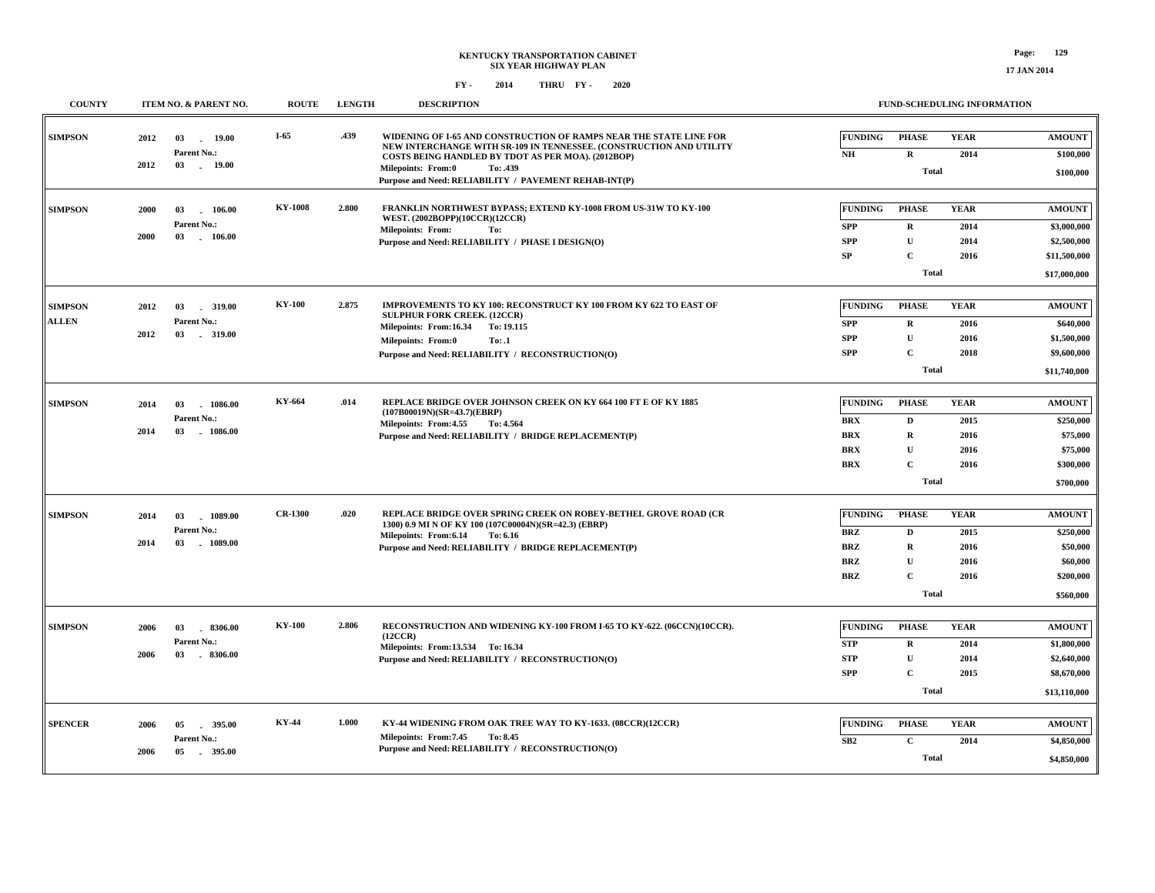#### **FY - FY - 2014 2020 THRU**

| <b>COUNTY</b>  |                       | ITEM NO. & PARENT NO.         | <b>ROUTE</b>   | <b>LENGTH</b>                                                                                | <b>DESCRIPTION</b>                                                                                                                                                                              |                          | <b>FUND-SCHEDULING INFORMATION</b> |                     |                             |
|----------------|-----------------------|-------------------------------|----------------|----------------------------------------------------------------------------------------------|-------------------------------------------------------------------------------------------------------------------------------------------------------------------------------------------------|--------------------------|------------------------------------|---------------------|-----------------------------|
| <b>SIMPSON</b> | 2012                  | 03<br>19.00<br>Parent No.:    | $I-65$         | .439                                                                                         | WIDENING OF I-65 AND CONSTRUCTION OF RAMPS NEAR THE STATE LINE FOR<br>NEW INTERCHANGE WITH SR-109 IN TENNESSEE. (CONSTRUCTION AND UTILITY<br>COSTS BEING HANDLED BY TDOT AS PER MOA). (2012BOP) | <b>FUNDING</b><br>$N\!H$ | <b>PHASE</b><br>$\mathbf R$        | <b>YEAR</b><br>2014 | <b>AMOUNT</b><br>\$100,000  |
|                | 2012                  | 03<br>. 19.00                 |                |                                                                                              | <b>Milepoints: From:0</b><br>To: .439<br>Purpose and Need: RELIABILITY / PAVEMENT REHAB-INT(P)                                                                                                  |                          | <b>Total</b>                       |                     | \$100,000                   |
| <b>SIMPSON</b> | 2000                  | 03<br>106.00                  | <b>KY-1008</b> | 2.800                                                                                        | FRANKLIN NORTHWEST BYPASS; EXTEND KY-1008 FROM US-31W TO KY-100<br>WEST. (2002BOPP)(10CCR)(12CCR)                                                                                               | <b>FUNDING</b>           | <b>PHASE</b>                       | <b>YEAR</b>         | <b>AMOUNT</b>               |
|                | 2000                  | Parent No.:<br>03<br>106.00   |                |                                                                                              | <b>Milepoints: From:</b><br>To:                                                                                                                                                                 | <b>SPP</b>               | $\mathbf R$                        | 2014                | \$3,000,000                 |
|                |                       |                               |                |                                                                                              | Purpose and Need: RELIABILITY / PHASE I DESIGN(O)                                                                                                                                               | <b>SPP</b><br>SP         | $\mathbf U$<br>$\mathbf{C}$        | 2014<br>2016        | \$2,500,000<br>\$11,500,000 |
|                |                       |                               |                |                                                                                              |                                                                                                                                                                                                 |                          | Total                              |                     |                             |
|                |                       |                               |                |                                                                                              |                                                                                                                                                                                                 |                          |                                    |                     | \$17,000,000                |
| <b>SIMPSON</b> | 2012                  | $-319.00$<br>03               | <b>KY-100</b>  | 2,875                                                                                        | IMPROVEMENTS TO KY 100: RECONSTRUCT KY 100 FROM KY 622 TO EAST OF<br><b>SULPHUR FORK CREEK. (12CCR)</b>                                                                                         | <b>FUNDING</b>           | <b>PHASE</b>                       | <b>YEAR</b>         | <b>AMOUNT</b>               |
| <b>ALLEN</b>   | 2012                  | Parent No.:<br>03             |                |                                                                                              | Milepoints: From:16.34<br>To: 19.115                                                                                                                                                            | <b>SPP</b>               | $\mathbf R$                        | 2016                | \$640,000                   |
|                |                       | $-319.00$                     |                |                                                                                              | Milepoints: From:0<br>To: .1                                                                                                                                                                    | <b>SPP</b>               | $\mathbf U$                        | 2016                | \$1,500,000                 |
|                |                       |                               |                |                                                                                              | Purpose and Need: RELIABILITY / RECONSTRUCTION(O)                                                                                                                                               | <b>SPP</b>               | $\mathbf C$                        | 2018                | \$9,600,000                 |
|                |                       |                               |                |                                                                                              |                                                                                                                                                                                                 |                          | <b>Total</b>                       |                     | \$11,740,000                |
| <b>SIMPSON</b> | 2014                  | 03<br>$-1086.00$              | KY-664         | .014                                                                                         | REPLACE BRIDGE OVER JOHNSON CREEK ON KY 664 100 FT E OF KY 1885                                                                                                                                 | <b>FUNDING</b>           | <b>PHASE</b>                       | <b>YEAR</b>         | <b>AMOUNT</b>               |
|                |                       | Parent No.:                   |                |                                                                                              | (107B00019N)(SR=43.7)(EBRP)                                                                                                                                                                     | <b>BRX</b>               | D                                  | 2015                | \$250,000                   |
|                | 2014<br>03<br>1086.00 |                               |                | Milepoints: From: 4.55<br>To: 4.564<br>Purpose and Need: RELIABILITY / BRIDGE REPLACEMENT(P) | <b>BRX</b>                                                                                                                                                                                      | R                        | 2016                               | \$75,000            |                             |
|                |                       |                               |                |                                                                                              |                                                                                                                                                                                                 | <b>BRX</b>               | $\mathbf{U}$                       | 2016                | \$75,000                    |
|                |                       |                               |                |                                                                                              |                                                                                                                                                                                                 | <b>BRX</b>               | $\mathbf{C}$                       | 2016                | \$300,000                   |
|                |                       |                               |                |                                                                                              |                                                                                                                                                                                                 |                          | <b>Total</b>                       |                     | \$700,000                   |
|                |                       |                               |                |                                                                                              |                                                                                                                                                                                                 |                          |                                    |                     |                             |
| <b>SIMPSON</b> | 2014                  | 03<br>1089.00                 | <b>CR-1300</b> | .020                                                                                         | REPLACE BRIDGE OVER SPRING CREEK ON ROBEY-BETHEL GROVE ROAD (CR<br>1300) 0.9 MI N OF KY 100 (107C00004N)(SR=42.3) (EBRP)                                                                        | <b>FUNDING</b>           | <b>PHASE</b>                       | <b>YEAR</b>         | <b>AMOUNT</b>               |
|                |                       | Parent No.:                   |                |                                                                                              | Milepoints: From:6.14<br>To: 6.16                                                                                                                                                               | <b>BRZ</b>               | D                                  | 2015                | \$250,000                   |
|                | 2014                  | 03<br>$-1089.00$              |                |                                                                                              | Purpose and Need: RELIABILITY / BRIDGE REPLACEMENT(P)                                                                                                                                           | <b>BRZ</b>               | R                                  | 2016                | \$50,000                    |
|                |                       |                               |                |                                                                                              |                                                                                                                                                                                                 | <b>BRZ</b>               | U                                  | 2016                | \$60,000                    |
|                |                       |                               |                |                                                                                              |                                                                                                                                                                                                 | <b>BRZ</b>               | $\mathbf{C}$                       | 2016                | \$200,000                   |
|                |                       |                               |                |                                                                                              |                                                                                                                                                                                                 |                          | <b>Total</b>                       |                     | \$560,000                   |
| <b>SIMPSON</b> | 2006                  | 03<br>8306.00                 | <b>KY-100</b>  | 2.806                                                                                        | RECONSTRUCTION AND WIDENING KY-100 FROM I-65 TO KY-622. (06CCN)(10CCR).                                                                                                                         | <b>FUNDING</b>           | <b>PHASE</b>                       | <b>YEAR</b>         | <b>AMOUNT</b>               |
|                |                       | Parent No.:                   |                |                                                                                              | (12CCR)<br>Milepoints: From:13.534 To:16.34                                                                                                                                                     | <b>STP</b>               | $\bf R$                            | 2014                | \$1,800,000                 |
|                | 2006                  | 03<br>8306.00                 |                |                                                                                              | Purpose and Need: RELIABILITY / RECONSTRUCTION(O)                                                                                                                                               | <b>STP</b>               | $\mathbf{U}$                       | 2014                | \$2,640,000                 |
|                |                       |                               |                |                                                                                              |                                                                                                                                                                                                 | <b>SPP</b>               | $\mathbf{C}$                       | 2015                | \$8,670,000                 |
|                |                       |                               |                |                                                                                              |                                                                                                                                                                                                 |                          | <b>Total</b>                       |                     | \$13,110,000                |
|                |                       |                               |                |                                                                                              |                                                                                                                                                                                                 |                          |                                    |                     |                             |
| <b>SPENCER</b> | 2006                  | 05<br>395.00                  | <b>KY-44</b>   | 1.000                                                                                        | KY-44 WIDENING FROM OAK TREE WAY TO KY-1633. (08CCR)(12CCR)<br>Milepoints: From: 7.45<br>To: 8.45                                                                                               | <b>FUNDING</b>           | <b>PHASE</b>                       | <b>YEAR</b>         | <b>AMOUNT</b>               |
|                | 2006                  | Parent No.:<br>05<br>. 395.00 |                |                                                                                              | Purpose and Need: RELIABILITY / RECONSTRUCTION(O)                                                                                                                                               | SB2                      | $\mathbf{C}$                       | 2014                | \$4,850,000                 |
|                |                       |                               |                |                                                                                              |                                                                                                                                                                                                 |                          | <b>Total</b>                       |                     | \$4,850,000                 |

**17 JAN 2014**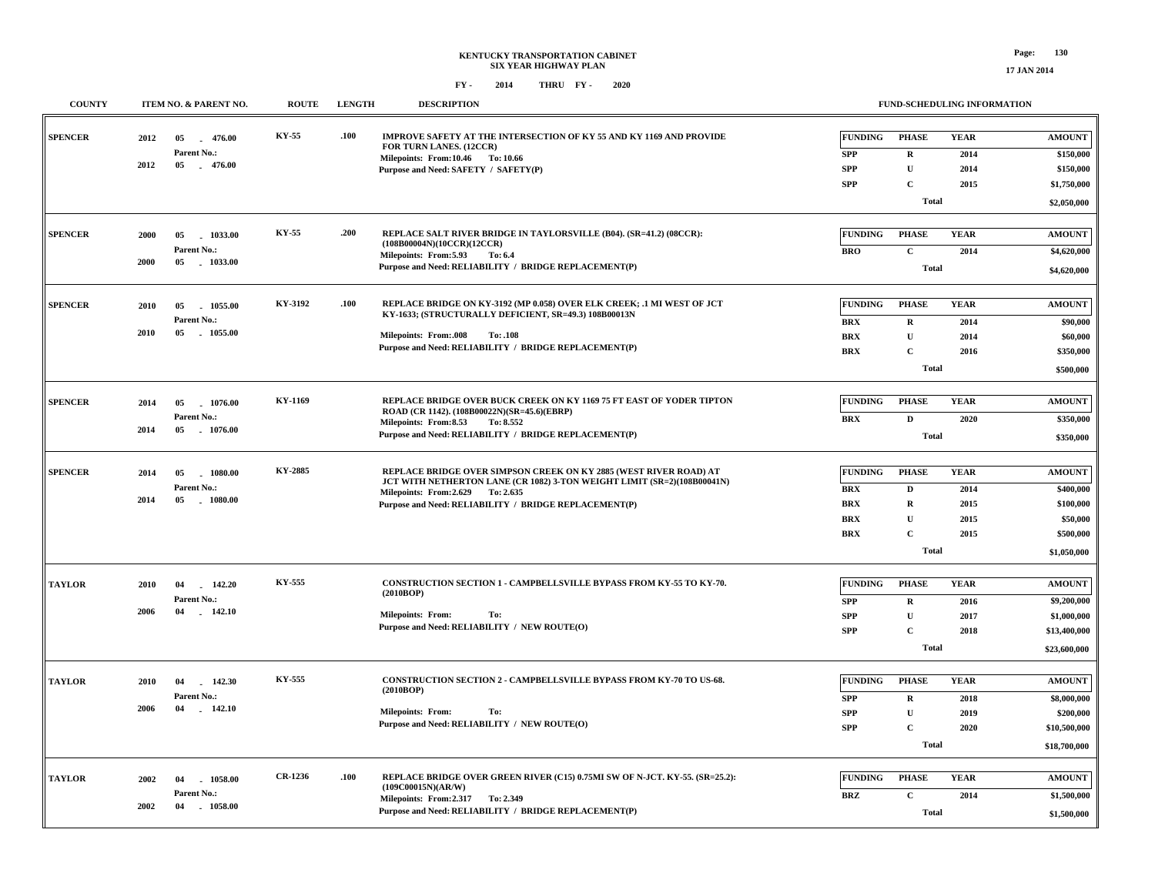| <b>COUNTY</b>  |               | ITEM NO. & PARENT NO.           | <b>ROUTE</b> | <b>LENGTH</b>                                         | <b>DESCRIPTION</b>                                                                                                              |                | FUND-SCHEDULING INFORMATION |             |                            |  |
|----------------|---------------|---------------------------------|--------------|-------------------------------------------------------|---------------------------------------------------------------------------------------------------------------------------------|----------------|-----------------------------|-------------|----------------------------|--|
| <b>SPENCER</b> | 2012          | 05<br>476.00                    | KY-55        | .100                                                  | <b>IMPROVE SAFETY AT THE INTERSECTION OF KY 55 AND KY 1169 AND PROVIDE</b><br>FOR TURN LANES. (12CCR)                           | <b>FUNDING</b> | <b>PHASE</b>                | <b>YEAR</b> | <b>AMOUNT</b>              |  |
|                |               | Parent No.:                     |              |                                                       | Milepoints: From:10.46 To: 10.66                                                                                                | <b>SPP</b>     | R                           | 2014        | \$150,000                  |  |
|                | 2012          | 05<br>$-476.00$                 |              |                                                       | Purpose and Need: SAFETY / SAFETY(P)                                                                                            | <b>SPP</b>     | $\mathbf U$                 | 2014        | \$150,000                  |  |
|                |               |                                 |              |                                                       |                                                                                                                                 | <b>SPP</b>     | $\mathbf{C}$                | 2015        | \$1,750,000                |  |
|                |               |                                 |              |                                                       |                                                                                                                                 |                | Total                       |             | \$2,050,000                |  |
| <b>SPENCER</b> | 2000          | 05<br>1033.00                   | KY-55        | .200                                                  | REPLACE SALT RIVER BRIDGE IN TAYLORSVILLE (B04). (SR=41.2) (08CCR):<br>(108B00004N)(10CCR)(12CCR)                               | <b>FUNDING</b> | <b>PHASE</b>                | <b>YEAR</b> | <b>AMOUNT</b>              |  |
|                |               | Parent No.:                     |              |                                                       | Milepoints: From:5.93<br>To: 6.4                                                                                                | <b>BRO</b>     | $\mathbf{C}$                | 2014        | \$4,620,000                |  |
|                | 2000          | $-1033.00$<br>05                |              |                                                       | Purpose and Need: RELIABILITY / BRIDGE REPLACEMENT(P)                                                                           |                | <b>Total</b>                |             | \$4,620,000                |  |
|                |               |                                 |              |                                                       |                                                                                                                                 |                |                             |             |                            |  |
| <b>SPENCER</b> | 2010          | 05<br>1055.00                   | KY-3192      | .100                                                  | REPLACE BRIDGE ON KY-3192 (MP 0.058) OVER ELK CREEK; .1 MI WEST OF JCT<br>KY-1633; (STRUCTURALLY DEFICIENT, SR=49.3) 108B00013N | <b>FUNDING</b> | <b>PHASE</b>                | <b>YEAR</b> | <b>AMOUNT</b>              |  |
|                | 2010          | Parent No.:<br>05<br>$-1055.00$ |              |                                                       |                                                                                                                                 | <b>BRX</b>     | $\mathbf R$                 | 2014        | \$90,000                   |  |
|                |               |                                 |              |                                                       | <b>Milepoints: From:.008</b><br>To: .108<br>Purpose and Need: RELIABILITY / BRIDGE REPLACEMENT(P)                               | <b>BRX</b>     | $\mathbf{U}$                | 2014        | \$60,000                   |  |
|                |               |                                 |              |                                                       |                                                                                                                                 | <b>BRX</b>     | $\mathbf C$                 | 2016        | \$350,000                  |  |
|                |               |                                 |              |                                                       |                                                                                                                                 |                | Total                       |             | \$500,000                  |  |
| <b>SPENCER</b> | 2014          | 05<br>1076.00                   | KY-1169      |                                                       | REPLACE BRIDGE OVER BUCK CREEK ON KY 1169 75 FT EAST OF YODER TIPTON                                                            | <b>FUNDING</b> | <b>PHASE</b>                | <b>YEAR</b> | <b>AMOUNT</b>              |  |
|                |               | Parent No.:                     |              |                                                       | ROAD (CR 1142). (108B00022N)(SR=45.6)(EBRP)<br>Milepoints: From:8.53<br>To: 8.552                                               | <b>BRX</b>     | D                           | 2020        | \$350,000                  |  |
| 2014           | 05<br>1076.00 |                                 |              | Purpose and Need: RELIABILITY / BRIDGE REPLACEMENT(P) |                                                                                                                                 | <b>Total</b>   |                             | \$350,000   |                            |  |
|                |               |                                 |              |                                                       |                                                                                                                                 |                |                             |             |                            |  |
| <b>SPENCER</b> | 2014          | 05<br>1080.00                   | KY-2885      |                                                       | REPLACE BRIDGE OVER SIMPSON CREEK ON KY 2885 (WEST RIVER ROAD) AT                                                               | <b>FUNDING</b> | <b>PHASE</b>                | <b>YEAR</b> | <b>AMOUNT</b>              |  |
|                |               | Parent No.:                     |              |                                                       | JCT WITH NETHERTON LANE (CR 1082) 3-TON WEIGHT LIMIT (SR=2)(108B00041N)<br>Milepoints: From: 2.629 To: 2.635                    | <b>BRX</b>     | D                           | 2014        | \$400,000                  |  |
|                | 2014          | 05<br>$-1080.00$                |              |                                                       | Purpose and Need: RELIABILITY / BRIDGE REPLACEMENT(P)                                                                           | <b>BRX</b>     | R                           | 2015        | \$100,000                  |  |
|                |               |                                 |              |                                                       |                                                                                                                                 | <b>BRX</b>     | $\mathbf U$                 | 2015        | \$50,000                   |  |
|                |               |                                 |              |                                                       |                                                                                                                                 | <b>BRX</b>     | $\mathbf C$                 | 2015        | \$500,000                  |  |
|                |               |                                 |              |                                                       |                                                                                                                                 |                | Total                       |             | \$1,050,000                |  |
|                |               |                                 | KY-555       |                                                       | <b>CONSTRUCTION SECTION 1 - CAMPBELLSVILLE BYPASS FROM KY-55 TO KY-70.</b>                                                      | <b>FUNDING</b> | <b>PHASE</b>                | <b>YEAR</b> | <b>AMOUNT</b>              |  |
| <b>TAYLOR</b>  | 2010          | 04<br>142.20<br>Parent No.:     |              |                                                       | (2010BOP)                                                                                                                       | <b>SPP</b>     |                             | 2016        |                            |  |
|                | 2006          | 04<br>142.10                    |              |                                                       | <b>Milepoints: From:</b><br>To:                                                                                                 | <b>SPP</b>     | $\mathbf R$<br>$\mathbf U$  | 2017        | \$9,200,000<br>\$1,000,000 |  |
|                |               |                                 |              |                                                       | Purpose and Need: RELIABILITY / NEW ROUTE(O)                                                                                    | <b>SPP</b>     | $\mathbf C$                 | 2018        | \$13,400,000               |  |
|                |               |                                 |              |                                                       |                                                                                                                                 |                | Total                       |             | \$23,600,000               |  |
|                |               |                                 |              |                                                       |                                                                                                                                 |                |                             |             |                            |  |
| <b>TAYLOR</b>  | 2010          | 04<br>142.30                    | KY-555       |                                                       | CONSTRUCTION SECTION 2 - CAMPBELLSVILLE BYPASS FROM KY-70 TO US-68.<br>(2010BOP)                                                | <b>FUNDING</b> | <b>PHASE</b>                | <b>YEAR</b> | <b>AMOUNT</b>              |  |
|                | 2006          | Parent No.:<br>04               |              |                                                       |                                                                                                                                 | <b>SPP</b>     | $\mathbf R$                 | 2018        | \$8,000,000                |  |
|                |               | 142.10                          |              |                                                       | <b>Milepoints: From:</b><br>To:                                                                                                 | <b>SPP</b>     | $\mathbf U$                 | 2019        | \$200,000                  |  |
|                |               |                                 |              |                                                       | Purpose and Need: RELIABILITY / NEW ROUTE(O)                                                                                    | <b>SPP</b>     | $\mathbf C$                 | 2020        | \$10,500,000               |  |
|                |               |                                 |              |                                                       |                                                                                                                                 |                | Total                       |             | \$18,700,000               |  |
| <b>TAYLOR</b>  | 2002          | 04<br>1058.00                   | CR-1236      | .100                                                  | REPLACE BRIDGE OVER GREEN RIVER (C15) 0.75MI SW OF N-JCT. KY-55. (SR=25.2):                                                     | <b>FUNDING</b> | <b>PHASE</b>                | <b>YEAR</b> | <b>AMOUNT</b>              |  |
|                |               | Parent No.:                     |              |                                                       | (109C00015N)(AR/W)                                                                                                              | <b>BRZ</b>     | $\mathbf C$                 | 2014        | \$1,500,000                |  |
|                | 2002          | $-1058.00$<br>04                |              |                                                       | Milepoints: From: 2.317 To: 2.349<br>Purpose and Need: RELIABILITY / BRIDGE REPLACEMENT(P)                                      |                |                             |             |                            |  |
|                |               |                                 |              |                                                       |                                                                                                                                 |                | Total                       |             | \$1,500,000                |  |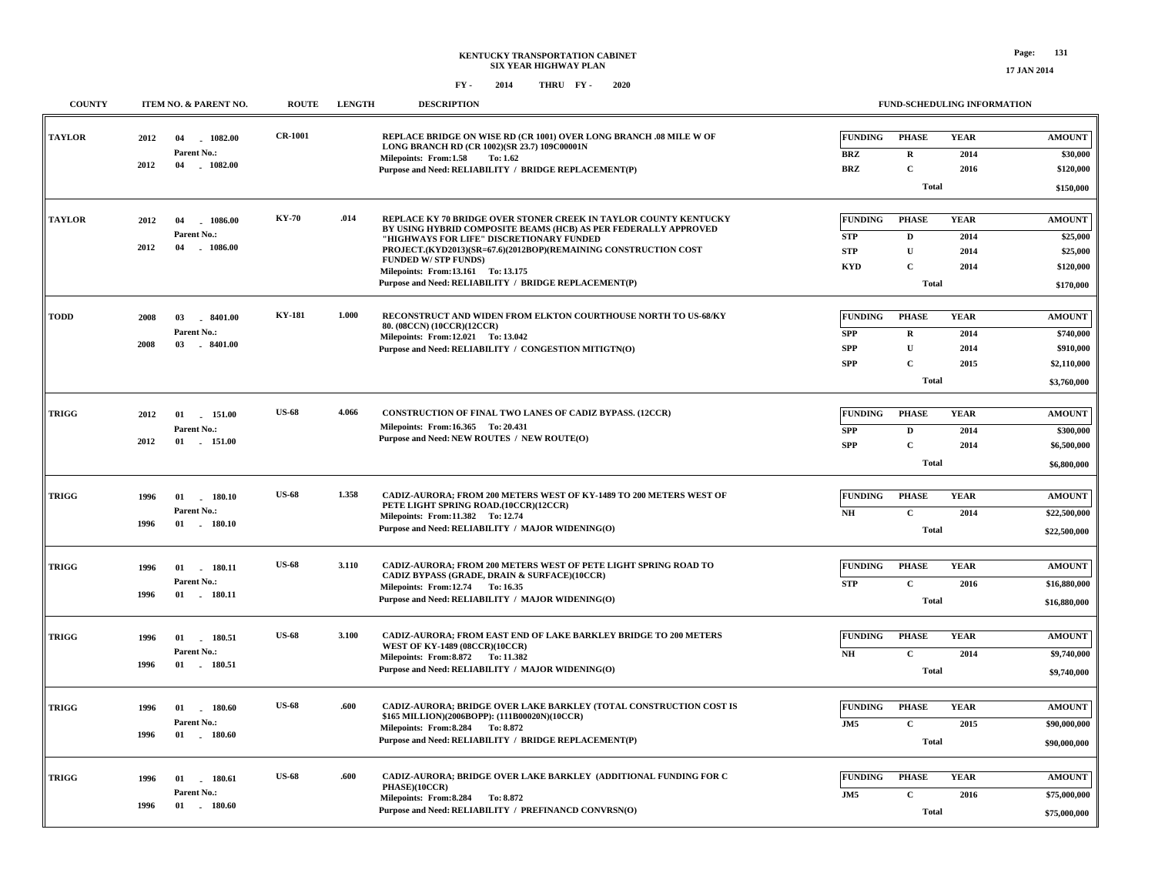| <b>COUNTY</b> | <b>ITEM NO. &amp; PARENT NO.</b>                                    | <b>ROUTE</b>   | <b>LENGTH</b> | <b>DESCRIPTION</b>                                                                                                                                                                                                                                                                                                                                                              | <b>FUND-SCHEDULING INFORMATION</b>                       |                                                                          |                                     |                                                                       |  |
|---------------|---------------------------------------------------------------------|----------------|---------------|---------------------------------------------------------------------------------------------------------------------------------------------------------------------------------------------------------------------------------------------------------------------------------------------------------------------------------------------------------------------------------|----------------------------------------------------------|--------------------------------------------------------------------------|-------------------------------------|-----------------------------------------------------------------------|--|
| <b>TAYLOR</b> | 1082.00<br>2012<br>04<br>Parent No.:<br>2012<br>$-1082.00$<br>04    | <b>CR-1001</b> |               | REPLACE BRIDGE ON WISE RD (CR 1001) OVER LONG BRANCH .08 MILE W OF<br>LONG BRANCH RD (CR 1002)(SR 23.7) 109C00001N<br>Milepoints: From:1.58<br>To: 1.62<br>Purpose and Need: RELIABILITY / BRIDGE REPLACEMENT(P)                                                                                                                                                                | <b>FUNDING</b><br><b>BRZ</b><br><b>BRZ</b>               | <b>PHASE</b><br>$\mathbf R$<br>$\mathbf C$<br><b>Total</b>               | <b>YEAR</b><br>2014<br>2016         | <b>AMOUNT</b><br>\$30,000<br>\$120,000<br>\$150,000                   |  |
| <b>TAYLOR</b> | 2012<br>1086.00<br>04<br>Parent No.:<br>2012<br>04<br>1086.00       | <b>KY-70</b>   | .014          | REPLACE KY 70 BRIDGE OVER STONER CREEK IN TAYLOR COUNTY KENTUCKY<br>BY USING HYBRID COMPOSITE BEAMS (HCB) AS PER FEDERALLY APPROVED<br>"HIGHWAYS FOR LIFE" DISCRETIONARY FUNDED<br>PROJECT.(KYD2013)(SR=67.6)(2012BOP)(REMAINING CONSTRUCTION COST<br><b>FUNDED W/STP FUNDS)</b><br>Milepoints: From:13.161 To: 13.175<br>Purpose and Need: RELIABILITY / BRIDGE REPLACEMENT(P) | <b>FUNDING</b><br><b>STP</b><br><b>STP</b><br><b>KYD</b> | <b>PHASE</b><br>D<br>${\bf U}$<br>$\mathbf{C}$<br><b>Total</b>           | <b>YEAR</b><br>2014<br>2014<br>2014 | <b>AMOUNT</b><br>\$25,000<br>\$25,000<br>\$120,000<br>\$170,000       |  |
| <b>TODD</b>   | 2008<br>03<br>$-8401.00$<br>Parent No.:<br>2008<br>03<br>$-8401.00$ | <b>KY-181</b>  | 1.000         | RECONSTRUCT AND WIDEN FROM ELKTON COURTHOUSE NORTH TO US-68/KY<br>80. (08CCN) (10CCR)(12CCR)<br>Milepoints: From:12.021 To:13.042<br>Purpose and Need: RELIABILITY / CONGESTION MITIGTN(O)                                                                                                                                                                                      | <b>FUNDING</b><br><b>SPP</b><br><b>SPP</b><br><b>SPP</b> | <b>PHASE</b><br>$\mathbf R$<br>${\bf U}$<br>$\mathbf{C}$<br><b>Total</b> | <b>YEAR</b><br>2014<br>2014<br>2015 | <b>AMOUNT</b><br>\$740,000<br>\$910,000<br>\$2,110,000<br>\$3,760,000 |  |
| <b>TRIGG</b>  | 2012<br>01<br>151.00<br>Parent No.:<br>2012<br>01 151.00            | <b>US-68</b>   | 4.066         | CONSTRUCTION OF FINAL TWO LANES OF CADIZ BYPASS. (12CCR)<br>Milepoints: From:16.365 To: 20.431<br>Purpose and Need: NEW ROUTES / NEW ROUTE(O)                                                                                                                                                                                                                                   | <b>FUNDING</b><br><b>SPP</b><br><b>SPP</b>               | <b>PHASE</b><br>$\mathbf D$<br>$\mathbf C$<br><b>Total</b>               | <b>YEAR</b><br>2014<br>2014         | <b>AMOUNT</b><br>\$300,000<br>\$6,500,000<br>\$6,800,000              |  |
| <b>TRIGG</b>  | 1996<br>01<br>180.10<br>Parent No.:<br>1996<br>01<br>180.10         | <b>US-68</b>   | 1.358         | CADIZ-AURORA; FROM 200 METERS WEST OF KY-1489 TO 200 METERS WEST OF<br>PETE LIGHT SPRING ROAD.(10CCR)(12CCR)<br>Milepoints: From:11.382 To: 12.74<br>Purpose and Need: RELIABILITY / MAJOR WIDENING(O)                                                                                                                                                                          | <b>FUNDING</b><br>N <sub>H</sub>                         | <b>PHASE</b><br>$\mathbf C$<br><b>Total</b>                              | <b>YEAR</b><br>2014                 | $\boldsymbol{\mathrm{AMOUNT}}$<br>\$22,500,000<br>\$22,500,000        |  |
| <b>TRIGG</b>  | 1996<br>01<br>180.11<br>Parent No.:<br>1996<br>$01$ . 180.11        | <b>US-68</b>   | 3.110         | CADIZ-AURORA; FROM 200 METERS WEST OF PETE LIGHT SPRING ROAD TO<br>CADIZ BYPASS (GRADE, DRAIN & SURFACE)(10CCR)<br>Milepoints: From:12.74 To:16.35<br>Purpose and Need: RELIABILITY / MAJOR WIDENING(O)                                                                                                                                                                         | <b>FUNDING</b><br><b>STP</b>                             | <b>PHASE</b><br>$\mathbf{C}$<br><b>Total</b>                             | <b>YEAR</b><br>2016                 | <b>AMOUNT</b><br>\$16,880,000<br>\$16,880,000                         |  |
| <b>TRIGG</b>  | 1996<br>01 180.51<br>Parent No.:<br>1996<br>01 180.51               | <b>US-68</b>   | 3.100         | <b>CADIZ-AURORA: FROM EAST END OF LAKE BARKLEY BRIDGE TO 200 METERS</b><br><b>WEST OF KY-1489 (08CCR)(10CCR)</b><br>Milepoints: From: 8.872 To: 11.382<br>Purpose and Need: RELIABILITY / MAJOR WIDENING(O)                                                                                                                                                                     | <b>FUNDING</b><br>$\mathbf{N}\mathbf{H}$                 | <b>PHASE</b><br>$\mathbf C$<br><b>Total</b>                              | <b>YEAR</b><br>2014                 | <b>AMOUNT</b><br>\$9,740,000<br>\$9,740,000                           |  |
| <b>TRIGG</b>  | 1996<br>01<br>180.60<br>Parent No.:<br>1996<br>$01$ 180.60          | <b>US-68</b>   | .600          | CADIZ-AURORA; BRIDGE OVER LAKE BARKLEY (TOTAL CONSTRUCTION COST IS<br>\$165 MILLION)(2006BOPP): (111B00020N)(10CCR)<br>Milepoints: From: 8.284 To: 8.872<br>Purpose and Need: RELIABILITY / BRIDGE REPLACEMENT(P)                                                                                                                                                               | <b>FUNDING</b><br>J <sub>M5</sub>                        | <b>PHASE</b><br>$\mathbf{C}$<br><b>Total</b>                             | <b>YEAR</b><br>2015                 | <b>AMOUNT</b><br>\$90,000,000<br>\$90,000,000                         |  |
| <b>TRIGG</b>  | 1996<br>$01$ 180.61<br>Parent No.:<br>1996<br>01<br>$-180.60$       | <b>US-68</b>   | .600          | CADIZ-AURORA; BRIDGE OVER LAKE BARKLEY (ADDITIONAL FUNDING FOR C<br>PHASE)(10CCR)<br>Milepoints: From: 8.284 To: 8.872<br>Purpose and Need: RELIABILITY / PREFINANCD CONVRSN(O)                                                                                                                                                                                                 | <b>FUNDING</b><br>JM5                                    | <b>PHASE</b><br>$\mathbf C$<br><b>Total</b>                              | <b>YEAR</b><br>2016                 | <b>AMOUNT</b><br>\$75,000,000<br>\$75,000,000                         |  |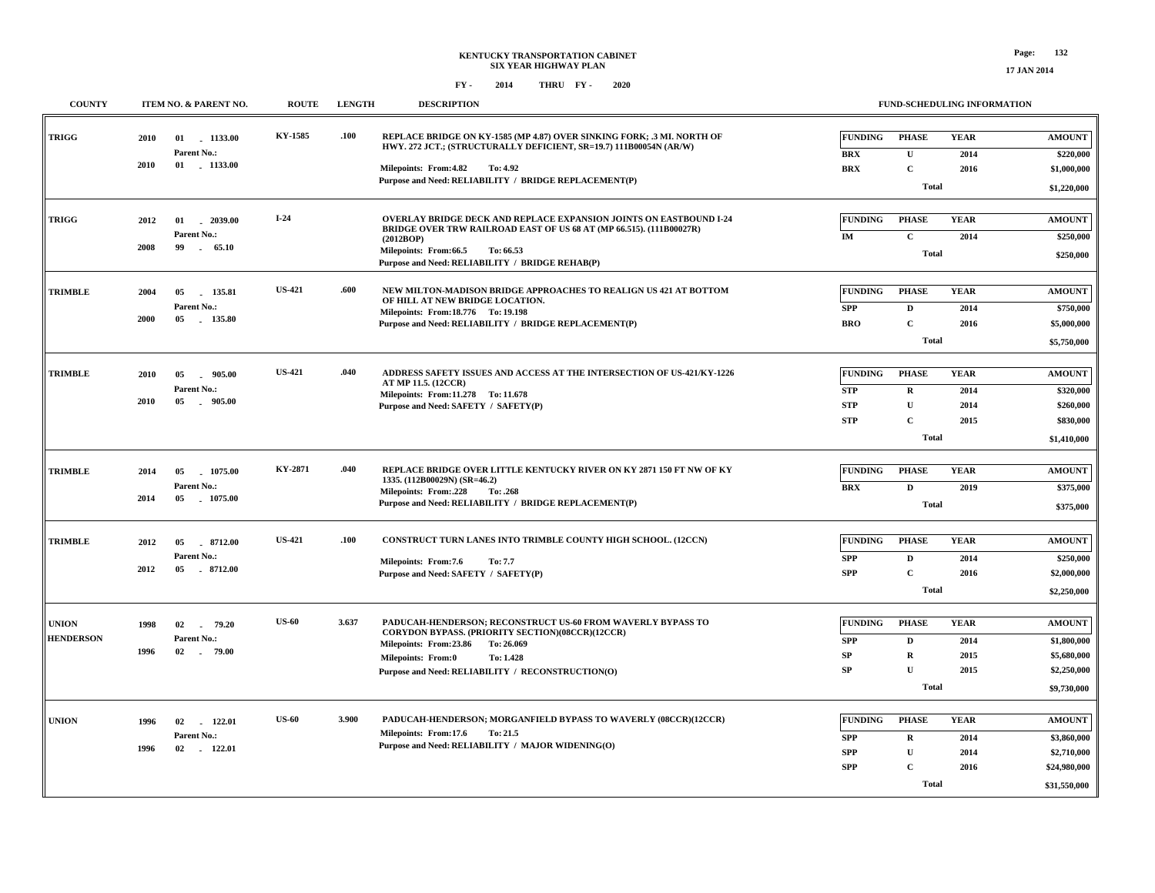| <b>COUNTY</b>                    | ITEM NO. & PARENT NO.                            | <b>ROUTE</b>                         | <b>LENGTH</b> | <b>DESCRIPTION</b>                                                                                                                                                                                                                              |                                                           | FUND-SCHEDULING INFORMATION                                                 |                                     |                                                                             |
|----------------------------------|--------------------------------------------------|--------------------------------------|---------------|-------------------------------------------------------------------------------------------------------------------------------------------------------------------------------------------------------------------------------------------------|-----------------------------------------------------------|-----------------------------------------------------------------------------|-------------------------------------|-----------------------------------------------------------------------------|
| <b>TRIGG</b>                     | 2010<br>01 1133.00<br>Parent No.:                | KY-1585                              | .100          | REPLACE BRIDGE ON KY-1585 (MP 4.87) OVER SINKING FORK; .3 MI. NORTH OF<br>HWY. 272 JCT.; (STRUCTURALLY DEFICIENT, SR=19.7) 111B00054N (AR/W)                                                                                                    | <b>FUNDING</b>                                            | <b>PHASE</b>                                                                | <b>YEAR</b>                         | <b>AMOUNT</b>                                                               |
|                                  | 2010<br>01 . 1133.00                             |                                      |               | Milepoints: From: 4.82<br>To: 4.92<br>Purpose and Need: RELIABILITY / BRIDGE REPLACEMENT(P)                                                                                                                                                     | <b>BRX</b><br><b>BRX</b>                                  | $\mathbf U$<br>$\mathbf C$<br><b>Total</b>                                  | 2014<br>2016                        | \$220,000<br>\$1,000,000<br>\$1,220,000                                     |
| TRIGG                            | 2012<br>01<br>Parent No.:<br>2008<br>99          | $I-24$<br>$-2039.00$<br>65.10        |               | OVERLAY BRIDGE DECK AND REPLACE EXPANSION JOINTS ON EASTBOUND I-24<br>BRIDGE OVER TRW RAILROAD EAST OF US 68 AT (MP 66.515). (111B00027R)<br>(2012BOP)<br>Milepoints: From:66.5<br>To: 66.53<br>Purpose and Need: RELIABILITY / BRIDGE REHAB(P) | FUNDING<br>IM                                             | <b>PHASE</b><br>$\mathbf C$<br><b>Total</b>                                 | <b>YEAR</b><br>2014                 | <b>AMOUNT</b><br>\$250,000<br>\$250,000                                     |
| <b>TRIMBLE</b>                   | 2004<br>05<br>Parent No.:<br>2000<br>05          | <b>US-421</b><br>135.81<br>135.80    | .600          | NEW MILTON-MADISON BRIDGE APPROACHES TO REALIGN US 421 AT BOTTOM<br>OF HILL AT NEW BRIDGE LOCATION.<br>Milepoints: From:18.776 To: 19.198<br>Purpose and Need: RELIABILITY / BRIDGE REPLACEMENT(P)                                              | <b>FUNDING</b><br><b>SPP</b><br><b>BRO</b>                | <b>PHASE</b><br>$\mathbf{D}$<br>$\mathbf C$<br><b>Total</b>                 | <b>YEAR</b><br>2014<br>2016         | <b>AMOUNT</b><br>\$750,000<br>\$5,000,000<br>\$5,750,000                    |
| <b>TRIMBLE</b>                   | 2010<br>05<br>Parent No.:<br>2010<br>05          | <b>US-421</b><br>905.00<br>$-905.00$ | .040          | ADDRESS SAFETY ISSUES AND ACCESS AT THE INTERSECTION OF US-421/KY-1226<br>AT MP 11.5. (12CCR)<br>Milepoints: From:11.278 To: 11.678<br>Purpose and Need: SAFETY / SAFETY(P)                                                                     | <b>FUNDING</b><br><b>STP</b><br><b>STP</b><br><b>STP</b>  | <b>PHASE</b><br>$\mathbf R$<br>$\mathbf U$<br>$\mathbf C$<br><b>Total</b>   | <b>YEAR</b><br>2014<br>2014<br>2015 | <b>AMOUNT</b><br>\$320,000<br>\$260,000<br>\$830,000<br>\$1,410,000         |
| <b>TRIMBLE</b>                   | 2014<br>05<br>Parent No.:<br>2014<br>05 1075.00  | KY-2871<br>1075.00                   | .040          | REPLACE BRIDGE OVER LITTLE KENTUCKY RIVER ON KY 2871 150 FT NW OF KY<br>1335. (112B00029N) (SR=46.2)<br>Milepoints: From:.228<br>To: .268<br>Purpose and Need: RELIABILITY / BRIDGE REPLACEMENT(P)                                              | <b>FUNDING</b><br><b>BRX</b>                              | <b>PHASE</b><br>$\mathbf{D}$<br><b>Total</b>                                | <b>YEAR</b><br>2019                 | <b>AMOUNT</b><br>\$375,000<br>\$375,000                                     |
| <b>TRIMBLE</b>                   | 2012<br>05<br>Parent No.:<br>2012<br>05 8712.00  | <b>US-421</b><br>8712.00             | .100          | CONSTRUCT TURN LANES INTO TRIMBLE COUNTY HIGH SCHOOL. (12CCN)<br>Milepoints: From:7.6<br>To: 7.7<br>Purpose and Need: SAFETY / SAFETY(P)                                                                                                        | FUNDING<br><b>SPP</b><br><b>SPP</b>                       | <b>PHASE</b><br>$\mathbf D$<br>$\mathbf{C}$<br><b>Total</b>                 | <b>YEAR</b><br>2014<br>2016         | <b>AMOUNT</b><br>\$250,000<br>\$2,000,000<br>\$2,250,000                    |
| <b>UNION</b><br><b>HENDERSON</b> | 1998<br>02<br>79.20<br>Parent No.:<br>1996<br>02 | <b>US-60</b><br>- 79.00              | 3.637         | PADUCAH-HENDERSON; RECONSTRUCT US-60 FROM WAVERLY BYPASS TO<br>CORYDON BYPASS. (PRIORITY SECTION)(08CCR)(12CCR)<br>Milepoints: From:23.86<br>To: 26.069<br>Milepoints: From:0<br>To: 1.428<br>Purpose and Need: RELIABILITY / RECONSTRUCTION(O) | <b>FUNDING</b><br><b>SPP</b><br><b>SP</b><br><b>SP</b>    | <b>PHASE</b><br>$\mathbf{D}$<br>$\mathbf R$<br>$\mathbf{U}$<br><b>Total</b> | <b>YEAR</b><br>2014<br>2015<br>2015 | <b>AMOUNT</b><br>\$1,800,000<br>\$5,680,000<br>\$2,250,000<br>\$9,730,000   |
| <b>UNION</b>                     | 1996<br>02<br>Parent No.:<br>1996<br>02          | <b>US-60</b><br>122.01<br>122.01     | 3.900         | PADUCAH-HENDERSON; MORGANFIELD BYPASS TO WAVERLY (08CCR)(12CCR)<br>Milepoints: From:17.6<br>To: 21.5<br>Purpose and Need: RELIABILITY / MAJOR WIDENING(O)                                                                                       | <b>FUNDING</b><br><b>SPP</b><br><b>SPP</b><br>${\bf SPP}$ | <b>PHASE</b><br>$\mathbf R$<br>$\mathbf U$<br>$\mathbf C$<br><b>Total</b>   | <b>YEAR</b><br>2014<br>2014<br>2016 | <b>AMOUNT</b><br>\$3,860,000<br>\$2,710,000<br>\$24,980,000<br>\$31,550,000 |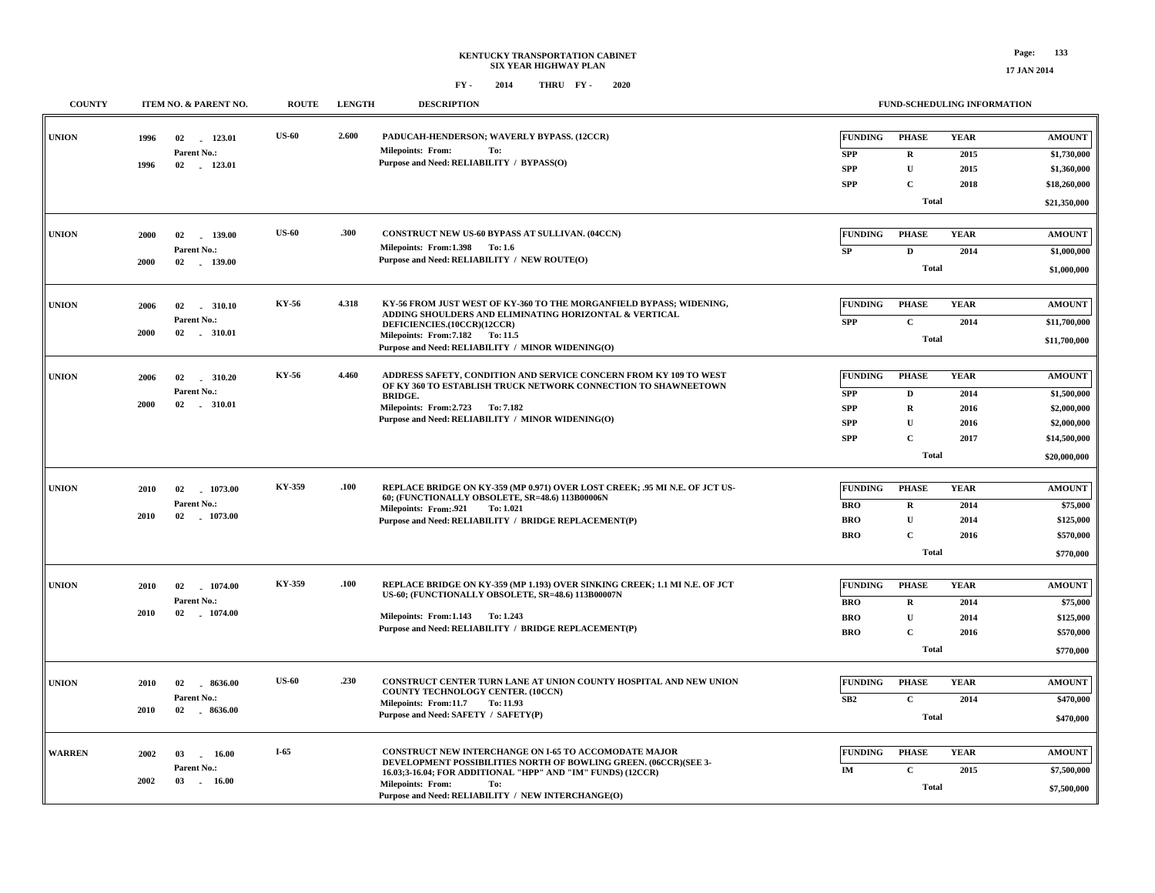| <b>COUNTY</b> |      | ITEM NO. & PARENT NO. | <b>ROUTE</b> | <b>LENGTH</b> | <b>DESCRIPTION</b>                                                                                                              |                 | FUND-SCHEDULING INFORMATION |             |               |  |
|---------------|------|-----------------------|--------------|---------------|---------------------------------------------------------------------------------------------------------------------------------|-----------------|-----------------------------|-------------|---------------|--|
| <b>UNION</b>  | 1996 | 02<br>123.01          | <b>US-60</b> | 2.600         | PADUCAH-HENDERSON; WAVERLY BYPASS. (12CCR)                                                                                      | <b>FUNDING</b>  | <b>PHASE</b>                | <b>YEAR</b> | <b>AMOUNT</b> |  |
|               |      | Parent No.:           |              |               | <b>Milepoints: From:</b><br>To:<br>Purpose and Need: RELIABILITY / BYPASS(O)                                                    | <b>SPP</b>      | $\mathbf R$                 | 2015        | \$1,730,000   |  |
|               | 1996 | 02 123.01             |              |               |                                                                                                                                 | <b>SPP</b>      | $\mathbf U$                 | 2015        | \$1,360,000   |  |
|               |      |                       |              |               |                                                                                                                                 | <b>SPP</b>      | $\mathbf C$                 | 2018        | \$18,260,000  |  |
|               |      |                       |              |               |                                                                                                                                 |                 | Total                       |             | \$21,350,000  |  |
| <b>UNION</b>  | 2000 | 02<br>139.00          | <b>US-60</b> | .300          | CONSTRUCT NEW US-60 BYPASS AT SULLIVAN. (04CCN)                                                                                 | <b>FUNDING</b>  | <b>PHASE</b>                | <b>YEAR</b> | <b>AMOUNT</b> |  |
|               |      | Parent No.:           |              |               | Milepoints: From:1.398 To:1.6<br>Purpose and Need: RELIABILITY / NEW ROUTE(O)                                                   | SP              | $\mathbf D$                 | 2014        | \$1,000,000   |  |
|               | 2000 | 02 139.00             |              |               |                                                                                                                                 |                 | <b>Total</b>                |             | \$1,000,000   |  |
| <b>UNION</b>  | 2006 | 310.10<br>02          | KY-56        | 4.318         | KY-56 FROM JUST WEST OF KY-360 TO THE MORGANFIELD BYPASS; WIDENING,<br>ADDING SHOULDERS AND ELIMINATING HORIZONTAL & VERTICAL   | <b>FUNDING</b>  | <b>PHASE</b>                | <b>YEAR</b> | <b>AMOUNT</b> |  |
|               |      | Parent No.:           |              |               | DEFICIENCIES.(10CCR)(12CCR)                                                                                                     | <b>SPP</b>      | $\mathbf C$                 | 2014        | \$11,700,000  |  |
|               | 2000 |                       |              |               | Milepoints: From: 7.182 To: 11.5<br>Purpose and Need: RELIABILITY / MINOR WIDENING(O)                                           |                 | <b>Total</b>                |             |               |  |
| <b>UNION</b>  | 2006 | 02<br>310.20          | KY-56        | 4.460         | ADDRESS SAFETY, CONDITION AND SERVICE CONCERN FROM KY 109 TO WEST                                                               | <b>FUNDING</b>  | <b>PHASE</b>                | <b>YEAR</b> | <b>AMOUNT</b> |  |
|               |      | Parent No.:           |              |               | OF KY 360 TO ESTABLISH TRUCK NETWORK CONNECTION TO SHAWNEETOWN                                                                  | <b>SPP</b>      | $\mathbf D$                 | 2014        | \$1,500,000   |  |
|               | 2000 | 02<br>$-310.01$       |              |               | <b>BRIDGE.</b><br>Milepoints: From: 2.723 To: 7.182                                                                             | <b>SPP</b>      | $\mathbf R$                 | 2016        | \$2,000,000   |  |
|               |      |                       |              |               | Purpose and Need: RELIABILITY / MINOR WIDENING(O)                                                                               | <b>SPP</b>      | $\mathbf U$                 | 2016        | \$2,000,000   |  |
|               |      |                       |              |               |                                                                                                                                 | <b>SPP</b>      | $\mathbf{C}$                | 2017        | \$14,500,000  |  |
|               |      |                       |              |               |                                                                                                                                 |                 | Total                       |             |               |  |
|               |      |                       |              |               |                                                                                                                                 |                 |                             |             | \$20,000,000  |  |
| <b>UNION</b>  | 2010 | 02<br>1073.00         | KY-359       | .100          | REPLACE BRIDGE ON KY-359 (MP 0.971) OVER LOST CREEK; .95 MI N.E. OF JCT US-<br>60; (FUNCTIONALLY OBSOLETE, SR=48.6) 113B00006N  | <b>FUNDING</b>  | <b>PHASE</b>                | <b>YEAR</b> | <b>AMOUNT</b> |  |
|               |      | <b>Parent No.:</b>    |              |               | Milepoints: From: 921<br>To: 1.021                                                                                              | <b>BRO</b>      | $\mathbf R$                 | 2014        | \$75,000      |  |
|               | 2010 | $-1073.00$<br>02      |              |               | Purpose and Need: RELIABILITY / BRIDGE REPLACEMENT(P)                                                                           | <b>BRO</b>      | $\mathbf{U}$                | 2014        | \$125,000     |  |
|               |      |                       |              |               |                                                                                                                                 | <b>BRO</b>      | $\mathbf{C}$                | 2016        | \$570,000     |  |
|               |      |                       |              |               |                                                                                                                                 |                 | Total                       |             | \$770,000     |  |
| <b>UNION</b>  | 2010 | 1074.00<br>02         | KY-359       | .100          | REPLACE BRIDGE ON KY-359 (MP 1.193) OVER SINKING CREEK; 1.1 MI N.E. OF JCT                                                      | <b>FUNDING</b>  | <b>PHASE</b>                | <b>YEAR</b> | <b>AMOUNT</b> |  |
|               |      | Parent No.:           |              |               | US-60; (FUNCTIONALLY OBSOLETE, SR=48.6) 113B00007N                                                                              | <b>BRO</b>      | $\mathbf R$                 | 2014        | \$75,000      |  |
|               | 2010 | 1074.00<br>02         |              |               | Milepoints: From:1.143 To:1.243                                                                                                 | <b>BRO</b>      | $\mathbf U$                 | 2014        | \$125,000     |  |
|               |      |                       |              |               | Purpose and Need: RELIABILITY / BRIDGE REPLACEMENT(P)                                                                           | <b>BRO</b>      | $\mathbf{C}$                | 2016        | \$570,000     |  |
|               |      |                       |              |               |                                                                                                                                 |                 | <b>Total</b>                |             | \$770,000     |  |
|               |      |                       |              |               |                                                                                                                                 |                 |                             |             |               |  |
| <b>UNION</b>  | 2010 | 02<br>8636.00         | <b>US-60</b> | .230          | CONSTRUCT CENTER TURN LANE AT UNION COUNTY HOSPITAL AND NEW UNION<br>COUNTY TECHNOLOGY CENTER. (10CCN)                          | <b>FUNDING</b>  | <b>PHASE</b>                | <b>YEAR</b> | <b>AMOUNT</b> |  |
|               |      | Parent No.:           |              |               | Milepoints: From:11.7<br>To: 11.93                                                                                              | SB <sub>2</sub> | $\mathbf{C}$                | 2014        | \$470,000     |  |
|               | 2010 | 02<br>$-8636.00$      |              |               | Purpose and Need: SAFETY / SAFETY(P)                                                                                            |                 | <b>Total</b>                |             | \$470,000     |  |
| <b>WARREN</b> | 2002 | 03<br>16.00           | I-65         |               | CONSTRUCT NEW INTERCHANGE ON I-65 TO ACCOMODATE MAJOR                                                                           | <b>FUNDING</b>  | <b>PHASE</b>                | <b>YEAR</b> | <b>AMOUNT</b> |  |
|               |      | Parent No.:           |              |               | DEVELOPMENT POSSIBILITIES NORTH OF BOWLING GREEN. (06CCR)(SEE 3-<br>16.03;3-16.04; FOR ADDITIONAL "HPP" AND "IM" FUNDS) (12CCR) | IM              | $\mathbf{C}$                | 2015        | \$7,500,000   |  |
|               | 2002 | 03<br>$-16.00$        |              |               | <b>Milepoints: From:</b><br>To:<br>Purpose and Need: RELIABILITY / NEW INTERCHANGE(O)                                           |                 | Total                       |             | \$7,500,000   |  |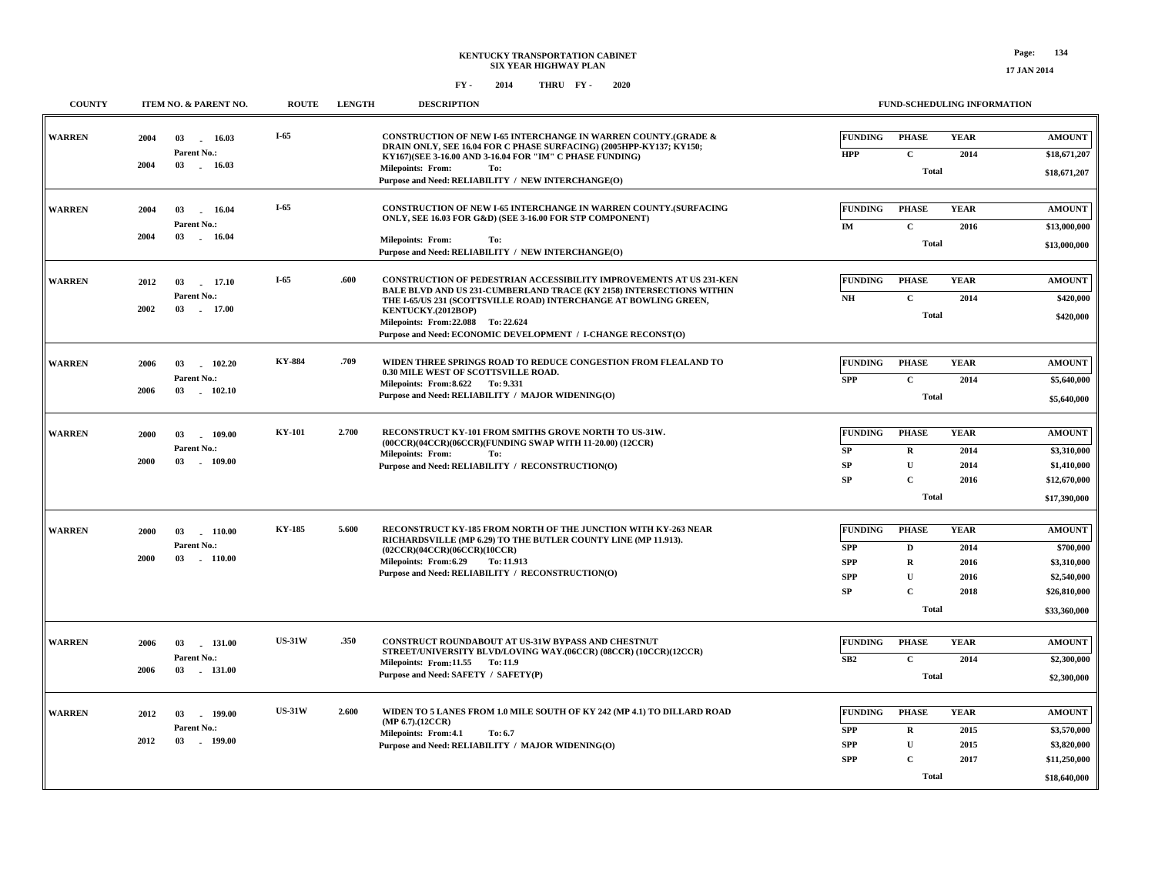| <b>COUNTY</b> | ITEM NO. & PARENT NO.                                            | <b>ROUTE</b>  | <b>LENGTH</b> | <b>DESCRIPTION</b>                                                                                                                                                                                                                                                                                                                                  | FUND-SCHEDULING INFORMATION                                                                                                                                                                    |                                                                                          |
|---------------|------------------------------------------------------------------|---------------|---------------|-----------------------------------------------------------------------------------------------------------------------------------------------------------------------------------------------------------------------------------------------------------------------------------------------------------------------------------------------------|------------------------------------------------------------------------------------------------------------------------------------------------------------------------------------------------|------------------------------------------------------------------------------------------|
| <b>WARREN</b> | 2004<br>03<br>16.03<br>Parent No.:<br>2004<br>03 16.03           | $I-65$        |               | <b>CONSTRUCTION OF NEW I-65 INTERCHANGE IN WARREN COUNTY.(GRADE &amp;</b><br>DRAIN ONLY, SEE 16.04 FOR C PHASE SURFACING) (2005HPP-KY137; KY150;<br>KY167)(SEE 3-16.00 AND 3-16.04 FOR "IM" C PHASE FUNDING)<br><b>Milepoints: From:</b><br>To:<br>Purpose and Need: RELIABILITY / NEW INTERCHANGE(O)                                               | <b>YEAR</b><br><b>FUNDING</b><br><b>PHASE</b><br>$\mathbf C$<br><b>HPP</b><br>2014<br><b>Total</b>                                                                                             | <b>AMOUNT</b><br>\$18,671,207<br>\$18,671,207                                            |
| <b>WARREN</b> | 2004<br>03<br>16.04<br>Parent No.:<br>2004<br>03<br>16.04        | $I-65$        |               | CONSTRUCTION OF NEW I-65 INTERCHANGE IN WARREN COUNTY.(SURFACING<br>ONLY, SEE 16.03 FOR G&D) (SEE 3-16.00 FOR STP COMPONENT)<br><b>Milepoints: From:</b><br>To:<br>Purpose and Need: RELIABILITY / NEW INTERCHANGE(O)                                                                                                                               | <b>FUNDING</b><br><b>PHASE</b><br><b>YEAR</b><br>$\mathbf C$<br>IM<br>2016<br><b>Total</b>                                                                                                     | <b>AMOUNT</b><br>\$13,000,000<br>\$13,000,000                                            |
| <b>WARREN</b> | 2012<br>17.10<br>03<br>Parent No.:<br>2002<br>03 17.00           | I-65          | .600          | <b>CONSTRUCTION OF PEDESTRIAN ACCESSIBILITY IMPROVEMENTS AT US 231-KEN</b><br>BALE BLVD AND US 231-CUMBERLAND TRACE (KY 2158) INTERSECTIONS WITHIN<br>THE I-65/US 231 (SCOTTSVILLE ROAD) INTERCHANGE AT BOWLING GREEN,<br>KENTUCKY.(2012BOP)<br>Milepoints: From: 22.088 To: 22.624<br>Purpose and Need: ECONOMIC DEVELOPMENT / I-CHANGE RECONST(O) | <b>FUNDING</b><br><b>PHASE</b><br><b>YEAR</b><br>NH<br>$\mathbf{C}$<br>2014<br><b>Total</b>                                                                                                    | <b>AMOUNT</b><br>\$420,000<br>\$420,000                                                  |
| <b>WARREN</b> | 102.20<br>2006<br>03<br>Parent No.:<br>03<br>2006<br>102.10      | <b>KY-884</b> | .709          | WIDEN THREE SPRINGS ROAD TO REDUCE CONGESTION FROM FLEALAND TO<br>0.30 MILE WEST OF SCOTTSVILLE ROAD.<br>Milepoints: From: 8.622 To: 9.331<br>Purpose and Need: RELIABILITY / MAJOR WIDENING(O)                                                                                                                                                     | <b>YEAR</b><br><b>FUNDING</b><br><b>PHASE</b><br><b>SPP</b><br>$\mathbf{C}$<br>2014<br><b>Total</b>                                                                                            | <b>AMOUNT</b><br>\$5,640,000<br>\$5,640,000                                              |
| <b>WARREN</b> | 03<br>2000<br>109.00<br>Parent No.:<br>2000<br>03<br>109.00      | <b>KY-101</b> | 2.700         | RECONSTRUCT KY-101 FROM SMITHS GROVE NORTH TO US-31W.<br>(00CCR)(04CCR)(06CCR)(FUNDING SWAP WITH 11-20.00) (12CCR)<br><b>Milepoints: From:</b><br>To:<br>Purpose and Need: RELIABILITY / RECONSTRUCTION(O)                                                                                                                                          | <b>FUNDING</b><br><b>PHASE</b><br><b>YEAR</b><br>SP<br>$\mathbf R$<br>2014<br>SP<br>$\mathbf{U}$<br>2014<br>$\mathbf{C}$<br><b>SP</b><br>2016<br><b>Total</b>                                  | <b>AMOUNT</b><br>\$3,310,000<br>\$1,410,000<br>\$12,670,000<br>\$17,390,000              |
| <b>WARREN</b> | 2000<br>03<br>110.00<br>Parent No.:<br>2000<br>03<br>$-110.00$   | <b>KY-185</b> | 5.600         | RECONSTRUCT KY-185 FROM NORTH OF THE JUNCTION WITH KY-263 NEAR<br>RICHARDSVILLE (MP 6.29) TO THE BUTLER COUNTY LINE (MP 11.913).<br>(02CCR)(04CCR)(06CCR)(10CCR)<br>Milepoints: From:6.29<br>To: 11.913<br>Purpose and Need: RELIABILITY / RECONSTRUCTION(O)                                                                                        | <b>FUNDING</b><br><b>PHASE</b><br><b>YEAR</b><br><b>SPP</b><br>2014<br>D<br>$\mathbf R$<br><b>SPP</b><br>2016<br>${\bf U}$<br><b>SPP</b><br>2016<br>$\mathbf{C}$<br>SP<br>2018<br><b>Total</b> | <b>AMOUNT</b><br>\$700,000<br>\$3,310,000<br>\$2,540,000<br>\$26,810,000<br>\$33,360,000 |
| <b>WARREN</b> | 2006<br>03<br>$-131.00$<br>Parent No.:<br>2006<br>03<br>. 131.00 | <b>US-31W</b> | .350          | CONSTRUCT ROUNDABOUT AT US-31W BYPASS AND CHESTNUT<br>STREET/UNIVERSITY BLVD/LOVING WAY.(06CCR) (08CCR) (10CCR)(12CCR)<br>Milepoints: From:11.55 To:11.9<br>Purpose and Need: SAFETY / SAFETY(P)                                                                                                                                                    | <b>FUNDING</b><br><b>PHASE</b><br><b>YEAR</b><br>$\mathbf C$<br>SB2<br>2014<br><b>Total</b>                                                                                                    | <b>AMOUNT</b><br>\$2,300,000<br>\$2,300,000                                              |
| <b>WARREN</b> | 2012<br>03<br>$-199.00$<br>Parent No.:<br>2012<br>03<br>199.00   | <b>US-31W</b> | 2.600         | WIDEN TO 5 LANES FROM 1.0 MILE SOUTH OF KY 242 (MP 4.1) TO DILLARD ROAD<br>$(MP 6.7)$ . $(12CCR)$<br>Milepoints: From:4.1<br>To: 6.7<br>Purpose and Need: RELIABILITY / MAJOR WIDENING(O)                                                                                                                                                           | <b>PHASE</b><br><b>YEAR</b><br><b>FUNDING</b><br><b>SPP</b><br>2015<br>$\bf R$<br>${\bf U}$<br><b>SPP</b><br>2015<br><b>SPP</b><br>$\mathbf{C}$<br>2017<br><b>Total</b>                        | <b>AMOUNT</b><br>\$3,570,000<br>\$3,820,000<br>\$11,250,000<br>\$18,640,000              |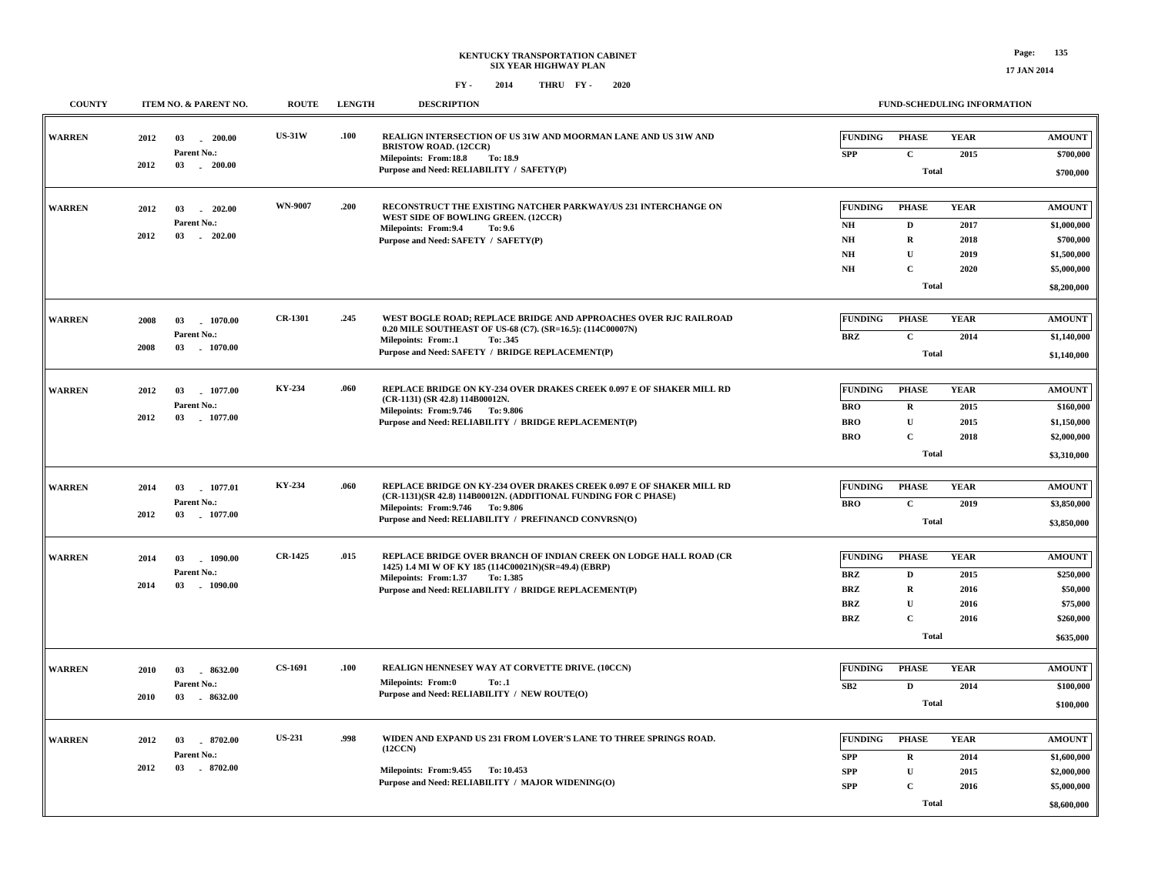**COUNTY ITEM NO. & PARENT NO. ROUTE LENGTH DESCRIPTION**

| <b>WARREN</b> | 2012<br>2012 | 03<br>$-200.00$<br>Parent No.:<br>03<br>$-200.00$ | <b>US-31W</b>  | .100 | REALIGN INTERSECTION OF US 31W AND MOORMAN LANE AND US 31W AND<br><b>BRISTOW ROAD. (12CCR)</b><br>Milepoints: From:18.8<br>To: 18.9     | <b>FUNDING</b><br><b>SPP</b> | <b>PHASE</b><br>$\mathbf C$ | <b>YEAR</b><br>2015 | <b>AMOUNT</b><br>\$700,000 |
|---------------|--------------|---------------------------------------------------|----------------|------|-----------------------------------------------------------------------------------------------------------------------------------------|------------------------------|-----------------------------|---------------------|----------------------------|
|               |              |                                                   |                |      | Purpose and Need: RELIABILITY / SAFETY(P)                                                                                               |                              | <b>Total</b>                |                     | \$700,000                  |
| <b>WARREN</b> | 2012         | 03<br>202.00                                      | <b>WN-9007</b> | .200 | RECONSTRUCT THE EXISTING NATCHER PARKWAY/US 231 INTERCHANGE ON                                                                          | <b>FUNDING</b>               | <b>PHASE</b>                | <b>YEAR</b>         | <b>AMOUNT</b>              |
|               |              | Parent No.:                                       |                |      | WEST SIDE OF BOWLING GREEN. (12CCR)<br>Milepoints: From: 9.4<br>To: 9.6                                                                 | N <sub>H</sub>               | $\mathbf D$                 | 2017                | \$1,000,000                |
|               | 2012         | 03 202.00                                         |                |      | Purpose and Need: SAFETY / SAFETY(P)                                                                                                    | NH                           | $\mathbf R$                 | 2018                | \$700,000                  |
|               |              |                                                   |                |      |                                                                                                                                         | $N\!H$                       | $\mathbf{U}$                | 2019                | \$1,500,000                |
|               |              |                                                   |                |      |                                                                                                                                         | $\mathbf{N}\mathbf{H}$       | $\mathbf C$                 | 2020                | \$5,000,000                |
|               |              |                                                   |                |      |                                                                                                                                         |                              | <b>Total</b>                |                     | \$8,200,000                |
| <b>WARREN</b> | 2008         | 03<br>1070.00                                     | <b>CR-1301</b> | .245 | WEST BOGLE ROAD; REPLACE BRIDGE AND APPROACHES OVER RJC RAILROAD<br>0.20 MILE SOUTHEAST OF US-68 (C7). (SR=16.5): (114C00007N)          | <b>FUNDING</b>               | <b>PHASE</b>                | <b>YEAR</b>         | <b>AMOUNT</b>              |
|               | 2008         | Parent No.:<br>03 1070.00                         |                |      | Milepoints: From:.1<br>To: .345                                                                                                         | <b>BRZ</b>                   | $\mathbf C$                 | 2014                | \$1,140,000                |
|               |              |                                                   |                |      | Purpose and Need: SAFETY / BRIDGE REPLACEMENT(P)                                                                                        |                              | <b>Total</b>                |                     | \$1,140,000                |
|               |              |                                                   |                |      |                                                                                                                                         |                              |                             |                     |                            |
| <b>WARREN</b> | 2012         | 03<br>1077.00                                     | KY-234         | .060 | REPLACE BRIDGE ON KY-234 OVER DRAKES CREEK 0.097 E OF SHAKER MILL RD<br>(CR-1131) (SR 42.8) 114B00012N.                                 | <b>FUNDING</b>               | <b>PHASE</b>                | <b>YEAR</b>         | <b>AMOUNT</b>              |
|               |              | Parent No.:                                       |                |      | Milepoints: From: 9.746 To: 9.806                                                                                                       | <b>BRO</b>                   | $\mathbf R$                 | 2015                | \$160,000                  |
|               | 2012         | 03<br>$-1077.00$                                  |                |      | Purpose and Need: RELIABILITY / BRIDGE REPLACEMENT(P)                                                                                   | <b>BRO</b>                   | $\mathbf{U}$                | 2015                | \$1,150,000                |
|               |              |                                                   |                |      |                                                                                                                                         | <b>BRO</b>                   | $\mathbf C$                 | 2018                | \$2,000,000                |
|               |              |                                                   |                |      |                                                                                                                                         |                              | <b>Total</b>                |                     | \$3,310,000                |
|               |              |                                                   |                |      |                                                                                                                                         |                              |                             |                     |                            |
| <b>WARREN</b> | 2014         | 03<br>1077.01                                     | KY-234         | .060 | REPLACE BRIDGE ON KY-234 OVER DRAKES CREEK 0.097 E OF SHAKER MILL RD<br>(CR-1131)(SR 42.8) 114B00012N. (ADDITIONAL FUNDING FOR C PHASE) | <b>FUNDING</b>               | <b>PHASE</b>                | <b>YEAR</b>         | <b>AMOUNT</b>              |
|               | 2012         | Parent No.:<br>03 1077.00                         |                |      | Milepoints: From: 9.746 To: 9.806                                                                                                       | <b>BRO</b>                   | $\mathbf C$                 | 2019                | \$3,850,000                |
|               |              |                                                   |                |      | Purpose and Need: RELIABILITY / PREFINANCD CONVRSN(O)                                                                                   |                              | <b>Total</b>                |                     | \$3,850,000                |
| <b>WARREN</b> | 2014         | 03<br>1090.00                                     | <b>CR-1425</b> | .015 | REPLACE BRIDGE OVER BRANCH OF INDIAN CREEK ON LODGE HALL ROAD (CR                                                                       | <b>FUNDING</b>               | <b>PHASE</b>                | <b>YEAR</b>         | <b>AMOUNT</b>              |
|               |              | Parent No.:                                       |                |      | 1425) 1.4 MI W OF KY 185 (114C00021N)(SR=49.4) (EBRP)<br>Milepoints: From:1.37<br>To: 1.385                                             | <b>BRZ</b>                   | D                           | 2015                | \$250,000                  |
|               | 2014         | 03<br>$-1090.00$                                  |                |      | Purpose and Need: RELIABILITY / BRIDGE REPLACEMENT(P)                                                                                   | <b>BRZ</b>                   | $\mathbf R$                 | 2016                | \$50,000                   |
|               |              |                                                   |                |      |                                                                                                                                         | <b>BRZ</b>                   | $\mathbf{U}$                | 2016                | \$75,000                   |
|               |              |                                                   |                |      |                                                                                                                                         | <b>BRZ</b>                   | $\mathbf C$                 | 2016                | \$260,000                  |
|               |              |                                                   |                |      |                                                                                                                                         |                              | <b>Total</b>                |                     | \$635,000                  |
|               |              |                                                   |                |      |                                                                                                                                         |                              |                             |                     |                            |
| <b>WARREN</b> | 2010         | 03<br>8632.00                                     | <b>CS-1691</b> | .100 | REALIGN HENNESEY WAY AT CORVETTE DRIVE. (10CCN)<br><b>Milepoints: From:0</b><br>To: .1                                                  | <b>FUNDING</b>               | <b>PHASE</b>                | <b>YEAR</b>         | <b>AMOUNT</b>              |
|               | 2010         | Parent No.:<br>03 . 8632.00                       |                |      | Purpose and Need: RELIABILITY / NEW ROUTE(O)                                                                                            | SB2                          | $\mathbf{D}$                | 2014                | \$100,000                  |
|               |              |                                                   |                |      |                                                                                                                                         |                              | <b>Total</b>                |                     | \$100,000                  |
|               |              |                                                   |                |      |                                                                                                                                         |                              |                             |                     |                            |
| <b>WARREN</b> | 2012         | 8702.00<br>03                                     | <b>US-231</b>  | .998 | WIDEN AND EXPAND US 231 FROM LOVER'S LANE TO THREE SPRINGS ROAD.<br>(12CCN)                                                             | <b>FUNDING</b>               | <b>PHASE</b>                | <b>YEAR</b>         | <b>AMOUNT</b>              |
|               |              | Parent No.:                                       |                |      |                                                                                                                                         | <b>SPP</b>                   | $\mathbf R$                 | 2014                | \$1,600,000                |
|               | 2012         | 03<br>8702.00                                     |                |      | Milepoints: From: 9.455 To: 10.453<br>Purpose and Need: RELIABILITY / MAJOR WIDENING(O)                                                 | <b>SPP</b>                   | $\mathbf U$                 | 2015                | \$2,000,000                |
|               |              |                                                   |                |      |                                                                                                                                         | <b>SPP</b>                   | $\mathbf C$                 | 2016                | \$5,000,000                |
|               |              |                                                   |                |      |                                                                                                                                         |                              | <b>Total</b>                |                     | \$8,600,000                |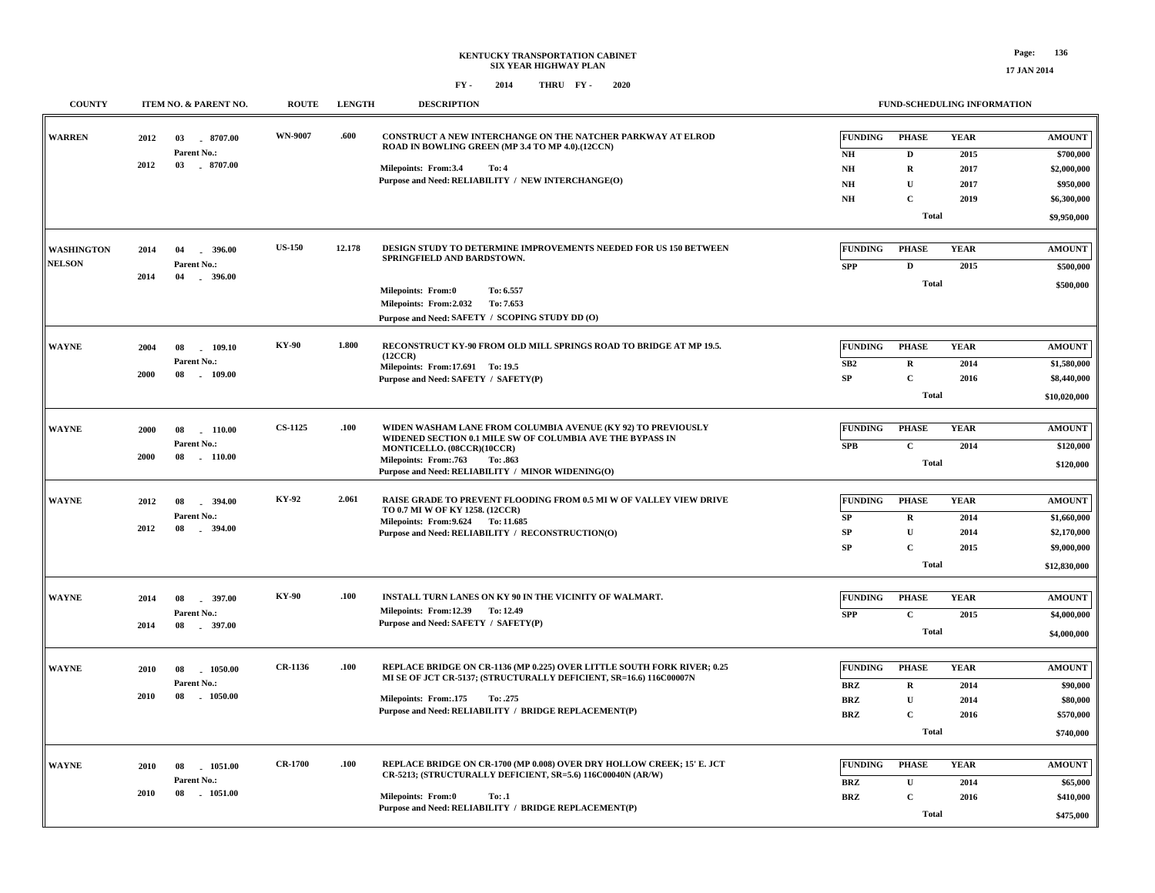| <b>COUNTY</b>                      | ITEM NO. & PARENT NO.                                             | <b>ROUTE</b>   | <b>LENGTH</b> | <b>DESCRIPTION</b>                                                                                                                                                                                                                                |                                                                                        |                                                                            | FUND-SCHEDULING INFORMATION         |                                                                            |
|------------------------------------|-------------------------------------------------------------------|----------------|---------------|---------------------------------------------------------------------------------------------------------------------------------------------------------------------------------------------------------------------------------------------------|----------------------------------------------------------------------------------------|----------------------------------------------------------------------------|-------------------------------------|----------------------------------------------------------------------------|
| <b>WARREN</b>                      | 2012<br>03<br>8707.00<br>Parent No.:                              | <b>WN-9007</b> | .600          | CONSTRUCT A NEW INTERCHANGE ON THE NATCHER PARKWAY AT ELROD<br>ROAD IN BOWLING GREEN (MP 3.4 TO MP 4.0).(12CCN)                                                                                                                                   | <b>FUNDING</b><br>N <sub>H</sub>                                                       | <b>PHASE</b><br>D                                                          | <b>YEAR</b><br>2015                 | <b>AMOUNT</b>                                                              |
|                                    | 2012<br>03 . 8707.00                                              |                |               | Milepoints: From:3.4<br>To: 4<br>Purpose and Need: RELIABILITY / NEW INTERCHANGE(O)                                                                                                                                                               | $\mathbf{NH}{}$<br>N <sub>H</sub><br>NH                                                | $\mathbf R$<br>$\mathbf U$<br>$\mathbf{C}$<br><b>Total</b>                 | 2017<br>2017<br>2019                | \$700,000<br>\$2,000,000<br>\$950,000<br>\$6,300,000<br>\$9,950,000        |
| <b>WASHINGTON</b><br><b>NELSON</b> | 2014<br>04<br>$-396.00$<br>Parent No.:<br>2014<br>04<br>$-396.00$ | <b>US-150</b>  | 12.178        | DESIGN STUDY TO DETERMINE IMPROVEMENTS NEEDED FOR US 150 BETWEEN<br>SPRINGFIELD AND BARDSTOWN.<br>To: 6.557<br>Milepoints: From:0<br>Milepoints: From:2.032<br>To: 7.653<br>Purpose and Need: SAFETY / SCOPING STUDY DD (O)                       | <b>FUNDING</b><br><b>SPP</b>                                                           | <b>PHASE</b><br>$\mathbf D$<br><b>Total</b>                                | <b>YEAR</b><br>2015                 | <b>AMOUNT</b><br>\$500,000<br>\$500,000                                    |
| <b>WAYNE</b>                       | 109.10<br>2004<br>08<br>Parent No.:<br>2000<br>109.00<br>08       | <b>KY-90</b>   | 1.800         | RECONSTRUCT KY-90 FROM OLD MILL SPRINGS ROAD TO BRIDGE AT MP 19.5.<br>(12CCR)<br>Milepoints: From:17.691 To: 19.5<br>Purpose and Need: SAFETY / SAFETY(P)                                                                                         | <b>FUNDING</b><br>SB2<br>SP                                                            | <b>PHASE</b><br>${\bf R}$<br>$\mathbf C$<br><b>Total</b>                   | <b>YEAR</b><br>2014<br>2016         | <b>AMOUNT</b><br>\$1,580,000<br>\$8,440,000<br>\$10,020,000                |
| <b>WAYNE</b>                       | 110.00<br>2000<br>08<br>Parent No.:<br>2000<br>08<br>$-110.00$    | <b>CS-1125</b> | .100          | WIDEN WASHAM LANE FROM COLUMBIA AVENUE (KY 92) TO PREVIOUSLY<br>WIDENED SECTION 0.1 MILE SW OF COLUMBIA AVE THE BYPASS IN<br>MONTICELLO. (08CCR)(10CCR)<br>Milepoints: From: 763<br>To: .863<br>Purpose and Need: RELIABILITY / MINOR WIDENING(O) | <b>FUNDING</b><br><b>SPB</b>                                                           | <b>PHASE</b><br>$\mathbf C$<br><b>Total</b>                                | <b>YEAR</b><br>2014                 | <b>AMOUNT</b><br>\$120,000<br>\$120,000                                    |
| <b>WAYNE</b>                       | 2012<br>08<br>$-394.00$<br>Parent No.:<br>2012<br>08<br>$-394.00$ | KY-92          | 2.061         | RAISE GRADE TO PREVENT FLOODING FROM 0.5 MI W OF VALLEY VIEW DRIVE<br>TO 0.7 MI W OF KY 1258. (12CCR)<br>Milepoints: From: 9.624 To: 11.685<br>Purpose and Need: RELIABILITY / RECONSTRUCTION(O)                                                  | <b>FUNDING</b><br>SP<br><b>SP</b><br><b>SP</b>                                         | <b>PHASE</b><br>$\mathbf R$<br>$\mathbf{U}$<br>$\mathbf C$<br><b>Total</b> | <b>YEAR</b><br>2014<br>2014<br>2015 | <b>AMOUNT</b><br>\$1,660,000<br>\$2,170,000<br>\$9,000,000<br>\$12,830,000 |
| <b>WAYNE</b>                       | $-397.00$<br>2014<br>08<br>Parent No.:<br>2014<br>$-397.00$<br>08 | <b>KY-90</b>   | .100          | INSTALL TURN LANES ON KY 90 IN THE VICINITY OF WALMART.<br>Milepoints: From:12.39 To: 12.49<br>Purpose and Need: SAFETY / SAFETY(P)                                                                                                               | <b>FUNDING</b><br><b>SPP</b>                                                           | <b>PHASE</b><br>$\mathbf C$<br><b>Total</b>                                | <b>YEAR</b><br>2015                 | <b>AMOUNT</b><br>\$4,000,000<br>\$4,000,000                                |
| <b>WAYNE</b>                       | 2010<br>08<br>1050.00<br>Parent No.:<br>2010<br>08<br>1050.00     | CR-1136        | .100          | REPLACE BRIDGE ON CR-1136 (MP 0.225) OVER LITTLE SOUTH FORK RIVER; 0.25<br>MI SE OF JCT CR-5137; (STRUCTURALLY DEFICIENT, SR=16.6) 116C00007N<br>Milepoints: From: 175<br>To: .275<br>Purpose and Need: RELIABILITY / BRIDGE REPLACEMENT(P)       | <b>FUNDING</b><br>$\mathbf{B}\mathbf{R}\mathbf{Z}$<br><b>BRZ</b><br><b>BRZ</b>         | <b>PHASE</b><br>$\mathbf R$<br>$\mathbf U$<br>$\mathbf{C}$<br><b>Total</b> | <b>YEAR</b><br>2014<br>2014<br>2016 | <b>AMOUNT</b><br>\$90,000<br>\$80,000<br>\$570,000<br>\$740,000            |
| <b>WAYNE</b>                       | 2010<br>08<br>1051.00<br>Parent No.:<br>2010<br>08<br>1051.00     | <b>CR-1700</b> | .100          | REPLACE BRIDGE ON CR-1700 (MP 0.008) OVER DRY HOLLOW CREEK; 15' E. JCT<br>CR-5213; (STRUCTURALLY DEFICIENT, SR=5.6) 116C00040N (AR/W)<br>Milepoints: From:0<br>To: .1<br>Purpose and Need: RELIABILITY / BRIDGE REPLACEMENT(P)                    | <b>FUNDING</b><br>$\mathbf{B}\mathbf{R}\mathbf{Z}$<br>$\mathbf{B}\mathbf{R}\mathbf{Z}$ | <b>PHASE</b><br>$\mathbf U$<br>$\mathbf C$<br>Total                        | <b>YEAR</b><br>2014<br>2016         | <b>AMOUNT</b><br>\$65,000<br>\$410,000<br>\$475,000                        |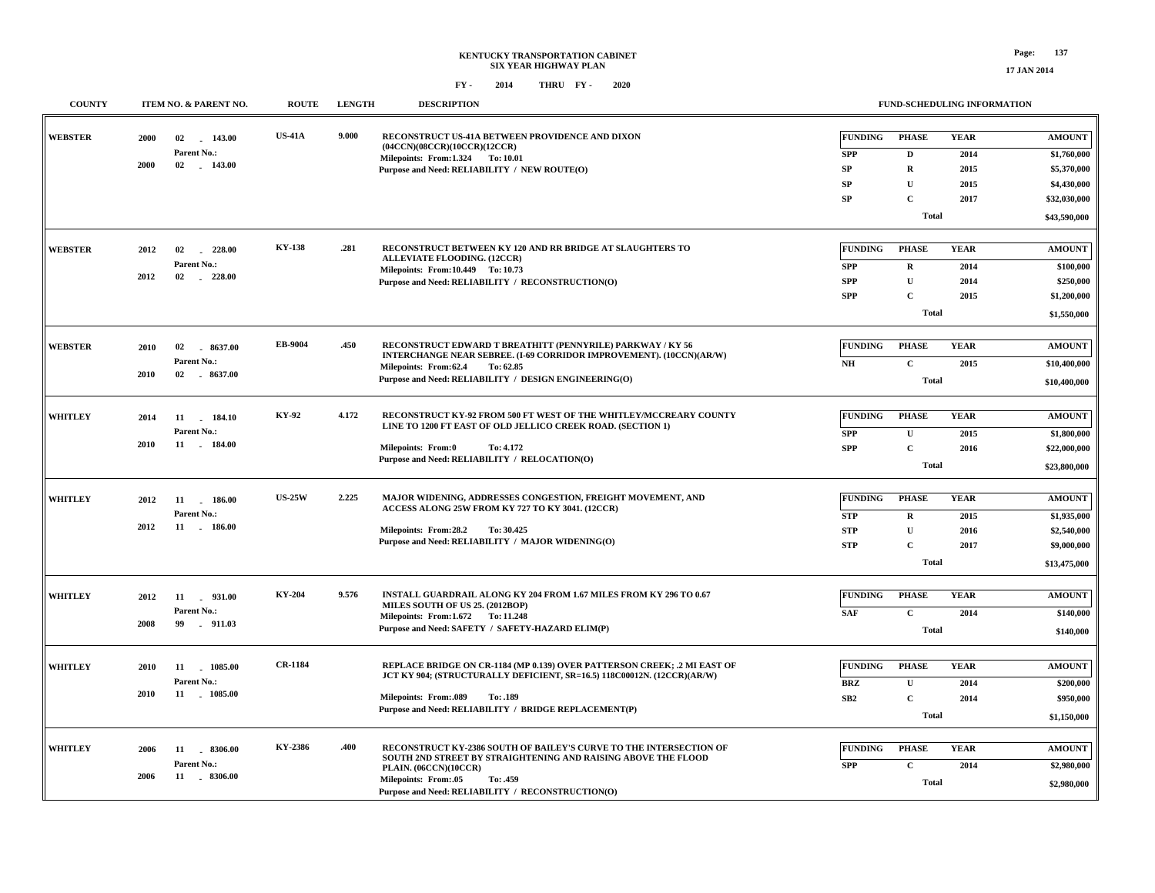| <b>COUNTY</b>  | ITEM NO. & PARENT NO.                                              | <b>ROUTE</b>   | <b>LENGTH</b> | <b>DESCRIPTION</b>                                                                                                                                                                                                                                           |                                                          | FUND-SCHEDULING INFORMATION                                                                |                                             |                                                                                            |
|----------------|--------------------------------------------------------------------|----------------|---------------|--------------------------------------------------------------------------------------------------------------------------------------------------------------------------------------------------------------------------------------------------------------|----------------------------------------------------------|--------------------------------------------------------------------------------------------|---------------------------------------------|--------------------------------------------------------------------------------------------|
| <b>WEBSTER</b> | 2000<br>02 143.00<br>Parent No.:<br>2000<br>02<br>$-143.00$        | <b>US-41A</b>  | 9.000         | RECONSTRUCT US-41A BETWEEN PROVIDENCE AND DIXON<br>(04CCN)(08CCR)(10CCR)(12CCR)<br>Milepoints: From:1.324 To: 10.01<br>Purpose and Need: RELIABILITY / NEW ROUTE(O)                                                                                          | FUNDING<br><b>SPP</b><br>SP<br>${\bf SP}$<br>SP          | <b>PHASE</b><br>$\mathbf{D}$<br>$\mathbf R$<br>$\mathbf{U}$<br>$\mathbf C$<br><b>Total</b> | <b>YEAR</b><br>2014<br>2015<br>2015<br>2017 | <b>AMOUNT</b><br>\$1,760,000<br>\$5,370,000<br>\$4,430,000<br>\$32,030,000<br>\$43,590,000 |
| <b>WEBSTER</b> | 2012<br>02<br>228.00<br><b>Parent No.:</b><br>2012<br>228.00<br>02 | <b>KY-138</b>  | .281          | RECONSTRUCT BETWEEN KY 120 AND RR BRIDGE AT SLAUGHTERS TO<br>ALLEVIATE FLOODING. (12CCR)<br>Milepoints: From:10.449 To: 10.73<br>Purpose and Need: RELIABILITY / RECONSTRUCTION(O)                                                                           | <b>FUNDING</b><br><b>SPP</b><br><b>SPP</b><br><b>SPP</b> | <b>PHASE</b><br>$\bf R$<br>$\mathbf U$<br>$\mathbf C$<br><b>Total</b>                      | <b>YEAR</b><br>2014<br>2014<br>2015         | <b>AMOUNT</b><br>\$100,000<br>\$250,000<br>\$1,200,000<br>\$1,550,000                      |
| <b>WEBSTER</b> | 02<br>8637.00<br>2010<br>Parent No.:<br>2010<br>02<br>$-8637.00$   | EB-9004        | .450          | RECONSTRUCT EDWARD T BREATHITT (PENNYRILE) PARKWAY / KY 56<br>INTERCHANGE NEAR SEBREE. (I-69 CORRIDOR IMPROVEMENT). (10CCN)(AR/W)<br>Milepoints: From:62.4<br>To: 62.85<br>Purpose and Need: RELIABILITY / DESIGN ENGINEERING(O)                             | <b>FUNDING</b><br>N <sub>H</sub>                         | <b>PHASE</b><br>$\mathbf C$<br>Total                                                       | <b>YEAR</b><br>2015                         | <b>AMOUNT</b><br>\$10,400,000<br>\$10,400,000                                              |
| <b>WHITLEY</b> | 2014<br>11 184.10<br>Parent No.:<br>2010<br>11 . 184.00            | KY-92          | 4.172         | RECONSTRUCT KY-92 FROM 500 FT WEST OF THE WHITLEY/MCCREARY COUNTY<br>LINE TO 1200 FT EAST OF OLD JELLICO CREEK ROAD. (SECTION 1)<br>Milepoints: From:0<br>To: 4.172<br>Purpose and Need: RELIABILITY / RELOCATION(O)                                         | <b>FUNDING</b><br><b>SPP</b><br><b>SPP</b>               | <b>PHASE</b><br>U<br>$\mathbf C$<br><b>Total</b>                                           | <b>YEAR</b><br>2015<br>2016                 | <b>AMOUNT</b><br>\$1,800,000<br>\$22,000,000<br>\$23,800,000                               |
| WHITLEY        | 2012<br>11<br>186.00<br>Parent No.:<br>2012<br>11 . 186.00         | <b>US-25W</b>  | 2.225         | MAJOR WIDENING, ADDRESSES CONGESTION, FREIGHT MOVEMENT, AND<br>ACCESS ALONG 25W FROM KY 727 TO KY 3041. (12CCR)<br>Milepoints: From:28.2<br>To: 30.425<br>Purpose and Need: RELIABILITY / MAJOR WIDENING(O)                                                  | <b>FUNDING</b><br><b>STP</b><br><b>STP</b><br><b>STP</b> | <b>PHASE</b><br>$\mathbf R$<br>$\mathbf{U}$<br>$\mathbf C$<br>Total                        | <b>YEAR</b><br>2015<br>2016<br>2017         | <b>AMOUNT</b><br>\$1,935,000<br>\$2,540,000<br>\$9,000,000<br>\$13,475,000                 |
| <b>WHITLEY</b> | 11 . 931.00<br>2012<br>Parent No.:<br>2008<br>99<br>$-911.03$      | <b>KY-204</b>  | 9.576         | INSTALL GUARDRAIL ALONG KY 204 FROM 1.67 MILES FROM KY 296 TO 0.67<br>MILES SOUTH OF US 25. (2012BOP)<br>Milepoints: From: 1.672 To: 11.248<br>Purpose and Need: SAFETY / SAFETY-HAZARD ELIM(P)                                                              | <b>FUNDING</b><br><b>SAF</b>                             | <b>PHASE</b><br>$\mathbf{C}$<br><b>Total</b>                                               | <b>YEAR</b><br>2014                         | <b>AMOUNT</b><br>\$140,000<br>\$140,000                                                    |
| <b>WHITLEY</b> | 2010<br>11 1085.00<br>Parent No.:<br>2010<br>11 1085.00            | <b>CR-1184</b> |               | REPLACE BRIDGE ON CR-1184 (MP 0.139) OVER PATTERSON CREEK; .2 MI EAST OF<br>JCT KY 904; (STRUCTURALLY DEFICIENT, SR=16.5) 118C00012N. (12CCR)(AR/W)<br><b>Milepoints: From:.089</b><br>To: .189<br>Purpose and Need: RELIABILITY / BRIDGE REPLACEMENT(P)     | <b>FUNDING</b><br><b>BRZ</b><br>SB2                      | <b>PHASE</b><br>$\mathbf{U}$<br>$\mathbf C$<br><b>Total</b>                                | <b>YEAR</b><br>2014<br>2014                 | <b>AMOUNT</b><br>\$200,000<br>\$950,000<br>\$1,150,000                                     |
| <b>WHITLEY</b> | 2006<br>11 . 8306.00<br>Parent No.:<br>11 . 8306.00<br>2006        | KY-2386        | .400          | RECONSTRUCT KY-2386 SOUTH OF BAILEY'S CURVE TO THE INTERSECTION OF<br>SOUTH 2ND STREET BY STRAIGHTENING AND RAISING ABOVE THE FLOOD<br>PLAIN. (06CCN)(10CCR)<br><b>Milepoints: From:.05</b><br>To: .459<br>Purpose and Need: RELIABILITY / RECONSTRUCTION(O) | <b>FUNDING</b><br><b>SPP</b>                             | <b>PHASE</b><br>$\mathbf C$<br><b>Total</b>                                                | <b>YEAR</b><br>2014                         | $\boldsymbol{\mathrm{AMOUNT}}$<br>\$2,980,000<br>\$2,980,000                               |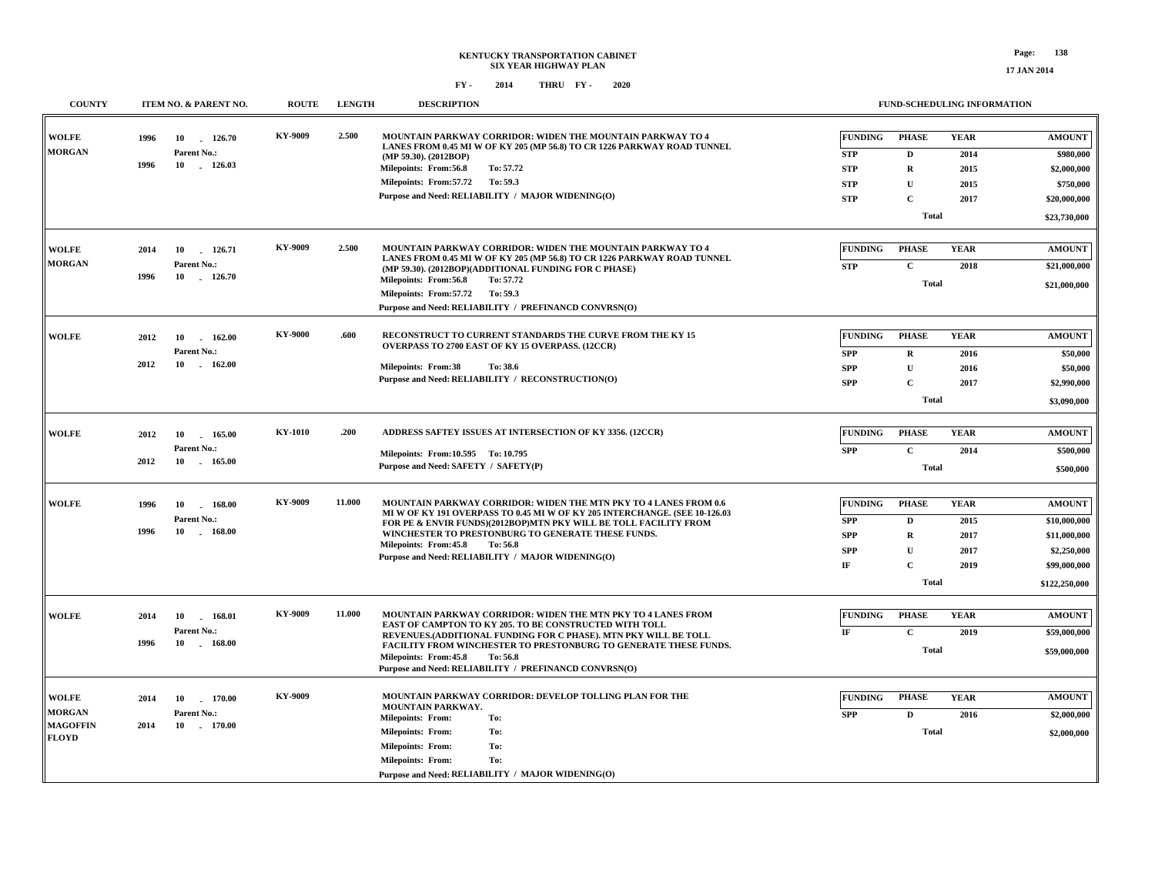| <b>COUNTY</b>   | <b>ITEM NO. &amp; PARENT NO.</b>    | <b>ROUTE</b> | <b>LENGTH</b> | <b>DESCRIPTION</b>                                                                                                                             |                | FUND-SCHEDULING INFORMATION |             |               |
|-----------------|-------------------------------------|--------------|---------------|------------------------------------------------------------------------------------------------------------------------------------------------|----------------|-----------------------------|-------------|---------------|
| <b>WOLFE</b>    | 1996<br>10<br>126.70                | KY-9009      | 2.500         | MOUNTAIN PARKWAY CORRIDOR: WIDEN THE MOUNTAIN PARKWAY TO 4<br>LANES FROM 0.45 MI W OF KY 205 (MP 56.8) TO CR 1226 PARKWAY ROAD TUNNEL          | <b>FUNDING</b> | <b>PHASE</b>                | <b>YEAR</b> | <b>AMOUNT</b> |
| <b>MORGAN</b>   | Parent No.:<br>1996<br>10           |              |               | (MP 59.30). (2012BOP)                                                                                                                          | <b>STP</b>     | D                           | 2014        | \$980,000     |
|                 | 126.03                              |              |               | Milepoints: From:56.8<br>To: 57.72                                                                                                             | <b>STP</b>     | $\mathbf R$                 | 2015        | \$2,000,000   |
|                 |                                     |              |               | Milepoints: From:57.72<br>To: 59.3                                                                                                             | <b>STP</b>     | $\mathbf U$                 | 2015        | \$750,000     |
|                 |                                     |              |               | Purpose and Need: RELIABILITY / MAJOR WIDENING(O)                                                                                              | <b>STP</b>     | $\mathbf C$                 | 2017        | \$20,000,000  |
|                 |                                     |              |               |                                                                                                                                                |                | Total                       |             | \$23,730,000  |
| <b>WOLFE</b>    | 2014<br>10<br>126.71                | KY-9009      | 2.500         | MOUNTAIN PARKWAY CORRIDOR: WIDEN THE MOUNTAIN PARKWAY TO 4                                                                                     | <b>FUNDING</b> | <b>PHASE</b>                | <b>YEAR</b> | <b>AMOUNT</b> |
| <b>MORGAN</b>   | Parent No.:                         |              |               | LANES FROM 0.45 MI W OF KY 205 (MP 56.8) TO CR 1226 PARKWAY ROAD TUNNEL<br>(MP 59.30). (2012BOP)(ADDITIONAL FUNDING FOR C PHASE)               | <b>STP</b>     | $\mathbf{C}$                | 2018        | \$21,000,000  |
|                 | 1996<br>10<br>126.70                |              |               | Milepoints: From:56.8<br>To: 57.72                                                                                                             |                | <b>Total</b>                |             |               |
|                 |                                     |              |               | Milepoints: From:57.72<br>To: 59.3                                                                                                             |                |                             |             | \$21,000,000  |
|                 |                                     |              |               | Purpose and Need: RELIABILITY / PREFINANCD CONVRSN(O)                                                                                          |                |                             |             |               |
| <b>WOLFE</b>    | 2012<br>10<br>162.00                | KY-9000      | .600          | RECONSTRUCT TO CURRENT STANDARDS THE CURVE FROM THE KY 15                                                                                      | <b>FUNDING</b> | <b>PHASE</b>                | <b>YEAR</b> | <b>AMOUNT</b> |
|                 | Parent No.:                         |              |               | OVERPASS TO 2700 EAST OF KY 15 OVERPASS. (12CCR)                                                                                               | <b>SPP</b>     | $\mathbf R$                 | 2016        | \$50,000      |
|                 | 2012<br>10<br>$-162.00$             |              |               | <b>Milepoints: From:38</b><br>To: 38.6                                                                                                         | <b>SPP</b>     | $\mathbf U$                 | 2016        | \$50,000      |
|                 |                                     |              |               | Purpose and Need: RELIABILITY / RECONSTRUCTION(O)                                                                                              | <b>SPP</b>     | $\mathbf C$                 | 2017        | \$2,990,000   |
|                 |                                     |              |               |                                                                                                                                                |                | Total                       |             | \$3,090,000   |
|                 |                                     |              |               |                                                                                                                                                |                |                             |             |               |
| <b>WOLFE</b>    | 2012<br>10 165.00                   | KY-1010      | .200          | ADDRESS SAFTEY ISSUES AT INTERSECTION OF KY 3356. (12CCR)                                                                                      | <b>FUNDING</b> | <b>PHASE</b>                | <b>YEAR</b> | <b>AMOUNT</b> |
|                 | Parent No.:                         |              |               | Milepoints: From:10.595 To: 10.795                                                                                                             | <b>SPP</b>     | $\mathbf{C}$                | 2014        | \$500,000     |
|                 | 2012<br>10 165.00                   |              |               | Purpose and Need: SAFETY / SAFETY(P)                                                                                                           |                | <b>Total</b>                |             | \$500,000     |
|                 |                                     |              |               |                                                                                                                                                |                |                             |             |               |
| <b>WOLFE</b>    | 1996<br>10<br>168.00                | KY-9009      | 11.000        | MOUNTAIN PARKWAY CORRIDOR: WIDEN THE MTN PKY TO 4 LANES FROM 0.6<br>MI W OF KY 191 OVERPASS TO 0.45 MI W OF KY 205 INTERCHANGE. (SEE 10-126.03 | <b>FUNDING</b> | <b>PHASE</b>                | <b>YEAR</b> | <b>AMOUNT</b> |
|                 | Parent No.:<br>1996                 |              |               | FOR PE & ENVIR FUNDS)(2012BOP)MTN PKY WILL BE TOLL FACILITY FROM                                                                               | <b>SPP</b>     | D                           | 2015        | \$10,000,000  |
|                 | 10<br>$-168.00$                     |              |               | WINCHESTER TO PRESTONBURG TO GENERATE THESE FUNDS.<br>Milepoints: From: 45.8<br>To: 56.8                                                       | <b>SPP</b>     | $\mathbf R$                 | 2017        | \$11,000,000  |
|                 |                                     |              |               | Purpose and Need: RELIABILITY / MAJOR WIDENING(O)                                                                                              | <b>SPP</b>     | $\mathbf U$                 | 2017        | \$2,250,000   |
|                 |                                     |              |               |                                                                                                                                                | $\rm I\!F$     | $\mathbf C$                 | 2019        | \$99,000,000  |
|                 |                                     |              |               |                                                                                                                                                |                | <b>Total</b>                |             | \$122,250,000 |
| <b>WOLFE</b>    |                                     | KY-9009      | 11.000        | MOUNTAIN PARKWAY CORRIDOR: WIDEN THE MTN PKY TO 4 LANES FROM                                                                                   | <b>FUNDING</b> | <b>PHASE</b>                | <b>YEAR</b> | <b>AMOUNT</b> |
|                 | 2014<br>10<br>168.01<br>Parent No.: |              |               | EAST OF CAMPTON TO KY 205. TO BE CONSTRUCTED WITH TOLL                                                                                         | IF             | $\mathbf{C}$                | 2019        | \$59,000,000  |
|                 | 1996<br>10<br>$-168.00$             |              |               | REVENUES. (ADDITIONAL FUNDING FOR C PHASE). MTN PKY WILL BE TOLL<br>FACILITY FROM WINCHESTER TO PRESTONBURG TO GENERATE THESE FUNDS.           |                | <b>Total</b>                |             |               |
|                 |                                     |              |               | Milepoints: From: 45.8<br>To: 56.8<br>Purpose and Need: RELIABILITY / PREFINANCD CONVRSN(O)                                                    |                |                             |             | \$59,000,000  |
|                 |                                     |              |               |                                                                                                                                                |                |                             |             |               |
| <b>WOLFE</b>    | 170.00<br>2014<br>10                | KY-9009      |               | MOUNTAIN PARKWAY CORRIDOR: DEVELOP TOLLING PLAN FOR THE                                                                                        | <b>FUNDING</b> | <b>PHASE</b>                | <b>YEAR</b> | <b>AMOUNT</b> |
| <b>MORGAN</b>   | Parent No.:                         |              |               | MOUNTAIN PARKWAY.<br><b>Milepoints: From:</b><br>To:                                                                                           | <b>SPP</b>     | $\mathbf{D}$                | 2016        | \$2,000,000   |
| <b>MAGOFFIN</b> | 2014<br>10<br>$-170.00$             |              |               | To:<br><b>Milepoints: From:</b>                                                                                                                |                | Total                       |             | \$2,000,000   |
| <b>FLOYD</b>    |                                     |              |               | <b>Milepoints: From:</b><br>To:                                                                                                                |                |                             |             |               |
|                 |                                     |              |               | <b>Milepoints: From:</b><br>To:                                                                                                                |                |                             |             |               |
|                 |                                     |              |               | Purpose and Need: RELIABILITY / MAJOR WIDENING(O)                                                                                              |                |                             |             |               |
|                 |                                     |              |               |                                                                                                                                                |                |                             |             |               |